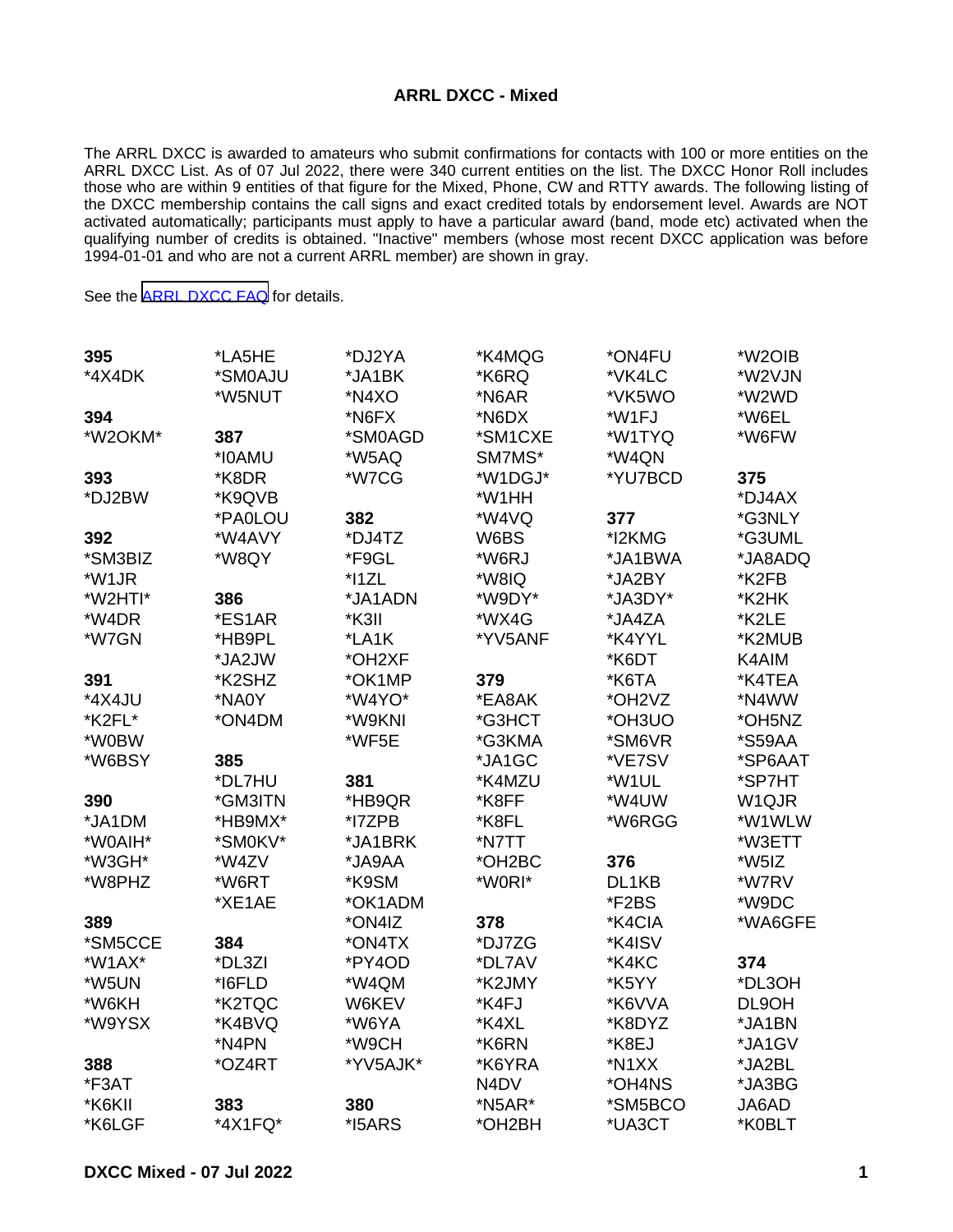## **ARRL DXCC - Mixed**

The ARRL DXCC is awarded to amateurs who submit confirmations for contacts with 100 or more entities on the ARRL DXCC List. As of 07 Jul 2022, there were 340 current entities on the list. The DXCC Honor Roll includes those who are within 9 entities of that figure for the Mixed, Phone, CW and RTTY awards. The following listing of the DXCC membership contains the call signs and exact credited totals by endorsement level. Awards are NOT activated automatically; participants must apply to have a particular award (band, mode etc) activated when the qualifying number of credits is obtained. "Inactive" members (whose most recent DXCC application was before 1994-01-01 and who are not a current ARRL member) are shown in gray.

See the [ARRL DXCC FAQ](http://www.arrl.org/dxcc-faq/) for details.

| 395     | *LA5HE  | *DJ2YA   | *K4MQG                        | *ON4FU                          | *W2OIB  |
|---------|---------|----------|-------------------------------|---------------------------------|---------|
| *4X4DK  | *SM0AJU | *JA1BK   | *K6RQ                         | *VK4LC                          | *W2VJN  |
|         | *W5NUT  | *N4XO    | *N6AR                         | *VK5WO                          | *W2WD   |
| 394     |         | *N6FX    | *N6DX                         | *W1FJ                           | *W6EL   |
| *W2OKM* | 387     | *SM0AGD  | *SM1CXE                       | *W1TYQ                          | *W6FW   |
|         | *I0AMU  | *W5AQ    | SM7MS*                        | *W4QN                           |         |
| 393     | *K8DR   | *W7CG    | *W1DGJ*                       | *YU7BCD                         | 375     |
| *DJ2BW  | *K9QVB  |          | *W1HH                         |                                 | *DJ4AX  |
|         | *PA0LOU | 382      | *W4VQ                         | 377                             | *G3NLY  |
| 392     | *W4AVY  | *DJ4TZ   | W6BS                          | *I2KMG                          | *G3UML  |
| *SM3BIZ | *W8QY   | *F9GL    | *W6RJ                         | *JA1BWA                         | *JA8ADQ |
| *W1JR   |         | $*$ 11ZL | *W8IQ                         | *JA2BY                          | *K2FB   |
| *W2HTI* | 386     | *JA1ADN  | *W9DY*                        | *JA3DY*                         | *K2HK   |
| *W4DR   | *ES1AR  | *K3II    | *WX4G                         | *JA4ZA                          | *K2LE   |
| *W7GN   | *HB9PL  | *LA1K    | *YV5ANF                       | *K4YYL                          | *K2MUB  |
|         | *JA2JW  | *OH2XF   |                               | *K6DT                           | K4AIM   |
| 391     | *K2SHZ  | *OK1MP   | 379                           | *K6TA                           | *K4TEA  |
| *4X4JU  | *NA0Y   | *W4YO*   | *EA8AK                        | *OH <sub>2</sub> V <sub>Z</sub> | *N4WW   |
| *K2FL*  | *ON4DM  | *W9KNI   | *G3HCT                        | *OH3UO                          | *OH5NZ  |
| *W0BW   |         | *WF5E    | *G3KMA                        | *SM6VR                          | *S59AA  |
| *W6BSY  | 385     |          | *JA1GC                        | *VE7SV                          | *SP6AAT |
|         | *DL7HU  | 381      | *K4MZU                        | *W1UL                           | *SP7HT  |
| 390     | *GM3ITN | *HB9QR   | *K8FF                         | *W4UW                           | W1QJR   |
| *JA1DM  | *HB9MX* | *17ZPB   | *K8FL                         | *W6RGG                          | *W1WLW  |
| *W0AIH* | *SM0KV* | *JA1BRK  | *N7TT                         |                                 | *W3ETT  |
| *W3GH*  | *W4ZV   | *JA9AA   | *OH2BC                        | 376                             | *W5IZ   |
| *W8PHZ  | *W6RT   | *K9SM    | *W0RI*                        | DL1KB                           | *W7RV   |
|         | *XE1AE  | *OK1ADM  |                               | *F2BS                           | *W9DC   |
| 389     |         | *ON4IZ   | 378                           | *K4CIA                          | *WA6GFE |
| *SM5CCE | 384     | *ON4TX   | *DJ7ZG                        | *K4ISV                          |         |
| *W1AX*  | *DL3ZI  | *PY4OD   | *DL7AV                        | *K4KC                           | 374     |
| *W5UN   | *I6FLD  | *W4QM    | *K2JMY                        | *K5YY                           | *DL3OH  |
| *W6KH   | *K2TQC  | W6KEV    | *K4FJ                         | *K6VVA                          | DL9OH   |
| *W9YSX  | *K4BVQ  | *W6YA    | *K4XL                         | *K8DYZ                          | *JA1BN  |
|         | *N4PN   | *W9CH    | *K6RN                         | *K8EJ                           | *JA1GV  |
| 388     | *OZ4RT  | *YV5AJK* | *K6YRA                        | *N1XX                           | *JA2BL  |
| *F3AT   |         |          | N <sub>4</sub> D <sub>V</sub> | *OH4NS                          | *JA3BG  |
| *K6KII  | 383     | 380      | $*$ N5AR $*$                  | *SM5BCO                         | JA6AD   |
| *K6LGF  | *4X1FQ* | *I5ARS   | *OH2BH                        | *UA3CT                          | *K0BLT  |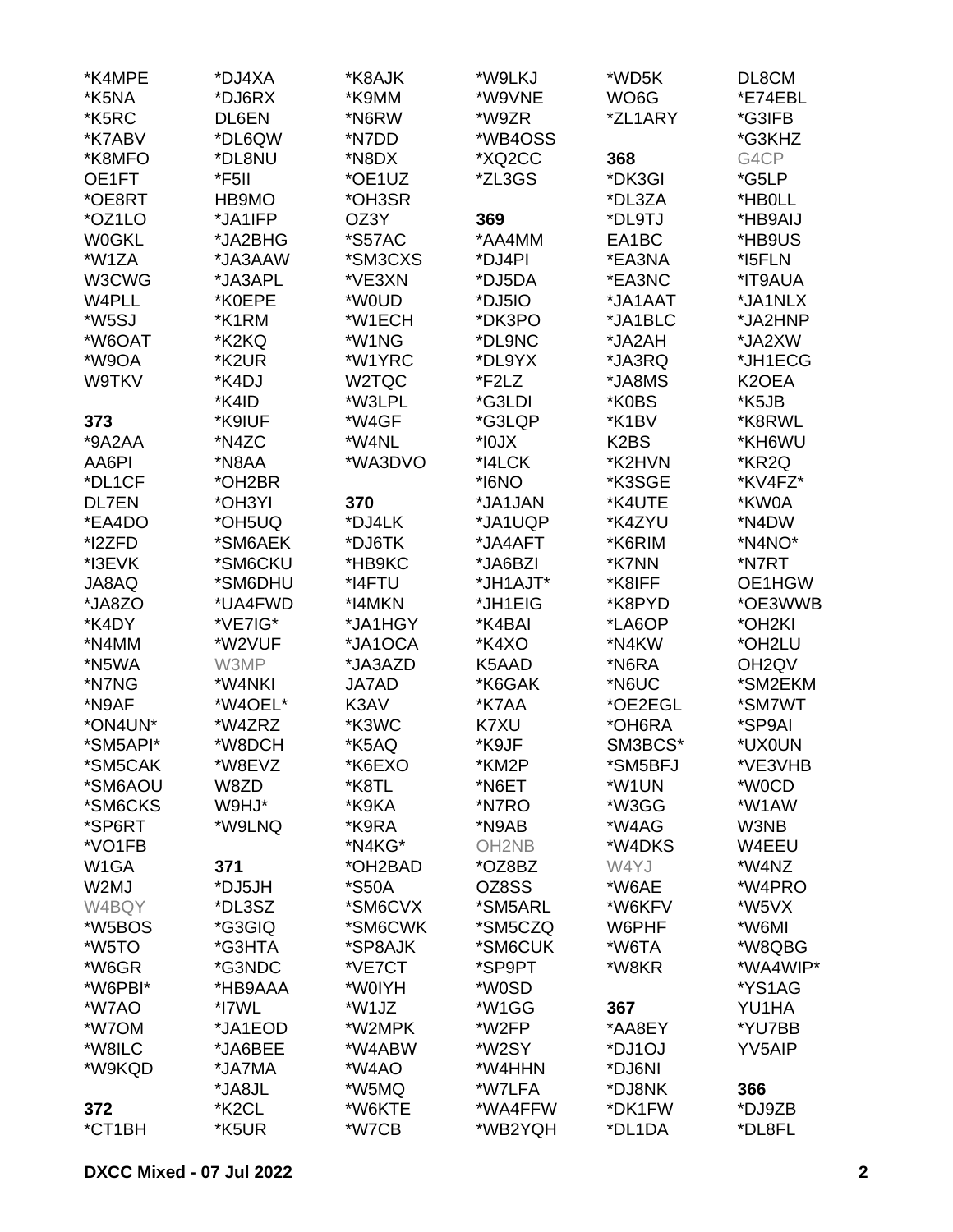| *K4MPE            | *DJ4XA  | *K8AJK       | *W9LKJ            | *WD5K                         | DL8CM              |
|-------------------|---------|--------------|-------------------|-------------------------------|--------------------|
| *K5NA             | *DJ6RX  | *K9MM        | *W9VNE            | WO6G                          | *E74EBL            |
| *K5RC             | DL6EN   | *N6RW        | *W9ZR             | *ZL1ARY                       | *G3IFB             |
| *K7ABV            | *DL6QW  | *N7DD        | *WB4OSS           |                               | *G3KHZ             |
| *K8MFO            | *DL8NU  | *N8DX        | *XQ2CC            | 368                           | G4CP               |
| OE1FT             | *F5II   | *OE1UZ       | *ZL3GS            | *DK3GI                        | *G5LP              |
|                   |         |              |                   |                               |                    |
| *OE8RT            | HB9MO   | *OH3SR       |                   | *DL3ZA                        | *HB0LL             |
| *OZ1LO            | *JA1IFP | OZ3Y         | 369               | *DL9TJ                        | *HB9AIJ            |
| <b>W0GKL</b>      | *JA2BHG | *S57AC       | *AA4MM            | EA1BC                         | *HB9US             |
| *W1ZA             | *JA3AAW | *SM3CXS      | *DJ4PI            | *EA3NA                        | *I5FLN             |
| W3CWG             | *JA3APL | *VE3XN       | *DJ5DA            | *EA3NC                        | *IT9AUA            |
| W4PLL             | *K0EPE  | *W0UD        | *DJ5IO            | *JA1AAT                       | *JA1NLX            |
| *W5SJ             | *K1RM   | *W1ECH       | *DK3PO            | *JA1BLC                       | *JA2HNP            |
| *W6OAT            | *K2KQ   | *W1NG        | *DL9NC            | *JA2AH                        | *JA2XW             |
| *W9OA             | *K2UR   | *W1YRC       | *DL9YX            | *JA3RQ                        | *JH1ECG            |
| W9TKV             | *K4DJ   | W2TQC        | *F2LZ             | *JA8MS                        | K <sub>2</sub> OEA |
|                   | *K4ID   | *W3LPL       | *G3LDI            | *K0BS                         | *K5JB              |
| 373               | *K9IUF  | *W4GF        | *G3LQP            | *K1BV                         | *K8RWL             |
| $*9A2AA$          | *N4ZC   | *W4NL        | $XLOI^*$          | K <sub>2</sub> B <sub>S</sub> | *KH6WU             |
| AA6PI             | *N8AA   | *WA3DVO      | *I4LCK            | *K2HVN                        | *KR2Q              |
| *DL1CF            | *OH2BR  |              | *I6NO             | *K3SGE                        | *KV4FZ*            |
| <b>DL7EN</b>      | *OH3YI  | 370          | *JA1JAN           | *K4UTE                        | *KW0A              |
| *EA4DO            | *OH5UQ  | *DJ4LK       | *JA1UQP           | *K4ZYU                        | *N4DW              |
| *I2ZFD            | *SM6AEK | *DJ6TK       | *JA4AFT           | *K6RIM                        | *N4NO*             |
|                   |         |              |                   |                               |                    |
| *I3EVK            | *SM6CKU | *HB9KC       | *JA6BZI           | *K7NN                         | *N7RT              |
| JA8AQ             | *SM6DHU | *I4FTU       | *JH1AJT*          | *K8IFF                        | OE1HGW             |
| *JA8ZO            | *UA4FWD | *I4MKN       | *JH1EIG           | *K8PYD                        | *OE3WWB            |
| *K4DY             | *VE7IG* | *JA1HGY      | *K4BAI            | *LA6OP                        | *OH <sub>2KI</sub> |
| *N4MM             | *W2VUF  | *JA1OCA      | *K4XO             | *N4KW                         | *OH2LU             |
| *N5WA             | W3MP    | *JA3AZD      | K5AAD             | *N6RA                         | OH <sub>2</sub> QV |
| *N7NG             | *W4NKI  | <b>JA7AD</b> | *K6GAK            | *N6UC                         | *SM2EKM            |
| *N9AF             | *W4OEL* | K3AV         | *K7AA             | *OE2EGL                       | *SM7WT             |
| *ON4UN*           | *W4ZRZ  | *K3WC        | K7XU              | *OH6RA                        | *SP9AI             |
| *SM5API*          | *W8DCH  | *K5AQ        | *K9JF             | SM3BCS*                       | *UX0UN             |
| *SM5CAK           | *W8EVZ  | *K6EXO       | *KM2P             | *SM5BFJ                       | *VE3VHB            |
| *SM6AOU           | W8ZD    | *K8TL        | *N6ET             | *W1UN                         | *W0CD              |
| *SM6CKS           | W9HJ*   | *K9KA        | *N7RO             | *W3GG                         | *W1AW              |
| *SP6RT            | *W9LNQ  | *K9RA        | *N9AB             | *W4AG                         | W3NB               |
| *VO1FB            |         | *N4KG*       | OH <sub>2NB</sub> | *W4DKS                        | W4EEU              |
| W <sub>1</sub> GA | 371     | *OH2BAD      | *OZ8BZ            | W4YJ                          | *W4NZ              |
| W2MJ              | *DJ5JH  | *S50A        | OZ8SS             | *W6AE                         | *W4PRO             |
| W4BQY             | *DL3SZ  | *SM6CVX      | *SM5ARL           | *W6KFV                        | *W5VX              |
| *W5BOS            | *G3GIQ  | *SM6CWK      | *SM5CZQ           | W6PHF                         | *W6MI              |
| *W5TO             | *G3HTA  | *SP8AJK      | *SM6CUK           | *W6TA                         | *W8QBG             |
| *W6GR             | *G3NDC  | *VE7CT       | *SP9PT            | *W8KR                         | *WA4WIP*           |
|                   | *HB9AAA |              |                   |                               |                    |
| *W6PBI*           |         | *W0IYH       | *W0SD             |                               | *YS1AG             |
| *W7AO             | *I7WL   | *W1JZ        | *W1GG             | 367                           | YU1HA              |
| *W7OM             | *JA1EOD | *W2MPK       | *W2FP             | *AA8EY                        | *YU7BB             |
| *W8ILC            | *JA6BEE | *W4ABW       | *W2SY             | *DJ1OJ                        | YV5AIP             |
| *W9KQD            | *JA7MA  | *W4AO        | *W4HHN            | *DJ6NI                        |                    |
|                   | *JA8JL  | *W5MQ        | *W7LFA            | *DJ8NK                        | 366                |
| 372               | *K2CL   | *W6KTE       | *WA4FFW           | *DK1FW                        | *DJ9ZB             |
| *CT1BH            | *K5UR   | *W7CB        | *WB2YQH           | *DL1DA                        | *DL8FL             |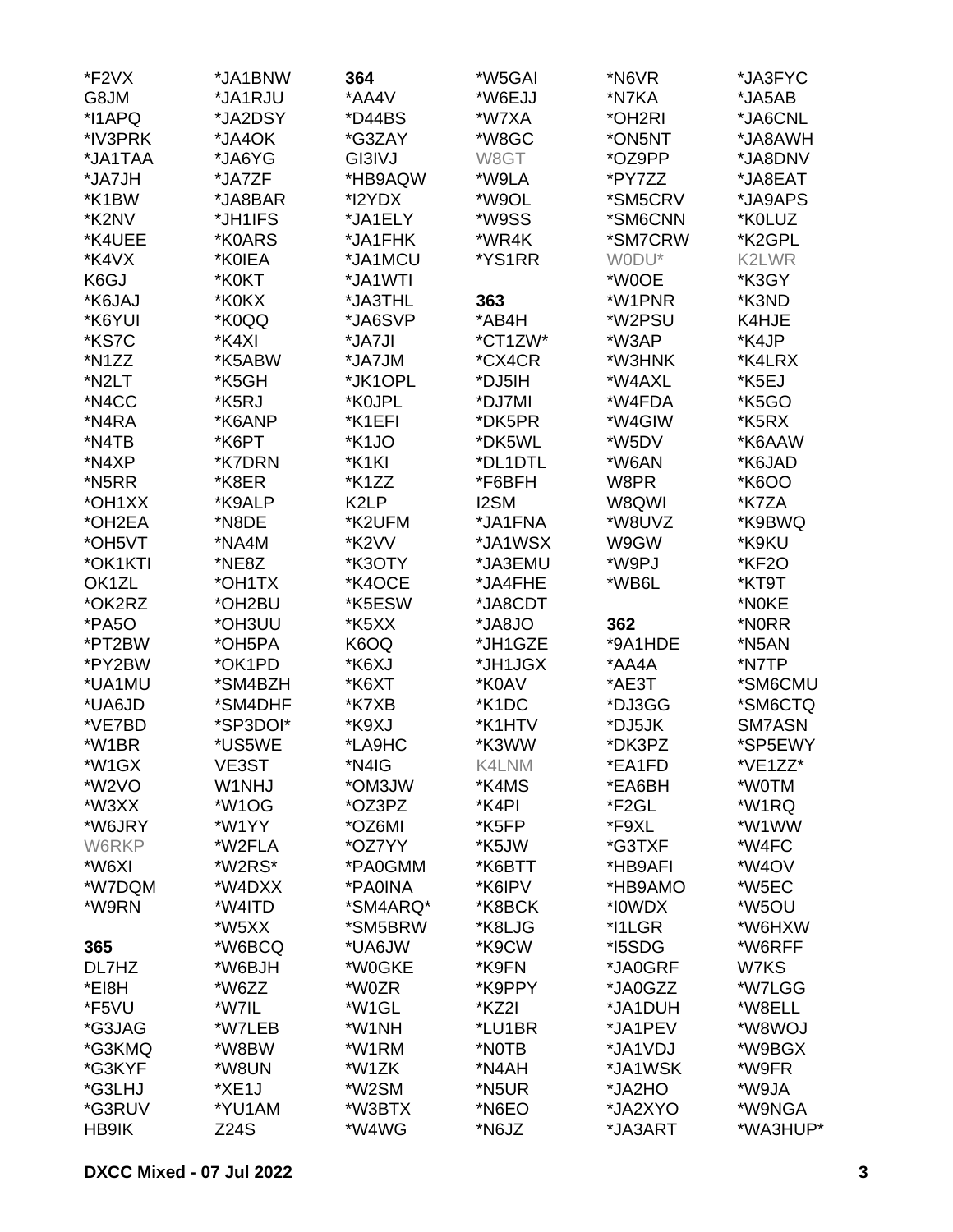| *F2VX   | *JA1BNW            | 364      | *W5GAI             | *N6VR   | *JA3FYC            |
|---------|--------------------|----------|--------------------|---------|--------------------|
| G8JM    | *JA1RJU            | *AA4V    | *W6EJJ             | *N7KA   | *JA5AB             |
| *I1APQ  | *JA2DSY            | *D44BS   | *W7XA              | *OH2RI  | *JA6CNL            |
| *IV3PRK | *JA4OK             | *G3ZAY   | *W8GC              | *ON5NT  | *JA8AWH            |
| *JA1TAA | *JA6YG             | GI3IVJ   | W8GT               | *OZ9PP  | *JA8DNV            |
| *JA7JH  | *JA7ZF             | *HB9AQW  | *W9LA              | *PY7ZZ  | *JA8EAT            |
| *K1BW   | *JA8BAR            | *I2YDX   | *W9OL              | *SM5CRV | *JA9APS            |
| *K2NV   | *JH1IFS            | *JA1ELY  | *W9SS              | *SM6CNN | *K0LUZ             |
| *K4UEE  | *K0ARS             | *JA1FHK  | *WR4K              | *SM7CRW | *K2GPL             |
| *K4VX   | *K0IEA             | *JA1MCU  | *YS1RR             | WODU*   | K2LWR              |
| K6GJ    | *K0KT              | *JA1WTI  |                    | *W0OE   | *K3GY              |
| *K6JAJ  | *K0KX              | *JA3THL  | 363                | *W1PNR  | *K3ND              |
| *K6YUI  | *K0QQ              | *JA6SVP  | *AB4H              | *W2PSU  | K4HJE              |
| *KS7C   | *K4XI              | *JA7JI   | *CT1ZW*            | *W3AP   | *K4JP              |
| *N1ZZ   | *K5ABW             | *JA7JM   | *CX4CR             | *W3HNK  | *K4LRX             |
| *N2LT   | *K5GH              | *JK1OPL  | *DJ5IH             | *W4AXL  | *K5EJ              |
| *N4CC   | *K5RJ              | *K0JPL   | *DJ7MI             | *W4FDA  | *K5GO              |
| *N4RA   | *K6ANP             | *K1EFI   | *DK5PR             | *W4GIW  | *K5RX              |
| *N4TB   | *K6PT              | *K1JO    | *DK5WL             | *W5DV   | *K6AAW             |
| *N4XP   | *K7DRN             | *K1KI    | *DL1DTL            | *W6AN   | *K6JAD             |
| *N5RR   | *K8ER              | *K1ZZ    | *F6BFH             | W8PR    |                    |
|         | *K9ALP             | K2LP     |                    |         | *K6OO<br>*K7ZA     |
| *OH1XX  |                    |          | I2SM               | W8QWI   |                    |
| *OH2EA  | *N8DE              | *K2UFM   | *JA1FNA            | *W8UVZ  | *K9BWQ             |
| *OH5VT  | *NA4M              | *K2VV    | *JA1WSX            | W9GW    | *K9KU              |
| *OK1KTI | *NE8Z              | *K3OTY   | *JA3EMU            | *W9PJ   | <b>*KF2O</b>       |
| OK1ZL   | *OH1TX             | *K4OCE   | *JA4FHE            | *WB6L   | *KT9T              |
| *OK2RZ  | *OH2BU             | *K5ESW   | *JA8CDT            |         | *N0KE              |
| *PA5O   | *OH3UU             | *K5XX    | *JA8JO             | 362     | *N0RR              |
| *PT2BW  | *OH5PA             | K6OQ     | *JH1GZE            | *9A1HDE | *N5AN              |
| *PY2BW  | *OK1PD             | *K6XJ    | *JH1JGX            | *AA4A   | *N7TP              |
| *UA1MU  | *SM4BZH            | *K6XT    | *K0AV              | *AE3T   | *SM6CMU            |
| *UA6JD  | *SM4DHF            | *K7XB    | *K <sub>1</sub> DC | *DJ3GG  | *SM6CTQ            |
| *VE7BD  | *SP3DOI*           | *K9XJ    | *K1HTV             | *DJ5JK  | SM7ASN             |
| *W1BR   | *US5WE             | *LA9HC   | *K3WW              | *DK3PZ  | *SP5EWY            |
| *W1GX   | VE3ST              | *N4IG    | K4LNM              | *EA1FD  | *VE1ZZ*            |
| *W2VO   | W1NHJ              | *OM3JW   | *K4MS              | *EA6BH  | *W0TM              |
| *W3XX   | *W <sub>1</sub> OG | *OZ3PZ   | *K4PI              | *F2GL   | *W1RQ              |
| *W6JRY  | *W1YY              | *OZ6MI   | *K5FP              | *F9XL   | *W1WW              |
| W6RKP   | *W2FLA             | *OZ7YY   | *K5JW              | *G3TXF  | *W4FC              |
| *W6XI   | *W2RS*             | *PA0GMM  | *K6BTT             | *HB9AFI | *W <sub>4</sub> OV |
| *W7DQM  | *W4DXX             | *PA0INA  | *K6IPV             | *HB9AMO | *W5EC              |
| *W9RN   | *W4ITD             | *SM4ARQ* | *K8BCK             | *I0WDX  | *W5OU              |
|         | *W5XX              | *SM5BRW  | *K8LJG             | *I1LGR  | *W6HXW             |
| 365     | *W6BCQ             | *UA6JW   | *K9CW              | *I5SDG  | *W6RFF             |
| DL7HZ   | *W6BJH             | *W0GKE   | *K9FN              | *JA0GRF | W7KS               |
| *EI8H   | *W6ZZ              | *W0ZR    | *K9PPY             | *JA0GZZ | *W7LGG             |
| *F5VU   | *W7IL              | *W1GL    | *KZ2I              | *JA1DUH | *W8ELL             |
| *G3JAG  | *W7LEB             | *W1NH    | *LU1BR             | *JA1PEV | *W8WOJ             |
| *G3KMQ  | *W8BW              | *W1RM    | *NOTB              | *JA1VDJ | *W9BGX             |
| *G3KYF  | *W8UN              | *W1ZK    | *N4AH              | *JA1WSK | *W9FR              |
| *G3LHJ  | *XE1J              | *W2SM    | *N5UR              | *JA2HO  | *W9JA              |
| *G3RUV  | *YU1AM             | *W3BTX   | *N6EO              | *JA2XYO | *W9NGA             |
| HB9IK   | Z24S               | *W4WG    | *N6JZ              | *JA3ART | *WA3HUP*           |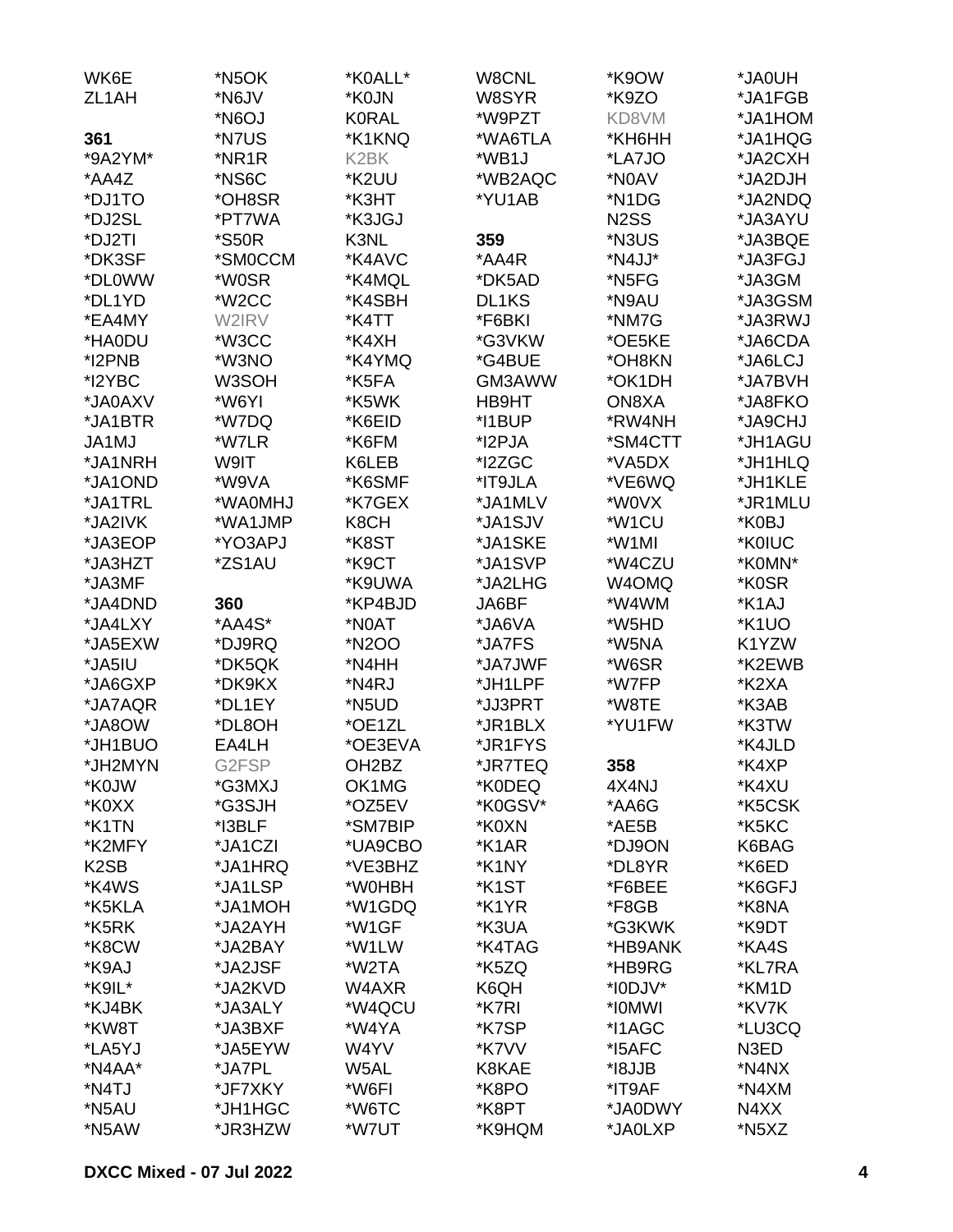| WK6E               | *N5OK   | *K0ALL*            | W8CNL          | *K9OW             | *JA0UH  |
|--------------------|---------|--------------------|----------------|-------------------|---------|
| ZL <sub>1</sub> AH | *N6JV   | *K0JN              | W8SYR          | *K9ZO             | *JA1FGB |
|                    | *N6OJ   | <b>K0RAL</b>       | *W9PZT         | KD8VM             | *JA1HOM |
| 361                | *N7US   | *K1KNQ             | *WA6TLA        | *KH6HH            | *JA1HQG |
| *9A2YM*            | *NR1R   | K <sub>2</sub> BK  | *WB1J          | *LA7JO            | *JA2CXH |
| *AA4Z              | *NS6C   | *K2UU              | *WB2AQC        | *N0AV             | *JA2DJH |
| *DJ1TO             | *OH8SR  | *K3HT              | *YU1AB         | *N1DG             | *JA2NDQ |
| *DJ2SL             | *PT7WA  | *K3JGJ             |                | N <sub>2</sub> SS | *JA3AYU |
| *DJ2TI             | *S50R   | K3NL               | 359            | *N3US             | *JA3BQE |
| *DK3SF             | *SM0CCM | *K4AVC             | *AA4R          | *N4JJ*            | *JA3FGJ |
| *DL0WW             | *W0SR   | *K4MQL             | *DK5AD         | *N5FG             | *JA3GM  |
| *DL1YD             | *W2CC   | *K4SBH             | DL1KS          | *N9AU             | *JA3GSM |
| *EA4MY             | W2IRV   | *K4TT              | *F6BKI         | *NM7G             | *JA3RWJ |
|                    |         |                    |                |                   |         |
| *HA0DU             | *W3CC   | *K4XH              | *G3VKW         | *OE5KE            | *JA6CDA |
| *I2PNB             | *W3NO   | *K4YMQ             | *G4BUE         | *OH8KN            | *JA6LCJ |
| *I2YBC             | W3SOH   | *K5FA              | GM3AWW         | *OK1DH            | *JA7BVH |
| *JA0AXV            | *W6YI   | *K5WK              | HB9HT          | ON8XA             | *JA8FKO |
| *JA1BTR            | *W7DQ   | *K6EID             | *I1BUP         | *RW4NH            | *JA9CHJ |
| JA1MJ              | *W7LR   | *K6FM              | *I2PJA         | *SM4CTT           | *JH1AGU |
| *JA1NRH            | W9IT    | K6LEB              | *I2ZGC         | *VA5DX            | *JH1HLQ |
| *JA1OND            | *W9VA   | *K6SMF             | *IT9JLA        | *VE6WQ            | *JH1KLE |
| *JA1TRL            | *WA0MHJ | *K7GEX             | *JA1MLV        | *W0VX             | *JR1MLU |
| *JA2IVK            | *WA1JMP | K8CH               | *JA1SJV        | *W1CU             | *K0BJ   |
| *JA3EOP            | *YO3APJ | *K8ST              | *JA1SKE        | *W1MI             | *K0IUC  |
| *JA3HZT            | *ZS1AU  | *K9CT              | *JA1SVP        | *W4CZU            | *K0MN*  |
| *JA3MF             |         | *K9UWA             | *JA2LHG        | W4OMQ             | *K0SR   |
| *JA4DND            | 360     | *KP4BJD            | JA6BF          | *W4WM             | *K1AJ   |
| *JA4LXY            | *AA4S*  | *N0AT              | *JA6VA         | *W5HD             | *K1UO   |
| *JA5EXW            | *DJ9RQ  | *N2OO              | *JA7FS         | *W5NA             | K1YZW   |
| *JA5IU             | *DK5QK  | *N4HH              | *JA7JWF        | *W6SR             | *K2EWB  |
| *JA6GXP            | *DK9KX  | *N4RJ              | *JH1LPF        | *W7FP             | *K2XA   |
| *JA7AQR            | *DL1EY  | *N5UD              | *JJ3PRT        | *W8TE             | *K3AB   |
| *JA8OW             | *DL8OH  | *OE1ZL             | *JR1BLX        | *YU1FW            | *K3TW   |
| *JH1BUO            | EA4LH   | *OE3EVA            | *JR1FYS        |                   | *K4JLD  |
| *JH2MYN            | G2FSP   | OH <sub>2</sub> BZ | *JR7TEQ        | 358               | *K4XP   |
| *K0JW              | *G3MXJ  | OK1MG              | *K0DEQ         | 4X4NJ             | *K4XU   |
| *K0XX              | *G3SJH  | *OZ5EV             | *K0GSV*        | *AA6G             | *K5CSK  |
| *K1TN              | *I3BLF  | *SM7BIP            | *K0XN          | *AE5B             | *K5KC   |
| *K2MFY             | *JA1CZI | *UA9CBO            | *K1AR          | *DJ9ON            | K6BAG   |
| K <sub>2</sub> SB  | *JA1HRQ | *VE3BHZ            | *K1NY          | *DL8YR            | *K6ED   |
| *K4WS              | *JA1LSP | *W0HBH             |                | *F6BEE            | *K6GFJ  |
|                    |         | *W1GDQ             | *K1ST<br>*K1YR |                   |         |
| *K5KLA             | *JA1MOH |                    |                | *F8GB             | *K8NA   |
| *K5RK              | *JA2AYH | *W1GF              | *K3UA          | *G3KWK            | *K9DT   |
| *K8CW              | *JA2BAY | *W1LW              | *K4TAG         | *HB9ANK           | *KA4S   |
| *K9AJ              | *JA2JSF | *W2TA              | *K5ZQ          | *HB9RG            | *KL7RA  |
| *K9IL*             | *JA2KVD | W4AXR              | K6QH           | *I0DJV*           | *KM1D   |
| *KJ4BK             | *JA3ALY | *W4QCU             | *K7RI          | *I0MWI            | *KV7K   |
| *KW8T              | *JA3BXF | *W4YA              | *K7SP          | *I1AGC            | *LU3CQ  |
| *LA5YJ             | *JA5EYW | W4YV               | *K7VV          | *I5AFC            | N3ED    |
| *N4AA*             | *JA7PL  | W5AL               | K8KAE          | *I8JJB            | *N4NX   |
| *N4TJ              | *JF7XKY | *W6FI              | *K8PO          | *IT9AF            | *N4XM   |
| *N5AU              | *JH1HGC | *W6TC              | *K8PT          | *JA0DWY           | N4XX    |
| *N5AW              | *JR3HZW | *W7UT              | *K9HQM         | *JA0LXP           | *N5XZ   |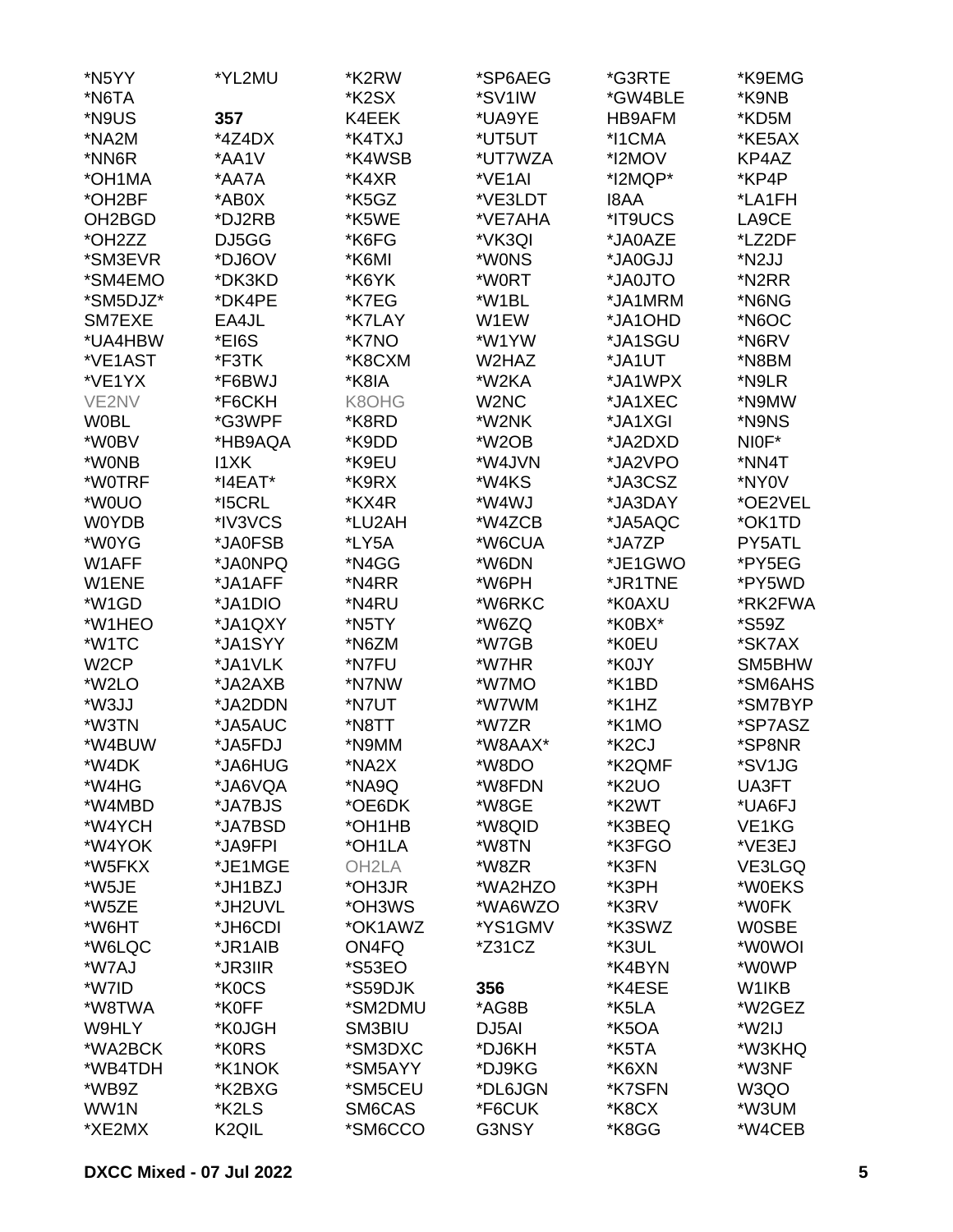| *N5YY               | *YL2MU            | *K2RW              | *SP6AEG                       | *G3RTE             | *K9EMG             |
|---------------------|-------------------|--------------------|-------------------------------|--------------------|--------------------|
| *N6TA               |                   | *K <sub>2</sub> SX | *SV1IW                        | *GW4BLE            | *K9NB              |
| *N9US               | 357               | K4EEK              | *UA9YE                        | HB9AFM             | *KD5M              |
| *NA2M               | *4Z4DX            | *K4TXJ             | *UT5UT                        | *I1CMA             | *KE5AX             |
| *NN6R               | *AA1V             | *K4WSB             | *UT7WZA                       | *I2MOV             | KP4AZ              |
| *OH1MA              | *AA7A             | *K4XR              | *VE1AI                        | *I2MQP*            | *KP4P              |
| *OH2BF              | *AB0X             | *K5GZ              | *VE3LDT                       | <b>I8AA</b>        | *LA1FH             |
| OH <sub>2</sub> BGD | *DJ2RB            | *K5WE              | *VE7AHA                       | *IT9UCS            | LA9CE              |
| *OH2ZZ              | DJ5GG             | *K6FG              | *VK3QI                        | *JA0AZE            | *LZ2DF             |
| *SM3EVR             | *DJ6OV            | *K6MI              | *W0NS                         | *JA0GJJ            | *N2JJ              |
| *SM4EMO             | *DK3KD            | *K6YK              | *W0RT                         | *JA0JTO            | *N2RR              |
| *SM5DJZ*            | *DK4PE            | *K7EG              | *W1BL                         | *JA1MRM            | *N6NG              |
| SM7EXE              |                   |                    |                               | *JA1OHD            |                    |
|                     | EA4JL             | *K7LAY             | W1EW                          |                    | *N6OC              |
| *UA4HBW             | *EI6S             | *K7NO              | *W1YW                         | *JA1SGU            | *N6RV              |
| *VE1AST             | *F3TK             | *K8CXM             | W2HAZ                         | *JA1UT             | *N8BM              |
| *VE1YX              | *F6BWJ            | *K8IA              | *W2KA                         | *JA1WPX            | *N9LR              |
| VE2NV               | *F6CKH            | K8OHG              | W <sub>2</sub> N <sub>C</sub> | *JA1XEC            | *N9MW              |
| <b>W0BL</b>         | *G3WPF            | *K8RD              | *W2NK                         | *JA1XGI            | *N9NS              |
| *W0BV               | *HB9AQA           | *K9DD              | *W <sub>2</sub> OB            | *JA2DXD            | NIOF*              |
| *W0NB               | <b>I1XK</b>       | *K9EU              | *W4JVN                        | *JA2VPO            | *NN4T              |
| *W0TRF              | *I4EAT*           | *K9RX              | *W4KS                         | *JA3CSZ            | *NY0V              |
| *W0UO               | *I5CRL            | *KX4R              | *W4WJ                         | *JA3DAY            | *OE2VEL            |
| <b>W0YDB</b>        | *IV3VCS           | *LU2AH             | *W4ZCB                        | *JA5AQC            | *OK1TD             |
| *W0YG               | *JA0FSB           | *LY5A              | *W6CUA                        | *JA7ZP             | PY5ATL             |
| W1AFF               | *JA0NPQ           | *N4GG              | *W6DN                         | *JE1GWO            | *PY5EG             |
| W1ENE               | *JA1AFF           | *N4RR              | *W6PH                         | *JR1TNE            | *PY5WD             |
| *W1GD               | *JA1DIO           | *N4RU              | *W6RKC                        | *K0AXU             | *RK2FWA            |
| *W1HEO              | *JA1QXY           | *N5TY              | *W6ZQ                         | *K0BX*             | *S59Z              |
| *W1TC               | *JA1SYY           | *N6ZM              | *W7GB                         | *K0EU              | *SK7AX             |
| W <sub>2</sub> CP   | *JA1VLK           | *N7FU              | *W7HR                         | *K0JY              | SM5BHW             |
| *W2LO               | *JA2AXB           | *N7NW              | *W7MO                         | *K1BD              | *SM6AHS            |
| *W3JJ               | *JA2DDN           | *N7UT              | *W7WM                         | *K1HZ              | *SM7BYP            |
| *W3TN               | *JA5AUC           | *N8TT              | *W7ZR                         | *K1MO              | *SP7ASZ            |
| *W4BUW              | *JA5FDJ           | *N9MM              | *W8AAX*                       | *K <sub>2</sub> CJ | *SP8NR             |
| *W4DK               | *JA6HUG           | *NA2X              | *W8DO                         | *K2QMF             | *SV1JG             |
| *W4HG               | *JA6VQA           | *NA9Q              | *W8FDN                        | *K2UO              | UA3FT              |
| *W4MBD              | *JA7BJS           | *OE6DK             | *W8GE                         | *K2WT              | *UA6FJ             |
| *W4YCH              | *JA7BSD           | *OH1HB             | *W8QID                        | *K3BEQ             | VE <sub>1</sub> KG |
| *W4YOK              | *JA9FPI           | *OH1LA             | *W8TN                         | *K3FGO             | *VE3EJ             |
| *W5FKX              | *JE1MGE           | OH <sub>2</sub> LA | *W8ZR                         | *K3FN              | VE3LGQ             |
| *W5JE               | *JH1BZJ           | *OH3JR             | *WA2HZO                       | *K3PH              | *W0EKS             |
| *W5ZE               | *JH2UVL           | *OH3WS             | *WA6WZO                       | *K3RV              | *W0FK              |
| *W6HT               | *JH6CDI           | *OK1AWZ            | *YS1GMV                       | *K3SWZ             | <b>W0SBE</b>       |
| *W6LQC              | *JR1AIB           | ON4FQ              | *Z31CZ                        | *K3UL              | *W0WOI             |
| *W7AJ               | *JR3IIR           | *S53EO             |                               | *K4BYN             | *W0WP              |
|                     |                   |                    |                               |                    |                    |
| *W7ID               | *K0CS             | *S59DJK            | 356                           | *K4ESE             | W <sub>1</sub> KB  |
| *W8TWA              | *K0FF             | *SM2DMU            | *AG8B                         | *K5LA              | *W2GEZ             |
| W9HLY               | *K0JGH            | SM3BIU             | DJ5AI                         | *K5OA              | *W2IJ              |
| *WA2BCK             | *K0RS             | *SM3DXC            | *DJ6KH                        | *K5TA              | *W3KHQ             |
| *WB4TDH             | *K1NOK            | *SM5AYY            | *DJ9KG                        | *K6XN              | *W3NF              |
| *WB9Z               | *K2BXG            | *SM5CEU            | *DL6JGN                       | *K7SFN             | W3QO               |
| WW1N                | *K2LS             | SM6CAS             | *F6CUK                        | *K8CX              | *W3UM              |
| *XE2MX              | K <sub>2QIL</sub> | *SM6CCO            | G3NSY                         | *K8GG              | *W4CEB             |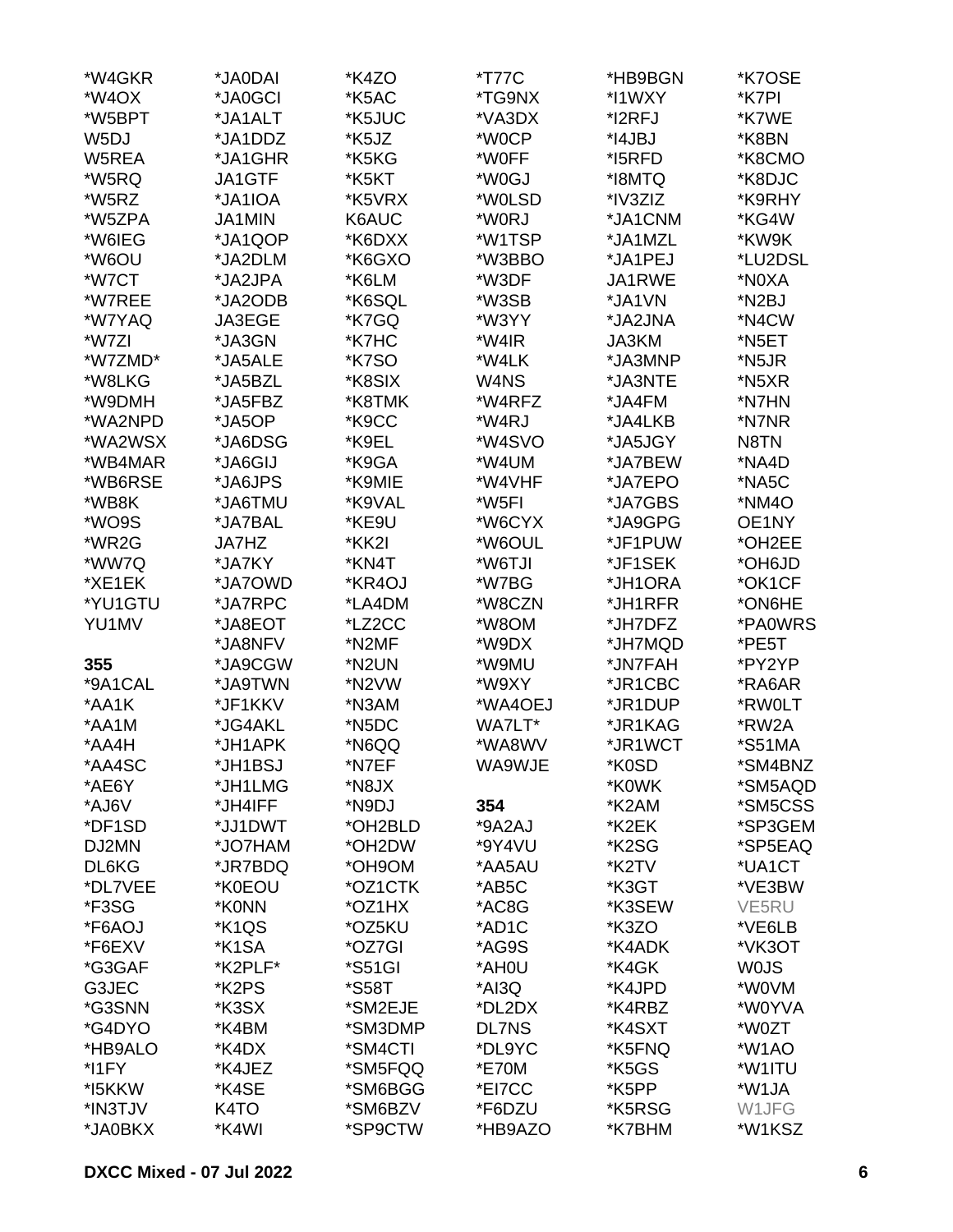| *W4GKR            | *JA0DAI            | *K4ZO   | *T77C        | *HB9BGN | *K7OSE      |
|-------------------|--------------------|---------|--------------|---------|-------------|
| *W4OX             | *JA0GCI            | *K5AC   | *TG9NX       | *I1WXY  | *K7PI       |
| *W5BPT            | *JA1ALT            | *K5JUC  | *VA3DX       | *I2RFJ  | *K7WE       |
| W <sub>5</sub> DJ | *JA1DDZ            | *K5JZ   | *W0CP        | *I4JBJ  | *K8BN       |
| W5REA             | *JA1GHR            | *K5KG   | *W0FF        | *I5RFD  | *K8CMO      |
| *W5RQ             | JA1GTF             | *K5KT   | *W0GJ        | *I8MTQ  | *K8DJC      |
| *W5RZ             | *JA1IOA            | *K5VRX  | *W0LSD       | *IV3ZIZ | *K9RHY      |
| *W5ZPA            | JA1MIN             | K6AUC   | *W0RJ        | *JA1CNM | *KG4W       |
| *W6IEG            | *JA1QOP            | *K6DXX  | *W1TSP       | *JA1MZL | *KW9K       |
|                   |                    |         |              |         | *LU2DSL     |
| *W6OU             | *JA2DLM            | *K6GXO  | *W3BBO       | *JA1PEJ |             |
| *W7CT             | *JA2JPA            | *K6LM   | *W3DF        | JA1RWE  | *N0XA       |
| *W7REE            | *JA2ODB            | *K6SQL  | *W3SB        | *JA1VN  | *N2BJ       |
| *W7YAQ            | JA3EGE             | *K7GQ   | *W3YY        | *JA2JNA | *N4CW       |
| *W7ZI             | *JA3GN             | *K7HC   | *W4IR        | JA3KM   | *N5ET       |
| *W7ZMD*           | *JA5ALE            | *K7SO   | *W4LK        | *JA3MNP | *N5JR       |
| *W8LKG            | *JA5BZL            | *K8SIX  | W4NS         | *JA3NTE | *N5XR       |
| *W9DMH            | *JA5FBZ            | *K8TMK  | *W4RFZ       | *JA4FM  | *N7HN       |
| *WA2NPD           | *JA5OP             | *K9CC   | *W4RJ        | *JA4LKB | *N7NR       |
| *WA2WSX           | *JA6DSG            | *K9EL   | *W4SVO       | *JA5JGY | N8TN        |
| *WB4MAR           | *JA6GIJ            | *K9GA   | *W4UM        | *JA7BEW | *NA4D       |
| *WB6RSE           | *JA6JPS            | *K9MIE  | *W4VHF       | *JA7EPO | *NA5C       |
| *WB8K             | *JA6TMU            | *K9VAL  | *W5FI        | *JA7GBS | *NM4O       |
| *WO9S             | *JA7BAL            | *KE9U   | *W6CYX       | *JA9GPG | OE1NY       |
| *WR2G             | JA7HZ              | *KK2I   | *W6OUL       | *JF1PUW | *OH2EE      |
| *WW7Q             | *JA7KY             | *KN4T   | *W6TJI       | *JF1SEK | *OH6JD      |
| *XE1EK            | *JA7OWD            | *KR4OJ  | *W7BG        | *JH1ORA | *OK1CF      |
| *YU1GTU           | *JA7RPC            | *LA4DM  | *W8CZN       | *JH1RFR | *ON6HE      |
|                   |                    |         |              |         |             |
| YU1MV             | *JA8EOT            | *LZ2CC  | *W8OM        | *JH7DFZ | *PA0WRS     |
|                   | *JA8NFV            | *N2MF   | *W9DX        | *JH7MQD | *PE5T       |
| 355               | *JA9CGW            | *N2UN   | *W9MU        | *JN7FAH | *PY2YP      |
| *9A1CAL           | *JA9TWN            | *N2VW   | *W9XY        | *JR1CBC | *RA6AR      |
| *AA1K             | *JF1KKV            | *N3AM   | *WA4OEJ      | *JR1DUP | *RW0LT      |
| *AA1M             | *JG4AKL            | *N5DC   | WA7LT*       | *JR1KAG | *RW2A       |
| *AA4H             | *JH1APK            | *N6QQ   | *WA8WV       | *JR1WCT | *S51MA      |
| *AA4SC            | *JH1BSJ            | *N7EF   | WA9WJE       | *K0SD   | *SM4BNZ     |
| *AE6Y             | *JH1LMG            | *N8JX   |              | *K0WK   | *SM5AQD     |
| *AJ6V             | *JH4IFF            | *N9DJ   | 354          | *K2AM   | *SM5CSS     |
| *DF1SD            | *JJ1DWT            | *OH2BLD | *9A2AJ       | *K2EK   | *SP3GEM     |
| DJ2MN             | *JO7HAM            | *OH2DW  | *9Y4VU       | *K2SG   | *SP5EAQ     |
| DL6KG             | *JR7BDQ            | *OH9OM  | *AA5AU       | *K2TV   | *UA1CT      |
| *DL7VEE           | *K0EOU             | *OZ1CTK | *AB5C        | *K3GT   | *VE3BW      |
| *F3SG             | *K0NN              | *OZ1HX  | *AC8G        | *K3SEW  | VE5RU       |
| *F6AOJ            | *K1QS              | *OZ5KU  | *AD1C        | *K3ZO   | *VE6LB      |
| *F6EXV            | *K <sub>1</sub> SA | *OZ7GI  | *AG9S        | *K4ADK  | *VK3OT      |
| *G3GAF            | *K2PLF*            | *S51GI  | *AH0U        | *K4GK   | <b>WOJS</b> |
| G3JEC             | *K2PS              | *S58T   | *AI3Q        | *K4JPD  | *W0VM       |
| *G3SNN            | *K3SX              | *SM2EJE | *DL2DX       | *K4RBZ  | *W0YVA      |
| *G4DYO            | *K4BM              | *SM3DMP | <b>DL7NS</b> | *K4SXT  | *W0ZT       |
|                   |                    |         |              |         |             |
| *HB9ALO           | *K4DX              | *SM4CTI | *DL9YC       | *K5FNQ  | *W1AO       |
| *I1FY             | *K4JEZ             | *SM5FQQ | *E70M        | *K5GS   | *W1ITU      |
| *I5KKW            | *K4SE              | *SM6BGG | *EI7CC       | *K5PP   | *W1JA       |
| *IN3TJV           | K <sub>4</sub> TO  | *SM6BZV | *F6DZU       | *K5RSG  | W1JFG       |
| *JA0BKX           | *K4WI              | *SP9CTW | *HB9AZO      | *K7BHM  | *W1KSZ      |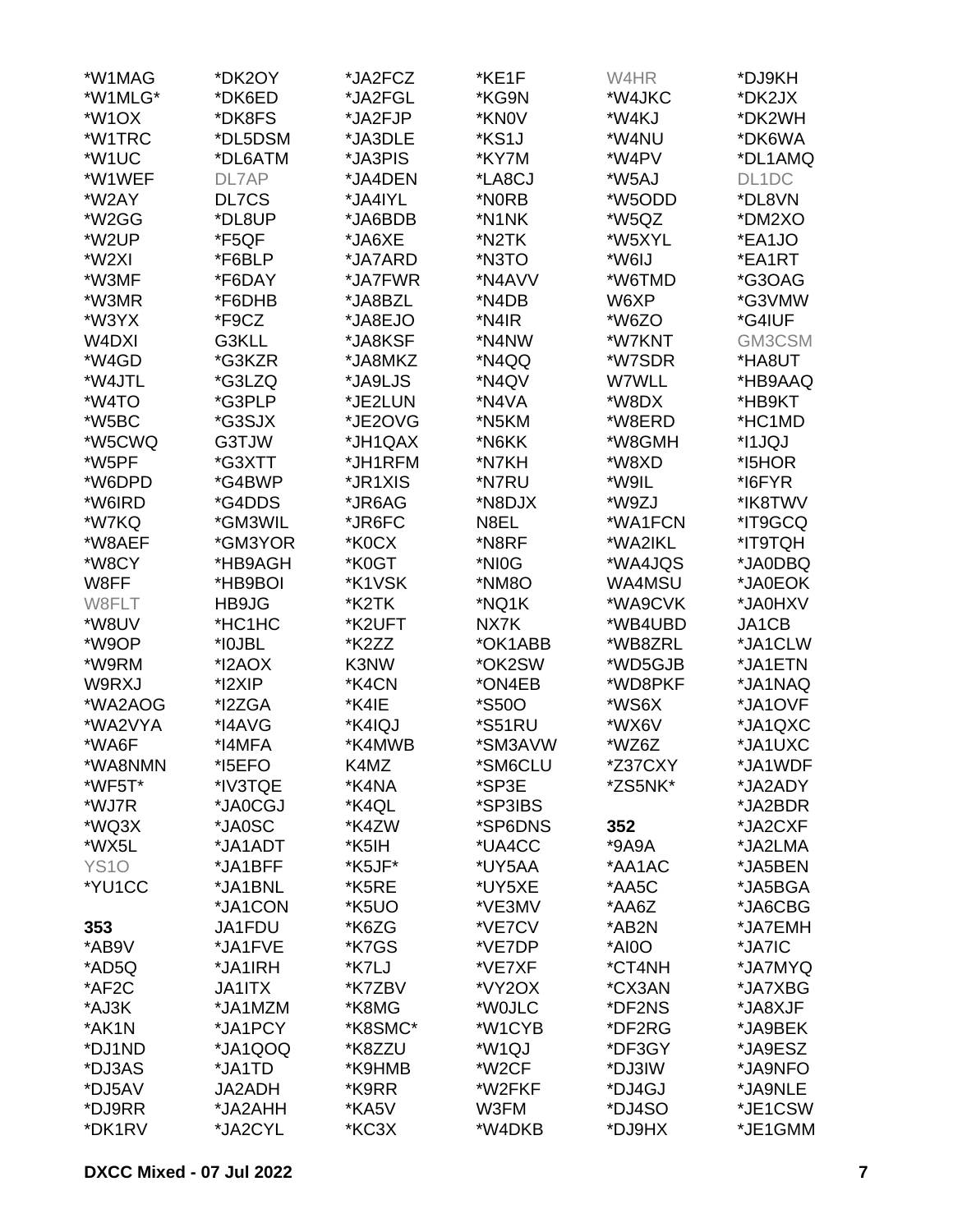| *W1MAG             | *DK2OY        | *JA2FCZ | *KE1F               | W4HR    | *DJ9KH  |
|--------------------|---------------|---------|---------------------|---------|---------|
| *W1MLG*            | *DK6ED        | *JA2FGL | *KG9N               | *W4JKC  | *DK2JX  |
| *W <sub>1</sub> OX | *DK8FS        | *JA2FJP | *KN0V               | *W4KJ   | *DK2WH  |
| *W1TRC             | *DL5DSM       | *JA3DLE | *KS1J               | *W4NU   | *DK6WA  |
| *W1UC              | *DL6ATM       | *JA3PIS | *KY7M               | *W4PV   | *DL1AMQ |
| *W1WEF             | DL7AP         | *JA4DEN | *LA8CJ              | *W5AJ   | DL1DC   |
| *W2AY              | DL7CS         | *JA4IYL | *N0RB               | *W5ODD  | *DL8VN  |
| *W2GG              | *DL8UP        | *JA6BDB | *N1NK               | *W5QZ   | *DM2XO  |
| *W2UP              | *F5QF         | *JA6XE  | *N2TK               | *W5XYL  | *EA1JO  |
| *W2XI              | *F6BLP        | *JA7ARD | *N3TO               | *W6IJ   | *EA1RT  |
|                    |               |         |                     |         |         |
| *W3MF              | *F6DAY        | *JA7FWR | *N4AVV              | *W6TMD  | *G3OAG  |
| *W3MR              | *F6DHB        | *JA8BZL | *N4DB               | W6XP    | *G3VMW  |
| *W3YX              | *F9CZ         | *JA8EJO | *N4IR               | *W6ZO   | *G4IUF  |
| W4DXI              | G3KLL         | *JA8KSF | *N4NW               | *W7KNT  | GM3CSM  |
| *W4GD              | *G3KZR        | *JA8MKZ | *N4QQ               | *W7SDR  | *HA8UT  |
| *W4JTL             | *G3LZQ        | *JA9LJS | *N4QV               | W7WLL   | *HB9AAQ |
| *W4TO              | *G3PLP        | *JE2LUN | *N4VA               | *W8DX   | *HB9KT  |
| *W5BC              | *G3SJX        | *JE2OVG | *N5KM               | *W8ERD  | *HC1MD  |
| *W5CWQ             | G3TJW         | *JH1QAX | *N6KK               | *W8GMH  | *I1JQJ  |
| *W5PF              | *G3XTT        | *JH1RFM | *N7KH               | *W8XD   | *I5HOR  |
| *W6DPD             | *G4BWP        | *JR1XIS | *N7RU               | *W9IL   | *I6FYR  |
| *W6IRD             | *G4DDS        | *JR6AG  | *N8DJX              | *W9ZJ   | *IK8TWV |
| *W7KQ              | *GM3WIL       | *JR6FC  | N8EL                | *WA1FCN | *IT9GCQ |
| *W8AEF             | *GM3YOR       | *K0CX   | *N8RF               | *WA2IKL | *IT9TQH |
| *W8CY              | *HB9AGH       | *K0GT   | *NI0G               | *WA4JQS | *JA0DBQ |
| W8FF               | *HB9BOI       | *K1VSK  | *NM8O               | WA4MSU  | *JA0EOK |
| W8FLT              | HB9JG         | *K2TK   | *NQ1K               | *WA9CVK | *JA0HXV |
| *W8UV              | *HC1HC        | *K2UFT  | NX7K                | *WB4UBD | JA1CB   |
| *W9OP              | *I0JBL        | *K2ZZ   | *OK1ABB             | *WB8ZRL | *JA1CLW |
| *W9RM              | *I2AOX        | K3NW    | *OK2SW              | *WD5GJB | *JA1ETN |
| W9RXJ              | *I2XIP        | *K4CN   | *ON4EB              | *WD8PKF | *JA1NAQ |
| *WA2AOG            | *I2ZGA        | *K4IE   | <i><b>*S50O</b></i> | *WS6X   | *JA1OVF |
| *WA2VYA            | *I4AVG        | *K4IQJ  | *S51RU              | *WX6V   | *JA1QXC |
| *WA6F              |               |         |                     |         | *JA1UXC |
|                    | *I4MFA        | *K4MWB  | *SM3AVW             | *WZ6Z   |         |
| *WA8NMN            | *I5EFO        | K4MZ    | *SM6CLU             | *Z37CXY | *JA1WDF |
| *WF5T*             | *IV3TQE       | *K4NA   | *SP3E               | *ZS5NK* | *JA2ADY |
| *WJ7R              | *JA0CGJ       | *K4QL   | *SP3IBS             |         | *JA2BDR |
| *WQ3X              | *JA0SC        | *K4ZW   | *SP6DNS             | 352     | *JA2CXF |
| *WX5L              | *JA1ADT       | *K5IH   | *UA4CC              | *9A9A   | *JA2LMA |
| <b>YS10</b>        | *JA1BFF       | *K5JF*  | *UY5AA              | *AA1AC  | *JA5BEN |
| *YU1CC             | *JA1BNL       | *K5RE   | *UY5XE              | *AA5C   | *JA5BGA |
|                    | *JA1CON       | *K5UO   | *VE3MV              | *AA6Z   | *JA6CBG |
| 353                | JA1FDU        | *K6ZG   | *VE7CV              | *AB2N   | *JA7EMH |
| *AB9V              | *JA1FVE       | *K7GS   | *VE7DP              | *AI0O   | *JA7IC  |
| *AD5Q              | *JA1IRH       | *K7LJ   | *VE7XF              | *CT4NH  | *JA7MYQ |
| *AF2C              | <b>JA1ITX</b> | *K7ZBV  | *VY2OX              | *CX3AN  | *JA7XBG |
| *AJ3K              | *JA1MZM       | *K8MG   | *WOJLC              | *DF2NS  | *JA8XJF |
| *AK1N              | *JA1PCY       | *K8SMC* | *W1CYB              | *DF2RG  | *JA9BEK |
| *DJ1ND             | *JA1QOQ       | *K8ZZU  | *W1QJ               | *DF3GY  | *JA9ESZ |
| *DJ3AS             | *JA1TD        | *K9HMB  | *W2CF               | *DJ3IW  | *JA9NFO |
| *DJ5AV             | JA2ADH        | *K9RR   | *W2FKF              | *DJ4GJ  | *JA9NLE |
| *DJ9RR             | *JA2AHH       | *KA5V   | W3FM                | *DJ4SO  | *JE1CSW |
| *DK1RV             | *JA2CYL       | *KC3X   | *W4DKB              | *DJ9HX  | *JE1GMM |
|                    |               |         |                     |         |         |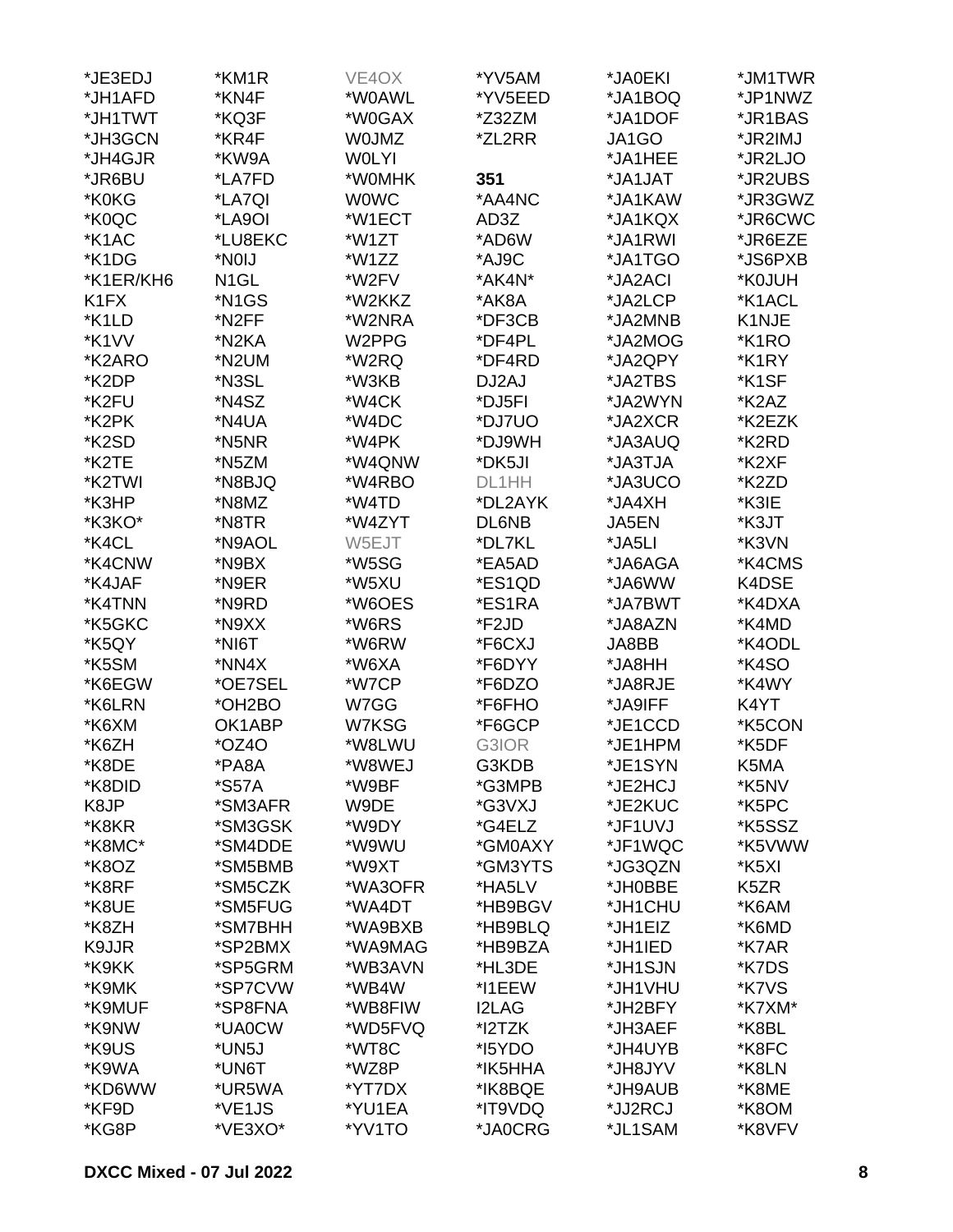| *JE3EDJ                       | *KM1R               | VE4OX        | *YV5AM       | *JA0EKI | *JM1TWR           |
|-------------------------------|---------------------|--------------|--------------|---------|-------------------|
| *JH1AFD                       | *KN4F               | *W0AWL       | *YV5EED      | *JA1BOQ | *JP1NWZ           |
| *JH1TWT                       | *KQ3F               | *W0GAX       | *Z32ZM       | *JA1DOF | *JR1BAS           |
| *JH3GCN                       | *KR4F               | <b>WOJMZ</b> | *ZL2RR       | JA1GO   | *JR2IMJ           |
| *JH4GJR                       | *KW9A               | <b>WOLYI</b> |              | *JA1HEE | *JR2LJO           |
| *JR6BU                        | *LA7FD              | *W0MHK       | 351          | *JA1JAT | *JR2UBS           |
| *K0KG                         | *LA7QI              | <b>WOWC</b>  | *AA4NC       | *JA1KAW | *JR3GWZ           |
| *K0QC                         | *LA9OI              | *W1ECT       | AD3Z         | *JA1KQX | *JR6CWC           |
| *K1AC                         | *LU8EKC             | *W1ZT        | *AD6W        | *JA1RWI | *JR6EZE           |
| *K1DG                         | *NOIJ               | *W1ZZ        | *AJ9C        | *JA1TGO | *JS6PXB           |
| *K1ER/KH6                     | N <sub>1</sub> GL   | *W2FV        | *AK4N*       | *JA2ACI | *K0JUH            |
| K <sub>1</sub> F <sub>X</sub> | *N1GS               | *W2KKZ       | *AK8A        | *JA2LCP | *K1ACL            |
| *K1LD                         | *N <sub>2</sub> FF  | *W2NRA       | *DF3CB       | *JA2MNB | K1NJE             |
| *K1VV                         | *N2KA               | W2PPG        | *DF4PL       | *JA2MOG | *K1RO             |
| *K2ARO                        | *N2UM               | *W2RQ        | *DF4RD       | *JA2QPY | *K1RY             |
| *K2DP                         | *N3SL               | *W3KB        | DJ2AJ        | *JA2TBS | *K1SF             |
| *K2FU                         | *N4SZ               | *W4CK        | *DJ5FI       | *JA2WYN | *K2AZ             |
| *K2PK                         | *N4UA               | *W4DC        | *DJ7UO       | *JA2XCR | *K2EZK            |
| *K <sub>2</sub> SD            | *N5NR               | *W4PK        | *DJ9WH       | *JA3AUQ | *K2RD             |
| *K2TE                         | *N5ZM               | *W4QNW       | *DK5JI       | *JA3TJA | *K2XF             |
| *K2TWI                        | *N8BJQ              | *W4RBO       | DL1HH        | *JA3UCO | *K2ZD             |
| *K3HP                         | *N8MZ               | *W4TD        | *DL2AYK      | *JA4XH  | *K3IE             |
| *K3KO*                        | *N8TR               | *W4ZYT       | DL6NB        | JA5EN   | *K3JT             |
| *K4CL                         | *N9AOL              | W5EJT        | *DL7KL       | *JA5LI  | *K3VN             |
| *K4CNW                        | *N9BX               | *W5SG        | *EA5AD       | *JA6AGA | *K4CMS            |
| *K4JAF                        | *N9ER               | *W5XU        | *ES1QD       | *JA6WW  | K4DSE             |
| *K4TNN                        | *N9RD               | *W6OES       | *ES1RA       | *JA7BWT | *K4DXA            |
| *K5GKC                        | *N9XX               | *W6RS        | *F2JD        | *JA8AZN | *K4MD             |
| *K5QY                         | *NI6T               | *W6RW        | *F6CXJ       | JA8BB   | *K4ODL            |
| *K5SM                         | *NN4X               | *W6XA        | *F6DYY       | *JA8HH  | *K4SO             |
| *K6EGW                        | *OE7SEL             | *W7CP        | *F6DZO       | *JA8RJE | *K4WY             |
| *K6LRN                        | *OH2BO              | W7GG         | *F6FHO       | *JA9IFF | K4YT              |
| *K6XM                         | OK1ABP              | W7KSG        | *F6GCP       | *JE1CCD | *K5CON            |
| *K6ZH                         | *OZ4O               | *W8LWU       | G3IOR        | *JE1HPM | *K5DF             |
| *K8DE                         | *PA8A               | *W8WEJ       | G3KDB        | *JE1SYN | K5MA              |
| *K8DID                        | <i><b>*S57A</b></i> | *W9BF        | *G3MPB       | *JE2HCJ | *K5NV             |
| K8JP                          | *SM3AFR             | W9DE         | *G3VXJ       | *JE2KUC | *K5PC             |
| *K8KR                         | *SM3GSK             | *W9DY        | *G4ELZ       | *JF1UVJ | *K5SSZ            |
| *K8MC*                        | *SM4DDE             | *W9WU        | *GM0AXY      | *JF1WQC | *K5VWW            |
| *K8OZ                         | *SM5BMB             | *W9XT        | *GM3YTS      | *JG3QZN | *K5XI             |
| *K8RF                         | *SM5CZK             | *WA3OFR      | *HA5LV       | *JH0BBE | K <sub>5</sub> ZR |
| *K8UE                         | *SM5FUG             | *WA4DT       | *HB9BGV      | *JH1CHU | *K6AM             |
| *K8ZH                         | *SM7BHH             | *WA9BXB      | *HB9BLQ      | *JH1EIZ | *K6MD             |
| K9JJR                         | *SP2BMX             | *WA9MAG      | *HB9BZA      | *JH1IED | *K7AR             |
| *K9KK                         | *SP5GRM             | *WB3AVN      | *HL3DE       | *JH1SJN | *K7DS             |
| *K9MK                         | *SP7CVW             | *WB4W        | *I1EEW       | *JH1VHU | *K7VS             |
| *K9MUF                        | *SP8FNA             | *WB8FIW      | <b>I2LAG</b> | *JH2BFY | *K7XM*            |
| *K9NW                         | *UA0CW              | *WD5FVQ      | *I2TZK       | *JH3AEF | *K8BL             |
| *K9US                         | *UN5J               | *WT8C        | *I5YDO       | *JH4UYB | *K8FC             |
| *K9WA                         | *UN6T               | *WZ8P        | *IK5HHA      | *JH8JYV | *K8LN             |
| *KD6WW                        | *UR5WA              | *YT7DX       | *IK8BQE      | *JH9AUB | *K8ME             |
| *KF9D                         | *VE1JS              | *YU1EA       | *IT9VDQ      | *JJ2RCJ | *K8OM             |
| *KG8P                         | *VE3XO*             | *YV1TO       | *JA0CRG      | *JL1SAM | *K8VFV            |
|                               |                     |              |              |         |                   |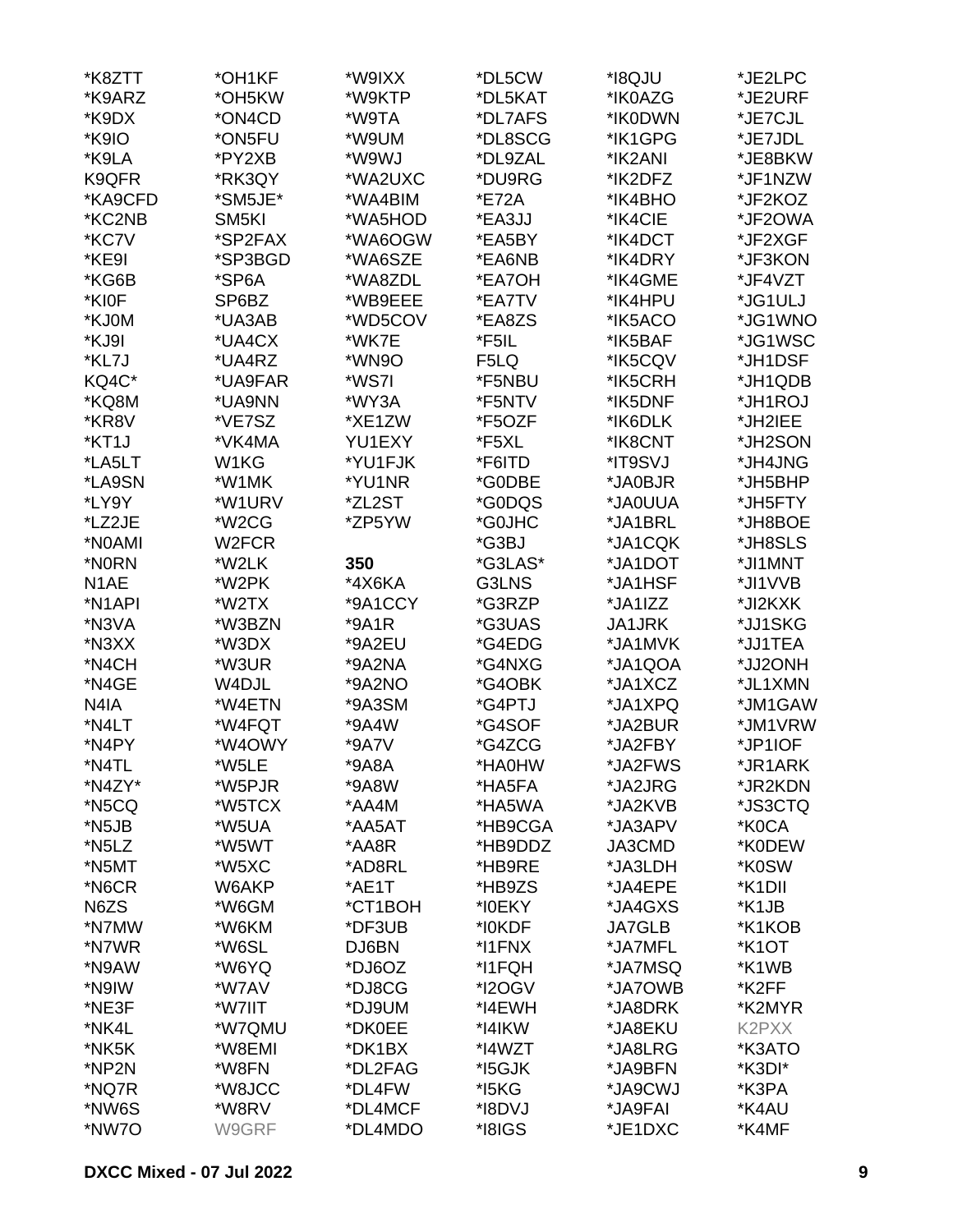| *K8ZTT              | *OH1KF            | *W9IXX  | *DL5CW  | *I8QJU        | *JE2LPC             |
|---------------------|-------------------|---------|---------|---------------|---------------------|
| *K9ARZ              | *OH5KW            | *W9KTP  | *DL5KAT | *IK0AZG       | *JE2URF             |
| *K9DX               | *ON4CD            | *W9TA   | *DL7AFS | *IK0DWN       | *JE7CJL             |
| *K9IO               | *ON5FU            | *W9UM   | *DL8SCG | *IK1GPG       | *JE7JDL             |
| *K9LA               | *PY2XB            | *W9WJ   | *DL9ZAL | *IK2ANI       | *JE8BKW             |
| K9QFR               | *RK3QY            | *WA2UXC | *DU9RG  | *IK2DFZ       | *JF1NZW             |
| *KA9CFD             | *SM5JE*           | *WA4BIM | *E72A   | *IK4BHO       | *JF2KOZ             |
| *KC2NB              | SM <sub>5KI</sub> | *WA5HOD | *EA3JJ  | *IK4CIE       | *JF2OWA             |
| *KC7V               | *SP2FAX           | *WA6OGW | *EA5BY  | *IK4DCT       | *JF2XGF             |
| *KE9I               | *SP3BGD           | *WA6SZE | *EA6NB  | *IK4DRY       | *JF3KON             |
| *KG6B               | *SP6A             | *WA8ZDL | *EA7OH  | *IK4GME       | *JF4VZT             |
|                     |                   |         |         |               |                     |
| *KI0F               | SP6BZ             | *WB9EEE | *EA7TV  | *IK4HPU       | *JG1ULJ             |
| *KJ0M               | *UA3AB            | *WD5COV | *EA8ZS  | *IK5ACO       | *JG1WNO             |
| *KJ9I               | *UA4CX            | *WK7E   | *F5IL   | *IK5BAF       | *JG1WSC             |
| *KL7J               | *UA4RZ            | *WN9O   | F5LQ    | *IK5CQV       | *JH1DSF             |
| KQ4C*               | *UA9FAR           | *WS7I   | *F5NBU  | *IK5CRH       | *JH1QDB             |
| *KQ8M               | *UA9NN            | *WY3A   | *F5NTV  | *IK5DNF       | *JH1ROJ             |
| *KR8V               | *VE7SZ            | *XE1ZW  | *F5OZF  | *IK6DLK       | *JH2IEE             |
| *KT1J               | *VK4MA            | YU1EXY  | *F5XL   | *IK8CNT       | *JH2SON             |
| *LA5LT              | W1KG              | *YU1FJK | *F6ITD  | *IT9SVJ       | *JH4JNG             |
| *LA9SN              | *W1MK             | *YU1NR  | *G0DBE  | *JA0BJR       | *JH5BHP             |
| *LY9Y               | *W1URV            | *ZL2ST  | *G0DQS  | *JA0UUA       | *JH5FTY             |
| *LZ2JE              | *W2CG             | *ZP5YW  | *G0JHC  | *JA1BRL       | *JH8BOE             |
| *N0AMI              | W2FCR             |         | *G3BJ   | *JA1CQK       | *JH8SLS             |
| *N0RN               | *W2LK             | 350     | *G3LAS* | *JA1DOT       | *JI1MNT             |
| N <sub>1</sub> AE   | *W2PK             | *4X6KA  | G3LNS   | *JA1HSF       | *JI1VVB             |
| *N <sub>1</sub> API | *W2TX             | *9A1CCY | *G3RZP  | *JA1IZZ       | *JI2KXK             |
| *N3VA               | *W3BZN            | *9A1R   | *G3UAS  | JA1JRK        | *JJ1SKG             |
| *N3XX               | *W3DX             | *9A2EU  | *G4EDG  | *JA1MVK       | *JJ1TEA             |
| *N4CH               | *W3UR             | *9A2NA  | *G4NXG  | *JA1QOA       | *JJ2ONH             |
| *N4GE               | W4DJL             | *9A2NO  | *G4OBK  | *JA1XCZ       | *JL1XMN             |
| N4IA                | *W4ETN            | *9A3SM  | *G4PTJ  | *JA1XPQ       | *JM1GAW             |
| *N4LT               | *W4FQT            | *9A4W   | *G4SOF  | *JA2BUR       | *JM1VRW             |
| *N4PY               | *W4OWY            | *9A7V   | *G4ZCG  | *JA2FBY       | *JP1IOF             |
|                     | *W5LE             |         |         |               |                     |
| *N4TL               |                   | *9A8A   | *HA0HW  | *JA2FWS       | *JR1ARK             |
| *N4ZY*              | *W5PJR            | *9A8W   | *HA5FA  | *JA2JRG       | *JR2KDN             |
| *N5CQ               | *W5TCX            | *AA4M   | *HA5WA  | *JA2KVB       | *JS3CTQ             |
| *N <sub>5</sub> JB  | *W5UA             | *AA5AT  | *HB9CGA | *JA3APV       | *K0CA               |
| *N5LZ               | *W5WT             | *AA8R   | *HB9DDZ | JA3CMD        | *K0DEW              |
| *N5MT               | *W5XC             | *AD8RL  | *HB9RE  | *JA3LDH       | *K0SW               |
| *N6CR               | W6AKP             | *AE1T   | *HB9ZS  | *JA4EPE       | *K <sub>1</sub> DII |
| N6ZS                | *W6GM             | *CT1BOH | *I0EKY  | *JA4GXS       | *K1JB               |
| *N7MW               | *W6KM             | *DF3UB  | *I0KDF  | <b>JA7GLB</b> | *K1KOB              |
| *N7WR               | *W6SL             | DJ6BN   | *I1FNX  | *JA7MFL       | *K <sub>1</sub> OT  |
| *N9AW               | *W6YQ             | *DJ6OZ  | *I1FQH  | *JA7MSQ       | *K1WB               |
| *N9IW               | *W7AV             | *DJ8CG  | *I2OGV  | *JA7OWB       | *K2FF               |
| *NE3F               | *W7IIT            | *DJ9UM  | *I4EWH  | *JA8DRK       | *K2MYR              |
| *NK4L               | *W7QMU            | *DK0EE  | *I4IKW  | *JA8EKU       | K2PXX               |
| *NK5K               | *W8EMI            | *DK1BX  | *I4WZT  | *JA8LRG       | *K3ATO              |
| *NP2N               | *W8FN             | *DL2FAG | *15GJK  | *JA9BFN       | *K3DI*              |
| *NQ7R               | *W8JCC            | *DL4FW  | *I5KG   | *JA9CWJ       | *K3PA               |
| *NW6S               | *W8RV             | *DL4MCF | *I8DVJ  | *JA9FAI       | *K4AU               |
| *NW7O               | W9GRF             | *DL4MDO | *I8IGS  | *JE1DXC       | *K4MF               |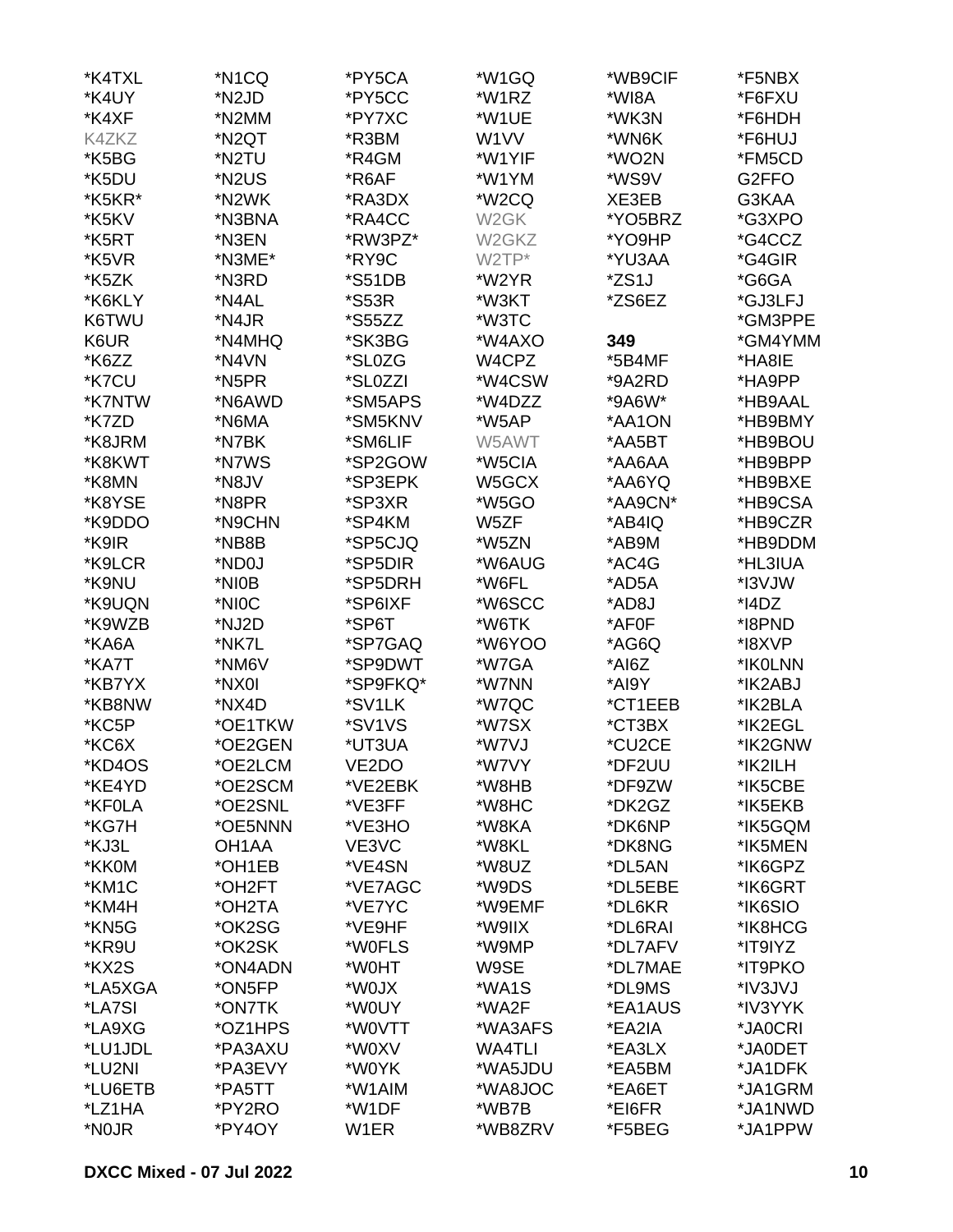| *K4TXL  | *N1CQ                          | *PY5CA               | *W1GQ             | *WB9CIF | *F5NBX  |
|---------|--------------------------------|----------------------|-------------------|---------|---------|
| *K4UY   | *N <sub>2</sub> J <sub>D</sub> | *PY5CC               | *W1RZ             | *WI8A   | *F6FXU  |
| *K4XF   | *N2MM                          | *PY7XC               | *W1UE             | *WK3N   | *F6HDH  |
| K4ZKZ   | *N2QT                          | *R3BM                | W <sub>1</sub> VV | *WN6K   | *F6HUJ  |
| *K5BG   | *N2TU                          | *R4GM                | *W1YIF            | *WO2N   | *FM5CD  |
| *K5DU   | *N2US                          | *R6AF                | *W1YM             | *WS9V   | G2FFO   |
| *K5KR*  | *N2WK                          | *RA3DX               | *W2CQ             | XE3EB   | G3KAA   |
| *K5KV   | *N3BNA                         | *RA4CC               | W <sub>2</sub> GK | *YO5BRZ | *G3XPO  |
| *K5RT   | *N3EN                          | *RW3PZ*              | W2GKZ             | *YO9HP  | *G4CCZ  |
|         |                                | *RY9C                |                   |         |         |
| *K5VR   | *N3ME*                         |                      | W2TP*             | *YU3AA  | *G4GIR  |
| *K5ZK   | *N3RD                          | <i><b>*S51DB</b></i> | *W2YR             | *ZS1J   | *G6GA   |
| *K6KLY  | *N4AL                          | <i><b>*S53R</b></i>  | *W3KT             | *ZS6EZ  | *GJ3LFJ |
| K6TWU   | *N4JR                          | <i><b>*S55ZZ</b></i> | *W3TC             |         | *GM3PPE |
| K6UR    | *N4MHQ                         | *SK3BG               | *W4AXO            | 349     | *GM4YMM |
| *K6ZZ   | *N4VN                          | *SL0ZG               | W4CPZ             | *5B4MF  | *HA8IE  |
| *K7CU   | *N5PR                          | *SL0ZZI              | *W4CSW            | *9A2RD  | *HA9PP  |
| *K7NTW  | *N6AWD                         | *SM5APS              | *W4DZZ            | *9A6W*  | *HB9AAL |
| *K7ZD   | *N6MA                          | *SM5KNV              | *W5AP             | *AA1ON  | *HB9BMY |
| *K8JRM  | *N7BK                          | *SM6LIF              | W5AWT             | *AA5BT  | *HB9BOU |
| *K8KWT  | *N7WS                          | *SP2GOW              | *W5CIA            | *AA6AA  | *HB9BPP |
| *K8MN   | *N8JV                          | *SP3EPK              | W5GCX             | *AA6YQ  | *HB9BXE |
| *K8YSE  | *N8PR                          | *SP3XR               | *W5GO             | *AA9CN* | *HB9CSA |
| *K9DDO  | *N9CHN                         | *SP4KM               | W5ZF              | *AB4IQ  | *HB9CZR |
| *K9IR   | *NB8B                          | *SP5CJQ              | *W5ZN             | *AB9M   | *HB9DDM |
| *K9LCR  | *ND0J                          | *SP5DIR              | *W6AUG            | *AC4G   | *HL3IUA |
| *K9NU   | *NI0B                          | *SP5DRH              | *W6FL             | *AD5A   | *I3VJW  |
| *K9UQN  | *NIOC                          | *SP6IXF              | *W6SCC            | *AD8J   | *I4DZ   |
| *K9WZB  | *NJ2D                          | *SP6T                | *W6TK             | *AF0F   | *I8PND  |
| *KA6A   | *NK7L                          | *SP7GAQ              | *W6YOO            | *AG6Q   | *I8XVP  |
|         |                                |                      |                   | *AI6Z   |         |
| *KA7T   | *NM6V                          | *SP9DWT              | *W7GA             |         | *IK0LNN |
| *KB7YX  | *NX0I                          | *SP9FKQ*             | *W7NN             | *AI9Y   | *IK2ABJ |
| *KB8NW  | *NX4D                          | *SV1LK               | *W7QC             | *CT1EEB | *IK2BLA |
| *KC5P   | *OE1TKW                        | *SV1VS               | *W7SX             | *CT3BX  | *IK2EGL |
| *KC6X   | *OE2GEN                        | *UT3UA               | *W7VJ             | *CU2CE  | *IK2GNW |
| *KD4OS  | *OE2LCM                        | VE2DO                | *W7VY             | *DF2UU  | *IK2ILH |
| *KE4YD  | *OE2SCM                        | *VE2EBK              | *W8HB             | *DF9ZW  | *IK5CBE |
| *KF0LA  | *OE2SNL                        | *VE3FF               | *W8HC             | *DK2GZ  | *IK5EKB |
| *KG7H   | *OE5NNN                        | *VE3HO               | *W8KA             | *DK6NP  | *IK5GQM |
| *KJ3L   | OH <sub>1</sub> AA             | VE3VC                | *W8KL             | *DK8NG  | *IK5MEN |
| *KK0M   | *OH1EB                         | *VE4SN               | *W8UZ             | *DL5AN  | *IK6GPZ |
| *KM1C   | *OH2FT                         | *VE7AGC              | *W9DS             | *DL5EBE | *IK6GRT |
| *KM4H   | *OH2TA                         | *VE7YC               | *W9EMF            | *DL6KR  | *IK6SIO |
| *KN5G   | *OK2SG                         | *VE9HF               | *W9IIX            | *DL6RAI | *IK8HCG |
| *KR9U   | *OK2SK                         | *W0FLS               | *W9MP             | *DL7AFV | *IT9IYZ |
| *KX2S   | *ON4ADN                        | *W0HT                | W9SE              | *DL7MAE | *IT9PKO |
| *LA5XGA | *ON5FP                         | *W0JX                | *WA1S             | *DL9MS  | *IV3JVJ |
| *LA7SI  | *ON7TK                         | *W0UY                | *WA2F             | *EA1AUS | *IV3YYK |
| *LA9XG  | *OZ1HPS                        | *W0VTT               | *WA3AFS           | *EA2IA  | *JA0CRI |
| *LU1JDL | *PA3AXU                        | *W0XV                | <b>WA4TLI</b>     | *EA3LX  | *JA0DET |
| *LU2NI  | *PA3EVY                        | *W0YK                | *WA5JDU           | *EA5BM  | *JA1DFK |
|         |                                | *W1AIM               |                   |         |         |
| *LU6ETB | *PA5TT                         |                      | *WA8JOC           | *EA6ET  | *JA1GRM |
| *LZ1HA  | *PY2RO                         | *W1DF                | *WB7B             | *EI6FR  | *JA1NWD |
| *N0JR   | *PY4OY                         | W <sub>1</sub> ER    | *WB8ZRV           | *F5BEG  | *JA1PPW |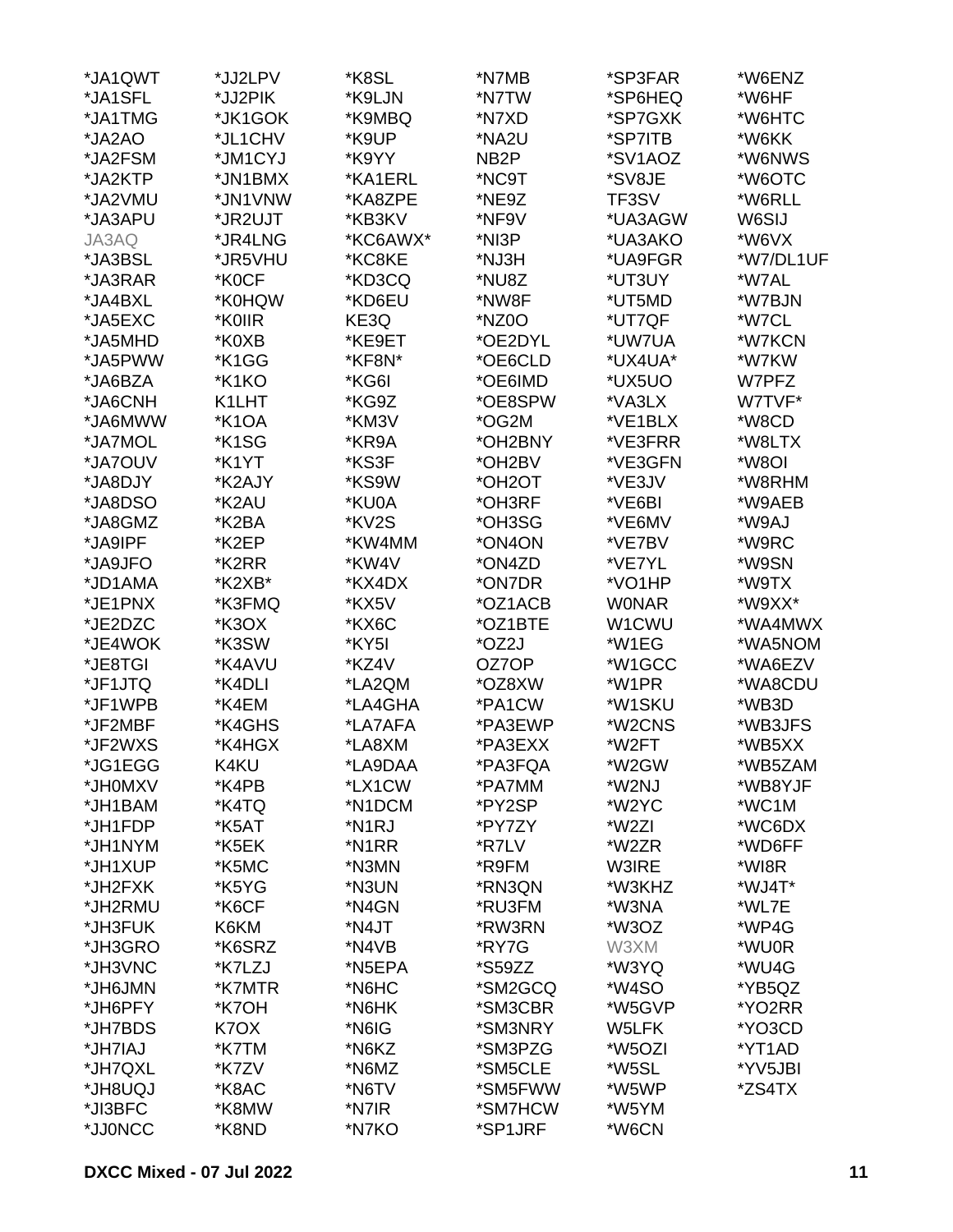| *JA1QWT | *JJ2LPV | *K8SL              | *N7MB                | *SP3FAR      | *W6ENZ    |
|---------|---------|--------------------|----------------------|--------------|-----------|
| *JA1SFL | *JJ2PIK | *K9LJN             | *N7TW                | *SP6HEQ      | *W6HF     |
| *JA1TMG | *JK1GOK | *K9MBQ             | *N7XD                | *SP7GXK      | *W6HTC    |
| *JA2AO  | *JL1CHV | *K9UP              | *NA2U                | *SP7ITB      | *W6KK     |
| *JA2FSM | *JM1CYJ | *K9YY              | NB <sub>2</sub> P    | *SV1AOZ      | *W6NWS    |
| *JA2KTP | *JN1BMX | *KA1ERL            | *NC9T                | *SV8JE       | *W6OTC    |
| *JA2VMU | *JN1VNW | *KA8ZPE            | *NE9Z                | TF3SV        | *W6RLL    |
| *JA3APU | *JR2UJT | *KB3KV             | *NF9V                | *UA3AGW      | W6SIJ     |
| JA3AQ   | *JR4LNG | *KC6AWX*           | *NI3P                | *UA3AKO      | *W6VX     |
| *JA3BSL | *JR5VHU | *KC8KE             | *NJ3H                | *UA9FGR      | *W7/DL1UF |
| *JA3RAR | *K0CF   | *KD3CQ             | *NU8Z                | *UT3UY       | *W7AL     |
| *JA4BXL | *K0HQW  | *KD6EU             | *NW8F                | *UT5MD       | *W7BJN    |
|         |         |                    |                      |              |           |
| *JA5EXC | *K0IIR  | KE3Q               | *NZ0O                | *UT7QF       | *W7CL     |
| *JA5MHD | *K0XB   | *KE9ET             | *OE2DYL              | *UW7UA       | *W7KCN    |
| *JA5PWW | *K1GG   | *KF8N*             | *OE6CLD              | *UX4UA*      | *W7KW     |
| *JA6BZA | *K1KO   | *KG6I              | *OE6IMD              | *UX5UO       | W7PFZ     |
| *JA6CNH | K1LHT   | *KG9Z              | *OE8SPW              | *VA3LX       | W7TVF*    |
| *JA6MWW | *K1OA   | *KM3V              | *OG2M                | *VE1BLX      | *W8CD     |
| *JA7MOL | *K1SG   | *KR9A              | *OH2BNY              | *VE3FRR      | *W8LTX    |
| *JA7OUV | *K1YT   | *KS3F              | *OH2BV               | *VE3GFN      | *W8OI     |
| *JA8DJY | *K2AJY  | *KS9W              | *OH <sub>2</sub> OT  | *VE3JV       | *W8RHM    |
| *JA8DSO | *K2AU   | *KU0A              | *OH3RF               | *VE6BI       | *W9AEB    |
| *JA8GMZ | *K2BA   | *KV2S              | *OH3SG               | *VE6MV       | *W9AJ     |
| *JA9IPF | *K2EP   | *KW4MM             | *ON4ON               | *VE7BV       | *W9RC     |
| *JA9JFO | *K2RR   | *KW4V              | *ON4ZD               | *VE7YL       | *W9SN     |
| *JD1AMA | *K2XB*  | *KX4DX             | *ON7DR               | *VO1HP       | *W9TX     |
| *JE1PNX | *K3FMQ  | *KX5V              | *OZ1ACB              | <b>WONAR</b> | *W9XX*    |
| *JE2DZC | *K3OX   | *KX6C              | *OZ1BTE              | W1CWU        | *WA4MWX   |
| *JE4WOK | *K3SW   | *KY5I              | *OZ2J                | *W1EG        | *WA5NOM   |
| *JE8TGI | *K4AVU  | *KZ4V              | OZ7OP                | *W1GCC       | *WA6EZV   |
| *JF1JTQ | *K4DLI  | *LA2QM             | *OZ8XW               | *W1PR        | *WA8CDU   |
| *JF1WPB | *K4EM   | *LA4GHA            | *PA1CW               | *W1SKU       | *WB3D     |
| *JF2MBF | *K4GHS  | *LA7AFA            | *PA3EWP              | *W2CNS       | *WB3JFS   |
| *JF2WXS | *K4HGX  | *LA8XM             | *PA3EXX              | *W2FT        | *WB5XX    |
| *JG1EGG | K4KU    | *LA9DAA            | *PA3FQA              | *W2GW        | *WB5ZAM   |
| *JH0MXV | *K4PB   | *LX1CW             | *PA7MM               | *W2NJ        | *WB8YJF   |
| *JH1BAM | *K4TQ   | *N1DCM             | *PY2SP               | *W2YC        | *WC1M     |
| *JH1FDP | *K5AT   | *N <sub>1</sub> RJ | *PY7ZY               | *W2ZI        | *WC6DX    |
| *JH1NYM | *K5EK   | *N <sub>1</sub> RR | *R7LV                | *W2ZR        | *WD6FF    |
| *JH1XUP | *K5MC   | *N3MN              | *R9FM                | W3IRE        | *WI8R     |
| *JH2FXK | *K5YG   | *N3UN              | *RN3QN               | *W3KHZ       | *WJ4T*    |
| *JH2RMU | *K6CF   | *N4GN              | *RU3FM               | *W3NA        | *WL7E     |
| *JH3FUK | K6KM    | *N4JT              | *RW3RN               | *W3OZ        | *WP4G     |
| *JH3GRO | *K6SRZ  | *N4VB              | *RY7G                | W3XM         | *WU0R     |
| *JH3VNC | *K7LZJ  | *N5EPA             | <i><b>*S59ZZ</b></i> | *W3YQ        | *WU4G     |
|         | *K7MTR  | *N6HC              | *SM2GCQ              | *W4SO        | *YB5QZ    |
| *JH6JMN |         |                    |                      |              |           |
| *JH6PFY | *K7OH   | *N6HK              | *SM3CBR              | *W5GVP       | *YO2RR    |
| *JH7BDS | K7OX    | *N6IG              | *SM3NRY              | W5LFK        | *YO3CD    |
| *JH7IAJ | *K7TM   | *N6KZ              | *SM3PZG              | *W5OZI       | *YT1AD    |
| *JH7QXL | *K7ZV   | *N6MZ              | *SM5CLE              | *W5SL        | *YV5JBI   |
| *JH8UQJ | *K8AC   | *N6TV              | *SM5FWW              | *W5WP        | *ZS4TX    |
| *JI3BFC | *K8MW   | *N7IR              | *SM7HCW              | *W5YM        |           |
| *JJ0NCC | *K8ND   | *N7KO              | *SP1JRF              | *W6CN        |           |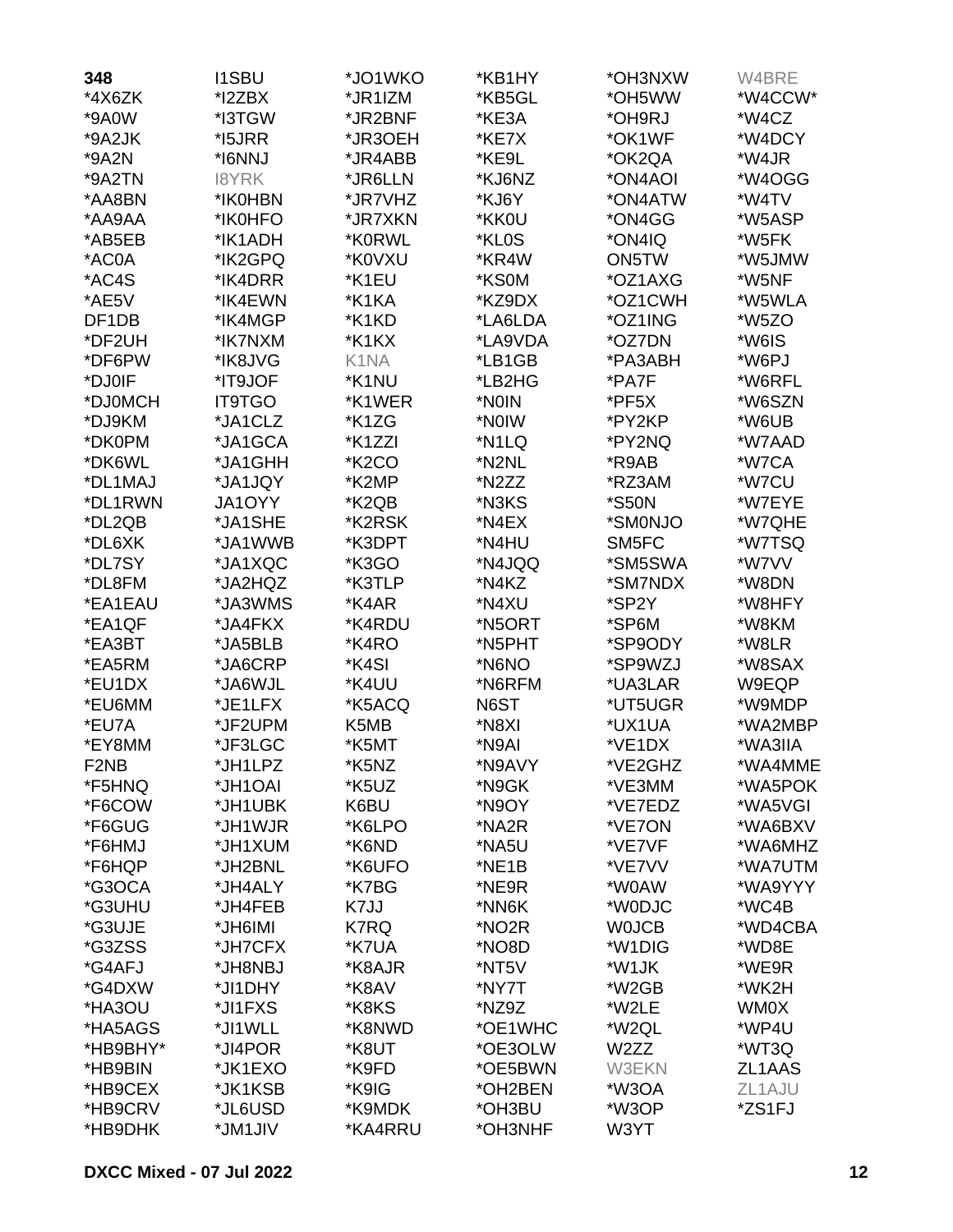| 348               | <b>I1SBU</b>  | *JO1WKO            | *KB1HY  | *OH3NXW           | W4BRE   |
|-------------------|---------------|--------------------|---------|-------------------|---------|
| *4X6ZK            | *I2ZBX        | *JR1IZM            | *KB5GL  | *OH5WW            | *W4CCW* |
| *9A0W             | *I3TGW        | *JR2BNF            | *KE3A   | *OH9RJ            | *W4CZ   |
| *9A2JK            | *15JRR        | *JR3OEH            | *KE7X   | *OK1WF            | *W4DCY  |
| *9A2N             | *I6NNJ        | *JR4ABB            | *KE9L   | *OK2QA            | *W4JR   |
| *9A2TN            | <b>I8YRK</b>  | *JR6LLN            | *KJ6NZ  | *ON4AOI           | *W4OGG  |
| *AA8BN            | *IK0HBN       | *JR7VHZ            | *KJ6Y   | *ON4ATW           | *W4TV   |
| *AA9AA            | *IK0HFO       | *JR7XKN            | *KK0U   | *ON4GG            | *W5ASP  |
| *AB5EB            | *IK1ADH       | *K0RWL             | *KL0S   | *ON4IQ            | *W5FK   |
| *AC0A             | *IK2GPQ       | *K0VXU             | *KR4W   | ON5TW             | *W5JMW  |
| *AC4S             | *IK4DRR       | *K1EU              | *KS0M   | *OZ1AXG           | *W5NF   |
| *AE5V             | *IK4EWN       | *K1KA              | *KZ9DX  | *OZ1CWH           | *W5WLA  |
| DF1DB             | *IK4MGP       | *K1KD              | *LA6LDA | *OZ1ING           | *W5ZO   |
| *DF2UH            | *IK7NXM       | *K1KX              | *LA9VDA | *OZ7DN            | *W6IS   |
| *DF6PW            | *IK8JVG       | K1NA               | *LB1GB  | *PA3ABH           | *W6PJ   |
| *DJ0IF            | *IT9JOF       | *K1NU              | *LB2HG  | *PA7F             | *W6RFL  |
| *DJ0MCH           | <b>IT9TGO</b> | *K1WER             | *NOIN   | *PF5X             | *W6SZN  |
| *DJ9KM            | *JA1CLZ       | *K1ZG              | *NOIW   | *PY2KP            | *W6UB   |
| *DK0PM            | *JA1GCA       | *K1ZZI             | *N1LQ   | *PY2NQ            | *W7AAD  |
| *DK6WL            | *JA1GHH       | *K <sub>2</sub> CO | *N2NL   | *R9AB             | *W7CA   |
| *DL1MAJ           | *JA1JQY       | *K2MP              | *N2ZZ   | *RZ3AM            | *W7CU   |
| *DL1RWN           | JA1OYY        | *K2QB              | *N3KS   | *S50N             | *W7EYE  |
| *DL2QB            | *JA1SHE       | *K2RSK             | *N4EX   | *SM0NJO           | *W7QHE  |
| *DL6XK            | *JA1WWB       | *K3DPT             | *N4HU   | SM5FC             | *W7TSQ  |
| *DL7SY            | *JA1XQC       | *K3GO              | *N4JQQ  | *SM5SWA           | *W7VV   |
| *DL8FM            | *JA2HQZ       | *K3TLP             | *N4KZ   | *SM7NDX           | *W8DN   |
| *EA1EAU           | *JA3WMS       | *K4AR              | *N4XU   | *SP2Y             | *W8HFY  |
| *EA1QF            | *JA4FKX       | *K4RDU             | *N5ORT  | *SP6M             | *W8KM   |
| *EA3BT            | *JA5BLB       | *K4RO              | *N5PHT  | *SP9ODY           | *W8LR   |
| *EA5RM            | *JA6CRP       | *K4SI              | *N6NO   | *SP9WZJ           | *W8SAX  |
| *EU1DX            | *JA6WJL       | *K4UU              | *N6RFM  | *UA3LAR           | W9EQP   |
| *EU6MM            | *JE1LFX       | *K5ACQ             | N6ST    | *UT5UGR           | *W9MDP  |
| *EU7A             | *JF2UPM       | K5MB               | *N8XI   | *UX1UA            | *WA2MBP |
| *EY8MM            | *JF3LGC       | *K5MT              | *N9AI   | *VE1DX            | *WA3IIA |
| F <sub>2</sub> NB | *JH1LPZ       | *K5NZ              | *N9AVY  | *VE2GHZ           | *WA4MME |
| *F5HNQ            | *JH1OAI       | *K5UZ              | *N9GK   | *VE3MM            | *WA5POK |
| *F6COW            | *JH1UBK       | K6BU               | *N9OY   | *VE7EDZ           | *WA5VGI |
| *F6GUG            | *JH1WJR       | *K6LPO             | *NA2R   | *VE7ON            | *WA6BXV |
| *F6HMJ            | *JH1XUM       | *K6ND              | *NA5U   | *VE7VF            | *WA6MHZ |
| *F6HQP            | *JH2BNL       | *K6UFO             | *NE1B   | *VE7VV            | *WA7UTM |
| *G3OCA            | *JH4ALY       | *K7BG              | *NE9R   | *W0AW             | *WA9YYY |
| *G3UHU            | *JH4FEB       | K7JJ               | *NN6K   | *W0DJC            | *WC4B   |
| *G3UJE            | *JH6IMI       | K7RQ               | *NO2R   | <b>WOJCB</b>      | *WD4CBA |
| *G3ZSS            | *JH7CFX       | *K7UA              | *NO8D   | *W1DIG            | *WD8E   |
| *G4AFJ            | *JH8NBJ       | *K8AJR             | *NT5V   | *W1JK             | *WE9R   |
| *G4DXW            | *JI1DHY       | *K8AV              | *NY7T   | *W2GB             | *WK2H   |
| *HA3OU            | *JI1FXS       | *K8KS              | *NZ9Z   | *W2LE             | WM0X    |
| *HA5AGS           | *JI1WLL       | *K8NWD             | *OE1WHC | *W2QL             | *WP4U   |
| *HB9BHY*          | *JI4POR       | *K8UT              | *OE3OLW | W <sub>2</sub> ZZ | *WT3Q   |
| *HB9BIN           | *JK1EXO       | *K9FD              | *OE5BWN | <b>W3EKN</b>      | ZL1AAS  |
| *HB9CEX           | *JK1KSB       | *K9IG              | *OH2BEN | *W3OA             | ZL1AJU  |
| *HB9CRV           | *JL6USD       | *K9MDK             | *OH3BU  | *W3OP             | *ZS1FJ  |
| *HB9DHK           | *JM1JIV       | *KA4RRU            | *OH3NHF | W3YT              |         |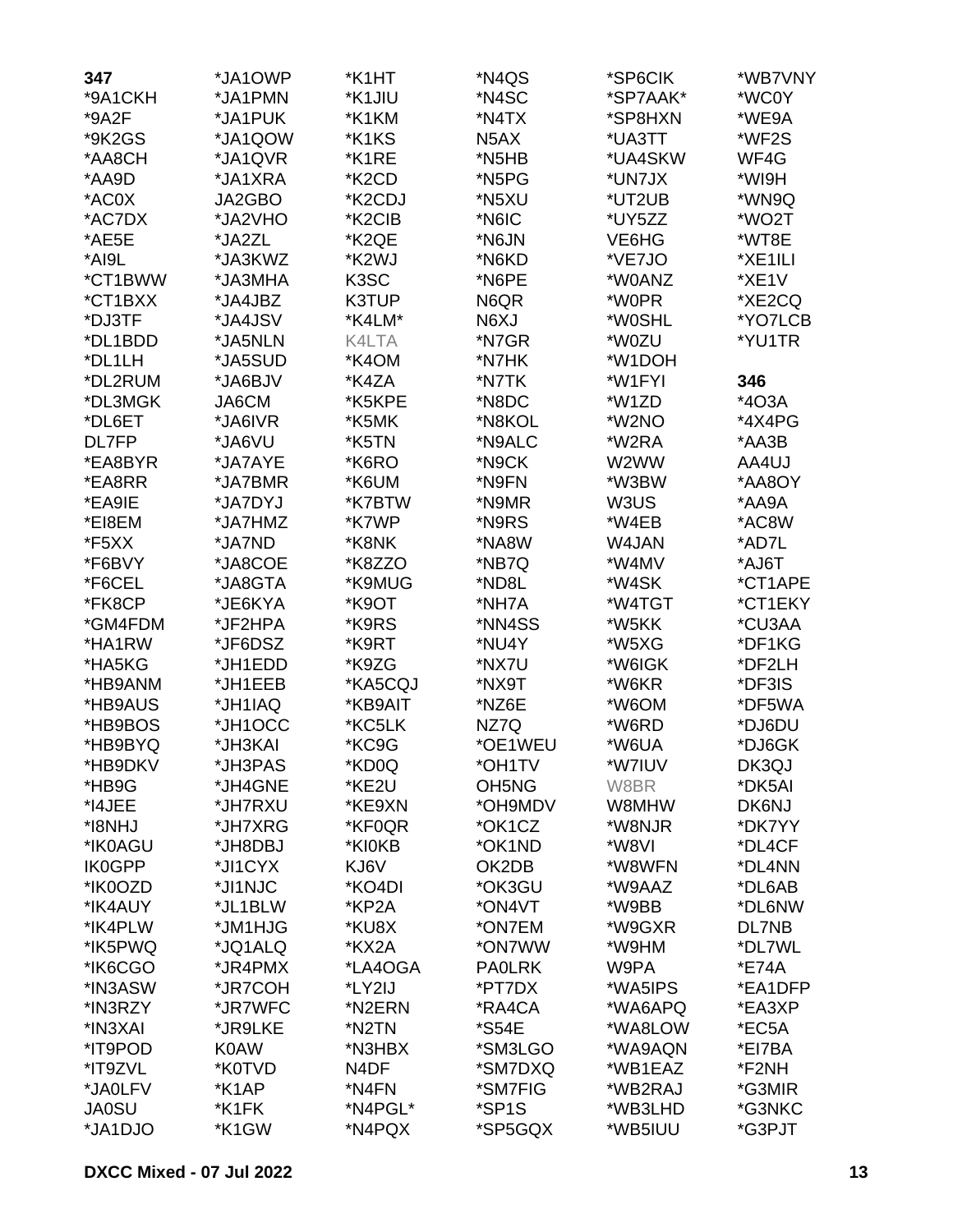| 347           | *JA1OWP      | *K1HT             | *N4QS                          | *SP6CIK  | *WB7VNY |
|---------------|--------------|-------------------|--------------------------------|----------|---------|
| *9A1CKH       | *JA1PMN      | *K1JIU            | *N4SC                          | *SP7AAK* | *WC0Y   |
| *9A2F         | *JA1PUK      | *K1KM             | *N4TX                          | *SP8HXN  | *WE9A   |
| *9K2GS        | *JA1QOW      | *K1KS             | N <sub>5</sub> AX              | *UA3TT   | *WF2S   |
| *AA8CH        | *JA1QVR      | *K1RE             | *N5HB                          | *UA4SKW  | WF4G    |
| *AA9D         | *JA1XRA      | *K2CD             | *N5PG                          | *UN7JX   | *WI9H   |
| *AC0X         | JA2GBO       | *K2CDJ            | *N5XU                          | *UT2UB   | *WN9Q   |
| *AC7DX        | *JA2VHO      | *K2CIB            | *N6IC                          | *UY5ZZ   | *WO2T   |
| *AE5E         | *JA2ZL       | *K2QE             | *N6JN                          | VE6HG    | *WT8E   |
| *AI9L         | *JA3KWZ      | *K2WJ             | *N6KD                          | *VE7JO   | *XE1ILI |
| *CT1BWW       | *JA3MHA      | K <sub>3</sub> SC | *N6PE                          | *W0ANZ   | *XE1V   |
| *CT1BXX       | *JA4JBZ      | K3TUP             | N6QR                           | *W0PR    | *XE2CQ  |
| *DJ3TF        | *JA4JSV      | *K4LM*            | N6XJ                           | *W0SHL   | *YO7LCB |
| *DL1BDD       | *JA5NLN      | K4LTA             | *N7GR                          | *W0ZU    | *YU1TR  |
| *DL1LH        | *JA5SUD      | *K4OM             | *N7HK                          | *W1DOH   |         |
| *DL2RUM       | *JA6BJV      | *K4ZA             | *N7TK                          | *W1FYI   | 346     |
| *DL3MGK       | <b>JA6CM</b> | *K5KPE            | *N8DC                          | *W1ZD    | *403A   |
| *DL6ET        | *JA6IVR      | *K5MK             | *N8KOL                         | *W2NO    | *4X4PG  |
| DL7FP         | *JA6VU       | *K5TN             | *N9ALC                         | *W2RA    | *AA3B   |
| *EA8BYR       | *JA7AYE      | *K6RO             | *N9CK                          | W2WW     | AA4UJ   |
| *EA8RR        | *JA7BMR      | *K6UM             | *N9FN                          | *W3BW    | *AA8OY  |
| *EA9IE        | *JA7DYJ      | *K7BTW            | *N9MR                          | W3US     | *AA9A   |
| *EI8EM        | *JA7HMZ      | *K7WP             | *N9RS                          | *W4EB    | *AC8W   |
| *F5XX         | *JA7ND       | *K8NK             | *NA8W                          | W4JAN    | *AD7L   |
| *F6BVY        | *JA8COE      | *K8ZZO            | *NB7Q                          | *W4MV    | *AJ6T   |
| *F6CEL        | *JA8GTA      | *K9MUG            | *ND8L                          | *W4SK    | *CT1APE |
| *FK8CP        | *JE6KYA      | *K9OT             | *NH7A                          | *W4TGT   | *CT1EKY |
| *GM4FDM       | *JF2HPA      | *K9RS             | *NN4SS                         | *W5KK    | *CU3AA  |
| *HA1RW        | *JF6DSZ      | *K9RT             | *NU4Y                          | *W5XG    | *DF1KG  |
| *HA5KG        | *JH1EDD      | *K9ZG             | *NX7U                          | *W6IGK   | *DF2LH  |
| *HB9ANM       | *JH1EEB      | *KA5CQJ           | *NX9T                          | *W6KR    | *DF3IS  |
| *HB9AUS       | *JH1IAQ      | *KB9AIT           | *NZ6E                          | *W6OM    | *DF5WA  |
| *HB9BOS       | *JH1OCC      | *KC5LK            | NZ7Q                           | *W6RD    | *DJ6DU  |
| *HB9BYQ       | *JH3KAI      | *KC9G             | *OE1WEU                        | *W6UA    | *DJ6GK  |
| *HB9DKV       | *JH3PAS      | *KD0Q             | *OH1TV                         | *W7IUV   | DK3QJ   |
| *HB9G         | *JH4GNE      | *KE2U             | OH <sub>5</sub> N <sub>G</sub> | W8BR     | *DK5AI  |
| *I4JEE        | *JH7RXU      | *KE9XN            | *OH9MDV                        | W8MHW    | DK6NJ   |
| *I8NHJ        | *JH7XRG      | *KF0QR            | *OK1CZ                         | *W8NJR   | *DK7YY  |
| *IK0AGU       | *JH8DBJ      | *KI0KB            | *OK1ND                         | *W8VI    | *DL4CF  |
| <b>IK0GPP</b> | *JI1CYX      | KJ6V              | OK2DB                          | *W8WFN   | *DL4NN  |
| *IK0OZD       | *JI1NJC      | *KO4DI            | *OK3GU                         | *W9AAZ   | *DL6AB  |
| *IK4AUY       | *JL1BLW      | *KP2A             | *ON4VT                         | *W9BB    | *DL6NW  |
| *IK4PLW       | *JM1HJG      | *KU8X             | *ON7EM                         | *W9GXR   | DL7NB   |
| *IK5PWQ       | *JQ1ALQ      | *KX2A             | *ON7WW                         | *W9HM    | *DL7WL  |
| *IK6CGO       | *JR4PMX      | *LA4OGA           | <b>PAOLRK</b>                  | W9PA     | *E74A   |
| *IN3ASW       | *JR7COH      | *LY2IJ            | *PT7DX                         | *WA5IPS  | *EA1DFP |
| *IN3RZY       | *JR7WFC      | *N2ERN            | *RA4CA                         | *WA6APQ  | *EA3XP  |
| *IN3XAI       | *JR9LKE      | *N2TN             | <i><b>*S54E</b></i>            | *WA8LOW  | *EC5A   |
| *IT9POD       | <b>K0AW</b>  | *N3HBX            | *SM3LGO                        | *WA9AQN  | *EI7BA  |
| *IT9ZVL       | *K0TVD       | N <sub>4</sub> DF | *SM7DXQ                        | *WB1EAZ  | *F2NH   |
| *JA0LFV       | *K1AP        | *N4FN             | *SM7FIG                        | *WB2RAJ  | *G3MIR  |
| <b>JA0SU</b>  | *K1FK        | *N4PGL*           | *SP1S                          | *WB3LHD  | *G3NKC  |
| *JA1DJO       | *K1GW        | *N4PQX            | *SP5GQX                        | *WB5IUU  | *G3PJT  |
|               |              |                   |                                |          |         |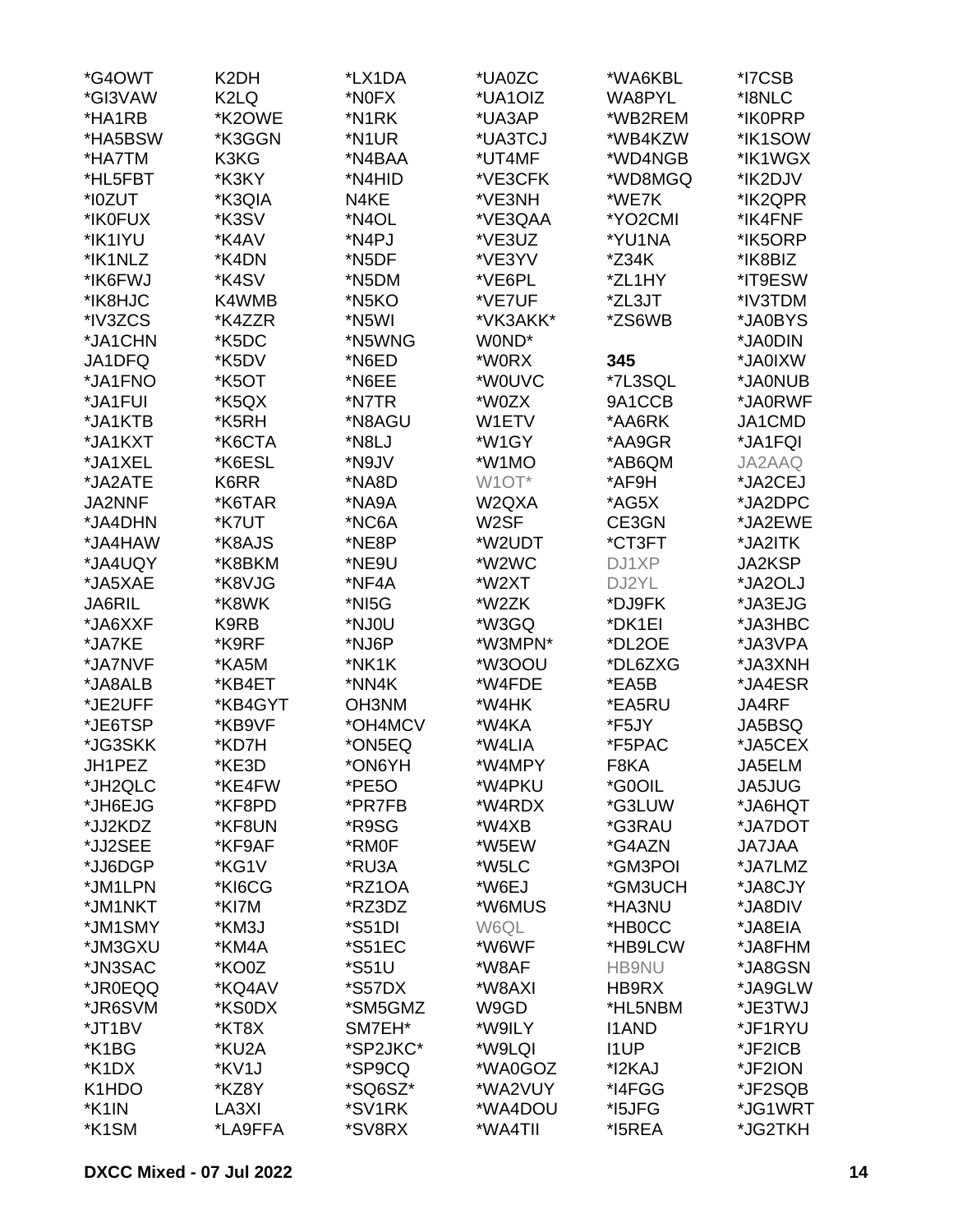| *G4OWT        | K <sub>2</sub> DH | *LX1DA              | *UA0ZC             | *WA6KBL      | *I7CSB        |
|---------------|-------------------|---------------------|--------------------|--------------|---------------|
| *GI3VAW       | K <sub>2</sub> LQ | *N0FX               | *UA1OIZ            | WA8PYL       | *I8NLC        |
| *HA1RB        | *K2OWE            | *N1RK               | *UA3AP             | *WB2REM      | *IK0PRP       |
| *HA5BSW       | *K3GGN            | *N1UR               | *UA3TCJ            | *WB4KZW      | *IK1SOW       |
| *HA7TM        | K3KG              | *N4BAA              | *UT4MF             | *WD4NGB      | *IK1WGX       |
| *HL5FBT       | *K3KY             | *N4HID              | *VE3CFK            | *WD8MGQ      | *IK2DJV       |
| *I0ZUT        | *K3QIA            | N4KE                | *VE3NH             | *WE7K        | *IK2QPR       |
|               |                   |                     |                    |              |               |
| *IK0FUX       | *K3SV             | *N4OL               | *VE3QAA            | *YO2CMI      | *IK4FNF       |
| *IK1IYU       | *K4AV             | *N4PJ               | *VE3UZ             | *YU1NA       | *IK5ORP       |
| *IK1NLZ       | *K4DN             | *N5DF               | *VE3YV             | *Z34K        | *IK8BIZ       |
| *IK6FWJ       | *K4SV             | *N5DM               | *VE6PL             | *ZL1HY       | *IT9ESW       |
| *IK8HJC       | K4WMB             | *N5KO               | *VE7UF             | *ZL3JT       | *IV3TDM       |
| *IV3ZCS       | *K4ZZR            | *N5WI               | *VK3AKK*           | *ZS6WB       | *JA0BYS       |
| *JA1CHN       | *K5DC             | *N5WNG              | W0ND*              |              | *JA0DIN       |
| JA1DFQ        | *K5DV             | *N6ED               | *W0RX              | 345          | *JA0IXW       |
| *JA1FNO       | *K5OT             | *N6EE               | *W0UVC             | *7L3SQL      | *JA0NUB       |
| *JA1FUI       | *K5QX             | *N7TR               | *W0ZX              | 9A1CCB       | *JA0RWF       |
| *JA1KTB       | *K5RH             | *N8AGU              | W1ETV              | *AA6RK       | JA1CMD        |
| *JA1KXT       | *K6CTA            | *N8LJ               | *W1GY              | *AA9GR       | *JA1FQI       |
| *JA1XEL       | *K6ESL            | *N9JV               | *W1MO              | *AB6QM       | JA2AAQ        |
| *JA2ATE       | K6RR              | *NA8D               | W <sub>1</sub> OT* | *AF9H        | *JA2CEJ       |
| <b>JA2NNF</b> | *K6TAR            | *NA9A               | W2QXA              | *AG5X        | *JA2DPC       |
| *JA4DHN       | *K7UT             | *NC6A               | W <sub>2</sub> SF  | CE3GN        | *JA2EWE       |
| *JA4HAW       | *K8AJS            | *NE8P               | *W2UDT             | *CT3FT       | *JA2ITK       |
| *JA4UQY       | *K8BKM            | *NE9U               | *W2WC              | DJ1XP        | JA2KSP        |
| *JA5XAE       | *K8VJG            | *NF4A               | *W2XT              | DJ2YL        | *JA2OLJ       |
| <b>JA6RIL</b> | *K8WK             | *NI5G               | *W2ZK              | *DJ9FK       | *JA3EJG       |
|               |                   |                     |                    | *DK1EI       |               |
| *JA6XXF       | K9RB              | *NJ0U               | *W3GQ              |              | *JA3HBC       |
| *JA7KE        | *K9RF             | *NJ6P               | *W3MPN*            | *DL2OE       | *JA3VPA       |
| *JA7NVF       | *KA5M             | *NK1K               | *W3OOU             | *DL6ZXG      | *JA3XNH       |
| *JA8ALB       | *KB4ET            | *NN4K               | *W4FDE             | *EA5B        | *JA4ESR       |
| *JE2UFF       | *KB4GYT           | OH3NM               | *W4HK              | *EA5RU       | JA4RF         |
| *JE6TSP       | *KB9VF            | *OH4MCV             | *W4KA              | *F5JY        | JA5BSQ        |
| *JG3SKK       | *KD7H             | *ON5EQ              | *W4LIA             | *F5PAC       | *JA5CEX       |
| JH1PEZ        | *KE3D             | *ON6YH              | *W4MPY             | F8KA         | JA5ELM        |
| *JH2QLC       | *KE4FW            | *PE5O               | *W4PKU             | *G0OIL       | <b>JA5JUG</b> |
| *JH6EJG       | *KF8PD            | *PR7FB              | *W4RDX             | *G3LUW       | *JA6HQT       |
| *JJ2KDZ       | *KF8UN            | *R9SG               | *W4XB              | *G3RAU       | *JA7DOT       |
| *JJ2SEE       | *KF9AF            | *RM0F               | *W5EW              | *G4AZN       | <b>AALTAL</b> |
| *JJ6DGP       | *KG1V             | *RU3A               | *W5LC              | *GM3POI      | *JA7LMZ       |
| *JM1LPN       | *KI6CG            | *RZ1OA              | *W6EJ              | *GM3UCH      | *JA8CJY       |
| *JM1NKT       | *KI7M             | *RZ3DZ              | *W6MUS             | *HA3NU       | *JA8DIV       |
| *JM1SMY       | *KM3J             | *S51DI              | W6QL               | *HB0CC       | *JA8EIA       |
| *JM3GXU       | *KM4A             | *S51EC              | *W6WF              | *HB9LCW      | *JA8FHM       |
| *JN3SAC       | *KO0Z             | <i><b>*S51U</b></i> | *W8AF              | <b>HB9NU</b> | *JA8GSN       |
| *JR0EQQ       | *KQ4AV            | *S57DX              | *W8AXI             | HB9RX        | *JA9GLW       |
| *JR6SVM       | *KS0DX            | *SM5GMZ             | W9GD               | *HL5NBM      | *JE3TWJ       |
| *JT1BV        | *KT8X             | SM7EH*              | *W9ILY             | <b>I1AND</b> | *JF1RYU       |
| *K1BG         |                   | *SP2JKC*            | *W9LQI             |              | *JF2ICB       |
|               | *KU2A             |                     |                    | <b>I1UP</b>  |               |
| *K1DX         | *KV1J             | *SP9CQ              | *WA0GOZ            | *I2KAJ       | *JF2ION       |
| K1HDO         | *KZ8Y             | *SQ6SZ*             | *WA2VUY            | *I4FGG       | *JF2SQB       |
| *K1IN         | LA3XI             | *SV1RK              | *WA4DOU            | *I5JFG       | *JG1WRT       |
| *K1SM         | *LA9FFA           | *SV8RX              | *WA4TII            | *I5REA       | *JG2TKH       |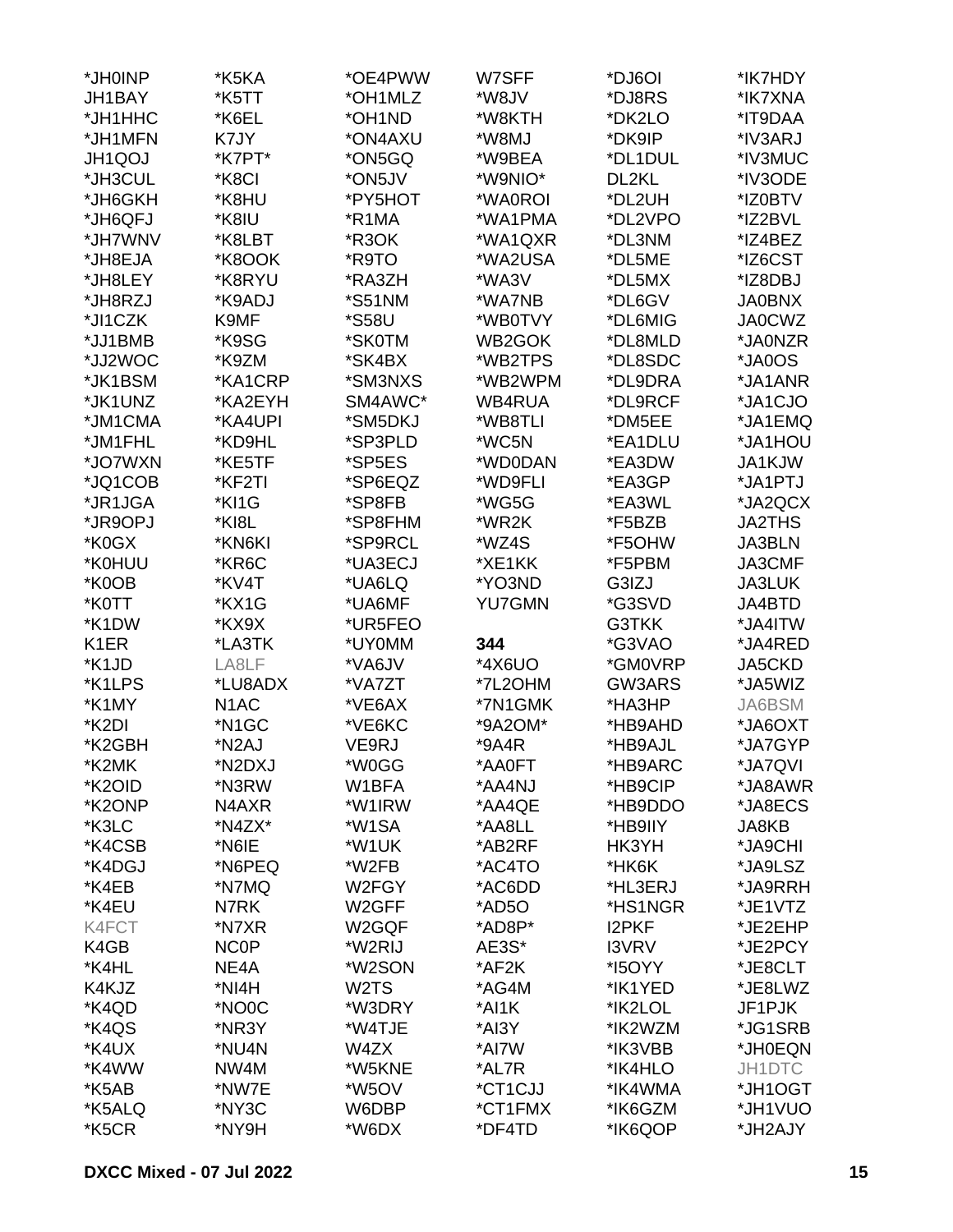| *JH0INP           | *K5KA              | *OE4PWW           | W7SFF         | *DJ6OI       | *IK7HDY       |
|-------------------|--------------------|-------------------|---------------|--------------|---------------|
| JH1BAY            | *K5TT              | *OH1MLZ           | *W8JV         | *DJ8RS       | *IK7XNA       |
| *JH1HHC           | *K6EL              | *OH1ND            | *W8KTH        | *DK2LO       | *IT9DAA       |
| *JH1MFN           | K7JY               | *ON4AXU           | *W8MJ         | *DK9IP       | *IV3ARJ       |
| <b>JH1QOJ</b>     | *K7PT*             | *ON5GQ            | *W9BEA        | *DL1DUL      | *IV3MUC       |
| *JH3CUL           | *K8CI              | *ON5JV            | *W9NIO*       | DL2KL        | *IV3ODE       |
| *JH6GKH           | *K8HU              | *PY5HOT           | *WA0ROI       | *DL2UH       | *IZ0BTV       |
|                   | *K8IU              | *R1MA             | *WA1PMA       | *DL2VPO      | *IZ2BVL       |
| *JH6QFJ           |                    |                   |               |              |               |
| *JH7WNV           | *K8LBT             | *R3OK             | *WA1QXR       | *DL3NM       | *IZ4BEZ       |
| *JH8EJA           | *K8OOK             | *R9TO             | *WA2USA       | *DL5ME       | *IZ6CST       |
| *JH8LEY           | *K8RYU             | *RA3ZH            | *WA3V         | *DL5MX       | *IZ8DBJ       |
| *JH8RZJ           | *K9ADJ             | *S51NM            | *WA7NB        | *DL6GV       | <b>JA0BNX</b> |
| *JI1CZK           | K9MF               | *S58U             | *WB0TVY       | *DL6MIG      | <b>JA0CWZ</b> |
| *JJ1BMB           | *K9SG              | *SK0TM            | WB2GOK        | *DL8MLD      | *JA0NZR       |
| *JJ2WOC           | *K9ZM              | *SK4BX            | *WB2TPS       | *DL8SDC      | *JA0OS        |
| *JK1BSM           | *KA1CRP            | *SM3NXS           | *WB2WPM       | *DL9DRA      | *JA1ANR       |
| *JK1UNZ           | *KA2EYH            | SM4AWC*           | WB4RUA        | *DL9RCF      | *JA1CJO       |
| *JM1CMA           | *KA4UPI            | *SM5DKJ           | *WB8TLI       | *DM5EE       | *JA1EMQ       |
| *JM1FHL           | *KD9HL             | *SP3PLD           | *WC5N         | *EA1DLU      | *JA1HOU       |
| *JO7WXN           | *KE5TF             | *SP5ES            | *WD0DAN       | *EA3DW       | JA1KJW        |
| *JQ1COB           | *KF2TI             | *SP6EQZ           | *WD9FLI       | *EA3GP       | *JA1PTJ       |
| *JR1JGA           | *KI1G              | *SP8FB            | *WG5G         | *EA3WL       | *JA2QCX       |
| *JR9OPJ           | *KI8L              | *SP8FHM           | *WR2K         | *F5BZB       | <b>JA2THS</b> |
| *K0GX             | *KN6KI             | *SP9RCL           | *WZ4S         | *F5OHW       | JA3BLN        |
| *K0HUU            | *KR6C              | *UA3ECJ           | *XE1KK        | *F5PBM       | <b>JA3CMF</b> |
| *K0OB             | *KV4T              | *UA6LQ            | *YO3ND        | G3IZJ        | <b>JA3LUK</b> |
| *K0TT             | *KX1G              | *UA6MF            | <b>YU7GMN</b> | *G3SVD       | JA4BTD        |
| *K1DW             | *KX9X              | *UR5FEO           |               | G3TKK        | *JA4ITW       |
|                   | *LA3TK             |                   |               |              |               |
| K <sub>1</sub> ER |                    | *UY0MM            | 344           | *G3VAO       | *JA4RED       |
| *K1JD             | LA8LF              | *VA6JV            | *4X6UO        | *GM0VRP      | JA5CKD        |
| *K1LPS            | *LU8ADX            | *VA7ZT            | *7L2OHM       | GW3ARS       | *JA5WIZ       |
| *K1MY             | N <sub>1</sub> AC  | *VE6AX            | *7N1GMK       | *HA3HP       | JA6BSM        |
| *K2DI             | *N1GC              | *VE6KC            | *9A2OM*       | *HB9AHD      | *JA6OXT       |
| *K2GBH            | *N <sub>2</sub> AJ | VE9RJ             | *9A4R         | *HB9AJL      | *JA7GYP       |
| *K2MK             | *N2DXJ             | *W0GG             | *AA0FT        | *HB9ARC      | *JA7QVI       |
| *K2OID            | *N3RW              | W1BFA             | *AA4NJ        | *HB9CIP      | *JA8AWR       |
| *K2ONP            | N4AXR              | *W1IRW            | *AA4QE        | *HB9DDO      | *JA8ECS       |
| *K3LC             | *N4ZX*             | *W1SA             | *AA8LL        | *HB9IIY      | JA8KB         |
| *K4CSB            | *N6IE              | *W1UK             | *AB2RF        | HK3YH        | *JA9CHI       |
| *K4DGJ            | *N6PEQ             | *W2FB             | *AC4TO        | *HK6K        | *JA9LSZ       |
| *K4EB             | *N7MQ              | W2FGY             | *AC6DD        | *HL3ERJ      | *JA9RRH       |
| *K4EU             | N7RK               | W2GFF             | *AD5O         | *HS1NGR      | *JE1VTZ       |
| K4FCT             | *N7XR              | W2GQF             | *AD8P*        | <b>I2PKF</b> | *JE2EHP       |
| K4GB              | NC0P               | *W2RIJ            | AE3S*         | <b>I3VRV</b> | *JE2PCY       |
| *K4HL             | NE4A               | *W2SON            | *AF2K         | *150YY       | *JE8CLT       |
| K4KJZ             | *NI4H              | W <sub>2</sub> TS | *AG4M         | *IK1YED      | *JE8LWZ       |
| *K4QD             | *NO0C              | *W3DRY            | *AI1K         | *IK2LOL      | JF1PJK        |
| *K4QS             | *NR3Y              | *W4TJE            | *AI3Y         | *IK2WZM      | *JG1SRB       |
| *K4UX             | *NU4N              | W4ZX              | *AI7W         | *IK3VBB      | *JH0EQN       |
| *K4WW             | NW4M               | *W5KNE            | *AL7R         | *IK4HLO      | JH1DTC        |
| *K5AB             |                    |                   |               |              |               |
|                   | *NW7E              | *W5OV             | *CT1CJJ       | *IK4WMA      | *JH1OGT       |
| *K5ALQ            | *NY3C              | W6DBP             | *CT1FMX       | *IK6GZM      | *JH1VUO       |
| *K5CR             | *NY9H              | *W6DX             | *DF4TD        | *IK6QOP      | *JH2AJY       |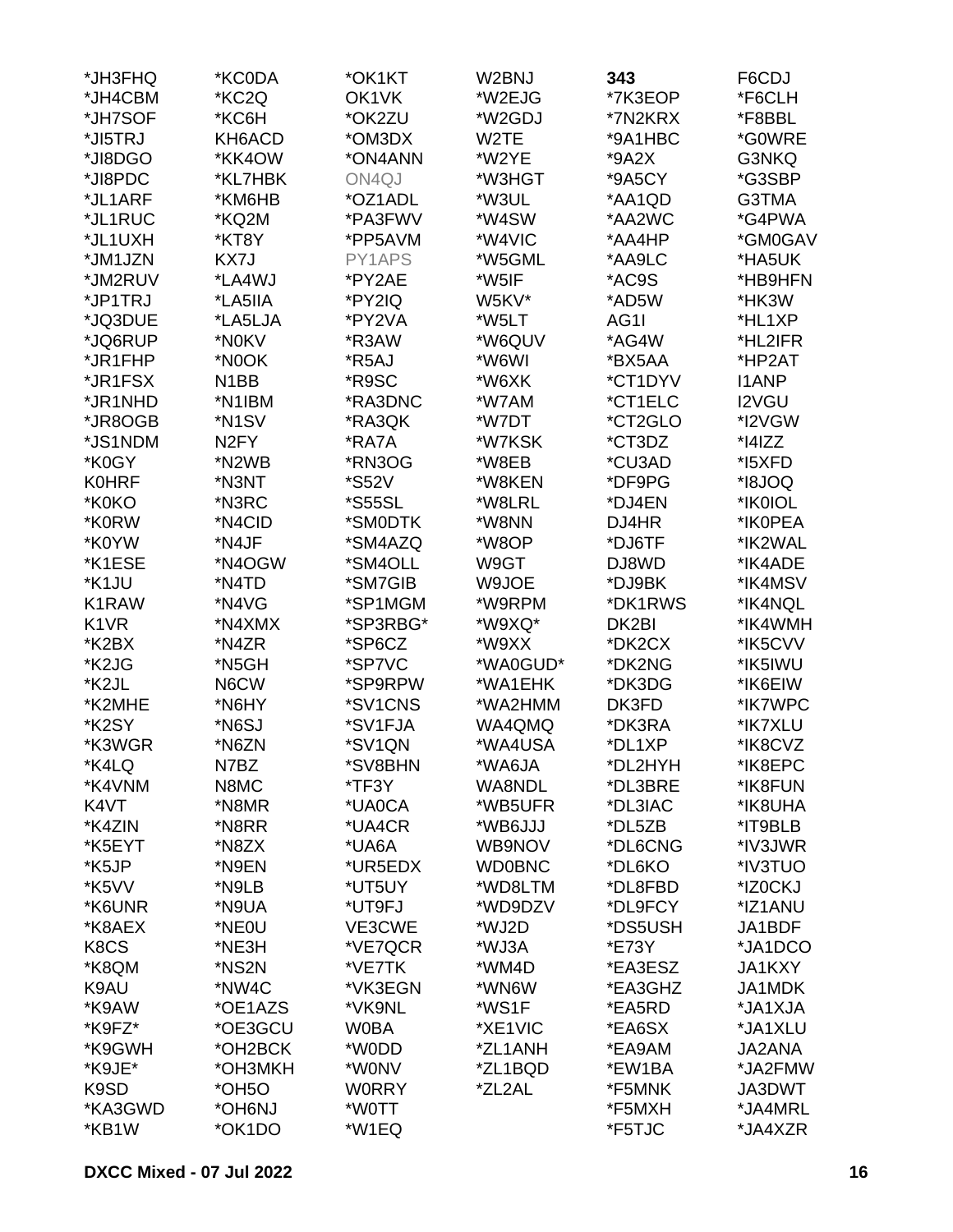| *JH3FHQ           | *KC0DA             | *OK1KT              | W2BNJ         | 343     | F6CDJ         |
|-------------------|--------------------|---------------------|---------------|---------|---------------|
| *JH4CBM           | *KC2Q              | OK1VK               | *W2EJG        | *7K3EOP | *F6CLH        |
| *JH7SOF           | *KC6H              | *OK2ZU              | *W2GDJ        | *7N2KRX | *F8BBL        |
| *JI5TRJ           | KH6ACD             | *OM3DX              | W2TE          | *9A1HBC | *G0WRE        |
| *JI8DGO           | *KK4OW             | *ON4ANN             | *W2YE         | $*9A2X$ | G3NKQ         |
| *JI8PDC           | *KL7HBK            | ON4QJ               | *W3HGT        | *9A5CY  | *G3SBP        |
| *JL1ARF           | *KM6HB             | *OZ1ADL             | *W3UL         | *AA1QD  | G3TMA         |
| *JL1RUC           | *KQ2M              | *PA3FWV             | *W4SW         | *AA2WC  | *G4PWA        |
| *JL1UXH           | *KT8Y              | *PP5AVM             | *W4VIC        | *AA4HP  | *GM0GAV       |
| *JM1JZN           | KX7J               | PY1APS              | *W5GML        | *AA9LC  | *HA5UK        |
| *JM2RUV           | *LA4WJ             | *PY2AE              | *W5IF         | *AC9S   | *HB9HFN       |
| *JP1TRJ           | *LA5IIA            | *PY2IQ              | W5KV*         | *AD5W   | *HK3W         |
| *JQ3DUE           | *LA5LJA            | *PY2VA              | *W5LT         | AG1I    | *HL1XP        |
|                   |                    | *R3AW               |               |         |               |
| *JQ6RUP           | *N0KV              |                     | *W6QUV        | *AG4W   | *HL2IFR       |
| *JR1FHP           | *N0OK              | *R5AJ               | *W6WI         | *BX5AA  | *HP2AT        |
| *JR1FSX           | N1BB               | *R9SC               | *W6XK         | *CT1DYV | <b>I1ANP</b>  |
| *JR1NHD           | *N1IBM             | *RA3DNC             | *W7AM         | *CT1ELC | I2VGU         |
| *JR8OGB           | *N <sub>1</sub> SV | *RA3QK              | *W7DT         | *CT2GLO | *I2VGW        |
| *JS1NDM           | N <sub>2</sub> FY  | *RA7A               | *W7KSK        | *CT3DZ  | $*$  4 ZZ     |
| *K0GY             | *N2WB              | *RN3OG              | *W8EB         | *CU3AD  | *I5XFD        |
| <b>K0HRF</b>      | *N3NT              | <i><b>*S52V</b></i> | *W8KEN        | *DF9PG  | *I8JOQ        |
| *K0KO             | *N3RC              | *S55SL              | *W8LRL        | *DJ4EN  | *IK0IOL       |
| *K0RW             | *N4CID             | *SM0DTK             | *W8NN         | DJ4HR   | *IK0PEA       |
| *K0YW             | *N4JF              | *SM4AZQ             | *W8OP         | *DJ6TF  | *IK2WAL       |
| *K1ESE            | *N4OGW             | *SM4OLL             | W9GT          | DJ8WD   | *IK4ADE       |
| *K1JU             | *N4TD              | *SM7GIB             | W9JOE         | *DJ9BK  | *IK4MSV       |
| K1RAW             | *N4VG              | *SP1MGM             | *W9RPM        | *DK1RWS | *IK4NQL       |
| K <sub>1</sub> VR | *N4XMX             | *SP3RBG*            | *W9XQ*        | DK2BI   | *IK4WMH       |
| *K2BX             | *N4ZR              | *SP6CZ              | *W9XX         | *DK2CX  | *IK5CVV       |
| *K2JG             | *N5GH              | *SP7VC              | *WA0GUD*      | *DK2NG  | *IK5IWU       |
| *K2JL             | N6CW               | *SP9RPW             | *WA1EHK       | *DK3DG  | *IK6EIW       |
| *K2MHE            | *N6HY              | *SV1CNS             | *WA2HMM       | DK3FD   | *IK7WPC       |
| *K2SY             | *N6SJ              | *SV1FJA             | WA4QMQ        | *DK3RA  | *IK7XLU       |
| *K3WGR            | *N6ZN              | *SV1QN              | *WA4USA       | *DL1XP  | *IK8CVZ       |
| *K4LQ             | N7BZ               | *SV8BHN             | *WA6JA        | *DL2HYH | *IK8EPC       |
| *K4VNM            | N8MC               | *TF3Y               | WA8NDL        | *DL3BRE | *IK8FUN       |
| K4VT              | *N8MR              | *UA0CA              | *WB5UFR       | *DL3IAC | *IK8UHA       |
| *K4ZIN            | *N8RR              | *UA4CR              | *WB6JJJ       | *DL5ZB  | *IT9BLB       |
| *K5EYT            | *N8ZX              | *UA6A               | WB9NOV        | *DL6CNG | *IV3JWR       |
| *K5JP             | *N9EN              | *UR5EDX             | <b>WD0BNC</b> | *DL6KO  | *IV3TUO       |
| *K5VV             | *N9LB              | *UT5UY              | *WD8LTM       | *DL8FBD | *IZ0CKJ       |
| *K6UNR            | *N9UA              | *UT9FJ              | *WD9DZV       | *DL9FCY | *IZ1ANU       |
| *K8AEX            | *NE0U              | VE3CWE              | *WJ2D         | *DS5USH | JA1BDF        |
| K8CS              | *NE3H              | *VE7QCR             | *WJ3A         | *E73Y   | *JA1DCO       |
| *K8QM             | *NS2N              | *VE7TK              | *WM4D         | *EA3ESZ | <b>JA1KXY</b> |
| K9AU              | *NW4C              | *VK3EGN             | *WN6W         | *EA3GHZ | JA1MDK        |
| *K9AW             | *OE1AZS            | *VK9NL              | *WS1F         | *EA5RD  | *JA1XJA       |
| *K9FZ*            | *OE3GCU            | <b>WOBA</b>         | *XE1VIC       | *EA6SX  | *JA1XLU       |
| *K9GWH            | *OH2BCK            | *W0DD               | *ZL1ANH       | *EA9AM  | JA2ANA        |
| *K9JE*            | *ОНЗМКН            | *W0NV               | *ZL1BQD       |         | *JA2FMW       |
| K9SD              |                    |                     | *ZL2AL        | *EW1BA  |               |
|                   | *OH5O              | <b>WORRY</b>        |               | *F5MNK  | JA3DWT        |
| *KA3GWD           | *OH6NJ             | *W0TT               |               | *F5MXH  | *JA4MRL       |
| *KB1W             | *OK1DO             | *W1EQ               |               | *F5TJC  | *JA4XZR       |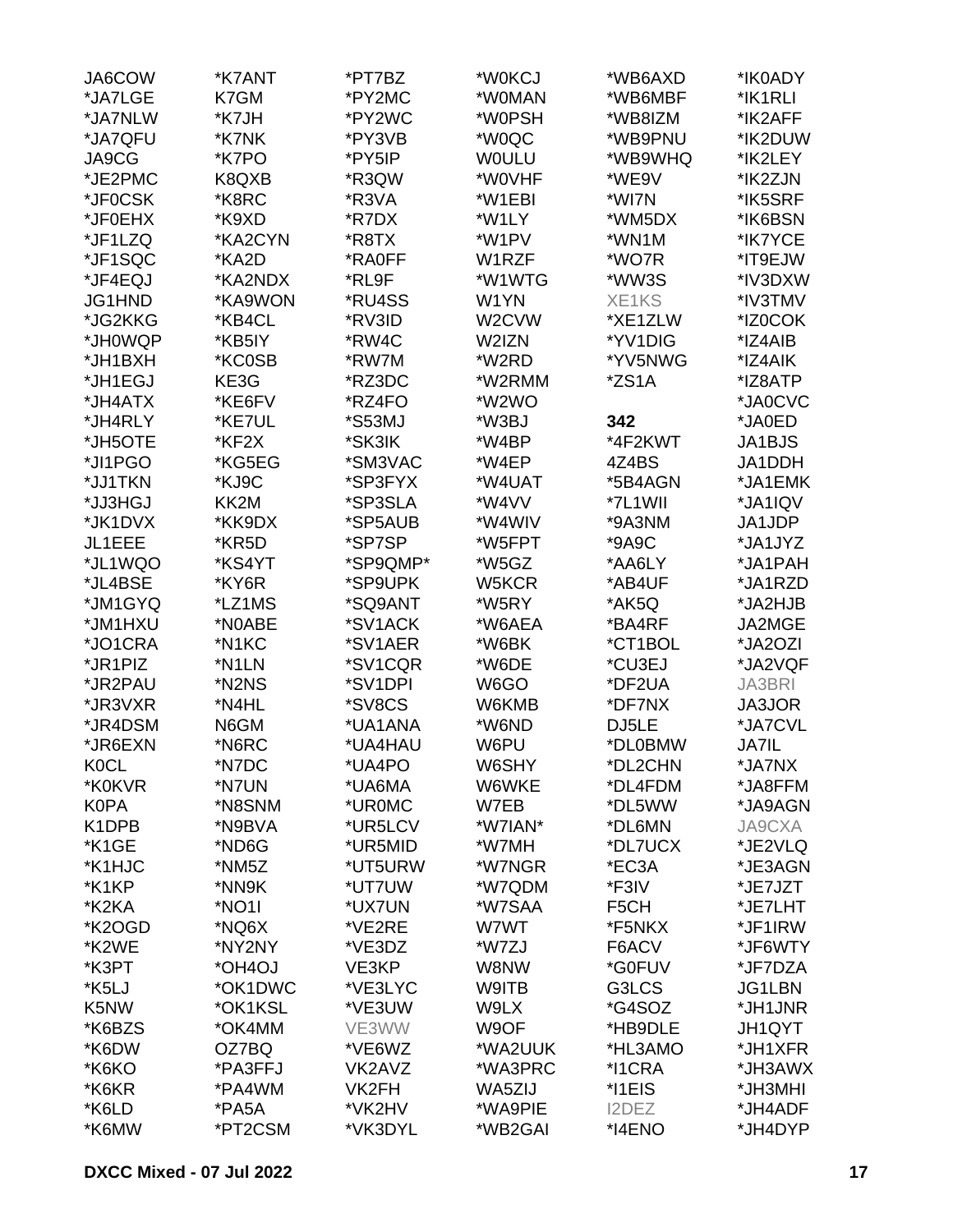| JA6COW            | *K7ANT  | *PT7BZ   | *W0KCJ       | *WB6AXD           | *IK0ADY       |
|-------------------|---------|----------|--------------|-------------------|---------------|
| *JA7LGE           | K7GM    | *PY2MC   | *W0MAN       | *WB6MBF           | *IK1RLI       |
| *JA7NLW           | *K7JH   | *PY2WC   | *W0PSH       | *WB8IZM           | *IK2AFF       |
| *JA7QFU           | *K7NK   | *PY3VB   | *W0QC        | *WB9PNU           | *IK2DUW       |
| JA9CG             | *K7PO   | *PY5IP   | <b>WOULU</b> | *WB9WHQ           | *IK2LEY       |
| *JE2PMC           | K8QXB   | *R3QW    | *W0VHF       | *WE9V             | *IK2ZJN       |
| *JF0CSK           | *K8RC   | *R3VA    | *W1EBI       | *WI7N             | *IK5SRF       |
| *JF0EHX           | *K9XD   | *R7DX    | *W1LY        | *WM5DX            | *IK6BSN       |
| *JF1LZQ           | *KA2CYN | *R8TX    | *W1PV        | *WN1M             | *IK7YCE       |
| *JF1SQC           | *KA2D   | *RA0FF   | W1RZF        | *WO7R             | *IT9EJW       |
| *JF4EQJ           | *KA2NDX | *RL9F    | *W1WTG       | *WW3S             | *IV3DXW       |
| JG1HND            | *KA9WON | *RU4SS   | W1YN         | XE1KS             | *IV3TMV       |
|                   |         |          |              |                   |               |
| *JG2KKG           | *KB4CL  | *RV3ID   | W2CVW        | *XE1ZLW           | *IZ0COK       |
| *JH0WQP           | *KB5IY  | *RW4C    | W2IZN        | *YV1DIG           | *IZ4AIB       |
| *JH1BXH           | *KC0SB  | *RW7M    | *W2RD        | *YV5NWG           | *IZ4AIK       |
| *JH1EGJ           | KE3G    | *RZ3DC   | *W2RMM       | *ZS1A             | *IZ8ATP       |
| *JH4ATX           | *KE6FV  | *RZ4FO   | *W2WO        |                   | *JA0CVC       |
| *JH4RLY           | *KE7UL  | *S53MJ   | *W3BJ        | 342               | *JA0ED        |
| *JH5OTE           | *KF2X   | *SK3IK   | *W4BP        | *4F2KWT           | JA1BJS        |
| *JI1PGO           | *KG5EG  | *SM3VAC  | *W4EP        | 4Z4BS             | JA1DDH        |
| *JJ1TKN           | *KJ9C   | *SP3FYX  | *W4UAT       | *5B4AGN           | *JA1EMK       |
| *JJ3HGJ           | KK2M    | *SP3SLA  | *W4VV        | *7L1WII           | *JA1IQV       |
| *JK1DVX           | *KK9DX  | *SP5AUB  | *W4WIV       | *9A3NM            | JA1JDP        |
| JL1EEE            | *KR5D   | *SP7SP   | *W5FPT       | *9A9C             | *JA1JYZ       |
| *JL1WQO           | *KS4YT  | *SP9QMP* | *W5GZ        | *AA6LY            | *JA1PAH       |
| *JL4BSE           | *KY6R   | *SP9UPK  | W5KCR        | *AB4UF            | *JA1RZD       |
| *JM1GYQ           | *LZ1MS  | *SQ9ANT  | *W5RY        | *AK5Q             | *JA2HJB       |
| *JM1HXU           | *N0ABE  | *SV1ACK  | *W6AEA       | *BA4RF            | JA2MGE        |
| *JO1CRA           | *N1KC   | *SV1AER  | *W6BK        | *CT1BOL           | *JA2OZI       |
| *JR1PIZ           | *N1LN   | *SV1CQR  | *W6DE        | *CU3EJ            | *JA2VQF       |
| *JR2PAU           | *N2NS   | *SV1DPI  | W6GO         | *DF2UA            | <b>JA3BRI</b> |
| *JR3VXR           | *N4HL   | *SV8CS   | W6KMB        | *DF7NX            | <b>JA3JOR</b> |
| *JR4DSM           | N6GM    | *UA1ANA  | *W6ND        | DJ5LE             | *JA7CVL       |
| *JR6EXN           | *N6RC   | *UA4HAU  | W6PU         | *DL0BMW           | <b>JA7IL</b>  |
| <b>K0CL</b>       | *N7DC   | *UA4PO   | W6SHY        | *DL2CHN           | *JA7NX        |
| *K0KVR            | *N7UN   | *UA6MA   | W6WKE        | *DL4FDM           | *JA8FFM       |
| <b>K0PA</b>       | *N8SNM  | *UR0MC   | W7EB         | *DL5WW            | *JA9AGN       |
| K1DPB             | *N9BVA  | *UR5LCV  | *W7IAN*      | *DL6MN            | <b>JA9CXA</b> |
| *K1GE             | *ND6G   | *UR5MID  | *W7MH        | *DL7UCX           | *JE2VLQ       |
| *K1HJC            | *NM5Z   | *UT5URW  | *W7NGR       | *EC3A             | *JE3AGN       |
|                   |         |          |              |                   |               |
| *K1KP             | *NN9K   | *UT7UW   | *W7QDM       | *F3IV             | *JE7JZT       |
| *K2KA             | *NO1I   | *UX7UN   | *W7SAA       | F <sub>5</sub> CH | *JE7LHT       |
| *K2OGD            | *NQ6X   | *VE2RE   | W7WT         | *F5NKX            | *JF1IRW       |
| *K2WE             | *NY2NY  | *VE3DZ   | *W7ZJ        | F6ACV             | *JF6WTY       |
| *K3PT             | *OH4OJ  | VE3KP    | W8NW         | *G0FUV            | *JF7DZA       |
| *K5LJ             | *OK1DWC | *VE3LYC  | W9ITB        | G3LCS             | <b>JG1LBN</b> |
| K <sub>5</sub> NW | *OK1KSL | *VE3UW   | W9LX         | *G4SOZ            | *JH1JNR       |
| *K6BZS            | *OK4MM  | VE3WW    | W9OF         | *HB9DLE           | <b>JH1QYT</b> |
| *K6DW             | OZ7BQ   | *VE6WZ   | *WA2UUK      | *HL3AMO           | *JH1XFR       |
| *K6KO             | *PA3FFJ | VK2AVZ   | *WA3PRC      | *I1CRA            | *JH3AWX       |
| *K6KR             | *PA4WM  | VK2FH    | WA5ZIJ       | *I1EIS            | *JH3MHI       |
| *K6LD             | *PA5A   | *VK2HV   | *WA9PIE      | I2DEZ             | *JH4ADF       |
| *K6MW             | *PT2CSM | *VK3DYL  | *WB2GAI      | *I4ENO            | *JH4DYP       |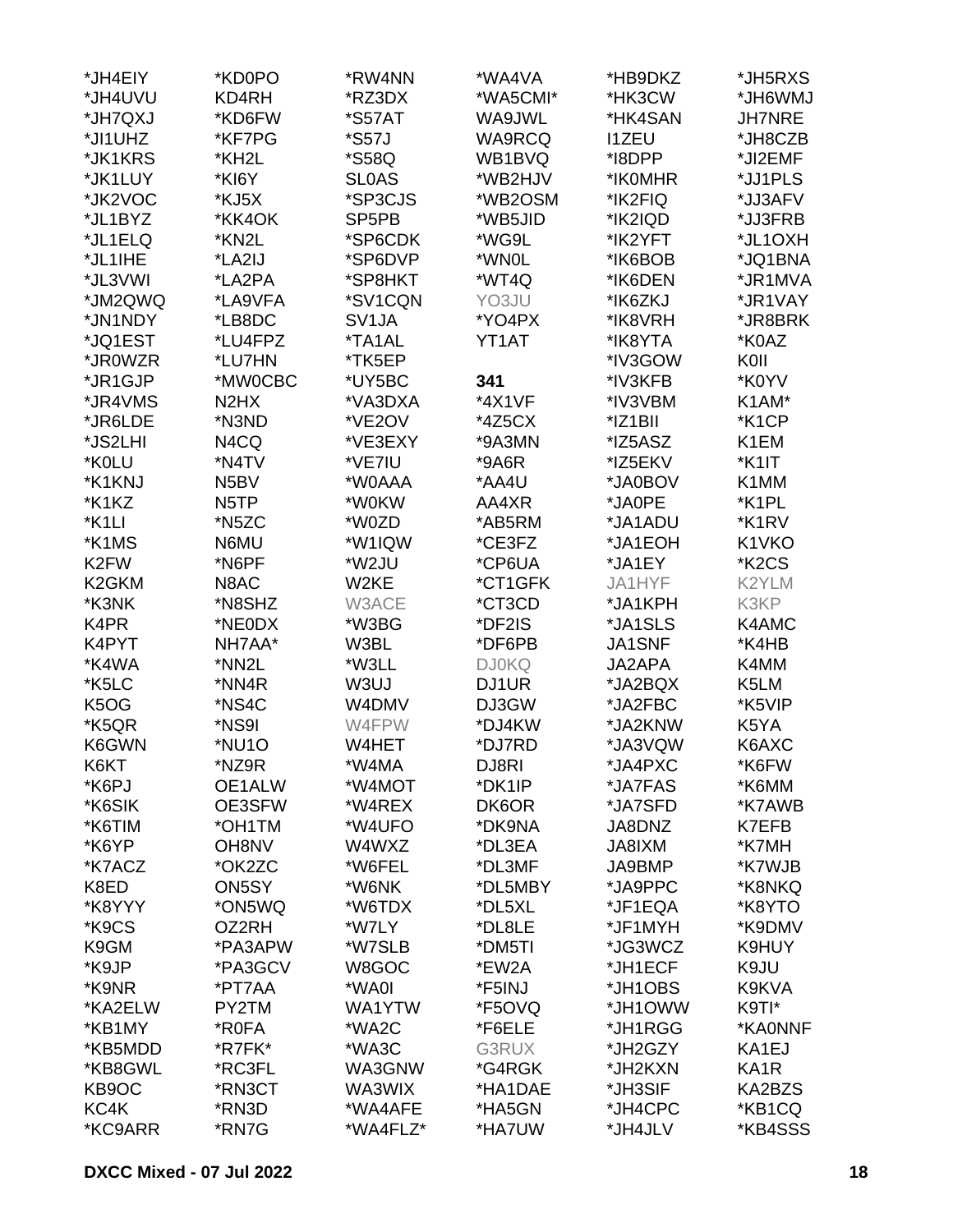| *JH4EIY                       | *KD0PO                        | *RW4NN             | *WA4VA       | *HB9DKZ      | *JH5RXS                        |
|-------------------------------|-------------------------------|--------------------|--------------|--------------|--------------------------------|
| *JH4UVU                       | KD4RH                         | *RZ3DX             | *WA5CMI*     | *HK3CW       | *JH6WMJ                        |
| *JH7QXJ                       | *KD6FW                        | *S57AT             | WA9JWL       | *HK4SAN      | <b>JH7NRE</b>                  |
| *JI1UHZ                       | *KF7PG                        | *S57J              | WA9RCQ       | <b>I1ZEU</b> | *JH8CZB                        |
| *JK1KRS                       | *KH2L                         | *S58Q              | WB1BVQ       | *I8DPP       | *JI2EMF                        |
| *JK1LUY                       | *KI6Y                         | <b>SLOAS</b>       | *WB2HJV      | *IK0MHR      | *JJ1PLS                        |
| *JK2VOC                       | *KJ5X                         | *SP3CJS            | *WB2OSM      | *IK2FIQ      | *JJ3AFV                        |
| *JL1BYZ                       | *KK4OK                        | SP <sub>5</sub> PB | *WB5JID      | *IK2IQD      | *JJ3FRB                        |
| *JL1ELQ                       | *KN2L                         | *SP6CDK            | *WG9L        | *IK2YFT      | *JL1OXH                        |
|                               |                               |                    |              |              |                                |
| *JL1IHE                       | *LA2IJ                        | *SP6DVP            | *WN0L        | *IK6BOB      | *JQ1BNA                        |
| *JL3VWI                       | *LA2PA                        | *SP8HKT            | *WT4Q        | *IK6DEN      | *JR1MVA                        |
| *JM2QWQ                       | *LA9VFA                       | *SV1CQN            | YO3JU        | *IK6ZKJ      | *JR1VAY                        |
| *JN1NDY                       | *LB8DC                        | SV <sub>1</sub> JA | *YO4PX       | *IK8VRH      | *JR8BRK                        |
| *JQ1EST                       | *LU4FPZ                       | *TA1AL             | YT1AT        | *IK8YTA      | *K0AZ                          |
| *JR0WZR                       | *LU7HN                        | *TK5EP             |              | *IV3GOW      | K0II                           |
| *JR1GJP                       | *MW0CBC                       | *UY5BC             | 341          | *IV3KFB      | *K0YV                          |
| *JR4VMS                       | N <sub>2</sub> H <sub>X</sub> | *VA3DXA            | *4X1VF       | *IV3VBM      | K1AM*                          |
| *JR6LDE                       | *N3ND                         | *VE2OV             | *4Z5CX       | *IZ1BII      | *K1CP                          |
| *JS2LHI                       | N4CQ                          | *VE3EXY            | *9A3MN       | *IZ5ASZ      | K1EM                           |
| *K0LU                         | *N4TV                         | *VE7IU             | *9A6R        | *IZ5EKV      | *K1IT                          |
| *K1KNJ                        | N <sub>5</sub> BV             | *W0AAA             | *AA4U        | *JA0BOV      | K1MM                           |
| *K1KZ                         | N <sub>5</sub> TP             | *W0KW              | AA4XR        | *JA0PE       | *K1PL                          |
| *K1LI                         | *N5ZC                         | *W0ZD              | *AB5RM       | *JA1ADU      | *K1RV                          |
| *K1MS                         | N6MU                          | *W1IQW             | *CE3FZ       | *JA1EOH      | K1VKO                          |
| K <sub>2</sub> FW             | *N6PF                         | *W2JU              | *CP6UA       | *JA1EY       | *K <sub>2</sub> C <sub>S</sub> |
| K <sub>2</sub> GKM            | N8AC                          | W2KE               | *CT1GFK      | JA1HYF       | K2YLM                          |
| *K3NK                         | *N8SHZ                        | W3ACE              | *CT3CD       | *JA1KPH      | K3KP                           |
| K4PR                          | *NE0DX                        | *W3BG              | *DF2IS       | *JA1SLS      | K4AMC                          |
| K4PYT                         | NH7AA*                        | W3BL               | *DF6PB       | JA1SNF       | *K4HB                          |
| *K4WA                         | *NN2L                         | *W3LL              | <b>DJ0KQ</b> | JA2APA       | K4MM                           |
| *K5LC                         | *NN4R                         | W3UJ               | DJ1UR        | *JA2BQX      | K5LM                           |
| K <sub>5</sub> O <sub>G</sub> | *NS4C                         | W4DMV              | DJ3GW        | *JA2FBC      | *K5VIP                         |
| *K5QR                         | *NS9I                         | W4FPW              | *DJ4KW       | *JA2KNW      | K5YA                           |
| K6GWN                         | *NU1O                         | W4HET              | *DJ7RD       | *JA3VQW      |                                |
|                               |                               |                    |              |              | K6AXC                          |
| K6KT                          | *NZ9R                         | *W4MA              | DJ8RI        | *JA4PXC      | *K6FW                          |
| *K6PJ                         | OE1ALW                        | *W4MOT             | *DK1IP       | *JA7FAS      | *K6MM                          |
| *K6SIK                        | OE3SFW                        | *W4REX             | DK6OR        | *JA7SFD      | *K7AWB                         |
| *K6TIM                        | *OH1TM                        | *W4UFO             | *DK9NA       | JA8DNZ       | K7EFB                          |
| *K6YP                         | OH8NV                         | W4WXZ              | *DL3EA       | JA8IXM       | *K7MH                          |
| *K7ACZ                        | *OK2ZC                        | *W6FEL             | *DL3MF       | JA9BMP       | *K7WJB                         |
| K8ED                          | ON5SY                         | *W6NK              | *DL5MBY      | *JA9PPC      | *K8NKQ                         |
| *K8YYY                        | *ON5WQ                        | *W6TDX             | *DL5XL       | *JF1EQA      | *K8YTO                         |
| *K9CS                         | OZ2RH                         | *W7LY              | *DL8LE       | *JF1MYH      | *K9DMV                         |
| K9GM                          | *PA3APW                       | *W7SLB             | *DM5TI       | *JG3WCZ      | K9HUY                          |
| *K9JP                         | *PA3GCV                       | W8GOC              | *EW2A        | *JH1ECF      | K9JU                           |
| *K9NR                         | *PT7AA                        | *WA0I              | *F5INJ       | *JH1OBS      | K9KVA                          |
| *KA2ELW                       | PY2TM                         | WA1YTW             | *F5OVQ       | *JH1OWW      | K9TI*                          |
| *KB1MY                        | *R0FA                         | *WA2C              | *F6ELE       | *JH1RGG      | *KA0NNF                        |
| *KB5MDD                       | *R7FK*                        | *WA3C              | G3RUX        | *JH2GZY      | KA1EJ                          |
| *KB8GWL                       | *RC3FL                        | WA3GNW             | *G4RGK       | *JH2KXN      | KA <sub>1</sub> R              |
| KB9OC                         | *RN3CT                        | WA3WIX             | *HA1DAE      | *JH3SIF      | KA2BZS                         |
| KC4K                          | *RN3D                         | *WA4AFE            | *HA5GN       | *JH4CPC      | *KB1CQ                         |
| *KC9ARR                       | *RN7G                         | *WA4FLZ*           | *HA7UW       | *JH4JLV      | *KB4SSS                        |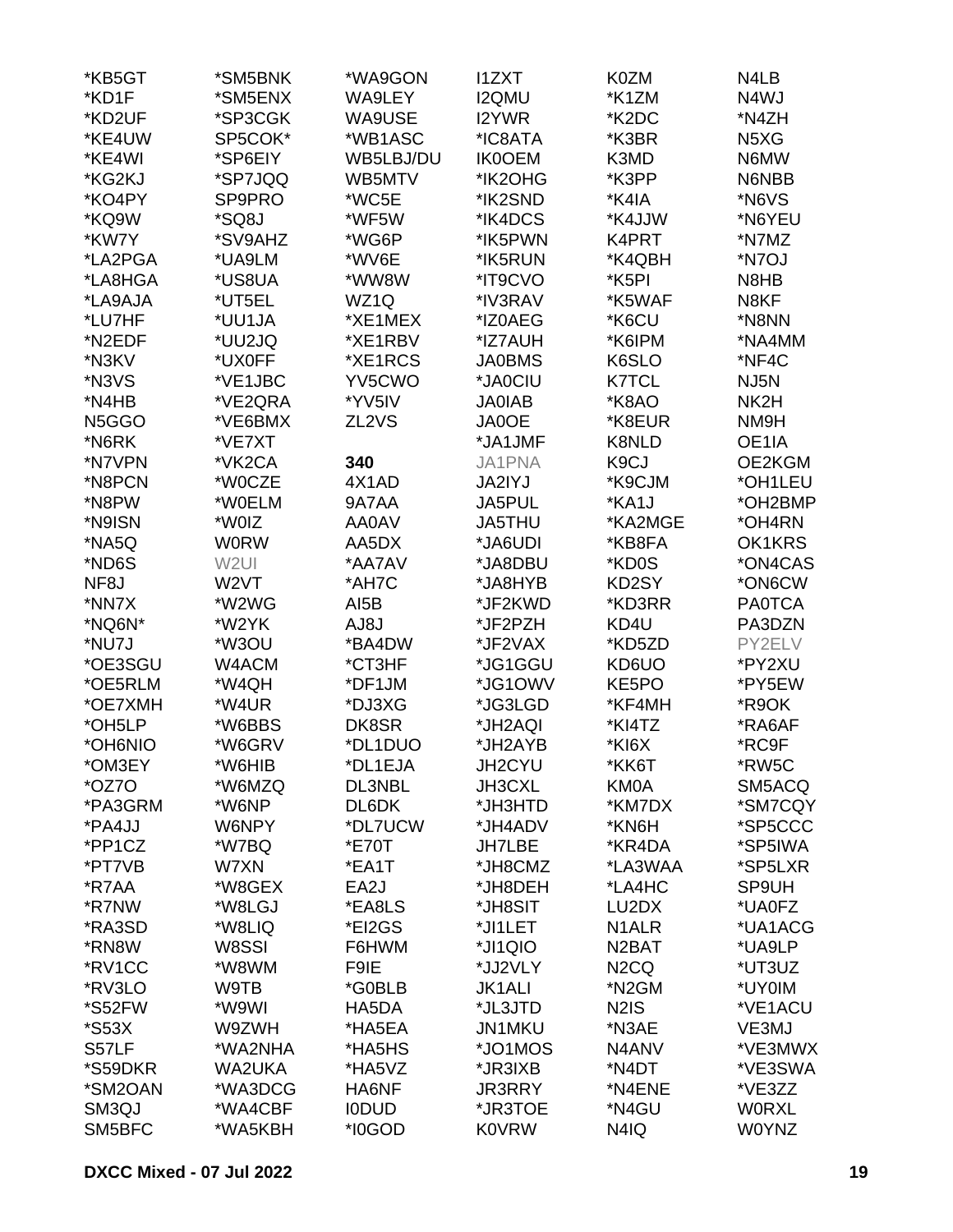| *KB5GT            | *SM5BNK           | *WA9GON           | <b>I1ZXT</b>  | K0ZM               | N4LB                          |
|-------------------|-------------------|-------------------|---------------|--------------------|-------------------------------|
| *KD1F             | *SM5ENX           | WA9LEY            | <b>I2QMU</b>  | *K1ZM              | N4WJ                          |
| *KD2UF            | *SP3CGK           | WA9USE            | <b>I2YWR</b>  | *K2DC              | *N4ZH                         |
| *KE4UW            | SP5COK*           | *WB1ASC           | *IC8ATA       | *K3BR              | N <sub>5</sub> X <sub>G</sub> |
| *KE4WI            | *SP6EIY           | WB5LBJ/DU         | <b>IK0OEM</b> | K3MD               | N6MW                          |
| *KG2KJ            | *SP7JQQ           | WB5MTV            | *IK2OHG       | *K3PP              | N6NBB                         |
| *KO4PY            | SP9PRO            | *WC5E             | *IK2SND       | *K4IA              | *N6VS                         |
| *KQ9W             | *SQ8J             | *WF5W             | *IK4DCS       | *K4JJW             | *N6YEU                        |
| *KW7Y             | *SV9AHZ           | *WG6P             | *IK5PWN       | K4PRT              | *N7MZ                         |
| *LA2PGA           | *UA9LM            | *WV6E             | *IK5RUN       | *K4QBH             | *N7OJ                         |
| *LA8HGA           | *US8UA            | *WW8W             | *IT9CVO       | *K5PI              | N8HB                          |
| *LA9AJA           | *UT5EL            | WZ1Q              | *IV3RAV       | *K5WAF             | N8KF                          |
|                   |                   |                   |               |                    |                               |
| *LU7HF            | *UU1JA            | *XE1MEX           | *IZ0AEG       | *K6CU              | *N8NN                         |
| *N2EDF            | *UU2JQ            | *XE1RBV           | *IZ7AUH       | *K6IPM             | *NA4MM                        |
| *N3KV             | *UX0FF            | *XE1RCS           | <b>JA0BMS</b> | K6SLO              | *NF4C                         |
| *N3VS             | *VE1JBC           | YV5CWO            | *JA0CIU       | <b>K7TCL</b>       | NJ5N                          |
| *N4HB             | *VE2QRA           | *YV5IV            | <b>JA0IAB</b> | *K8AO              | NK2H                          |
| N5GGO             | *VE6BMX           | ZL <sub>2VS</sub> | <b>JA0OE</b>  | *K8EUR             | NM9H                          |
| *N6RK             | *VE7XT            |                   | *JA1JMF       | K8NLD              | OE1IA                         |
| *N7VPN            | *VK2CA            | 340               | JA1PNA        | K9CJ               | OE2KGM                        |
| *N8PCN            | *W0CZE            | 4X1AD             | <b>JA2IYJ</b> | *K9CJM             | *OH1LEU                       |
| *N8PW             | *W0ELM            | 9A7AA             | JA5PUL        | *KA1J              | *OH2BMP                       |
| *N9ISN            | *W0IZ             | AA0AV             | JA5THU        | *KA2MGE            | *OH4RN                        |
| *NA5Q             | <b>WORW</b>       | AA5DX             | *JA6UDI       | *KB8FA             | OK1KRS                        |
| *ND6S             | W <sub>2UI</sub>  | *AA7AV            | *JA8DBU       | *KD0S              | *ON4CAS                       |
| NF <sub>8</sub> J | W <sub>2</sub> VT | *AH7C             | *JA8HYB       | KD2SY              | *ON6CW                        |
| *NN7X             | *W2WG             | AI5B              | *JF2KWD       | *KD3RR             | <b>PA0TCA</b>                 |
| *NQ6N*            | *W2YK             | AJ8J              | *JF2PZH       | KD4U               | PA3DZN                        |
| *NU7J             | *W3OU             | *BA4DW            | *JF2VAX       | *KD5ZD             | PY2ELV                        |
| *OE3SGU           | W4ACM             | *CT3HF            | *JG1GGU       | KD6UO              | *PY2XU                        |
| *OE5RLM           | *W4QH             | *DF1JM            | *JG1OWV       | KE5PO              | *PY5EW                        |
| *OE7XMH           | *W4UR             | *DJ3XG            | *JG3LGD       | *KF4MH             | *R9OK                         |
| *OH5LP            | *W6BBS            | DK8SR             | *JH2AQI       | *KI4TZ             | *RA6AF                        |
| *OH6NIO*          | *W6GRV            | *DL1DUO           | *JH2AYB       | *KI6X              | *RC9F                         |
| *OM3EY            | *W6HIB            | *DL1EJA           | JH2CYU        | *KK6T              | *RW5C                         |
| *OZ7O             | *W6MZQ            | DL3NBL            | <b>JH3CXL</b> | KM0A               | SM5ACQ                        |
| *PA3GRM           | *W6NP             | DL6DK             | *JH3HTD       | *KM7DX             | *SM7CQY                       |
| *PA4JJ            | W6NPY             | *DL7UCW           | *JH4ADV       | *KN6H              | *SP5CCC                       |
| *PP1CZ            | *W7BQ             | *E70T             | <b>JH7LBE</b> | *KR4DA             | *SP5IWA                       |
| *PT7VB            | W7XN              | *EA1T             | *JH8CMZ       | *LA3WAA            | *SP5LXR                       |
|                   | *W8GEX            | EA2J              | *JH8DEH       | *LA4HC             | SP9UH                         |
| *R7AA<br>*R7NW    |                   |                   |               |                    | *UA0FZ                        |
|                   | *W8LGJ            | *EA8LS            | *JH8SIT       | LU2DX              |                               |
| *RA3SD            | *W8LIQ            | *EI2GS            | *JI1LET       | N <sub>1</sub> ALR | *UA1ACG                       |
| *RN8W             | W8SSI             | F6HWM             | *JI1QIO       | N <sub>2</sub> BAT | *UA9LP                        |
| *RV1CC            | *W8WM             | F9IE              | *JJ2VLY       | N <sub>2</sub> CQ  | *UT3UZ                        |
| *RV3LO            | W9TB              | *G0BLB            | <b>JK1ALI</b> | *N <sub>2</sub> GM | *UY0IM                        |
| *S52FW            | *W9WI             | HA5DA             | *JL3JTD       | <b>N2IS</b>        | *VE1ACU                       |
| *S53X             | W9ZWH             | *HA5EA            | <b>JN1MKU</b> | *N3AE              | VE3MJ                         |
| S57LF             | *WA2NHA           | *HA5HS            | *JO1MOS       | N4ANV              | *VE3MWX                       |
| *S59DKR           | WA2UKA            | *HA5VZ            | *JR3IXB       | *N4DT              | *VE3SWA                       |
| *SM2OAN           | *WA3DCG           | HA6NF             | <b>JR3RRY</b> | *N4ENE             | *VE3ZZ                        |
| SM3QJ             | *WA4CBF           | <b>IODUD</b>      | *JR3TOE       | *N4GU              | <b>WORXL</b>                  |
| SM5BFC            | *WA5KBH           | *I0GOD            | <b>K0VRW</b>  | N4IQ               | <b>W0YNZ</b>                  |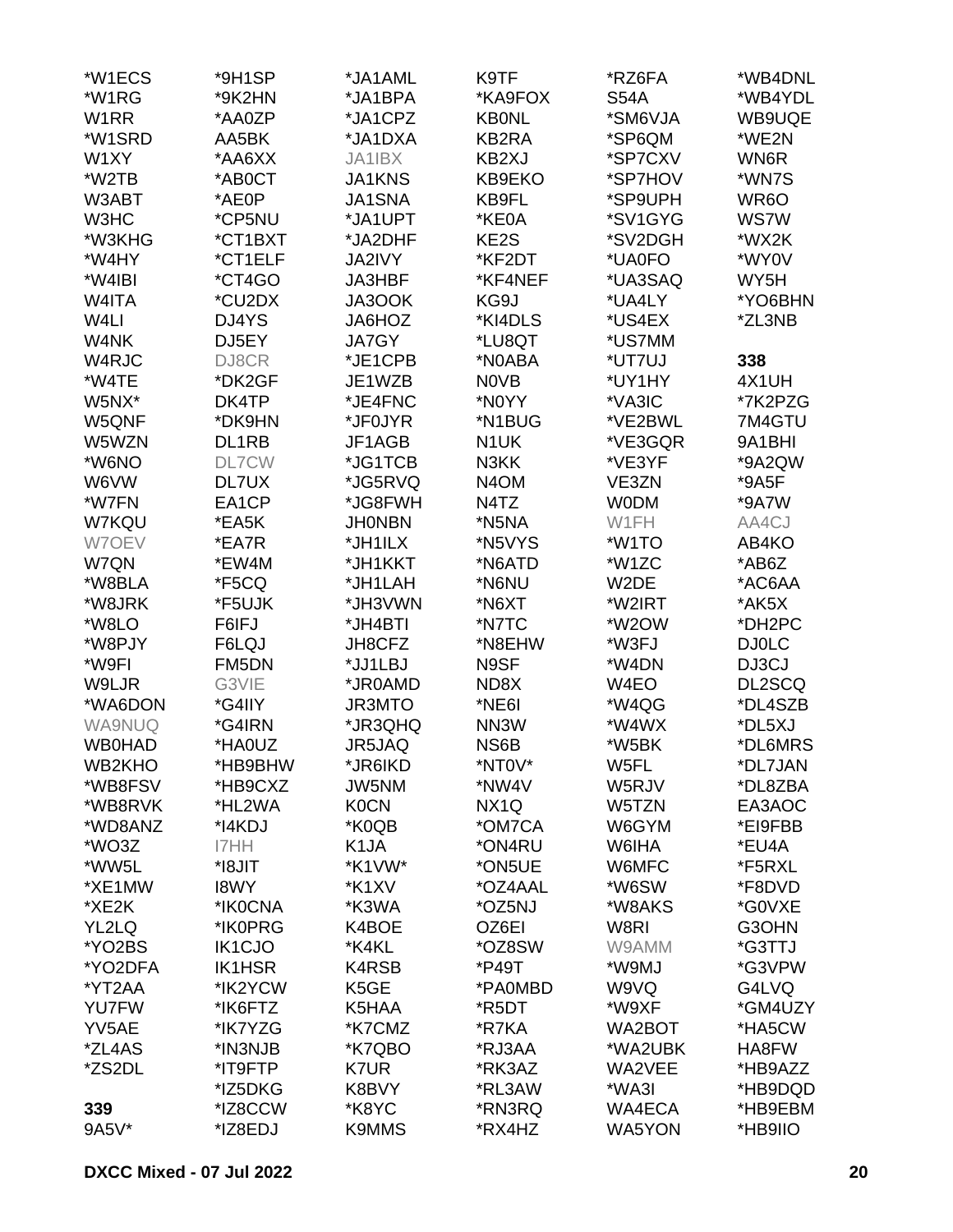| *W1ECS        | *9H1SP        | *JA1AML           | K9TF              | *RZ6FA      | *WB4DNL           |
|---------------|---------------|-------------------|-------------------|-------------|-------------------|
| *W1RG         | *9K2HN        | *JA1BPA           | *KA9FOX           | <b>S54A</b> | *WB4YDL           |
| W1RR          | *AA0ZP        | *JA1CPZ           | <b>KB0NL</b>      | *SM6VJA     | WB9UQE            |
| *W1SRD        | AA5BK         | *JA1DXA           | KB2RA             | *SP6QM      | *WE2N             |
| W1XY          | *AA6XX        | JA1IBX            | KB2XJ             | *SP7CXV     | WN6R              |
| *W2TB         | *AB0CT        | <b>JA1KNS</b>     | KB9EKO            | *SP7HOV     | *WN7S             |
|               |               |                   |                   | *SP9UPH     |                   |
| W3ABT         | *AE0P         | <b>JA1SNA</b>     | KB9FL             |             | WR <sub>6</sub> O |
| W3HC          | *CP5NU        | *JA1UPT           | *KE0A             | *SV1GYG     | <b>WS7W</b>       |
| *W3KHG        | *CT1BXT       | *JA2DHF           | KE2S              | *SV2DGH     | *WX2K             |
| *W4HY         | *CT1ELF       | <b>JA2IVY</b>     | *KF2DT            | *UA0FO      | *WY0V             |
| *W4IBI        | *CT4GO        | <b>JA3HBF</b>     | *KF4NEF           | *UA3SAQ     | WY5H              |
| W4ITA         | *CU2DX        | JA3OOK            | KG9J              | *UA4LY      | *YO6BHN           |
| W4LI          | DJ4YS         | JA6HOZ            | *KI4DLS           | *US4EX      | *ZL3NB            |
| W4NK          | DJ5EY         | <b>JA7GY</b>      | *LU8QT            | *US7MM      |                   |
| W4RJC         | DJ8CR         | *JE1CPB           | *N0ABA            | *UT7UJ      | 338               |
| *W4TE         | *DK2GF        | JE1WZB            | <b>NOVB</b>       | *UY1HY      | 4X1UH             |
| W5NX*         | DK4TP         | *JE4FNC           | *N0YY             | *VA3IC      | *7K2PZG           |
| W5QNF         | *DK9HN        | *JF0JYR           | *N1BUG            | *VE2BWL     | 7M4GTU            |
| W5WZN         | DL1RB         | JF1AGB            | N <sub>1</sub> UK | *VE3GQR     | 9A1BHI            |
| *W6NO         | <b>DL7CW</b>  | *JG1TCB           | N3KK              | *VE3YF      | *9A2QW            |
| W6VW          | DL7UX         | *JG5RVQ           | N <sub>4</sub> OM | VE3ZN       | *9A5F             |
| *W7FN         | EA1CP         | *JG8FWH           | N4TZ              | <b>WODM</b> | *9A7W             |
| W7KQU         | *EA5K         | <b>JHONBN</b>     | *N5NA             | W1FH        | AA4CJ             |
| W7OEV         | *EA7R         | *JH1ILX           | *N5VYS            | *W1TO       | AB4KO             |
| W7QN          | *EW4M         | *JH1KKT           | *N6ATD            | *W1ZC       | *AB6Z             |
| *W8BLA        | *F5CQ         | *JH1LAH           | *N6NU             | W2DE        | *AC6AA            |
| *W8JRK        | *F5UJK        | *JH3VWN           | *N6XT             | *W2IRT      | *AK5X             |
| *W8LO         | F6IFJ         | *JH4BTI           | *N7TC             | *W2OW       | *DH2PC            |
|               |               |                   |                   |             |                   |
| *W8PJY        | F6LQJ         | JH8CFZ            | *N8EHW            | *W3FJ       | <b>DJ0LC</b>      |
| *W9FI         | FM5DN         | *JJ1LBJ           | N9SF              | *W4DN       | DJ3CJ             |
| W9LJR         | G3VIE         | *JR0AMD           | ND8X              | W4EO        | DL2SCQ            |
| *WA6DON       | *G4IIY        | JR3MTO            | *NE6I             | *W4QG       | *DL4SZB           |
| <b>WA9NUQ</b> | *G4IRN        | *JR3QHQ           | NN3W              | *W4WX       | *DL5XJ            |
| <b>WB0HAD</b> | *HA0UZ        | JR5JAQ            | NS6B              | *W5BK       | *DL6MRS           |
| WB2KHO        | *HB9BHW       | *JR6IKD           | *NT0V*            | W5FL        | *DL7JAN           |
| *WB8FSV       | *HB9CXZ       | JW5NM             | *NW4V             | W5RJV       | *DL8ZBA           |
| *WB8RVK       | *HL2WA        | <b>K0CN</b>       | NX <sub>1</sub> Q | W5TZN       | EA3AOC            |
| *WD8ANZ       | *I4KDJ        | *K0QB             | *OM7CA            | W6GYM       | *EI9FBB           |
| *WO3Z         | I7HH          | K <sub>1</sub> JA | *ON4RU            | W6IHA       | *EU4A             |
| *WW5L         | *I8JIT        | *K1VW*            | *ON5UE            | W6MFC       | *F5RXL            |
| *XE1MW        | <b>I8WY</b>   | *K1XV             | *OZ4AAL           | *W6SW       | *F8DVD            |
| *XE2K         | *IK0CNA       | *K3WA             | *OZ5NJ            | *W8AKS      | *G0VXE            |
| YL2LQ         | *IK0PRG       | K4BOE             | OZ6EI             | W8RI        | G3OHN             |
| *YO2BS        | <b>IK1CJO</b> | *K4KL             | *OZ8SW            | W9AMM       | *G3TTJ            |
| *YO2DFA       | <b>IK1HSR</b> | K4RSB             | *P49T             | *W9MJ       | *G3VPW            |
| *YT2AA        | *IK2YCW       | K <sub>5</sub> GE | *PA0MBD           | W9VQ        | G4LVQ             |
| <b>YU7FW</b>  | *IK6FTZ       | K5HAA             | *R5DT             | *W9XF       | *GM4UZY           |
| YV5AE         | *IK7YZG       | *K7CMZ            | *R7KA             | WA2BOT      | *HA5CW            |
| *ZL4AS        | *IN3NJB       | *K7QBO            | *RJ3AA            | *WA2UBK     | HA8FW             |
| *ZS2DL        | *IT9FTP       | K7UR              | *RK3AZ            | WA2VEE      | *HB9AZZ           |
|               | *IZ5DKG       | K8BVY             | *RL3AW            | *WA3I       | *HB9DQD           |
| 339           | *IZ8CCW       | *K8YC             | *RN3RQ            | WA4ECA      | *HB9EBM           |
| 9A5V*         | *IZ8EDJ       | <b>K9MMS</b>      | *RX4HZ            | WA5YON      | *HB9IIO           |
|               |               |                   |                   |             |                   |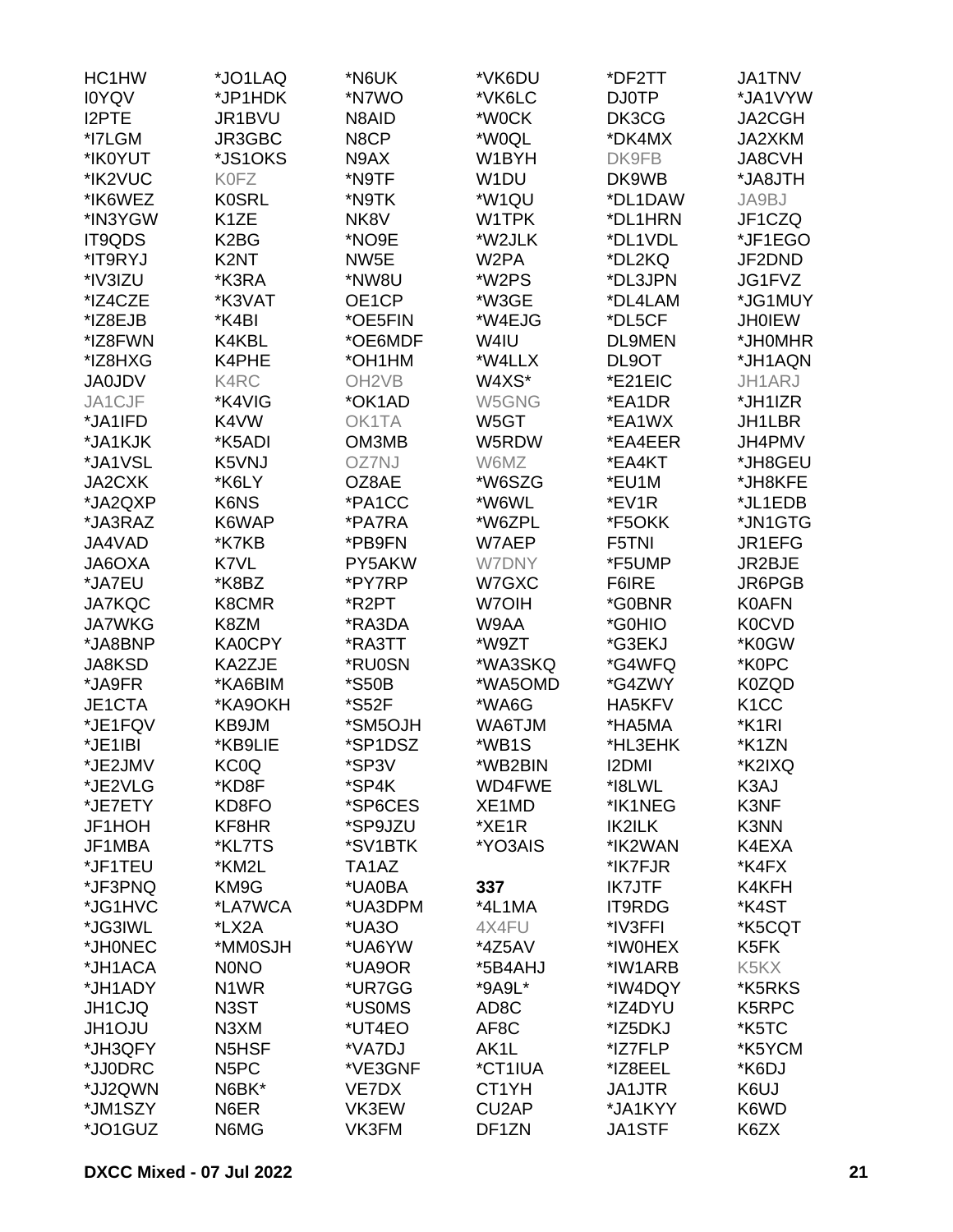| HC1HW         | *JO1LAQ           | *N6UK              | *VK6DU             | *DF2TT        | <b>JA1TNV</b>                 |
|---------------|-------------------|--------------------|--------------------|---------------|-------------------------------|
| <b>IOYQV</b>  | *JP1HDK           | *N7WO              | *VK6LC             | <b>DJ0TP</b>  | *JA1VYW                       |
| I2PTE         | JR1BVU            | N8AID              | *W0CK              | DK3CG         | <b>JA2CGH</b>                 |
| *I7LGM        | JR3GBC            | N8CP               | *W0QL              | *DK4MX        | JA2XKM                        |
| *IK0YUT       | *JS1OKS           | N9AX               | W1BYH              | DK9FB         | <b>JA8CVH</b>                 |
| *IK2VUC       | <b>K0FZ</b>       | *N9TF              | W1DU               | DK9WB         | *JA8JTH                       |
| *IK6WEZ       | <b>K0SRL</b>      | *N9TK              | *W1QU              | *DL1DAW       | JA9BJ                         |
| *IN3YGW       | K <sub>1</sub> ZE | NK8V               | W1TPK              | *DL1HRN       | JF1CZQ                        |
| IT9QDS        | K <sub>2</sub> BG | *NO9E              | *W2JLK             | *DL1VDL       | *JF1EGO                       |
| *IT9RYJ       | K2NT              | NW5E               | W2PA               | *DL2KQ        | JF2DND                        |
| *IV3IZU       | *K3RA             | *NW8U              | *W2PS              | *DL3JPN       | JG1FVZ                        |
| *IZ4CZE       | *K3VAT            | OE1CP              | *W3GE              | *DL4LAM       | *JG1MUY                       |
| *IZ8EJB       | *K4BI             | *OE5FIN            | *W4EJG             | *DL5CF        | <b>JH0IEW</b>                 |
| *IZ8FWN       | K4KBL             | *OE6MDF            | W4IU               | <b>DL9MEN</b> | *JH0MHR                       |
| *IZ8HXG       | K4PHE             | *OH1HM             | *W4LLX             | DL9OT         | *JH1AQN                       |
| <b>JA0JDV</b> | K4RC              | OH <sub>2</sub> VB | W4XS*              | *E21EIC       | JH1ARJ                        |
| JA1CJF        | *K4VIG            | *OK1AD             | W5GNG              | *EA1DR        | *JH1IZR                       |
| *JA1IFD       | K4VW              | OK1TA              | W5GT               | *EA1WX        | JH1LBR                        |
| *JA1KJK       | *K5ADI            | OM3MB              | W5RDW              | *EA4EER       | JH4PMV                        |
| *JA1VSL       | K5VNJ             | OZ7NJ              | W6MZ               | *EA4KT        | *JH8GEU                       |
| JA2CXK        | *K6LY             | OZ8AE              | *W6SZG             | *EU1M         | *JH8KFE                       |
| *JA2QXP       | K6NS              | *PA1CC             | *W6WL              | *EV1R         | *JL1EDB                       |
| *JA3RAZ       | K6WAP             | *PA7RA             | *W6ZPL             | *F5OKK        | *JN1GTG                       |
| JA4VAD        | *K7KB             | *PB9FN             | W7AEP              | F5TNI         | JR1EFG                        |
| JA6OXA        | K7VL              | PY5AKW             | W7DNY              | *F5UMP        | JR2BJE                        |
| *JA7EU        | *K8BZ             | *PY7RP             | W7GXC              | F6IRE         | JR6PGB                        |
| <b>JA7KQC</b> | K8CMR             | *R2PT              | W7OIH              | *G0BNR        | <b>K0AFN</b>                  |
| <b>JA7WKG</b> | K8ZM              | *RA3DA             | W9AA               | *G0HIO        | <b>K0CVD</b>                  |
| *JA8BNP       | <b>KA0CPY</b>     | *RA3TT             | *W9ZT              | *G3EKJ        | *K0GW                         |
| JA8KSD        | KA2ZJE            | *RU0SN             | *WA3SKQ            | *G4WFQ        | *K0PC                         |
| *JA9FR        | *KA6BIM           | *S50B              | *WA5OMD            | *G4ZWY        | K0ZQD                         |
| JE1CTA        | *KA9OKH           | *S52F              | *WA6G              | HA5KFV        | K <sub>1</sub> CC             |
| *JE1FQV       | KB9JM             | *SM5OJH            | WA6TJM             | *HA5MA        | *K1RI                         |
| *JE1IBI       | *KB9LIE           | *SP1DSZ            | *WB1S              | *HL3EHK       | *K1ZN                         |
| *JE2JMV       | KC0Q              | *SP3V              | *WB2BIN            | <b>I2DMI</b>  | *K2IXQ                        |
| *JE2VLG       | *KD8F             | *SP4K              | WD4FWE             | *I8LWL        | K3AJ                          |
| *JE7ETY       | KD8FO             | *SP6CES            | XE1MD              | *IK1NEG       | K3NF                          |
| JF1HOH        | KF8HR             | *SP9JZU            | *XE1R              | <b>IK2ILK</b> | K3NN                          |
| JF1MBA        | *KL7TS            | *SV1BTK            | *YO3AIS            | *IK2WAN       | K4EXA                         |
| *JF1TEU       | *KM2L             | TA1AZ              |                    | *IK7FJR       | *K4FX                         |
| *JF3PNQ       | KM9G              | *UA0BA             | 337                | <b>IK7JTF</b> | K4KFH                         |
| *JG1HVC       | *LA7WCA           | *UA3DPM            | *4L1MA             | <b>IT9RDG</b> | *K4ST                         |
| *JG3IWL       | *LX2A             | *UA3O              | 4X4FU              | *IV3FFI       | *K5CQT                        |
| *JH0NEC       | *MM0SJH           | *UA6YW             | $*4Z5AV$           | *IW0HEX       | K <sub>5</sub> FK             |
| *JH1ACA       | <b>NONO</b>       | *UA9OR             | *5B4AHJ            | *IW1ARB       | K <sub>5</sub> K <sub>X</sub> |
| *JH1ADY       | N <sub>1</sub> WR | *UR7GG             | *9A9L*             | *IW4DQY       | *K5RKS                        |
| JH1CJQ        | N3ST              | *US0MS             | AD <sub>8</sub> C  | *IZ4DYU       | K5RPC                         |
| <b>JH1OJU</b> | N3XM              | *UT4EO             | AF8C               | *IZ5DKJ       | *K5TC                         |
| *JH3QFY       | N5HSF             | *VA7DJ             | AK1L               | *IZ7FLP       | *K5YCM                        |
| *JJ0DRC       | N <sub>5</sub> PC | *VE3GNF            | *CT1IUA            | *IZ8EEL       | *K6DJ                         |
| *JJ2QWN       | N6BK*             | VE7DX              | CT1YH              | JA1JTR        | K6UJ                          |
| *JM1SZY       | N6ER              | VK3EW              | CU <sub>2</sub> AP | *JA1KYY       | K6WD                          |
| *JO1GUZ       | N6MG              | VK3FM              | DF1ZN              | <b>JA1STF</b> | K6ZX                          |
|               |                   |                    |                    |               |                               |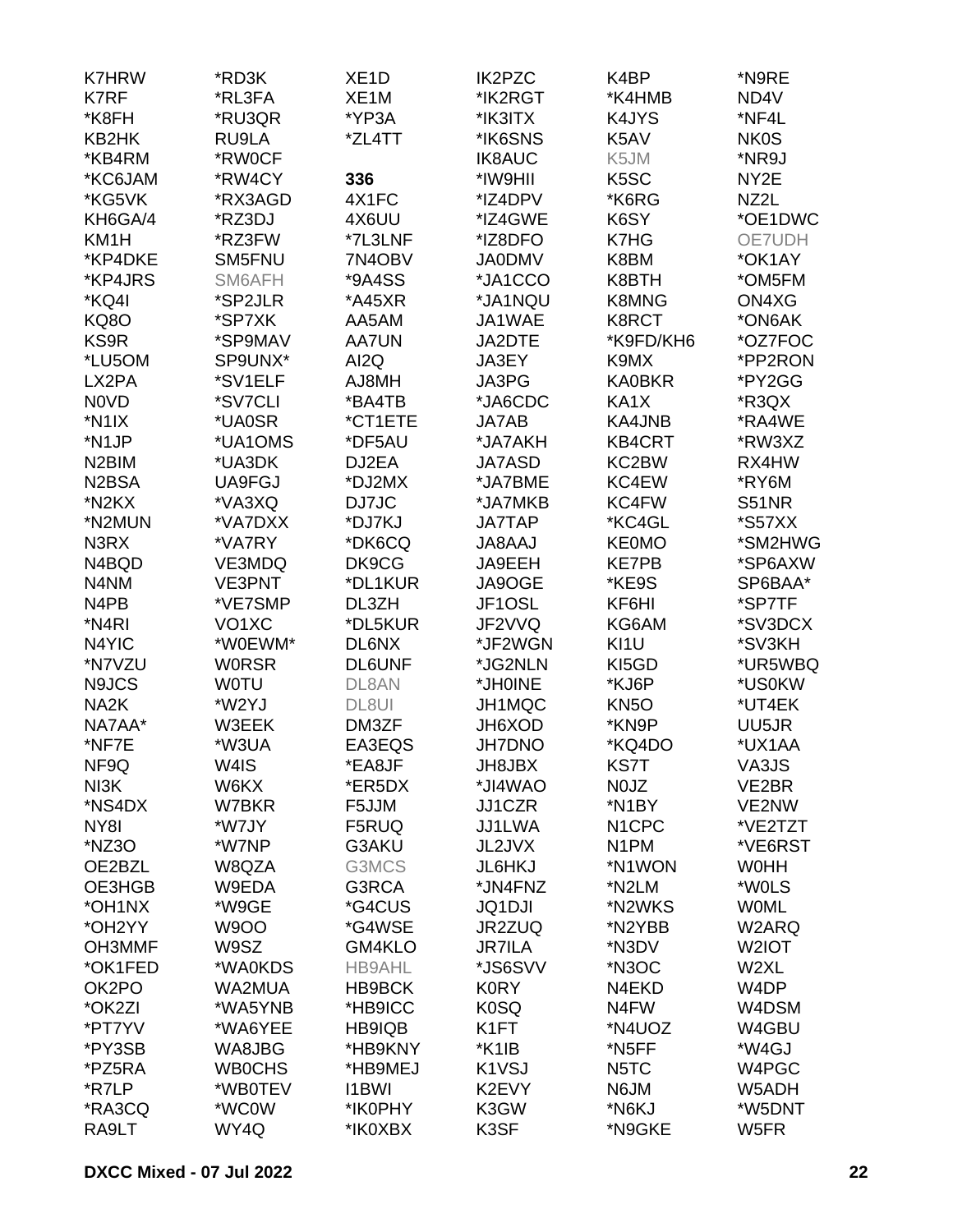| <b>K7HRW</b>                   | *RD3K              | XE <sub>1</sub> D | IK2PZC                         | K4BP               | *N9RE        |
|--------------------------------|--------------------|-------------------|--------------------------------|--------------------|--------------|
| K7RF                           | *RL3FA             | XE <sub>1</sub> M | *IK2RGT                        | *K4HMB             | ND4V         |
| *K8FH                          | *RU3QR             | *YP3A             | *IK3ITX                        | K4JYS              | *NF4L        |
| KB2HK                          | RU9LA              | *ZL4TT            | *IK6SNS                        | K5AV               | <b>NK0S</b>  |
| *KB4RM                         | *RW0CF             |                   | <b>IK8AUC</b>                  | K5JM               | *NR9J        |
| *KC6JAM                        | *RW4CY             | 336               | *IW9HII                        | K <sub>5</sub> SC  | NY2E         |
| *KG5VK                         | *RX3AGD            | 4X1FC             | *IZ4DPV                        | *K6RG              | NZ2L         |
| KH6GA/4                        | *RZ3DJ             | 4X6UU             | *IZ4GWE                        | K6SY               | *OE1DWC      |
| KM <sub>1</sub> H              | *RZ3FW             | *7L3LNF           | *IZ8DFO                        | K7HG               | OE7UDH       |
| *KP4DKE                        | SM5FNU             | 7N4OBV            | <b>JA0DMV</b>                  | K8BM               | *OK1AY       |
| *KP4JRS                        | SM6AFH             | *9A4SS            | *JA1CCO                        | K8BTH              | *OM5FM       |
| *KQ4I                          | *SP2JLR            | *A45XR            | *JA1NQU                        | <b>K8MNG</b>       | ON4XG        |
|                                |                    |                   |                                |                    | *ON6AK       |
| <b>KQ80</b>                    | *SP7XK             | AA5AM             | JA1WAE                         | K8RCT              |              |
| KS9R                           | *SP9MAV            | <b>AA7UN</b>      | JA2DTE                         | *K9FD/KH6          | *OZ7FOC      |
| *LU5OM                         | SP9UNX*            | AI2Q              | JA3EY                          | K9MX               | *PP2RON      |
| LX2PA                          | *SV1ELF            | AJ8MH             | JA3PG                          | <b>KA0BKR</b>      | *PY2GG       |
| N0VD                           | *SV7CLI            | *BA4TB            | *JA6CDC                        | KA1X               | *R3QX        |
| *N1IX                          | *UA0SR             | *CT1ETE           | JA7AB                          | KA4JNB             | *RA4WE       |
| *N1JP                          | *UA1OMS            | *DF5AU            | *JA7AKH                        | <b>KB4CRT</b>      | *RW3XZ       |
| N <sub>2</sub> BIM             | *UA3DK             | DJ2EA             | <b>JA7ASD</b>                  | KC2BW              | RX4HW        |
| N <sub>2</sub> B <sub>SA</sub> | UA9FGJ             | *DJ2MX            | *JA7BME                        | KC4EW              | *RY6M        |
| *N2KX                          | *VA3XQ             | DJ7JC             | *JA7MKB                        | KC4FW              | <b>S51NR</b> |
| *N2MUN                         | *VA7DXX            | *DJ7KJ            | <b>JA7TAP</b>                  | *KC4GL             | *S57XX       |
| N3RX                           | *VA7RY             | *DK6CQ            | <b>JA8AAJ</b>                  | <b>KE0MO</b>       | *SM2HWG      |
| N4BQD                          | VE3MDQ             | DK9CG             | JA9EEH                         | <b>KE7PB</b>       | *SP6AXW      |
| N4NM                           | <b>VE3PNT</b>      | *DL1KUR           | JA9OGE                         | *KE9S              | SP6BAA*      |
| N <sub>4</sub> PB              | *VE7SMP            | DL3ZH             | JF1OSL                         | KF6HI              | *SP7TF       |
| *N <sub>4</sub> RI             | VO <sub>1</sub> XC | *DL5KUR           | JF2VVQ                         | KG6AM              | *SV3DCX      |
| N4YIC                          | *W0EWM*            | DL6NX             | *JF2WGN                        | KI1U               | *SV3KH       |
| *N7VZU                         | <b>WORSR</b>       | <b>DL6UNF</b>     | *JG2NLN                        | KI5GD              | *UR5WBQ      |
| N9JCS                          | <b>WOTU</b>        | DL8AN             | *JH0INE                        | *KJ6P              | *US0KW       |
| NA <sub>2</sub> K              | *W2YJ              | DL8UI             | JH1MQC                         | KN <sub>50</sub>   | *UT4EK       |
| NA7AA*                         | W3EEK              | DM3ZF             | JH6XOD                         | *KN9P              | UU5JR        |
| *NF7E                          | *W3UA              | EA3EQS            | <b>JH7DNO</b>                  | *KQ4DO             | *UX1AA       |
| NF9Q                           | W4IS               | *EA8JF            | JH8JBX                         | <b>KS7T</b>        | VA3JS        |
| NI3K                           | W6KX               | *ER5DX            | *JI4WAO                        | N0JZ               | VE2BR        |
| *NS4DX                         | W7BKR              | F5JJM             | JJ1CZR                         | *N1BY              | VE2NW        |
| NY8I                           | *W7JY              | F5RUQ             | JJ1LWA                         | N <sub>1</sub> CPC | *VE2TZT      |
| *NZ3O                          | *W7NP              | G3AKU             | JL2JVX                         | N <sub>1</sub> PM  | *VE6RST      |
| OE2BZL                         | W8QZA              | G3MCS             | JL6HKJ                         | *N1WON             | <b>WOHH</b>  |
| OE3HGB                         | W9EDA              | G3RCA             | *JN4FNZ                        | *N2LM              | *W0LS        |
| *OH1NX                         | *W9GE              | *G4CUS            | <b>JQ1DJI</b>                  | *N2WKS             | <b>WOML</b>  |
| *OH2YY                         | <b>W9OO</b>        | *G4WSE            | JR2ZUQ                         | *N2YBB             | W2ARQ        |
| OH3MMF                         | W9SZ               | GM4KLO            | <b>JR7ILA</b>                  | *N3DV              | W2IOT        |
| *OK1FED                        | *WA0KDS            | <b>HB9AHL</b>     | *JS6SVV                        | *N3OC              | W2XL         |
| OK2PO                          | WA2MUA             | HB9BCK            | <b>K0RY</b>                    | N4EKD              | W4DP         |
|                                | *WA5YNB            |                   |                                | N4FW               | W4DSM        |
| *OK2ZI<br>*PT7YV               |                    | *HB9ICC           | <b>K0SQ</b><br>K1FT            | *N4UOZ             |              |
|                                | *WA6YEE            | HB9IQB            |                                |                    | W4GBU        |
| *PY3SB                         | WA8JBG             | *HB9KNY           | *K1IB                          | *N5FF              | *W4GJ        |
| *PZ5RA                         | <b>WB0CHS</b>      | *HB9MEJ           | K <sub>1</sub> V <sub>SJ</sub> | N <sub>5</sub> TC  | W4PGC        |
| *R7LP                          | *WB0TEV            | <b>I1BWI</b>      | K2EVY                          | N6JM               | W5ADH        |
| *RA3CQ                         | *WC0W              | *IK0PHY           | K3GW                           | *N6KJ              | *W5DNT       |
| RA9LT                          | WY4Q               | *IK0XBX           | K3SF                           | *N9GKE             | W5FR         |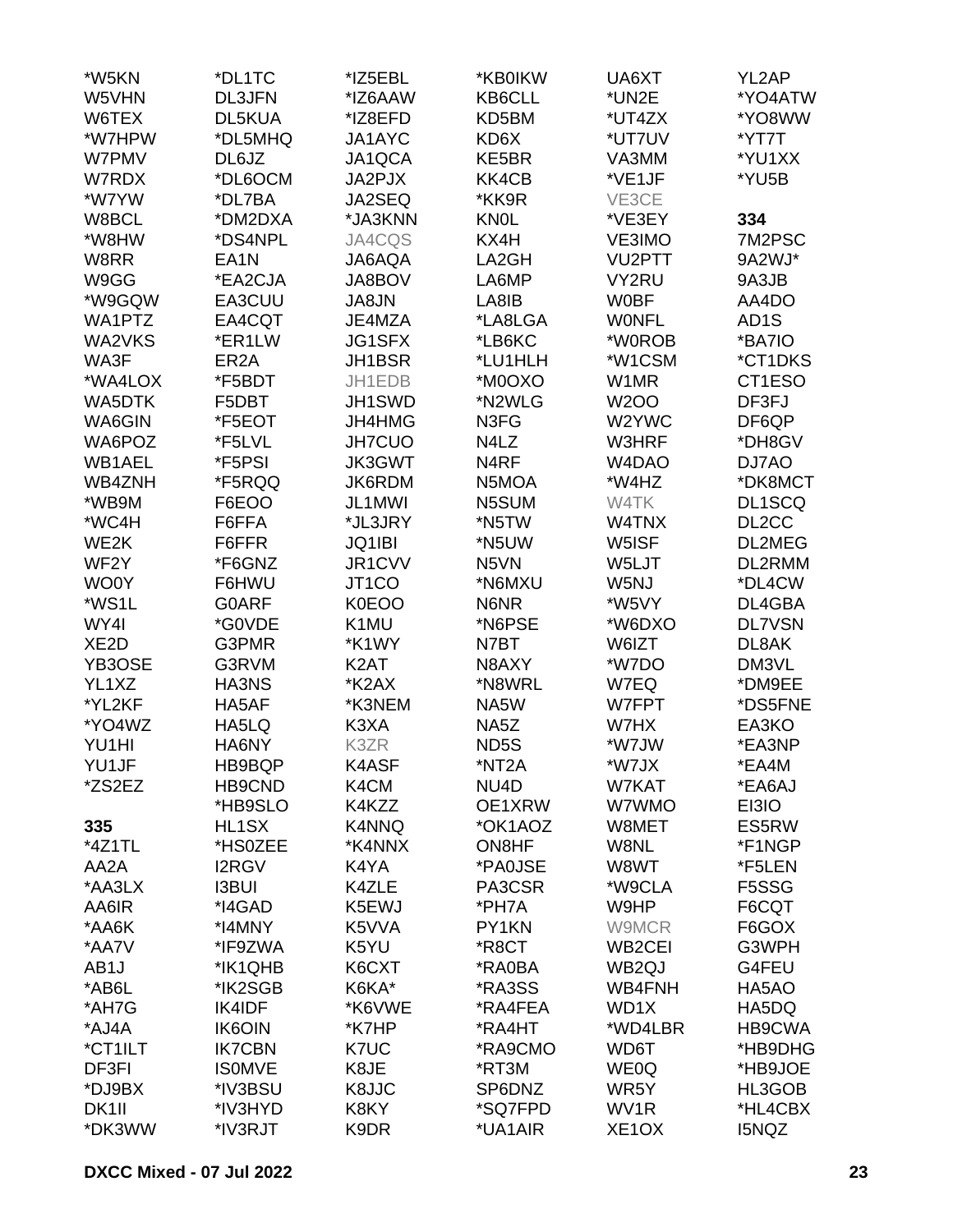| *W5KN             | *DL1TC            | *IZ5EBL            | *KB0IKW           | UA6XT               | YL2AP              |
|-------------------|-------------------|--------------------|-------------------|---------------------|--------------------|
| W5VHN             | <b>DL3JFN</b>     | *IZ6AAW            | KB6CLL            | *UN2E               | *YO4ATW            |
| W6TEX             | DL5KUA            | *IZ8EFD            | KD5BM             | *UT4ZX              | *YO8WW             |
| *W7HPW            | *DL5MHQ           | JA1AYC             | KD6X              | *UT7UV              | *YT7T              |
| W7PMV             | DL6JZ             | JA1QCA             | KE5BR             | VA3MM               | *YU1XX             |
| W7RDX             | *DL6OCM           | JA2PJX             | KK4CB             | *VE1JF              | *YU5B              |
| *W7YW             | *DL7BA            | JA2SEQ             | *KK9R             | VE3CE               |                    |
| W8BCL             | *DM2DXA           | *JA3KNN            | <b>KNOL</b>       | *VE3EY              | 334                |
| *W8HW             | *DS4NPL           | JA4CQS             | KX4H              | VE3IMO              | 7M2PSC             |
|                   | EA <sub>1</sub> N |                    | LA2GH             |                     | 9A2WJ*             |
| W8RR              |                   | JA6AQA             |                   | VU2PTT              |                    |
| W9GG              | *EA2CJA           | JA8BOV             | LA6MP             | VY2RU               | 9A3JB              |
| *W9GQW            | EA3CUU            | JA8JN              | LA8IB             | <b>WOBF</b>         | AA4DO              |
| WA1PTZ            | EA4CQT            | JE4MZA             | *LA8LGA           | <b>WONFL</b>        | AD <sub>1</sub> S  |
| WA2VKS            | *ER1LW            | <b>JG1SFX</b>      | *LB6KC            | *W0ROB              | *BA7IO             |
| WA3F              | ER <sub>2</sub> A | JH1BSR             | *LU1HLH           | *W1CSM              | *CT1DKS            |
| *WA4LOX           | *F5BDT            | JH1EDB             | *M0OXO            | W1MR                | CT1ESO             |
| WA5DTK            | F5DBT             | JH1SWD             | *N2WLG            | <b>W2OO</b>         | DF3FJ              |
| WA6GIN            | *F5EOT            | JH4HMG             | N3FG              | W2YWC               | DF6QP              |
| WA6POZ            | *F5LVL            | <b>JH7CUO</b>      | N4LZ              | W3HRF               | *DH8GV             |
| WB1AEL            | *F5PSI            | <b>JK3GWT</b>      | N <sub>4</sub> RF | W4DAO               | DJ7AO              |
| WB4ZNH            | *F5RQQ            | JK6RDM             | N5MOA             | *W4HZ               | *DK8MCT            |
| *WB9M             | F6EOO             | JL1MWI             | N5SUM             | W4TK                | DL1SCQ             |
| *WC4H             | F6FFA             | *JL3JRY            | *N5TW             | W4TNX               | DL <sub>2</sub> CC |
| WE2K              | F6FFR             | JQ1IBI             | *N5UW             | W5ISF               | DL2MEG             |
| WF <sub>2</sub> Y | *F6GNZ            | JR1CVV             | N <sub>5</sub> VN | W5LJT               | DL2RMM             |
| WO0Y              | F6HWU             | JT <sub>1</sub> CO | *N6MXU            | W5NJ                | *DL4CW             |
| *WS1L             | <b>G0ARF</b>      | <b>K0EOO</b>       | N6NR              | *W5VY               | DL4GBA             |
| WY4I              | *G0VDE            | K1MU               | *N6PSE            | *W6DXO              | <b>DL7VSN</b>      |
| XE <sub>2</sub> D | G3PMR             | *K1WY              | N7BT              | W6IZT               | DL8AK              |
| YB3OSE            | G3RVM             | K <sub>2</sub> AT  | N8AXY             | *W7DO               | DM3VL              |
| YL1XZ             | HA3NS             | *K2AX              | *N8WRL            | W7EQ                | *DM9EE             |
| *YL2KF            | HA5AF             | *K3NEM             | NA5W              | W7FPT               | *DS5FNE            |
| *YO4WZ            | HA5LQ             | K3XA               | NA5Z              | W7HX                | EA3KO              |
| YU1HI             | HA6NY             | K3ZR               | ND <sub>5</sub> S | *W7JW               | *EA3NP             |
| YU1JF             | HB9BQP            | K4ASF              | *NT2A             | *W7JX               | *EA4M              |
| *ZS2EZ            | HB9CND            | K4CM               | NU4D              | W7KAT               | *EA6AJ             |
|                   | *HB9SLO           | K4KZZ              | OE1XRW            | W7WMO               | EI3IO              |
|                   |                   |                    | *OK1AOZ           |                     |                    |
| 335               | HL1SX             | K4NNQ              |                   | W8MET               | ES5RW              |
| *4Z1TL            | *HS0ZEE           | *K4NNX             | ON8HF             | W8NL                | *F1NGP             |
| AA2A              | <b>I2RGV</b>      | K4YA               | *PA0JSE           | W8WT                | *F5LEN             |
| *AA3LX            | <b>I3BUI</b>      | K4ZLE              | PA3CSR            | *W9CLA              | F5SSG              |
| AA6IR             | *I4GAD            | K5EWJ              | *PH7A             | W9HP                | F6CQT              |
| *AA6K             | *I4MNY            | K5VVA              | PY1KN             | W9MCR               | F6GOX              |
| *AA7V             | *IF9ZWA           | K5YU               | *R8CT             | WB <sub>2</sub> CEI | G3WPH              |
| AB <sub>1</sub> J | *IK1QHB           | K6CXT              | *RA0BA            | WB <sub>2Q</sub> J  | G4FEU              |
| *AB6L             | *IK2SGB           | K6KA*              | *RA3SS            | WB4FNH              | HA5AO              |
| *AH7G             | IK4IDF            | *K6VWE             | *RA4FEA           | WD1X                | HA5DQ              |
| *AJ4A             | <b>IK6OIN</b>     | *K7HP              | *RA4HT            | *WD4LBR             | HB9CWA             |
| *CT1ILT           | <b>IK7CBN</b>     | K7UC               | *RA9CMO           | WD6T                | *HB9DHG            |
| DF3FI             | <b>ISOMVE</b>     | K8JE               | *RT3M             | <b>WE0Q</b>         | *HB9JOE            |
| *DJ9BX            | *IV3BSU           | K8JJC              | SP6DNZ            | WR5Y                | HL3GOB             |
| DK1II             | *IV3HYD           | K8KY               | *SQ7FPD           | WV1R                | *HL4CBX            |
| *DK3WW            | *IV3RJT           | K9DR               | *UA1AIR           | XE <sub>1</sub> OX  | I5NQZ              |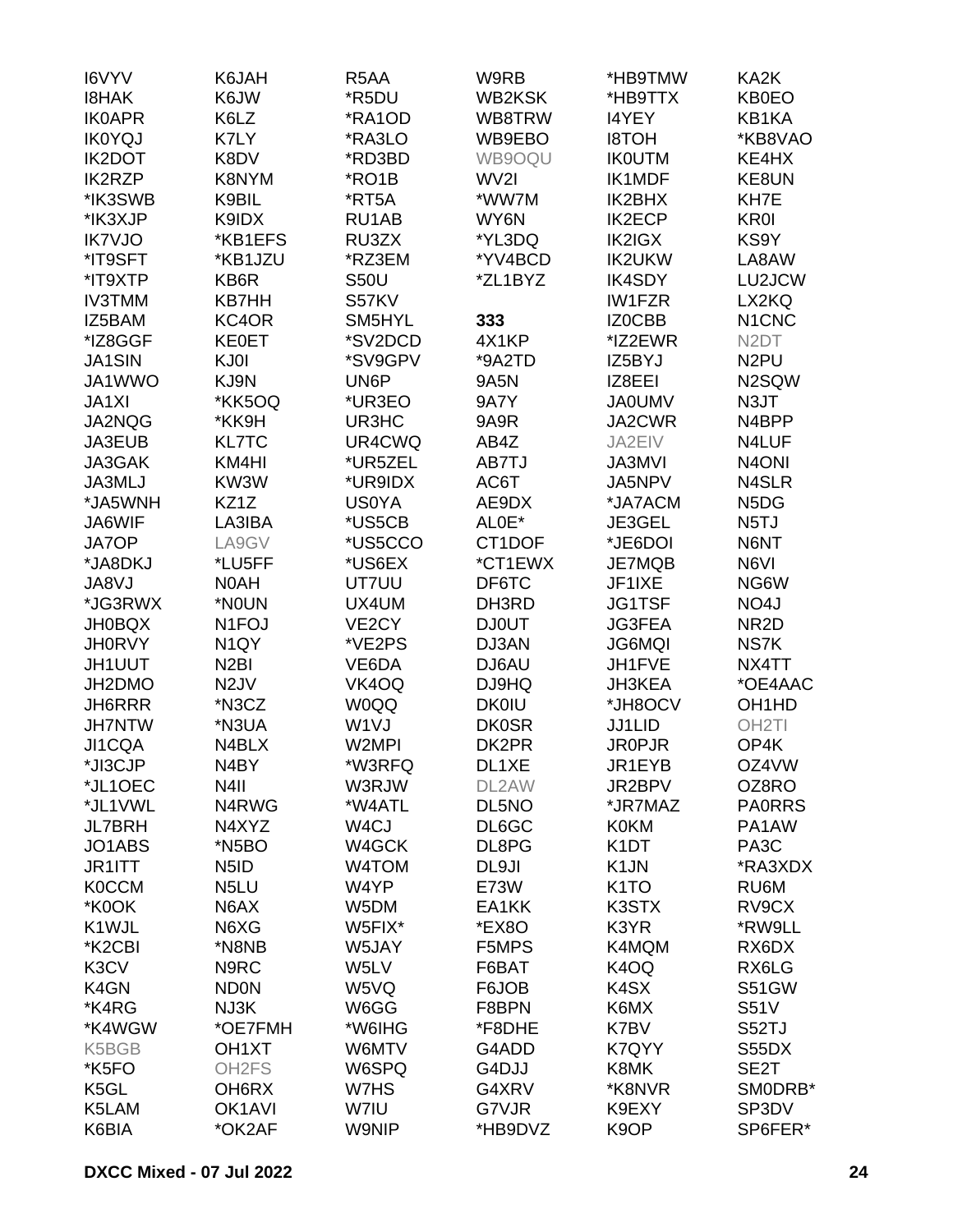| I6VYV                           | K6JAH                         | R <sub>5</sub> AA  | W9RB          | *HB9TMW           | KA2K                           |
|---------------------------------|-------------------------------|--------------------|---------------|-------------------|--------------------------------|
| <b>I8HAK</b>                    | K6JW                          | *R5DU              | <b>WB2KSK</b> | *HB9TTX           | <b>KB0EO</b>                   |
| <b>IK0APR</b>                   | K6LZ                          | *RA1OD             | WB8TRW        | <b>I4YEY</b>      | KB1KA                          |
| <b>IK0YQJ</b>                   | K7LY                          | *RA3LO             | WB9EBO        | <b>I8TOH</b>      | *KB8VAO                        |
| <b>IK2DOT</b>                   | K8DV                          | *RD3BD             | WB9OQU        | <b>IK0UTM</b>     | KE4HX                          |
| <b>IK2RZP</b>                   | K8NYM                         | *RO1B              | WV2I          | IK1MDF            | KE8UN                          |
| *IK3SWB                         | K9BIL                         | *RT5A              | *WW7M         | IK2BHX            | KH7E                           |
| *IK3XJP                         | K9IDX                         | RU1AB              | WY6N          | <b>IK2ECP</b>     | KR0I                           |
| <b>IK7VJO</b>                   | *KB1EFS                       | RU3ZX              | *YL3DQ        | <b>IK2IGX</b>     | KS9Y                           |
| *IT9SFT                         | *KB1JZU                       | *RZ3EM             | *YV4BCD       | <b>IK2UKW</b>     | LA8AW                          |
| *IT9XTP                         | KB6R                          | <b>S50U</b>        | *ZL1BYZ       | <b>IK4SDY</b>     | LU2JCW                         |
| <b>IV3TMM</b>                   | <b>KB7HH</b>                  | S57KV              |               | <b>IW1FZR</b>     | LX2KQ                          |
| IZ5BAM                          | KC4OR                         | SM5HYL             | 333           | IZ0CBB            | N <sub>1</sub> C <sub>NC</sub> |
| *IZ8GGF                         | <b>KE0ET</b>                  | *SV2DCD            | 4X1KP         | *IZ2EWR           | N <sub>2</sub> DT              |
|                                 |                               |                    |               |                   |                                |
| <b>JA1SIN</b>                   | KJ0I                          | *SV9GPV            | *9A2TD        | IZ5BYJ            | N <sub>2</sub> PU              |
| JA1WWO                          | KJ9N                          | UN6P               | 9A5N          | IZ8EEI            | N2SQW                          |
| JA1XI                           | *KK5OQ                        | *UR3EO             | <b>9A7Y</b>   | <b>JA0UMV</b>     | N <sub>3</sub> JT              |
| JA2NQG                          | *KK9H                         | UR3HC              | 9A9R          | JA2CWR            | N4BPP                          |
| JA3EUB                          | <b>KL7TC</b>                  | UR4CWQ             | AB4Z          | JA2EIV            | N4LUF                          |
| JA3GAK                          | KM4HI                         | *UR5ZEL            | AB7TJ         | <b>JA3MVI</b>     | N <sub>4</sub> ON <sub>I</sub> |
| JA3MLJ                          | KW3W                          | *UR9IDX            | AC6T          | JA5NPV            | N4SLR                          |
| *JA5WNH                         | KZ1Z                          | <b>US0YA</b>       | AE9DX         | *JA7ACM           | N <sub>5</sub> D <sub>G</sub>  |
| JA6WIF                          | LA3IBA                        | *US5CB             | ALOE*         | JE3GEL            | N <sub>5</sub> TJ              |
| JA7OP                           | LA9GV                         | *US5CCO            | CT1DOF        | *JE6DOI           | N6NT                           |
| *JA8DKJ                         | *LU5FF                        | *US6EX             | *CT1EWX       | JE7MQB            | N6VI                           |
| JA8VJ                           | N0AH                          | UT7UU              | DF6TC         | JF1IXE            | NG6W                           |
| *JG3RWX                         | *NOUN                         | UX4UM              | DH3RD         | <b>JG1TSF</b>     | NO4J                           |
| <b>JH0BQX</b>                   | N <sub>1</sub> FOJ            | VE <sub>2</sub> CY | <b>DJ0UT</b>  | <b>JG3FEA</b>     | NR <sub>2</sub> D              |
| <b>JH0RVY</b>                   | N <sub>1</sub> QY             | *VE2PS             | DJ3AN         | <b>JG6MQI</b>     | NS7K                           |
| <b>JH1UUT</b>                   | N <sub>2</sub> BI             | VE6DA              | DJ6AU         | JH1FVE            | NX4TT                          |
| JH2DMO                          | N <sub>2</sub> JV             | VK4OQ              | DJ9HQ         | JH3KEA            | *OE4AAC                        |
| JH6RRR                          | *N3CZ                         | <b>W0QQ</b>        | <b>DK0IU</b>  | *JH8OCV           | OH <sub>1</sub> H <sub>D</sub> |
| <b>JH7NTW</b>                   | *N3UA                         | W <sub>1</sub> VJ  | <b>DK0SR</b>  | JJ1LID            | OH <sub>2</sub> TI             |
| JI1CQA                          | N4BLX                         | W2MPI              | DK2PR         | <b>JR0PJR</b>     | OP4K                           |
| *JI3CJP                         | N <sub>4</sub> BY             | *W3RFQ             | DL1XE         | JR1EYB            | OZ4VW                          |
| *JL1OEC                         | N4II                          | W3RJW              | DL2AW         | JR2BPV            | OZ8RO                          |
| *JL1VWL                         | N4RWG                         | *W4ATL             | DL5NO         | *JR7MAZ           | <b>PA0RRS</b>                  |
| <b>JL7BRH</b>                   | N4XYZ                         | W <sub>4</sub> CJ  | DL6GC         | <b>K0KM</b>       | PA1AW                          |
| JO1ABS                          | *N5BO                         | W4GCK              | DL8PG         | K <sub>1</sub> DT | PA <sub>3</sub> C              |
| JR1ITT                          | N <sub>5</sub> I <sub>D</sub> | W4TOM              | DL9JI         | K <sub>1</sub> JN | *RA3XDX                        |
| <b>K0CCM</b>                    | N <sub>5</sub> LU             | W4YP               | E73W          | K <sub>1</sub> TO | RU6M                           |
| *K0OK                           | N6AX                          | W5DM               | EA1KK         | K3STX             | RV9CX                          |
| K1WJL                           | N6XG                          | W5FIX*             | *EX8O         | K3YR              | *RW9LL                         |
| *K <sub>2</sub> C <sub>BI</sub> | *N8NB                         | W5JAY              | F5MPS         | K4MQM             | RX6DX                          |
| K3CV                            | N9RC                          | W5LV               | F6BAT         | K4OQ              | RX6LG                          |
| K4GN                            | <b>ND0N</b>                   | W5VQ               | F6JOB         | K4SX              | S51GW                          |
| *K4RG                           | NJ3K                          | W6GG               | F8BPN         | K6MX              | <b>S51V</b>                    |
| *K4WGW                          | *OE7FMH                       | *W6IHG             | *F8DHE        | K7BV              | S52TJ                          |
| K5BGB                           | OH <sub>1</sub> XT            | W6MTV              | G4ADD         | K7QYY             | S55DX                          |
| *K5FO                           | OH <sub>2</sub> FS            | W6SPQ              | G4DJJ         | K8MK              | SE <sub>2</sub> T              |
| K5GL                            | OH6RX                         | W7HS               | G4XRV         | *K8NVR            | SMODRB*                        |
| K5LAM                           | OK <sub>1</sub> AVI           | W7IU               | G7VJR         | K9EXY             | SP3DV                          |
| K6BIA                           | *OK2AF                        | <b>W9NIP</b>       | *HB9DVZ       | K <sub>9</sub> OP | SP6FER*                        |
|                                 |                               |                    |               |                   |                                |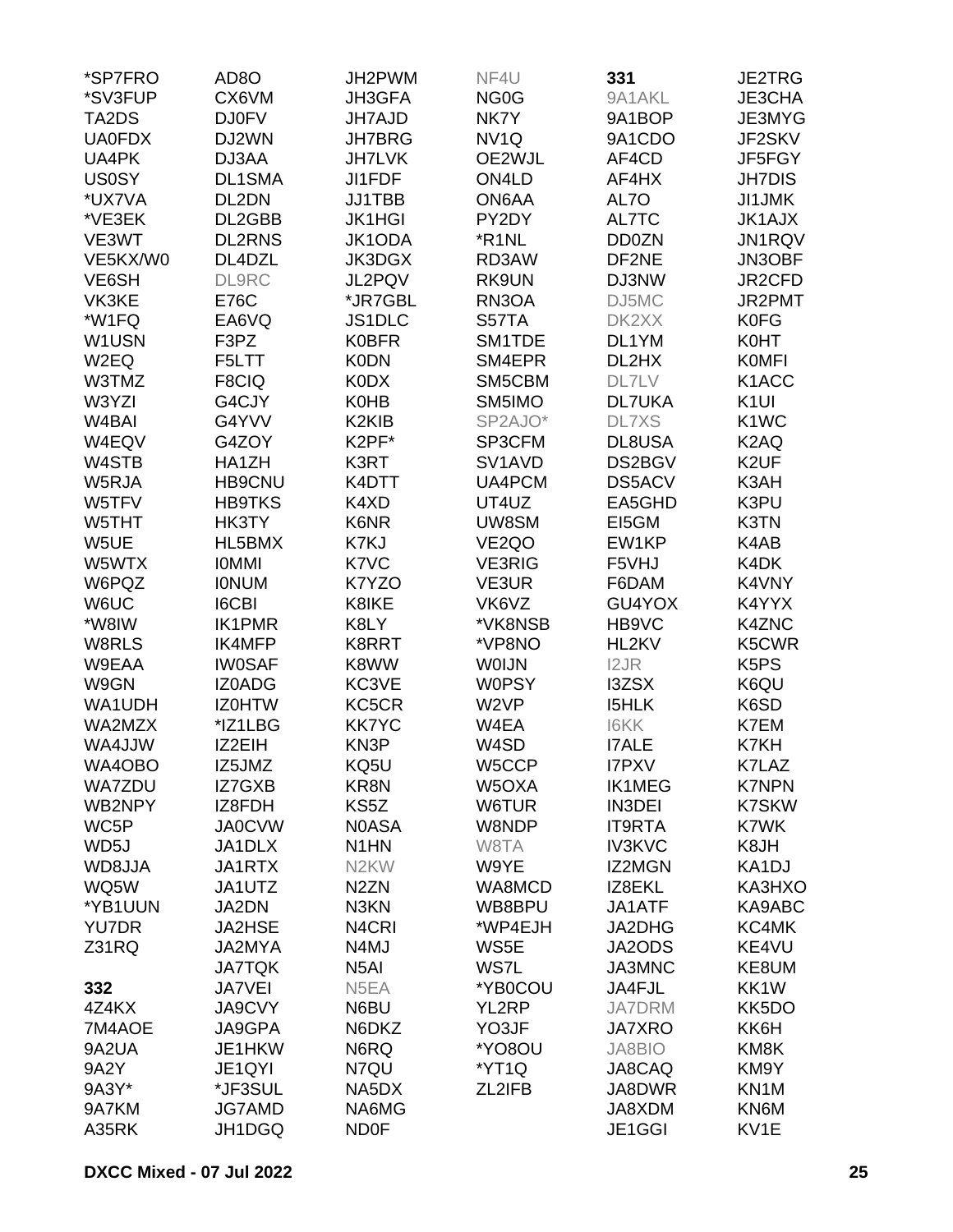| *SP7FRO            | AD <sub>8</sub> O | JH2PWM                         | NF4U                            | 331           | JE2TRG                        |
|--------------------|-------------------|--------------------------------|---------------------------------|---------------|-------------------------------|
| *SV3FUP            | CX6VM             | JH3GFA                         | NG <sub>0</sub> G               | 9A1AKL        | JE3CHA                        |
| TA2DS              | <b>DJ0FV</b>      | <b>JH7AJD</b>                  | NK7Y                            | 9A1BOP        | JE3MYG                        |
| <b>UA0FDX</b>      | DJ2WN             | <b>JH7BRG</b>                  | NV <sub>1</sub> Q               | 9A1CDO        | JF2SKV                        |
| UA4PK              | DJ3AA             | <b>JH7LVK</b>                  | OE2WJL                          | AF4CD         | JF5FGY                        |
| <b>US0SY</b>       | DL1SMA            | JI1FDF                         | ON4LD                           | AF4HX         | <b>JH7DIS</b>                 |
| *UX7VA             | DL2DN             | JJ1TBB                         | ON6AA                           | AL7O          | <b>JI1JMK</b>                 |
| *VE3EK             | DL2GBB            | <b>JK1HGI</b>                  | PY2DY                           | AL7TC         | <b>JK1AJX</b>                 |
| VE3WT              | <b>DL2RNS</b>     | JK1ODA                         | *R1NL                           | DD0ZN         | JN1RQV                        |
| VE5KX/W0           | DL4DZL            | JK3DGX                         | RD3AW                           | DF2NE         | JN3OBF                        |
| VE6SH              | DL9RC             | JL2PQV                         | RK9UN                           | DJ3NW         | JR2CFD                        |
| VK3KE              | <b>E76C</b>       | *JR7GBL                        | RN3OA                           | DJ5MC         | JR2PMT                        |
| *W1FQ              | EA6VQ             | <b>JS1DLC</b>                  | S57TA                           | DK2XX         | <b>K0FG</b>                   |
|                    |                   |                                |                                 |               |                               |
| W1USN              | F3PZ              | <b>K0BFR</b>                   | SM1TDE                          | DL1YM         | K0HT                          |
| W2EQ               | F5LTT             | <b>K0DN</b>                    | SM4EPR                          | DL2HX         | <b>KOMFI</b>                  |
| W3TMZ              | F8CIQ             | <b>K0DX</b>                    | SM5CBM                          | <b>DL7LV</b>  | K1ACC                         |
| W3YZI              | G4CJY             | <b>K0HB</b>                    | SM5IMO                          | <b>DL7UKA</b> | K <sub>1UI</sub>              |
| W <sub>4</sub> BAI | G4YVV             | K <sub>2</sub> KI <sub>B</sub> | SP2AJO*                         | <b>DL7XS</b>  | K <sub>1</sub> W <sub>C</sub> |
| W4EQV              | G4ZOY             | K2PF*                          | SP3CFM                          | DL8USA        | K <sub>2</sub> AQ             |
| W4STB              | HA1ZH             | K3RT                           | SV <sub>1</sub> AV <sub>D</sub> | DS2BGV        | K <sub>2</sub> UF             |
| W5RJA              | <b>HB9CNU</b>     | K4DTT                          | UA4PCM                          | DS5ACV        | K3AH                          |
| W5TFV              | <b>HB9TKS</b>     | K4XD                           | UT4UZ                           | EA5GHD        | K3PU                          |
| W5THT              | HK3TY             | K6NR                           | UW8SM                           | EI5GM         | K3TN                          |
| W5UE               | HL5BMX            | K7KJ                           | VE <sub>2</sub> QO              | EW1KP         | K4AB                          |
| W5WTX              | <b>IOMMI</b>      | K7VC                           | <b>VE3RIG</b>                   | F5VHJ         | K4DK                          |
| W6PQZ              | <b>IONUM</b>      | K7YZO                          | VE3UR                           | F6DAM         | K4VNY                         |
| W6UC               | <b>I6CBI</b>      | K8IKE                          | VK6VZ                           | GU4YOX        | K4YYX                         |
| *W8IW              | <b>IK1PMR</b>     | K8LY                           | *VK8NSB                         | HB9VC         | <b>K4ZNC</b>                  |
| W8RLS              | IK4MFP            | K8RRT                          | *VP8NO                          | HL2KV         | K5CWR                         |
| W9EAA              | <b>IW0SAF</b>     | K8WW                           | <b>WOIJN</b>                    | I2JR          | K <sub>5</sub> P <sub>S</sub> |
| W9GN               | IZ0ADG            | KC3VE                          | <b>W0PSY</b>                    | <b>I3ZSX</b>  | K6QU                          |
| WA1UDH             | <b>IZOHTW</b>     | KC5CR                          | W <sub>2VP</sub>                | <b>I5HLK</b>  | K6SD                          |
| WA2MZX             | *IZ1LBG           | <b>KK7YC</b>                   | W4EA                            | <b>I6KK</b>   | K7EM                          |
| WA4JJW             | IZ2EIH            | KN3P                           | W4SD                            | <b>I7ALE</b>  | K7KH                          |
| WA4OBO             | IZ5JMZ            | KQ5U                           | W5CCP                           | <b>I7PXV</b>  | K7LAZ                         |
| <b>WA7ZDU</b>      | IZ7GXB            | KR8N                           | W5OXA                           | <b>IK1MEG</b> | <b>K7NPN</b>                  |
| WB2NPY             | IZ8FDH            | KS5Z                           | W6TUR                           | <b>IN3DEI</b> | <b>K7SKW</b>                  |
| WC5P               | <b>JA0CVW</b>     | <b>NOASA</b>                   | W8NDP                           | <b>IT9RTA</b> | K7WK                          |
| WD5J               | JA1DLX            | N <sub>1</sub> HN              | W8TA                            | <b>IV3KVC</b> | K8JH                          |
| WD8JJA             | JA1RTX            | N <sub>2</sub> KW              | W9YE                            | IZ2MGN        | KA1DJ                         |
| WQ5W               | JA1UTZ            | N <sub>2</sub> ZN              | WA8MCD                          | IZ8EKL        | KA3HXO                        |
| *YB1UUN            | JA2DN             | N3KN                           | WB8BPU                          | JA1ATF        | KA9ABC                        |
| <b>YU7DR</b>       | <b>JA2HSE</b>     | N <sub>4</sub> CRI             | *WP4EJH                         | JA2DHG        | KC4MK                         |
| Z31RQ              | JA2MYA            | N4MJ                           | WS5E                            | JA2ODS        | KE4VU                         |
|                    | <b>JA7TQK</b>     | N <sub>5</sub> AI              | WS7L                            | JA3MNC        | KE8UM                         |
|                    |                   |                                |                                 |               |                               |
| 332                | <b>JA7VEI</b>     | N5EA                           | *YB0COU                         | JA4FJL        | KK1W                          |
| 4Z4KX              | JA9CVY            | N6BU                           | YL2RP                           | <b>JA7DRM</b> | KK5DO                         |
| 7M4AOE             | JA9GPA            | N6DKZ                          | YO3JF                           | <b>JA7XRO</b> | KK6H                          |
| 9A2UA              | JE1HKW            | N6RQ                           | *YO8OU                          | <b>JA8BIO</b> | KM8K                          |
| <b>9A2Y</b>        | JE1QYI            | N7QU                           | *YT1Q                           | JA8CAQ        | KM9Y                          |
| 9A3Y*              | *JF3SUL           | NA5DX                          | ZL2IFB                          | JA8DWR        | KN1M                          |
| 9A7KM              | <b>JG7AMD</b>     | NA6MG                          |                                 | JA8XDM        | KN6M                          |
| A35RK              | JH1DGQ            | <b>ND0F</b>                    |                                 | JE1GGI        | KV1E                          |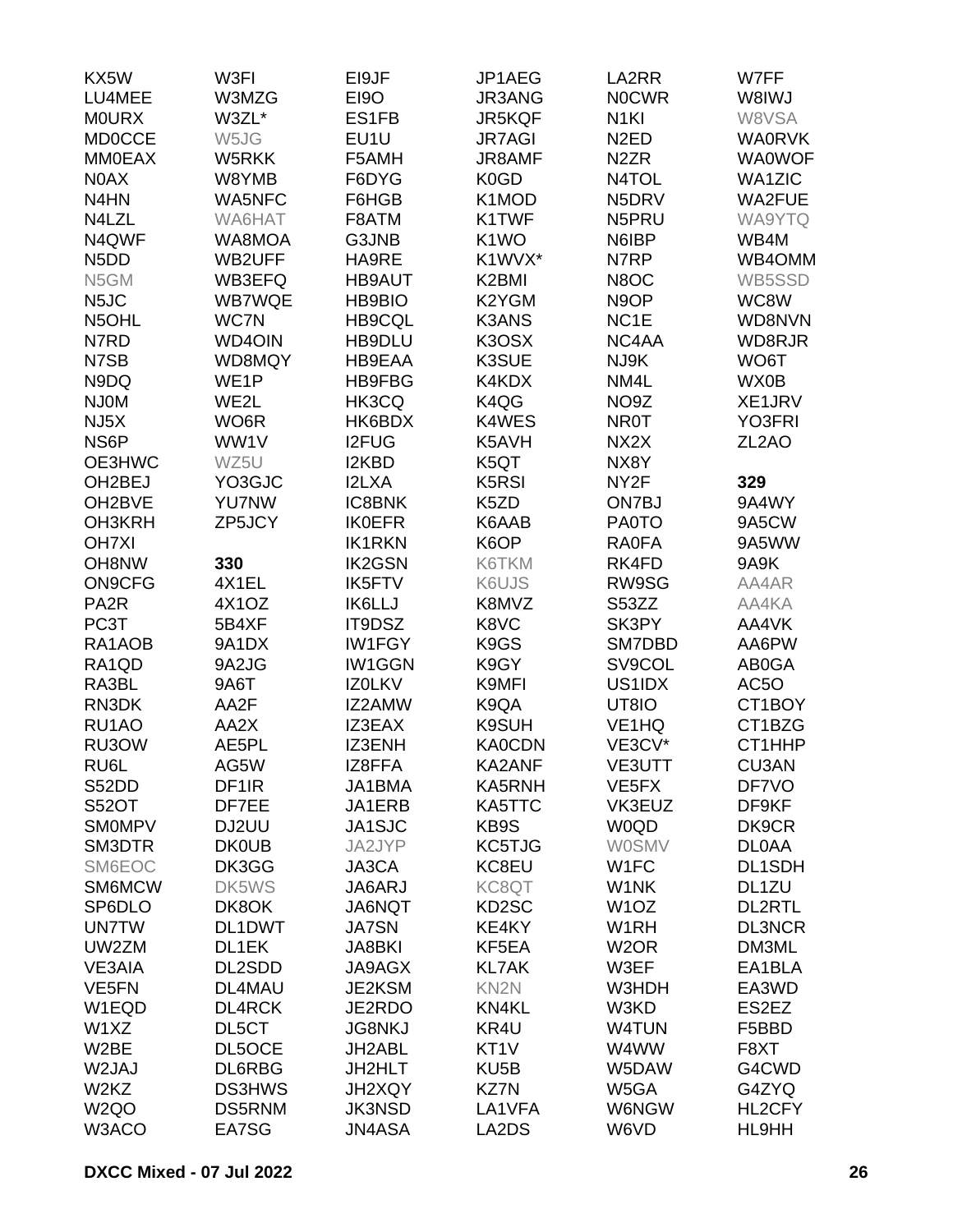| KX5W                          | W3FI              | EI9JF                          | JP1AEG                         | LA2RR              | W7FF               |
|-------------------------------|-------------------|--------------------------------|--------------------------------|--------------------|--------------------|
| LU4MEE                        | W3MZG             | <b>EI9O</b>                    | <b>JR3ANG</b>                  | <b>NOCWR</b>       | W8IWJ              |
| <b>MOURX</b>                  | W3ZL*             | ES1FB                          | <b>JR5KQF</b>                  | N <sub>1KI</sub>   | W8VSA              |
| <b>MD0CCE</b>                 | W5JG              | EU1U                           | <b>JR7AGI</b>                  | N <sub>2</sub> ED  | <b>WA0RVK</b>      |
| <b>MM0EAX</b>                 | W5RKK             | F5AMH                          | JR8AMF                         | N <sub>2</sub> ZR  | <b>WA0WOF</b>      |
| N0AX                          | W8YMB             | F6DYG                          | K <sub>0</sub> GD              | N4TOL              | <b>WA1ZIC</b>      |
| N <sub>4</sub> HN             | <b>WA5NFC</b>     | F6HGB                          | K1MOD                          | N5DRV              | <b>WA2FUE</b>      |
| N4LZL                         | WA6HAT            | F8ATM                          | K1TWF                          | N5PRU              | WA9YTQ             |
| N4QWF                         | WA8MOA            | G3JNB                          | K <sub>1</sub> WO              | N6IBP              | WB4M               |
| N <sub>5</sub> D <sub>D</sub> | WB2UFF            | HA9RE                          | K1WVX*                         | N7RP               | WB4OMM             |
| N5GM                          | WB3EFQ            | <b>HB9AUT</b>                  | K2BMI                          | N8OC               | WB5SSD             |
| N <sub>5</sub> JC             | <b>WB7WQE</b>     | <b>HB9BIO</b>                  | K2YGM                          | N <sub>9</sub> OP  | WC8W               |
| N5OHL                         | WC7N              | <b>HB9CQL</b>                  | <b>K3ANS</b>                   | NC <sub>1</sub> E  | WD8NVN             |
| N7RD                          | <b>WD4OIN</b>     | HB9DLU                         | K3OSX                          | NC4AA              | WD8RJR             |
| N7SB                          | WD8MQY            | <b>HB9EAA</b>                  | K3SUE                          | NJ9K               | WO6T               |
| N9DQ                          | WE <sub>1</sub> P | <b>HB9FBG</b>                  | K4KDX                          | NM4L               | WX0B               |
| <b>NJ0M</b>                   | WE2L              | HK3CQ                          | K4QG                           | NO9Z               | XE1JRV             |
| NJ <sub>5</sub> X             | WO6R              | HK6BDX                         | K4WES                          | <b>NR0T</b>        | YO3FRI             |
| NS6P                          | WW1V              | <b>I2FUG</b>                   | K5AVH                          | NX2X               | ZL <sub>2</sub> AO |
| OE3HWC                        | WZ5U              | I2KBD                          | K5QT                           | NX8Y               |                    |
| OH <sub>2</sub> BEJ           | YO3GJC            | I2LXA                          | K <sub>5</sub> R <sub>SI</sub> | NY <sub>2</sub> F  | 329                |
| OH <sub>2</sub> BVE           | <b>YU7NW</b>      | <b>IC8BNK</b>                  | K <sub>5</sub> ZD              | ON7BJ              | 9A4WY              |
| OH3KRH                        |                   |                                | K6AAB                          |                    |                    |
|                               | ZP5JCY            | <b>IK0EFR</b>                  | K6OP                           | <b>PA0TO</b>       | 9A5CW<br>9A5WW     |
| <b>OH7XI</b>                  |                   | <b>IK1RKN</b>                  |                                | <b>RA0FA</b>       |                    |
| OH8NW                         | 330<br>4X1EL      | <b>IK2GSN</b>                  | K6TKM                          | RK4FD              | 9A9K               |
| <b>ON9CFG</b>                 |                   | <b>IK5FTV</b><br><b>IK6LLJ</b> | K6UJS                          | RW9SG              | AA4AR              |
| PA <sub>2</sub> R             | 4X10Z             |                                | K8MVZ                          | S53ZZ              | AA4KA              |
| PC3T                          | 5B4XF             | IT9DSZ                         | K8VC                           | SK3PY              | AA4VK              |
| RA1AOB                        | 9A1DX             | <b>IW1FGY</b>                  | K <sub>9</sub> GS              | SM7DBD             | AA6PW              |
| RA1QD                         | 9A2JG             | <b>IW1GGN</b>                  | K9GY                           | SV9COL             | AB0GA              |
| RA3BL                         | 9A6T              | IZ0LKV                         | K9MFI                          | US1IDX             | AC5O               |
| RN3DK                         | AA2F              | IZ2AMW                         | K9QA                           | UT8IO              | CT1BOY             |
| RU1AO                         | AA2X              | IZ3EAX                         | K9SUH                          | VE <sub>1</sub> HQ | CT1BZG             |
| RU3OW                         | AE5PL             | <b>IZ3ENH</b>                  | <b>KA0CDN</b>                  | VE3CV*             | CT1HHP             |
| RU6L                          | AG5W              | IZ8FFA                         | KA2ANF                         | VE3UTT             | CU3AN              |
| S52DD                         | DF <sub>1</sub> R | JA1BMA                         | <b>KA5RNH</b>                  | VE5FX              | DF7VO              |
| <b>S52OT</b>                  | DF7EE             | JA1ERB                         | KA5TTC                         | VK3EUZ             | DF9KF              |
| <b>SMOMPV</b>                 | DJ2UU             | JA1SJC                         | KB9S                           | <b>W0QD</b>        | DK9CR              |
| SM3DTR                        | <b>DK0UB</b>      | JA2JYP                         | KC5TJG                         | <b>W0SMV</b>       | <b>DLOAA</b>       |
| SM6EOC                        | DK3GG             | JA3CA                          | KC8EU                          | W <sub>1</sub> FC  | <b>DL1SDH</b>      |
| SM6MCW                        | DK5WS             | JA6ARJ                         | KC8QT                          | W1NK               | DL1ZU              |
| SP6DLO                        | DK8OK             | <b>JA6NQT</b>                  | KD <sub>2</sub> SC             | W <sub>1</sub> OZ  | <b>DL2RTL</b>      |
| <b>UN7TW</b>                  | DL1DWT            | <b>JA7SN</b>                   | KE4KY                          | W <sub>1</sub> RH  | <b>DL3NCR</b>      |
| UW2ZM                         | DL1EK             | <b>JA8BKI</b>                  | KF5EA                          | W <sub>2</sub> OR  | DM3ML              |
| <b>VE3AIA</b>                 | DL2SDD            | <b>JA9AGX</b>                  | <b>KL7AK</b>                   | W3EF               | EA1BLA             |
| VE5FN                         | DL4MAU            | JE2KSM                         | KN <sub>2N</sub>               | W3HDH              | EA3WD              |
| W1EQD                         | <b>DL4RCK</b>     | JE2RDO                         | KN4KL                          | W3KD               | ES2EZ              |
| W1XZ                          | DL5CT             | <b>JG8NKJ</b>                  | KR4U                           | W4TUN              | F5BBD              |
| W2BE                          | DL5OCE            | JH2ABL                         | KT <sub>1</sub> V              | W4WW               | F8XT               |
| W2JAJ                         | DL6RBG            | JH2HLT                         | KU <sub>5</sub> B              | W5DAW              | G4CWD              |
| W2KZ                          | <b>DS3HWS</b>     | JH2XQY                         | KZ7N                           | W5GA               | G4ZYQ              |
| W <sub>2Q</sub> O             | DS5RNM            | <b>JK3NSD</b>                  | LA1VFA                         | <b>W6NGW</b>       | HL2CFY             |
| W3ACO                         | EA7SG             | <b>JN4ASA</b>                  | LA2DS                          | W6VD               | HL9HH              |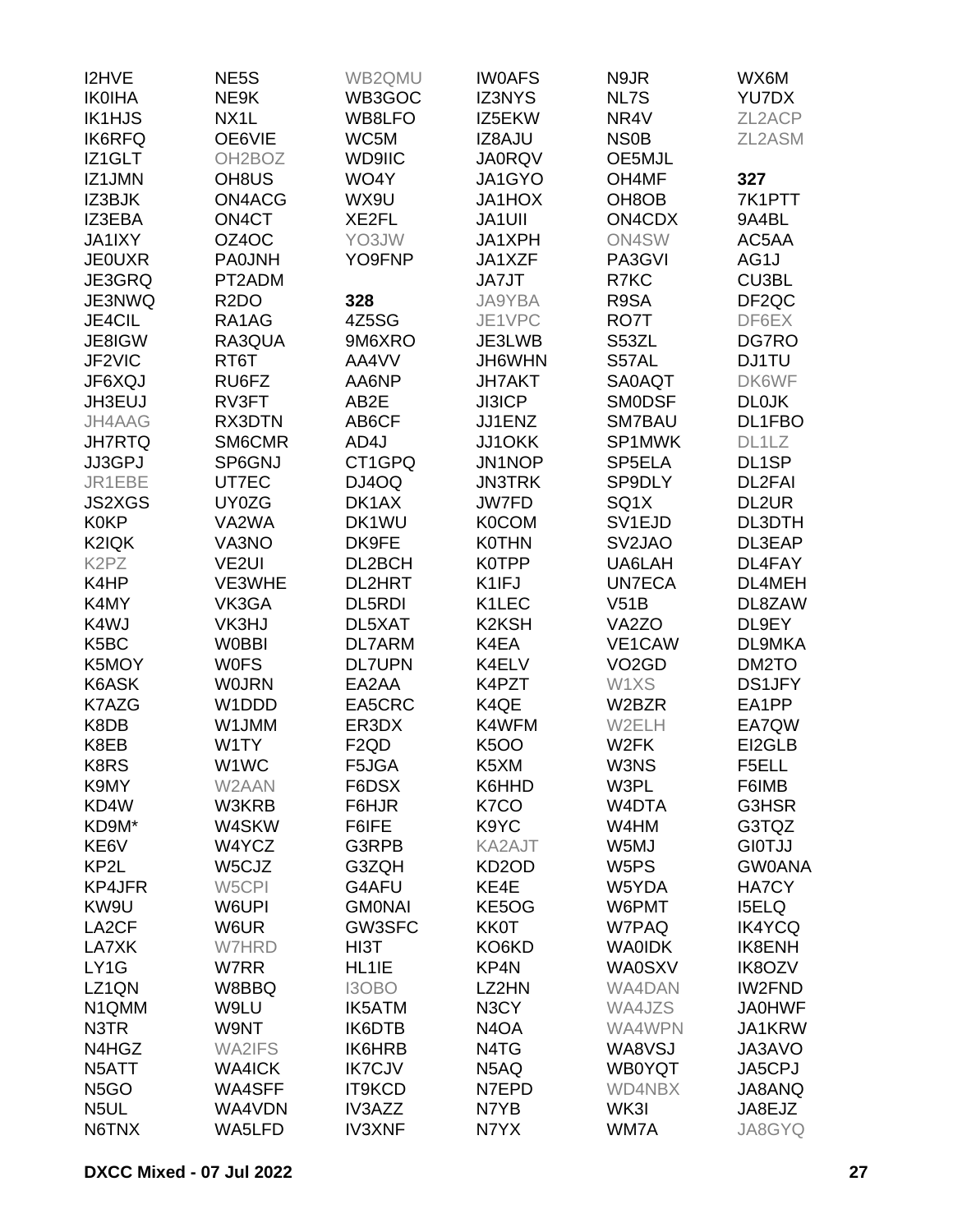| I2HVE                         | NE5S                | WB2QMU           | <b>IWOAFS</b>                  | N9JR                | WX6M              |
|-------------------------------|---------------------|------------------|--------------------------------|---------------------|-------------------|
| <b>IK0IHA</b>                 | NE9K                | WB3GOC           | <b>IZ3NYS</b>                  | NL7S                | YU7DX             |
| <b>IK1HJS</b>                 | NX <sub>1</sub> L   | WB8LFO           | IZ5EKW                         | NR <sub>4V</sub>    | ZL2ACP            |
| <b>IK6RFQ</b>                 | OE6VIE              | WC5M             | IZ8AJU                         | <b>NS0B</b>         | ZL2ASM            |
| IZ1GLT                        | OH <sub>2</sub> BOZ | WD9IIC           | <b>JA0RQV</b>                  | OE5MJL              |                   |
| IZ1JMN                        | OH <sub>8</sub> US  | WO4Y             | JA1GYO                         | OH4MF               | 327               |
| IZ3BJK                        | ON4ACG              | WX9U             | <b>JA1HOX</b>                  | OH <sub>8</sub> OB  | 7K1PTT            |
| IZ3EBA                        | ON4CT               | XE2FL            | <b>JA1UII</b>                  | ON4CDX              | 9A4BL             |
| JA1IXY                        | OZ4OC               | YO3JW            | JA1XPH                         | ON4SW               | AC5AA             |
| <b>JE0UXR</b>                 | <b>PA0JNH</b>       | YO9FNP           | JA1XZF                         | PA3GVI              | AG1J              |
| JE3GRQ                        | PT2ADM              |                  | JA7JT                          | R7KC                | CU3BL             |
| JE3NWQ                        | R <sub>2</sub> DO   | 328              | JA9YBA                         | R9SA                | DF <sub>2QC</sub> |
| JE4CIL                        | RA1AG               | 4Z5SG            | JE1VPC                         | RO7T                | DF6EX             |
| JE8IGW                        | RA3QUA              | 9M6XRO           | JE3LWB                         | S53ZL               | DG7RO             |
| JF2VIC                        | RT6T                | AA4VV            | JH6WHN                         | S57AL               | <b>DJ1TU</b>      |
| JF6XQJ                        | RU6FZ               | AA6NP            | <b>JH7AKT</b>                  | SA0AQT              | DK6WF             |
| JH3EUJ                        | RV3FT               | AB2E             | <b>JI3ICP</b>                  | <b>SMODSF</b>       | <b>DL0JK</b>      |
| JH4AAG                        | RX3DTN              | AB6CF            | JJ1ENZ                         | SM7BAU              | DL1FBO            |
| <b>JH7RTQ</b>                 | SM6CMR              | AD4J             | JJ1OKK                         | SP1MWK              | DL1LZ             |
| JJ3GPJ                        | SP6GNJ              | CT1GPQ           | JN1NOP                         | SP5ELA              | DL1SP             |
| JR1EBE                        | UT7EC               | DJ4OQ            | <b>JN3TRK</b>                  | SP9DLY              | DL2FAI            |
| <b>JS2XGS</b>                 | UY0ZG               | DK1AX            | <b>JW7FD</b>                   | SQ1X                | DL2UR             |
| <b>K0KP</b>                   | VA2WA               | DK1WU            | <b>K0COM</b>                   | SV <sub>1EJD</sub>  | DL3DTH            |
| K2IQK                         | VA3NO               | DK9FE            | <b>K0THN</b>                   | SV <sub>2</sub> JAO | DL3EAP            |
| K <sub>2</sub> P <sub>Z</sub> | VE <sub>2UI</sub>   | DL2BCH           | K0TPP                          | UA6LAH              | DL4FAY            |
| K4HP                          |                     |                  | K1IFJ                          |                     |                   |
|                               | VE3WHE              | <b>DL2HRT</b>    | K1LEC                          | <b>UN7ECA</b>       | DL4MEH<br>DL8ZAW  |
| K4MY                          | VK3GA               | DL5RDI           |                                | V51B                |                   |
| K4WJ                          | VK3HJ               | DL5XAT           | K <sub>2</sub> K <sub>SH</sub> | VA <sub>2</sub> ZO  | DL9EY             |
| K <sub>5</sub> BC             | <b>W0BBI</b>        | <b>DL7ARM</b>    | K4EA                           | VE1CAW              | <b>DL9MKA</b>     |
| K5MOY                         | <b>WOFS</b>         | <b>DL7UPN</b>    | K4ELV                          | VO <sub>2</sub> GD  | DM2TO             |
| K6ASK                         | <b>WOJRN</b>        | EA2AA            | K4PZT                          | W1XS                | <b>DS1JFY</b>     |
| K7AZG                         | W1DDD               | EA5CRC           | K4QE                           | W2BZR               | EA1PP             |
| K8DB                          | W1JMM               | ER3DX            | K4WFM                          | W2ELH               | EA7QW             |
| K8EB                          | W1TY                | F <sub>2QD</sub> | <b>K5OO</b>                    | W <sub>2</sub> FK   | EI2GLB            |
| K8RS                          | W1WC                | F5JGA            | K5XM                           | W3NS                | F5ELL             |
| K9MY                          | W2AAN               | F6DSX            | K6HHD                          | W3PL                | F6IMB             |
| KD4W                          | W3KRB               | F6HJR            | K7CO                           | W4DTA               | G3HSR             |
| KD9M*                         | W4SKW               | F6IFE            | K9YC                           | W4HM                | G3TQZ             |
| KE6V                          | W4YCZ               | G3RPB            | KA2AJT                         | W5MJ                | <b>GIOTJJ</b>     |
| KP2L                          | W5CJZ               | G3ZQH            | KD <sub>2</sub> OD             | W <sub>5</sub> PS   | <b>GW0ANA</b>     |
| <b>KP4JFR</b>                 | W5CPI               | G4AFU            | KE4E                           | W5YDA               | HA7CY             |
| KW9U                          | W6UPI               | <b>GMONAI</b>    | KE5OG                          | W6PMT               | <b>I5ELQ</b>      |
| LA <sub>2</sub> CF            | W6UR                | GW3SFC           | <b>KK0T</b>                    | W7PAQ               | <b>IK4YCQ</b>     |
| LA7XK                         | <b>W7HRD</b>        | HI3T             | KO6KD                          | <b>WAOIDK</b>       | IK8ENH            |
| LY1G                          | W7RR                | HL1IE            | KP4N                           | <b>WA0SXV</b>       | <b>IK8OZV</b>     |
| LZ1QN                         | W8BBQ               | I3OBO            | LZ2HN                          | WA4DAN              | <b>IW2FND</b>     |
| N1QMM                         | W9LU                | <b>IK5ATM</b>    | N3CY                           | WA4JZS              | <b>JA0HWF</b>     |
| N3TR                          | W9NT                | IK6DTB           | N <sub>4</sub> O <sub>A</sub>  | WA4WPN              | JA1KRW            |
| N4HGZ                         | <b>WA2IFS</b>       | <b>IK6HRB</b>    | N4TG                           | WA8VSJ              | JA3AVO            |
| N5ATT                         | <b>WA4ICK</b>       | <b>IK7CJV</b>    | N5AQ                           | <b>WB0YQT</b>       | JA5CPJ            |
| N <sub>5</sub> GO             | WA4SFF              | <b>IT9KCD</b>    | N7EPD                          | WD4NBX              | JA8ANQ            |
| N <sub>5</sub> UL             | WA4VDN              | IV3AZZ           | N7YB                           | WK3I                | JA8EJZ            |
| N6TNX                         | WA5LFD              | <b>IV3XNF</b>    | N7YX                           | WM7A                | JA8GYQ            |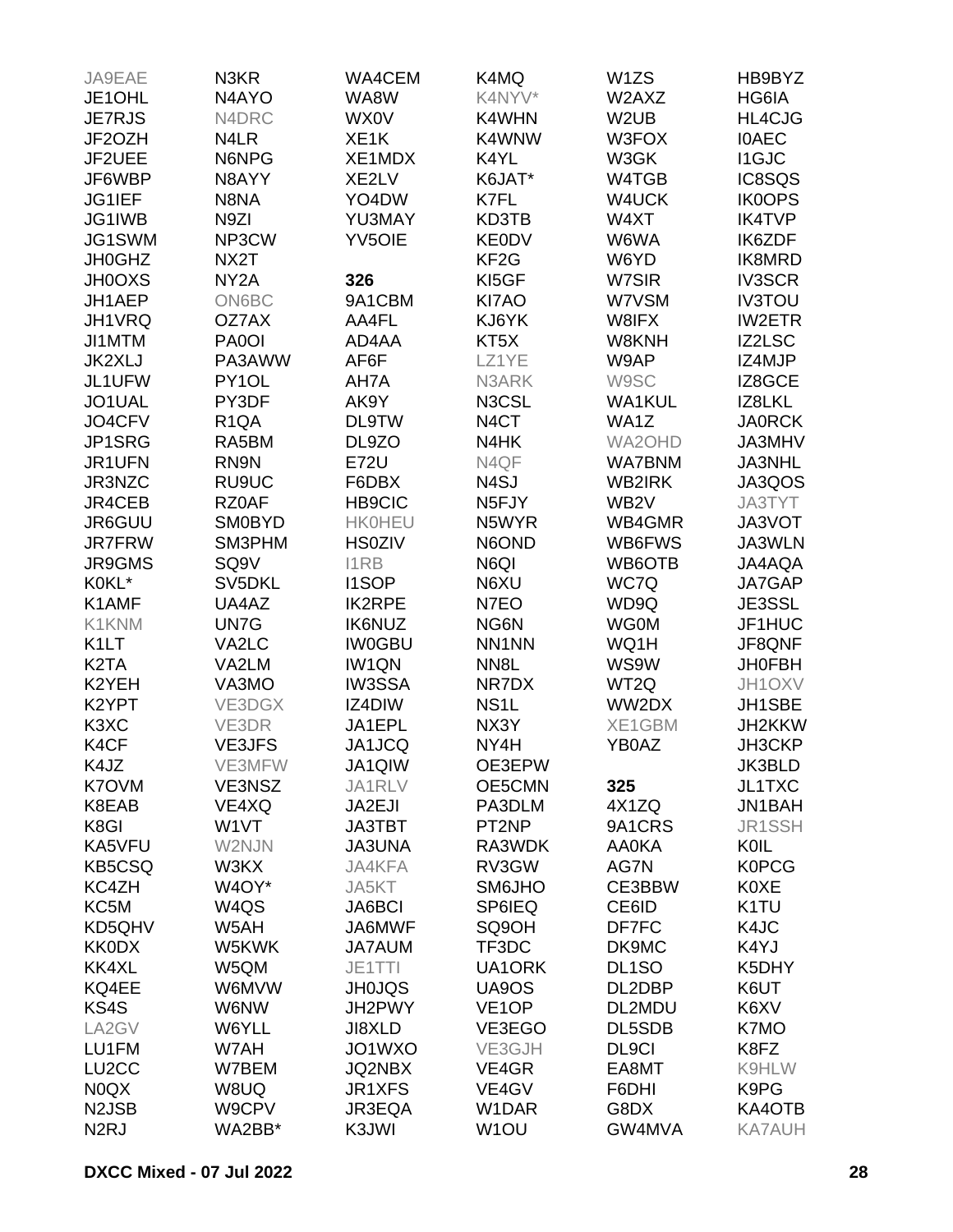| JA9EAE                        | N3KR              | WA4CEM            | K4MQ               | W1ZS               | HB9BYZ            |
|-------------------------------|-------------------|-------------------|--------------------|--------------------|-------------------|
| JE1OHL                        | N4AYO             | WA8W              | K4NYV*             | W2AXZ              | HG6IA             |
| <b>JE7RJS</b>                 | N4DRC             | <b>WX0V</b>       | K4WHN              | W <sub>2</sub> UB  | HL4CJG            |
| JF2OZH                        | N4LR              | XE <sub>1</sub> K | K4WNW              | W3FOX              | <b>IOAEC</b>      |
| JF2UEE                        | N6NPG             | XE1MDX            | K4YL               | W3GK               | <b>I1GJC</b>      |
| JF6WBP                        | N8AYY             | XE2LV             | K6JAT*             | W4TGB              | IC8SQS            |
|                               |                   |                   |                    |                    |                   |
| JG1IEF                        | N8NA              | YO4DW             | K7FL               | W4UCK              | <b>IK0OPS</b>     |
| JG1IWB                        | N9ZI              | YU3MAY            | KD3TB              | W4XT               | <b>IK4TVP</b>     |
| JG1SWM                        | NP3CW             | <b>YV5OIE</b>     | <b>KE0DV</b>       | W6WA               | IK6ZDF            |
| <b>JH0GHZ</b>                 | NX2T              |                   | KF <sub>2</sub> G  | W6YD               | IK8MRD            |
| <b>JH0OXS</b>                 | NY <sub>2</sub> A | 326               | KI5GF              | W7SIR              | <b>IV3SCR</b>     |
| JH1AEP                        | <b>ON6BC</b>      | 9A1CBM            | KI7AO              | W7VSM              | <b>IV3TOU</b>     |
| JH1VRQ                        | OZ7AX             | AA4FL             | KJ6YK              | W8IFX              | <b>IW2ETR</b>     |
| JI1MTM                        | PA0OI             | AD4AA             | KT <sub>5</sub> X  | W8KNH              | IZ2LSC            |
| JK2XLJ                        | PA3AWW            | AF6F              | LZ1YE              | W9AP               | IZ4MJP            |
| JL1UFW                        | PY1OL             | AH7A              | N3ARK              | W9SC               | IZ8GCE            |
| JO1UAL                        | PY3DF             | AK9Y              | N3CSL              | <b>WA1KUL</b>      | IZ8LKL            |
| JO4CFV                        | R <sub>1QA</sub>  | <b>DL9TW</b>      | N <sub>4</sub> CT  | WA1Z               | <b>JA0RCK</b>     |
| JP1SRG                        | RA5BM             | DL9ZO             | N4HK               | WA2OHD             | JA3MHV            |
| JR1UFN                        | RN9N              | <b>E72U</b>       | N4QF               | <b>WA7BNM</b>      | JA3NHL            |
| JR3NZC                        | RU9UC             | F6DBX             | N <sub>4</sub> SJ  | WB2IRK             | JA3QOS            |
| JR4CEB                        | RZ0AF             | <b>HB9CIC</b>     | N <sub>5</sub> FJY | WB <sub>2</sub> V  | JA3TYT            |
| JR6GUU                        | <b>SM0BYD</b>     | <b>HK0HEU</b>     | N5WYR              | WB4GMR             | JA3VOT            |
| <b>JR7FRW</b>                 | SM3PHM            | <b>HS0ZIV</b>     | N6OND              | WB6FWS             | JA3WLN            |
| <b>JR9GMS</b>                 | SQ <sub>9V</sub>  | <b>I1RB</b>       | N6QI               | WB6OTB             | JA4AQA            |
| K0KL*                         | SV5DKL            | <b>I1SOP</b>      | N6XU               | WC7Q               | JA7GAP            |
|                               |                   |                   |                    |                    |                   |
| K1AMF                         | UA4AZ             | <b>IK2RPE</b>     | N7EO               | WD9Q               | JE3SSL            |
| K1KNM                         | UN7G              | <b>IK6NUZ</b>     | NG6N               | <b>WG0M</b>        | JF1HUC            |
| K <sub>1</sub> LT             | VA2LC             | <b>IW0GBU</b>     | NN1NN              | WQ1H               | JF8QNF            |
| K <sub>2</sub> TA             | VA2LM             | IW1QN             | NN <sub>8</sub> L  | WS9W               | <b>JH0FBH</b>     |
| K2YEH                         | VA3MO             | <b>IW3SSA</b>     | NR7DX              | WT2Q               | JH1OXV            |
| K <sub>2</sub> YPT            | VE3DGX            | IZ4DIW            | NS <sub>1</sub> L  | WW2DX              | JH1SBE            |
| K <sub>3</sub> X <sub>C</sub> | VE3DR             | JA1EPL            | NX3Y               | XE1GBM             | JH2KKW            |
| K4CF                          | <b>VE3JFS</b>     | JA1JCQ            | NY4H               | YB0AZ              | JH3CKP            |
| K4JZ                          | VE3MFW            | JA1QIW            | OE3EPW             |                    | JK3BLD            |
| K7OVM                         | VE3NSZ            | JA1RLV            | OE5CMN             | 325                | JL1TXC            |
| K8EAB                         | VE4XQ             | JA2EJI            | PA3DLM             | 4X1ZQ              | JN1BAH            |
| K8GI                          | W <sub>1</sub> VT | <b>JA3TBT</b>     | PT2NP              | 9A1CRS             | JR1SSH            |
| KA5VFU                        | W2NJN             | <b>JA3UNA</b>     | RA3WDK             | <b>AA0KA</b>       | KOIL              |
| <b>KB5CSQ</b>                 | W3KX              | JA4KFA            | RV3GW              | AG7N               | <b>K0PCG</b>      |
| KC4ZH                         | W4OY*             | JA5KT             | <b>SM6JHO</b>      | CE3BBW             | <b>K0XE</b>       |
| KC5M                          | W4QS              | JA6BCI            | SP6IEQ             | CE6ID              | K <sub>1</sub> TU |
| KD5QHV                        | W5AH              | JA6MWF            | SQ9OH              | DF7FC              | K4JC              |
| <b>KK0DX</b>                  | W5KWK             | <b>JA7AUM</b>     | TF3DC              | DK9MC              | K4YJ              |
| KK4XL                         | W5QM              | JE1TTI            | UA1ORK             | DL <sub>1</sub> SO | K5DHY             |
| KQ4EE                         | W6MVW             | <b>JH0JQS</b>     | UA9OS              | DL2DBP             | K6UT              |
| KS4S                          | W6NW              | JH2PWY            | VE <sub>1</sub> OP | DL2MDU             | K6XV              |
| LA2GV                         | W6YLL             | JI8XLD            | VE3EGO             | DL5SDB             | K7MO              |
| LU1FM                         | W7AH              | JO1WXO            | VE3GJH             | DL9CI              | K8FZ              |
| LU <sub>2</sub> CC            | W7BEM             | JQ2NBX            | VE4GR              | EA8MT              | K9HLW             |
| N0QX                          | W8UQ              | JR1XFS            | VE4GV              | F6DHI              | K9PG              |
|                               |                   |                   |                    |                    |                   |
| N <sub>2</sub> JSB            | W9CPV             | JR3EQA            | W1DAR              | G8DX               | KA4OTB            |
| N <sub>2</sub> RJ             | WA2BB*            | K3JWI             | W <sub>1</sub> OU  | GW4MVA             | <b>KA7AUH</b>     |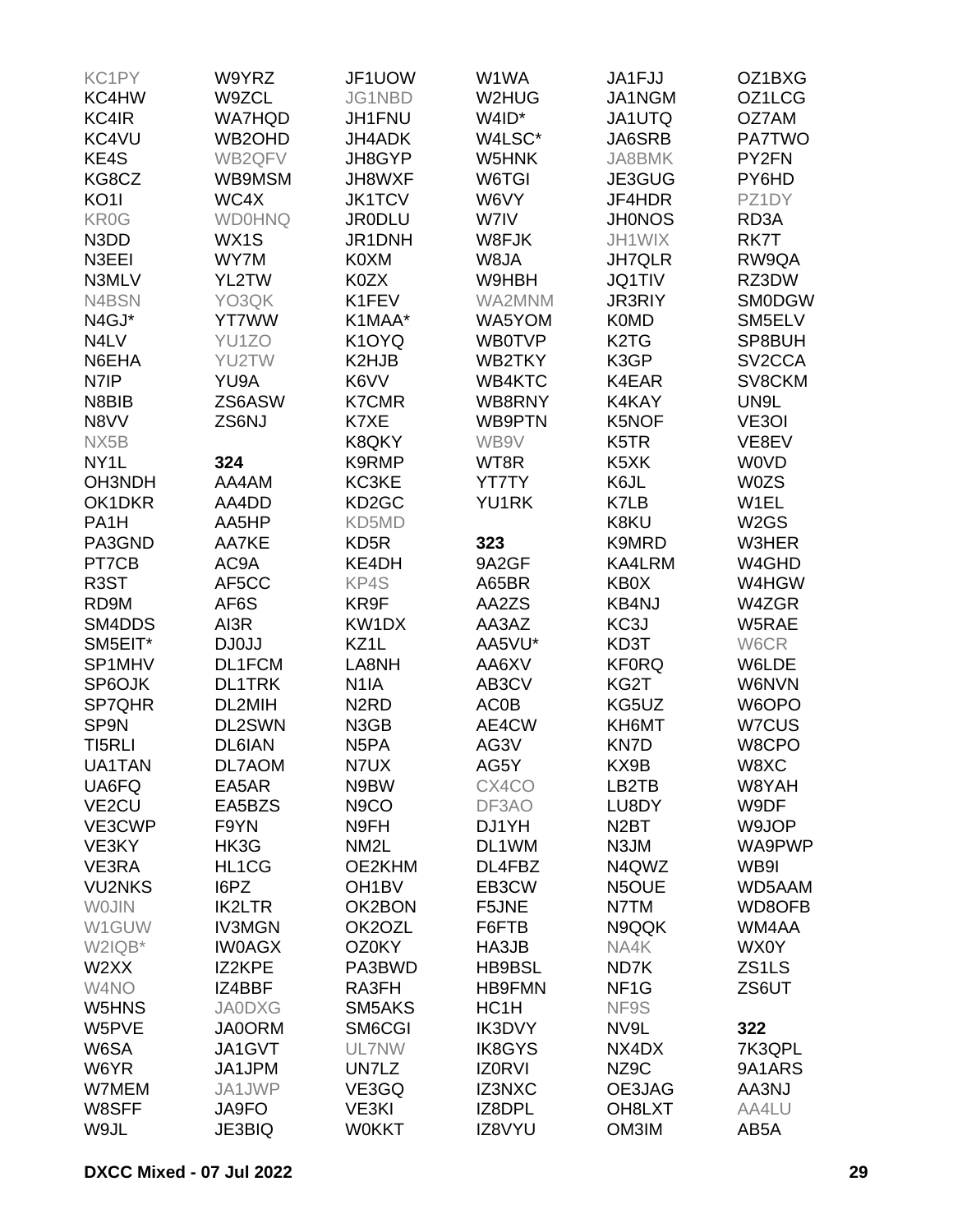| KC1PY              | W9YRZ         | JF1UOW                        | W1WA              | JA1FJJ                        | OZ1BXG              |
|--------------------|---------------|-------------------------------|-------------------|-------------------------------|---------------------|
| KC4HW              | W9ZCL         | JG1NBD                        | W2HUG             | JA1NGM                        | OZ1LCG              |
| KC4IR              | <b>WA7HQD</b> | JH1FNU                        | W4ID*             | JA1UTQ                        | OZ7AM               |
| KC4VU              | WB2OHD        | <b>JH4ADK</b>                 | W4LSC*            | JA6SRB                        | <b>PA7TWO</b>       |
| KE4S               | WB2QFV        | JH8GYP                        | W5HNK             | JA8BMK                        | PY2FN               |
| KG8CZ              | WB9MSM        | JH8WXF                        | W6TGI             | JE3GUG                        | PY6HD               |
| KO <sub>1</sub>    | WC4X          | <b>JK1TCV</b>                 | W6VY              | JF4HDR                        | PZ1DY               |
|                    |               | <b>JR0DLU</b>                 |                   |                               |                     |
| KR0G               | <b>WD0HNQ</b> |                               | W7IV              | <b>JH0NOS</b>                 | RD3A                |
| N3DD               | WX1S          | JR1DNH                        | W8FJK             | JH1WIX                        | RK7T                |
| N3EEI              | WY7M          | K0XM                          | W8JA              | <b>JH7QLR</b>                 | RW9QA               |
| N3MLV              | YL2TW         | K0ZX                          | W9HBH             | <b>JQ1TIV</b>                 | RZ3DW               |
| N4BSN              | YO3QK         | K1FEV                         | WA2MNM            | <b>JR3RIY</b>                 | <b>SM0DGW</b>       |
| N4GJ*              | <b>YT7WW</b>  | K1MAA*                        | WA5YOM            | <b>K0MD</b>                   | SM5ELV              |
| N4LV               | YU1ZO         | K1OYQ                         | <b>WB0TVP</b>     | K <sub>2</sub> T <sub>G</sub> | SP8BUH              |
| N6EHA              | YU2TW         | K2HJB                         | WB2TKY            | K3GP                          | SV <sub>2</sub> CCA |
| N7IP               | YU9A          | K6VV                          | WB4KTC            | K4EAR                         | SV8CKM              |
| N8BIB              | ZS6ASW        | <b>K7CMR</b>                  | WB8RNY            | K4KAY                         | UN9L                |
| N8VV               | ZS6NJ         | K7XE                          | <b>WB9PTN</b>     | K5NOF                         | VE3OI               |
| NX5B               |               | K8QKY                         | WB9V              | K <sub>5</sub> TR             | VE8EV               |
| NY <sub>1</sub> L  | 324           | K9RMP                         | WT8R              | K <sub>5</sub> XK             | <b>WOVD</b>         |
| OH3NDH             | AA4AM         | KC3KE                         | YT7TY             | K6JL                          | <b>W0ZS</b>         |
| OK1DKR             | AA4DD         | KD <sub>2</sub> GC            | YU1RK             | K7LB                          | W1EL                |
| PA <sub>1</sub> H  | AA5HP         | KD5MD                         |                   | K8KU                          | W <sub>2</sub> GS   |
| PA3GND             | AA7KE         | KD <sub>5</sub> R             | 323               | K9MRD                         | W3HER               |
| PT7CB              | AC9A          | KE4DH                         | 9A2GF             | KA4LRM                        | W4GHD               |
| R <sub>3</sub> ST  | AF5CC         | KP4S                          | A65BR             | KB0X                          | W4HGW               |
| RD9M               | AF6S          | KR9F                          | AA2ZS             | <b>KB4NJ</b>                  | W4ZGR               |
|                    |               |                               |                   |                               |                     |
| SM4DDS             | AI3R          | KW1DX                         | AA3AZ             | KC3J                          | W5RAE               |
| SM5EIT*            | DJ0JJ         | KZ1L                          | AA5VU*            | KD3T                          | W6CR                |
| SP1MHV             | DL1FCM        | LA8NH                         | AA6XV             | <b>KF0RQ</b>                  | W6LDE               |
| SP6OJK             | <b>DL1TRK</b> | N <sub>1</sub> IA             | AB3CV             | KG2T                          | W6NVN               |
| <b>SP7QHR</b>      | DL2MIH        | N <sub>2</sub> R <sub>D</sub> | <b>AC0B</b>       | KG5UZ                         | W6OPO               |
| SP9N               | DL2SWN        | N3GB                          | AE4CW             | KH6MT                         | W7CUS               |
| TI5RLI             | <b>DL6IAN</b> | N <sub>5</sub> PA             | AG3V              | KN7D                          | W8CPO               |
| UA1TAN             | DL7AOM        | N7UX                          | AG5Y              | KX9B                          | W8XC                |
| UA6FQ              | EA5AR         | N9BW                          | CX4CO             | LB2TB                         | W8YAH               |
| VE <sub>2</sub> CU | EA5BZS        | N <sub>9</sub> CO             | DF3AO             | LU8DY                         | W9DF                |
| VE3CWP             | F9YN          | N9FH                          | DJ1YH             | N <sub>2</sub> BT             | W9JOP               |
| VE3KY              | HK3G          | NM <sub>2</sub> L             | DL1WM             | N3JM                          | WA9PWP              |
| VE3RA              | HL1CG         | OE2KHM                        | DL4FBZ            | N4QWZ                         | WB9I                |
| <b>VU2NKS</b>      | I6PZ          | OH <sub>1</sub> BV            | EB3CW             | N5OUE                         | WD5AAM              |
| <b>WOJIN</b>       | <b>IK2LTR</b> | OK2BON                        | F5JNE             | N7TM                          | WD8OFB              |
| W1GUW              | <b>IV3MGN</b> | OK2OZL                        | F6FTB             | N9QQK                         | WM4AA               |
| W2IQB*             | <b>IW0AGX</b> | OZ0KY                         | HA3JB             | NA4K                          | WX0Y                |
| W2XX               | IZ2KPE        | PA3BWD                        | HB9BSL            | ND7K                          | ZS1LS               |
| W4NO               | IZ4BBF        | RA3FH                         | <b>HB9FMN</b>     | NF <sub>1</sub> G             | ZS6UT               |
| W5HNS              | <b>JA0DXG</b> | SM5AKS                        | HC <sub>1</sub> H | NF9S                          |                     |
| W5PVE              | <b>JA0ORM</b> | SM6CGI                        | <b>IK3DVY</b>     | NV9L                          | 322                 |
| W6SA               | JA1GVT        | UL7NW                         | <b>IK8GYS</b>     | NX4DX                         | 7K3QPL              |
|                    |               |                               |                   |                               |                     |
| W6YR               | JA1JPM        | UN7LZ                         | <b>IZ0RVI</b>     | NZ9C                          | 9A1ARS              |
| W7MEM              | JA1JWP        | VE3GQ                         | IZ3NXC            | OE3JAG                        | AA3NJ               |
| W8SFF              | JA9FO         | VE3KI                         | IZ8DPL            | OH8LXT                        | AA4LU               |
| W9JL               | <b>JE3BIQ</b> | <b>WOKKT</b>                  | IZ8VYU            | OM3IM                         | AB5A                |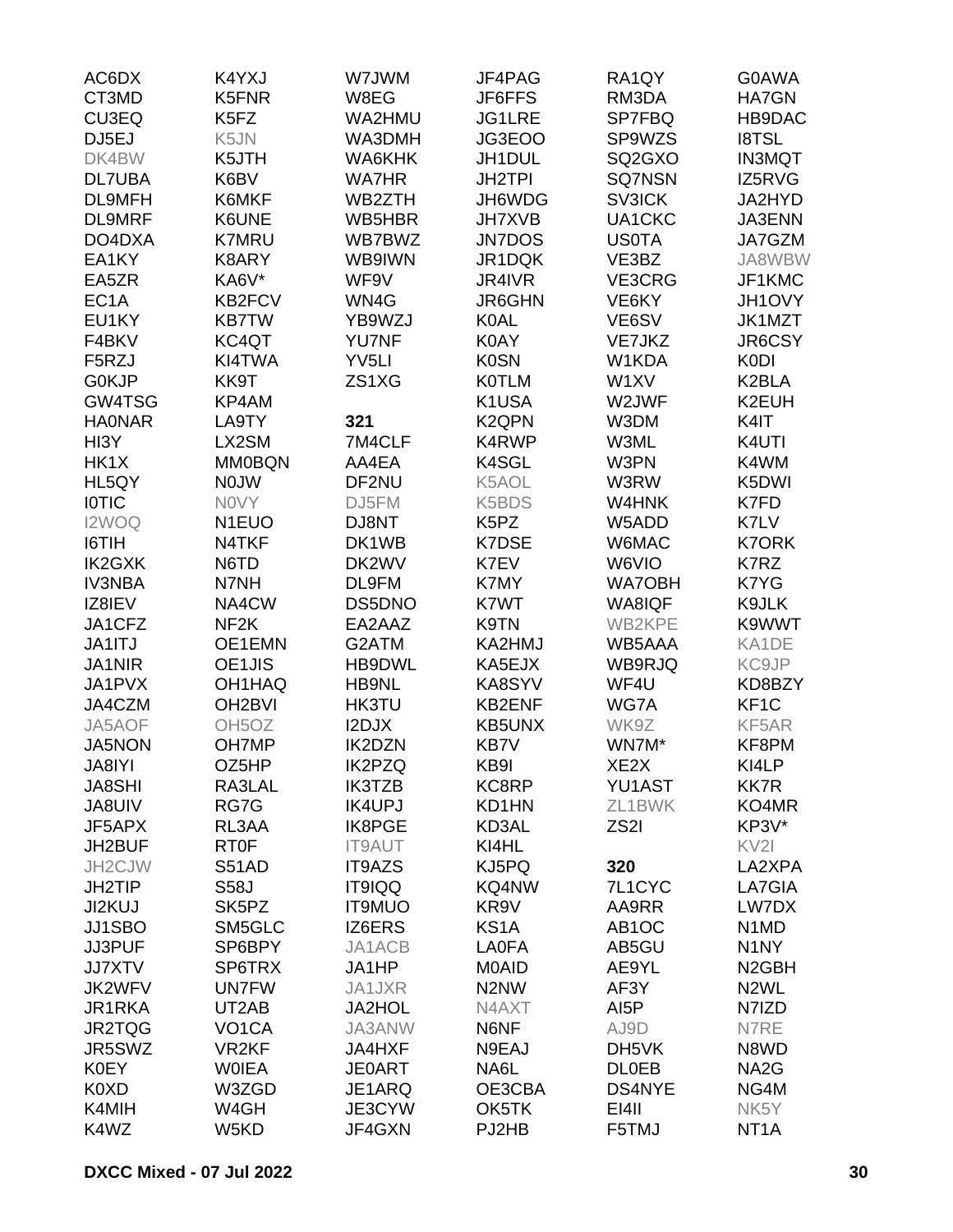| AC6DX              | K4YXJ               | W7JWM             | JF4PAG                        | RA1QY              | G0AWA                         |
|--------------------|---------------------|-------------------|-------------------------------|--------------------|-------------------------------|
| CT3MD              | K5FNR               | W8EG              | JF6FFS                        | RM3DA              | <b>HA7GN</b>                  |
| CU3EQ              | K5FZ                | WA2HMU            | JG1LRE                        | SP7FBQ             | HB9DAC                        |
| DJ5EJ              | K5JN                | WA3DMH            | JG3EOO                        | SP9WZS             | <b>I8TSL</b>                  |
| DK4BW              | K5JTH               | WA6KHK            | JH1DUL                        | SQ2GXO             | <b>IN3MQT</b>                 |
| <b>DL7UBA</b>      | K6BV                | <b>WA7HR</b>      | JH2TPI                        | SQ7NSN             | IZ5RVG                        |
| DL9MFH             | K6MKF               | WB2ZTH            | JH6WDG                        | <b>SV3ICK</b>      | JA2HYD                        |
| <b>DL9MRF</b>      | K6UNE               | WB5HBR            | <b>JH7XVB</b>                 | UA1CKC             |                               |
|                    | <b>K7MRU</b>        | WB7BWZ            |                               |                    | JA3ENN<br>JA7GZM              |
| DO4DXA             |                     |                   | <b>JN7DOS</b>                 | <b>US0TA</b>       |                               |
| EA1KY              | K8ARY               | WB9IWN            | JR1DQK                        | VE3BZ              | JA8WBW                        |
| EA5ZR              | KA6V*               | WF9V              | JR4IVR                        | VE3CRG             | JF1KMC                        |
| EC <sub>1</sub> A  | KB2FCV              | WN4G              | JR6GHN                        | VE6KY              | JH1OVY                        |
| EU1KY              | <b>KB7TW</b>        | YB9WZJ            | <b>K0AL</b>                   | VE6SV              | JK1MZT                        |
| F4BKV              | KC4QT               | <b>YU7NF</b>      | K0AY                          | VE7JKZ             | JR6CSY                        |
| F <sub>5</sub> RZJ | KI4TWA              | YV <sub>5LI</sub> | <b>K0SN</b>                   | W1KDA              | <b>K0DI</b>                   |
| <b>GOKJP</b>       | KK9T                | ZS1XG             | <b>KOTLM</b>                  | W1XV               | K2BLA                         |
| GW4TSG             | KP4AM               |                   | K1USA                         | W2JWF              | K2EUH                         |
| <b>HAONAR</b>      | LA9TY               | 321               | K <sub>2</sub> QPN            | W3DM               | K4IT                          |
| HI3Y               | LX2SM               | 7M4CLF            | K4RWP                         | W3ML               | K4UTI                         |
| HK1X               | <b>MM0BQN</b>       | AA4EA             | K4SGL                         | W3PN               | K4WM                          |
| HL5QY              | <b>NOJW</b>         | DF2NU             | K5AOL                         | W3RW               | K5DWI                         |
| <b>IOTIC</b>       | <b>NOVY</b>         | DJ5FM             | K5BDS                         | W4HNK              | K7FD                          |
| I2WOQ              | N1EUO               | DJ8NT             | K <sub>5</sub> P <sub>Z</sub> | W5ADD              | K7LV                          |
| I6TIH              | N4TKF               | DK1WB             | <b>K7DSE</b>                  | W6MAC              | <b>K7ORK</b>                  |
| <b>IK2GXK</b>      | N6TD                | DK2WV             | K7EV                          | W6VIO              | K7RZ                          |
| <b>IV3NBA</b>      | N7NH                | DL9FM             | K7MY                          | <b>WA7OBH</b>      | K7YG                          |
| IZ8IEV             | NA4CW               | DS5DNO            | K7WT                          | <b>WA8IQF</b>      | K9JLK                         |
| JA1CFZ             | NF <sub>2</sub> K   | EA2AAZ            |                               | <b>WB2KPE</b>      | K9WWT                         |
|                    |                     |                   | K9TN                          |                    |                               |
| JA1ITJ             | OE1EMN              | G2ATM             | KA2HMJ                        | WB5AAA             | KA1DE                         |
| <b>JA1NIR</b>      | OE1JIS              | HB9DWL            | KA5EJX                        | WB9RJQ             | KC9JP                         |
| JA1PVX             | OH1HAQ              | HB9NL             | KA8SYV                        | WF4U               | KD8BZY                        |
| JA4CZM             | OH <sub>2</sub> BVI | HK3TU             | KB2ENF                        | WG7A               | KF <sub>1</sub> C             |
| JA5AOF             | OH <sub>5</sub> OZ  | I2DJX             | <b>KB5UNX</b>                 | WK9Z               | KF5AR                         |
| <b>JA5NON</b>      | <b>OH7MP</b>        | <b>IK2DZN</b>     | KB7V                          | WN7M*              | KF8PM                         |
| JA8IYI             | OZ5HP               | <b>IK2PZQ</b>     | KB9I                          | XE <sub>2</sub> X  | KI4LP                         |
| <b>JA8SHI</b>      | RA3LAL              | <b>IK3TZB</b>     | KC8RP                         | YU1AST             | <b>KK7R</b>                   |
| JA8UIV             | RG7G                | <b>IK4UPJ</b>     | KD1HN                         | ZL1BWK             | KO4MR                         |
| JF5APX             | RL3AA               | <b>IK8PGE</b>     | KD3AL                         | ZS <sub>2</sub> I  | KP3V*                         |
| JH2BUF             | <b>RT0F</b>         | <b>IT9AUT</b>     | KI4HL                         |                    | KV <sub>2</sub>               |
| JH2CJW             | <b>S51AD</b>        | IT9AZS            | KJ5PQ                         | 320                | LA2XPA                        |
| <b>JH2TIP</b>      | <b>S58J</b>         | IT9IQQ            | KQ4NW                         | 7L1CYC             | LA7GIA                        |
| JI2KUJ             | SK5PZ               | <b>IT9MUO</b>     | KR9V                          | AA9RR              | LW7DX                         |
| JJ1SBO             | SM5GLC              | IZ6ERS            | KS <sub>1</sub> A             | AB <sub>1</sub> OC | N <sub>1</sub> M <sub>D</sub> |
| JJ3PUF             | SP6BPY              | JA1ACB            | <b>LA0FA</b>                  | AB5GU              | N <sub>1</sub> NY             |
| <b>JJ7XTV</b>      | SP6TRX              | JA1HP             | <b>MOAID</b>                  | AE9YL              | N <sub>2</sub> GBH            |
| <b>JK2WFV</b>      | <b>UN7FW</b>        | JA1JXR            | N <sub>2</sub> N <sub>W</sub> | AF3Y               | N <sub>2</sub> WL             |
| JR1RKA             | UT2AB               | <b>JA2HOL</b>     | N4AXT                         | AI <sub>5</sub> P  | N7IZD                         |
| JR2TQG             | VO <sub>1</sub> CA  | JA3ANW            | N6NF                          | AJ9D               | N7RE                          |
| JR5SWZ             | VR <sub>2KF</sub>   |                   | N9EAJ                         |                    | N8WD                          |
|                    |                     | <b>JA4HXF</b>     |                               | DH5VK              |                               |
| <b>K0EY</b>        | <b>WOIEA</b>        | <b>JE0ART</b>     | NA6L                          | <b>DLOEB</b>       | NA <sub>2</sub> G             |
| K0XD               | W3ZGD               | JE1ARQ            | OE3CBA                        | DS4NYE             | NG4M                          |
| K4MIH              | W4GH                | JE3CYW            | OK5TK                         | E[4]               | NK5Y                          |
| K4WZ               | W5KD                | JF4GXN            | PJ2HB                         | F5TMJ              | NT <sub>1</sub> A             |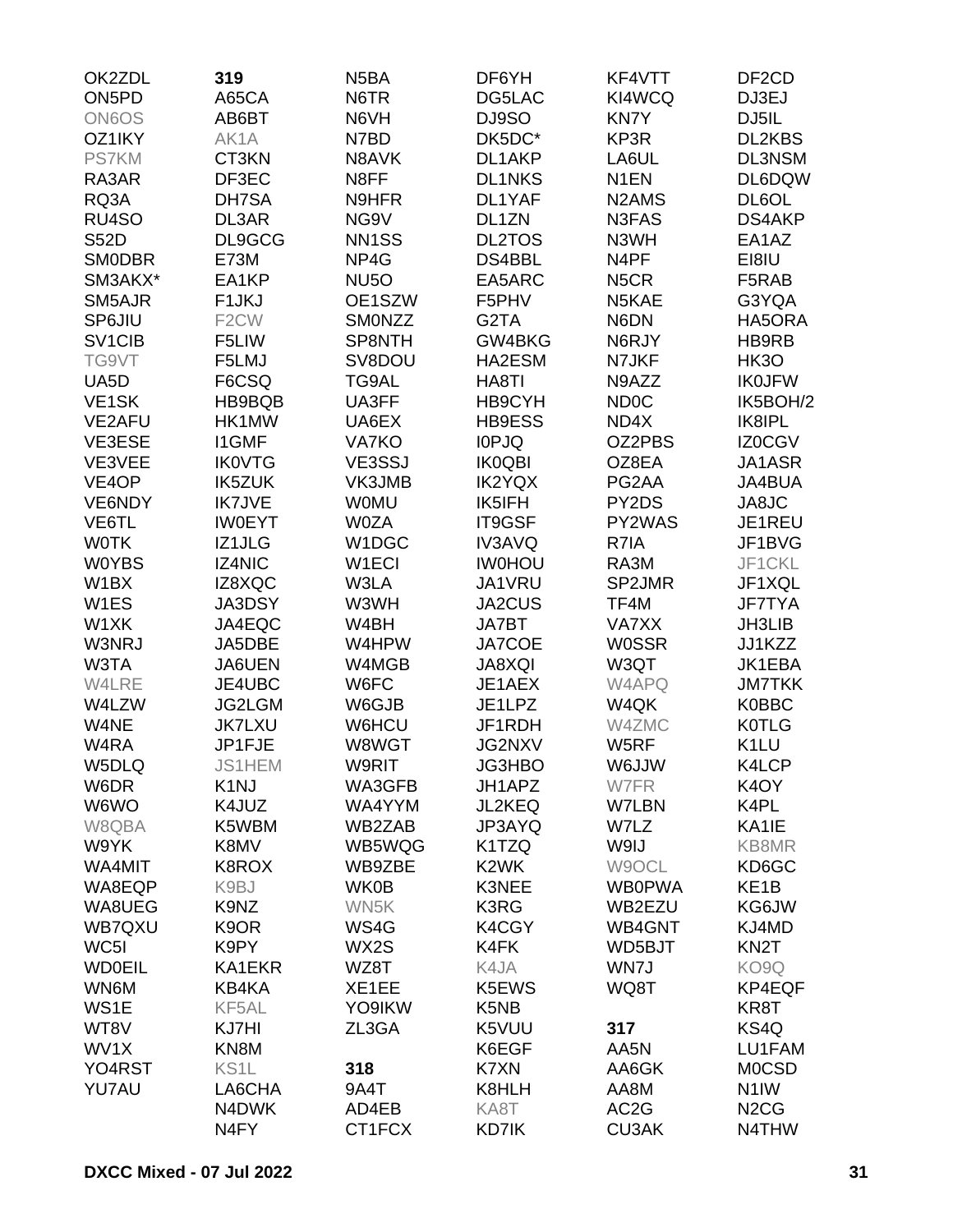| OK2ZDL                          | 319                | N <sub>5</sub> BA  | DF6YH             | KF4VTT                         | DF <sub>2</sub> CD            |
|---------------------------------|--------------------|--------------------|-------------------|--------------------------------|-------------------------------|
| ON <sub>5</sub> PD              | A65CA              | N6TR               | DG5LAC            | KI4WCQ                         | DJ3EJ                         |
| <b>ON6OS</b>                    | AB6BT              | N6VH               | DJ9SO             | <b>KN7Y</b>                    | DJ5IL                         |
| OZ1IKY                          | AK1A               | N7BD               | DK5DC*            | KP3R                           | DL2KBS                        |
| PS7KM                           | CT3KN              | N8AVK              | DL1AKP            | LA6UL                          | DL3NSM                        |
| RA3AR                           | DF3EC              | N8FF               | <b>DL1NKS</b>     | N <sub>1</sub> EN              | DL6DQW                        |
| RQ3A                            | DH7SA              | N9HFR              | DL1YAF            | N <sub>2</sub> AM <sub>S</sub> | DL6OL                         |
| RU4SO                           | DL3AR              | NG9V               | DL1ZN             | N3FAS                          | DS4AKP                        |
| <b>S52D</b>                     | DL9GCG             | NN <sub>1</sub> SS | <b>DL2TOS</b>     | N3WH                           | EA1AZ                         |
| <b>SMODBR</b>                   | <b>E73M</b>        | NP4G               | DS4BBL            | N4PF                           | EI8IU                         |
| SM3AKX*                         | EA1KP              | NU <sub>5</sub> O  | EA5ARC            | N <sub>5</sub> CR              | F5RAB                         |
| SM5AJR                          | F <sub>1</sub> JKJ | OE1SZW             | F5PHV             | N5KAE                          | G3YQA                         |
|                                 | F <sub>2</sub> CW  |                    | G <sub>2</sub> TA | N6DN                           |                               |
| SP6JIU                          |                    | <b>SMONZZ</b>      |                   |                                | HA5ORA                        |
| SV <sub>1</sub> C <sub>IB</sub> | F5LIW              | SP8NTH             | GW4BKG            | N6RJY                          | HB9RB                         |
| TG9VT                           | F5LMJ              | SV8DOU             | HA2ESM            | N7JKF                          | HK3O                          |
| UA5D                            | F6CSQ              | TG9AL              | HA8TI             | N9AZZ                          | <b>IK0JFW</b>                 |
| VE <sub>1</sub> SK              | HB9BQB             | UA3FF              | HB9CYH            | ND <sub>0</sub> C              | IK5BOH/2                      |
| VE2AFU                          | HK1MW              | UA6EX              | HB9ESS            | ND4X                           | IK8IPL                        |
| VE3ESE                          | <b>I1GMF</b>       | VA7KO              | <b>IOPJQ</b>      | OZ2PBS                         | <b>IZ0CGV</b>                 |
| VE3VEE                          | <b>IK0VTG</b>      | VE3SSJ             | <b>IK0QBI</b>     | OZ8EA                          | JA1ASR                        |
| VE4OP                           | <b>IK5ZUK</b>      | VK3JMB             | <b>IK2YQX</b>     | PG2AA                          | JA4BUA                        |
| VE6NDY                          | <b>IK7JVE</b>      | <b>WOMU</b>        | IK5IFH            | PY2DS                          | JA8JC                         |
| VE6TL                           | <b>IW0EYT</b>      | <b>W0ZA</b>        | IT9GSF            | PY2WAS                         | JE1REU                        |
| <b>WOTK</b>                     | IZ1JLG             | W1DGC              | <b>IV3AVQ</b>     | R7IA                           | JF1BVG                        |
| <b>WOYBS</b>                    | <b>IZ4NIC</b>      | W <sub>1</sub> ECI | <b>IWOHOU</b>     | RA3M                           | JF1CKL                        |
| W1BX                            | IZ8XQC             | W3LA               | JA1VRU            | SP2JMR                         | JF1XQL                        |
| W1ES                            | <b>JA3DSY</b>      | W3WH               | JA2CUS            | TF4M                           | <b>JF7TYA</b>                 |
| W1XK                            | JA4EQC             | W4BH               | <b>JA7BT</b>      | VA7XX                          | <b>JH3LIB</b>                 |
| W3NRJ                           | JA5DBE             | W4HPW              | <b>JA7COE</b>     | <b>W0SSR</b>                   | JJ1KZZ                        |
| W3TA                            | JA6UEN             | W4MGB              | JA8XQI            | W3QT                           | JK1EBA                        |
| W4LRE                           | JE4UBC             | W6FC               | JE1AEX            | W4APQ                          | <b>JM7TKK</b>                 |
| W4LZW                           | JG2LGM             | W6GJB              | JE1LPZ            | W4QK                           | <b>K0BBC</b>                  |
| W4NE                            | <b>JK7LXU</b>      | W6HCU              | JF1RDH            | W4ZMC                          | <b>K0TLG</b>                  |
| W4RA                            | JP1FJE             | W8WGT              | JG2NXV            | W5RF                           | K <sub>1</sub> LU             |
| W5DLQ                           | <b>JS1HEM</b>      | W9RIT              | JG3HBO            | W6JJW                          | K4LCP                         |
| W6DR                            | K <sub>1</sub> NJ  | WA3GFB             | JH1APZ            | W7FR                           | K <sub>4</sub> OY             |
| W6WO                            | K4JUZ              | WA4YYM             | <b>JL2KEQ</b>     | W7LBN                          | K4PL                          |
| W8QBA                           | K5WBM              | WB2ZAB             | JP3AYQ            | W7LZ                           | KA1IE                         |
| W9YK                            | K8MV               | WB5WQG             | K1TZQ             | W9IJ                           | KB8MR                         |
| WA4MIT                          | K8ROX              | WB9ZBE             | K <sub>2</sub> WK | W9OCL                          | KD6GC                         |
| WA8EQP                          | K9BJ               | <b>WK0B</b>        | K3NEE             | <b>WB0PWA</b>                  | KE <sub>1</sub> B             |
| WA8UEG                          | K9NZ               | WN5K               | K3RG              | WB2EZU                         | KG6JW                         |
| WB7QXU                          | K <sub>9</sub> OR  | WS4G               | K4CGY             | WB4GNT                         | KJ4MD                         |
| WC5I                            | K9PY               | WX2S               | K4FK              | WD5BJT                         | KN <sub>2</sub> T             |
| <b>WD0EIL</b>                   | KA1EKR             | WZ8T               | K4JA              | WN7J                           | KO9Q                          |
|                                 |                    |                    |                   |                                |                               |
| WN6M                            | KB4KA              | XE1EE              | K5EWS             | WQ8T                           | KP4EQF                        |
| WS1E                            | KF5AL              | YO9IKW             | K5NB              |                                | KR8T                          |
| WT8V                            | KJ7HI              | ZL3GA              | K5VUU             | 317                            | KS4Q                          |
| WV1X                            | KN8M               |                    | K6EGF             | AA5N                           | LU1FAM                        |
| YO4RST                          | KS1L               | 318                | K7XN              | AA6GK                          | <b>MOCSD</b>                  |
| YU7AU                           | LA6CHA             | 9A4T               | K8HLH             | AA8M                           | N <sub>1</sub> IW             |
|                                 | N4DWK              | AD4EB              | KA8T              | AC <sub>2</sub> G              | N <sub>2</sub> C <sub>G</sub> |
|                                 | N <sub>4FY</sub>   | CT1FCX             | KD7IK             | <b>CU3AK</b>                   | N4THW                         |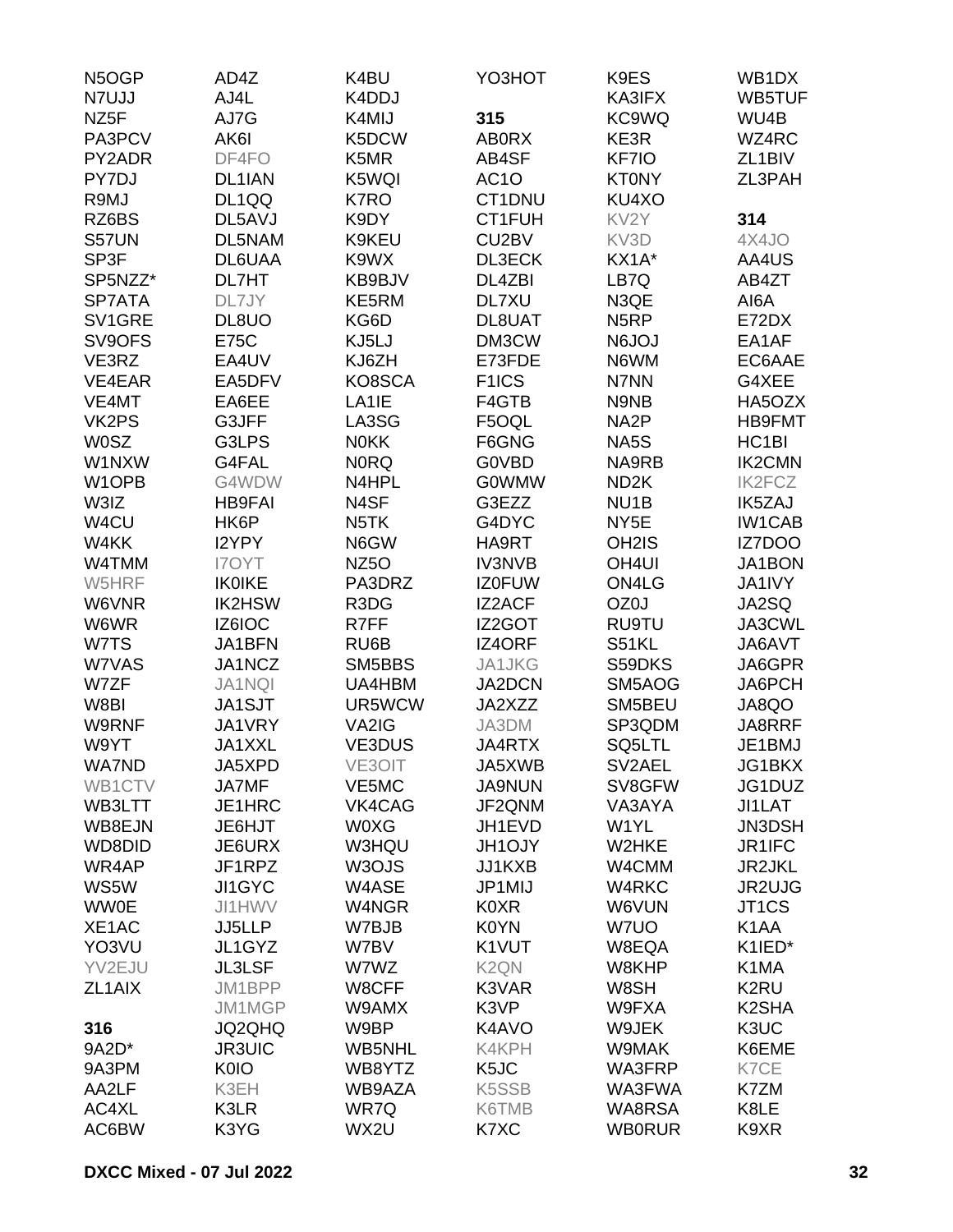| N5OGP               | AD4Z          | K4BU               | YO3HOT             | K9ES               | WB1DX               |
|---------------------|---------------|--------------------|--------------------|--------------------|---------------------|
| N7UJJ               | AJ4L          | K4DDJ              |                    | KA3IFX             | WB5TUF              |
| NZ5F                | AJ7G          | K4MIJ              | 315                | KC9WQ              | WU4B                |
| PA3PCV              | AK6I          | K5DCW              | <b>AB0RX</b>       | KE3R               | WZ4RC               |
| PY2ADR              | DF4FO         | K5MR               | AB4SF              | KF7IO              | ZL <sub>1</sub> BIV |
| PY7DJ               | DL1IAN        | K5WQI              | AC <sub>1</sub> O  | <b>KT0NY</b>       | ZL3PAH              |
| R9MJ                | DL1QQ         | K7RO               | CT1DNU             | KU4XO              |                     |
| RZ6BS               | DL5AVJ        | K9DY               | CT1FUH             | KV <sub>2</sub> Y  | 314                 |
| S57UN               | DL5NAM        | K9KEU              | CU2BV              | KV3D               | 4X4JO               |
| SP3F                | DL6UAA        | K9WX               | DL3ECK             | KX1A*              | AA4US               |
| SP5NZZ*             | DL7HT         | KB9BJV             | DL4ZBI             | LB7Q               | AB4ZT               |
| SP7ATA              | DL7JY         | KE5RM              | DL7XU              | N3QE               | AI6A                |
| SV1GRE              | DL8UO         | KG6D               | DL8UAT             | N <sub>5</sub> RP  | E72DX               |
|                     |               |                    |                    |                    |                     |
| SV9OFS              | <b>E75C</b>   | KJ5LJ              | DM3CW              | <b>N6JOJ</b>       | EA1AF               |
| VE3RZ               | EA4UV         | KJ6ZH              | E73FDE             | N6WM               | EC6AAE              |
| VE4EAR              | EA5DFV        | KO8SCA             | F <sub>1</sub> ICS | N7NN               | G4XEE               |
| VE4MT               | EA6EE         | LA <sub>1</sub> IE | F4GTB              | N9NB               | HA5OZX              |
| VK2PS               | G3JFF         | LA3SG              | F5OQL              | NA <sub>2</sub> P  | <b>HB9FMT</b>       |
| <b>W0SZ</b>         | G3LPS         | <b>NOKK</b>        | F6GNG              | NA5S               | HC <sub>1</sub> BI  |
| W1NXW               | G4FAL         | <b>NORQ</b>        | G0VBD              | NA9RB              | <b>IK2CMN</b>       |
| W1OPB               | G4WDW         | N4HPL              | <b>G0WMW</b>       | ND <sub>2</sub> K  | <b>IK2FCZ</b>       |
| W3IZ                | <b>HB9FAI</b> | N4SF               | G3EZZ              | NU <sub>1</sub> B  | <b>IK5ZAJ</b>       |
| W4CU                | HK6P          | N <sub>5</sub> TK  | G4DYC              | NY <sub>5</sub> E  | <b>IW1CAB</b>       |
| W4KK                | I2YPY         | N6GW               | HA9RT              | OH <sub>2</sub> IS | IZ7DOO              |
| W4TMM               | <b>I7OYT</b>  | NZ <sub>50</sub>   | <b>IV3NVB</b>      | OH <sub>4UI</sub>  | JA1BON              |
| W5HRF               | <b>IK0IKE</b> | PA3DRZ             | <b>IZ0FUW</b>      | ON4LG              | JA1IVY              |
| W6VNR               | <b>IK2HSW</b> | R3DG               | <b>IZ2ACF</b>      | OZ0J               | JA2SQ               |
| W6WR                | IZ6IOC        | R7FF               | <b>IZ2GOT</b>      | <b>RU9TU</b>       | JA3CWL              |
| W7TS                | JA1BFN        | RU6B               | <b>IZ4ORF</b>      | S51KL              | JA6AVT              |
| W7VAS               | JA1NCZ        | SM5BBS             | <b>JA1JKG</b>      | S59DKS             | JA6GPR              |
| W7ZF                | <b>JA1NQI</b> | UA4HBM             | JA2DCN             | SM5AOG             | JA6PCH              |
| W8BI                | JA1SJT        | UR5WCW             | JA2XZZ             | SM5BEU             | JA8QO               |
| W9RNF               | JA1VRY        | VA2IG              | JA3DM              | SP3QDM             | JA8RRF              |
| W9YT                | JA1XXL        | VE3DUS             | JA4RTX             | SQ5LTL             | JE1BMJ              |
| <b>WA7ND</b>        | JA5XPD        |                    |                    |                    | JG1BKX              |
|                     |               | VE3OIT             | JA5XWB             | SV2AEL             |                     |
| WB1CTV              | JA7MF         | VE5MC              | <b>JA9NUN</b>      | SV8GFW             | JG1DUZ              |
| WB3LTT              | JE1HRC        | VK4CAG             | JF2QNM             | VA3AYA             | JI1LAT              |
| WB8EJN              | JE6HJT        | <b>WOXG</b>        | JH1EVD             | W1YL               | <b>JN3DSH</b>       |
| WD8DID              | JE6URX        | <b>W3HQU</b>       | JH1OJY             | W2HKE              | JR1IFC              |
| WR4AP               | JF1RPZ        | W3OJS              | JJ1KXB             | W4CMM              | <b>JR2JKL</b>       |
| WS5W                | JI1GYC        | W4ASE              | JP1MIJ             | W4RKC              | JR2UJG              |
| <b>WW0E</b>         | <b>JI1HWV</b> | W4NGR              | K0XR               | W6VUN              | JT <sub>1</sub> CS  |
| XE1AC               | JJ5LLP        | W7BJB              | K0YN               | W7UO               | K <sub>1</sub> AA   |
| YO3VU               | JL1GYZ        | W7BV               | K1VUT              | W8EQA              | K1IED*              |
| YV2EJU              | <b>JL3LSF</b> | W7WZ               | K <sub>2</sub> QN  | W8KHP              | K1MA                |
| ZL <sub>1</sub> AIX | JM1BPP        | W8CFF              | K3VAR              | W8SH               | K <sub>2</sub> RU   |
|                     | JM1MGP        | W9AMX              | K3VP               | W9FXA              | K <sub>2</sub> SHA  |
| 316                 | JQ2QHQ        | W9BP               | K4AVO              | W9JEK              | K3UC                |
| 9A2D*               | <b>JR3UIC</b> | <b>WB5NHL</b>      | K4KPH              | W9MAK              | K6EME               |
| 9A3PM               | K0IO          | WB8YTZ             | K5JC               | WA3FRP             | K7CE                |
| AA2LF               | K3EH          | WB9AZA             | <b>K5SSB</b>       | WA3FWA             | K7ZM                |
| AC4XL               | K3LR          | WR7Q               | K6TMB              | WA8RSA             | K8LE                |
| AC6BW               | K3YG          | WX2U               | K7XC               | <b>WB0RUR</b>      | K9XR                |
|                     |               |                    |                    |                    |                     |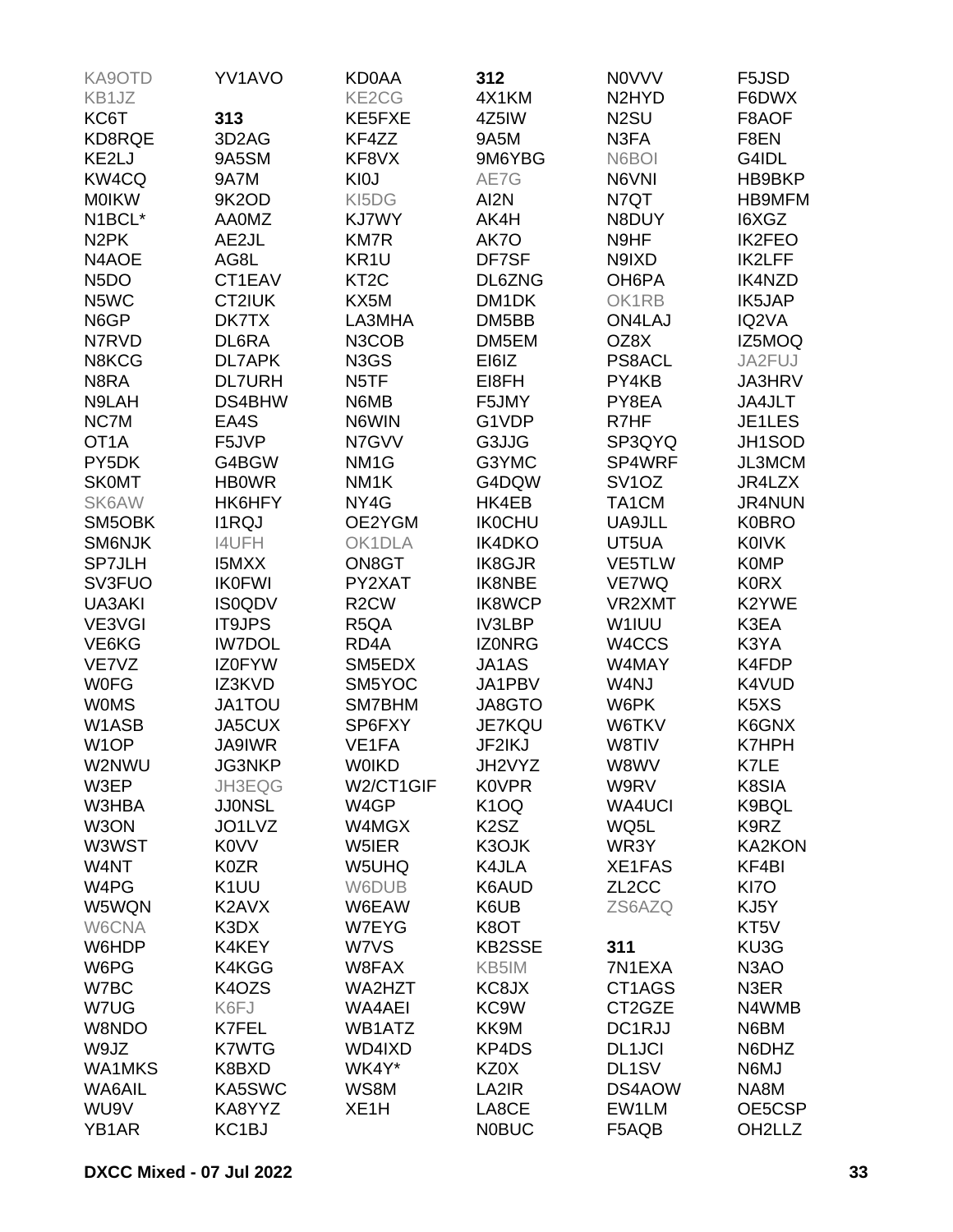| KA9OTD            | <b>YV1AVO</b>      | KD0AA             | 312                           | <b>NOVVV</b>                   | F5JSD                         |
|-------------------|--------------------|-------------------|-------------------------------|--------------------------------|-------------------------------|
| KB1JZ             |                    | KE2CG             | 4X1KM                         | N <sub>2</sub> HY <sub>D</sub> | F6DWX                         |
| KC6T              | 313                | KE5FXE            | 4Z5IW                         | N <sub>2</sub> SU              | F8AOF                         |
| KD8RQE            | 3D <sub>2</sub> AG | KF4ZZ             | 9A5M                          | N3FA                           | F8EN                          |
| KE2LJ             | 9A5SM              | KF8VX             | 9M6YBG                        | N6BOI                          | G4IDL                         |
| KW4CQ             | 9A7M               | KI0J              | AE7G                          | N6VNI                          | HB9BKP                        |
| <b>MOIKW</b>      | 9K2OD              | KI5DG             | AI2N                          | N7QT                           | HB9MFM                        |
| N1BCL*            | <b>AA0MZ</b>       | KJ7WY             | AK4H                          | N8DUY                          | I6XGZ                         |
| N <sub>2</sub> PK | AE2JL              | KM7R              | AK7O                          | N9HF                           | <b>IK2FEO</b>                 |
| N4AOE             | AG8L               | KR <sub>1U</sub>  | DF7SF                         | N9IXD                          | <b>IK2LFF</b>                 |
| N <sub>5</sub> DO | CT1EAV             | KT <sub>2</sub> C | DL6ZNG                        | OH6PA                          | <b>IK4NZD</b>                 |
| N5WC              | CT2IUK             | KX5M              | DM <sub>1</sub> DK            | OK1RB                          | IK5JAP                        |
| N6GP              | DK7TX              | LA3MHA            | DM5BB                         | <b>ON4LAJ</b>                  | IQ2VA                         |
| N7RVD             | DL6RA              | N3COB             | DM5EM                         | OZ8X                           | IZ5MOQ                        |
| N8KCG             | DL7APK             | N3GS              | EI6IZ                         | <b>PS8ACL</b>                  | JA2FUJ                        |
| N8RA              | <b>DL7URH</b>      | N <sub>5</sub> TF | EI8FH                         | PY4KB                          | <b>JA3HRV</b>                 |
| N9LAH             | DS4BHW             | N6MB              | F5JMY                         | PY8EA                          | JA4JLT                        |
| NC7M              | EA4S               | N6WIN             | G1VDP                         | R7HF                           | JE1LES                        |
| OT <sub>1</sub> A | F5JVP              | N7GVV             | G3JJG                         | SP3QYQ                         | JH1SOD                        |
| PY5DK             | G4BGW              | NM <sub>1G</sub>  | G3YMC                         | SP4WRF                         | JL3MCM                        |
| <b>SK0MT</b>      | <b>HB0WR</b>       | NM <sub>1</sub> K | G4DQW                         | SV <sub>1</sub> OZ             | JR4LZX                        |
| SK6AW             | HK6HFY             | NY4G              | HK4EB                         | TA1CM                          | <b>JR4NUN</b>                 |
| SM5OBK            | <b>I1RQJ</b>       | OE2YGM            | <b>IK0CHU</b>                 | UA9JLL                         | <b>K0BRO</b>                  |
| SM6NJK            | <b>I4UFH</b>       | OK1DLA            | <b>IK4DKO</b>                 | UT5UA                          | <b>K0IVK</b>                  |
| <b>SP7JLH</b>     | <b>I5MXX</b>       | ON8GT             | <b>IK8GJR</b>                 | VE5TLW                         | <b>K0MP</b>                   |
| <b>SV3FUO</b>     | <b>IK0FWI</b>      | PY2XAT            | IK8NBE                        | VE7WQ                          | <b>K0RX</b>                   |
| UA3AKI            | <b>IS0QDV</b>      | R <sub>2</sub> CW | <b>IK8WCP</b>                 | VR2XMT                         | K2YWE                         |
| VE3VGI            | <b>IT9JPS</b>      | R <sub>5</sub> QA | <b>IV3LBP</b>                 | W1IUU                          | K3EA                          |
| VE6KG             | <b>IW7DOL</b>      | RD <sub>4</sub> A | <b>IZONRG</b>                 | W4CCS                          | K3YA                          |
| VE7VZ             | <b>IZ0FYW</b>      | SM5EDX            | JA1AS                         | W4MAY                          | K4FDP                         |
| <b>WOFG</b>       | IZ3KVD             | SM5YOC            | JA1PBV                        | W4NJ                           | K4VUD                         |
| <b>WOMS</b>       | <b>JA1TOU</b>      | SM7BHM            | JA8GTO                        | W6PK                           | K <sub>5</sub> X <sub>S</sub> |
| W1ASB             | JA5CUX             | SP6FXY            | JE7KQU                        | W6TKV                          | K6GNX                         |
| W <sub>1</sub> OP | <b>JA9IWR</b>      | VE1FA             | JF2IKJ                        | W8TIV                          | <b>K7HPH</b>                  |
| W2NWU             | JG3NKP             | <b>WOIKD</b>      | JH2VYZ                        | W8WV                           | K7LE                          |
| W3EP              | JH3EQG             | W2/CT1GIF         | <b>K0VPR</b>                  | W9RV                           | K8SIA                         |
| W3HBA             | <b>JJ0NSL</b>      | W4GP              | K <sub>1</sub> OQ             | <b>WA4UCI</b>                  | K9BQL                         |
| W3ON              | JO1LVZ             | W4MGX             | K <sub>2</sub> S <sub>Z</sub> | WQ5L                           | K9RZ                          |
| W3WST             | <b>K0VV</b>        | W5IER             | K3OJK                         | WR3Y                           | <b>KA2KON</b>                 |
| W4NT              | K0ZR               | W5UHQ             | K4JLA                         | XE1FAS                         | KF4BI                         |
| W4PG              | K <sub>1</sub> UU  | W6DUB             | K6AUD                         | ZL <sub>2</sub> CC             | KI7O                          |
| W5WQN             | K2AVX              | W6EAW             | K6UB                          | ZS6AZQ                         | KJ5Y                          |
| W6CNA             | K3DX               | W7EYG             | K8OT                          |                                | KT <sub>5V</sub>              |
| W6HDP             | K4KEY              | W7VS              | <b>KB2SSE</b>                 | 311                            | KU3G                          |
| W6PG              | K4KGG              | W8FAX             | KB5IM                         | 7N1EXA                         | N <sub>3</sub> AO             |
| W7BC              | K4OZS              | WA2HZT            | KC8JX                         | CT1AGS                         | N3ER                          |
| W7UG              | K6FJ               | WA4AEI            | KC9W                          | CT2GZE                         | N4WMB                         |
| W8NDO             | K7FEL              | WB1ATZ            | KK9M                          | DC1RJJ                         | N6BM                          |
| W9JZ              | K7WTG              | WD4IXD            | KP4DS                         | <b>DL1JCI</b>                  | N6DHZ                         |
| <b>WA1MKS</b>     | K8BXD              | WK4Y*             | KZ0X                          | DL <sub>1</sub> SV             | N6MJ                          |
| WA6AIL            | KA5SWC             | WS8M              | LA2IR                         | DS4AOW                         | NA8M                          |
| WU9V              | KA8YYZ             | XE <sub>1</sub> H | LA8CE                         | EW1LM                          | OE5CSP                        |
| YB1AR             | KC <sub>1</sub> BJ |                   | <b>N0BUC</b>                  | F5AQB                          | OH2LLZ                        |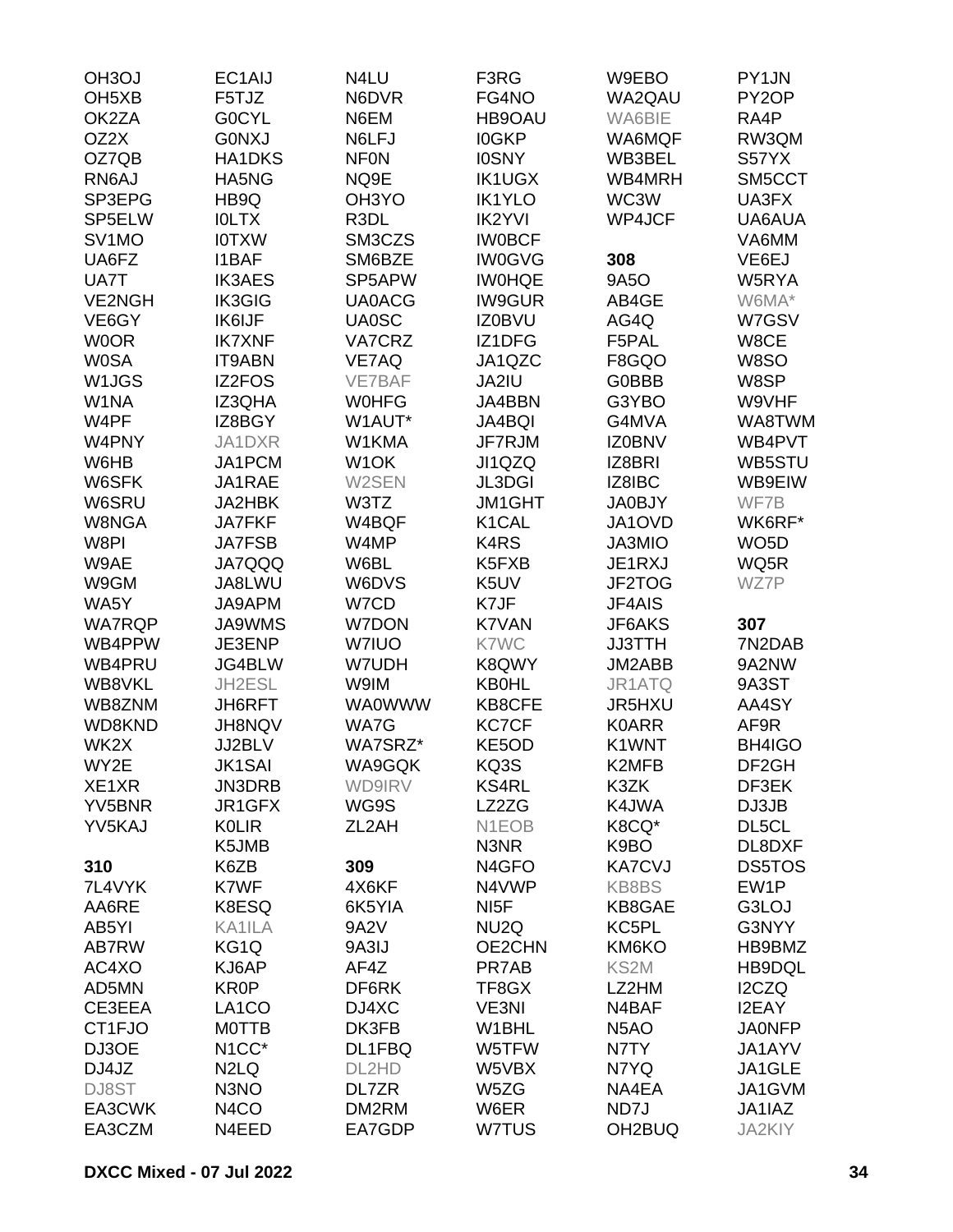| OH <sub>3</sub> OJ | EC1AIJ                        | N4LU               | F3RG               | W9EBO             | PY1JN             |
|--------------------|-------------------------------|--------------------|--------------------|-------------------|-------------------|
| OH <sub>5</sub> XB | F5TJZ                         | N6DVR              | FG4NO              | WA2QAU            | PY2OP             |
| OK2ZA              | <b>GOCYL</b>                  | N6EM               | HB9OAU             | WA6BIE            | RA4P              |
| OZ2X               | <b>GONXJ</b>                  | N6LFJ              | <b>IOGKP</b>       | WA6MQF            | RW3QM             |
| OZ7QB              | <b>HA1DKS</b>                 | <b>NFON</b>        | <b>IOSNY</b>       | WB3BEL            | S57YX             |
| RN6AJ              | HA5NG                         | NQ9E               | <b>IK1UGX</b>      | WB4MRH            | SM5CCT            |
| SP3EPG             | HB9Q                          | OH3YO              | <b>IK1YLO</b>      | WC3W              | UA3FX             |
| SP5ELW             | <b>IOLTX</b>                  | R3DL               | <b>IK2YVI</b>      | <b>WP4JCF</b>     | UA6AUA            |
| SV <sub>1</sub> MO | <b>IOTXW</b>                  | SM3CZS             | <b>IWOBCF</b>      |                   | VA6MM             |
| UA6FZ              | <b>I1BAF</b>                  | SM6BZE             | <b>IW0GVG</b>      | 308               | VE6EJ             |
| UA7T               | <b>IK3AES</b>                 | SP5APW             | <b>IWOHQE</b>      | <b>9A5O</b>       | W5RYA             |
| <b>VE2NGH</b>      | <b>IK3GIG</b>                 | <b>UA0ACG</b>      | <b>IW9GUR</b>      | AB4GE             | W6MA*             |
| VE6GY              | <b>IK6IJF</b>                 | <b>UA0SC</b>       | <b>IZ0BVU</b>      | AG4Q              | W7GSV             |
| <b>WOOR</b>        | <b>IK7XNF</b>                 | <b>VA7CRZ</b>      | IZ1DFG             | F5PAL             | W8CE              |
| <b>W0SA</b>        | <b>IT9ABN</b>                 | VE7AQ              | JA1QZC             | F8GQO             | W8SO              |
| W1JGS              | <b>IZ2FOS</b>                 | VE7BAF             | JA2IU              | <b>G0BBB</b>      | W8SP              |
| W1NA               | IZ3QHA                        | <b>WOHFG</b>       | JA4BBN             | G3YBO             | W9VHF             |
| W4PF               | IZ8BGY                        | W1AUT*             | <b>JA4BQI</b>      | G4MVA             | WA8TWM            |
| W4PNY              | JA1DXR                        | W1KMA              | JF7RJM             | <b>IZ0BNV</b>     | WB4PVT            |
| W6HB               | JA1PCM                        | W <sub>1</sub> OK  | JI1QZQ             | IZ8BRI            | WB5STU            |
| W6SFK              | JA1RAE                        | W2SEN              | <b>JL3DGI</b>      | IZ8IBC            | WB9EIW            |
| W6SRU              | JA2HBK                        | W3TZ               | <b>JM1GHT</b>      | <b>JA0BJY</b>     | WF7B              |
| W8NGA              | <b>JA7FKF</b>                 | W4BQF              | K1CAL              | JA1OVD            | WK6RF*            |
| W8PI               | <b>JA7FSB</b>                 | W4MP               | K4RS               | JA3MIO            | WO <sub>5</sub> D |
| W9AE               | <b>JA7QQQ</b>                 | W6BL               | K5FXB              | JE1RXJ            | WQ5R              |
| W9GM               | JA8LWU                        | W6DVS              | K5UV               | JF2TOG            | WZ7P              |
| WA5Y               | JA9APM                        | W7CD               | K7JF               | JF4AIS            |                   |
| <b>WA7RQP</b>      | <b>JA9WMS</b>                 | <b>W7DON</b>       | K7VAN              | JF6AKS            | 307               |
| WB4PPW             | JE3ENP                        | <b>W7IUO</b>       | <b>K7WC</b>        | <b>JJ3TTH</b>     | 7N2DAB            |
| WB4PRU             | JG4BLW                        | W7UDH              | K8QWY              | JM2ABB            | 9A2NW             |
| WB8VKL             | JH2ESL                        | W9IM               | <b>KB0HL</b>       | JR1ATQ            | 9A3ST             |
| WB8ZNM             | JH6RFT                        | <b>WA0WWW</b>      | <b>KB8CFE</b>      | JR5HXU            | AA4SY             |
| WD8KND             | JH8NQV                        | WA7G               | <b>KC7CF</b>       | <b>K0ARR</b>      | AF9R              |
| WK2X               | JJ2BLV                        | WA7SRZ*            | KE5OD              | K1WNT             | BH4IGO            |
| WY2E               | <b>JK1SAI</b>                 | WA9GQK             | KQ3S               | K2MFB             | DF <sub>2GH</sub> |
| XE1XR              | JN3DRB                        | WD9IRV             | <b>KS4RL</b>       | K3ZK              | DF3EK             |
| YV5BNR             | JR1GFX                        | WG9S               | LZ2ZG              | K4JWA             | DJ3JB             |
| YV5KAJ             | <b>KOLIR</b>                  | ZL <sub>2</sub> AH | N <sub>1</sub> EOB | K8CQ*             | DL5CL             |
|                    | K5JMB                         |                    | N3NR               | K9BO              | DL8DXF            |
| 310                | K6ZB                          | 309                | N <sub>4</sub> GFO | <b>KA7CVJ</b>     | DS5TOS            |
| 7L4VYK             | K7WF                          | 4X6KF              | N4VWP              | <b>KB8BS</b>      | EW1P              |
| AA6RE              | K8ESQ                         | 6K5YIA             | NI <sub>5</sub> F  | KB8GAE            | G3LOJ             |
| AB5YI              | KA1ILA                        | 9A2V               | NU <sub>2</sub> Q  | KC5PL             | G3NYY             |
| AB7RW              | KG <sub>1</sub> Q             | 9A3IJ              | OE2CHN             | KM6KO             | HB9BMZ            |
| AC4XO              | KJ6AP                         | AF4Z               | PR7AB              | KS2M              | HB9DQL            |
| AD5MN              | <b>KR0P</b>                   | DF6RK              | TF8GX              | LZ2HM             | I2CZQ             |
| CE3EEA             | LA <sub>1</sub> CO            | DJ4XC              | VE3NI              | N4BAF             | <b>I2EAY</b>      |
| CT1FJO             | <b>MOTTB</b>                  | DK3FB              | W1BHL              | N <sub>5</sub> AO | <b>JA0NFP</b>     |
| DJ3OE              | N <sub>1</sub> CC*            | DL1FBQ             | W5TFW              | N7TY              | JA1AYV            |
| DJ4JZ              | N <sub>2</sub> L <sub>Q</sub> | DL2HD              | W5VBX              | N7YQ              | JA1GLE            |
| DJ8ST              | N3NO                          | DL7ZR              | W5ZG               | NA4EA             | JA1GVM            |
| EA3CWK             | N <sub>4</sub> CO             | DM2RM              | W6ER               | ND7J              | JA1IAZ            |
| EA3CZM             | N4EED                         | EA7GDP             | <b>W7TUS</b>       | OH2BUQ            | JA2KIY            |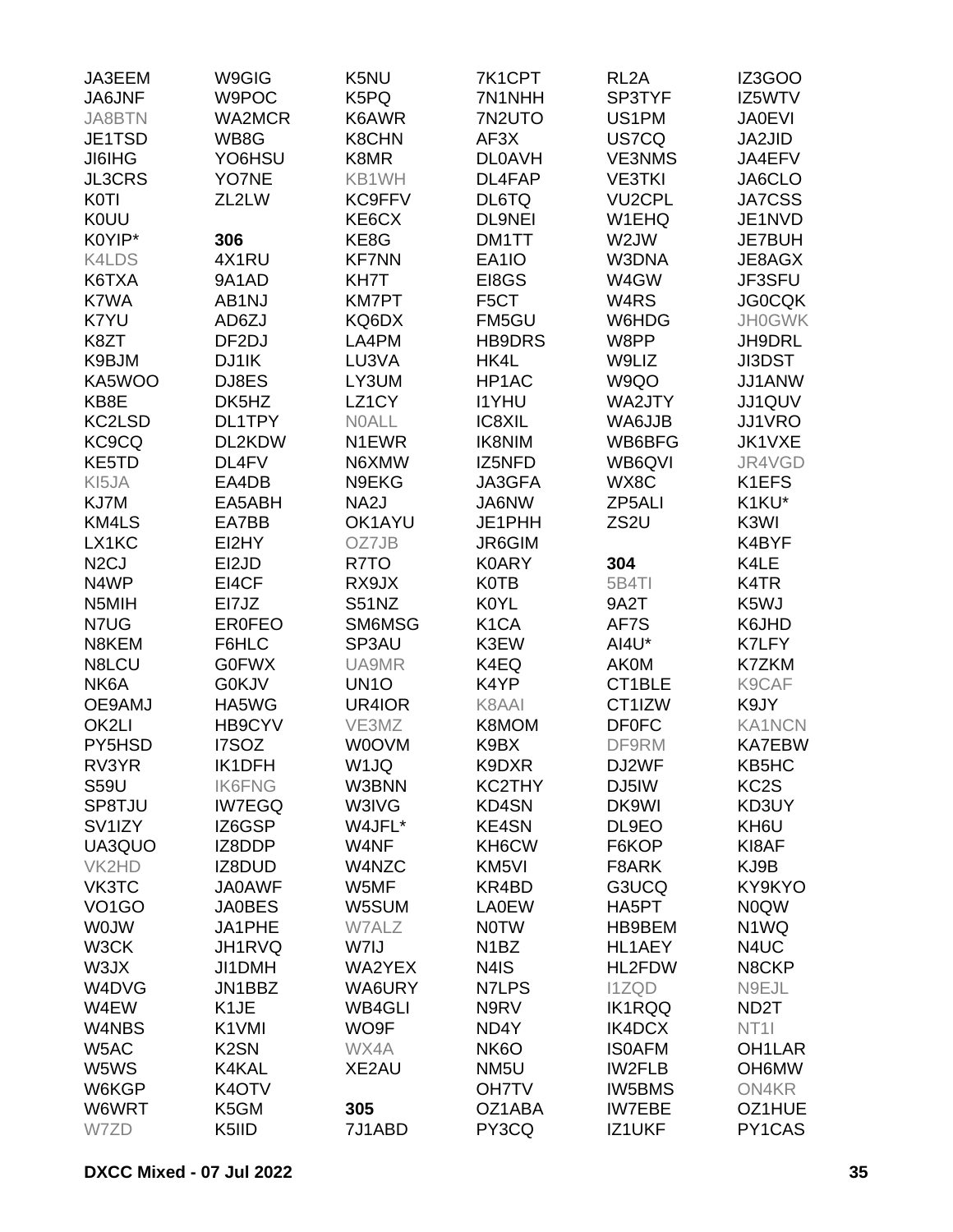| JA3EEM              | W9GIG             | K5NU              | 7K1CPT            | RL <sub>2</sub> A | IZ3GOO              |
|---------------------|-------------------|-------------------|-------------------|-------------------|---------------------|
| JA6JNF              | W9POC             | K5PQ              | 7N1NHH            | SP3TYF            | IZ5WTV              |
| <b>JA8BTN</b>       | <b>WA2MCR</b>     | K6AWR             | 7N2UTO            | US1PM             | <b>JA0EVI</b>       |
| JE1TSD              | WB8G              | <b>K8CHN</b>      | AF3X              | US7CQ             | JA2JID              |
| <b>JI6IHG</b>       | YO6HSU            | K8MR              | <b>DL0AVH</b>     | <b>VE3NMS</b>     | JA4EFV              |
| <b>JL3CRS</b>       | YO7NE             | KB1WH             | DL4FAP            | <b>VE3TKI</b>     | JA6CLO              |
| K <sub>0</sub> Tl   | ZL2LW             | <b>KC9FFV</b>     | DL6TQ             | <b>VU2CPL</b>     | <b>JA7CSS</b>       |
| <b>K0UU</b>         |                   | KE6CX             | <b>DL9NEI</b>     | W1EHQ             | JE1NVD              |
| K0YIP*              | 306               | KE8G              | DM1TT             | W2JW              | JE7BUH              |
| K4LDS               | 4X1RU             | <b>KF7NN</b>      | EA1IO             | W3DNA             | JE8AGX              |
| K6TXA               | 9A1AD             | KH7T              | EI8GS             | W4GW              | JF3SFU              |
| K7WA                | AB1NJ             | <b>KM7PT</b>      | F <sub>5</sub> CT | W <sub>4</sub> RS | <b>JG0CQK</b>       |
| K7YU                | AD6ZJ             | KQ6DX             | FM5GU             | W6HDG             | <b>JH0GWK</b>       |
| K8ZT                | DF <sub>2DJ</sub> | LA4PM             | <b>HB9DRS</b>     | W8PP              | JH9DRL              |
| K9BJM               | DJ1IK             | LU3VA             | HK4L              | W9LIZ             | JI3DST              |
| KA5WOO              | DJ8ES             | LY3UM             | HP1AC             | W9QO              | JJ1ANW              |
| KB8E                | DK5HZ             | LZ1CY             | <b>I1YHU</b>      | WA2JTY            | JJ1QUV              |
| KC2LSD              | DL1TPY            | <b>NOALL</b>      | IC8XIL            | WA6JJB            | <b>JJ1VRO</b>       |
| KC <sub>9</sub> CQ  | DL2KDW            | N1EWR             | <b>IK8NIM</b>     | WB6BFG            | JK1VXE              |
| KE5TD               | DL4FV             | N6XMW             | IZ5NFD            | WB6QVI            | JR4VGD              |
| KI5JA               | EA4DB             | N9EKG             | JA3GFA            | WX8C              | K1EFS               |
| KJ7M                | EA5ABH            | NA <sub>2</sub> J | JA6NW             | ZP5ALI            | K1KU*               |
| KM4LS               | EA7BB             | OK1AYU            | JE1PHH            | ZS <sub>2U</sub>  | K3WI                |
| LX1KC               | EI2HY             | OZ7JB             | <b>JR6GIM</b>     |                   | K4BYF               |
| N <sub>2</sub> CJ   | EI2JD             | R7TO              | <b>K0ARY</b>      | 304               | K4LE                |
| N4WP                | EI4CF             | RX9JX             | <b>K0TB</b>       | <b>5B4TI</b>      | K4TR                |
| N5MIH               | EI7JZ             | <b>S51NZ</b>      | <b>K0YL</b>       | 9A2T              | K5WJ                |
| N7UG                | <b>ER0FEO</b>     | SM6MSG            | K <sub>1</sub> CA | AF7S              | K6JHD               |
| N8KEM               | F6HLC             | SP3AU             | K3EW              | AI4U*             | K7LFY               |
| N8LCU               | <b>G0FWX</b>      | UA9MR             | K4EQ              | <b>AK0M</b>       | K7ZKM               |
| NK6A                | <b>G0KJV</b>      | UN <sub>10</sub>  | K4YP              | CT1BLE            | K9CAF               |
| OE9AMJ              | HA5WG             | UR4IOR            | K8AAI             | CT1IZW            | K9JY                |
| OK2LI               | HB9CYV            | VE3MZ             | K8MOM             | <b>DF0FC</b>      | <b>KA1NCN</b>       |
| PY5HSD              | I7SOZ             | W0OVM             | K9BX              | DF9RM             | <b>KA7EBW</b>       |
| RV3YR               | <b>IK1DFH</b>     | W1JQ              | K9DXR             | DJ2WF             | KB5HC               |
| <b>S59U</b>         | <b>IK6FNG</b>     | W3BNN             | KC2THY            | DJ5IW             | KC <sub>2</sub> S   |
| SP8TJU              | <b>IW7EGQ</b>     | W3IVG             | <b>KD4SN</b>      | DK9WI             | KD3UY               |
| SV <sub>1</sub> IZY | IZ6GSP            | W4JFL*            | <b>KE4SN</b>      | DL9EO             | KH6U                |
| UA3QUO              | IZ8DDP            | W4NF              | KH6CW             | F6KOP             | KI8AF               |
| VK2HD               | IZ8DUD            | W4NZC             | KM5VI             | F8ARK             | KJ9B                |
| VK3TC               | <b>JA0AWF</b>     | W5MF              | KR4BD             | G3UCQ             | KY9KYO              |
| VO <sub>1</sub> GO  | <b>JA0BES</b>     | W5SUM             | <b>LA0EW</b>      | HA5PT             | <b>NOQW</b>         |
| <b>WOJW</b>         | JA1PHE            | W7ALZ             | <b>NOTW</b>       | HB9BEM            | N <sub>1</sub> WQ   |
| W3CK                | JH1RVQ            | W7IJ              | N <sub>1</sub> BZ | HL1AEY            | N4UC                |
| W3JX                | JI1DMH            | WA2YEX            | N4IS              | HL2FDW            | N8CKP               |
| W4DVG               | JN1BBZ            | WA6URY            | N7LPS             | <b>I1ZQD</b>      | N9EJL               |
| W4EW                | K <sub>1</sub> JE | <b>WB4GLI</b>     | N9RV              | <b>IK1RQQ</b>     | ND <sub>2</sub> T   |
| W4NBS               | K1VMI             | WO9F              | ND4Y              | IK4DCX            | NT <sub>1</sub>     |
| W5AC                | K <sub>2</sub> SN | WX4A              | NK <sub>6</sub> O | <b>ISOAFM</b>     | OH <sub>1</sub> LAR |
| W5WS                | K4KAL             | XE2AU             | NM <sub>5U</sub>  | <b>IW2FLB</b>     | OH6MW               |
| W6KGP               | K4OTV             |                   | <b>OH7TV</b>      | <b>IW5BMS</b>     | ON4KR               |
| W6WRT               | K5GM              | 305               | OZ1ABA            | <b>IW7EBE</b>     | OZ1HUE              |
| W7ZD                | K5IID             | 7J1ABD            | PY3CQ             | IZ1UKF            | PY1CAS              |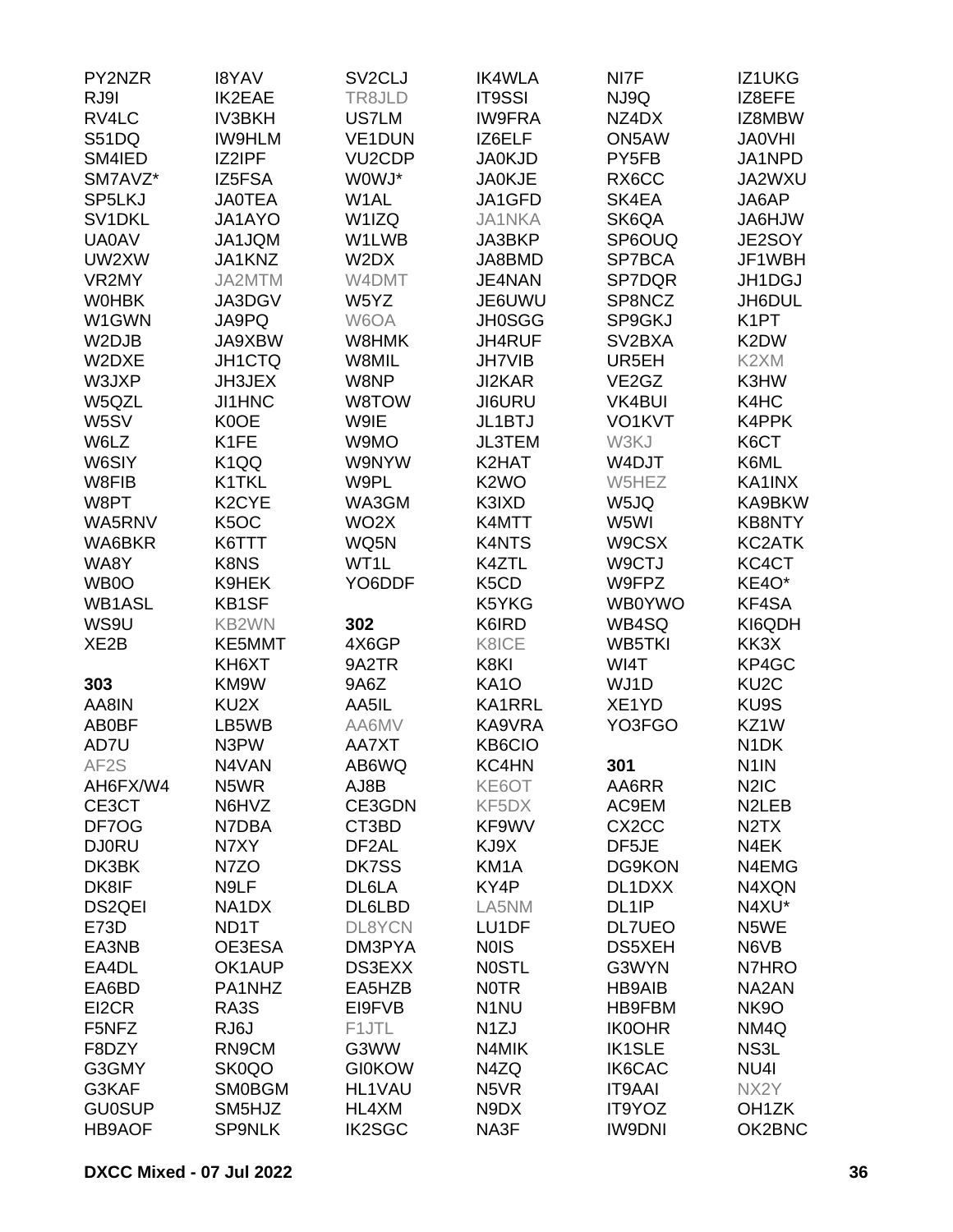| PY2NZR            | <b>I8YAV</b>       | SV <sub>2</sub> CLJ | <b>IK4WLA</b>                 | NI7F                           | IZ1UKG                        |
|-------------------|--------------------|---------------------|-------------------------------|--------------------------------|-------------------------------|
| RJ9I              | <b>IK2EAE</b>      | TR8JLD              | <b>IT9SSI</b>                 | NJ9Q                           | IZ8EFE                        |
| RV4LC             | <b>IV3BKH</b>      | <b>US7LM</b>        | <b>IW9FRA</b>                 | NZ4DX                          | IZ8MBW                        |
| S51DQ             | <b>IW9HLM</b>      | <b>VE1DUN</b>       | IZ6ELF                        | ON5AW                          | <b>JA0VHI</b>                 |
| SM4IED            | IZ2IPF             | VU <sub>2</sub> CDP | <b>JA0KJD</b>                 | PY5FB                          | JA1NPD                        |
| SM7AVZ*           | IZ5FSA             | W0WJ*               | <b>JA0KJE</b>                 | RX6CC                          | JA2WXU                        |
| SP5LKJ            | <b>JAOTEA</b>      | W1AL                | JA1GFD                        | SK4EA                          | JA6AP                         |
| SV1DKL            | JA1AYO             | W1IZQ               | <b>JA1NKA</b>                 | SK6QA                          | <b>JA6HJW</b>                 |
| <b>UA0AV</b>      | JA1JQM             | W1LWB               | JA3BKP                        | SP6OUQ                         | JE2SOY                        |
| UW2XW             | JA1KNZ             | W2DX                | JA8BMD                        | SP7BCA                         | JF1WBH                        |
| VR2MY             | JA2MTM             | W4DMT               | JE4NAN                        | SP7DQR                         | JH1DGJ                        |
|                   |                    | W5YZ                |                               | SP8NCZ                         |                               |
| <b>WOHBK</b>      | JA3DGV             |                     | JE6UWU                        |                                | JH6DUL                        |
| W1GWN             | JA9PQ              | W6OA                | <b>JH0SGG</b>                 | SP9GKJ                         | K <sub>1</sub> PT             |
| W2DJB             | JA9XBW             | W8HMK               | JH4RUF                        | SV <sub>2</sub> BXA            | K2DW                          |
| W2DXE             | JH1CTQ             | W8MIL               | <b>JH7VIB</b>                 | UR5EH                          | K2XM                          |
| W3JXP             | JH3JEX             | W8NP                | JI2KAR                        | VE <sub>2</sub> G <sub>Z</sub> | K3HW                          |
| W5QZL             | JI1HNC             | W8TOW               | JI6URU                        | <b>VK4BUI</b>                  | K4HC                          |
| W5SV              | K0OE               | W9IE                | JL1BTJ                        | VO1KVT                         | K4PPK                         |
| W6LZ              | K <sub>1</sub> FE  | W9MO                | <b>JL3TEM</b>                 | W3KJ                           | K6CT                          |
| W6SIY             | K <sub>1QQ</sub>   | W9NYW               | K2HAT                         | W4DJT                          | K6ML                          |
| W8FIB             | K1TKL              | W9PL                | K <sub>2</sub> WO             | W5HEZ                          | KA1INX                        |
| W8PT              | K <sub>2</sub> CYE | WA3GM               | K3IXD                         | W5JQ                           | KA9BKW                        |
| WA5RNV            | K <sub>5</sub> OC  | WO <sub>2</sub> X   | K4MTT                         | W5WI                           | <b>KB8NTY</b>                 |
| WA6BKR            | K6TTT              | WQ5N                | <b>K4NTS</b>                  | W9CSX                          | KC2ATK                        |
| WA8Y              | K8NS               | WT1L                | K4ZTL                         | W9CTJ                          | KC4CT                         |
| WB0O              | K9HEK              | YO6DDF              | K <sub>5</sub> C <sub>D</sub> | W9FPZ                          | KE4O*                         |
| <b>WB1ASL</b>     | KB1SF              |                     | K5YKG                         | <b>WB0YWO</b>                  | KF4SA                         |
| WS9U              | KB2WN              | 302                 | K6IRD                         | WB4SQ                          | KI6QDH                        |
| XE <sub>2</sub> B | KE5MMT             | 4X6GP               | K8ICE                         | <b>WB5TKI</b>                  | KK3X                          |
|                   | KH6XT              | 9A2TR               | K8KI                          | WI4T                           | KP4GC                         |
| 303               | KM9W               | 9A6Z                | <b>KA10</b>                   | WJ1D                           | KU <sub>2</sub> C             |
| AA8IN             | KU <sub>2</sub> X  | AA5IL               | <b>KA1RRL</b>                 | XE1YD                          | KU9S                          |
| AB0BF             | LB5WB              | AA6MV               | KA9VRA                        | YO3FGO                         | KZ1W                          |
| AD7U              | N3PW               | AA7XT               | KB6CIO                        |                                | N <sub>1</sub> DK             |
| AF2S              | N4VAN              | AB6WQ               | KC4HN                         | 301                            | N <sub>1</sub> IN             |
| AH6FX/W4          | N <sub>5</sub> WR  | AJ8B                | KE6OT                         | AA6RR                          | N <sub>2</sub> I <sub>C</sub> |
| CE3CT             | N6HVZ              | CE3GDN              | KF5DX                         | AC9EM                          | N <sub>2</sub> LEB            |
|                   |                    |                     | KF9WV                         |                                |                               |
| DF7OG             | N7DBA              | CT3BD               |                               | CX <sub>2</sub> CC             | N <sub>2</sub> T <sub>X</sub> |
| <b>DJ0RU</b>      | N7XY               | DF <sub>2</sub> AL  | KJ9X                          | DF5JE                          | N4EK                          |
| DK3BK             | N7ZO               | DK7SS               | KM <sub>1</sub> A             | <b>DG9KON</b>                  | N4EMG                         |
| DK8IF             | N9LF               | DL6LA               | KY4P                          | DL1DXX                         | N4XQN                         |
| DS2QEI            | NA1DX              | DL6LBD              | LA5NM                         | DL <sub>1IP</sub>              | N4XU*                         |
| E73D              | ND1T               | DL8YCN              | LU1DF                         | <b>DL7UEO</b>                  | N5WE                          |
| EA3NB             | OE3ESA             | DM3PYA              | <b>NOIS</b>                   | <b>DS5XEH</b>                  | N6VB                          |
| EA4DL             | OK1AUP             | DS3EXX              | <b>NOSTL</b>                  | G3WYN                          | N7HRO                         |
| EA6BD             | PA1NHZ             | EA5HZB              | <b>NOTR</b>                   | <b>HB9AIB</b>                  | NA2AN                         |
| EI2CR             | RA3S               | EI9FVB              | N <sub>1</sub> NU             | HB9FBM                         | <b>NK9O</b>                   |
| F5NFZ             | RJ6J               | F1JTL               | N <sub>1</sub> ZJ             | <b>IK0OHR</b>                  | NM4Q                          |
| F8DZY             | RN9CM              | G3WW                | N4MIK                         | <b>IK1SLE</b>                  | NS3L                          |
| G3GMY             | SK0QO              | <b>GI0KOW</b>       | N4ZQ                          | IK6CAC                         | NU4I                          |
| G3KAF             | <b>SM0BGM</b>      | HL1VAU              | N <sub>5</sub> VR             | <b>IT9AAI</b>                  | NX2Y                          |
| <b>GU0SUP</b>     | SM5HJZ             | HL4XM               | N9DX                          | IT9YOZ                         | OH <sub>1</sub> ZK            |
| <b>HB9AOF</b>     | <b>SP9NLK</b>      | <b>IK2SGC</b>       | NA3F                          | <b>IW9DNI</b>                  | OK2BNC                        |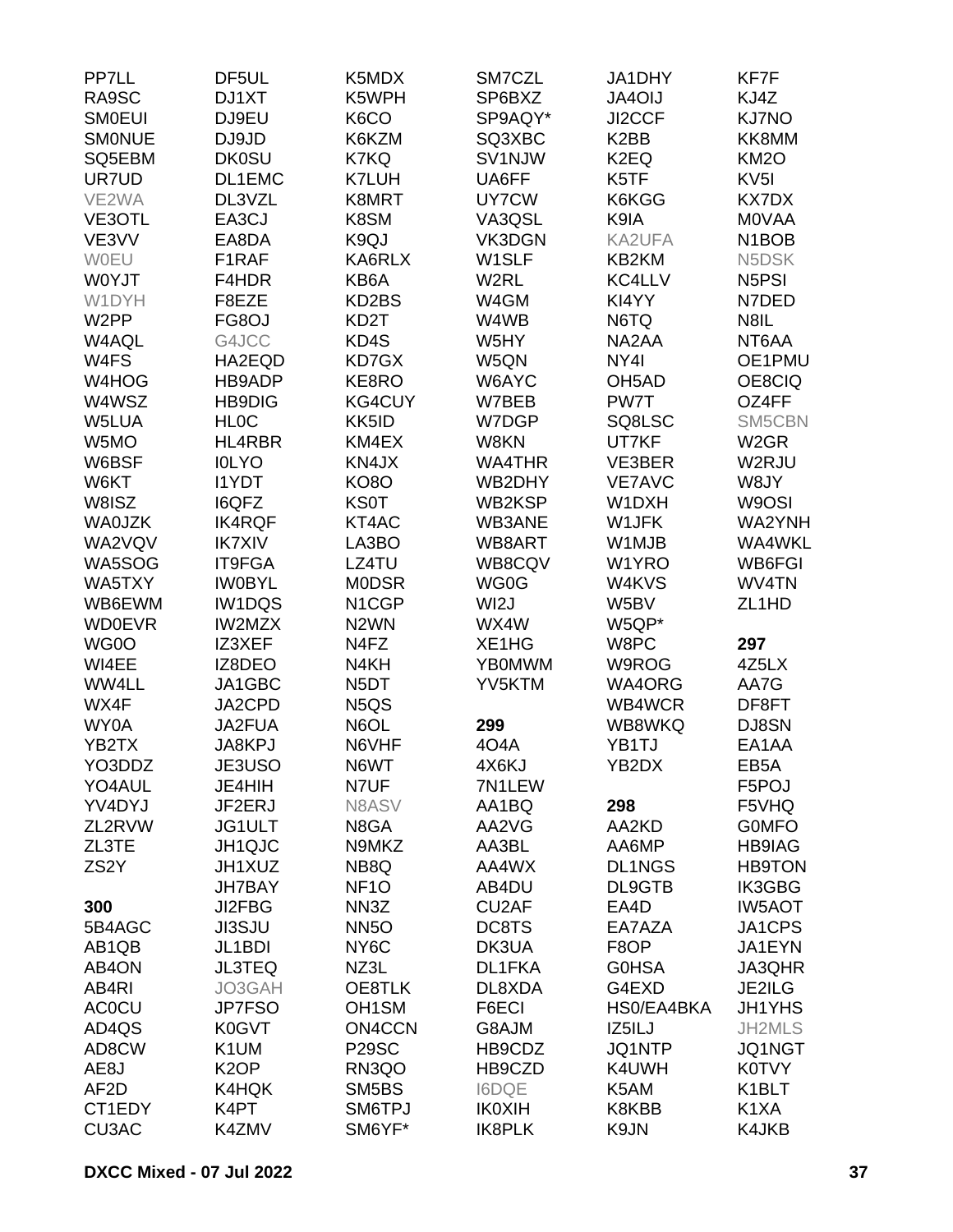| PP7LL             | DF <sub>5UL</sub> | K5MDX                         | SM7CZL                         | JA1DHY             | KF7F               |
|-------------------|-------------------|-------------------------------|--------------------------------|--------------------|--------------------|
| RA9SC             | DJ1XT             | K5WPH                         | SP6BXZ                         | <b>JA4OIJ</b>      | KJ4Z               |
| <b>SMOEUI</b>     | DJ9EU             | K6CO                          | SP9AQY*                        | JI2CCF             | <b>KJ7NO</b>       |
| <b>SMONUE</b>     | DJ9JD             | K6KZM                         | SQ3XBC                         | K <sub>2</sub> BB  | KK8MM              |
| SQ5EBM            | <b>DK0SU</b>      | K7KQ                          | SV1NJW                         | K <sub>2</sub> EQ  | <b>KM2O</b>        |
| UR7UD             | DL1EMC            | <b>K7LUH</b>                  | UA6FF                          | K5TF               | KV <sub>5I</sub>   |
| VE2WA             | DL3VZL            | K8MRT                         | UY7CW                          | K6KGG              | <b>KX7DX</b>       |
| VE3OTL            | EA3CJ             | K8SM                          | VA3QSL                         | K9IA               | <b>MOVAA</b>       |
| VE3VV             | EA8DA             | K9QJ                          | VK3DGN                         | KA2UFA             | N <sub>1</sub> BOB |
| WOEU              | F1RAF             | KA6RLX                        | W1SLF                          | KB2KM              | N5DSK              |
| W0YJT             | F4HDR             | KB6A                          | W2RL                           | KC4LLV             | N <sub>5</sub> PSI |
| W1DYH             | F8EZE             | KD2BS                         | W4GM                           | KI4YY              | N7DED              |
| W <sub>2</sub> PP | FG8OJ             | KD <sub>2</sub> T             | W4WB                           | N6TQ               | N8IL               |
| W4AQL             | G4JCC             | KD4S                          | W5HY                           | NA2AA              | NT6AA              |
| W4FS              | HA2EQD            | KD7GX                         | W5QN                           | NY4I               | OE1PMU             |
| W4HOG             | HB9ADP            | KE8RO                         | W6AYC                          | OH <sub>5</sub> AD | OE8CIQ             |
| W4WSZ             | <b>HB9DIG</b>     | <b>KG4CUY</b>                 | W7BEB                          | PW7T               | OZ4FF              |
| W5LUA             | <b>HLOC</b>       | KK5ID                         | W7DGP                          | SQ8LSC             | SM5CBN             |
| W5MO              | HL4RBR            | KM4EX                         | W8KN                           | UT7KF              | W <sub>2</sub> GR  |
| W6BSF             | <b>IOLYO</b>      | KN4JX                         | <b>WA4THR</b>                  | VE3BER             | W2RJU              |
| W6KT              | <b>I1YDT</b>      | <b>KO8O</b>                   | WB2DHY                         | <b>VE7AVC</b>      | W8JY               |
| W8ISZ             | <b>I6QFZ</b>      | <b>KS0T</b>                   | WB2KSP                         | W1DXH              | W9OSI              |
| <b>WA0JZK</b>     | <b>IK4RQF</b>     | KT4AC                         | WB3ANE                         | W1JFK              | WA2YNH             |
| WA2VQV            | <b>IK7XIV</b>     |                               | WB8ART                         | W1MJB              | WA4WKL             |
|                   | IT9FGA            | LA3BO<br>LZ4TU                | WB8CQV                         |                    | WB6FGI             |
| WA5SOG            |                   | <b>MODSR</b>                  |                                | W1YRO              | WV4TN              |
| WA5TXY            | <b>IWOBYL</b>     |                               | WG0G                           | W4KVS<br>W5BV      |                    |
| WB6EWM            | <b>IW1DQS</b>     | N1CGP                         | WI2J                           |                    | ZL <sub>1</sub> HD |
| <b>WD0EVR</b>     | <b>IW2MZX</b>     | N <sub>2</sub> WN             | WX4W                           | W5QP*              |                    |
| WG0O              | IZ3XEF            | N4FZ                          | XE <sub>1</sub> H <sub>G</sub> | W8PC               | 297                |
| WI4EE             | IZ8DEO            | N4KH                          | <b>YB0MWM</b>                  | W9ROG              | 4Z5LX              |
| WW4LL             | JA1GBC            | N <sub>5</sub> DT             | YV5KTM                         | WA4ORG             | AA7G               |
| WX4F              | JA2CPD            | N <sub>5</sub> Q <sub>S</sub> |                                | WB4WCR             | DF8FT              |
| WY0A              | JA2FUA            | N6OL                          | 299                            | WB8WKQ             | DJ8SN              |
| YB2TX             | JA8KPJ            | N6VHF                         | 4O4A                           | YB1TJ              | EA1AA              |
| YO3DDZ            | JE3USO            | N6WT                          | 4X6KJ                          | YB2DX              | EB <sub>5</sub> A  |
| YO4AUL            | JE4HIH            | N7UF                          | 7N1LEW                         |                    | F5POJ              |
| YV4DYJ            | JF2ERJ            | N8ASV                         | AA1BQ                          | 298                | F5VHQ              |
| ZL2RVW            | JG1ULT            | N8GA                          | AA2VG                          | AA2KD              | <b>GOMFO</b>       |
| ZL3TE             | JH1QJC            | N9MKZ                         | AA3BL                          | AA6MP              | <b>HB9IAG</b>      |
| ZS <sub>2</sub> Y | JH1XUZ            | NB8Q                          | AA4WX                          | <b>DL1NGS</b>      | <b>HB9TON</b>      |
|                   | <b>JH7BAY</b>     | NF <sub>10</sub>              | AB4DU                          | DL9GTB             | IK3GBG             |
| 300               | JI2FBG            | NN3Z                          | CU <sub>2</sub> AF             | EA4D               | <b>IW5AOT</b>      |
| 5B4AGC            | <b>JI3SJU</b>     | <b>NN5O</b>                   | DC8TS                          | EA7AZA             | JA1CPS             |
| AB1QB             | JL1BDI            | NY <sub>6</sub> C             | DK3UA                          | F8OP               | JA1EYN             |
| AB4ON             | <b>JL3TEQ</b>     | NZ3L                          | DL1FKA                         | <b>G0HSA</b>       | JA3QHR             |
| AB4RI             | JO3GAH            | OE8TLK                        | DL8XDA                         | G4EXD              | JE2ILG             |
| <b>ACOCU</b>      | <b>JP7FSO</b>     | OH <sub>1</sub> SM            | F6ECI                          | HS0/EA4BKA         | <b>JH1YHS</b>      |
| AD4QS             | K0GVT             | <b>ON4CCN</b>                 | G8AJM                          | IZ5ILJ             | JH2MLS             |
| AD8CW             | K1UM              | <b>P29SC</b>                  | HB9CDZ                         | JQ1NTP             | JQ1NGT             |
| AE8J              | K <sub>2</sub> OP | RN3QO                         | HB9CZD                         | K4UWH              | <b>K0TVY</b>       |
| AF <sub>2</sub> D | K4HQK             | SM5BS                         | <b>I6DQE</b>                   | K5AM               | K1BLT              |
| CT1EDY            | K4PT              | SM6TPJ                        | <b>IK0XIH</b>                  | K8KBB              | K <sub>1</sub> XA  |
| CU3AC             | K4ZMV             | SM6YF*                        | <b>IK8PLK</b>                  | K9JN               | K4JKB              |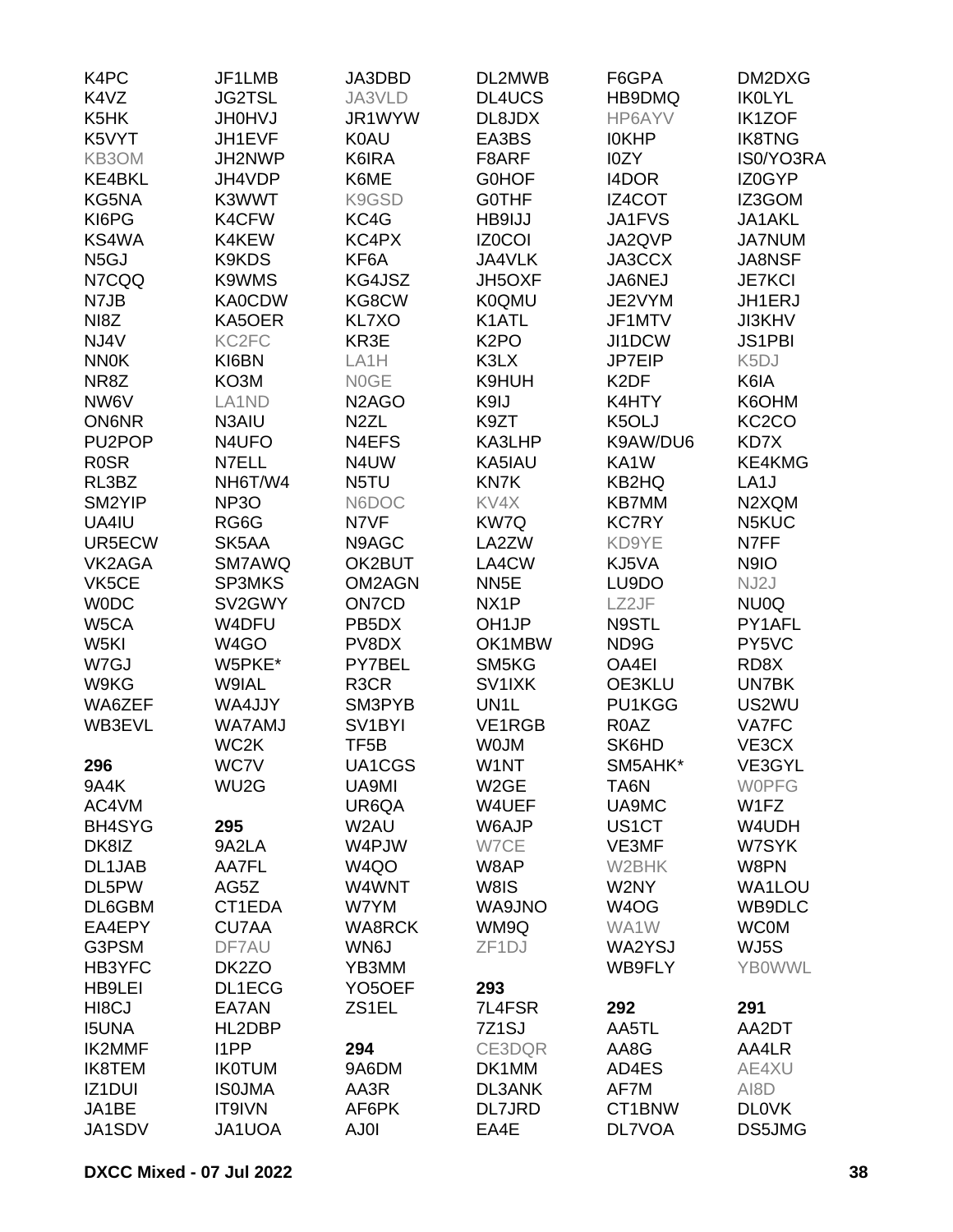| K4PC                | JF1LMB                         | JA3DBD                          | DL2MWB             | F6GPA              | DM2DXG             |
|---------------------|--------------------------------|---------------------------------|--------------------|--------------------|--------------------|
| K4VZ                | <b>JG2TSL</b>                  | JA3VLD                          | DL4UCS             | HB9DMQ             | <b>IKOLYL</b>      |
| K5HK                | <b>JH0HVJ</b>                  | JR1WYW                          | DL8JDX             | HP6AYV             | <b>IK1ZOF</b>      |
| K5VYT               | JH1EVF                         | <b>K0AU</b>                     | EA3BS              | <b>IOKHP</b>       | <b>IK8TNG</b>      |
| KB3OM               | JH2NWP                         | K6IRA                           | F8ARF              | I0ZY               | IS0/YO3RA          |
| <b>KE4BKL</b>       | JH4VDP                         | K6ME                            | <b>GOHOF</b>       | I4DOR              | IZ0GYP             |
| KG5NA               | K3WWT                          | K9GSD                           | <b>GOTHF</b>       | <b>IZ4COT</b>      | IZ3GOM             |
| KI6PG               | K4CFW                          | KC4G                            | HB9IJJ             | JA1FVS             | JA1AKL             |
| KS4WA               | K4KEW                          | KC4PX                           | <b>IZ0COI</b>      | JA2QVP             | <b>JA7NUM</b>      |
| N <sub>5</sub> GJ   | <b>K9KDS</b>                   | KF6A                            | JA4VLK             | JA3CCX             | JA8NSF             |
| N7CQQ               | K9WMS                          | KG4JSZ                          | JH5OXF             | JA6NEJ             | <b>JE7KCI</b>      |
| N7JB                | <b>KA0CDW</b>                  | KG8CW                           | <b>K0QMU</b>       | JE2VYM             | JH1ERJ             |
| NI8Z                | KA5OER                         | KL7XO                           | K1ATL              | JF1MTV             | <b>JI3KHV</b>      |
| NJ4V                | KC <sub>2FC</sub>              | KR3E                            | K <sub>2</sub> PO  | JI1DCW             | <b>JS1PBI</b>      |
| <b>NN0K</b>         | KI6BN                          | LA <sub>1</sub> H               | K3LX               | JP7EIP             | K <sub>5</sub> DJ  |
| NR8Z                | KO3M                           | N0GE                            | K9HUH              | K <sub>2</sub> DF  | K6IA               |
| NW6V                | LA <sub>1</sub> N <sub>D</sub> |                                 |                    |                    |                    |
|                     |                                | N <sub>2</sub> A <sub>G</sub> O | K9IJ               | K4HTY              | K6OHM              |
| <b>ON6NR</b>        | N3AIU                          | N <sub>2</sub> ZL               | K9ZT               | K5OLJ              | KC <sub>2</sub> CO |
| PU <sub>2</sub> POP | N4UFO                          | N4EFS                           | KA3LHP             | K9AW/DU6           | KD7X               |
| <b>ROSR</b>         | N7ELL                          | N4UW                            | KA5IAU             | KA1W               | KE4KMG             |
| RL3BZ               | NH6T/W4                        | N5TU                            | KN7K               | KB2HQ              | LA <sub>1</sub> J  |
| SM2YIP              | <b>NP3O</b>                    | N6DOC                           | KV4X               | <b>KB7MM</b>       | N2XQM              |
| UA4IU               | RG6G                           | N7VF                            | KW7Q               | <b>KC7RY</b>       | N5KUC              |
| UR5ECW              | SK5AA                          | N9AGC                           | LA2ZW              | KD9YE              | N7FF               |
| VK2AGA              | SM7AWQ                         | OK2BUT                          | LA4CW              | KJ5VA              | N9IO               |
| VK5CE               | <b>SP3MKS</b>                  | <b>OM2AGN</b>                   | NN <sub>5</sub> E  | LU9DO              | NJ2J               |
| <b>WODC</b>         | SV2GWY                         | ON7CD                           | NX <sub>1</sub> P  | LZ2JF              | NU0Q               |
| W5CA                | W4DFU                          | PB <sub>5</sub> D <sub>X</sub>  | OH <sub>1</sub> JP | N9STL              | PY1AFL             |
| W5KI                | W <sub>4</sub> GO              | PV8DX                           | OK1MBW             | ND9G               | PY5VC              |
| W7GJ                | W5PKE*                         | PY7BEL                          | SM5KG              | OA4EI              | RD8X               |
| W9KG                | W9IAL                          | R <sub>3</sub> C <sub>R</sub>   | SV1IXK             | OE3KLU             | UN7BK              |
| WA6ZEF              | WA4JJY                         | SM3PYB                          | UN <sub>1</sub> L  | PU1KGG             | US2WU              |
| WB3EVL              | WA7AMJ                         | SV <sub>1</sub> BYI             | VE1RGB             | R0AZ               | VA7FC              |
|                     | WC2K                           | TF <sub>5</sub> B               | <b>WOJM</b>        | SK6HD              | VE3CX              |
| 296                 | <b>WC7V</b>                    | UA1CGS                          | W1NT               | SM5AHK*            | VE3GYL             |
| 9A4K                | WU <sub>2</sub> G              | UA9MI                           | W <sub>2</sub> GE  | TA6N               | <b>WOPFG</b>       |
| AC4VM               |                                | UR6QA                           | W4UEF              | UA9MC              | W1FZ               |
| <b>BH4SYG</b>       | 295                            | W <sub>2</sub> AU               | W6AJP              | US <sub>1</sub> CT | W4UDH              |
| DK8IZ               | 9A2LA                          | W4PJW                           | W7CE               | VE3MF              | W7SYK              |
| DL1JAB              | AA7FL                          | W <sub>4</sub> QO               | W8AP               | W2BHK              | W8PN               |
| DL5PW               | AG5Z                           | W4WNT                           | W8IS               | W2NY               | WA1LOU             |
| DL6GBM              | CT1EDA                         | W7YM                            | WA9JNO             | W <sub>4</sub> OG  | WB9DLC             |
| EA4EPY              | <b>CU7AA</b>                   | <b>WA8RCK</b>                   | WM9Q               | WA1W               | <b>WC0M</b>        |
| G3PSM               | DF7AU                          | WN6J                            | ZF <sub>1</sub> DJ | WA2YSJ             | WJ5S               |
| HB3YFC              | DK2ZO                          | YB3MM                           |                    | WB9FLY             | <b>YBOWWL</b>      |
| <b>HB9LEI</b>       | DL1ECG                         | YO <sub>5</sub> OEF             | 293                |                    |                    |
| HI8CJ               | EA7AN                          | ZS1EL                           | 7L4FSR             | 292                | 291                |
| <b>I5UNA</b>        | HL2DBP                         |                                 | 7Z <sub>1</sub> SJ | AA5TL              | AA2DT              |
| <b>IK2MMF</b>       | I1PP                           | 294                             | CE3DQR             | AA8G               | AA4LR              |
|                     |                                | 9A6DM                           |                    |                    |                    |
| <b>IK8TEM</b>       | <b>IK0TUM</b>                  |                                 | DK1MM              | AD4ES              | AE4XU              |
| IZ1DUI              | <b>ISOJMA</b>                  | AA3R                            | <b>DL3ANK</b>      | AF7M               | AI8D               |
| JA1BE               | IT9IVN                         | AF6PK                           | <b>DL7JRD</b>      | CT1BNW             | <b>DLOVK</b>       |
| JA1SDV              | JA1UOA                         | AJ0I                            | EA4E               | <b>DL7VOA</b>      | DS5JMG             |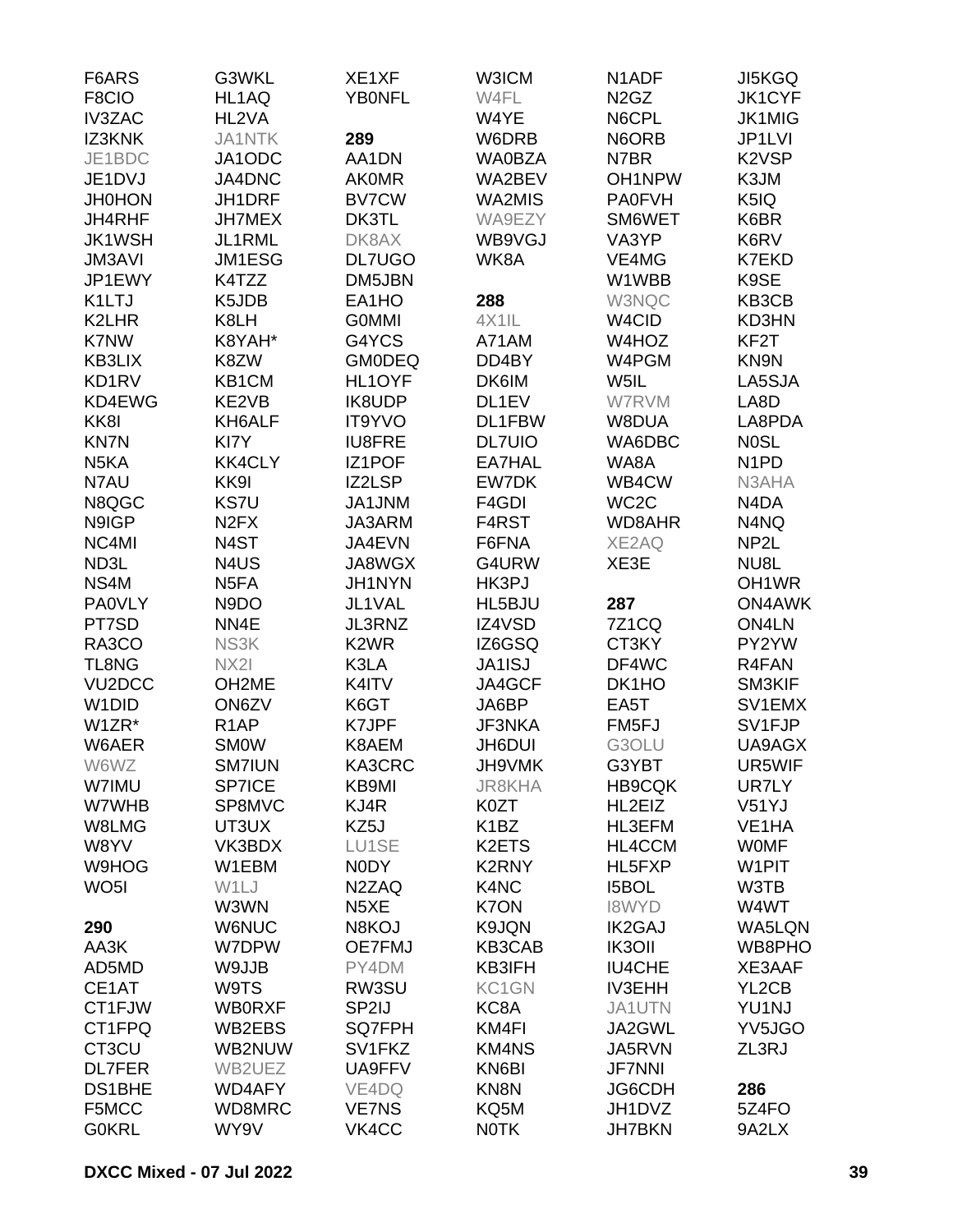| F6ARS               | G3WKL                         | XE1XF             | W3ICM             | N <sub>1</sub> ADF            | <b>JI5KGQ</b>                  |
|---------------------|-------------------------------|-------------------|-------------------|-------------------------------|--------------------------------|
| F8CIO               | HL1AQ                         | <b>YB0NFL</b>     | W4FL              | N <sub>2</sub> G <sub>Z</sub> | <b>JK1CYF</b>                  |
| <b>IV3ZAC</b>       | HL2VA                         |                   | W4YE              | N6CPL                         | <b>JK1MIG</b>                  |
| IZ3KNK              | <b>JA1NTK</b>                 | 289               | W6DRB             | N6ORB                         | JP1LVI                         |
| JE1BDC              | JA1ODC                        | AA1DN             | <b>WA0BZA</b>     | N7BR                          | K <sub>2</sub> V <sub>SP</sub> |
| JE1DVJ              | JA4DNC                        | <b>AK0MR</b>      | WA2BEV            | OH1NPW                        | K3JM                           |
| <b>JH0HON</b>       | JH1DRF                        | <b>BV7CW</b>      | WA2MIS            | <b>PA0FVH</b>                 | K5IQ                           |
| JH4RHF              | <b>JH7MEX</b>                 | DK3TL             | WA9EZY            | SM6WET                        | K6BR                           |
| <b>JK1WSH</b>       | JL1RML                        | DK8AX             | WB9VGJ            | VA3YP                         | K6RV                           |
| <b>JM3AVI</b>       | JM1ESG                        | <b>DL7UGO</b>     | WK8A              | VE4MG                         | <b>K7EKD</b>                   |
| JP1EWY              | K4TZZ                         | DM5JBN            |                   | W1WBB                         | K9SE                           |
| K1LTJ               | K5JDB                         | EA1HO             | 288               | W3NQC                         | KB3CB                          |
| K2LHR               | K8LH                          | <b>GOMMI</b>      | 4X1IL             | W <sub>4</sub> CID            | KD3HN                          |
| K7NW                | K8YAH*                        | G4YCS             | A71AM             | W4HOZ                         | KF <sub>2</sub> T              |
| <b>KB3LIX</b>       | K8ZW                          | <b>GM0DEQ</b>     | DD4BY             | W4PGM                         | KN9N                           |
| KD1RV               | KB1CM                         | HL1OYF            | DK6IM             | W5IL                          | LA5SJA                         |
| KD4EWG              | KE2VB                         | <b>IK8UDP</b>     | DL1EV             | W7RVM                         | LA8D                           |
| KK8I                | KH6ALF                        | <b>IT9YVO</b>     | DL1FBW            | W8DUA                         | LA8PDA                         |
| <b>KN7N</b>         | KI7Y                          | <b>IU8FRE</b>     | <b>DL7UIO</b>     | WA6DBC                        | <b>NOSL</b>                    |
| N <sub>5</sub> KA   | <b>KK4CLY</b>                 | <b>IZ1POF</b>     | EA7HAL            | WA8A                          | N <sub>1</sub> P <sub>D</sub>  |
| N7AU                | KK9I                          | IZ2LSP            | EW7DK             | WB4CW                         | N3AHA                          |
| N8QGC               | <b>KS7U</b>                   | JA1JNM            | F4GDI             | WC <sub>2</sub> C             | N4DA                           |
| N9IGP               | N <sub>2</sub> F <sub>X</sub> | JA3ARM            | F4RST             | WD8AHR                        | N4NQ                           |
| NC4MI               | N4ST                          | JA4EVN            | F6FNA             | XE2AQ                         | NP <sub>2</sub> L              |
| ND3L                | N <sub>4</sub> US             | JA8WGX            | G4URW             | XE3E                          | NU8L                           |
| NS4M                | N <sub>5</sub> FA             | <b>JH1NYN</b>     | HK3PJ             |                               | OH <sub>1</sub> WR             |
| <b>PA0VLY</b>       | N9DO                          | JL1VAL            | HL5BJU            | 287                           | <b>ON4AWK</b>                  |
| PT7SD               | NN4E                          | <b>JL3RNZ</b>     | IZ4VSD            | <b>7Z1CQ</b>                  | ON4LN                          |
| RA3CO               | NS3K                          | K <sub>2</sub> WR | IZ6GSQ            | CT3KY                         | PY2YW                          |
| <b>TL8NG</b>        | NX2I                          | K3LA              | <b>JA1ISJ</b>     | DF4WC                         | R4FAN                          |
| VU <sub>2</sub> DCC | OH <sub>2</sub> ME            | K4ITV             | JA4GCF            | DK1HO                         | SM3KIF                         |
| W <sub>1</sub> DID  |                               | K6GT              | JA6BP             | EA5T                          | SV1EMX                         |
|                     | ON6ZV                         |                   |                   |                               |                                |
| W1ZR*               | R <sub>1</sub> AP             | K7JPF             | JF3NKA            | FM5FJ                         | SV1FJP                         |
| W6AER               | <b>SMOW</b>                   | K8AEM             | <b>JH6DUI</b>     | G3OLU                         | UA9AGX                         |
| W6WZ                | <b>SM7IUN</b>                 | KA3CRC            | JH9VMK            | G3YBT                         | UR5WIF                         |
| W7IMU               | <b>SP7ICE</b>                 | KB9MI             | <b>JR8KHA</b>     | <b>HB9CQK</b>                 | UR7LY                          |
| W7WHB               | SP8MVC                        | KJ4R              | K0ZT              | HL2EIZ                        | V51YJ                          |
| W8LMG               | UT3UX                         | KZ5J              | K <sub>1</sub> BZ | HL3EFM                        | VE <sub>1</sub> HA             |
| W8YV                | VK3BDX                        | LU1SE             | K2ETS             | HL4CCM                        | <b>WOMF</b>                    |
| W9HOG               | W1EBM                         | N0DY              | K2RNY             | HL5FXP                        | W1PIT                          |
| WO <sub>5</sub> I   | W1LJ                          | N2ZAQ             | K4NC              | <b>I5BOL</b>                  | W3TB                           |
|                     | W3WN                          | N <sub>5</sub> XE | <b>K7ON</b>       | <b>I8WYD</b>                  | W4WT                           |
| 290                 | <b>W6NUC</b>                  | N8KOJ             | K9JQN             | <b>IK2GAJ</b>                 | WA5LQN                         |
| AA3K                | W7DPW                         | <b>OE7FMJ</b>     | KB3CAB            | <b>IK3OII</b>                 | WB8PHO                         |
| AD5MD               | W9JJB                         | PY4DM             | KB3IFH            | <b>IU4CHE</b>                 | XE3AAF                         |
| CE1AT               | W9TS                          | RW3SU             | KC1GN             | <b>IV3EHH</b>                 | YL2CB                          |
| CT1FJW              | <b>WB0RXF</b>                 | SP2IJ             | KC8A              | JA1UTN                        | YU1NJ                          |
| CT1FPQ              | WB2EBS                        | <b>SQ7FPH</b>     | KM4FI             | JA2GWL                        | YV5JGO                         |
| CT3CU               | WB2NUW                        | SV1FKZ            | <b>KM4NS</b>      | JA5RVN                        | ZL3RJ                          |
| <b>DL7FER</b>       | WB2UEZ                        | UA9FFV            | KN6BI             | <b>JF7NNI</b>                 |                                |
| <b>DS1BHE</b>       | <b>WD4AFY</b>                 | VE4DQ             | KN8N              | JG6CDH                        | 286                            |
| F5MCC               | WD8MRC                        | <b>VE7NS</b>      | KQ5M              | JH1DVZ                        | 5Z4FO                          |
| <b>GOKRL</b>        | WY9V                          | VK4CC             | <b>NOTK</b>       | <b>JH7BKN</b>                 | 9A2LX                          |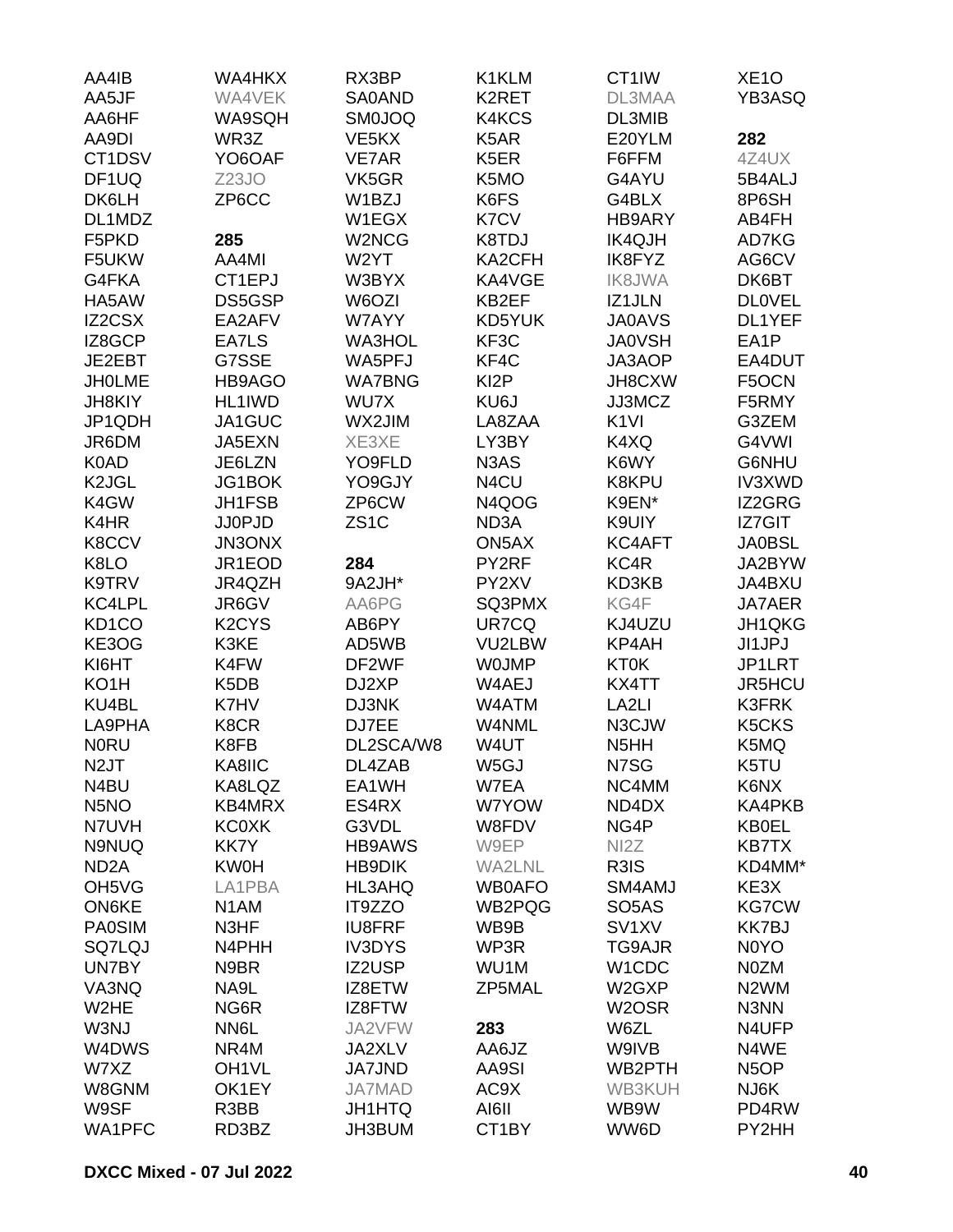| AA5JF<br>DL3MAA<br>WA4VEK<br>SA0AND<br>K2RET<br>AA6HF<br>WA9SQH<br><b>SM0JOQ</b><br>K4KCS<br>DL3MIB<br>AA9DI<br>WR3Z<br>VE <sub>5</sub> KX<br>K5AR<br>E20YLM<br>282<br>K <sub>5</sub> ER<br>CT <sub>1</sub> DSV<br>YO6OAF<br>VE7AR<br>F6FFM<br>4Z4UX<br>VK5GR<br>DF <sub>1</sub> UQ<br>Z23JO<br>K5MO<br>G4AYU<br>5B4ALJ<br>DK6LH<br>ZP6CC<br>W1BZJ<br>K6FS<br>G4BLX<br>8P6SH<br>DL1MDZ<br>W1EGX<br>K7CV<br>HB9ARY<br>AB4FH<br>285<br>F5PKD<br>W2NCG<br>K8TDJ<br><b>IK4QJH</b><br>AD7KG<br>W2YT<br>F5UKW<br>AA4MI<br>KA2CFH<br>IK8FYZ<br>AG6CV<br>G4FKA<br>W3BYX<br>KA4VGE<br>DK6BT<br>CT1EPJ<br><b>IK8JWA</b><br>HA5AW<br>DS5GSP<br>W6OZI<br>KB2EF<br>IZ1JLN<br><b>DLOVEL</b><br><b>IZ2CSX</b><br>EA2AFV<br>W7AYY<br>KD5YUK<br><b>JA0AVS</b><br>DL1YEF<br>KF3C<br>EA1P<br>IZ8GCP<br>EA7LS<br><b>WA3HOL</b><br><b>JA0VSH</b><br>JE2EBT<br>G7SSE<br>WA5PFJ<br>KF4C<br>JA3AOP<br>EA4DUT<br>KI <sub>2</sub> P<br>JH8CXW<br><b>JHOLME</b><br>HB9AGO<br><b>WA7BNG</b><br>F5OCN<br>HL1IWD<br>WU7X<br>KU6J<br>JJ3MCZ<br>F5RMY<br><b>JH8KIY</b><br>K <sub>1VI</sub><br>JP1QDH<br>JA1GUC<br>WX2JIM<br>LA8ZAA<br>G3ZEM<br>JR6DM<br>JA5EXN<br>XE3XE<br>LY3BY<br>K4XQ<br>G4VWI<br>N <sub>3</sub> A <sub>S</sub><br>G6NHU<br>K0AD<br>JE6LZN<br>YO9FLD<br>K6WY<br>K <sub>2</sub> JGL<br>JG1BOK<br>YO9GJY<br>N4CU<br>K8KPU<br><b>IV3XWD</b><br>JH1FSB<br>ZP6CW<br>K4GW<br>N4QOG<br>K9EN*<br>IZ2GRG<br>K4HR<br>ZS <sub>1</sub> C<br><b>IZ7GIT</b><br><b>JJ0PJD</b><br>ND <sub>3</sub> A<br>K9UIY<br><b>JA0BSL</b><br>K8CCV<br><b>JN3ONX</b><br>ON5AX<br>KC4AFT<br>K8LO<br>JR1EOD<br>284<br>PY2RF<br>KC4R<br>JA2BYW<br>K9TRV<br>9A2JH*<br>PY2XV<br>KD3KB<br>JR4QZH<br>JA4BXU<br>KC4LPL<br>JR6GV<br>AA6PG<br>SQ3PMX<br>KG4F<br>JA7AER<br>KD <sub>1</sub> CO<br>K <sub>2</sub> CY <sub>S</sub><br>UR7CQ<br>JH1QKG<br>AB6PY<br>KJ4UZU<br>KE3OG<br>K3KE<br>AD5WB<br>KP4AH<br>JI1JPJ<br>VU2LBW<br><b>KT0K</b><br>KI6HT<br>K4FW<br>DF2WF<br><b>WOJMP</b><br>JP1LRT<br>KO <sub>1</sub> H<br>K5DB<br>DJ2XP<br>W4AEJ<br>KX4TT<br><b>JR5HCU</b><br>LA <sub>2LI</sub><br>KU4BL<br>K7HV<br>DJ3NK<br>W4ATM<br><b>K3FRK</b><br>LA9PHA<br>K8CR<br>DJ7EE<br>W4NML<br>N3CJW<br>K5CKS<br>DL2SCA/W8<br><b>NORU</b><br>K8FB<br>W4UT<br>N <sub>5</sub> HH<br>K5MQ<br>N <sub>2J</sub> T<br>KA8IIC<br>DL4ZAB<br>W5GJ<br>N7SG<br>K5TU<br>N4BU<br>KA8LQZ<br>EA1WH<br>W7EA<br>NC4MM<br>K6NX<br>N <sub>5</sub> NO<br>ES4RX<br><b>KB4MRX</b><br>W7YOW<br>ND4DX<br>G3VDL<br>NG4P<br>N7UVH<br><b>KC0XK</b><br>W8FDV<br><b>KB0EL</b><br>N9NUQ<br>KK7Y<br><b>HB9AWS</b><br>W9EP<br>NI <sub>2</sub> Z<br><b>KB7TX</b><br>R3IS<br>ND <sub>2</sub> A<br><b>KW0H</b><br><b>HB9DIK</b><br>WA2LNL<br>KE3X<br>OH <sub>5</sub> V <sub>G</sub><br>HL3AHQ<br><b>WB0AFO</b><br>SM4AMJ<br>LA1PBA<br><b>ON6KE</b><br>IT9ZZO<br>WB2PQG<br>SO <sub>5</sub> A <sub>S</sub><br><b>KG7CW</b><br>N <sub>1</sub> AM<br><b>PA0SIM</b><br>N3HF<br><b>IU8FRF</b><br>WB9B<br>SV <sub>1</sub> XV<br><b>KK7BJ</b><br><b>SQ7LQJ</b><br>N4PHH<br><b>IV3DYS</b><br>WP3R<br><b>TG9AJR</b><br>N0YO<br>UN7BY<br>N9BR<br>IZ2USP<br>W1CDC<br>N0ZM<br>WU1M<br>VA3NQ<br>NA9L<br>IZ8ETW<br>ZP5MAL<br>W2GXP<br>N <sub>2</sub> WM | AA4IB | WA4HKX | RX3BP | K1KLM | CT1IW | XE <sub>1</sub> O |
|------------------------------------------------------------------------------------------------------------------------------------------------------------------------------------------------------------------------------------------------------------------------------------------------------------------------------------------------------------------------------------------------------------------------------------------------------------------------------------------------------------------------------------------------------------------------------------------------------------------------------------------------------------------------------------------------------------------------------------------------------------------------------------------------------------------------------------------------------------------------------------------------------------------------------------------------------------------------------------------------------------------------------------------------------------------------------------------------------------------------------------------------------------------------------------------------------------------------------------------------------------------------------------------------------------------------------------------------------------------------------------------------------------------------------------------------------------------------------------------------------------------------------------------------------------------------------------------------------------------------------------------------------------------------------------------------------------------------------------------------------------------------------------------------------------------------------------------------------------------------------------------------------------------------------------------------------------------------------------------------------------------------------------------------------------------------------------------------------------------------------------------------------------------------------------------------------------------------------------------------------------------------------------------------------------------------------------------------------------------------------------------------------------------------------------------------------------------------------------------------------------------------------------------------------------------------------------------------------------------------------------------------------------------------------------------------------------------------------------------------------------------------------------------------------------------------------------------------------------------------------------------------------------------------------------------------------------------------------------------------------------------------------------------------------------------------------------------------------------------------------------------|-------|--------|-------|-------|-------|-------------------|
|                                                                                                                                                                                                                                                                                                                                                                                                                                                                                                                                                                                                                                                                                                                                                                                                                                                                                                                                                                                                                                                                                                                                                                                                                                                                                                                                                                                                                                                                                                                                                                                                                                                                                                                                                                                                                                                                                                                                                                                                                                                                                                                                                                                                                                                                                                                                                                                                                                                                                                                                                                                                                                                                                                                                                                                                                                                                                                                                                                                                                                                                                                                                          |       |        |       |       |       | YB3ASQ            |
|                                                                                                                                                                                                                                                                                                                                                                                                                                                                                                                                                                                                                                                                                                                                                                                                                                                                                                                                                                                                                                                                                                                                                                                                                                                                                                                                                                                                                                                                                                                                                                                                                                                                                                                                                                                                                                                                                                                                                                                                                                                                                                                                                                                                                                                                                                                                                                                                                                                                                                                                                                                                                                                                                                                                                                                                                                                                                                                                                                                                                                                                                                                                          |       |        |       |       |       |                   |
|                                                                                                                                                                                                                                                                                                                                                                                                                                                                                                                                                                                                                                                                                                                                                                                                                                                                                                                                                                                                                                                                                                                                                                                                                                                                                                                                                                                                                                                                                                                                                                                                                                                                                                                                                                                                                                                                                                                                                                                                                                                                                                                                                                                                                                                                                                                                                                                                                                                                                                                                                                                                                                                                                                                                                                                                                                                                                                                                                                                                                                                                                                                                          |       |        |       |       |       |                   |
|                                                                                                                                                                                                                                                                                                                                                                                                                                                                                                                                                                                                                                                                                                                                                                                                                                                                                                                                                                                                                                                                                                                                                                                                                                                                                                                                                                                                                                                                                                                                                                                                                                                                                                                                                                                                                                                                                                                                                                                                                                                                                                                                                                                                                                                                                                                                                                                                                                                                                                                                                                                                                                                                                                                                                                                                                                                                                                                                                                                                                                                                                                                                          |       |        |       |       |       |                   |
|                                                                                                                                                                                                                                                                                                                                                                                                                                                                                                                                                                                                                                                                                                                                                                                                                                                                                                                                                                                                                                                                                                                                                                                                                                                                                                                                                                                                                                                                                                                                                                                                                                                                                                                                                                                                                                                                                                                                                                                                                                                                                                                                                                                                                                                                                                                                                                                                                                                                                                                                                                                                                                                                                                                                                                                                                                                                                                                                                                                                                                                                                                                                          |       |        |       |       |       |                   |
|                                                                                                                                                                                                                                                                                                                                                                                                                                                                                                                                                                                                                                                                                                                                                                                                                                                                                                                                                                                                                                                                                                                                                                                                                                                                                                                                                                                                                                                                                                                                                                                                                                                                                                                                                                                                                                                                                                                                                                                                                                                                                                                                                                                                                                                                                                                                                                                                                                                                                                                                                                                                                                                                                                                                                                                                                                                                                                                                                                                                                                                                                                                                          |       |        |       |       |       |                   |
|                                                                                                                                                                                                                                                                                                                                                                                                                                                                                                                                                                                                                                                                                                                                                                                                                                                                                                                                                                                                                                                                                                                                                                                                                                                                                                                                                                                                                                                                                                                                                                                                                                                                                                                                                                                                                                                                                                                                                                                                                                                                                                                                                                                                                                                                                                                                                                                                                                                                                                                                                                                                                                                                                                                                                                                                                                                                                                                                                                                                                                                                                                                                          |       |        |       |       |       |                   |
|                                                                                                                                                                                                                                                                                                                                                                                                                                                                                                                                                                                                                                                                                                                                                                                                                                                                                                                                                                                                                                                                                                                                                                                                                                                                                                                                                                                                                                                                                                                                                                                                                                                                                                                                                                                                                                                                                                                                                                                                                                                                                                                                                                                                                                                                                                                                                                                                                                                                                                                                                                                                                                                                                                                                                                                                                                                                                                                                                                                                                                                                                                                                          |       |        |       |       |       |                   |
|                                                                                                                                                                                                                                                                                                                                                                                                                                                                                                                                                                                                                                                                                                                                                                                                                                                                                                                                                                                                                                                                                                                                                                                                                                                                                                                                                                                                                                                                                                                                                                                                                                                                                                                                                                                                                                                                                                                                                                                                                                                                                                                                                                                                                                                                                                                                                                                                                                                                                                                                                                                                                                                                                                                                                                                                                                                                                                                                                                                                                                                                                                                                          |       |        |       |       |       |                   |
|                                                                                                                                                                                                                                                                                                                                                                                                                                                                                                                                                                                                                                                                                                                                                                                                                                                                                                                                                                                                                                                                                                                                                                                                                                                                                                                                                                                                                                                                                                                                                                                                                                                                                                                                                                                                                                                                                                                                                                                                                                                                                                                                                                                                                                                                                                                                                                                                                                                                                                                                                                                                                                                                                                                                                                                                                                                                                                                                                                                                                                                                                                                                          |       |        |       |       |       |                   |
|                                                                                                                                                                                                                                                                                                                                                                                                                                                                                                                                                                                                                                                                                                                                                                                                                                                                                                                                                                                                                                                                                                                                                                                                                                                                                                                                                                                                                                                                                                                                                                                                                                                                                                                                                                                                                                                                                                                                                                                                                                                                                                                                                                                                                                                                                                                                                                                                                                                                                                                                                                                                                                                                                                                                                                                                                                                                                                                                                                                                                                                                                                                                          |       |        |       |       |       |                   |
|                                                                                                                                                                                                                                                                                                                                                                                                                                                                                                                                                                                                                                                                                                                                                                                                                                                                                                                                                                                                                                                                                                                                                                                                                                                                                                                                                                                                                                                                                                                                                                                                                                                                                                                                                                                                                                                                                                                                                                                                                                                                                                                                                                                                                                                                                                                                                                                                                                                                                                                                                                                                                                                                                                                                                                                                                                                                                                                                                                                                                                                                                                                                          |       |        |       |       |       |                   |
|                                                                                                                                                                                                                                                                                                                                                                                                                                                                                                                                                                                                                                                                                                                                                                                                                                                                                                                                                                                                                                                                                                                                                                                                                                                                                                                                                                                                                                                                                                                                                                                                                                                                                                                                                                                                                                                                                                                                                                                                                                                                                                                                                                                                                                                                                                                                                                                                                                                                                                                                                                                                                                                                                                                                                                                                                                                                                                                                                                                                                                                                                                                                          |       |        |       |       |       |                   |
|                                                                                                                                                                                                                                                                                                                                                                                                                                                                                                                                                                                                                                                                                                                                                                                                                                                                                                                                                                                                                                                                                                                                                                                                                                                                                                                                                                                                                                                                                                                                                                                                                                                                                                                                                                                                                                                                                                                                                                                                                                                                                                                                                                                                                                                                                                                                                                                                                                                                                                                                                                                                                                                                                                                                                                                                                                                                                                                                                                                                                                                                                                                                          |       |        |       |       |       |                   |
|                                                                                                                                                                                                                                                                                                                                                                                                                                                                                                                                                                                                                                                                                                                                                                                                                                                                                                                                                                                                                                                                                                                                                                                                                                                                                                                                                                                                                                                                                                                                                                                                                                                                                                                                                                                                                                                                                                                                                                                                                                                                                                                                                                                                                                                                                                                                                                                                                                                                                                                                                                                                                                                                                                                                                                                                                                                                                                                                                                                                                                                                                                                                          |       |        |       |       |       |                   |
|                                                                                                                                                                                                                                                                                                                                                                                                                                                                                                                                                                                                                                                                                                                                                                                                                                                                                                                                                                                                                                                                                                                                                                                                                                                                                                                                                                                                                                                                                                                                                                                                                                                                                                                                                                                                                                                                                                                                                                                                                                                                                                                                                                                                                                                                                                                                                                                                                                                                                                                                                                                                                                                                                                                                                                                                                                                                                                                                                                                                                                                                                                                                          |       |        |       |       |       |                   |
|                                                                                                                                                                                                                                                                                                                                                                                                                                                                                                                                                                                                                                                                                                                                                                                                                                                                                                                                                                                                                                                                                                                                                                                                                                                                                                                                                                                                                                                                                                                                                                                                                                                                                                                                                                                                                                                                                                                                                                                                                                                                                                                                                                                                                                                                                                                                                                                                                                                                                                                                                                                                                                                                                                                                                                                                                                                                                                                                                                                                                                                                                                                                          |       |        |       |       |       |                   |
|                                                                                                                                                                                                                                                                                                                                                                                                                                                                                                                                                                                                                                                                                                                                                                                                                                                                                                                                                                                                                                                                                                                                                                                                                                                                                                                                                                                                                                                                                                                                                                                                                                                                                                                                                                                                                                                                                                                                                                                                                                                                                                                                                                                                                                                                                                                                                                                                                                                                                                                                                                                                                                                                                                                                                                                                                                                                                                                                                                                                                                                                                                                                          |       |        |       |       |       |                   |
|                                                                                                                                                                                                                                                                                                                                                                                                                                                                                                                                                                                                                                                                                                                                                                                                                                                                                                                                                                                                                                                                                                                                                                                                                                                                                                                                                                                                                                                                                                                                                                                                                                                                                                                                                                                                                                                                                                                                                                                                                                                                                                                                                                                                                                                                                                                                                                                                                                                                                                                                                                                                                                                                                                                                                                                                                                                                                                                                                                                                                                                                                                                                          |       |        |       |       |       |                   |
|                                                                                                                                                                                                                                                                                                                                                                                                                                                                                                                                                                                                                                                                                                                                                                                                                                                                                                                                                                                                                                                                                                                                                                                                                                                                                                                                                                                                                                                                                                                                                                                                                                                                                                                                                                                                                                                                                                                                                                                                                                                                                                                                                                                                                                                                                                                                                                                                                                                                                                                                                                                                                                                                                                                                                                                                                                                                                                                                                                                                                                                                                                                                          |       |        |       |       |       |                   |
|                                                                                                                                                                                                                                                                                                                                                                                                                                                                                                                                                                                                                                                                                                                                                                                                                                                                                                                                                                                                                                                                                                                                                                                                                                                                                                                                                                                                                                                                                                                                                                                                                                                                                                                                                                                                                                                                                                                                                                                                                                                                                                                                                                                                                                                                                                                                                                                                                                                                                                                                                                                                                                                                                                                                                                                                                                                                                                                                                                                                                                                                                                                                          |       |        |       |       |       |                   |
|                                                                                                                                                                                                                                                                                                                                                                                                                                                                                                                                                                                                                                                                                                                                                                                                                                                                                                                                                                                                                                                                                                                                                                                                                                                                                                                                                                                                                                                                                                                                                                                                                                                                                                                                                                                                                                                                                                                                                                                                                                                                                                                                                                                                                                                                                                                                                                                                                                                                                                                                                                                                                                                                                                                                                                                                                                                                                                                                                                                                                                                                                                                                          |       |        |       |       |       |                   |
|                                                                                                                                                                                                                                                                                                                                                                                                                                                                                                                                                                                                                                                                                                                                                                                                                                                                                                                                                                                                                                                                                                                                                                                                                                                                                                                                                                                                                                                                                                                                                                                                                                                                                                                                                                                                                                                                                                                                                                                                                                                                                                                                                                                                                                                                                                                                                                                                                                                                                                                                                                                                                                                                                                                                                                                                                                                                                                                                                                                                                                                                                                                                          |       |        |       |       |       |                   |
|                                                                                                                                                                                                                                                                                                                                                                                                                                                                                                                                                                                                                                                                                                                                                                                                                                                                                                                                                                                                                                                                                                                                                                                                                                                                                                                                                                                                                                                                                                                                                                                                                                                                                                                                                                                                                                                                                                                                                                                                                                                                                                                                                                                                                                                                                                                                                                                                                                                                                                                                                                                                                                                                                                                                                                                                                                                                                                                                                                                                                                                                                                                                          |       |        |       |       |       |                   |
|                                                                                                                                                                                                                                                                                                                                                                                                                                                                                                                                                                                                                                                                                                                                                                                                                                                                                                                                                                                                                                                                                                                                                                                                                                                                                                                                                                                                                                                                                                                                                                                                                                                                                                                                                                                                                                                                                                                                                                                                                                                                                                                                                                                                                                                                                                                                                                                                                                                                                                                                                                                                                                                                                                                                                                                                                                                                                                                                                                                                                                                                                                                                          |       |        |       |       |       |                   |
|                                                                                                                                                                                                                                                                                                                                                                                                                                                                                                                                                                                                                                                                                                                                                                                                                                                                                                                                                                                                                                                                                                                                                                                                                                                                                                                                                                                                                                                                                                                                                                                                                                                                                                                                                                                                                                                                                                                                                                                                                                                                                                                                                                                                                                                                                                                                                                                                                                                                                                                                                                                                                                                                                                                                                                                                                                                                                                                                                                                                                                                                                                                                          |       |        |       |       |       |                   |
|                                                                                                                                                                                                                                                                                                                                                                                                                                                                                                                                                                                                                                                                                                                                                                                                                                                                                                                                                                                                                                                                                                                                                                                                                                                                                                                                                                                                                                                                                                                                                                                                                                                                                                                                                                                                                                                                                                                                                                                                                                                                                                                                                                                                                                                                                                                                                                                                                                                                                                                                                                                                                                                                                                                                                                                                                                                                                                                                                                                                                                                                                                                                          |       |        |       |       |       |                   |
|                                                                                                                                                                                                                                                                                                                                                                                                                                                                                                                                                                                                                                                                                                                                                                                                                                                                                                                                                                                                                                                                                                                                                                                                                                                                                                                                                                                                                                                                                                                                                                                                                                                                                                                                                                                                                                                                                                                                                                                                                                                                                                                                                                                                                                                                                                                                                                                                                                                                                                                                                                                                                                                                                                                                                                                                                                                                                                                                                                                                                                                                                                                                          |       |        |       |       |       |                   |
|                                                                                                                                                                                                                                                                                                                                                                                                                                                                                                                                                                                                                                                                                                                                                                                                                                                                                                                                                                                                                                                                                                                                                                                                                                                                                                                                                                                                                                                                                                                                                                                                                                                                                                                                                                                                                                                                                                                                                                                                                                                                                                                                                                                                                                                                                                                                                                                                                                                                                                                                                                                                                                                                                                                                                                                                                                                                                                                                                                                                                                                                                                                                          |       |        |       |       |       |                   |
|                                                                                                                                                                                                                                                                                                                                                                                                                                                                                                                                                                                                                                                                                                                                                                                                                                                                                                                                                                                                                                                                                                                                                                                                                                                                                                                                                                                                                                                                                                                                                                                                                                                                                                                                                                                                                                                                                                                                                                                                                                                                                                                                                                                                                                                                                                                                                                                                                                                                                                                                                                                                                                                                                                                                                                                                                                                                                                                                                                                                                                                                                                                                          |       |        |       |       |       |                   |
|                                                                                                                                                                                                                                                                                                                                                                                                                                                                                                                                                                                                                                                                                                                                                                                                                                                                                                                                                                                                                                                                                                                                                                                                                                                                                                                                                                                                                                                                                                                                                                                                                                                                                                                                                                                                                                                                                                                                                                                                                                                                                                                                                                                                                                                                                                                                                                                                                                                                                                                                                                                                                                                                                                                                                                                                                                                                                                                                                                                                                                                                                                                                          |       |        |       |       |       |                   |
|                                                                                                                                                                                                                                                                                                                                                                                                                                                                                                                                                                                                                                                                                                                                                                                                                                                                                                                                                                                                                                                                                                                                                                                                                                                                                                                                                                                                                                                                                                                                                                                                                                                                                                                                                                                                                                                                                                                                                                                                                                                                                                                                                                                                                                                                                                                                                                                                                                                                                                                                                                                                                                                                                                                                                                                                                                                                                                                                                                                                                                                                                                                                          |       |        |       |       |       |                   |
|                                                                                                                                                                                                                                                                                                                                                                                                                                                                                                                                                                                                                                                                                                                                                                                                                                                                                                                                                                                                                                                                                                                                                                                                                                                                                                                                                                                                                                                                                                                                                                                                                                                                                                                                                                                                                                                                                                                                                                                                                                                                                                                                                                                                                                                                                                                                                                                                                                                                                                                                                                                                                                                                                                                                                                                                                                                                                                                                                                                                                                                                                                                                          |       |        |       |       |       |                   |
|                                                                                                                                                                                                                                                                                                                                                                                                                                                                                                                                                                                                                                                                                                                                                                                                                                                                                                                                                                                                                                                                                                                                                                                                                                                                                                                                                                                                                                                                                                                                                                                                                                                                                                                                                                                                                                                                                                                                                                                                                                                                                                                                                                                                                                                                                                                                                                                                                                                                                                                                                                                                                                                                                                                                                                                                                                                                                                                                                                                                                                                                                                                                          |       |        |       |       |       |                   |
|                                                                                                                                                                                                                                                                                                                                                                                                                                                                                                                                                                                                                                                                                                                                                                                                                                                                                                                                                                                                                                                                                                                                                                                                                                                                                                                                                                                                                                                                                                                                                                                                                                                                                                                                                                                                                                                                                                                                                                                                                                                                                                                                                                                                                                                                                                                                                                                                                                                                                                                                                                                                                                                                                                                                                                                                                                                                                                                                                                                                                                                                                                                                          |       |        |       |       |       |                   |
|                                                                                                                                                                                                                                                                                                                                                                                                                                                                                                                                                                                                                                                                                                                                                                                                                                                                                                                                                                                                                                                                                                                                                                                                                                                                                                                                                                                                                                                                                                                                                                                                                                                                                                                                                                                                                                                                                                                                                                                                                                                                                                                                                                                                                                                                                                                                                                                                                                                                                                                                                                                                                                                                                                                                                                                                                                                                                                                                                                                                                                                                                                                                          |       |        |       |       |       |                   |
|                                                                                                                                                                                                                                                                                                                                                                                                                                                                                                                                                                                                                                                                                                                                                                                                                                                                                                                                                                                                                                                                                                                                                                                                                                                                                                                                                                                                                                                                                                                                                                                                                                                                                                                                                                                                                                                                                                                                                                                                                                                                                                                                                                                                                                                                                                                                                                                                                                                                                                                                                                                                                                                                                                                                                                                                                                                                                                                                                                                                                                                                                                                                          |       |        |       |       |       | <b>KA4PKB</b>     |
|                                                                                                                                                                                                                                                                                                                                                                                                                                                                                                                                                                                                                                                                                                                                                                                                                                                                                                                                                                                                                                                                                                                                                                                                                                                                                                                                                                                                                                                                                                                                                                                                                                                                                                                                                                                                                                                                                                                                                                                                                                                                                                                                                                                                                                                                                                                                                                                                                                                                                                                                                                                                                                                                                                                                                                                                                                                                                                                                                                                                                                                                                                                                          |       |        |       |       |       |                   |
|                                                                                                                                                                                                                                                                                                                                                                                                                                                                                                                                                                                                                                                                                                                                                                                                                                                                                                                                                                                                                                                                                                                                                                                                                                                                                                                                                                                                                                                                                                                                                                                                                                                                                                                                                                                                                                                                                                                                                                                                                                                                                                                                                                                                                                                                                                                                                                                                                                                                                                                                                                                                                                                                                                                                                                                                                                                                                                                                                                                                                                                                                                                                          |       |        |       |       |       |                   |
|                                                                                                                                                                                                                                                                                                                                                                                                                                                                                                                                                                                                                                                                                                                                                                                                                                                                                                                                                                                                                                                                                                                                                                                                                                                                                                                                                                                                                                                                                                                                                                                                                                                                                                                                                                                                                                                                                                                                                                                                                                                                                                                                                                                                                                                                                                                                                                                                                                                                                                                                                                                                                                                                                                                                                                                                                                                                                                                                                                                                                                                                                                                                          |       |        |       |       |       | KD4MM*            |
|                                                                                                                                                                                                                                                                                                                                                                                                                                                                                                                                                                                                                                                                                                                                                                                                                                                                                                                                                                                                                                                                                                                                                                                                                                                                                                                                                                                                                                                                                                                                                                                                                                                                                                                                                                                                                                                                                                                                                                                                                                                                                                                                                                                                                                                                                                                                                                                                                                                                                                                                                                                                                                                                                                                                                                                                                                                                                                                                                                                                                                                                                                                                          |       |        |       |       |       |                   |
|                                                                                                                                                                                                                                                                                                                                                                                                                                                                                                                                                                                                                                                                                                                                                                                                                                                                                                                                                                                                                                                                                                                                                                                                                                                                                                                                                                                                                                                                                                                                                                                                                                                                                                                                                                                                                                                                                                                                                                                                                                                                                                                                                                                                                                                                                                                                                                                                                                                                                                                                                                                                                                                                                                                                                                                                                                                                                                                                                                                                                                                                                                                                          |       |        |       |       |       |                   |
|                                                                                                                                                                                                                                                                                                                                                                                                                                                                                                                                                                                                                                                                                                                                                                                                                                                                                                                                                                                                                                                                                                                                                                                                                                                                                                                                                                                                                                                                                                                                                                                                                                                                                                                                                                                                                                                                                                                                                                                                                                                                                                                                                                                                                                                                                                                                                                                                                                                                                                                                                                                                                                                                                                                                                                                                                                                                                                                                                                                                                                                                                                                                          |       |        |       |       |       |                   |
|                                                                                                                                                                                                                                                                                                                                                                                                                                                                                                                                                                                                                                                                                                                                                                                                                                                                                                                                                                                                                                                                                                                                                                                                                                                                                                                                                                                                                                                                                                                                                                                                                                                                                                                                                                                                                                                                                                                                                                                                                                                                                                                                                                                                                                                                                                                                                                                                                                                                                                                                                                                                                                                                                                                                                                                                                                                                                                                                                                                                                                                                                                                                          |       |        |       |       |       |                   |
|                                                                                                                                                                                                                                                                                                                                                                                                                                                                                                                                                                                                                                                                                                                                                                                                                                                                                                                                                                                                                                                                                                                                                                                                                                                                                                                                                                                                                                                                                                                                                                                                                                                                                                                                                                                                                                                                                                                                                                                                                                                                                                                                                                                                                                                                                                                                                                                                                                                                                                                                                                                                                                                                                                                                                                                                                                                                                                                                                                                                                                                                                                                                          |       |        |       |       |       |                   |
|                                                                                                                                                                                                                                                                                                                                                                                                                                                                                                                                                                                                                                                                                                                                                                                                                                                                                                                                                                                                                                                                                                                                                                                                                                                                                                                                                                                                                                                                                                                                                                                                                                                                                                                                                                                                                                                                                                                                                                                                                                                                                                                                                                                                                                                                                                                                                                                                                                                                                                                                                                                                                                                                                                                                                                                                                                                                                                                                                                                                                                                                                                                                          |       |        |       |       |       |                   |
| W <sub>2</sub> HE<br>NG6R<br>IZ8FTW<br>W <sub>2</sub> OSR<br>N3NN                                                                                                                                                                                                                                                                                                                                                                                                                                                                                                                                                                                                                                                                                                                                                                                                                                                                                                                                                                                                                                                                                                                                                                                                                                                                                                                                                                                                                                                                                                                                                                                                                                                                                                                                                                                                                                                                                                                                                                                                                                                                                                                                                                                                                                                                                                                                                                                                                                                                                                                                                                                                                                                                                                                                                                                                                                                                                                                                                                                                                                                                        |       |        |       |       |       |                   |
| W3NJ<br>NN6L<br>JA2VFW<br>283<br>W6ZL<br>N4UFP                                                                                                                                                                                                                                                                                                                                                                                                                                                                                                                                                                                                                                                                                                                                                                                                                                                                                                                                                                                                                                                                                                                                                                                                                                                                                                                                                                                                                                                                                                                                                                                                                                                                                                                                                                                                                                                                                                                                                                                                                                                                                                                                                                                                                                                                                                                                                                                                                                                                                                                                                                                                                                                                                                                                                                                                                                                                                                                                                                                                                                                                                           |       |        |       |       |       |                   |
| W4DWS<br>NR4M<br>AA6JZ<br>W9IVB<br>N4WE<br><b>JA2XLV</b>                                                                                                                                                                                                                                                                                                                                                                                                                                                                                                                                                                                                                                                                                                                                                                                                                                                                                                                                                                                                                                                                                                                                                                                                                                                                                                                                                                                                                                                                                                                                                                                                                                                                                                                                                                                                                                                                                                                                                                                                                                                                                                                                                                                                                                                                                                                                                                                                                                                                                                                                                                                                                                                                                                                                                                                                                                                                                                                                                                                                                                                                                 |       |        |       |       |       |                   |
| W7XZ<br>OH <sub>1VL</sub><br><b>JA7JND</b><br>AA9SI<br>WB2PTH<br>N <sub>5</sub> OP                                                                                                                                                                                                                                                                                                                                                                                                                                                                                                                                                                                                                                                                                                                                                                                                                                                                                                                                                                                                                                                                                                                                                                                                                                                                                                                                                                                                                                                                                                                                                                                                                                                                                                                                                                                                                                                                                                                                                                                                                                                                                                                                                                                                                                                                                                                                                                                                                                                                                                                                                                                                                                                                                                                                                                                                                                                                                                                                                                                                                                                       |       |        |       |       |       |                   |
| W8GNM<br>AC9X<br>WB3KUH<br>NJ6K<br>OK1EY<br><b>JA7MAD</b>                                                                                                                                                                                                                                                                                                                                                                                                                                                                                                                                                                                                                                                                                                                                                                                                                                                                                                                                                                                                                                                                                                                                                                                                                                                                                                                                                                                                                                                                                                                                                                                                                                                                                                                                                                                                                                                                                                                                                                                                                                                                                                                                                                                                                                                                                                                                                                                                                                                                                                                                                                                                                                                                                                                                                                                                                                                                                                                                                                                                                                                                                |       |        |       |       |       |                   |
| AI6II<br>W9SF<br>R3BB<br><b>JH1HTQ</b><br>WB9W<br>PD4RW                                                                                                                                                                                                                                                                                                                                                                                                                                                                                                                                                                                                                                                                                                                                                                                                                                                                                                                                                                                                                                                                                                                                                                                                                                                                                                                                                                                                                                                                                                                                                                                                                                                                                                                                                                                                                                                                                                                                                                                                                                                                                                                                                                                                                                                                                                                                                                                                                                                                                                                                                                                                                                                                                                                                                                                                                                                                                                                                                                                                                                                                                  |       |        |       |       |       |                   |
| WA1PFC<br>CT1BY<br>RD3BZ<br>JH3BUM<br>WW6D<br>PY2HH                                                                                                                                                                                                                                                                                                                                                                                                                                                                                                                                                                                                                                                                                                                                                                                                                                                                                                                                                                                                                                                                                                                                                                                                                                                                                                                                                                                                                                                                                                                                                                                                                                                                                                                                                                                                                                                                                                                                                                                                                                                                                                                                                                                                                                                                                                                                                                                                                                                                                                                                                                                                                                                                                                                                                                                                                                                                                                                                                                                                                                                                                      |       |        |       |       |       |                   |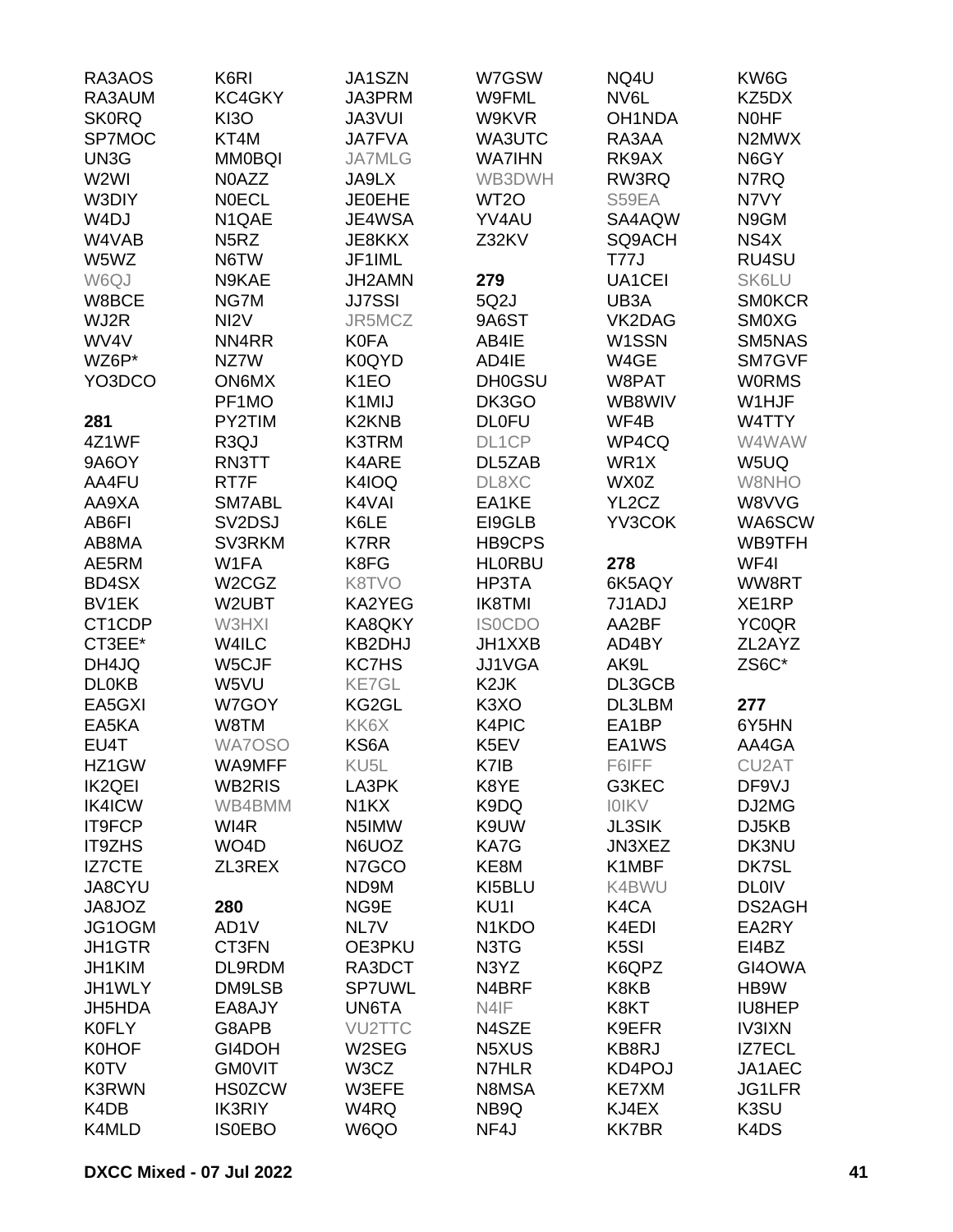| RA3AOS            | K6RI                            | JA1SZN            | W7GSW                           | NQ4U              | KW6G          |
|-------------------|---------------------------------|-------------------|---------------------------------|-------------------|---------------|
| RA3AUM            | KC4GKY                          | JA3PRM            | W9FML                           | NV6L              | KZ5DX         |
| <b>SK0RQ</b>      | <b>KI3O</b>                     | <b>JA3VUI</b>     | W9KVR                           | OH1NDA            | <b>NOHF</b>   |
| SP7MOC            | KT4M                            | <b>JA7FVA</b>     | WA3UTC                          | RA3AA             | N2MWX         |
| UN3G              | <b>MM0BQI</b>                   | <b>JA7MLG</b>     | <b>WA7IHN</b>                   | RK9AX             | N6GY          |
| W2WI              | N0AZZ                           | JA9LX             | WB3DWH                          | RW3RQ             | N7RQ          |
| W3DIY             | <b>NOECL</b>                    | <b>JE0EHE</b>     | WT <sub>2</sub> O               | S59EA             | N7VY          |
| W <sub>4</sub> DJ | N1QAE                           | JE4WSA            | YV4AU                           | SA4AQW            | N9GM          |
| W4VAB             | N <sub>5</sub> RZ               | JE8KKX            | Z32KV                           | SQ9ACH            | NS4X          |
| W5WZ              | N6TW                            | JF1IML            |                                 | <b>T77J</b>       | RU4SU         |
| W6QJ              | N9KAE                           | JH2AMN            | 279                             | UA1CEI            | SK6LU         |
| W8BCE             | NG7M                            | <b>JJ7SSI</b>     | 5Q2J                            | UB3A              | <b>SM0KCR</b> |
| WJ2R              | NI <sub>2</sub> V               | JR5MCZ            | 9A6ST                           | VK2DAG            | <b>SMOXG</b>  |
| WV4V              | NN4RR                           | <b>K0FA</b>       | AB4IE                           | W1SSN             | SM5NAS        |
| WZ6P*             | NZ7W                            | K0QYD             | AD4IE                           | W4GE              | SM7GVF        |
| YO3DCO            | <b>ON6MX</b>                    | K <sub>1</sub> EO | <b>DH0GSU</b>                   | W8PAT             | <b>WORMS</b>  |
|                   | PF1MO                           | K1MIJ             | DK3GO                           | WB8WIV            | W1HJF         |
| 281               | PY2TIM                          | K2KNB             | <b>DL0FU</b>                    | WF4B              | W4TTY         |
| 4Z1WF             | R <sub>3</sub> QJ               | K3TRM             | DL1CP                           | WP4CQ             | W4WAW         |
| 9A6OY             | RN3TT                           | K4ARE             | DL5ZAB                          | WR1X              | W5UQ          |
| AA4FU             | RT7F                            | K4IOQ             | DL8XC                           | WX0Z              | W8NHO         |
| AA9XA             | SM7ABL                          | K4VAI             | EA1KE                           | YL2CZ             | W8VVG         |
| AB6FI             | SV <sub>2</sub> D <sub>SJ</sub> | K6LE              | EI9GLB                          | YV3COK            | WA6SCW        |
| AB8MA             | SV3RKM                          | <b>K7RR</b>       | HB9CPS                          |                   | WB9TFH        |
| AE5RM             | W1FA                            | K8FG              | <b>HLORBU</b>                   | 278               | WF4I          |
| BD4SX             | W <sub>2</sub> CG <sub>Z</sub>  | K8TVO             | HP3TA                           | 6K5AQY            | WW8RT         |
| BV1EK             | W2UBT                           | KA2YEG            | <b>IK8TMI</b>                   | 7J1ADJ            | XE1RP         |
| CT1CDP            | W3HXI                           | KA8QKY            | <b>ISOCDO</b>                   | AA2BF             | <b>YC0QR</b>  |
| CT3EE*            | W4ILC                           | KB2DHJ            | JH1XXB                          | AD4BY             | ZL2AYZ        |
| DH4JQ             | W5CJF                           | <b>KC7HS</b>      | JJ1VGA                          | AK9L              | ZS6C*         |
| <b>DL0KB</b>      | W5VU                            | <b>KE7GL</b>      | K <sub>2</sub> JK               | DL3GCB            |               |
| EA5GXI            | W7GOY                           | KG2GL             | K <sub>3</sub> XO               | DL3LBM            | 277           |
| EA5KA             | W8TM                            | KK6X              | K4PIC                           | EA1BP             | 6Y5HN         |
| EU4T              | WA7OSO                          | KS6A              | K5EV                            | EA1WS             | AA4GA         |
| HZ1GW             | WA9MFF                          | KU <sub>5</sub> L | K7IB                            | F6IFF             | CU2AT         |
| <b>IK2QEI</b>     | WB2RIS                          | LA3PK             | K8YE                            | G3KEC             | DF9VJ         |
| <b>IK4ICW</b>     | WB4BMM                          | N <sub>1</sub> KX | K9DQ                            | <b>IOIKV</b>      | DJ2MG         |
| IT9FCP            | WI4R                            | N5IMW             | K9UW                            | <b>JL3SIK</b>     | DJ5KB         |
| <b>IT9ZHS</b>     | WO <sub>4</sub> D               | N6UOZ             | KA7G                            | JN3XEZ            | DK3NU         |
| <b>IZ7CTE</b>     | ZL3REX                          | N7GCO             | KE8M                            | K1MBF             | DK7SL         |
| JA8CYU            |                                 | ND9M              | KI5BLU                          | K4BWU             | <b>DL0IV</b>  |
| JA8JOZ            | 280                             | NG9E              | KU1I                            | K4CA              | DS2AGH        |
| JG1OGM            | AD1V                            | NL7V              | N <sub>1</sub> K <sub>D</sub> O | K4EDI             | EA2RY         |
| <b>JH1GTR</b>     | CT3FN                           | OE3PKU            | N3TG                            | K <sub>5</sub> SI | EI4BZ         |
| JH1KIM            | DL9RDM                          | RA3DCT            | N3YZ                            | K6QPZ             | GI4OWA        |
| JH1WLY            | DM9LSB                          | <b>SP7UWL</b>     | N4BRF                           | K8KB              | HB9W          |
| JH5HDA            | EA8AJY                          | UN6TA             | N4IF                            | K8KT              | IU8HEP        |
| <b>K0FLY</b>      | G8APB                           | VU2TTC            | N4SZE                           | K9EFR             | <b>IV3IXN</b> |
| <b>K0HOF</b>      | GI4DOH                          | W2SEG             | N5XUS                           | KB8RJ             | <b>IZ7ECL</b> |
| <b>K0TV</b>       | <b>GMOVIT</b>                   | W3CZ              | N7HLR                           | KD4POJ            | JA1AEC        |
| <b>K3RWN</b>      | <b>HS0ZCW</b>                   | W3EFE             | N8MSA                           | KE7XM             | JG1LFR        |
| K4DB              | <b>IK3RIY</b>                   | W4RQ              | NB9Q                            | KJ4EX             | K3SU          |
| K4MLD             | <b>ISOEBO</b>                   | W6QO              | NF4J                            | <b>KK7BR</b>      | K4DS          |
|                   |                                 |                   |                                 |                   |               |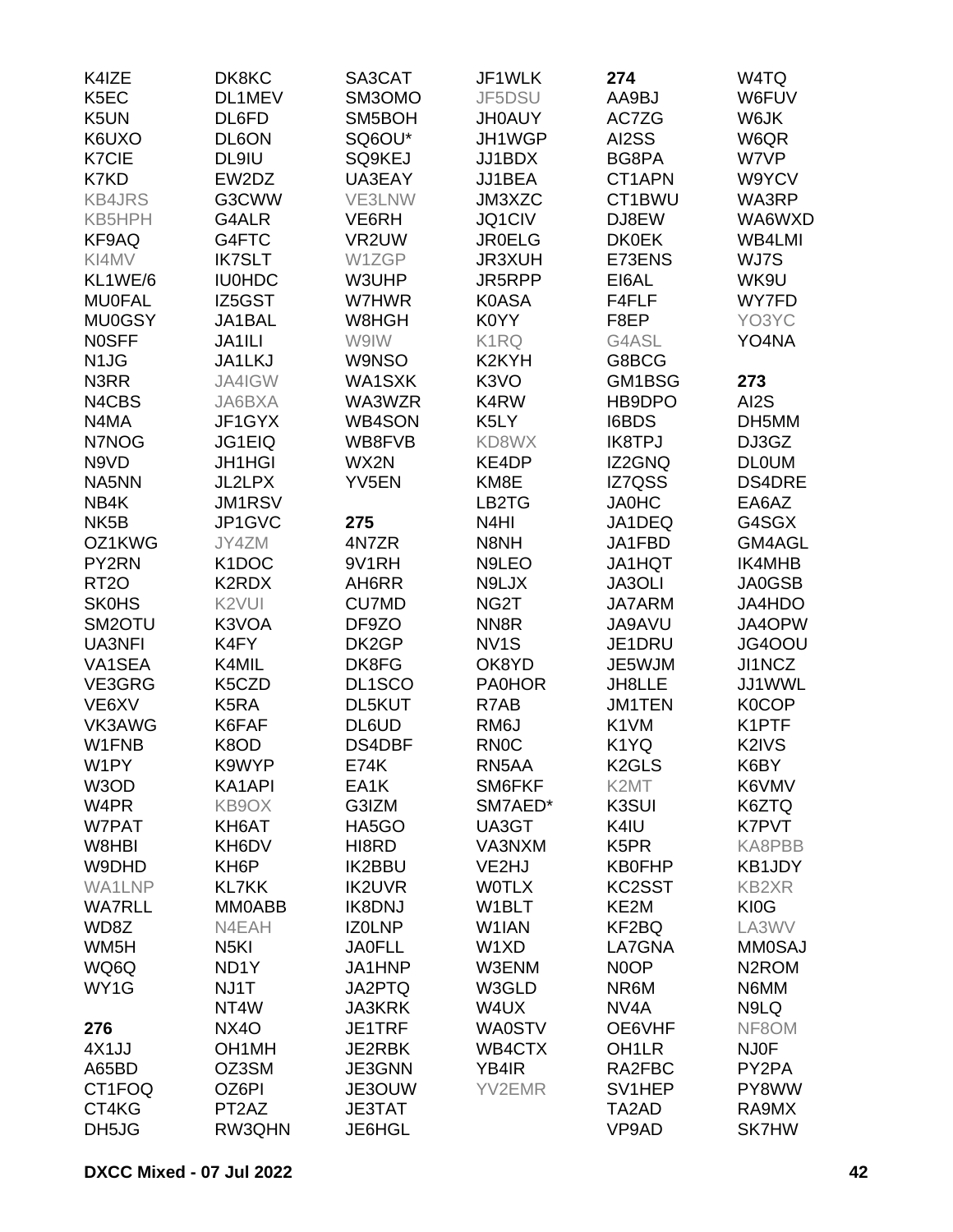| K4IZE                         | DK8KC              | SA3CAT        | JF1WLK             | 274                | W4TQ               |
|-------------------------------|--------------------|---------------|--------------------|--------------------|--------------------|
| K5EC                          | DL1MEV             | SM3OMO        | JF5DSU             | AA9BJ              | W6FUV              |
| K5UN                          | DL6FD              | SM5BOH        | <b>JH0AUY</b>      | AC7ZG              | W6JK               |
| K6UXO                         | DL6ON              | SQ6OU*        | JH1WGP             | AI2SS              | W6QR               |
| <b>K7CIE</b>                  | DL9IU              | SQ9KEJ        | JJ1BDX             | BG8PA              | W7VP               |
| K7KD                          | EW2DZ              | UA3EAY        | JJ1BEA             | CT1APN             | W9YCV              |
| <b>KB4JRS</b>                 | G3CWW              | VE3LNW        | JM3XZC             | CT1BWU             | WA3RP              |
| KB5HPH                        | G4ALR              | VE6RH         | JQ1CIV             | DJ8EW              | WA6WXD             |
| KF9AQ                         | G4FTC              | VR2UW         | <b>JR0ELG</b>      | <b>DK0EK</b>       | WB4LMI             |
| KI4MV                         | <b>IK7SLT</b>      | W1ZGP         | <b>JR3XUH</b>      | E73ENS             | WJ7S               |
| KL1WE/6                       | <b>IU0HDC</b>      | W3UHP         | JR5RPP             | EI6AL              | WK9U               |
|                               |                    |               |                    |                    |                    |
| <b>MU0FAL</b>                 | IZ5GST             | W7HWR         | <b>K0ASA</b>       | F4FLF              | WY7FD              |
| <b>MU0GSY</b>                 | JA1BAL             | W8HGH         | K0YY               | F8EP               | YO3YC              |
| <b>NOSFF</b>                  | JA1ILI             | W9IW          | K1RQ               | G4ASL              | YO4NA              |
| N <sub>1</sub> J <sub>G</sub> | JA1LKJ             | W9NSO         | K <sub>2</sub> KYH | G8BCG              |                    |
| N3RR                          | JA4IGW             | WA1SXK        | K <sub>3</sub> VO  | GM1BSG             | 273                |
| N4CBS                         | JA6BXA             | WA3WZR        | K4RW               | HB9DPO             | AI2S               |
| N4MA                          | JF1GYX             | WB4SON        | K <sub>5</sub> LY  | <b>I6BDS</b>       | DH5MM              |
| N7NOG                         | <b>JG1EIQ</b>      | WB8FVB        | KD8WX              | <b>IK8TPJ</b>      | DJ3GZ              |
| N9VD                          | <b>JH1HGI</b>      | WX2N          | KE4DP              | IZ2GNQ             | <b>DLOUM</b>       |
| NA5NN                         | <b>JL2LPX</b>      | YV5EN         | KM8E               | <b>IZ7QSS</b>      | DS4DRE             |
| NB4K                          | JM1RSV             |               | LB <sub>2</sub> TG | <b>JA0HC</b>       | EA6AZ              |
| NK <sub>5</sub> B             | JP1GVC             | 275           | N <sub>4</sub> HI  | JA1DEQ             | G4SGX              |
| OZ1KWG                        | JY4ZM              | 4N7ZR         | N8NH               | JA1FBD             | GM4AGL             |
| PY2RN                         | K <sub>1</sub> DOC | 9V1RH         | N9LEO              | <b>JA1HQT</b>      | IK4MHB             |
| <b>RT20</b>                   | K2RDX              | AH6RR         | N9LJX              | JA3OLI             | JA0GSB             |
| <b>SK0HS</b>                  | K <sub>2</sub> VUI | <b>CU7MD</b>  | NG2T               | <b>JA7ARM</b>      | JA4HDO             |
| SM <sub>2</sub> OTU           | K3VOA              | DF9ZO         | NN <sub>8</sub> R  | <b>JA9AVU</b>      | JA4OPW             |
| UA3NFI                        | K4FY               | DK2GP         | NV <sub>1</sub> S  | JE1DRU             | JG4OOU             |
| VA1SEA                        | K4MIL              | DK8FG         | OK8YD              | JE5WJM             | JI1NCZ             |
| VE3GRG                        | K5CZD              | DL1SCO        | <b>PA0HOR</b>      | JH8LLE             | JJ1WWL             |
| VE6XV                         | K <sub>5</sub> RA  | DL5KUT        | R7AB               | <b>JM1TEN</b>      | <b>K0COP</b>       |
| VK3AWG                        | K6FAF              | DL6UD         | RM <sub>6</sub> J  | K <sub>1</sub> VM  | K1PTF              |
| W1FNB                         | K8OD               | DS4DBF        | <b>RN0C</b>        | K1YQ               | K2IVS              |
| W1PY                          | K9WYP              | <b>E74K</b>   | RN5AA              | K <sub>2</sub> GLS | K6BY               |
| W3OD                          | KA1API             | EA1K          | SM6FKF             | K2MT               | K6VMV              |
| W4PR                          | KB9OX              | G3IZM         | SM7AED*            | K3SUI              | K6ZTQ              |
| W7PAT                         |                    |               | UA3GT              |                    | K7PVT              |
|                               | KH6AT              | HA5GO         | VA3NXM             | K4IU               |                    |
| W8HBI                         | KH6DV              | HI8RD         |                    | K5PR               | KA8PBB             |
| W9DHD                         | KH <sub>6</sub> P  | <b>IK2BBU</b> | VE2HJ              | <b>KB0FHP</b>      | KB1JDY             |
| WA1LNP                        | <b>KL7KK</b>       | <b>IK2UVR</b> | <b>WOTLX</b>       | KC2SST             | <b>KB2XR</b>       |
| <b>WA7RLL</b>                 | MM0ABB             | <b>IK8DNJ</b> | W1BLT              | KE2M               | KI0G               |
| WD8Z                          | N4EAH              | <b>IZOLNP</b> | W1IAN              | KF2BQ              | LA3WV              |
| WM <sub>5</sub> H             | N <sub>5</sub> KI  | <b>JA0FLL</b> | W1XD               | LA7GNA             | <b>MM0SAJ</b>      |
| WQ6Q                          | ND <sub>1</sub> Y  | JA1HNP        | W3ENM              | N <sub>0</sub> OP  | N <sub>2</sub> ROM |
| WY1G                          | NJ1T               | JA2PTQ        | W3GLD              | NR6M               | N6MM               |
|                               | NT4W               | <b>JA3KRK</b> | W4UX               | NV <sub>4</sub> A  | N9LQ               |
| 276                           | NX4O               | JE1TRF        | <b>WA0STV</b>      | OE6VHF             | NF8OM              |
| 4X1JJ                         | OH <sub>1</sub> MH | JE2RBK        | WB4CTX             | OH <sub>1</sub> LR | <b>NJ0F</b>        |
| A65BD                         | OZ3SM              | JE3GNN        | YB4IR              | RA2FBC             | PY2PA              |
| CT1FOQ                        | OZ6PI              | JE3OUW        | YV2EMR             | SV1HEP             | PY8WW              |
| CT4KG                         | PT <sub>2</sub> AZ | <b>JE3TAT</b> |                    | TA2AD              | RA9MX              |
| DH5JG                         | RW3QHN             | JE6HGL        |                    | VP9AD              | <b>SK7HW</b>       |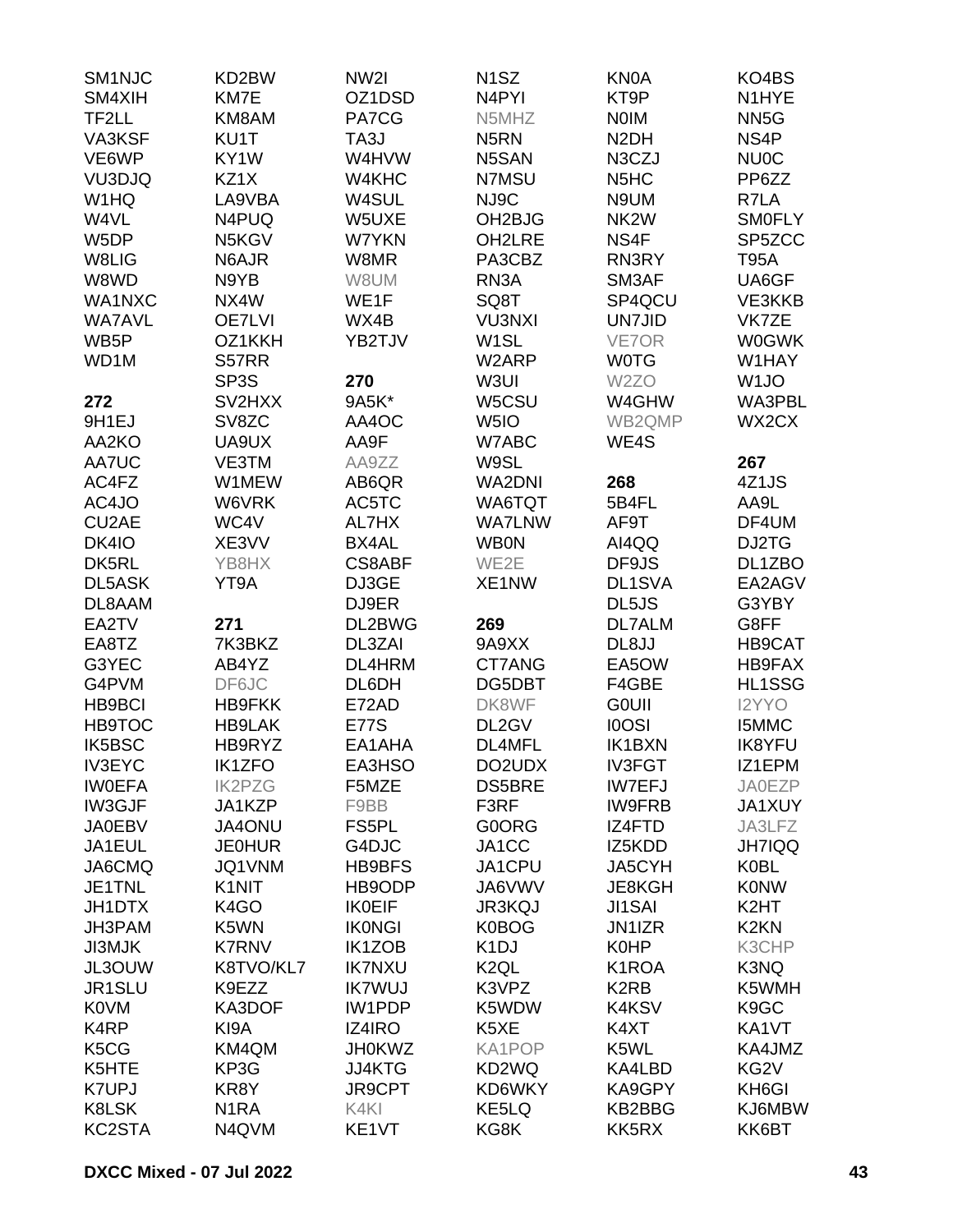| SM1NJC             | KD2BW             | NW <sub>2</sub> | N <sub>1</sub> SZ   | <b>KN0A</b>                   | KO4BS             |
|--------------------|-------------------|-----------------|---------------------|-------------------------------|-------------------|
| SM4XIH             | KM7E              | OZ1DSD          | N <sub>4</sub> PYI  | KT9P                          | N1HYE             |
| TF2LL              | KM8AM             | PA7CG           | N5MHZ               | <b>NOIM</b>                   | NN <sub>5</sub> G |
| VA3KSF             | KU1T              | TA3J            | N <sub>5</sub> RN   | N <sub>2</sub> DH             | NS4P              |
| VE6WP              | KY1W              | W4HVW           | N5SAN               | N3CZJ                         | <b>NU0C</b>       |
| VU3DJQ             | KZ1X              | W4KHC           | N7MSU               | N <sub>5</sub> H <sub>C</sub> | PP6ZZ             |
| W1HQ               | LA9VBA            | W4SUL           | NJ9C                | N9UM                          | R7LA              |
| W4VL               | N4PUQ             | W5UXE           | OH <sub>2</sub> BJG | NK <sub>2</sub> W             | <b>SMOFLY</b>     |
| W5DP               | N5KGV             | W7YKN           | OH2LRE              | NS4F                          | SP5ZCC            |
| W8LIG              | N6AJR             | W8MR            | PA3CBZ              | RN3RY                         | <b>T95A</b>       |
| W8WD               | N9YB              | W8UM            | RN <sub>3</sub> A   | SM3AF                         | UA6GF             |
| WA1NXC             | NX4W              | WE1F            | SQ8T                | SP4QCU                        | VE3KKB            |
|                    |                   |                 |                     |                               | VK7ZE             |
| <b>WA7AVL</b>      | <b>OE7LVI</b>     | WX4B            | <b>VU3NXI</b>       | <b>UN7JID</b>                 |                   |
| WB <sub>5</sub> P  | OZ1KKH            | YB2TJV          | W <sub>1</sub> SL   | VE7OR                         | <b>W0GWK</b>      |
| WD1M               | S57RR             |                 | W2ARP               | <b>WOTG</b>                   | W1HAY             |
|                    | SP <sub>3</sub> S | 270             | W3UI                | W <sub>2</sub> ZO             | W <sub>1</sub> JO |
| 272                | SV2HXX            | 9A5K*           | W5CSU               | W4GHW                         | WA3PBL            |
| 9H1EJ              | SV8ZC             | AA4OC           | W <sub>5I</sub> O   | WB2QMP                        | WX2CX             |
| AA2KO              | UA9UX             | AA9F            | W7ABC               | WE4S                          |                   |
| AA7UC              | VE3TM             | AA9ZZ           | W9SL                |                               | 267               |
| AC4FZ              | W1MEW             | AB6QR           | <b>WA2DNI</b>       | 268                           | 4Z1JS             |
| AC4JO              | W6VRK             | AC5TC           | WA6TQT              | 5B4FL                         | AA9L              |
| CU <sub>2</sub> AE | WC4V              | AL7HX           | <b>WA7LNW</b>       | AF9T                          | DF4UM             |
| DK4IO              | XE3VV             | BX4AL           | <b>WB0N</b>         | AI4QQ                         | DJ2TG             |
| DK5RL              | YB8HX             | <b>CS8ABF</b>   | WE2E                | DF9JS                         | DL1ZBO            |
| DL5ASK             | YT9A              | DJ3GE           | XE1NW               | DL1SVA                        | EA2AGV            |
| DL8AAM             |                   | DJ9ER           |                     | DL5JS                         | G3YBY             |
| EA2TV              | 271               | DL2BWG          | 269                 | <b>DL7ALM</b>                 | G8FF              |
| EA8TZ              | 7K3BKZ            | DL3ZAI          | 9A9XX               | DL8JJ                         | HB9CAT            |
| G3YEC              | AB4YZ             | DL4HRM          | CT7ANG              | EA5OW                         | HB9FAX            |
| G4PVM              | DF6JC             | DL6DH           | DG5DBT              | F4GBE                         | HL1SSG            |
| <b>HB9BCI</b>      | <b>HB9FKK</b>     | E72AD           | DK8WF               | <b>GOUII</b>                  | I2YYO             |
| <b>HB9TOC</b>      | <b>HB9LAK</b>     | <b>E77S</b>     | DL2GV               | <b>IOOSI</b>                  | <b>I5MMC</b>      |
| <b>IK5BSC</b>      | HB9RYZ            | EA1AHA          | DL4MFL              | <b>IK1BXN</b>                 | <b>IK8YFU</b>     |
| <b>IV3EYC</b>      | <b>IK1ZFO</b>     | EA3HSO          | DO2UDX              | <b>IV3FGT</b>                 | IZ1EPM            |
| <b>IWOEFA</b>      | <b>IK2PZG</b>     | F5MZE           | <b>DS5BRE</b>       | <b>IW7EFJ</b>                 | <b>JA0EZP</b>     |
| IW3GJF             | JA1KZP            | F9BB            | F3RF                | <b>IW9FRB</b>                 | JA1XUY            |
| <b>JA0EBV</b>      | <b>JA4ONU</b>     | FS5PL           | G0ORG               | IZ4FTD                        | JA3LFZ            |
| JA1EUL             | <b>JE0HUR</b>     | G4DJC           | JA1CC               | IZ5KDD                        | <b>JH7IQQ</b>     |
| JA6CMQ             | JQ1VNM            | <b>HB9BFS</b>   | JA1CPU              | JA5CYH                        | <b>K0BL</b>       |
|                    | K1NIT             |                 |                     |                               |                   |
| JE1TNL             |                   | HB9ODP          | JA6VWV              | <b>JE8KGH</b>                 | <b>K0NW</b>       |
| <b>JH1DTX</b>      | K <sub>4</sub> GO | <b>IK0EIF</b>   | <b>JR3KQJ</b>       | <b>JI1SAI</b>                 | K <sub>2</sub> HT |
| JH3PAM             | K5WN              | <b>IKONGI</b>   | <b>K0BOG</b>        | JN1IZR                        | K <sub>2</sub> KN |
| <b>JI3MJK</b>      | <b>K7RNV</b>      | <b>IK1ZOB</b>   | K <sub>1</sub> DJ   | <b>K0HP</b>                   | K3CHP             |
| JL3OUW             | K8TVO/KL7         | <b>IK7NXU</b>   | K <sub>2</sub> QL   | K1ROA                         | K3NQ              |
| JR1SLU             | K9EZZ             | <b>IK7WUJ</b>   | K3VPZ               | K <sub>2</sub> R <sub>B</sub> | K5WMH             |
| <b>K0VM</b>        | KA3DOF            | IW1PDP          | K5WDW               | K4KSV                         | K <sub>9</sub> GC |
| K4RP               | KI9A              | IZ4IRO          | K5XE                | K4XT                          | KA1VT             |
| K5CG               | KM4QM             | <b>JH0KWZ</b>   | KA1POP              | K5WL                          | KA4JMZ            |
| K5HTE              | KP3G              | JJ4KTG          | KD2WQ               | KA4LBD                        | KG <sub>2</sub> V |
| <b>K7UPJ</b>       | KR8Y              | <b>JR9CPT</b>   | KD6WKY              | KA9GPY                        | KH6GI             |
| K8LSK              | N <sub>1</sub> RA | K4KI            | KE5LQ               | KB2BBG                        | KJ6MBW            |
| KC2STA             | N4QVM             | KE1VT           | KG8K                | KK5RX                         | KK6BT             |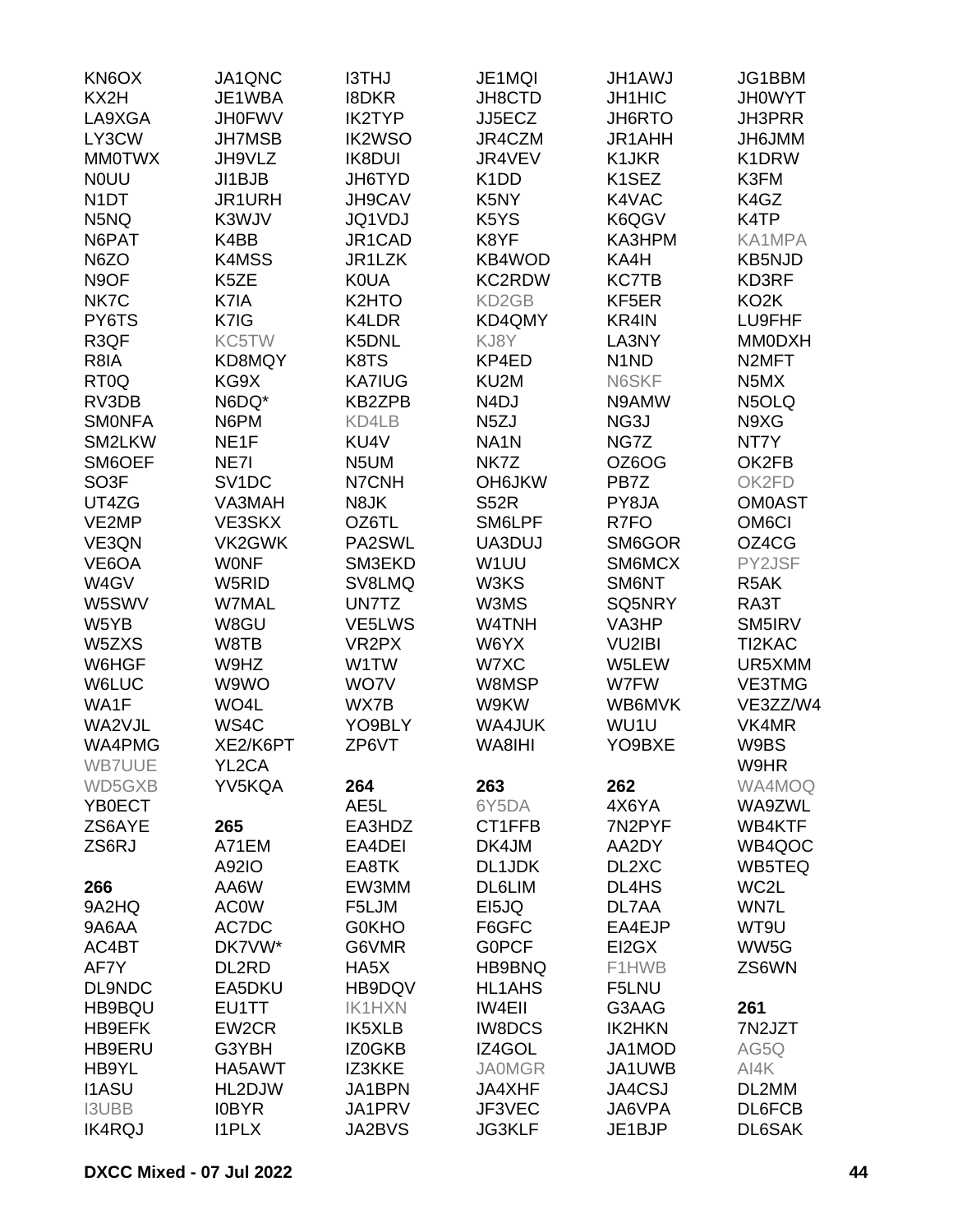| KN6OX              | JA1QNC             | <b>I3THJ</b>       | JE1MQI                        | JH1AWJ                        | JG1BBM             |
|--------------------|--------------------|--------------------|-------------------------------|-------------------------------|--------------------|
| KX2H               | JE1WBA             | <b>I8DKR</b>       | JH8CTD                        | <b>JH1HIC</b>                 | <b>JHOWYT</b>      |
| LA9XGA             | <b>JH0FWV</b>      | <b>IK2TYP</b>      | JJ5ECZ                        | JH6RTO                        | <b>JH3PRR</b>      |
| LY3CW              | <b>JH7MSB</b>      | <b>IK2WSO</b>      | JR4CZM                        | <b>JR1AHH</b>                 | JH6JMM             |
| <b>MMOTWX</b>      | JH9VLZ             | <b>IK8DUI</b>      | JR4VEV                        | K1JKR                         | K1DRW              |
| <b>NOUU</b>        | JI1BJB             | JH6TYD             | K <sub>1</sub> D <sub>D</sub> | K1SEZ                         | K3FM               |
| N <sub>1</sub> DT  | JR1URH             | JH9CAV             | K <sub>5</sub> NY             | K4VAC                         | K4GZ               |
| N5NQ               | K3WJV              | JQ1VDJ             | K5YS                          | K6QGV                         | K4TP               |
| N6PAT              | K4BB               | JR1CAD             | K8YF                          | KA3HPM                        | KA1MPA             |
| N6ZO               | K4MSS              | JR1LZK             | KB4WOD                        | KA4H                          | <b>KB5NJD</b>      |
| N9OF               | K5ZE               | <b>K0UA</b>        | KC2RDW                        | <b>KC7TB</b>                  | KD3RF              |
|                    | K7IA               | K <sub>2</sub> HTO | KD2GB                         | KF5ER                         | KO <sub>2</sub> K  |
| NK7C               |                    |                    |                               |                               |                    |
| PY6TS              | K7IG               | K4LDR              | KD4QMY                        | KR4IN                         | LU9FHF             |
| R3QF               | KC5TW              | K5DNL              | KJ8Y                          | LA3NY                         | <b>MM0DXH</b>      |
| R8IA               | KD8MQY             | K8TS               | KP4ED                         | N <sub>1</sub> N <sub>D</sub> | N <sub>2</sub> MFT |
| RT <sub>0</sub> Q  | KG9X               | <b>KA7IUG</b>      | KU2M                          | N6SKF                         | N5MX               |
| RV3DB              | N6DQ*              | KB2ZPB             | N <sub>4</sub> DJ             | N9AMW                         | N5OLQ              |
| <b>SMONFA</b>      | N6PM               | KD4LB              | N <sub>5</sub> ZJ             | NG3J                          | N9XG               |
| SM2LKW             | NE <sub>1</sub> F  | KU4V               | NA <sub>1</sub> N             | NG7Z                          | NT7Y               |
| SM6OEF             | NE7I               | N5UM               | NK7Z                          | OZ6OG                         | OK2FB              |
| SO <sub>3</sub> F  | SV <sub>1</sub> DC | N7CNH              | <b>OH6JKW</b>                 | PB7Z                          | OK2FD              |
| UT4ZG              | VA3MAH             | N8JK               | <b>S52R</b>                   | PY8JA                         | <b>OM0AST</b>      |
| VE2MP              | VE3SKX             | OZ6TL              | SM6LPF                        | R7FO                          | OM <sub>6</sub> CI |
| VE3QN              | VK2GWK             | PA2SWL             | UA3DUJ                        | SM6GOR                        | OZ4CG              |
| VE <sub>6</sub> OA | <b>WONF</b>        | SM3EKD             | W <sub>1</sub> UU             | SM6MCX                        | PY2JSF             |
| W4GV               | W5RID              | SV8LMQ             | W3KS                          | SM6NT                         | R <sub>5</sub> AK  |
| W5SWV              | <b>W7MAL</b>       | UN7TZ              | W3MS                          | SQ5NRY                        | RA3T               |
| W5YB               | W8GU               | VE5LWS             | W4TNH                         | VA3HP                         | SM5IRV             |
| W5ZXS              | W8TB               | VR <sub>2</sub> PX | W6YX                          | VU2IBI                        | TI2KAC             |
| W6HGF              | W9HZ               | W1TW               | W7XC                          | W5LEW                         | UR5XMM             |
| W6LUC              | W9WO               | WO7V               | W8MSP                         | W7FW                          | VE3TMG             |
| WA1F               | WO4L               | WX7B               | W9KW                          | WB6MVK                        | VE3ZZ/W4           |
| WA2VJL             | WS4C               | YO9BLY             | WA4JUK                        | WU1U                          | VK4MR              |
| WA4PMG             | XE2/K6PT           | ZP6VT              | WA8IHI                        | YO9BXE                        | W9BS               |
| WB7UUE             | YL2CA              |                    |                               |                               | W9HR               |
| WD5GXB             | YV5KQA             | 264                | 263                           | 262                           | WA4MOQ             |
| <b>YB0ECT</b>      |                    | AE <sub>5</sub> L  | 6Y5DA                         | 4X6YA                         | WA9ZWL             |
| ZS6AYE             | 265                | EA3HDZ             | CT1FFB                        | 7N2PYF                        | WB4KTF             |
| ZS6RJ              | A71EM              | EA4DEI             | DK4JM                         | AA2DY                         | WB4QOC             |
|                    | A92IO              | EA8TK              | DL1JDK                        | DL2XC                         | WB5TEQ             |
| 266                | AA6W               | EW3MM              | DL6LIM                        | DL4HS                         | WC2L               |
| 9A2HQ              | <b>AC0W</b>        | F5LJM              | EI5JQ                         | DL7AA                         | WN7L               |
| 9A6AA              | AC7DC              | <b>G0KHO</b>       | F6GFC                         | EA4EJP                        | WT9U               |
| AC4BT              | DK7VW*             | G6VMR              | <b>GOPCF</b>                  | EI2GX                         | WW5G               |
| AF7Y               | DL2RD              | HA5X               | HB9BNQ                        | F1HWB                         | ZS6WN              |
| DL9NDC             | EA5DKU             | HB9DQV             | HL1AHS                        | F5LNU                         |                    |
| HB9BQU             | EU1TT              | <b>IK1HXN</b>      | <b>IW4EII</b>                 | G3AAG                         | 261                |
| HB9EFK             | EW2CR              | <b>IK5XLB</b>      | <b>IW8DCS</b>                 | <b>IK2HKN</b>                 | 7N2JZT             |
|                    |                    |                    |                               |                               |                    |
| HB9ERU<br>HB9YL    | G3YBH<br>HA5AWT    | IZ0GKB<br>IZ3KKE   | IZ4GOL<br><b>JA0MGR</b>       | JA1MOD<br>JA1UWB              | AG5Q<br>AI4K       |
|                    |                    |                    |                               |                               | DL2MM              |
| <b>I1ASU</b>       | HL2DJW             | JA1BPN             | JA4XHF                        | <b>JA4CSJ</b>                 |                    |
| <b>I3UBB</b>       | <b>IOBYR</b>       | JA1PRV             | JF3VEC                        | JA6VPA                        | DL6FCB             |
| <b>IK4RQJ</b>      | <b>I1PLX</b>       | JA2BVS             | <b>JG3KLF</b>                 | JE1BJP                        | DL6SAK             |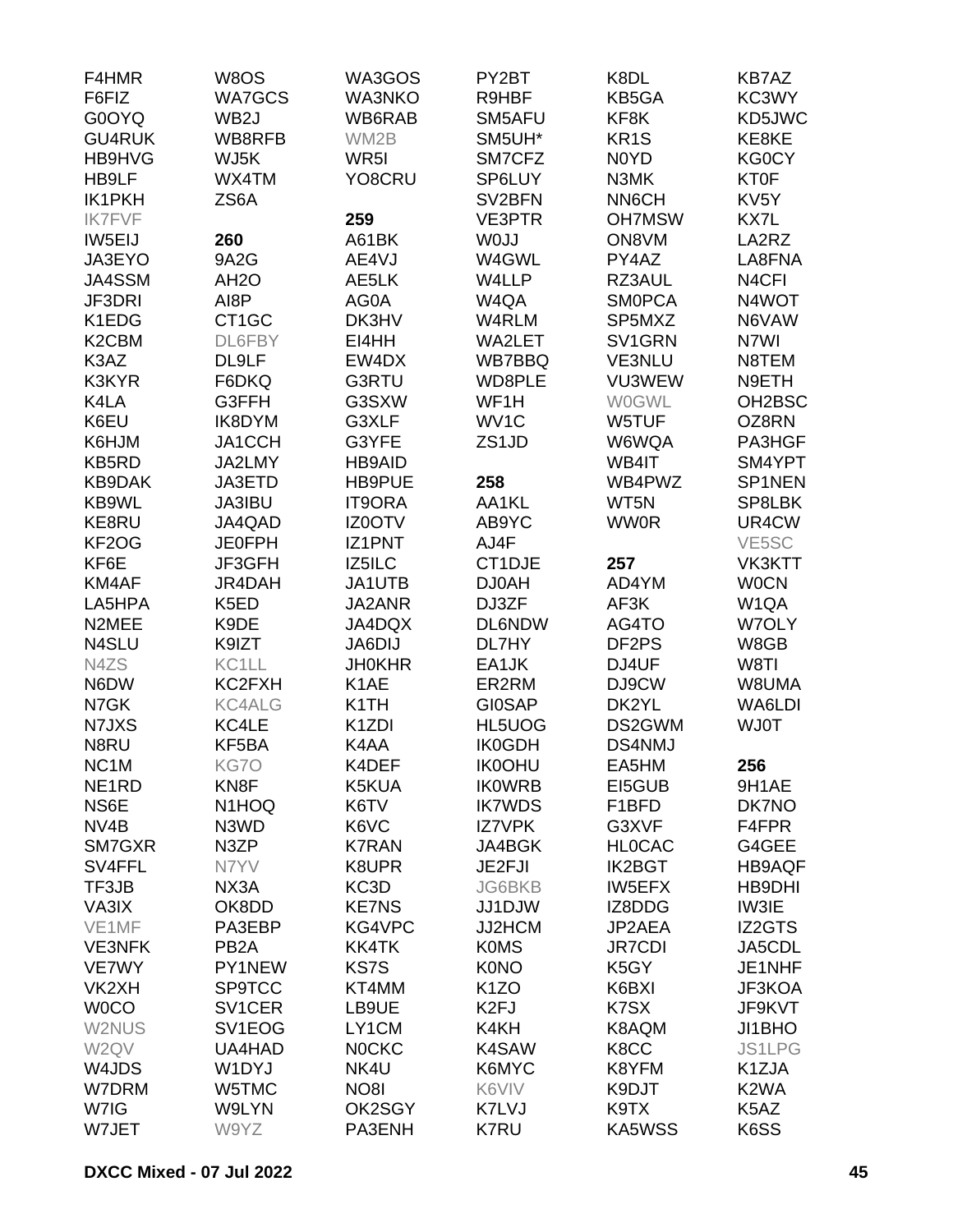| F4HMR                          | W8OS                | WA3GOS                     | PY2BT              | K8DL                          | KB7AZ              |
|--------------------------------|---------------------|----------------------------|--------------------|-------------------------------|--------------------|
| F6FIZ                          | <b>WA7GCS</b>       | <b>WA3NKO</b>              | R9HBF              | KB5GA                         | KC3WY              |
| G0OYQ                          | WB <sub>2</sub> J   | WB6RAB                     | SM5AFU             | KF8K                          | KD5JWC             |
| <b>GU4RUK</b>                  | WB8RFB              | WM2B                       | SM5UH*             | KR <sub>1</sub> S             | KE8KE              |
| HB9HVG                         | WJ5K                | WR <sub>5</sub> I          | SM7CFZ             | N <sub>0</sub> Y <sub>D</sub> | KG0CY              |
| HB9LF                          | WX4TM               | YO8CRU                     | SP6LUY             | N3MK                          | <b>KT0F</b>        |
| <b>IK1PKH</b>                  | ZS6A                |                            | SV2BFN             | NN6CH                         | KV <sub>5</sub> Y  |
| <b>IK7FVF</b>                  |                     | 259                        | <b>VE3PTR</b>      | <b>OH7MSW</b>                 | KX7L               |
| IW5EIJ                         | 260                 | A61BK                      | W0JJ               | ON8VM                         | LA2RZ              |
| JA3EYO                         | 9A2G                | AE4VJ                      | W4GWL              | PY4AZ                         | LA8FNA             |
| JA4SSM                         | AH <sub>2</sub> O   | AE5LK                      | W4LLP              | RZ3AUL                        | N <sub>4</sub> CFI |
| JF3DRI                         | AI8P                | AG0A                       | W4QA               | <b>SMOPCA</b>                 | N4WOT              |
| K1EDG                          | CT <sub>1</sub> GC  | DK3HV                      | W4RLM              | SP5MXZ                        | N6VAW              |
| K <sub>2</sub> C <sub>BM</sub> | DL6FBY              | EI4HH                      | WA2LET             | SV1GRN                        | N7WI               |
| K3AZ                           | DL9LF               | EW4DX                      | WB7BBQ             | VE3NLU                        | N8TEM              |
| K3KYR                          | F6DKQ               | G3RTU                      | WD8PLE             | VU3WEW                        | N9ETH              |
| K4LA                           | G3FFH               | G3SXW                      | WF1H               | <b>WOGWL</b>                  | OH2BSC             |
| K6EU                           | IK8DYM              | G3XLF                      | WV1C               | W5TUF                         | OZ8RN              |
| K6HJM                          | JA1CCH              | G3YFE                      | ZS <sub>1</sub> JD | W6WQA                         | PA3HGF             |
| KB5RD                          | JA2LMY              | <b>HB9AID</b>              |                    | WB4IT                         | SM4YPT             |
| <b>KB9DAK</b>                  | JA3ETD              | HB9PUE                     | 258                | WB4PWZ                        | SP1NEN             |
| KB9WL                          | JA3IBU              | <b>IT9ORA</b>              | AA1KL              | WT5N                          | SP8LBK             |
| KE8RU                          | JA4QAD              | IZ0OTV                     | AB9YC              | <b>WW0R</b>                   | UR4CW              |
| KF2OG                          | <b>JE0FPH</b>       | <b>IZ1PNT</b>              | AJ4F               |                               | VE5SC              |
| KF6E                           | JF3GFH              | IZ5ILC                     | CT1DJE             | 257                           | VK3KTT             |
| KM4AF                          | JR4DAH              | JA1UTB                     | DJ0AH              | AD4YM                         | <b>WOCN</b>        |
| LA5HPA                         | K <sub>5</sub> ED   | JA2ANR                     | DJ3ZF              | AF3K                          | W1QA               |
| N2MEE                          | K9DE                | JA4DQX                     | <b>DL6NDW</b>      | AG4TO                         | W7OLY              |
| N4SLU                          |                     |                            | DL7HY              | DF2PS                         |                    |
| N4ZS                           | K9IZT<br>KC1LL      | JA6DIJ                     |                    |                               | W8GB<br>W8TI       |
|                                |                     | <b>JH0KHR</b>              | EA1JK              | DJ4UF                         |                    |
| N6DW                           | KC2FXH              | K <sub>1</sub> AE          | ER2RM              | DJ9CW                         | W8UMA              |
| N7GK                           | <b>KC4ALG</b>       | K1TH                       | <b>GI0SAP</b>      | DK2YL                         | WA6LDI             |
| N7JXS<br>N8RU                  | KC4LE               | K <sub>1</sub> ZDI<br>K4AA | HL5UOG             | DS2GWM                        | <b>WJ0T</b>        |
|                                | KF5BA               |                            | <b>IK0GDH</b>      | DS4NMJ                        |                    |
| NC <sub>1</sub> M              | KG7O                | K4DEF                      | <b>IK0OHU</b>      | EA5HM                         | 256                |
| NE <sub>1</sub> RD             | KN <sub>8</sub> F   | K5KUA                      | <b>IKOWRB</b>      | EI5GUB                        | 9H1AE              |
| NS6E                           | N <sub>1</sub> HOQ  | K6TV                       | <b>IK7WDS</b>      | F1BFD                         | DK7NO              |
| NV <sub>4</sub> B              | N3WD                | K6VC                       | <b>IZ7VPK</b>      | G3XVF                         | F4FPR              |
| SM7GXR                         | N3ZP                | <b>K7RAN</b>               | JA4BGK             | <b>HLOCAC</b>                 | G4GEE              |
| SV4FFL                         | N7YV                | K8UPR                      | JE2FJI             | <b>IK2BGT</b>                 | <b>HB9AQF</b>      |
| TF3JB                          | NX3A                | KC3D                       | <b>JG6BKB</b>      | <b>IW5EFX</b>                 | HB9DHI             |
| VA3IX                          | OK8DD               | <b>KE7NS</b>               | JJ1DJW             | IZ8DDG                        | IW3IE              |
| VE1MF                          | PA3EBP              | KG4VPC                     | JJ2HCM             | JP2AEA                        | IZ2GTS             |
| <b>VE3NFK</b>                  | PB <sub>2</sub> A   | KK4TK                      | <b>K0MS</b>        | <b>JR7CDI</b>                 | JA5CDL             |
| VE7WY                          | PY1NEW              | <b>KS7S</b>                | <b>K0NO</b>        | K <sub>5</sub> GY             | JE1NHF             |
| VK <sub>2</sub> XH             | <b>SP9TCC</b>       | KT4MM                      | K <sub>1</sub> ZO  | K6BXI                         | JF3KOA             |
| <b>WOCO</b>                    | SV <sub>1</sub> CER | LB9UE                      | K <sub>2FJ</sub>   | K7SX                          | JF9KVT             |
| W2NUS                          | SV1EOG              | LY1CM                      | K4KH               | K8AQM                         | JI1BHO             |
| W2QV                           | UA4HAD              | <b>NOCKC</b>               | K4SAW              | K8CC                          | <b>JS1LPG</b>      |
| W4JDS                          | W1DYJ               | NK4U                       | K6MYC              | K8YFM                         | K1ZJA              |
| W7DRM                          | W5TMC               | NO <sub>8</sub>            | K6VIV              | K9DJT                         | K <sub>2</sub> WA  |
| W7IG                           | W9LYN               | OK2SGY                     | K7LVJ              | K9TX                          | K5AZ               |
| W7JET                          | W9YZ                | PA3ENH                     | <b>K7RU</b>        | <b>KA5WSS</b>                 | K6SS               |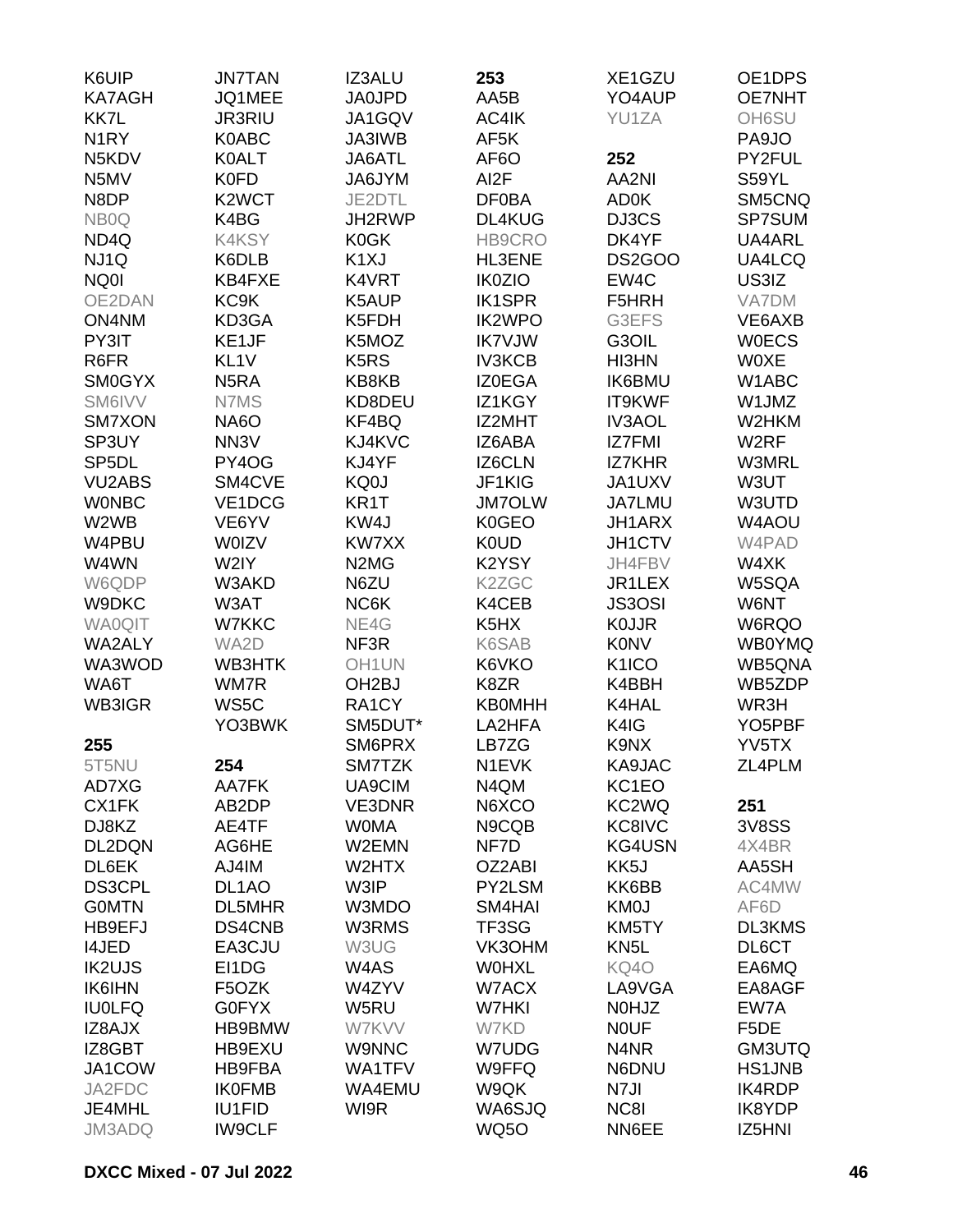| K6UIP              | <b>JN7TAN</b>      | <b>IZ3ALU</b>                 | 253               | XE1GZU             | OE1DPS              |
|--------------------|--------------------|-------------------------------|-------------------|--------------------|---------------------|
| <b>KA7AGH</b>      | JQ1MEE             | <b>JA0JPD</b>                 | AA5B              | YO4AUP             | <b>OE7NHT</b>       |
| KK7L               | JR3RIU             | JA1GQV                        | AC4IK             | YU1ZA              | OH6SU               |
| N <sub>1</sub> RY  | K0ABC              | JA3IWB                        | AF5K              |                    | PA9JO               |
| N5KDV              | <b>K0ALT</b>       | JA6ATL                        | AF <sub>6</sub> O | 252                | PY2FUL              |
| N5MV               | <b>K0FD</b>        | JA6JYM                        | AI <sub>2</sub> F | AA2NI              | S59YL               |
| N8DP               | K2WCT              | JE2DTL                        | <b>DF0BA</b>      | AD0K               | SM5CNQ              |
| NB <sub>0</sub> Q  | K4BG               | JH2RWP                        | DL4KUG            | DJ3CS              | SP7SUM              |
| ND <sub>4Q</sub>   | <b>K4KSY</b>       | <b>K0GK</b>                   | HB9CRO            | DK4YF              | UA4ARL              |
|                    |                    | K <sub>1</sub> XJ             |                   |                    |                     |
| NJ1Q               | K6DLB              |                               | HL3ENE            | <b>DS2GOO</b>      | UA4LCQ              |
| NQ0I               | KB4FXE             | K4VRT                         | <b>IK0ZIO</b>     | EW4C               | US3IZ               |
| OE2DAN             | KC9K               | K5AUP                         | <b>IK1SPR</b>     | F5HRH              | VA7DM               |
| ON4NM              | KD3GA              | K5FDH                         | <b>IK2WPO</b>     | G3EFS              | VE6AXB              |
| PY3IT              | KE1JF              | K5MOZ                         | <b>IK7VJW</b>     | G3OIL              | <b>WOECS</b>        |
| R6FR               | KL <sub>1V</sub>   | K <sub>5</sub> R <sub>S</sub> | <b>IV3KCB</b>     | HI3HN              | <b>WOXE</b>         |
| <b>SM0GYX</b>      | N <sub>5</sub> RA  | KB8KB                         | <b>IZ0EGA</b>     | <b>IK6BMU</b>      | W1ABC               |
| SM6IVV             | N7MS               | KD8DEU                        | IZ1KGY            | IT9KWF             | W1JMZ               |
| SM7XON             | <b>NA6O</b>        | KF4BQ                         | IZ2MHT            | <b>IV3AOL</b>      | W2HKM               |
| SP3UY              | NN <sub>3</sub> V  | KJ4KVC                        | IZ6ABA            | IZ7FMI             | W <sub>2</sub> RF   |
| SP <sub>5</sub> DL | PY4OG              | KJ4YF                         | IZ6CLN            | <b>IZ7KHR</b>      | W3MRL               |
| <b>VU2ABS</b>      | SM4CVE             | KQ0J                          | JF1KIG            | JA1UXV             | W3UT                |
| <b>WONBC</b>       | VE1DCG             | KR1T                          | <b>JM7OLW</b>     | <b>JA7LMU</b>      | W3UTD               |
| W2WB               | VE6YV              | KW4J                          | <b>K0GEO</b>      | <b>JH1ARX</b>      | W4AOU               |
| W4PBU              | <b>WOIZV</b>       | KW7XX                         | <b>K0UD</b>       | JH1CTV             | W4PAD               |
| W4WN               | W2IY               | N <sub>2</sub> M <sub>G</sub> | K2YSY             | JH4FBV             | W4XK                |
| W6QDP              | W3AKD              | N6ZU                          | K2ZGC             | JR1LEX             | W5SQA               |
| W9DKC              | W3AT               | NC6K                          | K4CEB             | <b>JS3OSI</b>      | W6NT                |
| <b>WA0QIT</b>      | W7KKC              | NE4G                          | K5HX              | <b>KOJJR</b>       | W6RQO               |
| <b>WA2ALY</b>      | WA2D               | NF3R                          | K6SAB             | <b>K0NV</b>        | <b>WB0YMQ</b>       |
| WA3WOD             | WB3HTK             | OH <sub>1</sub> UN            | K6VKO             | K <sub>1</sub> ICO | WB5QNA              |
| WA6T               | WM7R               | OH <sub>2</sub> BJ            | K8ZR              | K4BBH              | WB5ZDP              |
| WB3IGR             | WS5C               | RA1CY                         | <b>KB0MHH</b>     | K4HAL              | WR3H                |
|                    | YO3BWK             | SM5DUT*                       | LA2HFA            | K4IG               | YO <sub>5</sub> PBF |
| 255                |                    | SM6PRX                        | LB7ZG             | K9NX               | YV5TX               |
|                    |                    |                               |                   | KA9JAC             |                     |
| 5T5NU              | 254                | SM7TZK                        | N1EVK             |                    | ZL4PLM              |
| AD7XG              | AA7FK              | UA9CIM                        | N4QM              | KC1EO              |                     |
| CX1FK              | AB2DP              | VE3DNR                        | N6XCO             | KC2WQ              | 251                 |
| DJ8KZ              | AE4TF              | <b>WOMA</b>                   | N9CQB             | KC8IVC             | <b>3V8SS</b>        |
| DL2DQN             | AG6HE              | W2EMN                         | NF7D              | KG4USN             | 4X4BR               |
| DL6EK              | AJ4IM              | W2HTX                         | OZ2ABI            | KK5J               | AA5SH               |
| <b>DS3CPL</b>      | DL <sub>1</sub> AO | W3IP                          | PY2LSM            | KK6BB              | AC4MW               |
| <b>GOMTN</b>       | DL5MHR             | W3MDO                         | SM4HAI            | <b>KM0J</b>        | AF6D                |
| HB9EFJ             | DS4CNB             | W3RMS                         | TF3SG             | KM5TY              | DL3KMS              |
| <b>I4JED</b>       | EA3CJU             | W3UG                          | VK3OHM            | KN <sub>5</sub> L  | DL6CT               |
| <b>IK2UJS</b>      | EI1DG              | W4AS                          | <b>WOHXL</b>      | KQ4O               | EA6MQ               |
| <b>IK6IHN</b>      | F5OZK              | W4ZYV                         | W7ACX             | LA9VGA             | EA8AGF              |
| <b>IU0LFQ</b>      | <b>G0FYX</b>       | W5RU                          | W7HKI             | N0HJZ              | EW7A                |
| IZ8AJX             | HB9BMW             | W7KVV                         | W7KD              | <b>NOUF</b>        | F <sub>5</sub> DE   |
| IZ8GBT             | HB9EXU             | <b>W9NNC</b>                  | W7UDG             | N4NR               | GM3UTQ              |
| JA1COW             | HB9FBA             | WA1TFV                        | W9FFQ             | N6DNU              | <b>HS1JNB</b>       |
| JA2FDC             | <b>IK0FMB</b>      | WA4EMU                        | W9QK              | N7JI               | <b>IK4RDP</b>       |
| JE4MHL             | <b>IU1FID</b>      | WI9R                          | WA6SJQ            | NC8I               | IK8YDP              |
| JM3ADQ             | <b>IW9CLF</b>      |                               | <b>WQ5O</b>       | NN6EE              | IZ5HNI              |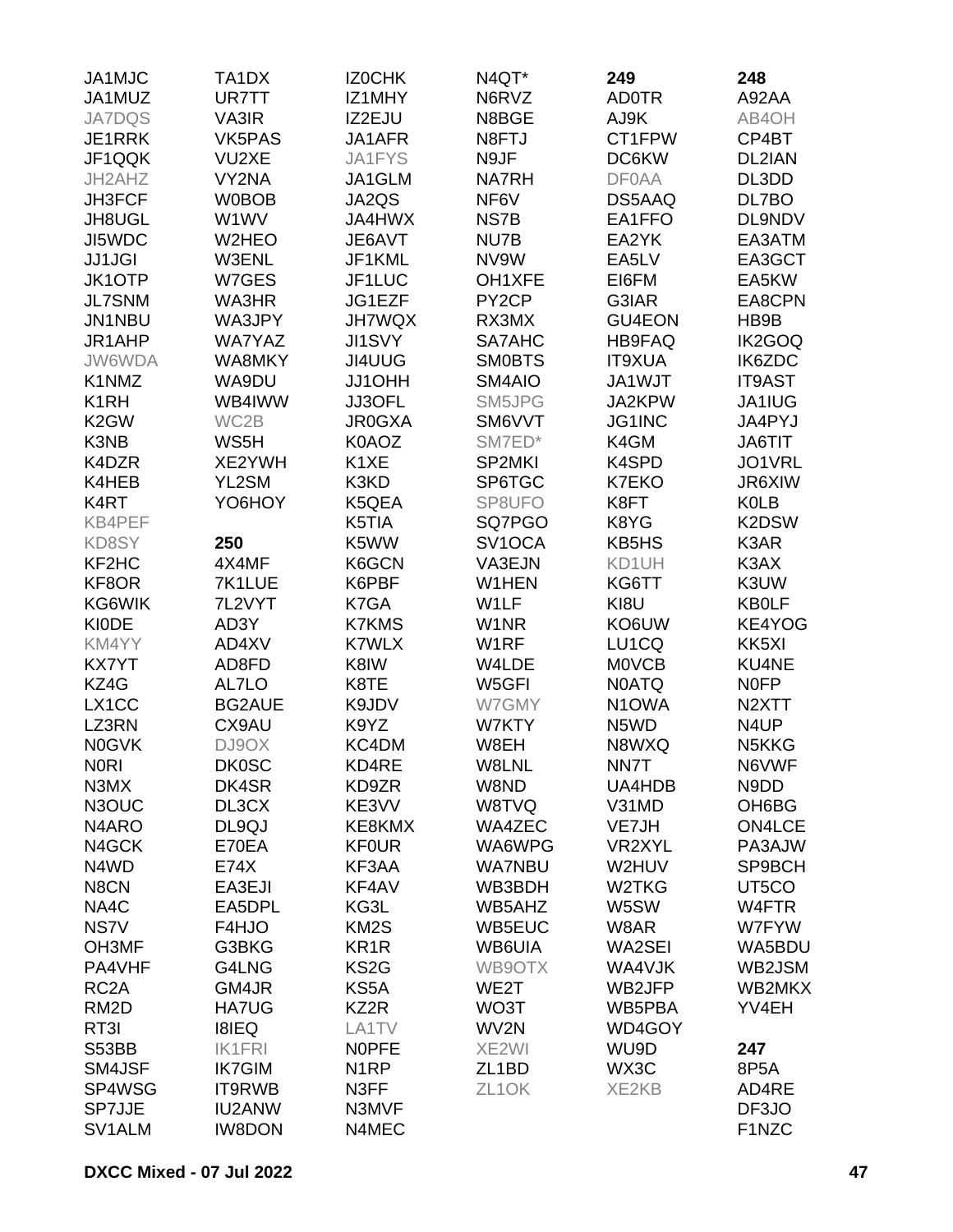| JA1MJC                         | TA1DX         | IZ0CHK            | N4QT*               | 249                | 248                            |
|--------------------------------|---------------|-------------------|---------------------|--------------------|--------------------------------|
| JA1MUZ                         | UR7TT         | IZ1MHY            | N6RVZ               | <b>AD0TR</b>       | A92AA                          |
| <b>JA7DQS</b>                  | VA3IR         | IZ2EJU            | N8BGE               | AJ9K               | AB4OH                          |
| JE1RRK                         | <b>VK5PAS</b> | JA1AFR            | N8FTJ               | CT1FPW             | CP4BT                          |
| JF1QQK                         | VU2XE         | JA1FYS            | N9JF                | DC6KW              | DL2IAN                         |
| JH2AHZ                         | VY2NA         | JA1GLM            | <b>NA7RH</b>        | <b>DF0AA</b>       | DL3DD                          |
| <b>JH3FCF</b>                  | <b>W0BOB</b>  | JA2QS             | NF6V                | DS5AAQ             | DL7BO                          |
| JH8UGL                         | W1WV          | <b>JA4HWX</b>     | NS7B                | EA1FFO             | DL9NDV                         |
| JI5WDC                         | W2HEO         | JE6AVT            | NU7B                | EA2YK              | EA3ATM                         |
|                                |               |                   |                     | EA5LV              |                                |
| <b>JJ1JGI</b>                  | <b>W3ENL</b>  | JF1KML            | NV9W                |                    | EA3GCT                         |
| <b>JK1OTP</b>                  | W7GES         | JF1LUC            | OH1XFE              | EI6FM              | EA5KW                          |
| <b>JL7SNM</b>                  | WA3HR         | JG1EZF            | PY <sub>2</sub> CP  | G3IAR              | EA8CPN                         |
| JN1NBU                         | WA3JPY        | <b>JH7WQX</b>     | RX3MX               | GU4EON             | HB9B                           |
| JR1AHP                         | <b>WA7YAZ</b> | <b>JI1SVY</b>     | SA7AHC              | <b>HB9FAQ</b>      | IK2GOQ                         |
| JW6WDA                         | WA8MKY        | JI4UUG            | <b>SMOBTS</b>       | <b>IT9XUA</b>      | IK6ZDC                         |
| K1NMZ                          | WA9DU         | JJ1OHH            | SM4AIO              | JA1WJT             | <b>IT9AST</b>                  |
| K <sub>1</sub> RH              | WB4IWW        | JJ3OFL            | SM5JPG              | JA2KPW             | JA1IUG                         |
| K <sub>2</sub> GW              | WC2B          | <b>JR0GXA</b>     | SM6VVT              | JG1INC             | JA4PYJ                         |
| K3NB                           | WS5H          | K0AOZ             | SM7ED*              | K4GM               | <b>JA6TIT</b>                  |
| K4DZR                          | XE2YWH        | K1XE              | SP2MKI              | K4SPD              | JO1VRL                         |
| K4HEB                          | YL2SM         | K3KD              | SP6TGC              | K7EKO              | JR6XIW                         |
| K <sub>4</sub> RT              | YO6HOY        | K5QEA             | SP8UFO              | K8FT               | <b>K0LB</b>                    |
| KB4PEF                         |               | K5TIA             | SQ7PGO              | K8YG               | K2DSW                          |
| KD8SY                          | 250           | K5WW              | SV <sub>1</sub> OCA | KB5HS              | K3AR                           |
| KF <sub>2</sub> H <sub>C</sub> | 4X4MF         | K6GCN             | VA3EJN              | KD1UH              | K3AX                           |
| KF8OR                          | 7K1LUE        | K6PBF             | W1HEN               | KG6TT              | K3UW                           |
| KG6WIK                         | 7L2VYT        | K7GA              | W1LF                | KI8U               | <b>KB0LF</b>                   |
| <b>KIODE</b>                   | AD3Y          | <b>K7KMS</b>      | W1NR                | KO6UW              | KE4YOG                         |
| KM4YY                          | AD4XV         | <b>K7WLX</b>      | W1RF                | LU1CQ              | KK5XI                          |
| <b>KX7YT</b>                   | AD8FD         | K8IW              | W4LDE               | <b>MOVCB</b>       | KU4NE                          |
|                                |               |                   |                     |                    |                                |
| KZ4G                           | AL7LO         | K8TE              | W5GFI               | <b>N0ATQ</b>       | <b>NOFP</b>                    |
| LX1CC                          | <b>BG2AUE</b> | K9JDV             | W7GMY               | N <sub>1</sub> OWA | N <sub>2</sub> XTT             |
| LZ3RN                          | CX9AU         | K9YZ              | W7KTY               | N5WD               | N4UP                           |
| <b>N0GVK</b>                   | DJ9OX         | KC4DM             | W8EH                | N8WXQ              | N <sub>5</sub> KK <sub>G</sub> |
| <b>NORI</b>                    | <b>DK0SC</b>  | KD4RE             | W8LNL               | NN7T               | N6VWF                          |
| N3MX                           | DK4SR         | KD9ZR             | W8ND                | UA4HDB             | N9DD                           |
| N3OUC                          | DL3CX         | KE3VV             | W8TVQ               | V31MD              | OH6BG                          |
| N <sub>4</sub> ARO             | DL9QJ         | KE8KMX            | WA4ZEC              | VE7JH              | <b>ON4LCE</b>                  |
| N4GCK                          | E70EA         | <b>KF0UR</b>      | WA6WPG              | VR2XYL             | PA3AJW                         |
| N4WD                           | E74X          | KF3AA             | <b>WA7NBU</b>       | W2HUV              | SP9BCH                         |
| N8CN                           | EA3EJI        | KF4AV             | WB3BDH              | W2TKG              | UT5CO                          |
| NA4C                           | EA5DPL        | KG3L              | WB5AHZ              | W5SW               | W4FTR                          |
| NS7V                           | F4HJO         | KM <sub>2</sub> S | WB5EUC              | W8AR               | W7FYW                          |
| OH3MF                          | G3BKG         | KR <sub>1</sub> R | WB6UIA              | WA2SEI             | WA5BDU                         |
| PA4VHF                         | G4LNG         | KS <sub>2</sub> G | WB9OTX              | WA4VJK             | WB2JSM                         |
| RC <sub>2</sub> A              | GM4JR         | KS5A              | WE2T                | WB2JFP             | WB2MKX                         |
| RM <sub>2</sub> D              | <b>HA7UG</b>  | KZ2R              | WO3T                | WB5PBA             | YV4EH                          |
| RT3I                           | <b>I8IEQ</b>  | LA1TV             | WV2N                | WD4GOY             |                                |
| S53BB                          | <b>IK1FRI</b> | <b>NOPFE</b>      | XE2WI               | WU9D               | 247                            |
| SM4JSF                         | <b>IK7GIM</b> | N <sub>1</sub> RP | ZL <sub>1</sub> BD  | WX3C               | 8P5A                           |
| SP4WSG                         | IT9RWB        | N3FF              | ZL <sub>1</sub> OK  | XE2KB              | AD4RE                          |
| <b>SP7JJE</b>                  | <b>IU2ANW</b> | N3MVF             |                     |                    | DF3JO                          |
|                                |               |                   |                     |                    |                                |
| SV1ALM                         | <b>IW8DON</b> | N4MEC             |                     |                    | F1NZC                          |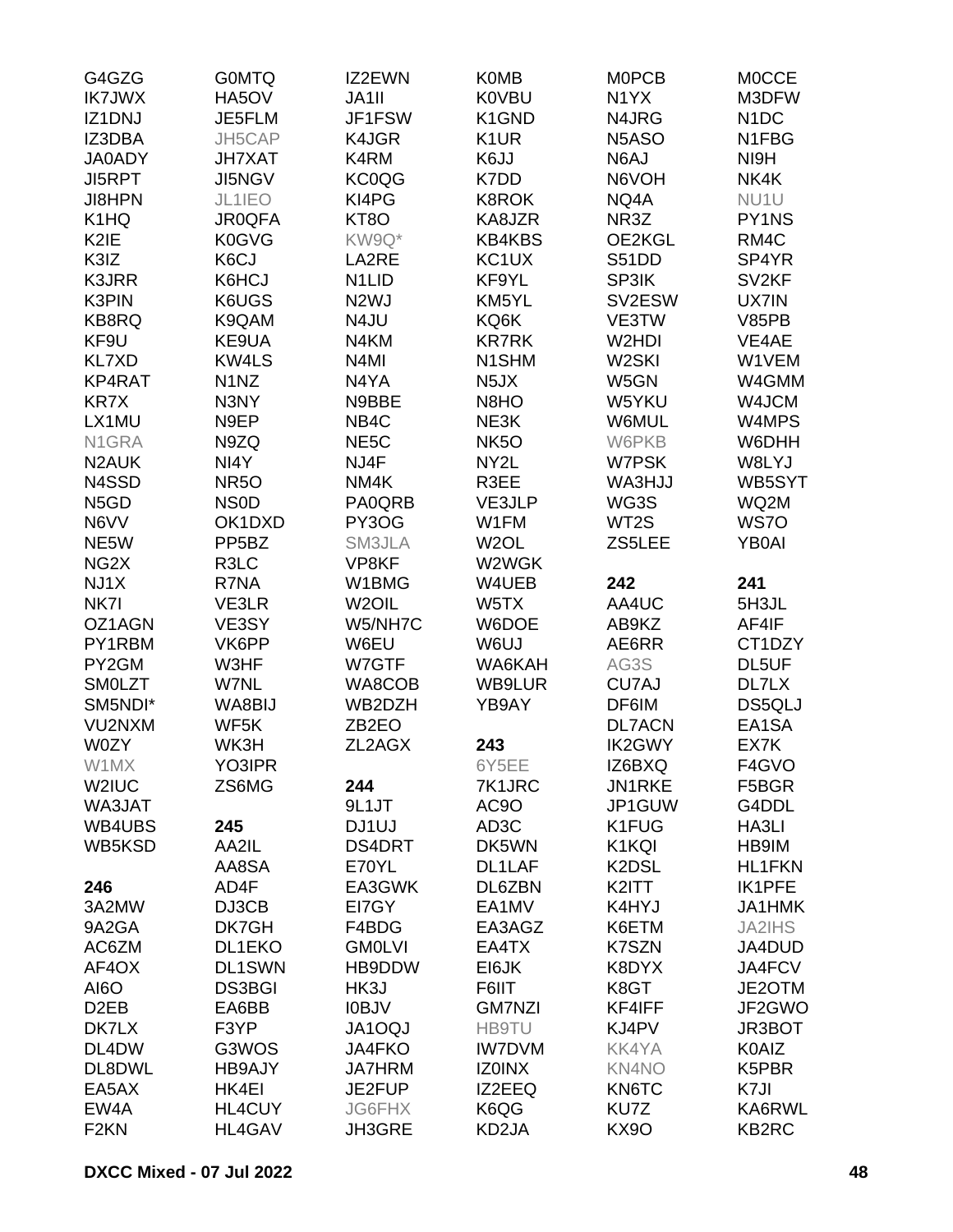| G4GZG                         | <b>GOMTQ</b>                  | IZ2EWN                         | <b>K0MB</b>       | <b>MOPCB</b>                   | <b>MOCCE</b>      |
|-------------------------------|-------------------------------|--------------------------------|-------------------|--------------------------------|-------------------|
| <b>IK7JWX</b>                 | HA5OV                         | JA1II                          | <b>K0VBU</b>      | N <sub>1</sub> YX              | M3DFW             |
| IZ1DNJ                        | JE5FLM                        | JF1FSW                         | K1GND             | N4JRG                          | N <sub>1</sub> DC |
| IZ3DBA                        | JH5CAP                        | K4JGR                          | K <sub>1</sub> UR | N <sub>5</sub> A <sub>SO</sub> | N1FBG             |
| <b>JA0ADY</b>                 | <b>JH7XAT</b>                 | K4RM                           | K6JJ              | N6AJ                           | NI9H              |
| <b>JI5RPT</b>                 | <b>JI5NGV</b>                 | <b>KC0QG</b>                   | K7DD              | N6VOH                          | NK4K              |
| <b>JI8HPN</b>                 | JL1IEO                        | KI4PG                          | <b>K8ROK</b>      | NQ4A                           | NU1U              |
| K1HQ                          | <b>JR0QFA</b>                 | KT8O                           | KA8JZR            | NR3Z                           | PY1NS             |
| K <sub>2</sub> IE             | K0GVG                         | KW9Q*                          | <b>KB4KBS</b>     | OE2KGL                         | RM4C              |
| K3IZ                          | K6CJ                          | LA2RE                          | KC1UX             | S51DD                          | SP4YR             |
|                               | K6HCJ                         | N <sub>1</sub> LI <sub>D</sub> | KF9YL             | SP3IK                          |                   |
| K3JRR                         |                               |                                |                   |                                | SV <sub>2KF</sub> |
| K3PIN                         | K6UGS                         | N <sub>2</sub> WJ              | KM5YL             | SV2ESW                         | UX7IN             |
| KB8RQ                         | K9QAM                         | N4JU                           | KQ6K              | VE3TW                          | <b>V85PB</b>      |
| KF9U                          | KE9UA                         | N4KM                           | <b>KR7RK</b>      | W <sub>2</sub> H <sub>DI</sub> | VE4AE             |
| <b>KL7XD</b>                  | <b>KW4LS</b>                  | N <sub>4</sub> MI              | N1SHM             | W <sub>2</sub> SKI             | W1VEM             |
| KP4RAT                        | N <sub>1</sub> N <sub>Z</sub> | N4YA                           | N <sub>5</sub> JX | W5GN                           | W4GMM             |
| KR7X                          | N3NY                          | N9BBE                          | N8HO              | W5YKU                          | W4JCM             |
| LX1MU                         | N9EP                          | NB4C                           | NE3K              | W6MUL                          | W4MPS             |
| N1GRA                         | N9ZQ                          | NE <sub>5</sub> C              | NK <sub>5</sub> O | W6PKB                          | W6DHH             |
| N <sub>2</sub> AUK            | NI4Y                          | NJ4F                           | NY2L              | W7PSK                          | W8LYJ             |
| N4SSD                         | <b>NR50</b>                   | NM4K                           | R3EE              | WA3HJJ                         | WB5SYT            |
| N <sub>5</sub> G <sub>D</sub> | <b>NSOD</b>                   | PA0QRB                         | VE3JLP            | WG3S                           | WQ2M              |
| N6VV                          | OK1DXD                        | PY3OG                          | W1FM              | WT2S                           | WS7O              |
| NE5W                          | PP <sub>5</sub> BZ            | SM3JLA                         | W <sub>2</sub> OL | ZS5LEE                         | <b>YB0AI</b>      |
| NG <sub>2</sub> X             | R3LC                          | VP8KF                          | W2WGK             |                                |                   |
| NJ1X                          | R7NA                          | W1BMG                          | W4UEB             | 242                            | 241               |
| NK7I                          | VE3LR                         | W <sub>2</sub> OIL             | W5TX              | AA4UC                          | 5H3JL             |
| OZ1AGN                        | VE3SY                         | W5/NH7C                        | W6DOE             | AB9KZ                          | AF4IF             |
| PY1RBM                        | VK6PP                         | W6EU                           | W6UJ              | AE6RR                          | CT1DZY            |
| PY2GM                         | W3HF                          | W7GTF                          | WA6KAH            | AG3S                           | DL5UF             |
| <b>SMOLZT</b>                 | W7NL                          | WA8COB                         | WB9LUR            | CU7AJ                          | DL7LX             |
| SM5NDI*                       | WA8BIJ                        | WB2DZH                         | YB9AY             | DF6IM                          | DS5QLJ            |
| VU2NXM                        | WF5K                          | ZB <sub>2</sub> EO             |                   | <b>DL7ACN</b>                  | EA1SA             |
| W0ZY                          | WK3H                          | ZL2AGX                         | 243               | <b>IK2GWY</b>                  | EX7K              |
| W1MX                          | YO3IPR                        |                                | 6Y5EE             | IZ6BXQ                         | F4GVO             |
| W2IUC                         | ZS6MG                         | 244                            | 7K1JRC            | JN1RKE                         | F5BGR             |
|                               |                               |                                |                   | JP1GUW                         |                   |
| WA3JAT                        |                               | 9L1JT                          | AC9O              |                                | G4DDL             |
| WB4UBS                        | 245                           | DJ1UJ                          | AD3C              | K1FUG                          | HA3LI             |
| WB5KSD                        | AA2IL                         | DS4DRT                         | DK5WN             | K1KQI                          | HB9IM             |
|                               | AA8SA                         | E70YL                          | DL1LAF            | K2DSL                          | <b>HL1FKN</b>     |
| 246                           | AD4F                          | EA3GWK                         | DL6ZBN            | K2ITT                          | IK1PFE            |
| 3A2MW                         | DJ3CB                         | EI7GY                          | EA1MV             | K4HYJ                          | <b>JA1HMK</b>     |
| 9A2GA                         | DK7GH                         | F4BDG                          | EA3AGZ            | K6ETM                          | <b>JA2IHS</b>     |
| AC6ZM                         | DL1EKO                        | <b>GM0LVI</b>                  | EA4TX             | <b>K7SZN</b>                   | JA4DUD            |
| AF4OX                         | <b>DL1SWN</b>                 | HB9DDW                         | EI6JK             | K8DYX                          | JA4FCV            |
| AI6O                          | <b>DS3BGI</b>                 | HK3J                           | F6IIT             | K8GT                           | JE2OTM            |
| D <sub>2</sub> EB             | EA6BB                         | <b>IOBJV</b>                   | <b>GM7NZI</b>     | KF4IFF                         | JF2GWO            |
| DK7LX                         | F3YP                          | <b>JA1OQJ</b>                  | <b>HB9TU</b>      | KJ4PV                          | <b>JR3BOT</b>     |
| DL4DW                         | G3WOS                         | JA4FKO                         | <b>IW7DVM</b>     | <b>KK4YA</b>                   | K0AIZ             |
| DL8DWL                        | <b>HB9AJY</b>                 | <b>JA7HRM</b>                  | <b>IZ0INX</b>     | KN4NO                          | K5PBR             |
| EA5AX                         | HK4EI                         | JE2FUP                         | IZ2EEQ            | KN6TC                          | K7JI              |
| EW4A                          | HL4CUY                        | <b>JG6FHX</b>                  | K6QG              | KU7Z                           | KA6RWL            |
| F <sub>2</sub> KN             | HL4GAV                        | JH3GRE                         | KD2JA             | <b>KX90</b>                    | KB2RC             |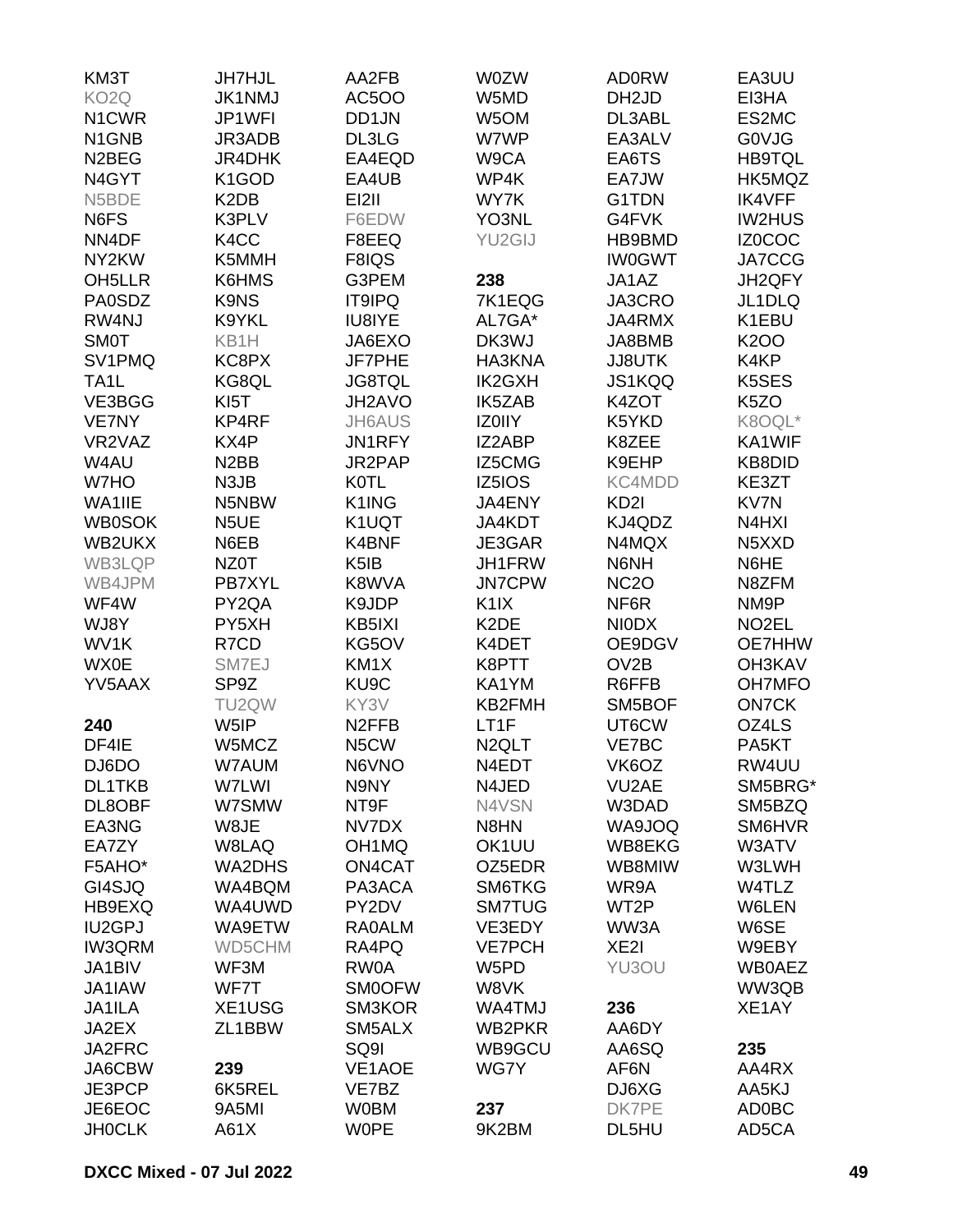| KM3T                | <b>JH7HJL</b>                 | AA2FB              | <b>WOZW</b>        | <b>AD0RW</b>      | EA3UU                           |
|---------------------|-------------------------------|--------------------|--------------------|-------------------|---------------------------------|
| KO <sub>2</sub> Q   | <b>JK1NMJ</b>                 | <b>AC5OO</b>       | W5MD               | DH <sub>2JD</sub> | EI3HA                           |
| N <sub>1</sub> CWR  | JP1WFI                        | DD1JN              | W <sub>5</sub> OM  | DL3ABL            | ES2MC                           |
| N1GNB               | JR3ADB                        | DL3LG              | W7WP               | EA3ALV            | G0VJG                           |
| N <sub>2</sub> BEG  | JR4DHK                        | EA4EQD             | W9CA               | EA6TS             | <b>HB9TQL</b>                   |
| N4GYT               | K <sub>1</sub> GOD            | EA4UB              | WP4K               | EA7JW             | HK5MQZ                          |
|                     |                               |                    |                    |                   |                                 |
| N5BDE               | K <sub>2</sub> D <sub>B</sub> | EI2II              | WY7K               | G1TDN             | <b>IK4VFF</b>                   |
| N6FS                | K3PLV                         | F6EDW              | YO3NL              | G4FVK             | <b>IW2HUS</b>                   |
| NN4DF               | K4CC                          | F8EEQ              | YU2GIJ             | HB9BMD            | IZ0COC                          |
| NY2KW               | K5MMH                         | F8IQS              |                    | <b>IW0GWT</b>     | <b>JA7CCG</b>                   |
| OH <sub>5</sub> LLR | K6HMS                         | G3PEM              | 238                | JA1AZ             | JH2QFY                          |
| <b>PA0SDZ</b>       | K9NS                          | <b>IT9IPQ</b>      | 7K1EQG             | JA3CRO            | JL1DLQ                          |
| RW4NJ               | K9YKL                         | IU8IYE             | AL7GA*             | JA4RMX            | K1EBU                           |
| <b>SMOT</b>         | KB1H                          | JA6EXO             | DK3WJ              | JA8BMB            | <b>K2OO</b>                     |
| SV1PMQ              | KC8PX                         | JF7PHE             | HA3KNA             | <b>JJ8UTK</b>     | K4KP                            |
| TA <sub>1</sub> L   | KG8QL                         | <b>JG8TQL</b>      | <b>IK2GXH</b>      | JS1KQQ            | K5SES                           |
| VE3BGG              | KI <sub>5</sub> T             | JH2AVO             | <b>IK5ZAB</b>      | K4ZOT             | K <sub>5</sub> ZO               |
| <b>VE7NY</b>        | KP4RF                         | <b>JH6AUS</b>      | <b>IZOIIY</b>      | K5YKD             | K8OQL*                          |
| VR2VAZ              | KX4P                          | JN1RFY             | IZ2ABP             | K8ZEE             | KA1WIF                          |
| W4AU                | N <sub>2</sub> BB             | JR2PAP             | IZ5CMG             | K9EHP             | <b>KB8DID</b>                   |
| W7HO                | N3JB                          | <b>K0TL</b>        | IZ5IOS             | KC4MDD            | KE3ZT                           |
| WA1IIE              | N5NBW                         | K1ING              | JA4ENY             | KD <sub>2</sub> I | <b>KV7N</b>                     |
| <b>WB0SOK</b>       | N <sub>5</sub> UE             | K1UQT              | JA4KDT             | KJ4QDZ            | N4HXI                           |
| WB2UKX              | N6EB                          | K4BNF              | JE3GAR             | N4MQX             | N <sub>5</sub> X <sub>X</sub> D |
| WB3LQP              | NZ0T                          | K <sub>5</sub> IB  | JH1FRW             | N6NH              | N6HE                            |
| WB4JPM              | PB7XYL                        | K8WVA              | <b>JN7CPW</b>      |                   | N8ZFM                           |
|                     |                               |                    |                    | <b>NC2O</b>       |                                 |
| WF4W                | PY2QA                         | K9JDP              | K <sub>1</sub> IX  | NF6R              | NM9P                            |
| WJ8Y                | PY5XH                         | KB5IXI             | K <sub>2</sub> DE  | <b>NIODX</b>      | NO <sub>2</sub> EL              |
| WV1K                | R7CD                          | KG5OV              | K4DET              | OE9DGV            | OE7HHW                          |
| <b>WX0E</b>         | SM7EJ                         | KM <sub>1</sub> X  | K8PTT              | OV2B              | <b>OH3KAV</b>                   |
| YV5AAX              | SP9Z                          | KU9C               | KA1YM              | R6FFB             | <b>OH7MFO</b>                   |
|                     | TU2QW                         | KY3V               | KB2FMH             | SM5BOF            | <b>ON7CK</b>                    |
| 240                 | W5IP                          | N <sub>2</sub> FFB | LT1F               | UT6CW             | OZ4LS                           |
| DF4IE               | W5MCZ                         | N5CW               | N <sub>2</sub> QLT | VE7BC             | PA5KT                           |
| DJ6DO               | W7AUM                         | N6VNO              | N4EDT              | VK6OZ             | RW4UU                           |
| <b>DL1TKB</b>       | W7LWI                         | N9NY               | N4JED              | VU2AE             | SM5BRG*                         |
| DL8OBF              | W7SMW                         | NT9F               | N4VSN              | W3DAD             | SM5BZQ                          |
| EA3NG               | W8JE                          | NV7DX              | N8HN               | WA9JOQ            | SM6HVR                          |
| EA7ZY               | W8LAQ                         | OH <sub>1</sub> MQ | OK1UU              | WB8EKG            | W3ATV                           |
| F5AHO*              | WA2DHS                        | ON4CAT             | OZ5EDR             | WB8MIW            | W3LWH                           |
| GI4SJQ              | WA4BQM                        | PA3ACA             | SM6TKG             | WR9A              | W4TLZ                           |
| HB9EXQ              | WA4UWD                        | PY2DV              | <b>SM7TUG</b>      | WT2P              | W6LEN                           |
| <b>IU2GPJ</b>       | WA9ETW                        | <b>RA0ALM</b>      | VE3EDY             | WW3A              | W6SE                            |
| <b>IW3QRM</b>       | WD5CHM                        | RA4PQ              | <b>VE7PCH</b>      | XE <sub>2</sub>   | W9EBY                           |
| JA1BIV              | WF3M                          | RW0A               | W5PD               | YU3OU             | <b>WB0AEZ</b>                   |
| JA1IAW              | WF7T                          | <b>SM0OFW</b>      | W8VK               |                   | WW3QB                           |
| JA1ILA              | XE1USG                        | SM3KOR             | WA4TMJ             | 236               | XE1AY                           |
| JA2EX               | ZL1BBW                        | SM5ALX             | WB2PKR             | AA6DY             |                                 |
|                     |                               |                    |                    |                   |                                 |
| JA2FRC              |                               | SQ9I               | WB9GCU             | AA6SQ             | 235                             |
| JA6CBW              | 239                           | VE1AOE             | WG7Y               | AF6N              | AA4RX                           |
| JE3PCP              | 6K5REL                        | VE7BZ              |                    | DJ6XG             | AA5KJ                           |
| JE6EOC              | 9A5MI                         | <b>W0BM</b>        | 237                | DK7PE             | AD0BC                           |
| <b>JH0CLK</b>       | A61X                          | <b>WOPE</b>        | 9K2BM              | DL5HU             | AD5CA                           |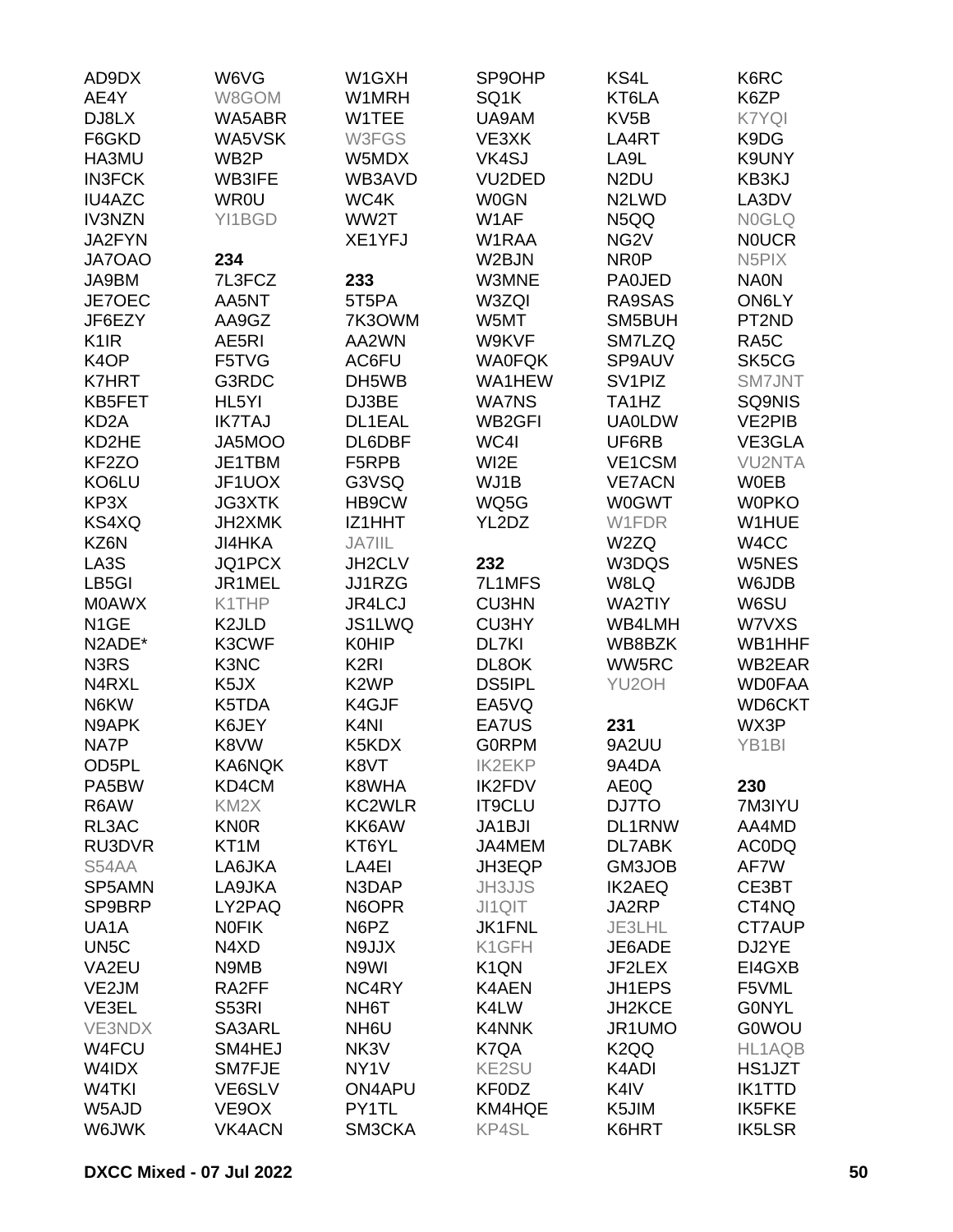| AD9DX                         | W6VG               | W1GXH             | SP9OHP                        | KS4L                           | K6RC               |
|-------------------------------|--------------------|-------------------|-------------------------------|--------------------------------|--------------------|
| AE4Y                          | W8GOM              | W1MRH             | SQ1K                          | KT6LA                          | K6ZP               |
| DJ8LX                         | WA5ABR             | W1TEE             | UA9AM                         | KV <sub>5</sub> B              | K7YQI              |
| F6GKD                         | WA5VSK             | W3FGS             | VE3XK                         | LA4RT                          | K9DG               |
| HA3MU                         | WB <sub>2</sub> P  | W5MDX             | VK4SJ                         | LA9L                           | K9UNY              |
| <b>IN3FCK</b>                 | <b>WB3IFE</b>      | WB3AVD            | VU2DED                        | N <sub>2</sub> DU              | KB3KJ              |
| <b>IU4AZC</b>                 | <b>WR0U</b>        | WC4K              | <b>W0GN</b>                   | N <sub>2</sub> LW <sub>D</sub> | LA3DV              |
| <b>IV3NZN</b>                 | YI1BGD             | WW2T              | W1AF                          | N5QQ                           | <b>NOGLQ</b>       |
| JA2FYN                        |                    | XE1YFJ            | W1RAA                         | NG <sub>2</sub> V              | <b>NOUCR</b>       |
| <b>JA7OAO</b>                 | 234                |                   | W2BJN                         | NR <sub>0</sub> P              | N <sub>5</sub> PIX |
| JA9BM                         | 7L3FCZ             | 233               | W3MNE                         | <b>PA0JED</b>                  | <b>NA0N</b>        |
| JE7OEC                        | AA5NT              | 5T5PA             | W3ZQI                         | RA9SAS                         | ON6LY              |
|                               | AA9GZ              | 7K3OWM            | W5MT                          |                                | PT2ND              |
| JF6EZY                        |                    |                   |                               | SM5BUH                         |                    |
| K <sub>1</sub> IR             | AE5RI              | AA2WN             | W9KVF                         | SM7LZQ                         | RA <sub>5</sub> C  |
| K4OP                          | F5TVG              | AC6FU             | <b>WA0FQK</b>                 | SP9AUV                         | SK5CG              |
| <b>K7HRT</b>                  | G3RDC              | DH5WB             | WA1HEW                        | SV <sub>1</sub> PIZ            | <b>SM7JNT</b>      |
| KB5FET                        | HL5YI              | DJ3BE             | <b>WA7NS</b>                  | TA1HZ                          | SQ9NIS             |
| KD <sub>2</sub> A             | <b>IK7TAJ</b>      | DL1EAL            | WB <sub>2GFI</sub>            | <b>UA0LDW</b>                  | <b>VE2PIB</b>      |
| KD2HE                         | JA5MOO             | DL6DBF            | WC4I                          | UF6RB                          | VE3GLA             |
| KF2ZO                         | JE1TBM             | F5RPB             | WI2E                          | VE1CSM                         | <b>VU2NTA</b>      |
| KO6LU                         | JF1UOX             | G3VSQ             | WJ1B                          | <b>VE7ACN</b>                  | <b>W0EB</b>        |
| KP3X                          | <b>JG3XTK</b>      | HB9CW             | WQ5G                          | <b>W0GWT</b>                   | <b>WOPKO</b>       |
| KS4XQ                         | JH2XMK             | IZ1HHT            | YL2DZ                         | W1FDR                          | W1HUE              |
| KZ6N                          | <b>JI4HKA</b>      | <b>JA7IIL</b>     |                               | W2ZQ                           | W4CC               |
| LA3S                          | JQ1PCX             | JH2CLV            | 232                           | W3DQS                          | W5NES              |
| LB5GI                         | JR1MEL             | JJ1RZG            | 7L1MFS                        | W8LQ                           | W6JDB              |
| <b>MOAWX</b>                  | K1THP              | <b>JR4LCJ</b>     | <b>CU3HN</b>                  | <b>WA2TIY</b>                  | W6SU               |
| N <sub>1</sub> GE             | K <sub>2</sub> JLD | JS1LWQ            | <b>CU3HY</b>                  | WB4LMH                         | W7VXS              |
| N2ADE*                        | K3CWF              | <b>K0HIP</b>      | DL7KI                         | WB8BZK                         | WB1HHF             |
| N <sub>3</sub> R <sub>S</sub> | K3NC               | K <sub>2RI</sub>  | DL8OK                         | WW5RC                          | WB2EAR             |
| N4RXL                         | K <sub>5</sub> JX  | K <sub>2</sub> WP | <b>DS5IPL</b>                 | YU2OH                          | <b>WD0FAA</b>      |
| N6KW                          | K5TDA              | K4GJF             | EA5VQ                         |                                | WD6CKT             |
| N9APK                         | K6JEY              | K <sub>4N</sub>   | EA7US                         | 231                            | WX3P               |
| NA7P                          | K8VW               | K5KDX             | <b>GORPM</b>                  | 9A2UU                          | YB1BI              |
| OD5PL                         | KA6NQK             | K8VT              | <b>IK2EKP</b>                 | 9A4DA                          |                    |
| PA5BW                         | KD4CM              | K8WHA             | <b>IK2FDV</b>                 | AE0Q                           | 230                |
| R6AW                          | KM <sub>2</sub> X  | <b>KC2WLR</b>     | <b>IT9CLU</b>                 | DJ7TO                          | 7M3IYU             |
| RL3AC                         | <b>KN0R</b>        | KK6AW             | JA1BJI                        | DL1RNW                         | AA4MD              |
| RU3DVR                        | KT <sub>1</sub> M  | KT6YL             | JA4MEM                        | DL7ABK                         | <b>ACODQ</b>       |
| S54AA                         | LA6JKA             | LA4EI             | JH3EQP                        | GM3JOB                         | AF7W               |
| SP5AMN                        | LA9JKA             | N3DAP             | <b>JH3JJS</b>                 | <b>IK2AEQ</b>                  | CE3BT              |
| SP9BRP                        | LY2PAQ             | N6OPR             | JI1QIT                        | JA2RP                          | CT4NQ              |
| UA <sub>1</sub> A             | <b>NOFIK</b>       | N6PZ              | <b>JK1FNL</b>                 | JE3LHL                         | CT7AUP             |
|                               |                    |                   |                               |                                |                    |
| UN <sub>5</sub> C             | N4XD               | N9JJX             | K1GFH                         | JE6ADE                         | DJ2YE              |
| VA2EU                         | N9MB               | N9WI              | K <sub>1</sub> Q <sub>N</sub> | JF2LEX                         | EI4GXB             |
| VE2JM                         | RA2FF              | NC4RY             | <b>K4AEN</b>                  | JH1EPS                         | F5VML              |
| VE3EL                         | <b>S53RI</b>       | NH <sub>6</sub> T | K4LW                          | JH2KCE                         | <b>GONYL</b>       |
| <b>VE3NDX</b>                 | SA3ARL             | NH <sub>6</sub> U | K4NNK                         | JR1UMO                         | <b>G0WOU</b>       |
| W4FCU                         | SM4HEJ             | NK3V              | K7QA                          | K <sub>2</sub> QQ              | HL1AQB             |
| W4IDX                         | SM7FJE             | NY <sub>1</sub> V | <b>KE2SU</b>                  | K4ADI                          | HS1JZT             |
| W4TKI                         | VE6SLV             | ON4APU            | <b>KF0DZ</b>                  | K4IV                           | <b>IK1TTD</b>      |
| W5AJD                         | VE9OX              | PY1TL             | KM4HQE                        | K5JIM                          | IK5FKE             |
| W6JWK                         | <b>VK4ACN</b>      | SM3CKA            | KP4SL                         | K6HRT                          | <b>IK5LSR</b>      |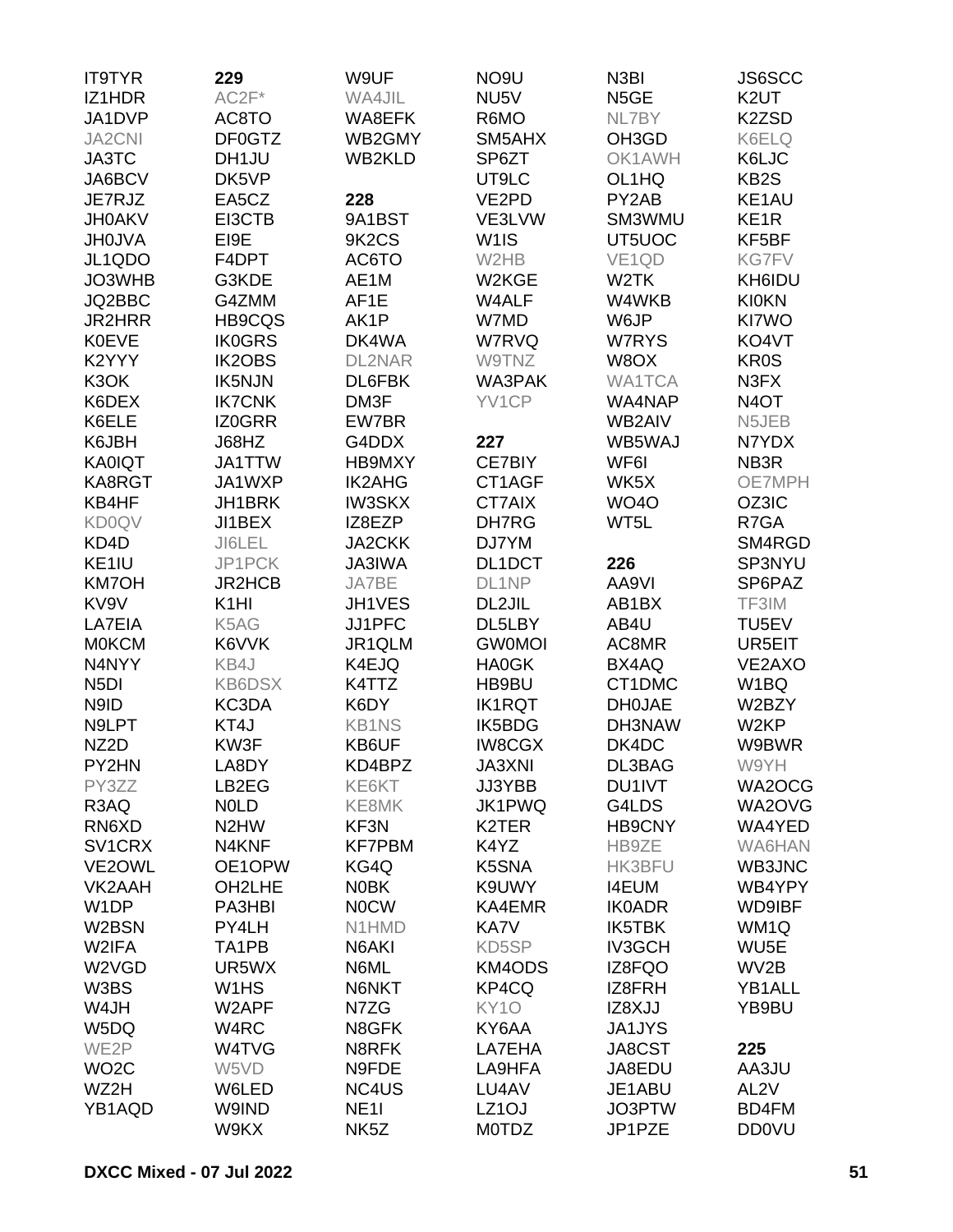| <b>IT9TYR</b>       | 229               | W9UF                           | NO <sub>9U</sub>   | N3BI          | JS6SCC            |
|---------------------|-------------------|--------------------------------|--------------------|---------------|-------------------|
| IZ1HDR              | $AC2F*$           | WA4JIL                         | NU5V               | N5GE          | K <sub>2</sub> UT |
| JA1DVP              | AC8TO             | WA8EFK                         | R6MO               | NL7BY         | K2ZSD             |
| <b>JA2CNI</b>       | DF0GTZ            | WB2GMY                         | SM5AHX             | OH3GD         | K6ELQ             |
| JA3TC               | DH1JU             | <b>WB2KLD</b>                  | SP6ZT              | OK1AWH        | K6LJC             |
| JA6BCV              | DK5VP             |                                | UT9LC              | OL1HQ         | KB <sub>2</sub> S |
| JE7RJZ              | EA5CZ             | 228                            | VE2PD              | PY2AB         | KE1AU             |
|                     |                   |                                |                    |               |                   |
| <b>JH0AKV</b>       | EI3CTB            | 9A1BST                         | VE3LVW             | SM3WMU        | KE <sub>1</sub> R |
| <b>JH0JVA</b>       | EI9E              | 9K <sub>2</sub> C <sub>S</sub> | W <sub>1</sub> IS  | UT5UOC        | KF5BF             |
| JL1QDO              | F4DPT             | AC6TO                          | W2HB               | VE1QD         | <b>KG7FV</b>      |
| JO3WHB              | G3KDE             | AE1M                           | W2KGE              | W2TK          | KH6IDU            |
| JQ2BBC              | G4ZMM             | AF1E                           | W4ALF              | W4WKB         | <b>KI0KN</b>      |
| <b>JR2HRR</b>       | <b>HB9CQS</b>     | AK1P                           | W7MD               | W6JP          | KI7WO             |
| <b>K0EVE</b>        | <b>IK0GRS</b>     | DK4WA                          | W7RVQ              | W7RYS         | KO4VT             |
| K2YYY               | <b>IK2OBS</b>     | <b>DL2NAR</b>                  | W9TNZ              | W8OX          | <b>KR0S</b>       |
| K3OK                | <b>IK5NJN</b>     | DL6FBK                         | WA3PAK             | <b>WA1TCA</b> | N3FX              |
| K6DEX               | <b>IK7CNK</b>     | DM3F                           | YV1CP              | WA4NAP        | N <sub>4</sub> OT |
| K6ELE               | IZ0GRR            | EW7BR                          |                    | WB2AIV        | N5JEB             |
| K6JBH               | J68HZ             | G4DDX                          | 227                | WB5WAJ        | N7YDX             |
| <b>KA0IQT</b>       | JA1TTW            | HB9MXY                         | <b>CE7BIY</b>      | WF6I          | NB <sub>3</sub> R |
| KA8RGT              | JA1WXP            | <b>IK2AHG</b>                  | CT1AGF             | WK5X          | OE7MPH            |
| KB4HF               | JH1BRK            | <b>IW3SKX</b>                  | CT7AIX             | <b>WO40</b>   | OZ3IC             |
| <b>KD0QV</b>        | JI1BEX            | IZ8EZP                         | DH7RG              | WT5L          | R7GA              |
| KD4D                | JI6LEL            | <b>JA2CKK</b>                  | DJ7YM              |               | SM4RGD            |
| KE1IU               | JP1PCK            | <b>JA3IWA</b>                  | DL1DCT             | 226           | SP3NYU            |
| <b>KM7OH</b>        | <b>JR2HCB</b>     | JA7BE                          | DL1NP              | AA9VI         | SP6PAZ            |
| KV9V                | K <sub>1</sub> HI | JH1VES                         | DL2JIL             | AB1BX         | TF3IM             |
| LA7EIA              | K5AG              | JJ1PFC                         | DL5LBY             | AB4U          | TU5EV             |
| <b>MOKCM</b>        | K6VVK             | JR1QLM                         | <b>GW0MOI</b>      | AC8MR         | UR5EIT            |
| N4NYY               | KB4J              | K4EJQ                          | <b>HA0GK</b>       | BX4AQ         | VE2AXO            |
|                     |                   |                                | HB9BU              |               |                   |
| N <sub>5</sub> DI   | <b>KB6DSX</b>     | K4TTZ                          |                    | CT1DMC        | W1BQ              |
| N9ID                | KC3DA             | K6DY                           | <b>IK1RQT</b>      | <b>DH0JAE</b> | W2BZY             |
| N9LPT               | KT4J              | <b>KB1NS</b>                   | IK5BDG             | DH3NAW        | W <sub>2KP</sub>  |
| NZ <sub>2</sub> D   | KW3F              | KB6UF                          | <b>IW8CGX</b>      | DK4DC         | W9BWR             |
| PY2HN               | LA8DY             | KD4BPZ                         | <b>JA3XNI</b>      | DL3BAG        | W9YH              |
| PY3ZZ               | LB2EG             | KE6KT                          | JJ3YBB             | DU1IVT        | WA2OCG            |
| R3AQ                | <b>NOLD</b>       | KE8MK                          | JK1PWQ             | G4LDS         | WA2OVG            |
| RN6XD               | N <sub>2</sub> HW | KF3N                           | K <sub>2</sub> TER | <b>HB9CNY</b> | WA4YED            |
| SV <sub>1</sub> CRX | N4KNF             | <b>KF7PBM</b>                  | K4YZ               | HB9ZE         | WA6HAN            |
| VE2OWL              | OE1OPW            | KG4Q                           | K5SNA              | <b>HK3BFU</b> | WB3JNC            |
| VK2AAH              | OH2LHE            | <b>NOBK</b>                    | K9UWY              | <b>I4EUM</b>  | WB4YPY            |
| W <sub>1</sub> DP   | PA3HBI            | <b>NOCW</b>                    | KA4EMR             | <b>IK0ADR</b> | <b>WD9IBF</b>     |
| W2BSN               | PY4LH             | N1HMD                          | KA7V               | IK5TBK        | WM1Q              |
| W2IFA               | TA1PB             | N6AKI                          | KD5SP              | <b>IV3GCH</b> | WU <sub>5</sub> E |
| W2VGD               | UR5WX             | N6ML                           | KM4ODS             | IZ8FQO        | WV2B              |
| W3BS                | W1HS              | N6NKT                          | KP4CQ              | IZ8FRH        | YB1ALL            |
| W4JH                | W2APF             | N7ZG                           | KY <sub>10</sub>   | IZ8XJJ        | YB9BU             |
| W5DQ                | W4RC              | N8GFK                          | KY6AA              | JA1JYS        |                   |
| WE2P                | W4TVG             | N8RFK                          | LA7EHA             | JA8CST        | 225               |
| WO <sub>2</sub> C   | W5VD              | N9FDE                          | LA9HFA             | JA8EDU        | AA3JU             |
| WZ2H                | W6LED             | NC4US                          | LU4AV              | JE1ABU        | AL <sub>2V</sub>  |
| YB1AQD              | W9IND             | <b>NE11</b>                    | LZ <sub>1</sub> OJ | JO3PTW        | BD4FM             |
|                     | W9KX              | NK <sub>5</sub> Z              | <b>MOTDZ</b>       | JP1PZE        | <b>DD0VU</b>      |
|                     |                   |                                |                    |               |                   |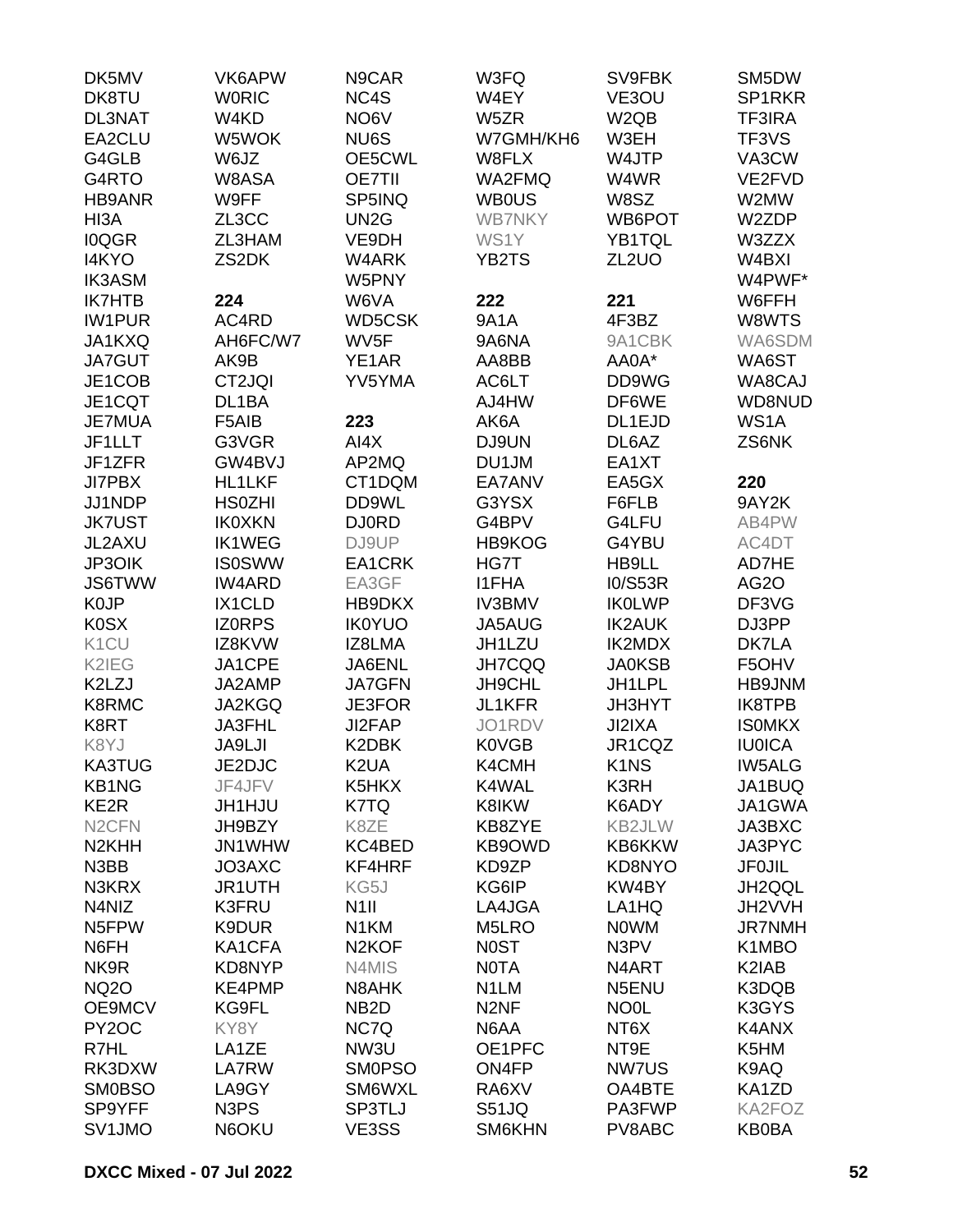| DK5MV              | VK6APW                        | N9CAR              | W3FQ              | SV9FBK                        | SM5DW              |
|--------------------|-------------------------------|--------------------|-------------------|-------------------------------|--------------------|
| DK8TU              | <b>WORIC</b>                  | NC4S               | W4EY              | VE3OU                         | SP1RKR             |
| <b>DL3NAT</b>      | W4KD                          | NO6V               | W5ZR              | W <sub>2Q</sub> B             | <b>TF3IRA</b>      |
| EA2CLU             | W5WOK                         | NU6S               | W7GMH/KH6         | W3EH                          | TF3VS              |
| G4GLB              | W6JZ                          | OE5CWL             | W8FLX             | W4JTP                         | VA3CW              |
| G4RTO              | W8ASA                         | <b>OE7TII</b>      | WA2FMQ            | W4WR                          | VE2FVD             |
| HB9ANR             | W9FF                          | SP5INQ             | <b>WB0US</b>      | W8SZ                          | W2MW               |
| HI3A               | ZL3CC                         | UN <sub>2</sub> G  | <b>WB7NKY</b>     | WB6POT                        | W2ZDP              |
| <b>IOQGR</b>       | ZL3HAM                        | VE9DH              | WS1Y              | YB1TQL                        | W3ZZX              |
| I4KYO              | ZS2DK                         | W4ARK              | YB2TS             | ZL2UO                         | W4BXI              |
| <b>IK3ASM</b>      |                               | W5PNY              |                   |                               | W4PWF*             |
| <b>IK7HTB</b>      | 224                           | W6VA               | 222               | 221                           | W6FFH              |
| <b>IW1PUR</b>      | AC4RD                         | <b>WD5CSK</b>      | <b>9A1A</b>       | 4F3BZ                         | W8WTS              |
|                    |                               |                    |                   |                               |                    |
| JA1KXQ             | AH6FC/W7                      | WV <sub>5F</sub>   | 9A6NA             | 9A1CBK                        | WA6SDM             |
| <b>JA7GUT</b>      | AK9B                          | YE1AR              | AA8BB             | AA0A*                         | WA6ST              |
| JE1COB             | CT <sub>2JQI</sub>            | YV5YMA             | AC6LT             | DD9WG                         | WA8CAJ             |
| JE1CQT             | DL <sub>1</sub> BA            |                    | AJ4HW             | DF6WE                         | WD8NUD             |
| <b>JE7MUA</b>      | F5AIB                         | 223                | AK6A              | DL1EJD                        | WS <sub>1</sub> A  |
| JF1LLT             | G3VGR                         | AI4X               | DJ9UN             | DL6AZ                         | ZS6NK              |
| JF1ZFR             | GW4BVJ                        | AP2MQ              | DU1JM             | EA1XT                         |                    |
| <b>JI7PBX</b>      | <b>HL1LKF</b>                 | CT1DQM             | EA7ANV            | EA5GX                         | 220                |
| JJ1NDP             | <b>HS0ZHI</b>                 | DD9WL              | G3YSX             | F6FLB                         | 9AY2K              |
| <b>JK7UST</b>      | <b>IK0XKN</b>                 | <b>DJ0RD</b>       | G4BPV             | G4LFU                         | AB4PW              |
| JL2AXU             | <b>IK1WEG</b>                 | DJ9UP              | HB9KOG            | G4YBU                         | AC4DT              |
| <b>JP3OIK</b>      | <b>IS0SWW</b>                 | EA1CRK             | HG7T              | HB9LL                         | AD7HE              |
| <b>JS6TWW</b>      | <b>IW4ARD</b>                 | EA3GF              | <b>I1FHA</b>      | <b>I0/S53R</b>                | <b>AG2O</b>        |
| K0JP               | IX1CLD                        | HB9DKX             | <b>IV3BMV</b>     | <b>IK0LWP</b>                 | DF3VG              |
| <b>K0SX</b>        | <b>IZORPS</b>                 | <b>IK0YUO</b>      | JA5AUG            | <b>IK2AUK</b>                 | DJ3PP              |
| K <sub>1</sub> CU  | IZ8KVW                        | IZ8LMA             | JH1LZU            | <b>IK2MDX</b>                 | DK7LA              |
| K2IEG              | JA1CPE                        | JA6ENL             | <b>JH7CQQ</b>     | <b>JA0KSB</b>                 | F5OHV              |
| K2LZJ              | JA2AMP                        | <b>JA7GFN</b>      | JH9CHL            | JH1LPL                        | HB9JNM             |
| K8RMC              | JA2KGQ                        | <b>JE3FOR</b>      | JL1KFR            | <b>JH3HYT</b>                 | <b>IK8TPB</b>      |
| K8RT               | JA3FHL                        | JI2FAP             | JO1RDV            | JI2IXA                        | <b>ISOMKX</b>      |
| K8YJ               | <b>JA9LJI</b>                 | K2DBK              | <b>K0VGB</b>      | JR1CQZ                        | <b>IU0ICA</b>      |
| <b>KA3TUG</b>      | JE2DJC                        | K <sub>2</sub> UA  | K4CMH             | K <sub>1</sub> N <sub>S</sub> | <b>IW5ALG</b>      |
| KB1NG              | JF4JFV                        | K5HKX              | K4WAL             | K3RH                          | JA1BUQ             |
| KE <sub>2</sub> R  | <b>JH1HJU</b>                 | K7TQ               | K8IKW             | K6ADY                         | JA1GWA             |
| N <sub>2</sub> CFN | JH9BZY                        | K8ZE               | KB8ZYE            | KB2JLW                        | JA3BXC             |
| N <sub>2KHH</sub>  | JN1WHW                        | KC4BED             | KB9OWD            | KB6KKW                        | JA3PYC             |
| N3BB               | JO3AXC                        | KF4HRF             | KD9ZP             | KD8NYO                        | <b>JF0JIL</b>      |
| N3KRX              | JR1UTH                        | KG5J               | KG6IP             | KW4BY                         | JH2QQL             |
| N4NIZ              | <b>K3FRU</b>                  | N <sub>1</sub>     | LA4JGA            | LA1HQ                         | JH2VVH             |
| N5FPW              | K9DUR                         | N <sub>1</sub> KM  | M5LRO             | <b>NOWM</b>                   | <b>JR7NMH</b>      |
| N6FH               | KA1CFA                        | N <sub>2</sub> KOF | <b>NOST</b>       | N3PV                          | K1MBO              |
| NK9R               | KD8NYP                        | N4MIS              | <b>NOTA</b>       | N4ART                         | K <sub>2</sub> IAB |
| <b>NQ2O</b>        | KE4PMP                        | N8AHK              | N <sub>1</sub> LM | N5ENU                         | K3DQB              |
| OE9MCV             | KG9FL                         | NB <sub>2</sub> D  | N <sub>2NF</sub>  | <b>NO0L</b>                   | K3GYS              |
| PY <sub>2</sub> OC | KY8Y                          | NC7Q               | N6AA              | NT6X                          | K4ANX              |
|                    |                               |                    |                   |                               |                    |
| R7HL               | LA1ZE                         | NW3U               | OE1PFC            | NT9E                          | K5HM               |
| RK3DXW             | LA7RW                         | <b>SM0PSO</b>      | ON4FP             | <b>NW7US</b>                  | K9AQ               |
| <b>SM0BSO</b>      | LA9GY                         | SM6WXL             | RA6XV             | OA4BTE                        | KA1ZD              |
| SP9YFF             | N <sub>3</sub> P <sub>S</sub> | SP3TLJ             | S51JQ             | PA3FWP                        | KA2FOZ             |
| SV1JMO             | N6OKU                         | VE3SS              | <b>SM6KHN</b>     | PV8ABC                        | <b>KB0BA</b>       |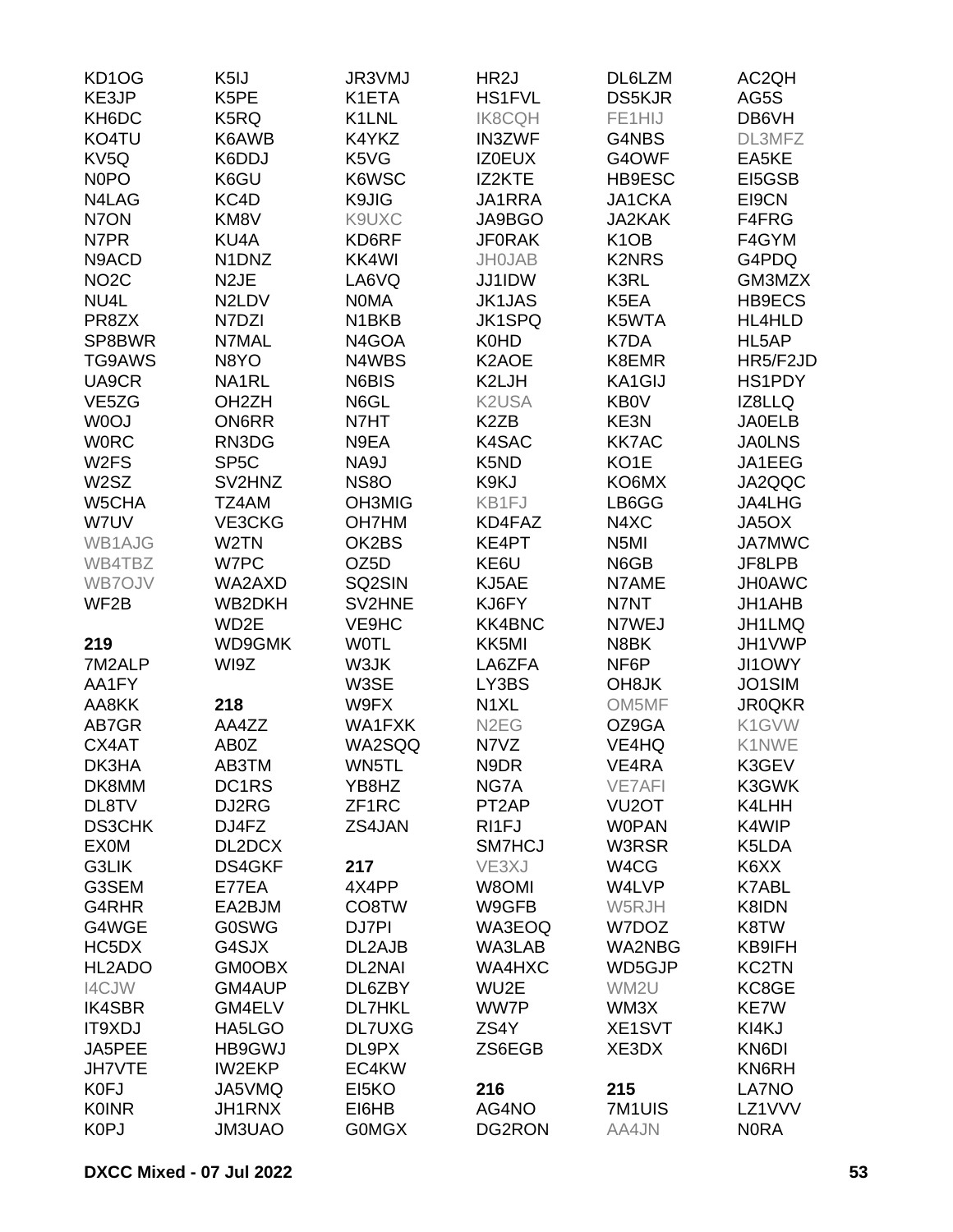| KD <sub>1</sub> O <sub>G</sub> | K <sub>5</sub> IJ              | JR3VMJ             | HR <sub>2</sub> J              | DL6LZM             | AC2QH         |
|--------------------------------|--------------------------------|--------------------|--------------------------------|--------------------|---------------|
| KE3JP                          | K5PE                           | K1ETA              | <b>HS1FVL</b>                  | <b>DS5KJR</b>      | AG5S          |
| KH6DC                          | K5RQ                           | K1LNL              | <b>IK8CQH</b>                  | FE1HIJ             | DB6VH         |
| KO4TU                          | K6AWB                          | K4YKZ              | <b>IN3ZWF</b>                  | G4NBS              | DL3MFZ        |
| KV <sub>5Q</sub>               | K6DDJ                          | K5VG               | <b>IZ0EUX</b>                  | G4OWF              | EA5KE         |
| <b>NOPO</b>                    | K6GU                           | K6WSC              | IZ2KTE                         | HB9ESC             | EI5GSB        |
| N4LAG                          | KC4D                           | K9JIG              | JA1RRA                         | JA1CKA             | EI9CN         |
| N7ON                           | KM8V                           | K9UXC              | JA9BGO                         | <b>JA2KAK</b>      | F4FRG         |
| N7PR                           | KU4A                           | KD6RF              | <b>JF0RAK</b>                  | K <sub>1</sub> OB  | F4GYM         |
| N9ACD                          | N <sub>1</sub> DN <sub>Z</sub> | KK4WI              | <b>JH0JAB</b>                  | <b>K2NRS</b>       | G4PDQ         |
| NO <sub>2</sub> C              | N <sub>2</sub> JE              | LA6VQ              | JJ1IDW                         | K3RL               | GM3MZX        |
| NU4L                           | N2LDV                          | <b>NOMA</b>        | <b>JK1JAS</b>                  | K5EA               | HB9ECS        |
| PR8ZX                          | N7DZI                          | N <sub>1</sub> BKB | <b>JK1SPQ</b>                  | K5WTA              | HL4HLD        |
|                                |                                |                    |                                | K7DA               |               |
| SP8BWR                         | N7MAL                          | N4GOA              | K0HD                           |                    | HL5AP         |
| TG9AWS                         | N8YO                           | N4WBS              | K2AOE                          | K8EMR              | HR5/F2JD      |
| UA9CR                          | NA1RL                          | N6BIS              | K2LJH                          | KA1GIJ             | HS1PDY        |
| VE5ZG                          | OH <sub>2</sub> ZH             | N6GL               | K <sub>2</sub> U <sub>SA</sub> | <b>KB0V</b>        | IZ8LLQ        |
| W0OJ                           | <b>ON6RR</b>                   | N7HT               | K <sub>2</sub> ZB              | KE3N               | <b>JA0ELB</b> |
| <b>WORC</b>                    | RN3DG                          | N9EA               | K4SAC                          | <b>KK7AC</b>       | <b>JA0LNS</b> |
| W <sub>2</sub> FS              | SP <sub>5</sub> C              | NA9J               | K <sub>5</sub> N <sub>D</sub>  | KO <sub>1</sub> E  | JA1EEG        |
| W2SZ                           | SV2HNZ                         | <b>NS8O</b>        | K9KJ                           | KO6MX              | JA2QQC        |
| W5CHA                          | TZ4AM                          | <b>OH3MIG</b>      | KB1FJ                          | LB6GG              | JA4LHG        |
| W7UV                           | VE3CKG                         | <b>OH7HM</b>       | KD4FAZ                         | N4XC               | JA5OX         |
| WB1AJG                         | W <sub>2</sub> TN              | OK2BS              | KE4PT                          | N <sub>5</sub> MI  | <b>JA7MWC</b> |
| WB4TBZ                         | W7PC                           | OZ5D               | KE6U                           | N6GB               | JF8LPB        |
| WB7OJV                         | WA2AXD                         | SQ2SIN             | KJ5AE                          | N7AME              | <b>JH0AWC</b> |
| WF2B                           | WB2DKH                         | SV2HNE             | KJ6FY                          | N7NT               | JH1AHB        |
|                                | WD2E                           | VE9HC              | <b>KK4BNC</b>                  | N7WEJ              | JH1LMQ        |
| 219                            | WD9GMK                         | <b>WOTL</b>        | KK5MI                          | N8BK               | JH1VWP        |
| 7M2ALP                         | WI9Z                           | W3JK               | LA6ZFA                         | NF6P               | JI1OWY        |
| AA1FY                          |                                | W3SE               | LY3BS                          | OH <sub>8</sub> JK | JO1SIM        |
| AA8KK                          | 218                            | W9FX               | N <sub>1</sub> XL              | OM5MF              | <b>JR0QKR</b> |
| AB7GR                          | AA4ZZ                          | WA1FXK             | N <sub>2</sub> EG              | OZ9GA              | K1GVW         |
| CX4AT                          | AB0Z                           | WA2SQQ             | N7VZ                           | VE4HQ              | K1NWE         |
| DK3HA                          | AB3TM                          | WN5TL              | N9DR                           | VE4RA              | K3GEV         |
| DK8MM                          | DC1RS                          | YB8HZ              | NG7A                           | <b>VE7AFI</b>      | K3GWK         |
| DL8TV                          | DJ2RG                          | ZF1RC              | PT <sub>2</sub> AP             | VU <sub>2</sub> OT | K4LHH         |
| <b>DS3CHK</b>                  | DJ4FZ                          | ZS4JAN             | RI1FJ                          | <b>WOPAN</b>       | K4WIP         |
| <b>EX0M</b>                    | DL2DCX                         |                    | SM7HCJ                         | W3RSR              | K5LDA         |
| G3LIK                          | DS4GKF                         | 217                | VE3XJ                          | W4CG               | K6XX          |
| G3SEM                          | E77EA                          | 4X4PP              | W8OMI                          | W4LVP              | <b>K7ABL</b>  |
| G4RHR                          | EA2BJM                         | CO8TW              | W9GFB                          | W5RJH              | K8IDN         |
| G4WGE                          | <b>G0SWG</b>                   | DJ7PI              | WA3EOQ                         | W7DOZ              | K8TW          |
| HC5DX                          | G4SJX                          | DL2AJB             | WA3LAB                         | <b>WA2NBG</b>      | KB9IFH        |
| HL2ADO                         | <b>GM0OBX</b>                  | <b>DL2NAI</b>      | WA4HXC                         | WD5GJP             | <b>KC2TN</b>  |
|                                |                                |                    |                                |                    |               |
| I4CJW                          | GM4AUP                         | DL6ZBY             | WU2E                           | WM2U               | KC8GE         |
| <b>IK4SBR</b>                  | GM4ELV                         | <b>DL7HKL</b>      | WW7P                           | WM3X               | KE7W          |
| IT9XDJ                         | HA5LGO                         | <b>DL7UXG</b>      | ZS4Y                           | XE1SVT             | KI4KJ         |
| JA5PEE                         | HB9GWJ                         | DL9PX              | ZS6EGB                         | XE3DX              | KN6DI         |
| <b>JH7VTE</b>                  | <b>IW2EKP</b>                  | EC4KW              |                                |                    | KN6RH         |
| K0FJ                           | JA5VMQ                         | EI5KO              | 216                            | 215                | LA7NO         |
| <b>K0INR</b>                   | <b>JH1RNX</b>                  | EI6HB              | AG4NO                          | 7M1UIS             | LZ1VVV        |
| <b>K0PJ</b>                    | JM3UAO                         | <b>GOMGX</b>       | DG2RON                         | AA4JN              | <b>NORA</b>   |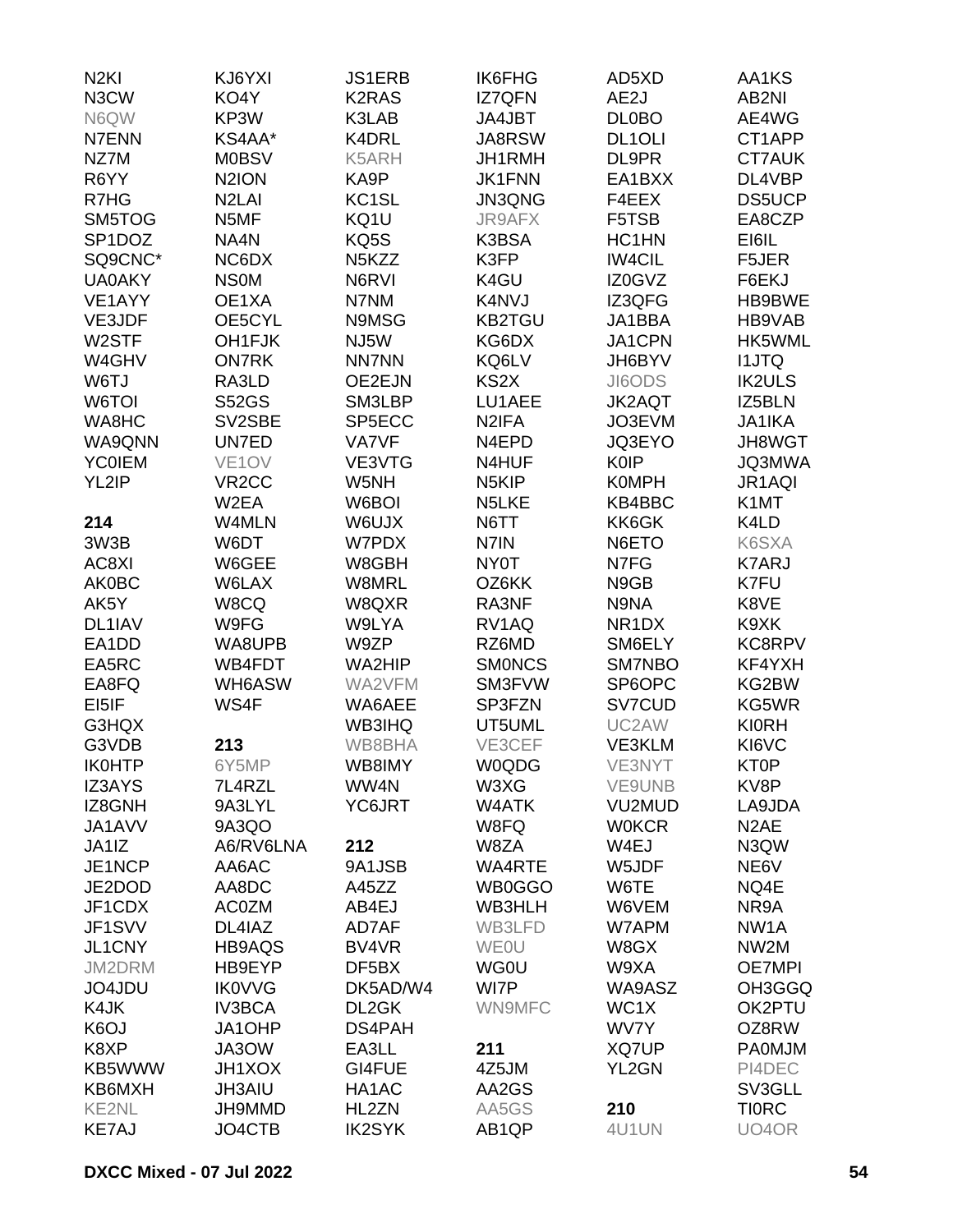| N <sub>2KI</sub>        | KJ6YXI               | <b>JS1ERB</b>      | <b>IK6FHG</b>      | AD5XD              | AA1KS             |
|-------------------------|----------------------|--------------------|--------------------|--------------------|-------------------|
| N3CW                    | KO4Y                 | <b>K2RAS</b>       | <b>IZ7QFN</b>      | AE2J               | AB2NI             |
| N6QW                    | KP3W                 | K3LAB              | JA4JBT             | <b>DL0BO</b>       | AE4WG             |
| N7ENN                   | KS4AA*               | K4DRL              | <b>JA8RSW</b>      | DL1OLI             | CT1APP            |
| NZ7M                    | <b>M0BSV</b>         | K5ARH              | JH1RMH             | DL9PR              | <b>CT7AUK</b>     |
| R6YY                    | N <sub>2</sub> ION   | KA9P               | <b>JK1FNN</b>      | EA1BXX             | DL4VBP            |
| R7HG                    | N <sub>2</sub> LAI   | KC <sub>1</sub> SL | <b>JN3QNG</b>      | F4EEX              | <b>DS5UCP</b>     |
| SM5TOG                  | N5MF                 | KQ1U               | <b>JR9AFX</b>      | F5TSB              | EA8CZP            |
| SP <sub>1</sub> DOZ     | NA4N                 | KQ5S               | K3BSA              | HC1HN              | EI6IL             |
| SQ9CNC*                 | NC6DX                | N <sub>5</sub> KZZ | K3FP               | <b>IW4CIL</b>      | F5JER             |
|                         |                      |                    |                    |                    |                   |
| <b>UA0AKY</b><br>VE1AYY | <b>NSOM</b><br>OE1XA | N6RVI              | K4GU               | IZ0GVZ             | F6EKJ             |
|                         |                      | N7NM               | K4NVJ              | IZ3QFG             | HB9BWE            |
| VE3JDF                  | OE5CYL               | N9MSG              | <b>KB2TGU</b>      | JA1BBA             | HB9VAB            |
| W2STF                   | OH1FJK               | NJ5W               | KG6DX              | JA1CPN             | HK5WML            |
| W4GHV                   | <b>ON7RK</b>         | <b>NN7NN</b>       | KQ6LV              | JH6BYV             | <b>I1JTQ</b>      |
| W6TJ                    | RA3LD                | OE2EJN             | KS <sub>2</sub> X  | JI6ODS             | <b>IK2ULS</b>     |
| W6TOI                   | <b>S52GS</b>         | SM3LBP             | LU1AEE             | <b>JK2AQT</b>      | IZ5BLN            |
| WA8HC                   | SV2SBE               | SP5ECC             | N <sub>2</sub> IFA | JO3EVM             | <b>JA1IKA</b>     |
| WA9QNN                  | UN7ED                | <b>VA7VF</b>       | N <sub>4</sub> EPD | JQ3EYO             | <b>JH8WGT</b>     |
| <b>YCOIEM</b>           | VE <sub>1</sub> OV   | VE3VTG             | N4HUF              | <b>K0IP</b>        | <b>JQ3MWA</b>     |
| YL2IP                   | VR <sub>2</sub> CC   | W5NH               | N <sub>5</sub> KIP | <b>K0MPH</b>       | JR1AQI            |
|                         | W2EA                 | W6BOI              | N <sub>5</sub> LKE | KB4BBC             | K1MT              |
| 214                     | W4MLN                | W6UJX              | N6TT               | KK6GK              | K4LD              |
| 3W3B                    | W6DT                 | W7PDX              | N7IN               | N6ETO              | K6SXA             |
| AC8XI                   | W6GEE                | W8GBH              | NY0T               | N7FG               | <b>K7ARJ</b>      |
| <b>AK0BC</b>            | W6LAX                | W8MRL              | OZ6KK              | N9GB               | K7FU              |
| AK5Y                    | W8CQ                 | W8QXR              | RA3NF              | N9NA               | K8VE              |
| DL1IAV                  | W9FG                 | W9LYA              | RV1AQ              | NR <sub>1</sub> DX | K9XK              |
| EA1DD                   | WA8UPB               | W9ZP               | RZ6MD              | SM6ELY             | KC8RPV            |
| EA5RC                   | WB4FDT               | WA2HIP             | <b>SMONCS</b>      | SM7NBO             | KF4YXH            |
| EA8FQ                   | WH6ASW               | WA2VFM             | SM3FVW             | SP6OPC             | KG2BW             |
| EI5IF                   | WS4F                 | WA6AEE             | SP3FZN             | SV7CUD             | KG5WR             |
| G3HQX                   |                      | <b>WB3IHQ</b>      | UT5UML             | UC2AW              | <b>KI0RH</b>      |
| G3VDB                   | 213                  | WB8BHA             | VE3CEF             | <b>VE3KLM</b>      | KI6VC             |
| <b>IK0HTP</b>           | 6Y5MP                | WB8IMY             | <b>W0QDG</b>       | VE3NYT             | <b>KT0P</b>       |
| <b>IZ3AYS</b>           | 7L4RZL               | WW4N               | W3XG               | VE9UNB             | KV8P              |
| IZ8GNH                  | 9A3LYL               | YC6JRT             | W4ATK              | VU2MUD             | LA9JDA            |
| JA1AVV                  |                      |                    |                    | <b>W0KCR</b>       | N <sub>2</sub> AE |
|                         | 9A3QO<br>A6/RV6LNA   | 212                | W8FQ               |                    |                   |
| JA1IZ                   | AA6AC                |                    | W8ZA               | W4EJ               | N3QW              |
| JE1NCP                  |                      | 9A1JSB             | <b>WA4RTE</b>      | W5JDF              | NE6V              |
| JE2DOD                  | AA8DC                | A45ZZ              | WB0GGO             | W6TE               | NQ4E              |
| JF1CDX                  | <b>AC0ZM</b>         | AB4EJ              | WB3HLH             | W6VEM              | NR9A              |
| JF1SVV                  | DL4IAZ               | AD7AF              | WB3LFD             | W7APM              | NW <sub>1</sub> A |
| JL1CNY                  | HB9AQS               | BV4VR              | <b>WEOU</b>        | W8GX               | NW2M              |
| JM2DRM                  | HB9EYP               | DF5BX              | <b>WG0U</b>        | W9XA               | <b>OE7MPI</b>     |
| JO4JDU                  | <b>IK0VVG</b>        | DK5AD/W4           | WI7P               | WA9ASZ             | OH3GGQ            |
| K4JK                    | <b>IV3BCA</b>        | DL2GK              | WN9MFC             | WC1X               | OK2PTU            |
| K <sub>6</sub> OJ       | JA1OHP               | DS4PAH             |                    | WV7Y               | OZ8RW             |
| K8XP                    | JA3OW                | EA3LL              | 211                | XQ7UP              | <b>PA0MJM</b>     |
| KB5WWW                  | <b>JH1XOX</b>        | GI4FUE             | 4Z5JM              | YL2GN              | PI4DEC            |
| KB6MXH                  | <b>JH3AIU</b>        | HA1AC              | AA2GS              |                    | SV3GLL            |
| <b>KE2NL</b>            | JH9MMD               | HL2ZN              | AA5GS              | 210                | <b>TIORC</b>      |
| <b>KE7AJ</b>            | JO4CTB               | <b>IK2SYK</b>      | AB1QP              | 4U1UN              | UO4OR             |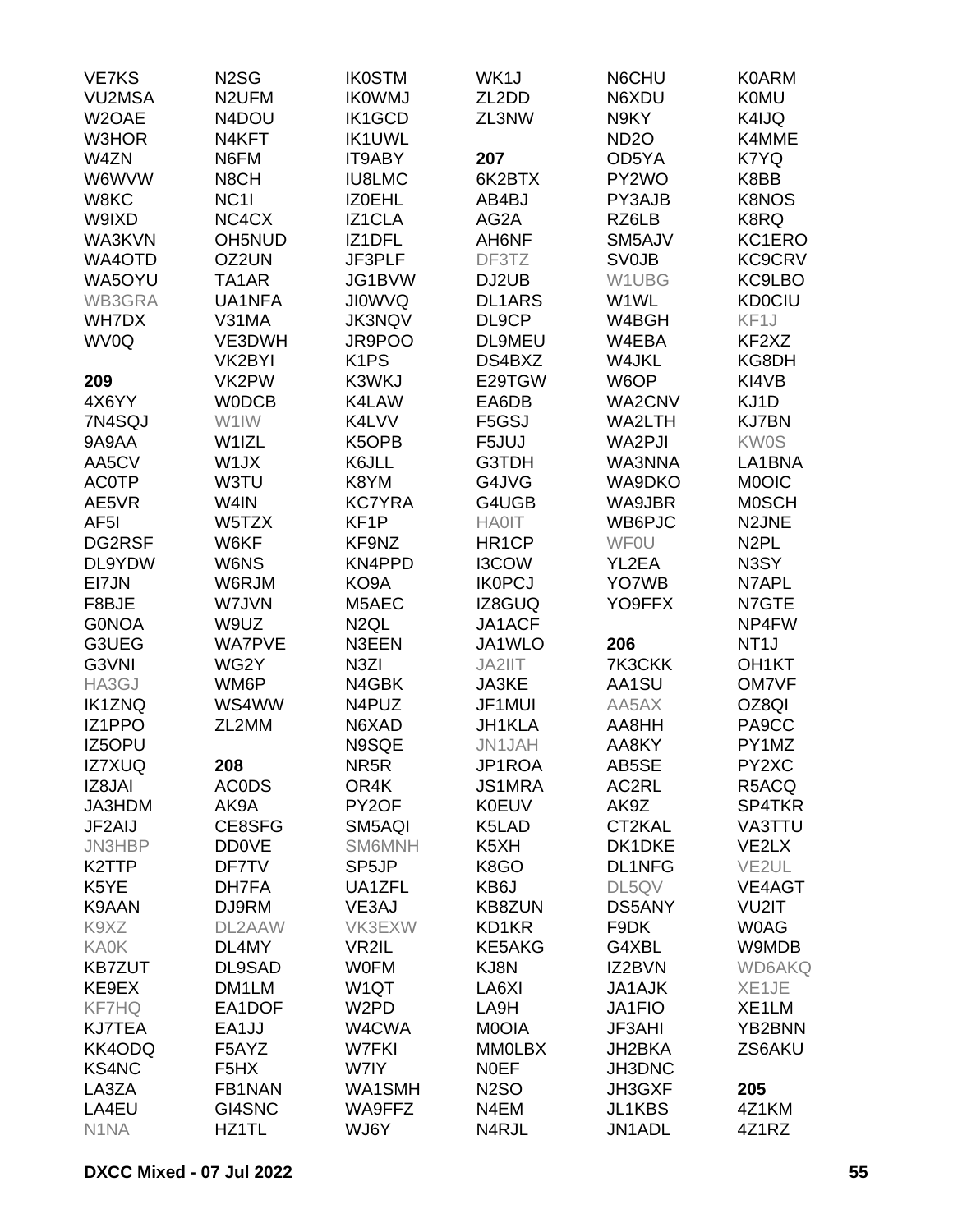| <b>VE7KS</b>       | N <sub>2</sub> SG             | <b>IK0STM</b>      | WK1J               | N6CHU            | <b>K0ARM</b>       |
|--------------------|-------------------------------|--------------------|--------------------|------------------|--------------------|
| <b>VU2MSA</b>      | N <sub>2</sub> UFM            | <b>IKOWMJ</b>      | ZL2DD              | N6XDU            | <b>K0MU</b>        |
| W2OAE              | N4DOU                         | <b>IK1GCD</b>      | ZL3NW              | N9KY             | K4IJQ              |
| W3HOR              | N4KFT                         | <b>IK1UWL</b>      |                    | ND <sub>20</sub> | K4MME              |
| W4ZN               | N6FM                          | IT9ABY             | 207                | OD5YA            | K7YQ               |
| W6WVW              | N8CH                          | <b>IU8LMC</b>      | 6K2BTX             | PY2WO            | K8BB               |
| W8KC               | NC <sub>11</sub>              | IZ0EHL             | AB4BJ              | PY3AJB           | <b>K8NOS</b>       |
|                    |                               |                    |                    |                  |                    |
| W9IXD              | NC4CX                         | IZ1CLA             | AG2A               | RZ6LB            | K8RQ               |
| WA3KVN             | OH5NUD                        | IZ1DFL             | AH6NF              | SM5AJV           | KC1ERO             |
| WA4OTD             | OZ2UN                         | JF3PLF             | DF3TZ              | <b>SV0JB</b>     | <b>KC9CRV</b>      |
| WA5OYU             | TA <sub>1</sub> AR            | JG1BVW             | DJ2UB              | W1UBG            | KC9LBO             |
| WB3GRA             | UA1NFA                        | <b>JIOWVQ</b>      | <b>DL1ARS</b>      | W1WL             | <b>KD0CIU</b>      |
| <b>WH7DX</b>       | V31MA                         | <b>JK3NQV</b>      | DL9CP              | W4BGH            | KF1J               |
| WV0Q               | VE3DWH                        | JR9POO             | <b>DL9MEU</b>      | W4EBA            | KF2XZ              |
|                    | VK2BYI                        | K <sub>1</sub> PS  | DS4BXZ             | W4JKL            | KG8DH              |
| 209                | VK2PW                         | K3WKJ              | E29TGW             | W6OP             | KI4VB              |
| 4X6YY              | <b>WODCB</b>                  | K4LAW              | EA6DB              | WA2CNV           | KJ1D               |
| 7N4SQJ             | W1IW                          | K4LVV              | F5GSJ              | WA2LTH           | <b>KJ7BN</b>       |
| 9A9AA              | W1IZL                         | K5OPB              | F5JUJ              | WA2PJI           | <b>KW0S</b>        |
| AA5CV              | W1JX                          | K6JLL              | G3TDH              | WA3NNA           | LA1BNA             |
| <b>AC0TP</b>       | W3TU                          | K8YM               | G4JVG              | WA9DKO           | <b>MOOIC</b>       |
| AE5VR              | W4IN                          | <b>KC7YRA</b>      | G4UGB              | WA9JBR           | <b>MOSCH</b>       |
| AF <sub>5</sub> I  | W5TZX                         | KF <sub>1</sub> P  | <b>HA0IT</b>       | WB6PJC           | N2JNE              |
| DG2RSF             | W6KF                          | KF9NZ              | HR <sub>1</sub> CP | <b>WFOU</b>      | N <sub>2</sub> PL  |
| DL9YDW             | W6NS                          | KN4PPD             | I3COW              | YL2EA            | N3SY               |
| EI7JN              | W6RJM                         | KO9A               | <b>IKOPCJ</b>      | YO7WB            | N7APL              |
|                    |                               |                    |                    |                  |                    |
| F8BJE              | W7JVN                         | M5AEC              | IZ8GUQ             | YO9FFX           | N7GTE              |
| <b>GONOA</b>       | W9UZ                          | N <sub>2</sub> QL  | JA1ACF             |                  | NP4FW              |
| G3UEG              | <b>WA7PVE</b>                 | N3EEN              | JA1WLO             | 206              | NT <sub>1</sub> J  |
| G3VNI              | WG2Y                          | N <sub>3</sub> ZI  | JA2IIT             | 7K3CKK           | OH <sub>1</sub> KT |
| HA3GJ              | WM6P                          | N4GBK              | JA3KE              | AA1SU            | <b>OM7VF</b>       |
| <b>IK1ZNQ</b>      | WS4WW                         | N4PUZ              | JF1MUI             | AA5AX            | OZ8QI              |
| IZ1PPO             | ZL2MM                         | N6XAD              | JH1KLA             | AA8HH            | PA9CC              |
| IZ5OPU             |                               | N9SQE              | JN1JAH             | AA8KY            | PY1MZ              |
| IZ7XUQ             | 208                           | NR <sub>5</sub> R  | JP1ROA             | AB5SE            | PY2XC              |
| IZ8JAI             | <b>ACODS</b>                  | OR4K               | JS1MRA             | AC2RL            | R5ACQ              |
| JA3HDM             | AK9A                          | PY2OF              | <b>K0EUV</b>       | AK9Z             | SP4TKR             |
| JF2AIJ             | CE8SFG                        | SM5AQI             | K5LAD              | CT2KAL           | VA3TTU             |
| <b>JN3HBP</b>      | <b>DD0VE</b>                  | <b>SM6MNH</b>      | K5XH               | DK1DKE           | VE <sub>2</sub> LX |
| K <sub>2</sub> TTP | DF7TV                         | SP <sub>5</sub> JP | K8GO               | <b>DL1NFG</b>    | VE <sub>2UL</sub>  |
| K5YE               | DH7FA                         | UA1ZFL             | KB6J               | DL5QV            | VE4AGT             |
| K9AAN              | DJ9RM                         | VE3AJ              | <b>KB8ZUN</b>      | <b>DS5ANY</b>    | VU2IT              |
| K9XZ               | DL2AAW                        | VK3EXW             | KD1KR              | F9DK             | <b>WOAG</b>        |
| <b>KA0K</b>        | DL4MY                         | VR2IL              | <b>KE5AKG</b>      | G4XBL            | W9MDB              |
| <b>KB7ZUT</b>      | DL9SAD                        | <b>WOFM</b>        | KJ8N               | IZ2BVN           | <b>WD6AKQ</b>      |
| KE9EX              | DM1LM                         | W1QT               | LA6XI              | <b>JA1AJK</b>    | XE1JE              |
| <b>KF7HQ</b>       | EA1DOF                        | W <sub>2</sub> PD  | LA9H               | JA1FIO           | XE1LM              |
|                    | EA1JJ                         | W4CWA              | M0OIA              |                  | YB2BNN             |
| <b>KJ7TEA</b>      |                               |                    |                    | <b>JF3AHI</b>    |                    |
| KK4ODQ             | F5AYZ                         | W7FKI              | <b>MM0LBX</b>      | JH2BKA           | ZS6AKU             |
| <b>KS4NC</b>       | F <sub>5</sub> H <sub>X</sub> | W7IY               | <b>NOEF</b>        | JH3DNC           |                    |
| LA3ZA              | FB1NAN                        | WA1SMH             | <b>N2SO</b>        | JH3GXF           | 205                |
| LA4EU              | GI4SNC                        | WA9FFZ             | N4EM               | JL1KBS           | 4Z1KM              |
| N <sub>1</sub> NA  | HZ1TL                         | WJ6Y               | N4RJL              | JN1ADL           | 4Z1RZ              |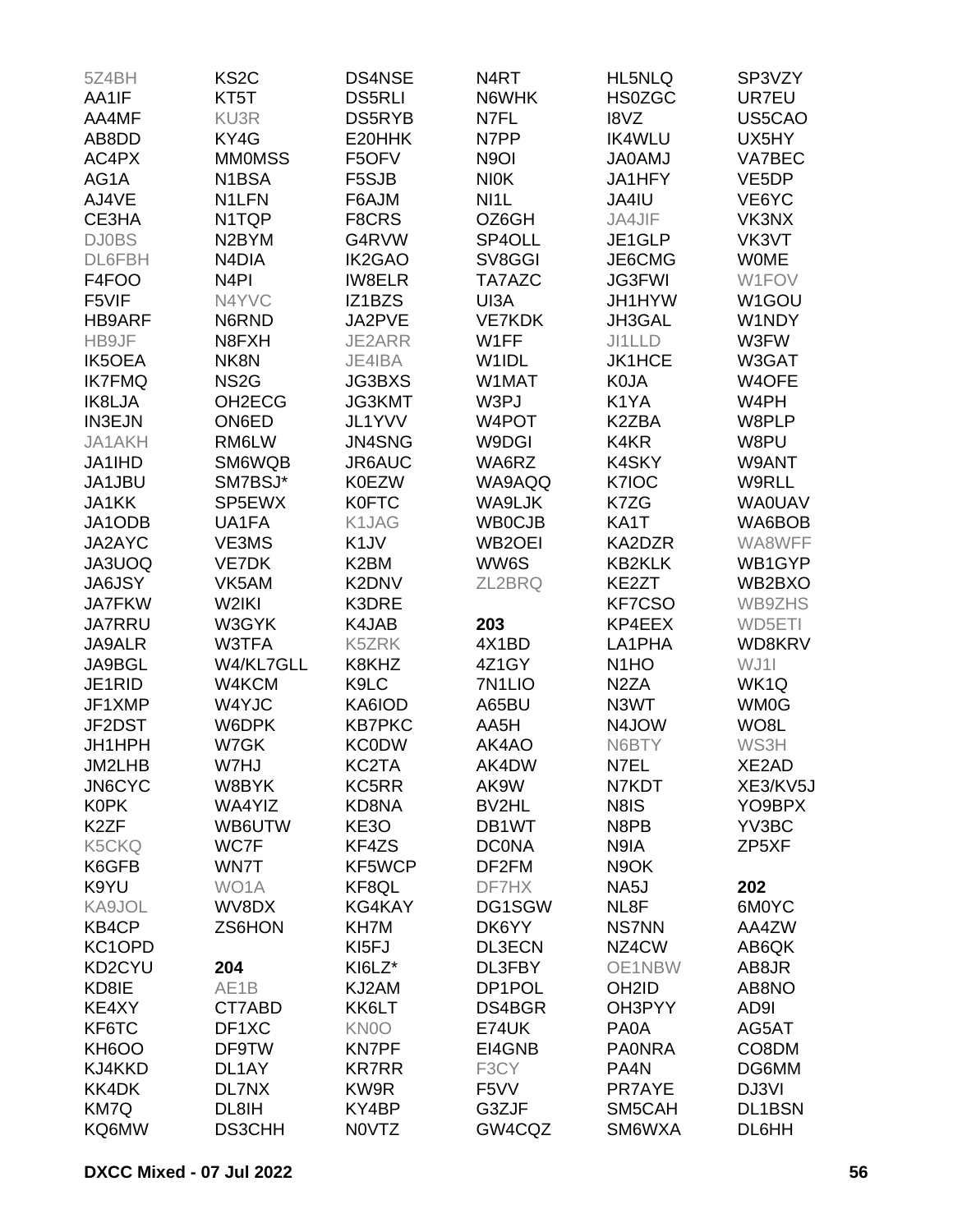| 5Z4BH              | KS <sub>2</sub> C   | DS4NSE            | N <sub>4</sub> RT   | HL5NLQ                        | SP3VZY             |
|--------------------|---------------------|-------------------|---------------------|-------------------------------|--------------------|
| AA1IF              | KT5T                | <b>DS5RLI</b>     | N6WHK               | <b>HS0ZGC</b>                 | UR7EU              |
| AA4MF              | KU3R                | DS5RYB            | N7FL                | I8VZ                          | US5CAO             |
| AB8DD              | KY4G                | E20HHK            | N7PP                | <b>IK4WLU</b>                 | UX5HY              |
| AC4PX              | <b>MMOMSS</b>       | F5OFV             | N <sub>9</sub> OI   | <b>UMA0AU</b>                 | VA7BEC             |
| AG1A               | N1BSA               | F5SJB             | <b>NIOK</b>         | JA1HFY                        | VE <sub>5</sub> DP |
| AJ4VE              | N1LFN               | F6AJM             | NI <sub>1</sub>     | JA4IU                         | VE6YC              |
| CE3HA              | N1TQP               | F8CRS             | OZ6GH               | JA4JIF                        | VK3NX              |
| <b>DJ0BS</b>       | N2BYM               | G4RVW             | SP4OLL              | JE1GLP                        | VK3VT              |
| DL6FBH             | N <sub>4</sub> DIA  | <b>IK2GAO</b>     | SV8GGI              | JE6CMG                        | <b>WOME</b>        |
| F4FOO              | N <sub>4</sub> PI   | <b>IW8ELR</b>     | TA7AZC              | <b>JG3FWI</b>                 | W1FOV              |
| F5VIF              | N4YVC               | IZ1BZS            | UI3A                | JH1HYW                        | W1GOU              |
| <b>HB9ARF</b>      | N6RND               | JA2PVE            | <b>VE7KDK</b>       | JH3GAL                        | W1NDY              |
| HB9JF              | N8FXH               | JE2ARR            | W1FF                | JI1LLD                        | W3FW               |
| <b>IK5OEA</b>      | NK8N                | JE4IBA            | W <sub>1</sub> IDL  | <b>JK1HCE</b>                 | W3GAT              |
| <b>IK7FMQ</b>      | NS <sub>2</sub> G   | JG3BXS            | W1MAT               | <b>K0JA</b>                   | W4OFE              |
| IK8LJA             | OH <sub>2</sub> ECG | <b>JG3KMT</b>     | W3PJ                | K <sub>1</sub> YA             | W <sub>4</sub> PH  |
| <b>IN3EJN</b>      | ON6ED               | JL1YVV            | W4POT               | K2ZBA                         | W8PLP              |
| JA1AKH             | RM6LW               | <b>JN4SNG</b>     | W9DGI               | K4KR                          | W8PU               |
| JA1IHD             | SM6WQB              | JR6AUC            | WA6RZ               | <b>K4SKY</b>                  | W9ANT              |
| JA1JBU             | SM7BSJ*             | <b>K0EZW</b>      | WA9AQQ              | K7IOC                         | W9RLL              |
| JA1KK              | SP5EWX              | <b>K0FTC</b>      | WA9LJK              | K7ZG                          | <b>WA0UAV</b>      |
| JA1ODB             | UA1FA               | K1JAG             | <b>WB0CJB</b>       | KA1T                          | WA6BOB             |
| JA2AYC             | VE3MS               | K <sub>1</sub> JV | WB <sub>2</sub> OEI | KA2DZR                        | WA8WFF             |
| JA3UOQ             | VE7DK               | K2BM              | WW6S                | <b>KB2KLK</b>                 | WB1GYP             |
| <b>JA6JSY</b>      | VK5AM               | K2DNV             | ZL2BRQ              | KE2ZT                         | WB2BXO             |
| <b>JA7FKW</b>      | W2IKI               | K3DRE             |                     | <b>KF7CSO</b>                 | WB9ZHS             |
| <b>JA7RRU</b>      | W3GYK               | K4JAB             | 203                 | KP4EEX                        | WD5ETI             |
| <b>JA9ALR</b>      | W3TFA               | <b>K5ZRK</b>      | 4X1BD               | LA1PHA                        | WD8KRV             |
| JA9BGL             | W4/KL7GLL           | K8KHZ             | 4Z1GY               | N <sub>1</sub> H <sub>O</sub> | WJ1I               |
| JE1RID             | W4KCM               | K9LC              | 7N1LIO              | N <sub>2</sub> ZA             | WK1Q               |
| JF1XMP             |                     | KA6IOD            |                     | N3WT                          | WM0G               |
| JF2DST             | W4YJC<br>W6DPK      | <b>KB7PKC</b>     | A65BU<br>AA5H       | N4JOW                         | WO8L               |
|                    |                     | <b>KC0DW</b>      |                     |                               |                    |
| JH1HPH             | W7GK                |                   | AK4AO               | N6BTY                         | WS3H               |
| JM2LHB             | W7HJ                | KC2TA             | AK4DW               | N7EL                          | XE2AD              |
| JN6CYC             | W8BYK               | KC5RR             | AK9W                | N7KDT                         | XE3/KV5J           |
| <b>K0PK</b>        | WA4YIZ              | KD8NA             | BV2HL               | N8IS                          | YO9BPX             |
| K <sub>2</sub> ZF  | WB6UTW              | KE3O              | DB1WT               | N8PB                          | YV3BC              |
| <b>K5CKQ</b>       | WC7F                | KF4ZS             | <b>DCONA</b>        | N9IA                          | ZP <sub>5</sub> XF |
| K6GFB              | WN7T                | KF5WCP            | DF2FM               | N9OK                          |                    |
| K9YU               | WO1A                | KF8QL             | DF7HX               | NA5J                          | 202                |
| KA9JOL             | WV8DX               | <b>KG4KAY</b>     | DG1SGW              | NL8F                          | 6M0YC              |
| KB4CP              | ZS6HON              | KH7M              | DK6YY               | <b>NS7NN</b>                  | AA4ZW              |
| KC1OPD             |                     | KI5FJ             | <b>DL3ECN</b>       | NZ4CW                         | AB6QK              |
| KD2CYU             | 204                 | KI6LZ*            | DL3FBY              | OE1NBW                        | AB8JR              |
| KD8IE              | AE1B                | KJ2AM             | DP1POL              | OH <sub>2</sub> ID            | AB8NO              |
| KE4XY              | CT7ABD              | KK6LT             | DS4BGR              | OH3PYY                        | AD9I               |
| KF6TC              | DF1XC               | KN0O              | E74UK               | PA0A                          | AG5AT              |
| KH <sub>6</sub> OO | DF9TW               | <b>KN7PF</b>      | EI4GNB              | <b>PAONRA</b>                 | CO8DM              |
| KJ4KKD             | DL1AY               | <b>KR7RR</b>      | F3CY                | PA4N                          | DG6MM              |
| KK4DK              | DL7NX               | KW9R              | F <sub>5</sub> VV   | PR7AYE                        | DJ3VI              |
| KM7Q               | DL8IH               | KY4BP             | G3ZJF               | SM5CAH                        | DL1BSN             |
| KQ6MW              | DS3CHH              | N0VTZ             | GW4CQZ              | SM6WXA                        | DL6HH              |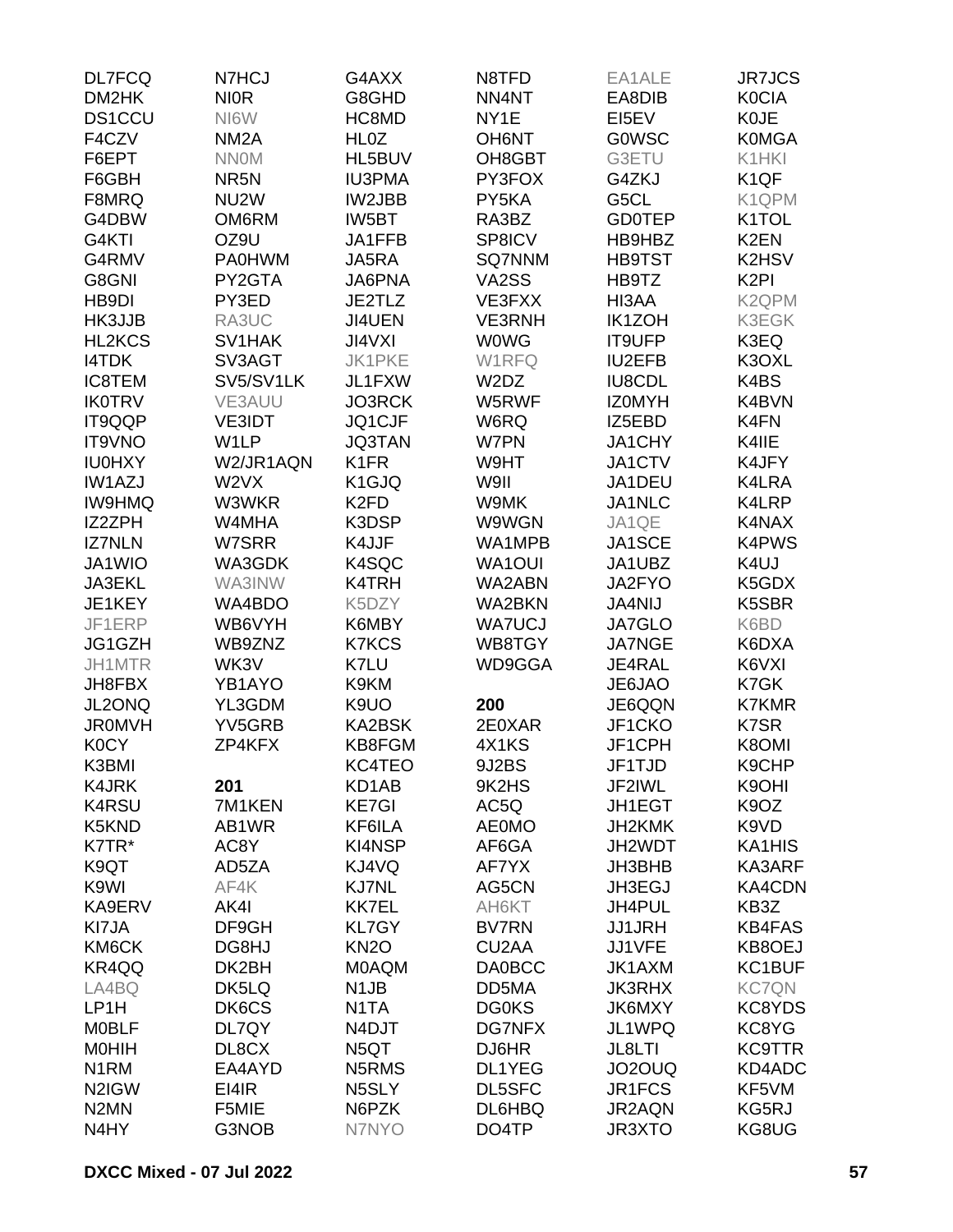| <b>DL7FCQ</b>      | N7HCJ             | G4AXX             | N8TFD                         | EA1ALE        | <b>JR7JCS</b>      |
|--------------------|-------------------|-------------------|-------------------------------|---------------|--------------------|
| DM2HK              | <b>NIOR</b>       | G8GHD             | NN4NT                         | EA8DIB        | <b>K0CIA</b>       |
| <b>DS1CCU</b>      | NI6W              | HC8MD             | NY1E                          | EI5EV         | <b>K0JE</b>        |
| F4CZV              | NM <sub>2</sub> A | HL <sub>0</sub> Z | <b>OH6NT</b>                  | <b>GOWSC</b>  | <b>K0MGA</b>       |
| F6EPT              | <b>NNOM</b>       | HL5BUV            | OH8GBT                        | G3ETU         | K1HKI              |
| F6GBH              | NR <sub>5</sub> N | <b>IU3PMA</b>     | PY3FOX                        | G4ZKJ         | K <sub>1</sub> QF  |
| F8MRQ              | NU <sub>2</sub> W | IW2JBB            | PY5KA                         | G5CL          | K1QPM              |
| G4DBW              | OM6RM             | IW5BT             | RA3BZ                         | <b>GD0TEP</b> | K1TOL              |
| G4KTI              | OZ9U              | JA1FFB            | SP8ICV                        | HB9HBZ        | K <sub>2</sub> EN  |
| G4RMV              | <b>PA0HWM</b>     | JA5RA             | SQ7NNM                        | <b>HB9TST</b> | K2HSV              |
| G8GNI              | PY2GTA            | JA6PNA            | VA2SS                         | HB9TZ         | K <sub>2</sub> PI  |
| HB9DI              | PY3ED             | JE2TLZ            | VE3FXX                        | HI3AA         | K <sub>2</sub> QPM |
| HK3JJB             | RA3UC             | JI4UEN            | <b>VE3RNH</b>                 | <b>IK1ZOH</b> | K3EGK              |
|                    |                   |                   |                               |               |                    |
| HL2KCS             | SV1HAK            | <b>JI4VXI</b>     | <b>WOWG</b>                   | <b>IT9UFP</b> | K3EQ               |
| <b>I4TDK</b>       | SV3AGT            | <b>JK1PKE</b>     | W1RFQ                         | <b>IU2EFB</b> | K3OXL              |
| <b>IC8TEM</b>      | SV5/SV1LK         | JL1FXW            | W <sub>2</sub> D <sub>Z</sub> | <b>IU8CDL</b> | K4BS               |
| <b>IK0TRV</b>      | VE3AUU            | JO3RCK            | W5RWF                         | <b>IZOMYH</b> | K4BVN              |
| IT9QQP             | <b>VE3IDT</b>     | JQ1CJF            | W6RQ                          | IZ5EBD        | K4FN               |
| <b>IT9VNO</b>      | W1LP              | <b>JQ3TAN</b>     | W7PN                          | JA1CHY        | K4IIE              |
| <b>IU0HXY</b>      | W2/JR1AQN         | K <sub>1</sub> FR | W9HT                          | JA1CTV        | K4JFY              |
| <b>IW1AZJ</b>      | W2VX              | K1GJQ             | W9II                          | JA1DEU        | K4LRA              |
| <b>IW9HMQ</b>      | W3WKR             | K <sub>2FD</sub>  | W9MK                          | JA1NLC        | K4LRP              |
| IZ2ZPH             | W4MHA             | K3DSP             | W9WGN                         | JA1QE         | K4NAX              |
| <b>IZ7NLN</b>      | W7SRR             | K4JJF             | WA1MPB                        | JA1SCE        | <b>K4PWS</b>       |
| JA1WIO             | WA3GDK            | K4SQC             | <b>WA1OUI</b>                 | JA1UBZ        | K4UJ               |
| <b>JA3EKL</b>      | WA3INW            | K4TRH             | WA2ABN                        | JA2FYO        | K5GDX              |
| JE1KEY             | WA4BDO            | K5DZY             | WA2BKN                        | <b>JA4NIJ</b> | K5SBR              |
| JF1ERP             | WB6VYH            | K6MBY             | <b>WA7UCJ</b>                 | <b>JA7GLO</b> | K6BD               |
| JG1GZH             | WB9ZNZ            | <b>K7KCS</b>      | WB8TGY                        | <b>JA7NGE</b> | K6DXA              |
| JH1MTR             | WK3V              | K7LU              | WD9GGA                        | JE4RAL        | K6VXI              |
| JH8FBX             | YB1AYO            | K9KM              |                               | JE6JAO        | K7GK               |
| JL2ONQ             | YL3GDM            | K9UO              | 200                           | JE6QQN        | <b>K7KMR</b>       |
| <b>JR0MVH</b>      | YV5GRB            | KA2BSK            | 2E0XAR                        | JF1CKO        | K7SR               |
| <b>K0CY</b>        | ZP4KFX            | KB8FGM            | 4X1KS                         | JF1CPH        | K8OMI              |
| K3BMI              |                   | KC4TEO            | 9J2BS                         | JF1TJD        | K9CHP              |
| <b>K4JRK</b>       | 201               | KD1AB             | 9K2HS                         | JF2IWL        | K9OHI              |
| <b>K4RSU</b>       | 7M1KEN            | <b>KE7GI</b>      | AC5Q                          | JH1EGT        | K9OZ               |
| K5KND              | AB1WR             | KF6ILA            | <b>AE0MO</b>                  | JH2KMK        | K9VD               |
| K7TR*              | AC8Y              | KI4NSP            | AF6GA                         | JH2WDT        | KA1HIS             |
| K9QT               | AD5ZA             | KJ4VQ             | AF7YX                         | JH3BHB        | KA3ARF             |
| K9WI               | AF4K              | <b>KJ7NL</b>      | AG5CN                         | JH3EGJ        | <b>KA4CDN</b>      |
|                    | AK4I              | <b>KK7EL</b>      |                               |               | KB3Z               |
| KA9ERV             |                   |                   | AH6KT                         | JH4PUL        |                    |
| KI7JA              | DF9GH             | <b>KL7GY</b>      | <b>BV7RN</b>                  | <b>JJ1JRH</b> | <b>KB4FAS</b>      |
| KM6CK              | DG8HJ             | <b>KN2O</b>       | CU <sub>2</sub> AA            | JJ1VFE        | KB8OEJ             |
| KR4QQ              | DK2BH             | <b>MOAQM</b>      | <b>DA0BCC</b>                 | JK1AXM        | KC1BUF             |
| LA4BQ              | DK5LQ             | N <sub>1</sub> JB | DD5MA                         | <b>JK3RHX</b> | <b>KC7QN</b>       |
| LP1H               | DK6CS             | N1TA              | <b>DG0KS</b>                  | JK6MXY        | KC8YDS             |
| <b>MOBLF</b>       | DL7QY             | N4DJT             | <b>DG7NFX</b>                 | JL1WPQ        | KC8YG              |
| <b>MOHIH</b>       | DL8CX             | N5QT              | DJ6HR                         | JL8LTI        | <b>KC9TTR</b>      |
| N <sub>1</sub> RM  | EA4AYD            | N5RMS             | DL1YEG                        | JO2OUQ        | KD4ADC             |
| N <sub>2</sub> IGW | EI4IR             | N5SLY             | DL5SFC                        | JR1FCS        | KF5VM              |
| N <sub>2</sub> MN  | F5MIE             | N6PZK             | DL6HBQ                        | JR2AQN        | KG5RJ              |
| N4HY               | G3NOB             | N7NYO             | DO4TP                         | JR3XTO        | KG8UG              |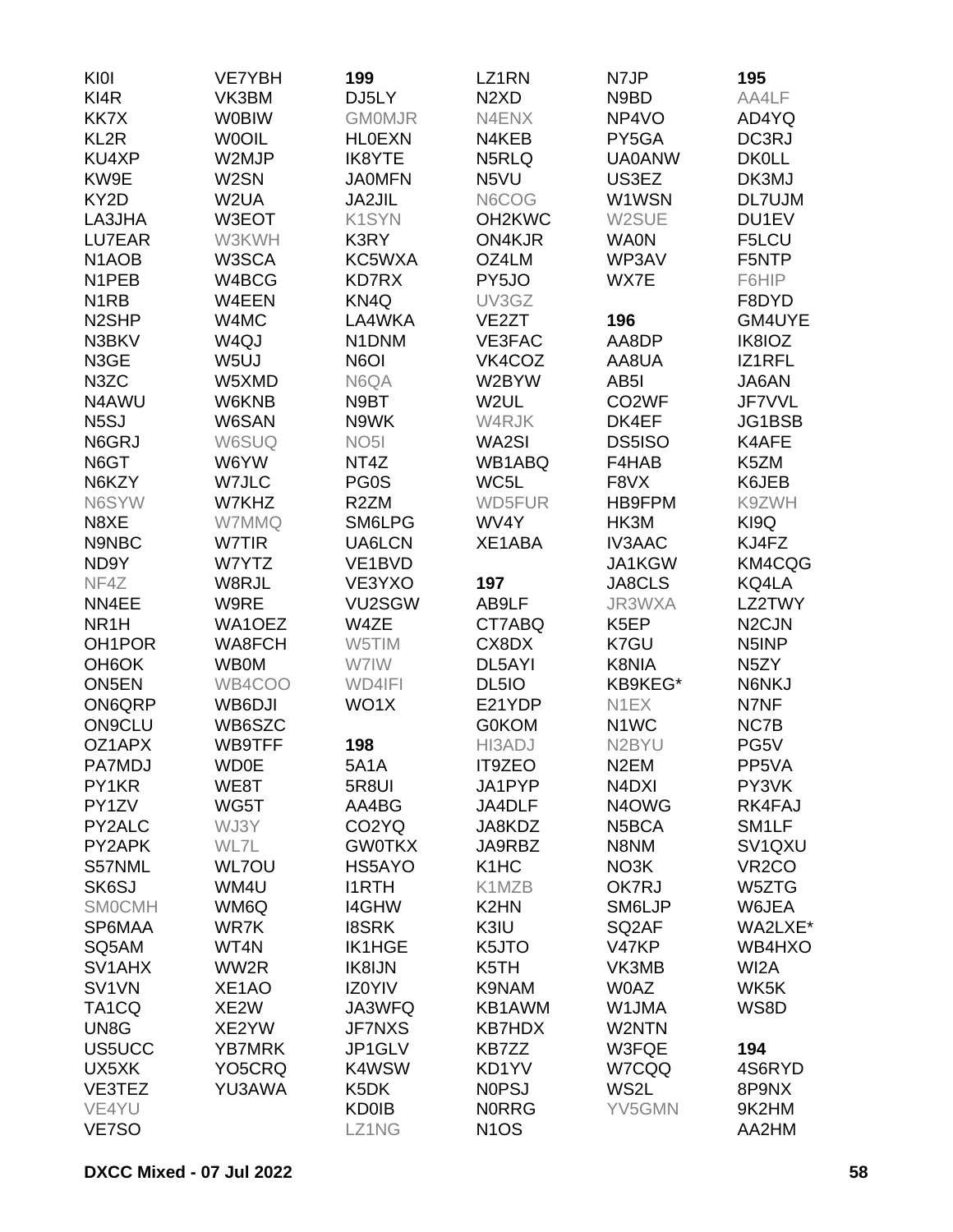| KI0I                | <b>VE7YBH</b>       | 199                | LZ1RN                         | N7JP                           | 195                             |
|---------------------|---------------------|--------------------|-------------------------------|--------------------------------|---------------------------------|
| KI4R                | VK3BM               | DJ5LY              | N <sub>2</sub> X <sub>D</sub> | N9BD                           | AA4LF                           |
| KK7X                | <b>W0BIW</b>        | <b>GMOMJR</b>      | N4ENX                         | NP4VO                          | AD4YQ                           |
| KL <sub>2R</sub>    | <b>WOOIL</b>        | <b>HLOEXN</b>      | N4KEB                         | PY5GA                          | DC3RJ                           |
| KU4XP               | W2MJP               | IK8YTE             | N5RLQ                         | <b>UA0ANW</b>                  | <b>DK0LL</b>                    |
| KW9E                | W2SN                | <b>JA0MFN</b>      | N5VU                          | US3EZ                          | DK3MJ                           |
| KY2D                | W <sub>2</sub> UA   | JA2JIL             | N6COG                         | W1WSN                          | <b>DL7UJM</b>                   |
| LA3JHA              | W3EOT               | K1SYN              | OH <sub>2</sub> KWC           | W2SUE                          | DU1EV                           |
| <b>LU7EAR</b>       | W3KWH               | K3RY               | ON4KJR                        | <b>WA0N</b>                    | F5LCU                           |
| N <sub>1</sub> AOB  | W3SCA               | KC5WXA             | OZ4LM                         | WP3AV                          | F5NTP                           |
| N <sub>1</sub> PEB  | W4BCG               | <b>KD7RX</b>       | PY5JO                         | WX7E                           | F6HIP                           |
| N <sub>1</sub> RB   | W4EEN               | KN4Q               | UV3GZ                         |                                | F8DYD                           |
| N <sub>2</sub> SHP  | W4MC                | LA4WKA             | VE <sub>2</sub> ZT            | 196                            | GM4UYE                          |
| N3BKV               | W <sub>4Q</sub> J   | N1DNM              | VE3FAC                        | AA8DP                          | IK8IOZ                          |
| N3GE                | W5UJ                | N6OI               | VK4COZ                        | AA8UA                          | IZ1RFL                          |
| N3ZC                | W5XMD               | N6QA               | W2BYW                         | AB <sub>5</sub> I              | JA6AN                           |
| N4AWU               | <b>W6KNB</b>        | N9BT               | W2UL                          | CO <sub>2</sub> WF             | JF7VVL                          |
| N <sub>5</sub> SJ   | W6SAN               | N9WK               | W4RJK                         | DK4EF                          | JG1BSB                          |
| N6GRJ               | W6SUQ               | NO <sub>5</sub> I  |                               |                                | K4AFE                           |
|                     |                     | NT4Z               | WA2SI                         | DS5ISO                         |                                 |
| N6GT                | W6YW                |                    | WB1ABQ<br>WC5L                | F4HAB                          | K5ZM                            |
| N6KZY               | W7JLC               | PG0S               |                               | F8VX                           | K6JEB                           |
| N6SYW               | W7KHZ               | R <sub>2</sub> ZM  | WD5FUR                        | HB9FPM                         | K9ZWH                           |
| N8XE                | W7MMQ               | SM6LPG             | WV4Y                          | HK3M                           | KI9Q                            |
| N9NBC               | W7TIR               | UA6LCN             | XE1ABA                        | <b>IV3AAC</b>                  | KJ4FZ                           |
| ND9Y                | W7YTZ               | VE1BVD             |                               | JA1KGW                         | KM4CQG                          |
| NF4Z                | W8RJL               | VE3YXO             | 197                           | JA8CLS                         | KQ4LA                           |
| NN4EE               | W9RE                | VU2SGW             | AB9LF                         | JR3WXA                         | LZ2TWY                          |
| NR <sub>1</sub> H   | WA1OEZ              | W4ZE               | CT7ABQ                        | K <sub>5</sub> EP              | N <sub>2</sub> CJN              |
| OH <sub>1</sub> POR | WA8FCH              | W5TIM              | CX8DX                         | K7GU                           | N5INP                           |
| OH <sub>6</sub> OK  | <b>WB0M</b>         | W7IW               | DL5AYI                        | K8NIA                          | N <sub>5</sub> ZY               |
| ON5EN               | WB4COO              | WD4IFI             | DL5IO                         | KB9KEG*                        | N6NKJ                           |
| ON6QRP              | WB6DJI              | WO1X               | E21YDP                        | N1EX                           | N7NF                            |
| <b>ON9CLU</b>       | WB6SZC              |                    | <b>G0KOM</b>                  | N <sub>1</sub> WC              | NC7B                            |
| OZ1APX              | WB9TFF              | 198                | HI3ADJ                        | N <sub>2</sub> BYU             | PG5V                            |
| PA7MDJ              | <b>WD0E</b>         | <b>5A1A</b>        | IT9ZEO                        | N <sub>2</sub> EM              | PP5VA                           |
| PY1KR               | WE8T                | 5R8UI              | JA1PYP                        | N <sub>4</sub> D <sub>XI</sub> | PY3VK                           |
| PY1ZV               | WG5T                | AA4BG              | JA4DLF                        | N <sub>4</sub> OWG             | RK4FAJ                          |
| PY2ALC              | WJ3Y                | CO <sub>2</sub> YQ | JA8KDZ                        | N <sub>5</sub> BCA             | SM <sub>1</sub> LF              |
| PY2APK              | WL7L                | <b>GW0TKX</b>      | JA9RBZ                        | N8NM                           | SV <sub>1</sub> Q <sub>XU</sub> |
| S57NML              | <b>WL7OU</b>        | HS5AYO             | K <sub>1</sub> H <sub>C</sub> | NO3K                           | VR <sub>2</sub> CO              |
| SK6SJ               | WM4U                | <b>I1RTH</b>       | K1MZB                         | OK7RJ                          | W5ZTG                           |
| <b>SMOCMH</b>       | WM6Q                | <b>I4GHW</b>       | K <sub>2</sub> HN             | SM6LJP                         | W6JEA                           |
| SP6MAA              | WR7K                | <b>I8SRK</b>       | K3IU                          | SQ <sub>2</sub> AF             | WA2LXE*                         |
| SQ5AM               | WT4N                | <b>IK1HGE</b>      | K5JTO                         | V47KP                          | WB4HXO                          |
| SV1AHX              | WW2R                | IK8IJN             | K5TH                          | VK3MB                          | WI2A                            |
| SV <sub>1</sub> VN  | XE <sub>1</sub> AO  | IZ0YIV             | K9NAM                         | <b>W0AZ</b>                    | WK5K                            |
| TA <sub>1</sub> CQ  | XE <sub>2</sub> W   | JA3WFQ             | KB1AWM                        | W1JMA                          | WS8D                            |
| UN8G                | XE2YW               | <b>JF7NXS</b>      | <b>KB7HDX</b>                 | W2NTN                          |                                 |
| US5UCC              | <b>YB7MRK</b>       | JP1GLV             | KB7ZZ                         | W3FQE                          | 194                             |
| UX5XK               | YO <sub>5</sub> CRQ | K4WSW              | KD1YV                         | W7CQQ                          | 4S6RYD                          |
| VE3TEZ              | YU3AWA              | K <sub>5</sub> DK  | <b>NOPSJ</b>                  | WS2L                           | 8P9NX                           |
| VE4YU               |                     | <b>KD0IB</b>       | <b>NORRG</b>                  | YV5GMN                         | 9K2HM                           |
| VE7SO               |                     | LZ1NG              | N <sub>1</sub> OS             |                                | AA2HM                           |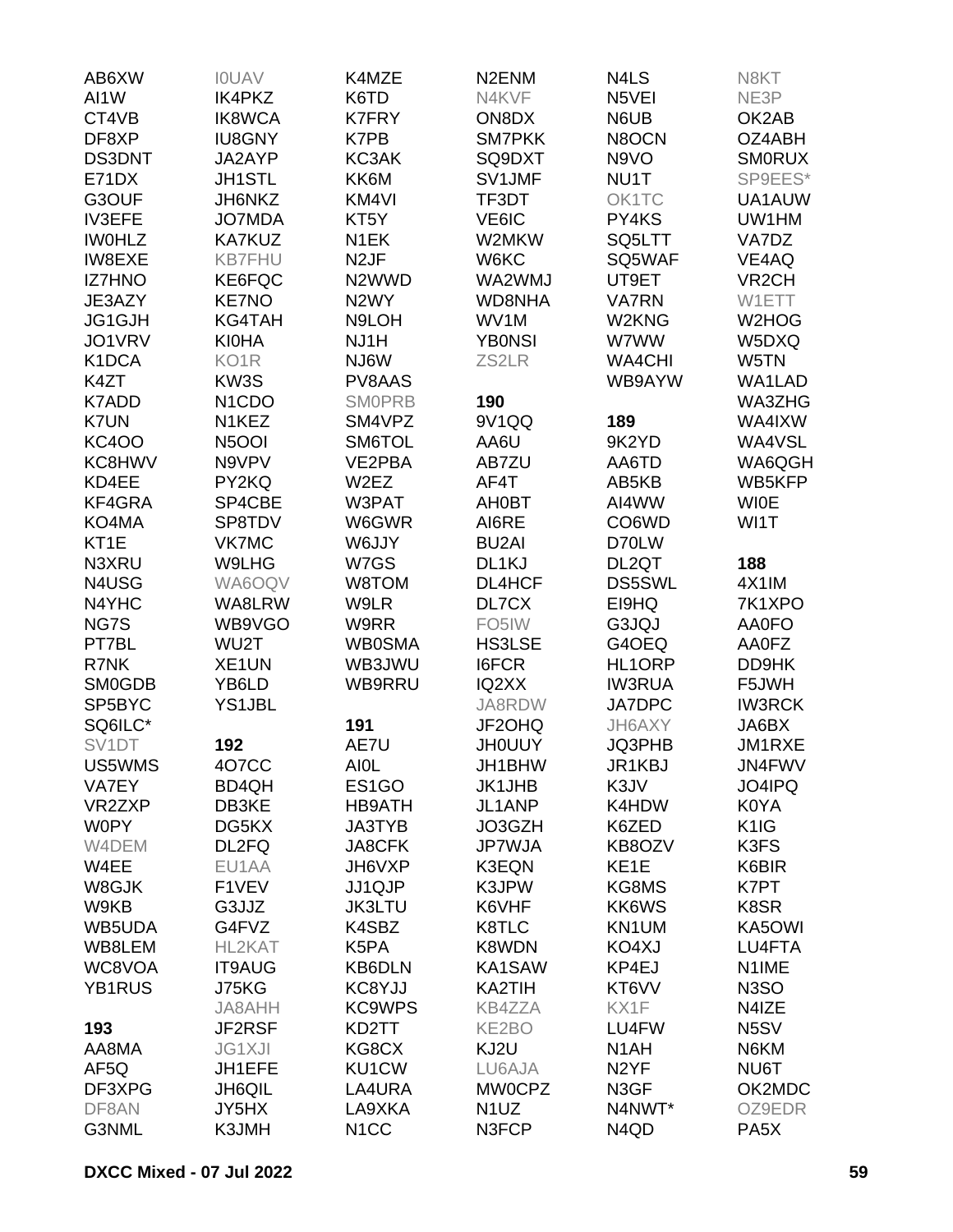| AB6XW              | <b>IOUAV</b>                    | K4MZE             | N <sub>2</sub> EN <sub>M</sub> | N4LS              | N8KT               |
|--------------------|---------------------------------|-------------------|--------------------------------|-------------------|--------------------|
| AI1W               | <b>IK4PKZ</b>                   | K6TD              | N4KVF                          | N5VEI             | NE3P               |
| CT4VB              | <b>IK8WCA</b>                   | <b>K7FRY</b>      | ON8DX                          | N6UB              | OK2AB              |
| DF8XP              | <b>IU8GNY</b>                   | K7PB              | <b>SM7PKK</b>                  | N8OCN             | OZ4ABH             |
| <b>DS3DNT</b>      | JA2AYP                          | KC3AK             | SQ9DXT                         | N9VO              | <b>SMORUX</b>      |
| E71DX              | <b>JH1STL</b>                   | KK6M              | SV1JMF                         | NU1T              | SP9EES*            |
| G3OUF              | JH6NKZ                          | KM4VI             | TF3DT                          | OK1TC             | UA1AUW             |
| <b>IV3EFE</b>      | <b>JO7MDA</b>                   | KT <sub>5</sub> Y | VE6IC                          | PY4KS             | UW1HM              |
| <b>IWOHLZ</b>      | <b>KA7KUZ</b>                   | N <sub>1</sub> EK | W2MKW                          | SQ5LTT            | VA7DZ              |
| <b>IW8EXE</b>      | <b>KB7FHU</b>                   | N <sub>2</sub> JF | W6KC                           | SQ5WAF            | VE4AQ              |
| <b>IZ7HNO</b>      |                                 | N2WWD             | WA2WMJ                         | UT9ET             | VR <sub>2</sub> CH |
| JE3AZY             | KE6FQC<br><b>KE7NO</b>          | N <sub>2</sub> WY | <b>WD8NHA</b>                  | <b>VA7RN</b>      |                    |
|                    |                                 |                   | WV1M                           |                   | W1ETT              |
| JG1GJH             | <b>KG4TAH</b>                   | N9LOH             |                                | W2KNG             | W2HOG              |
| JO1VRV             | <b>KI0HA</b>                    | NJ1H              | <b>YB0NSI</b>                  | W7WW              | W5DXQ              |
| K1DCA              | KO <sub>1</sub> R               | NJ6W              | ZS2LR                          | <b>WA4CHI</b>     | W5TN               |
| K4ZT               | KW3S                            | PV8AAS            |                                | WB9AYW            | WA1LAD             |
| K7ADD              | N <sub>1</sub> C <sub>D</sub> O | <b>SMOPRB</b>     | 190                            |                   | WA3ZHG             |
| <b>K7UN</b>        | N1KEZ                           | SM4VPZ            | 9V1QQ                          | 189               | WA4IXW             |
| <b>KC4OO</b>       | <b>N5OOI</b>                    | SM6TOL            | AA6U                           | 9K2YD             | WA4VSL             |
| KC8HWV             | N9VPV                           | VE2PBA            | AB7ZU                          | AA6TD             | WA6QGH             |
| KD4EE              | PY2KQ                           | W <sub>2</sub> EZ | AF4T                           | AB5KB             | WB5KFP             |
| KF4GRA             | SP4CBE                          | W3PAT             | <b>AH0BT</b>                   | AI4WW             | <b>WIOE</b>        |
| KO4MA              | SP8TDV                          | W6GWR             | AI6RE                          | CO6WD             | WI1T               |
| KT1E               | <b>VK7MC</b>                    | W6JJY             | <b>BU2AI</b>                   | D70LW             |                    |
| N3XRU              | W9LHG                           | W7GS              | DL1KJ                          | DL2QT             | 188                |
| N4USG              | WA6OQV                          | W8TOM             | DL4HCF                         | <b>DS5SWL</b>     | 4X1IM              |
| N4YHC              | WA8LRW                          | W9LR              | DL7CX                          | EI9HQ             | 7K1XPO             |
| NG7S               | WB9VGO                          | W9RR              | FO <sub>5</sub> IW             | G3JQJ             | AA0FO              |
| PT7BL              | WU2T                            | <b>WB0SMA</b>     | <b>HS3LSE</b>                  | G4OEQ             | AA0FZ              |
| R7NK               | XE1UN                           | WB3JWU            | <b>I6FCR</b>                   | HL1ORP            | DD9HK              |
| <b>SM0GDB</b>      | YB6LD                           | WB9RRU            | IQ2XX                          | <b>IW3RUA</b>     | F5JWH              |
| SP5BYC             | <b>YS1JBL</b>                   |                   | JA8RDW                         | JA7DPC            | <b>IW3RCK</b>      |
| SQ6ILC*            |                                 | 191               | JF2OHQ                         | JH6AXY            | JA6BX              |
| SV <sub>1</sub> DT | 192                             | AE7U              | <b>JHOUUY</b>                  | JQ3PHB            | JM1RXE             |
| US5WMS             | 4O7CC                           | <b>AIOL</b>       | JH1BHW                         | JR1KBJ            | JN4FWV             |
| VA7EY              | BD4QH                           | ES1GO             | <b>JK1JHB</b>                  | K3JV              | JO4IPQ             |
| VR2ZXP             | DB3KE                           | <b>HB9ATH</b>     | JL1ANP                         | K4HDW             | K0YA               |
| <b>W0PY</b>        | DG5KX                           | JA3TYB            | JO3GZH                         | K6ZED             | K <sub>1</sub> IG  |
| W4DEM              | DL2FQ                           | JA8CFK            | <b>JP7WJA</b>                  | KB8OZV            | K3FS               |
| W4EE               | EU1AA                           | JH6VXP            | K3EQN                          | KE <sub>1</sub> E | K6BIR              |
| W8GJK              | F1VEV                           | JJ1QJP            | K3JPW                          | KG8MS             | K7PT               |
| W9KB               | G3JJZ                           | <b>JK3LTU</b>     | K6VHF                          | KK6WS             | K8SR               |
| WB5UDA             | G4FVZ                           | K4SBZ             | K8TLC                          | KN1UM             | KA5OWI             |
| WB8LEM             | HL2KAT                          | K5PA              | K8WDN                          | KO4XJ             | LU4FTA             |
| WC8VOA             | <b>IT9AUG</b>                   | KB6DLN            | KA1SAW                         | KP4EJ             | N1IME              |
| YB1RUS             | J75KG                           | KC8YJJ            | KA2TIH                         | KT6VV             | N <sub>3</sub> SO  |
|                    | JA8AHH                          | <b>KC9WPS</b>     | <b>KB4ZZA</b>                  | KX1F              | N4IZE              |
|                    |                                 |                   |                                |                   |                    |
| 193                | JF2RSF                          | KD2TT             | KE2BO                          | LU4FW             | N <sub>5</sub> SV  |
| AA8MA              | <b>JG1XJI</b>                   | KG8CX             | KJ2U                           | N <sub>1</sub> AH | N6KM               |
| AF <sub>5Q</sub>   | JH1EFE                          | KU1CW             | LU6AJA                         | N <sub>2</sub> YF | NU6T               |
| DF3XPG             | <b>JH6QIL</b>                   | LA4URA            | <b>MW0CPZ</b>                  | N3GF              | OK2MDC             |
| DF8AN              | JY5HX                           | LA9XKA            | N <sub>1</sub> UZ              | N4NWT*            | OZ9EDR             |
| G3NML              | K3JMH                           | N <sub>1</sub> CC | N3FCP                          | N <sub>4Q</sub> D | PA <sub>5</sub> X  |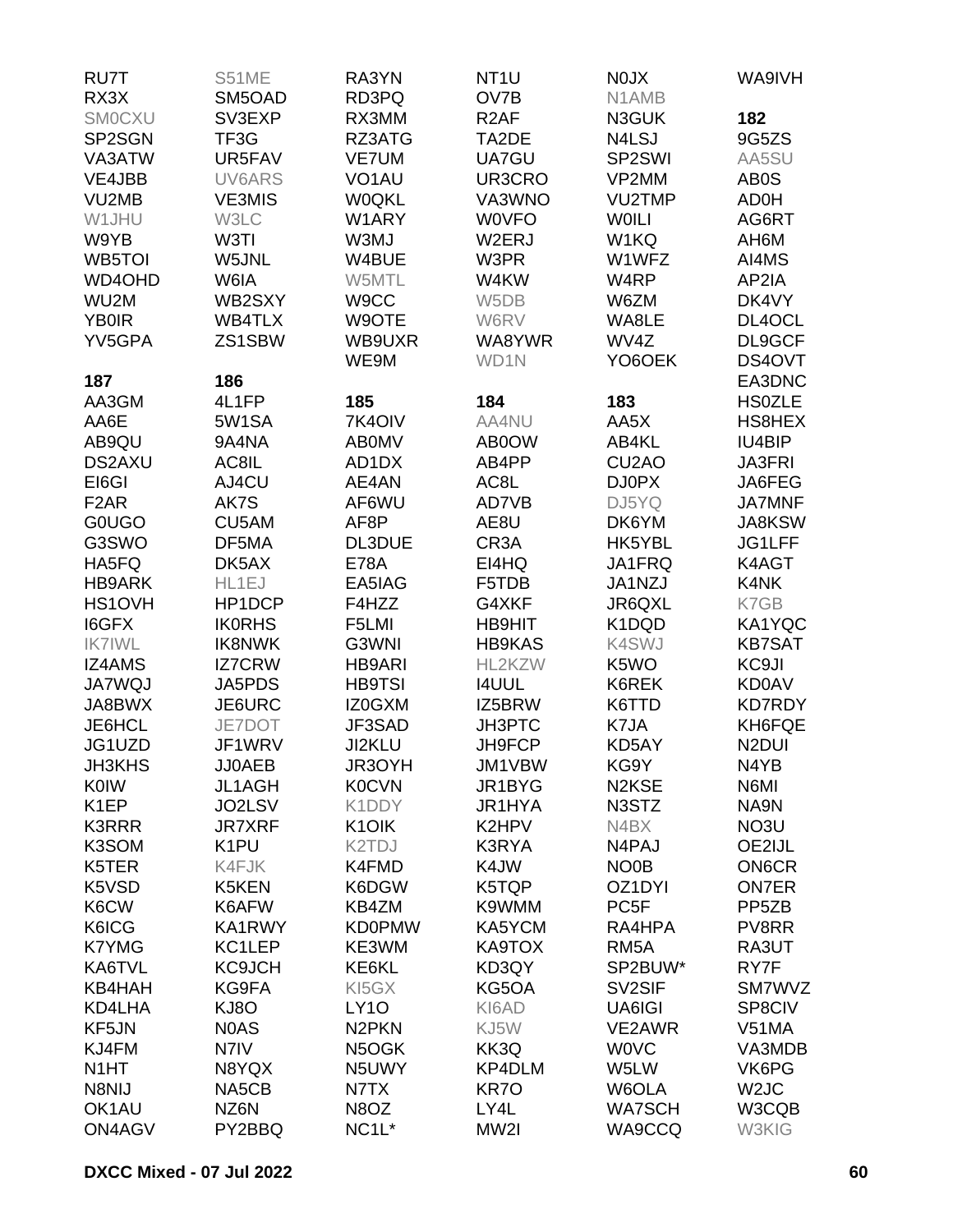| RU7T                  | S51ME                              | RA3YN                       | NT <sub>1</sub> U | N0JX                           | WA9IVH             |
|-----------------------|------------------------------------|-----------------------------|-------------------|--------------------------------|--------------------|
| RX3X                  | SM5OAD                             | RD3PQ                       | OV7B              | N1AMB                          |                    |
| <b>SMOCXU</b>         | SV3EXP                             | RX3MM                       | R <sub>2</sub> AF | N3GUK                          | 182                |
| SP2SGN                | TF3G                               | RZ3ATG                      | TA2DE             | N4LSJ                          | 9G5ZS              |
| VA3ATW                | UR5FAV                             | VE7UM                       | UA7GU             | SP2SWI                         | AA5SU              |
| VE4JBB                | UV6ARS                             | VO <sub>1</sub> AU          | UR3CRO            | VP2MM                          | AB0S               |
| VU2MB                 | <b>VE3MIS</b>                      | <b>WOQKL</b>                | VA3WNO            | <b>VU2TMP</b>                  | AD0H               |
| W1JHU                 | W3LC                               | W1ARY                       | <b>WOVFO</b>      | <b>WOILI</b>                   | AG6RT              |
| W9YB                  | W3TI                               | W3MJ                        | W2ERJ             | W1KQ                           | AH6M               |
| WB5TOI                | W5JNL                              | W4BUE                       | W3PR              | W1WFZ                          | AI4MS              |
| WD4OHD                | W6IA                               | W5MTL                       | W4KW              | W4RP                           | AP2IA              |
| WU <sub>2</sub> M     | WB2SXY                             | W9CC                        | W5DB              | W6ZM                           | DK4VY              |
| <b>YB0IR</b>          | WB4TLX                             | W9OTE                       | W6RV              | WA8LE                          | DL4OCL             |
| YV5GPA                | ZS1SBW                             | WB9UXR                      | WA8YWR            | WV4Z                           | DL9GCF             |
|                       |                                    | WE9M                        | WD1N              | YO6OEK                         | DS4OVT             |
| 187                   | 186                                |                             |                   |                                | EA3DNC             |
| AA3GM                 | 4L1FP                              | 185                         | 184               | 183                            | <b>HS0ZLE</b>      |
| AA6E                  | 5W1SA                              | 7K4OIV                      | AA4NU             | AA5X                           | HS8HEX             |
| AB9QU                 | 9A4NA                              | <b>ABOMV</b>                | AB0OW             | AB4KL                          | IU4BIP             |
| <b>DS2AXU</b>         | AC8IL                              | AD1DX                       | AB4PP             | CU <sub>2</sub> AO             | <b>JA3FRI</b>      |
| EI6GI                 | AJ4CU                              | AE4AN                       | AC8L              | <b>DJ0PX</b>                   | JA6FEG             |
| F <sub>2</sub> AR     | AK7S                               | AF6WU                       | AD7VB             | DJ5YQ                          | <b>JA7MNF</b>      |
| <b>GOUGO</b>          | CU5AM                              | AF8P                        | AE8U              | DK6YM                          | JA8KSW             |
| G3SWO                 | DF5MA                              | DL3DUE                      | CR <sub>3</sub> A | HK5YBL                         | JG1LFF             |
| HA5FQ                 | DK5AX                              | <b>E78A</b>                 | EI4HQ             | JA1FRQ                         | K4AGT              |
| <b>HB9ARK</b>         | HL1EJ                              | EA5IAG                      | F5TDB             | JA1NZJ                         | K4NK               |
| HS1OVH                | HP1DCP                             | F4HZZ                       | G4XKF             | JR6QXL                         | K7GB               |
| I6GFX                 | <b>IK0RHS</b>                      | F5LMI                       | <b>HB9HIT</b>     | K1DQD                          | KA1YQC             |
| <b>IK7IWL</b>         | <b>IK8NWK</b>                      | G3WNI                       | <b>HB9KAS</b>     | <b>K4SWJ</b>                   | <b>KB7SAT</b>      |
| <b>IZ4AMS</b>         | <b>IZ7CRW</b>                      | <b>HB9ARI</b>               | HL2KZW            | K5WO                           | KC9JI              |
| <b>JA7WQJ</b>         | JA5PDS                             | <b>HB9TSI</b>               | <b>I4UUL</b>      | K6REK                          | <b>KD0AV</b>       |
| JA8BWX                | JE6URC                             | IZ0GXM                      | IZ5BRW            | K6TTD                          | <b>KD7RDY</b>      |
| JE6HCL                | JE7DOT                             | JF3SAD                      | JH3PTC            | K7JA                           | KH6FQE             |
| JG1UZD                | JF1WRV                             | JI2KLU                      | JH9FCP            | KD5AY                          | N <sub>2</sub> DUI |
| <b>JH3KHS</b>         | JJ0AEB                             | JR3OYH                      | JM1VBW            | KG9Y                           | N4YB               |
| <b>K0IW</b>           | <b>JL1AGH</b>                      | <b>K0CVN</b>                | JR1BYG            | N <sub>2</sub> K <sub>SE</sub> | N6MI               |
| K <sub>1</sub> EP     |                                    | K1DDY                       | JR1HYA            |                                |                    |
|                       | JO2LSV                             |                             |                   | N3STZ                          | NA9N               |
| <b>K3RRR</b><br>K3SOM | <b>JR7XRF</b><br>K <sub>1</sub> PU | K <sub>1</sub> OIK<br>K2TDJ | K2HPV<br>K3RYA    | N4BX<br>N4PAJ                  | NO3U<br>OE2IJL     |
|                       |                                    |                             | K4JW              |                                | <b>ON6CR</b>       |
| K5TER                 | K4FJK                              | K4FMD                       |                   | NO <sub>0</sub> B              |                    |
| K5VSD                 | K5KEN                              | K6DGW                       | K5TQP             | OZ1DYI<br>PC <sub>5F</sub>     | <b>ON7ER</b>       |
| K6CW                  | K6AFW                              | KB4ZM                       | K9WMM             |                                | PP <sub>5</sub> ZB |
| K6ICG                 | KA1RWY                             | <b>KD0PMW</b>               | KA5YCM            | RA4HPA                         | PV8RR              |
| <b>K7YMG</b>          | KC1LEP                             | KE3WM                       | KA9TOX            | RM <sub>5</sub> A              | RA3UT              |
| KA6TVL                | <b>KC9JCH</b>                      | KE6KL                       | KD3QY             | SP2BUW*                        | RY7F               |
| <b>KB4HAH</b>         | KG9FA                              | KI5GX                       | KG5OA             | SV <sub>2</sub> SIF            | SM7WVZ             |
| KD4LHA                | KJ8O                               | LY <sub>10</sub>            | KI6AD             | UA6IGI                         | SP8CIV             |
| KF5JN                 | N0AS                               | N <sub>2</sub> PKN          | KJ5W              | VE2AWR                         | V51MA              |
| KJ4FM                 | N7IV                               | N5OGK                       | KK3Q              | <b>WOVC</b>                    | VA3MDB             |
| N <sub>1</sub> HT     | N8YQX                              | N5UWY                       | KP4DLM            | W5LW                           | VK6PG              |
| N8NIJ                 | NA5CB                              | N7TX                        | KR7O              | W6OLA                          | W <sub>2</sub> JC  |
| OK <sub>1</sub> AU    | NZ6N                               | N8OZ                        | LY4L              | <b>WA7SCH</b>                  | W3CQB              |
| ON4AGV                | PY2BBQ                             | NC <sub>1</sub> L*          | MW2I              | WA9CCQ                         | W3KIG              |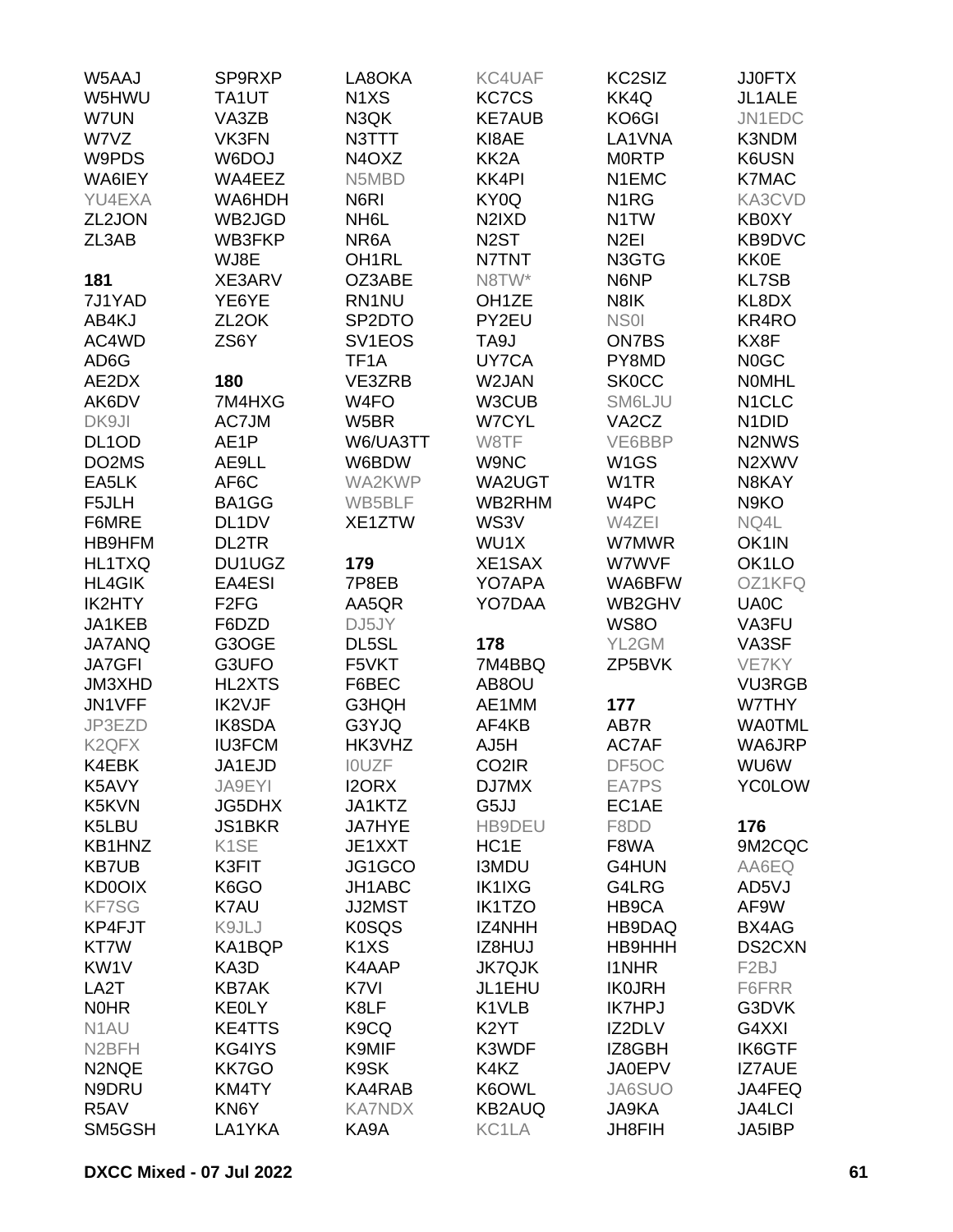| W5AAJ                          | SP9RXP                        | LA8OKA                          | KC4UAF                         | KC2SIZ             | <b>JJ0FTX</b>                   |
|--------------------------------|-------------------------------|---------------------------------|--------------------------------|--------------------|---------------------------------|
| W5HWU                          | TA1UT                         | N <sub>1</sub> X <sub>S</sub>   | <b>KC7CS</b>                   | KK4Q               | JL1ALE                          |
| W7UN                           | VA3ZB                         | N3QK                            | <b>KE7AUB</b>                  | KO6GI              | JN1EDC                          |
| W7VZ                           | VK3FN                         | N3TTT                           | KI8AE                          | LA1VNA             | K3NDM                           |
| W9PDS                          | W6DOJ                         | N <sub>4</sub> O <sub>X</sub> Z | KK <sub>2</sub> A              | <b>MORTP</b>       | K6USN                           |
| WA6IEY                         | WA4EEZ                        | N5MBD                           | KK4PI                          | N1EMC              | <b>K7MAC</b>                    |
| YU4EXA                         | WA6HDH                        | N <sub>6</sub> RI               | KY0Q                           | N <sub>1</sub> RG  | KA3CVD                          |
| ZL2JON                         | WB2JGD                        | NH <sub>6</sub> L               | N <sub>2</sub> IX <sub>D</sub> | N <sub>1</sub> TW  | KB0XY                           |
| ZL3AB                          | WB3FKP                        | NR6A                            | N <sub>2</sub> ST              | N <sub>2EI</sub>   | KB9DVC                          |
|                                | WJ8E                          | OH <sub>1</sub> RL              | N7TNT                          | N3GTG              | <b>KK0E</b>                     |
| 181                            | XE3ARV                        | OZ3ABE                          | N8TW*                          | N6NP               | <b>KL7SB</b>                    |
| 7J1YAD                         | YE6YE                         | RN1NU                           | OH <sub>1</sub> ZE             | N8IK               | KL8DX                           |
|                                |                               |                                 |                                | NS <sub>01</sub>   |                                 |
| AB4KJ                          | ZL <sub>2</sub> OK            | SP <sub>2</sub> DTO             | PY2EU                          |                    | KR4RO                           |
| AC4WD                          | ZS6Y                          | SV <sub>1</sub> EOS             | TA <sub>9</sub> J              | <b>ON7BS</b>       | KX8F                            |
| AD6G                           |                               | TF <sub>1</sub> A               | UY7CA                          | PY8MD              | N <sub>0</sub> GC               |
| AE2DX                          | 180                           | VE3ZRB                          | W2JAN                          | <b>SK0CC</b>       | <b>NOMHL</b>                    |
| AK6DV                          | 7M4HXG                        | W <sub>4FO</sub>                | W3CUB                          | SM6LJU             | N <sub>1</sub> CLC              |
| DK9JI                          | AC7JM                         | W5BR                            | <b>W7CYL</b>                   | VA <sub>2</sub> CZ | N <sub>1</sub> D <sub>ID</sub>  |
| DL <sub>1</sub> OD             | AE1P                          | W6/UA3TT                        | W8TF                           | VE6BBP             | N <sub>2</sub> N <sub>W</sub> S |
| DO2MS                          | AE9LL                         | W6BDW                           | W9NC                           | W <sub>1</sub> GS  | N2XWV                           |
| EA5LK                          | AF6C                          | WA2KWP                          | WA2UGT                         | W <sub>1</sub> TR  | N8KAY                           |
| F5JLH                          | BA1GG                         | WB5BLF                          | WB2RHM                         | W4PC               | N <sub>9</sub> KO               |
| F6MRE                          | DL <sub>1</sub> DV            | XE1ZTW                          | WS3V                           | W4ZEI              | NQ4L                            |
| HB9HFM                         | DL2TR                         |                                 | WU1X                           | W7MWR              | OK1IN                           |
| HL1TXQ                         | DU1UGZ                        | 179                             | XE1SAX                         | W7WVF              | OK1LO                           |
| <b>HL4GIK</b>                  | EA4ESI                        | 7P8EB                           | YO7APA                         | WA6BFW             | OZ1KFQ                          |
| IK2HTY                         | F <sub>2</sub> F <sub>G</sub> | AA5QR                           | YO7DAA                         | WB2GHV             | UA0C                            |
| JA1KEB                         | F6DZD                         | DJ5JY                           |                                | <b>WS80</b>        | VA3FU                           |
| <b>JA7ANQ</b>                  | G3OGE                         | DL5SL                           | 178                            | YL2GM              | VA3SF                           |
| <b>JA7GFI</b>                  | G3UFO                         | F5VKT                           | 7M4BBQ                         | ZP5BVK             | VE7KY                           |
| JM3XHD                         | <b>HL2XTS</b>                 | F6BEC                           | AB8OU                          |                    | <b>VU3RGB</b>                   |
| JN1VFF                         | IK2VJF                        | <b>G3HQH</b>                    | AE1MM                          | 177                | W7THY                           |
| JP3EZD                         | <b>IK8SDA</b>                 | G3YJQ                           | AF4KB                          | AB7R               | <b>WA0TML</b>                   |
| K <sub>2</sub> QF <sub>X</sub> | <b>IU3FCM</b>                 | HK3VHZ                          | AJ5H                           | AC7AF              | WA6JRP                          |
| K4EBK                          | JA1EJD                        | <b>IOUZF</b>                    | CO <sub>2</sub> IR             | DF5OC              | <b>WU6W</b>                     |
| K5AVY                          | JA9EYI                        | <b>I2ORX</b>                    | DJ7MX                          | EA7PS              | <b>YC0LOW</b>                   |
| K5KVN                          | <b>JG5DHX</b>                 | JA1KTZ                          | G5JJ                           | EC1AE              |                                 |
| K5LBU                          | <b>JS1BKR</b>                 | <b>JA7HYE</b>                   | HB9DEU                         | F8DD               | 176                             |
| KB1HNZ                         | K <sub>1</sub> SE             | JE1XXT                          | HC <sub>1</sub> E              | F8WA               | 9M2CQC                          |
| <b>KB7UB</b>                   | K3FIT                         | JG1GCO                          | <b>I3MDU</b>                   | G4HUN              | AA6EQ                           |
| <b>KD0OIX</b>                  | K6GO                          | JH1ABC                          | <b>IK1IXG</b>                  | G4LRG              | AD5VJ                           |
| <b>KF7SG</b>                   | K7AU                          | JJ2MST                          | <b>IK1TZO</b>                  | HB9CA              | AF9W                            |
| KP4FJT                         | K9JLJ                         | <b>K0SQS</b>                    | <b>IZ4NHH</b>                  | HB9DAQ             | BX4AG                           |
| KT7W                           | KA1BQP                        | K <sub>1</sub> X <sub>S</sub>   | IZ8HUJ                         | <b>HB9HHH</b>      | DS2CXN                          |
| KW1V                           | KA3D                          | K4AAP                           | <b>JK7QJK</b>                  | <b>I1NHR</b>       | F <sub>2</sub> BJ               |
|                                | <b>KB7AK</b>                  |                                 |                                | <b>IK0JRH</b>      | F6FRR                           |
| LA2T                           |                               | K7VI                            | JL1EHU                         |                    |                                 |
| <b>NOHR</b>                    | <b>KEOLY</b>                  | K8LF                            | K1VLB                          | <b>IK7HPJ</b>      | G3DVK                           |
| N <sub>1</sub> AU              | <b>KE4TTS</b>                 | K <sub>9</sub> C <sub>Q</sub>   | K <sub>2</sub> YT              | IZ2DLV             | G4XXI                           |
| N <sub>2</sub> BFH             | KG4IYS                        | K9MIF                           | K3WDF                          | IZ8GBH             | <b>IK6GTF</b>                   |
| N2NQE                          | <b>KK7GO</b>                  | K9SK                            | K4KZ                           | <b>JA0EPV</b>      | <b>IZ7AUE</b>                   |
| N9DRU                          | KM4TY                         | KA4RAB                          | K6OWL                          | JA6SUO             | JA4FEQ                          |
| R5AV                           | KN6Y                          | <b>KA7NDX</b>                   | <b>KB2AUQ</b>                  | JA9KA              | <b>JA4LCI</b>                   |
| SM5GSH                         | LA1YKA                        | KA9A                            | KC1LA                          | <b>JH8FIH</b>      | <b>JA5IBP</b>                   |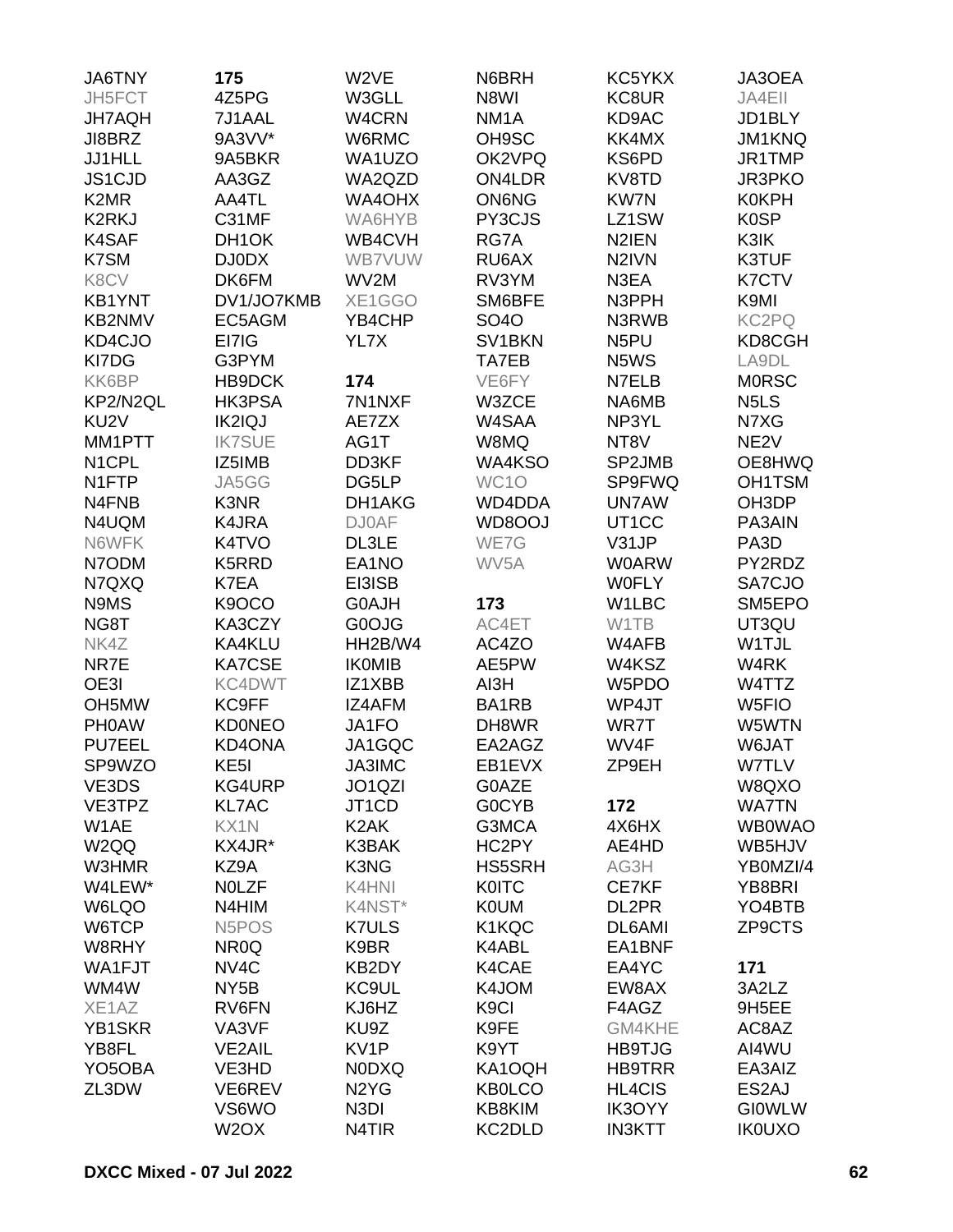| <b>JA6TNY</b>                 | 175                            | W2VE                          | N6BRH               | KC5YKX             | JA3OEA                        |
|-------------------------------|--------------------------------|-------------------------------|---------------------|--------------------|-------------------------------|
| JH5FCT                        | 4Z5PG                          | W3GLL                         | N8WI                | KC8UR              | JA4EII                        |
| <b>JH7AQH</b>                 | 7J1AAL                         | W4CRN                         | NM <sub>1</sub> A   | KD9AC              | JD1BLY                        |
| JI8BRZ                        | 9A3VV*                         | W6RMC                         | OH9SC               | KK4MX              | JM1KNQ                        |
| <b>JJ1HLL</b>                 | 9A5BKR                         | WA1UZO                        | OK2VPQ              | KS6PD              | JR1TMP                        |
|                               |                                |                               |                     |                    |                               |
| JS1CJD                        | AA3GZ                          | WA2QZD                        | <b>ON4LDR</b>       | KV8TD              | <b>JR3PKO</b>                 |
| K <sub>2</sub> M <sub>R</sub> | AA4TL                          | <b>WA4OHX</b>                 | <b>ON6NG</b>        | <b>KW7N</b>        | <b>K0KPH</b>                  |
| <b>K2RKJ</b>                  | C31MF                          | WA6HYB                        | PY3CJS              | LZ1SW              | <b>K0SP</b>                   |
| <b>K4SAF</b>                  | DH1OK                          | WB4CVH                        | RG7A                | N <sub>2</sub> IEN | K3IK                          |
| K7SM                          | <b>DJ0DX</b>                   | <b>WB7VUW</b>                 | RU6AX               | N <sub>2</sub> IVN | K3TUF                         |
| K8CV                          | DK6FM                          | WV2M                          | RV3YM               | N3EA               | K7CTV                         |
| <b>KB1YNT</b>                 | DV1/JO7KMB                     | XE1GGO                        | SM6BFE              | N3PPH              | K9MI                          |
| <b>KB2NMV</b>                 | EC5AGM                         | YB4CHP                        | <b>SO4O</b>         | N3RWB              | KC2PQ                         |
| KD4CJO                        | EI7IG                          | YL7X                          | SV <sub>1</sub> BKN | N <sub>5</sub> PU  | KD8CGH                        |
| KI7DG                         | G3PYM                          |                               | TA7EB               | N5WS               | LA9DL                         |
| KK6BP                         | HB9DCK                         | 174                           | VE6FY               | N7ELB              | <b>MORSC</b>                  |
| KP2/N2QL                      | <b>HK3PSA</b>                  | 7N1NXF                        | W3ZCE               | NA6MB              | N <sub>5</sub> L <sub>S</sub> |
| KU <sub>2V</sub>              | <b>IK2IQJ</b>                  | AE7ZX                         | W4SAA               | NP3YL              | N7XG                          |
| MM1PTT                        | <b>IK7SUE</b>                  | AG1T                          | W8MQ                | NT8V               | NE <sub>2V</sub>              |
| N <sub>1</sub> CPL            | IZ5IMB                         | DD3KF                         | WA4KSO              | SP2JMB             | OE8HWQ                        |
| N1FTP                         | JA5GG                          | DG5LP                         | WC <sub>1</sub> O   | SP9FWQ             | OH1TSM                        |
| N4FNB                         | K3NR                           | DH1AKG                        | WD4DDA              | <b>UN7AW</b>       | OH3DP                         |
| N4UQM                         | K4JRA                          | <b>DJ0AF</b>                  | WD8OOJ              | UT1CC              | PA3AIN                        |
| N6WFK                         | K4TVO                          | DL3LE                         | WE7G                | V31JP              | PA3D                          |
| N7ODM                         | K5RRD                          | EA1NO                         | WV <sub>5</sub> A   | <b>W0ARW</b>       | PY2RDZ                        |
| N7QXQ                         | K7EA                           | EI3ISB                        |                     | <b>WOFLY</b>       | SA7CJO                        |
| N9MS                          | K9OCO                          | <b>G0AJH</b>                  | 173                 | W1LBC              | SM5EPO                        |
|                               | KA3CZY                         |                               | AC4ET               | W1TB               |                               |
| NG8T                          |                                | G0OJG                         |                     |                    | UT3QU                         |
| NK4Z                          | KA4KLU                         | HH2B/W4                       | AC4ZO               | W4AFB              | W1TJL                         |
| NR7E                          | <b>KA7CSE</b>                  | <b>IKOMIB</b>                 | AE5PW               | W4KSZ              | W4RK                          |
| OE3I                          | KC4DWT                         | IZ1XBB                        | AI3H                | W5PDO              | W4TTZ                         |
| OH <sub>5</sub> MW            | <b>KC9FF</b>                   | IZ4AFM                        | BA1RB               | WP4JT              | W <sub>5FIO</sub>             |
| <b>PHOAW</b>                  | <b>KD0NEO</b>                  | JA1FO                         | DH8WR               | WR7T               | W5WTN                         |
| <b>PU7EEL</b>                 | KD4ONA                         | JA1GQC                        | EA2AGZ              | WV4F               | W6JAT                         |
| SP9WZO                        | KE <sub>5</sub>                | JA3IMC                        | EB1EVX              | ZP9EH              | W7TLV                         |
| VE3DS                         | <b>KG4URP</b>                  | JO1QZI                        | G0AZE               |                    | W8QXO                         |
| VE3TPZ                        | <b>KL7AC</b>                   | JT1CD                         | <b>GOCYB</b>        | 172                | <b>WA7TN</b>                  |
| W1AE                          | KX1N                           | K <sub>2</sub> AK             | G3MCA               | 4X6HX              | <b>WB0WAO</b>                 |
| W <sub>2QQ</sub>              | KX4JR*                         | K3BAK                         | HC2PY               | AE4HD              | WB5HJV                        |
| W3HMR                         | KZ9A                           | K3NG                          | <b>HS5SRH</b>       | AG3H               | YB0MZI/4                      |
| W4LEW*                        | <b>NOLZF</b>                   | K4HNI                         | <b>K0ITC</b>        | CE7KF              | YB8BRI                        |
| W6LQO                         | N4HIM                          | K4NST*                        | <b>K0UM</b>         | DL2PR              | YO4BTB                        |
| W6TCP                         | N <sub>5</sub> PO <sub>S</sub> | <b>K7ULS</b>                  | K1KQC               | DL6AMI             | ZP9CTS                        |
| W8RHY                         | NR <sub>0</sub> Q              | K9BR                          | K4ABL               | EA1BNF             |                               |
| WA1FJT                        | NV <sub>4</sub> C              | KB2DY                         | K4CAE               | EA4YC              | 171                           |
| WM4W                          | NY <sub>5</sub> B              | KC9UL                         | K4JOM               | EW8AX              | 3A2LZ                         |
| XE1AZ                         | RV6FN                          | KJ6HZ                         | K <sub>9</sub> Cl   | F4AGZ              | 9H5EE                         |
| YB1SKR                        | VA3VF                          | KU9Z                          | K9FE                | GM4KHE             | AC8AZ                         |
| YB8FL                         | <b>VE2AIL</b>                  | KV1P                          | K9YT                | <b>HB9TJG</b>      | AI4WU                         |
| YO <sub>5</sub> OBA           | VE3HD                          | <b>NODXQ</b>                  | KA1OQH              | <b>HB9TRR</b>      | EA3AIZ                        |
| ZL3DW                         | VE6REV                         | N <sub>2</sub> Y <sub>G</sub> | <b>KB0LCO</b>       | HL4CIS             | ES2AJ                         |
|                               | VS6WO                          | N <sub>3</sub> DI             | KB8KIM              | IK3OYY             | <b>GIOWLW</b>                 |
|                               | W <sub>2</sub> OX              | N4TIR                         | KC2DLD              | <b>IN3KTT</b>      | <b>IK0UXO</b>                 |
|                               |                                |                               |                     |                    |                               |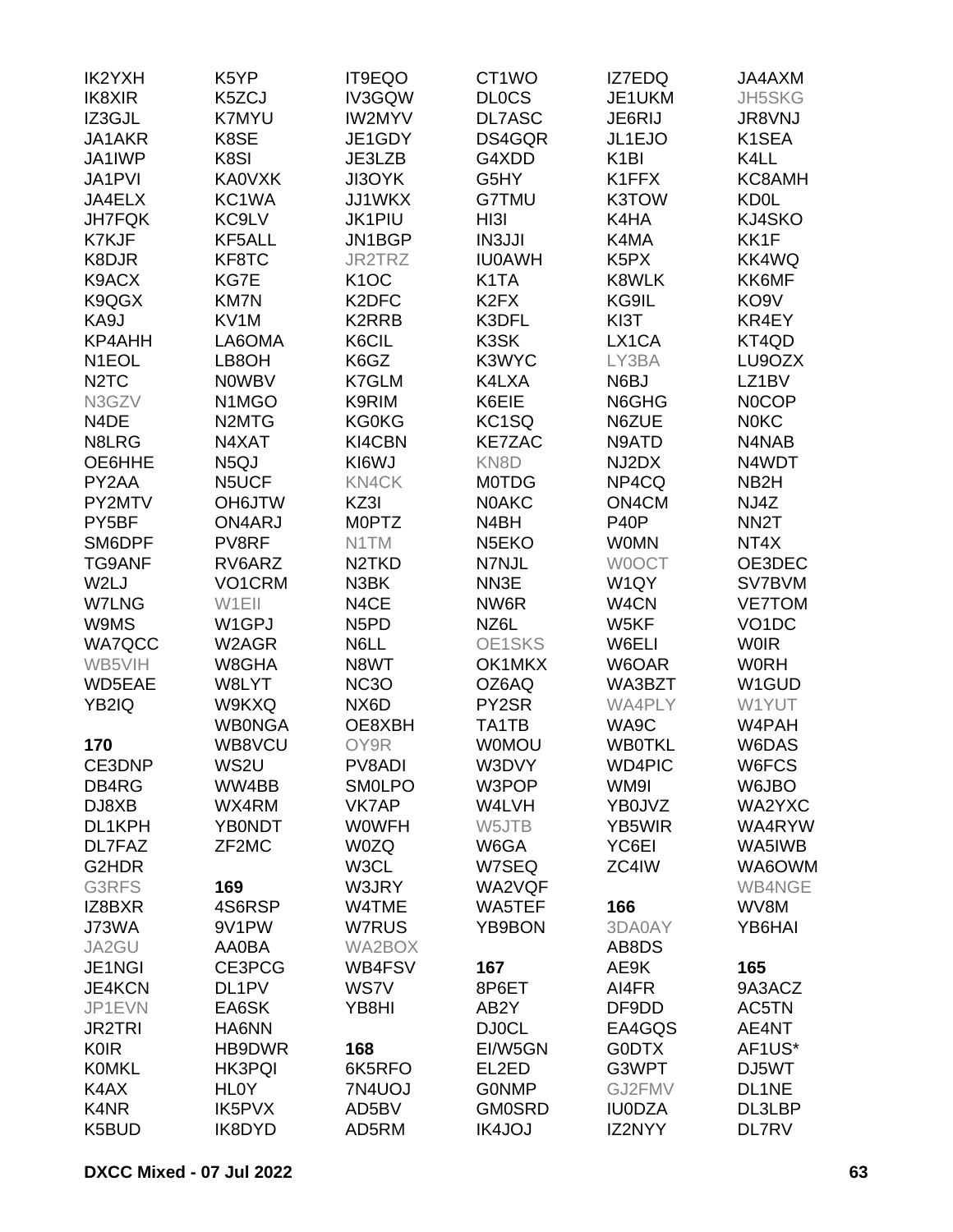| IK2YXH                        | K <sub>5</sub> YP               | IT9EQO                        | CT <sub>1</sub> WO            | IZ7EDQ                            | JA4AXM                  |
|-------------------------------|---------------------------------|-------------------------------|-------------------------------|-----------------------------------|-------------------------|
| IK8XIR                        | K5ZCJ                           | IV3GQW                        | <b>DLOCS</b>                  | JE1UKM                            | JH5SKG                  |
| IZ3GJL                        | <b>K7MYU</b>                    | <b>IW2MYV</b>                 | DL7ASC                        | JE6RIJ                            | <b>JR8VNJ</b>           |
| JA1AKR                        | K8SE                            | JE1GDY                        | DS4GQR                        | JL1EJO                            | K1SEA                   |
| JA1IWP                        | K8SI                            | JE3LZB                        | G4XDD                         | K <sub>1</sub> BI                 | K4LL                    |
| JA1PVI                        | <b>KA0VXK</b>                   | JI3OYK                        | G5HY                          | K1FFX                             | KC8AMH                  |
| JA4ELX                        | KC1WA                           | JJ1WKX                        | G7TMU                         | K3TOW                             | <b>KD0L</b>             |
| <b>JH7FQK</b>                 | KC9LV                           | JK1PIU                        | H <sub>131</sub>              | K4HA                              | KJ4SKO                  |
| K7KJF                         | KF5ALL                          | JN1BGP                        | <b>IN3JJI</b>                 | K4MA                              | KK1F                    |
| K8DJR                         | KF8TC                           | JR2TRZ                        | <b>IU0AWH</b>                 | K <sub>5</sub> P <sub>X</sub>     | KK4WQ                   |
| K9ACX                         | KG7E                            | K <sub>1</sub> OC             | K <sub>1</sub> TA             | <b>K8WLK</b>                      | KK6MF                   |
| K9QGX                         | <b>KM7N</b>                     | K2DFC                         | K <sub>2</sub> F <sub>X</sub> | KG9IL                             | KO <sub>9</sub> V       |
| KA9J                          | KV1M                            | K2RRB                         | K3DFL                         | KI3T                              | KR4EY                   |
| KP4AHH                        | LA6OMA                          | K6CIL                         | K3SK                          | LX1CA                             | KT4QD                   |
| N <sub>1</sub> EOL            | LB8OH                           | K6GZ                          | K3WYC                         | LY3BA                             | LU9OZX                  |
| N <sub>2</sub> T <sub>C</sub> | <b>NOWBV</b>                    | K7GLM                         | K4LXA                         | N6BJ                              | LZ1BV                   |
| N3GZV                         | N <sub>1</sub> M <sub>G</sub> O | K9RIM                         | K6EIE                         | N6GHG                             | <b>NOCOP</b>            |
| N4DE                          | N <sub>2</sub> MT <sub>G</sub>  | <b>KG0KG</b>                  | KC <sub>1</sub> SQ            | N6ZUE                             | <b>NOKC</b>             |
| N8LRG                         | N4XAT                           | KI4CBN                        | <b>KE7ZAC</b>                 | N9ATD                             | N4NAB                   |
| OE6HHE                        | N <sub>5</sub> QJ               | KI6WJ                         | KN8D                          | NJ2DX                             | N4WDT                   |
| PY2AA                         | N5UCF                           | KN4CK                         | <b>MOTDG</b>                  | NP4CQ                             | NB <sub>2</sub> H       |
| PY2MTV                        | <b>OH6JTW</b>                   | KZ3I                          | <b>NOAKC</b>                  | ON4CM                             | NJ4Z                    |
| PY5BF                         | ON4ARJ                          | <b>MOPTZ</b>                  | N <sub>4</sub> BH             | <b>P40P</b>                       | NN <sub>2</sub> T       |
| SM6DPF                        | PV8RF                           | N1TM                          | N <sub>5</sub> EKO            | <b>WOMN</b>                       | NT4X                    |
|                               |                                 |                               |                               |                                   | OE3DEC                  |
| <b>TG9ANF</b>                 | RV6ARZ                          | N <sub>2</sub> TKD<br>N3BK    | N7NJL<br>NN3E                 | <b>WOOCT</b><br>W <sub>1</sub> QY |                         |
| W2LJ<br><b>W7LNG</b>          | VO1CRM                          |                               | NW6R                          |                                   | SV7BVM<br><b>VE7TOM</b> |
|                               | W1EII                           | N4CE                          |                               | W4CN                              |                         |
| W9MS                          | W1GPJ                           | N <sub>5</sub> P <sub>D</sub> | NZ6L                          | W5KF                              | VO <sub>1</sub> DC      |
| <b>WA7QCC</b>                 | W2AGR                           | N6LL                          | OE1SKS                        | W6ELI                             | <b>WOIR</b>             |
| WB5VIH                        | W8GHA                           | N8WT                          | OK1MKX                        | W6OAR                             | <b>WORH</b>             |
| WD5EAE                        | W8LYT                           | <b>NC3O</b>                   | OZ6AQ                         | WA3BZT                            | W1GUD                   |
| YB2IQ                         | W9KXQ                           | NX6D                          | PY2SR                         | <b>WA4PLY</b>                     | W1YUT                   |
|                               | <b>WB0NGA</b>                   | OE8XBH                        | TA1TB                         | WA9C                              | W4PAH                   |
| 170                           | WB8VCU                          | OY9R                          | <b>WOMOU</b>                  | <b>WB0TKL</b>                     | W6DAS                   |
| CE3DNP                        | WS2U                            | PV8ADI                        | W3DVY                         | <b>WD4PIC</b>                     | W6FCS                   |
| DB4RG                         | WW4BB                           | <b>SMOLPO</b>                 | W3POP                         | WM9I                              | W6JBO                   |
| DJ8XB                         | WX4RM                           | <b>VK7AP</b>                  | W4LVH                         | YB0JVZ                            | WA2YXC                  |
| DL1KPH                        | <b>YB0NDT</b>                   | <b>WOWFH</b>                  | W5JTB                         | YB5WIR                            | WA4RYW                  |
| DL7FAZ                        | ZF2MC                           | <b>W0ZQ</b>                   | W6GA                          | YC6EI                             | WA5IWB                  |
| G2HDR                         |                                 | W3CL                          | W7SEQ                         | ZC4IW                             | WA6OWM                  |
| G3RFS                         | 169                             | W3JRY                         | WA2VQF                        |                                   | WB4NGE                  |
| IZ8BXR                        | 4S6RSP                          | W4TME                         | WA5TEF                        | 166                               | WV8M                    |
| J73WA                         | 9V1PW                           | W7RUS                         | YB9BON                        | 3DA0AY                            | YB6HAI                  |
| JA2GU                         | AA0BA                           | WA2BOX                        |                               | AB8DS                             |                         |
| JE1NGI                        | CE3PCG                          | WB4FSV                        | 167                           | AE9K                              | 165                     |
| <b>JE4KCN</b>                 | DL1PV                           | WS7V                          | 8P6ET                         | AI4FR                             | 9A3ACZ                  |
| JP1EVN                        | EA6SK                           | YB8HI                         | AB <sub>2</sub> Y             | DF9DD                             | AC5TN                   |
| <b>JR2TRI</b>                 | HA6NN                           |                               | <b>DJ0CL</b>                  | EA4GQS                            | AE4NT                   |
| <b>K0IR</b>                   | HB9DWR                          | 168                           | EI/W5GN                       | <b>G0DTX</b>                      | AF1US*                  |
| <b>KOMKL</b>                  | <b>HK3PQI</b>                   | 6K5RFO                        | EL2ED                         | G3WPT                             | DJ5WT                   |
| K4AX                          | <b>HLOY</b>                     | 7N4UOJ                        | <b>GONMP</b>                  | GJ2FMV                            | DL1NE                   |
| K4NR                          | IK5PVX                          | AD5BV                         | <b>GM0SRD</b>                 | <b>IU0DZA</b>                     | DL3LBP                  |
| K5BUD                         | IK8DYD                          | AD5RM                         | <b>IK4JOJ</b>                 | IZ2NYY                            | <b>DL7RV</b>            |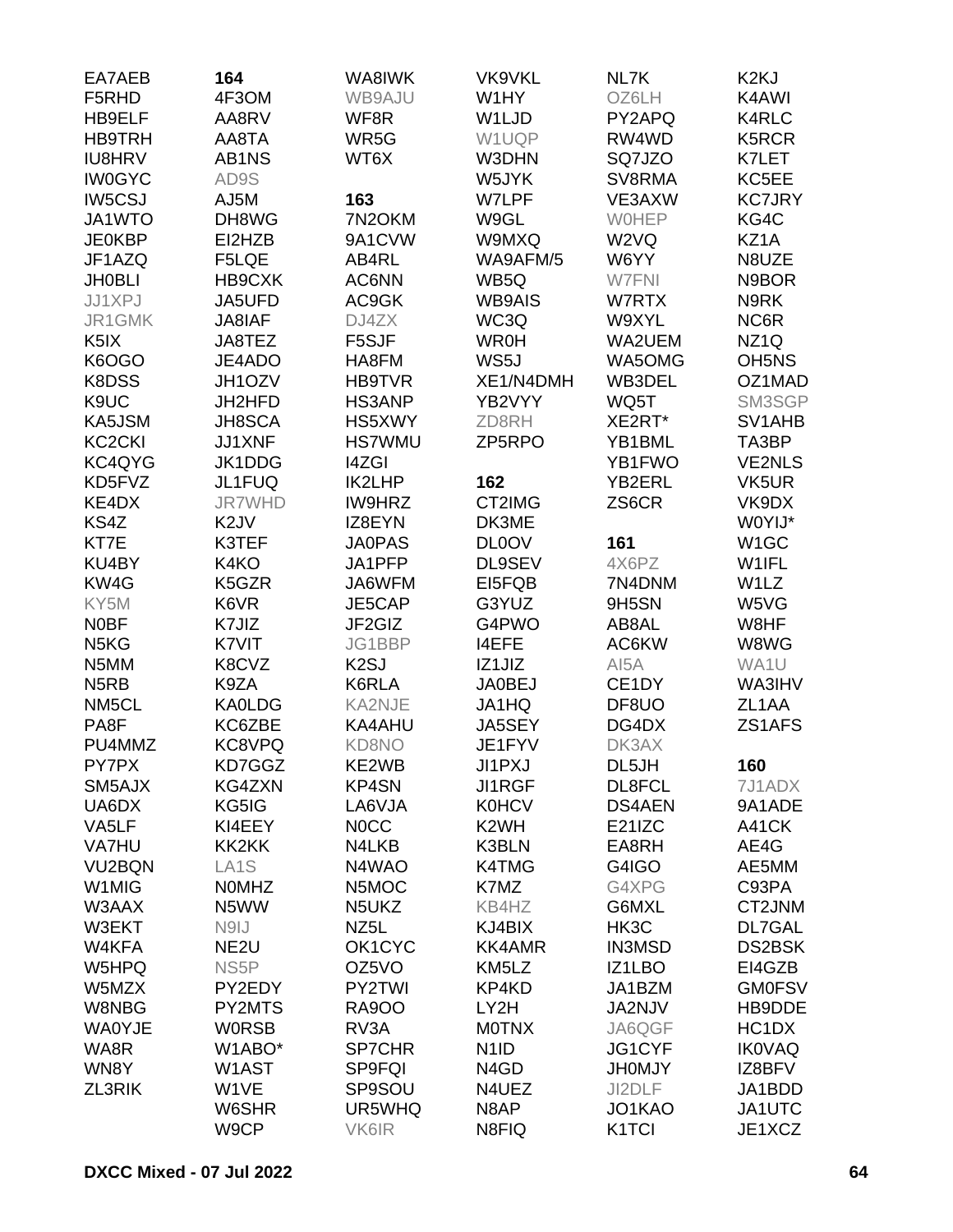| EA7AEB                        | 164               | WA8IWK            | <b>VK9VKL</b>     | NL7K               | K <sub>2K</sub> J              |
|-------------------------------|-------------------|-------------------|-------------------|--------------------|--------------------------------|
| F5RHD                         | 4F3OM             | WB9AJU            | W1HY              | OZ6LH              | K4AWI                          |
| HB9ELF                        | AA8RV             | WF8R              | W1LJD             | PY2APQ             | <b>K4RLC</b>                   |
| <b>HB9TRH</b>                 | AA8TA             | WR5G              | W1UQP             | RW4WD              | K5RCR                          |
| <b>IU8HRV</b>                 | AB1NS             | WT6X              | W3DHN             | SQ7JZO             | K7LET                          |
| <b>IW0GYC</b>                 | AD9S              |                   | W5JYK             | SV8RMA             | KC5EE                          |
| <b>IW5CSJ</b>                 | AJ5M              | 163               | W7LPF             | VE3AXW             | <b>KC7JRY</b>                  |
| JA1WTO                        | DH8WG             | 7N2OKM            | W9GL              | <b>WOHEP</b>       | KG4C                           |
| <b>JE0KBP</b>                 | EI2HZB            | 9A1CVW            | W9MXQ             | W2VQ               | KZ1A                           |
| JF1AZQ                        | F5LQE             | AB4RL             | WA9AFM/5          | W6YY               | N8UZE                          |
| <b>JH0BLI</b>                 | HB9CXK            | AC6NN             | WB5Q              | W7FNI              | N9BOR                          |
| JJ1XPJ                        | JA5UFD            | AC9GK             | <b>WB9AIS</b>     | W7RTX              | N9RK                           |
| JR1GMK                        | JA8IAF            | DJ4ZX             | WC3Q              | W9XYL              | NC6R                           |
| K <sub>5</sub> IX             | JA8TEZ            | F5SJF             | <b>WR0H</b>       | WA2UEM             | NZ <sub>1Q</sub>               |
| K6OGO                         | JE4ADO            | HA8FM             | WS5J              | WA5OMG             | OH <sub>5</sub> N <sub>S</sub> |
| K8DSS                         | JH1OZV            | <b>HB9TVR</b>     | XE1/N4DMH         | WB3DEL             | OZ1MAD                         |
| K9UC                          | JH2HFD            | <b>HS3ANP</b>     | YB2VYY            | WQ5T               | SM3SGP                         |
| KA5JSM                        | JH8SCA            | HS5XWY            | ZD8RH             | XE2RT*             | SV1AHB                         |
| KC <sub>2</sub> CKI           | JJ1XNF            | <b>HS7WMU</b>     | ZP5RPO            | YB1BML             | TA3BP                          |
| KC4QYG                        | JK1DDG            | <b>I4ZGI</b>      |                   | YB1FWO             | <b>VE2NLS</b>                  |
| KD5FVZ                        | JL1FUQ            | <b>IK2LHP</b>     | 162               | YB2ERL             | VK5UR                          |
| KE4DX                         | <b>JR7WHD</b>     | <b>IW9HRZ</b>     | CT2IMG            | ZS6CR              | VK9DX                          |
| KS4Z                          | K <sub>2</sub> JV | IZ8EYN            | DK3ME             |                    | W0YIJ*                         |
| KT7E                          | K3TEF             | <b>JA0PAS</b>     | <b>DL0OV</b>      | 161                | W <sub>1</sub> GC              |
| KU4BY                         | K4KO              | JA1PFP            | DL9SEV            | 4X6PZ              | W1IFL                          |
| KW4G                          | K5GZR             | JA6WFM            | EI5FQB            | 7N4DNM             | W1LZ                           |
| KY5M                          | K6VR              | JE5CAP            | G3YUZ             | 9H5SN              | W5VG                           |
|                               |                   |                   |                   |                    |                                |
| <b>NOBF</b>                   | K7JIZ             | JF2GIZ            | G4PWO             | AB8AL              | W8HF                           |
| N <sub>5</sub> K <sub>G</sub> | K7VIT             | JG1BBP            | <b>I4EFE</b>      | AC6KW              | W8WG                           |
| N5MM                          | K8CVZ             | K <sub>2</sub> SJ | IZ1JIZ            | AI5A               | WA1U                           |
| N <sub>5</sub> RB             | K9ZA              | K6RLA             | <b>JA0BEJ</b>     | CE1DY              | WA3IHV                         |
| NM5CL                         | <b>KA0LDG</b>     | KA2NJE            | JA1HQ             | DF8UO              | ZL <sub>1</sub> AA             |
| PA8F                          | KC6ZBE            | KA4AHU            | JA5SEY            | DG4DX              | ZS1AFS                         |
| PU4MMZ                        | KC8VPQ            | <b>KD8NO</b>      | JE1FYV            | DK3AX              |                                |
| PY7PX                         | KD7GGZ            | KE2WB             | JI1PXJ            | DL5JH              | 160                            |
| SM5AJX                        | KG4ZXN            | KP4SN             | <b>JI1RGF</b>     | DL8FCL             | 7J1ADX                         |
| UA6DX                         | KG5IG             | LA6VJA            | <b>K0HCV</b>      | <b>DS4AEN</b>      | 9A1ADE                         |
| VA5LF                         | KI4EEY            | <b>NOCC</b>       | K <sub>2</sub> WH | E21IZC             | A41CK                          |
| VA7HU                         | KK2KK             | N4LKB             | K3BLN             | EA8RH              | AE4G                           |
| VU <sub>2</sub> BQN           | LA <sub>1</sub> S | N4WAO             | K4TMG             | G4IGO              | AE5MM                          |
| W1MIG                         | <b>NOMHZ</b>      | N5MOC             | K7MZ              | G4XPG              | C93PA                          |
| W3AAX                         | N5WW              | N5UKZ             | KB4HZ             | G6MXL              | CT2JNM                         |
| W3EKT                         | N9IJ              | NZ <sub>5</sub> L | KJ4BIX            | HK3C               | DL7GAL                         |
| W4KFA                         | NE <sub>2U</sub>  | OK1CYC            | <b>KK4AMR</b>     | <b>IN3MSD</b>      | <b>DS2BSK</b>                  |
| W5HPQ                         | NS <sub>5</sub> P | OZ5VO             | KM5LZ             | IZ1LBO             | EI4GZB                         |
| W5MZX                         | PY2EDY            | PY2TWI            | KP4KD             | JA1BZM             | <b>GM0FSV</b>                  |
| W8NBG                         | PY2MTS            | <b>RA9OO</b>      | LY2H              | JA2NJV             | HB9DDE                         |
| <b>WA0YJE</b>                 | <b>WORSB</b>      | RV3A              | <b>MOTNX</b>      | JA6QGF             | HC <sub>1</sub> D <sub>X</sub> |
| WA8R                          | W1ABO*            | <b>SP7CHR</b>     | N <sub>1</sub> ID | JG1CYF             | <b>IK0VAQ</b>                  |
| WN8Y                          | W1AST             | SP9FQI            | N4GD              | <b>JHOMJY</b>      | IZ8BFV                         |
| ZL3RIK                        | W1VE              | SP9SOU            | N4UEZ             | JI2DLF             | JA1BDD                         |
|                               | W6SHR             | UR5WHQ            | N8AP              | JO1KAO             | JA1UTC                         |
|                               | W9CP              | VK6IR             | N8FIQ             | K <sub>1</sub> TCI | JE1XCZ                         |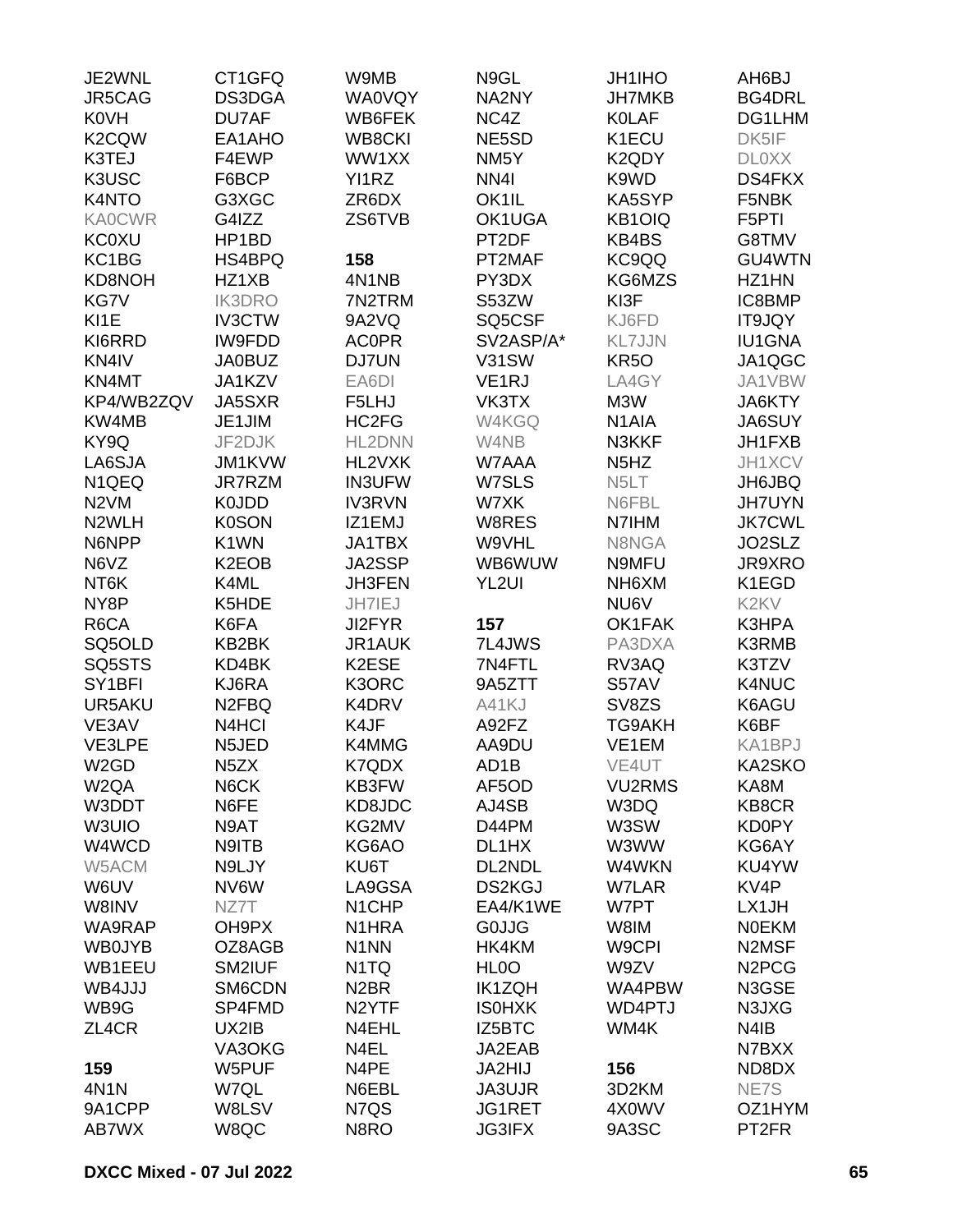| JE2WNL              | CT1GFQ                         | W9MB               | N9GL              | <b>JH1IHO</b>                 | AH6BJ                          |
|---------------------|--------------------------------|--------------------|-------------------|-------------------------------|--------------------------------|
| JR5CAG              | DS3DGA                         | <b>WA0VQY</b>      | NA2NY             | <b>JH7MKB</b>                 | BG4DRL                         |
| <b>K0VH</b>         | DU7AF                          | WB6FEK             | NC4Z              | <b>KOLAF</b>                  | DG1LHM                         |
| K <sub>2</sub> CQW  | EA1AHO                         | <b>WB8CKI</b>      | NE5SD             | K1ECU                         | DK5IF                          |
| K3TEJ               | F4EWP                          | WW1XX              | NM <sub>5</sub> Y | K2QDY                         | <b>DLOXX</b>                   |
| K3USC               | F6BCP                          | YI1RZ              | NN4I              | K9WD                          | DS4FKX                         |
| K4NTO               | G3XGC                          | ZR6DX              | OK1IL             | KA5SYP                        | F5NBK                          |
| <b>KA0CWR</b>       | G4IZZ                          | ZS6TVB             | OK1UGA            | KB1OIQ                        | F5PTI                          |
| <b>KC0XU</b>        | HP1BD                          |                    | PT2DF             | KB4BS                         | G8TMV                          |
| KC1BG               | HS4BPQ                         | 158                | PT2MAF            | KC9QQ                         | GU4WTN                         |
| KD8NOH              | HZ1XB                          | 4N1NB              | PY3DX             | KG6MZS                        | HZ1HN                          |
| KG7V                | <b>IK3DRO</b>                  | 7N2TRM             | S53ZW             | KI3F                          | IC8BMP                         |
|                     |                                |                    |                   |                               |                                |
| KI1E                | <b>IV3CTW</b>                  | 9A2VQ              | SQ5CSF            | KJ6FD                         | IT9JQY                         |
| KI6RRD              | <b>IW9FDD</b>                  | <b>AC0PR</b>       | SV2ASP/A*         | <b>KL7JJN</b>                 | <b>IU1GNA</b>                  |
| KN4IV               | <b>JA0BUZ</b>                  | <b>DJ7UN</b>       | <b>V31SW</b>      | <b>KR50</b>                   | JA1QGC                         |
| KN4MT               | JA1KZV                         | EA6DI              | VE <sub>1RJ</sub> | LA4GY                         | JA1VBW                         |
| KP4/WB2ZQV          | JA5SXR                         | F5LHJ              | VK3TX             | M3W                           | JA6KTY                         |
| KW4MB               | JE1JIM                         | HC2FG              | W4KGQ             | N <sub>1</sub> AIA            | JA6SUY                         |
| KY9Q                | JF2DJK                         | HL2DNN             | W4NB              | N3KKF                         | JH1FXB                         |
| LA6SJA              | JM1KVW                         | HL2VXK             | W7AAA             | N <sub>5</sub> H <sub>Z</sub> | <b>JH1XCV</b>                  |
| N <sub>1QEQ</sub>   | JR7RZM                         | <b>IN3UFW</b>      | W7SLS             | N <sub>5</sub> LT             | JH6JBQ                         |
| N <sub>2</sub> VM   | K0JDD                          | <b>IV3RVN</b>      | W7XK              | N6FBL                         | <b>JH7UYN</b>                  |
| N2WLH               | <b>K0SON</b>                   | IZ1EMJ             | W8RES             | N7IHM                         | <b>JK7CWL</b>                  |
| N6NPP               | K1WN                           | JA1TBX             | W9VHL             | N8NGA                         | JO2SLZ                         |
| N6VZ                | K <sub>2</sub> EO <sub>B</sub> | JA2SSP             | WB6WUW            | N9MFU                         | <b>JR9XRO</b>                  |
| NT6K                | K4ML                           | <b>JH3FEN</b>      | YL2UI             | NH6XM                         | K1EGD                          |
| NY8P                | K5HDE                          | JH7IEJ             |                   | NU6V                          | K <sub>2</sub> K <sub>V</sub>  |
| R6CA                | K6FA                           | JI2FYR             | 157               | OK1FAK                        | K3HPA                          |
| SQ5OLD              | KB2BK                          | JR1AUK             | 7L4JWS            | PA3DXA                        | <b>K3RMB</b>                   |
| SQ5STS              | KD4BK                          | K2ESE              | 7N4FTL            | RV3AQ                         | K3TZV                          |
| SY <sub>1</sub> BFI | KJ6RA                          | K3ORC              | 9A5ZTT            | S57AV                         | K4NUC                          |
| UR5AKU              | N <sub>2FBQ</sub>              | K4DRV              | A41KJ             | SV8ZS                         | K6AGU                          |
| VE3AV               | N4HCI                          | K4JF               | A92FZ             | TG9AKH                        | K6BF                           |
| VE3LPE              | N5JED                          | K4MMG              | AA9DU             | VE1EM                         | KA1BPJ                         |
| W <sub>2</sub> GD   | N <sub>5</sub> ZX              | K7QDX              | AD <sub>1</sub> B | VE4UT                         | KA2SKO                         |
| W <sub>2</sub> QA   | N6CK                           | KB3FW              | AF5OD             | <b>VU2RMS</b>                 | KA8M                           |
| W3DDT               | N6FE                           | KD8JDC             | AJ4SB             | W3DQ                          | KB8CR                          |
| W3UIO               | N9AT                           | KG2MV              | D44PM             | W3SW                          | <b>KD0PY</b>                   |
| W4WCD               | N9ITB                          | KG6AO              | DL1HX             | W3WW                          | KG6AY                          |
| W5ACM               | N9LJY                          | KU6T               | DL2NDL            | W4WKN                         | KU4YW                          |
| W6UV                | NV6W                           | LA9GSA             | <b>DS2KGJ</b>     | <b>W7LAR</b>                  | KV <sub>4</sub> P              |
| W8INV               | NZ7T                           | N <sub>1</sub> CHP | EA4/K1WE          | W7PT                          | LX1JH                          |
| WA9RAP              | OH9PX                          | N <sub>1</sub> HRA | <b>GOJJG</b>      | W8IM                          | <b>NOEKM</b>                   |
| <b>WB0JYB</b>       | OZ8AGB                         | N <sub>1</sub> NN  | HK4KM             | W9CPI                         | N2MSF                          |
| WB1EEU              | SM2IUF                         | N <sub>1</sub> TQ  | HL <sub>0</sub> O | W9ZV                          | N <sub>2</sub> PC <sub>G</sub> |
| WB4JJJ              | SM6CDN                         | N <sub>2</sub> BR  | <b>IK1ZQH</b>     | WA4PBW                        | N3GSE                          |
| WB9G                | SP4FMD                         | N <sub>2</sub> YTF | <b>ISOHXK</b>     | WD4PTJ                        | N3JXG                          |
|                     |                                |                    |                   |                               |                                |
| ZL4CR               | UX2IB                          | N4EHL              | IZ5BTC            | WM4K                          | N4IB                           |
|                     | VA3OKG                         | N4EL               | JA2EAB            |                               | N7BXX                          |
| 159                 | W5PUF                          | N4PE               | JA2HIJ            | 156                           | ND8DX                          |
| 4N1N                | W7QL                           | N6EBL              | JA3UJR            | 3D2KM                         | NE7S                           |
| 9A1CPP              | W8LSV                          | N7QS               | JG1RET            | 4X0WV                         | OZ1HYM                         |
| AB7WX               | W8QC                           | N8RO               | <b>JG3IFX</b>     | 9A3SC                         | PT <sub>2FR</sub>              |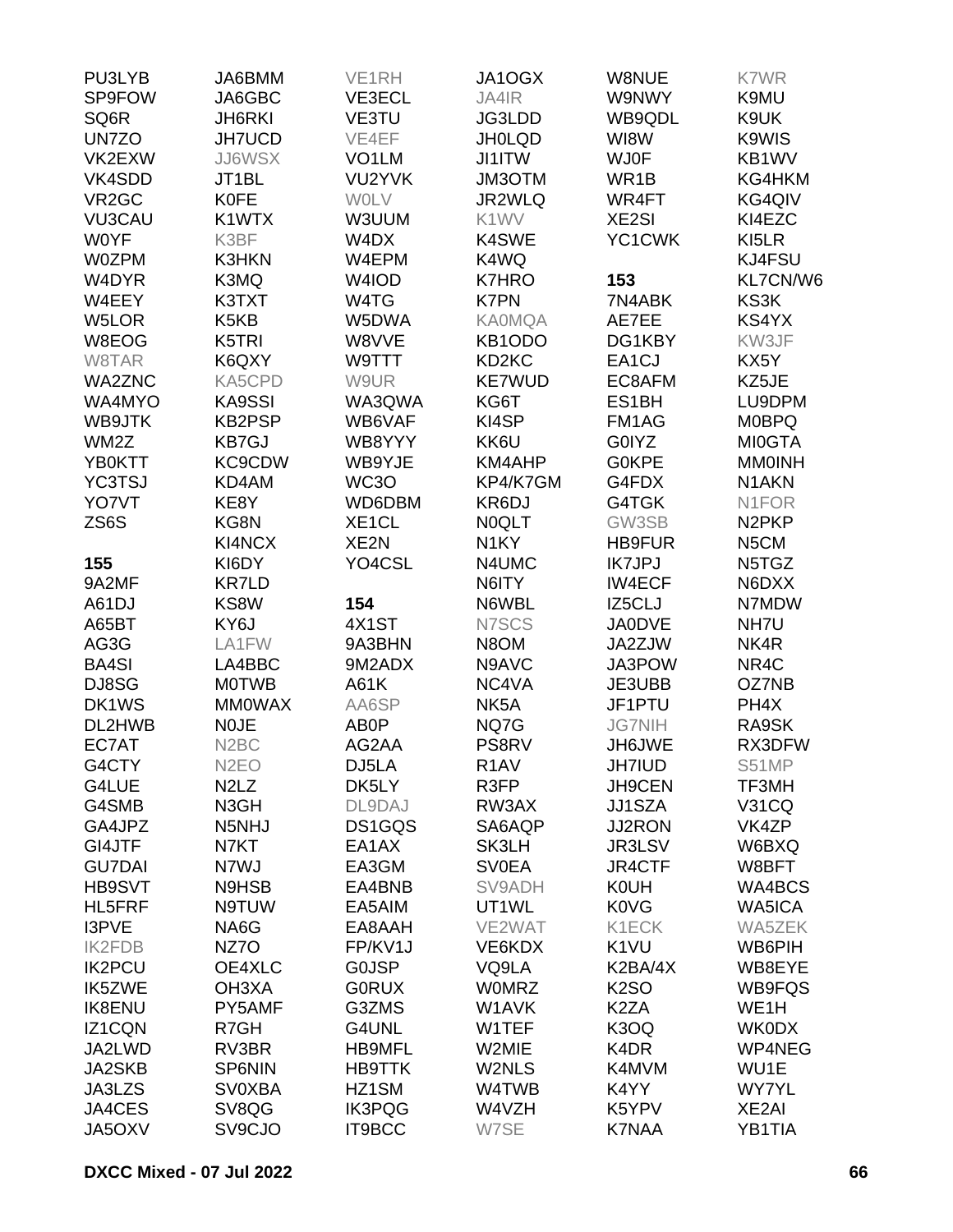| PU3LYB             | JA6BMM                        | VE <sub>1RH</sub>  | JA1OGX             | W8NUE              | K7WR               |
|--------------------|-------------------------------|--------------------|--------------------|--------------------|--------------------|
| SP9FOW             | JA6GBC                        | VE3ECL             | JA4IR              | W9NWY              | K9MU               |
| SQ6R               | <b>JH6RKI</b>                 | VE3TU              | JG3LDD             | WB9QDL             | K9UK               |
| UN7ZO              | <b>JH7UCD</b>                 | VE4EF              | <b>JH0LQD</b>      | WI8W               | K9WIS              |
| VK2EXW             | <b>JJ6WSX</b>                 | VO <sub>1</sub> LM | JI1ITW             | <b>WJ0F</b>        | KB1WV              |
| VK4SDD             | JT1BL                         | VU2YVK             | JM3OTM             | WR1B               | KG4HKM             |
| VR <sub>2</sub> GC | <b>K0FE</b>                   | <b>WOLV</b>        | JR2WLQ             | WR4FT              | KG4QIV             |
| <b>VU3CAU</b>      | K1WTX                         | W3UUM              | K1WV               | <b>XE2SI</b>       | KI4EZC             |
| <b>WOYF</b>        | K3BF                          | W4DX               | K4SWE              | YC1CWK             | KI5LR              |
| <b>W0ZPM</b>       | K3HKN                         | W4EPM              | K4WQ               |                    | KJ4FSU             |
| W4DYR              | K3MQ                          | W4IOD              | <b>K7HRO</b>       | 153                | KL7CN/W6           |
| W4EEY              | K3TXT                         | W4TG               | <b>K7PN</b>        | 7N4ABK             | KS3K               |
| W5LOR              | K <sub>5</sub> K <sub>B</sub> | W5DWA              | <b>KA0MQA</b>      | AE7EE              | KS4YX              |
| W8EOG              | K5TRI                         | W8VVE              | KB1ODO             | DG1KBY             | KW3JF              |
| W8TAR              | K6QXY                         | W9TTT              | KD <sub>2</sub> KC | EA <sub>1</sub> CJ | KX5Y               |
| <b>WA2ZNC</b>      | KA5CPD                        | W9UR               | <b>KE7WUD</b>      | EC8AFM             | KZ5JE              |
| WA4MYO             | <b>KA9SSI</b>                 | WA3QWA             | KG6T               | ES1BH              | LU9DPM             |
| WB9JTK             | <b>KB2PSP</b>                 | WB6VAF             | KI4SP              | FM1AG              | <b>MOBPQ</b>       |
| WM2Z               | <b>KB7GJ</b>                  | WB8YYY             | KK6U               | G0IYZ              | <b>MI0GTA</b>      |
| <b>YB0KTT</b>      | <b>KC9CDW</b>                 | WB9YJE             | KM4AHP             | <b>GOKPE</b>       | <b>MMOINH</b>      |
| <b>YC3TSJ</b>      | KD4AM                         | WC3O               | KP4/K7GM           | G4FDX              | N <sub>1</sub> AKN |
| YO7VT              | KE8Y                          | WD6DBM             | KR6DJ              | G4TGK              | N <sub>1</sub> FOR |
| ZS6S               | KG8N                          | XE1CL              | <b>NOQLT</b>       | GW3SB              | N <sub>2</sub> PKP |
|                    | KI4NCX                        | XE2N               | N <sub>1</sub> KY  | <b>HB9FUR</b>      | N5CM               |
| 155                | KI6DY                         | YO4CSL             | N4UMC              | <b>IK7JPJ</b>      | N5TGZ              |
| 9A2MF              | <b>KR7LD</b>                  |                    | N6ITY              | <b>IW4ECF</b>      | N6DXX              |
| A61DJ              | KS8W                          | 154                | N6WBL              | IZ5CLJ             | N7MDW              |
| A65BT              | KY6J                          | 4X1ST              | N7SCS              | <b>JA0DVE</b>      | NH7U               |
|                    |                               |                    |                    |                    |                    |
| AG3G               | LA1FW                         | 9A3BHN             | N8OM               | JA2ZJW             | NK4R               |
| <b>BA4SI</b>       | LA4BBC                        | 9M2ADX             | N9AVC              | JA3POW             | NR4C               |
| DJ8SG              | <b>MOTWB</b>                  | A61K               | NC4VA              | JE3UBB             | OZ7NB              |
| DK1WS              | <b>MMOWAX</b>                 | AA6SP              | NK <sub>5</sub> A  | JF1PTU             | PH4X               |
| DL2HWB             | <b>NOJE</b>                   | AB0P               | NQ7G               | <b>JG7NIH</b>      | RA9SK              |
| EC7AT              | N <sub>2</sub> BC             | AG2AA              | PS8RV              | JH6JWE             | RX3DFW             |
| G4CTY              | N <sub>2</sub> EO             | DJ5LA              | R <sub>1</sub> AV  | <b>JH7IUD</b>      | S51MP              |
| G4LUE              | N <sub>2</sub> L <sub>Z</sub> | DK5LY              | R3FP               | JH9CEN             | TF3MH              |
| G4SMB              | N3GH                          | DL9DAJ             | RW3AX              | <b>JJ1SZA</b>      | <b>V31CQ</b>       |
| GA4JPZ             | N5NHJ                         | DS1GQS             | SA6AQP             | <b>JJ2RON</b>      | VK4ZP              |
| GI4JTF             | N7KT                          | EA1AX              | SK3LH              | JR3LSV             | W6BXQ              |
| <b>GU7DAI</b>      | N7WJ                          | EA3GM              | <b>SV0EA</b>       | JR4CTF             | W8BFT              |
| <b>HB9SVT</b>      | N9HSB                         | EA4BNB             | SV9ADH             | <b>K0UH</b>        | WA4BCS             |
| HL5FRF             | N9TUW                         | EA5AIM             | UT1WL              | K0VG               | WA5ICA             |
| I3PVE              | NA6G                          | EA8AAH             | VE2WAT             | K1ECK              | WA5ZEK             |
| <b>IK2FDB</b>      | NZ7O                          | FP/KV1J            | VE6KDX             | K <sub>1</sub> VU  | WB6PIH             |
| <b>IK2PCU</b>      | OE4XLC                        | <b>GOJSP</b>       | VQ9LA              | K2BA/4X            | WB8EYE             |
| IK5ZWE             | OH3XA                         | <b>GORUX</b>       | <b>WOMRZ</b>       | <b>K2SO</b>        | WB9FQS             |
| <b>IK8ENU</b>      | PY5AMF                        | G3ZMS              | W1AVK              | K <sub>2</sub> ZA  | WE1H               |
| IZ1CQN             | R7GH                          | G4UNL              | W1TEF              | K3OQ               | <b>WK0DX</b>       |
| JA2LWD             | RV3BR                         | <b>HB9MFL</b>      | W2MIE              | K4DR               | WP4NEG             |
| <b>JA2SKB</b>      | <b>SP6NIN</b>                 | <b>HB9TTK</b>      | W2NLS              | K4MVM              | WU1E               |
| JA3LZS             | <b>SV0XBA</b>                 | HZ1SM              | W4TWB              | K4YY               | <b>WY7YL</b>       |
| JA4CES             | SV8QG                         | <b>IK3PQG</b>      | W4VZH              | K5YPV              | XE2AI              |
| JA5OXV             | SV9CJO                        | IT9BCC             | W7SE               | <b>K7NAA</b>       | YB1TIA             |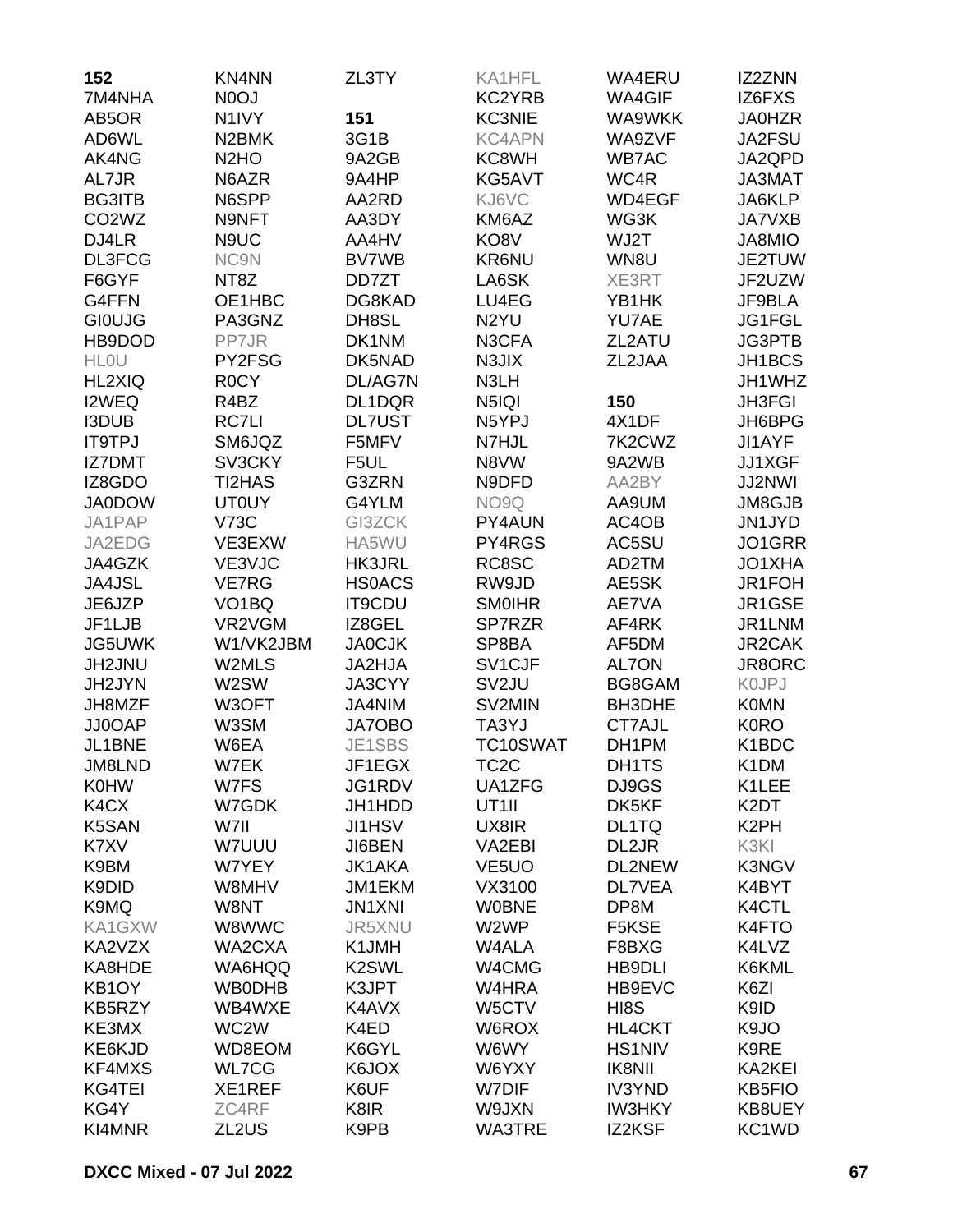| 152                            | KN4NN                         | ZL3TY              | KA1HFL              | WA4ERU        | IZ2ZNN            |
|--------------------------------|-------------------------------|--------------------|---------------------|---------------|-------------------|
| 7M4NHA                         | N <sub>0</sub> OJ             |                    | KC2YRB              | <b>WA4GIF</b> | IZ6FXS            |
| AB5OR                          | N <sub>1</sub> IVY            | 151                | <b>KC3NIE</b>       | WA9WKK        | <b>JA0HZR</b>     |
| AD6WL                          | N <sub>2</sub> BMK            | 3G1B               | <b>KC4APN</b>       | WA9ZVF        | JA2FSU            |
| AK4NG                          | N <sub>2</sub> H <sub>O</sub> | 9A2GB              | KC8WH               | <b>WB7AC</b>  | JA2QPD            |
| AL7JR                          | N6AZR                         | 9A4HP              | KG5AVT              | WC4R          | JA3MAT            |
| <b>BG3ITB</b>                  | N6SPP                         | AA2RD              | KJ6VC               | WD4EGF        | JA6KLP            |
| CO <sub>2</sub> W <sub>Z</sub> | N9NFT                         | AA3DY              | KM6AZ               | WG3K          | <b>JA7VXB</b>     |
| DJ4LR                          | N9UC                          | AA4HV              | KO8V                | WJ2T          | JA8MIO            |
| DL3FCG                         | NC9N                          | <b>BV7WB</b>       | KR6NU               | WN8U          | JE2TUW            |
| F6GYF                          | NT8Z                          | DD7ZT              | LA6SK               | XE3RT         | JF2UZW            |
| G4FFN                          | OE1HBC                        | DG8KAD             | LU4EG               | YB1HK         | JF9BLA            |
| <b>GIOUJG</b>                  | PA3GNZ                        | DH8SL              | N <sub>2</sub> YU   | YU7AE         | JG1FGL            |
| HB9DOD                         | PP7JR                         | DK1NM              | N3CFA               | ZL2ATU        | JG3PTB            |
| <b>HLOU</b>                    | PY2FSG                        | DK5NAD             | N3JIX               | ZL2JAA        | JH1BCS            |
| HL2XIQ                         | R <sub>0</sub> CY             | DL/AG7N            | N3LH                |               | JH1WHZ            |
| I2WEQ                          | R4BZ                          | DL1DQR             | N5IQI               | 150           | <b>JH3FGI</b>     |
| <b>I3DUB</b>                   | <b>RC7LI</b>                  | <b>DL7UST</b>      | N5YPJ               | 4X1DF         | JH6BPG            |
| <b>IT9TPJ</b>                  | SM6JQZ                        | F5MFV              | N7HJL               | 7K2CWZ        | JI1AYF            |
| <b>IZ7DMT</b>                  | SV3CKY                        | F5UL               | N8VW                | 9A2WB         | JJ1XGF            |
| IZ8GDO                         | <b>TI2HAS</b>                 |                    | N9DFD               | AA2BY         | <b>JJ2NWI</b>     |
|                                |                               | G3ZRN              |                     |               |                   |
| <b>JA0DOW</b>                  | <b>UT0UY</b>                  | G4YLM              | NO9Q                | AA9UM         | JM8GJB            |
| JA1PAP                         | <b>V73C</b>                   | GI3ZCK             | PY4AUN              | AC4OB         | JN1JYD            |
| JA2EDG                         | VE3EXW                        | HA5WU              | PY4RGS              | AC5SU         | JO1GRR            |
| JA4GZK                         | VE3VJC                        | <b>HK3JRL</b>      | RC8SC               | AD2TM         | JO1XHA            |
| <b>JA4JSL</b>                  | <b>VE7RG</b>                  | <b>HSOACS</b>      | RW9JD               | AE5SK         | JR1FOH            |
| JE6JZP                         | VO <sub>1</sub> BQ            | <b>IT9CDU</b>      | <b>SMOIHR</b>       | AE7VA         | JR1GSE            |
| JF1LJB                         | VR2VGM                        | IZ8GEL             | SP7RZR              | AF4RK         | JR1LNM            |
| JG5UWK                         | W1/VK2JBM                     | <b>JA0CJK</b>      | SP8BA               | AF5DM         | JR2CAK            |
| JH2JNU                         | W2MLS                         | JA2HJA             | SV <sub>1</sub> CJF | <b>AL7ON</b>  | JR8ORC            |
| JH2JYN                         | W2SW                          | JA3CYY             | SV <sub>2</sub> JU  | BG8GAM        | <b>KOJPJ</b>      |
| JH8MZF                         | W3OFT                         | JA4NIM             | SV2MIN              | BH3DHE        | <b>K0MN</b>       |
| JJ0OAP                         | W3SM                          | JA7OBO             | TA3YJ               | CT7AJL        | <b>K0RO</b>       |
| JL1BNE                         | W6EA                          | JE1SBS             | TC10SWAT            | DH1PM         | K1BDC             |
| JM8LND                         | W7EK                          | JF1EGX             | TC2C                | DH1TS         | K <sub>1</sub> DM |
| <b>K0HW</b>                    | W7FS                          | JG1RDV             | UA1ZFG              | DJ9GS         | K1LEE             |
| K4CX                           | W7GDK                         | JH1HDD             | UT <sub>1</sub>     | DK5KF         | K2DT              |
| <b>K5SAN</b>                   | W7II                          | JI1HSV             | UX8IR               | DL1TQ         | K <sub>2</sub> PH |
| K7XV                           | W7UUU                         | JI6BEN             | VA2EBI              | DL2JR         | K3KI              |
| K9BM                           | W7YEY                         | <b>JK1AKA</b>      | VE <sub>5</sub> UO  | DL2NEW        | K3NGV             |
| K9DID                          | W8MHV                         | JM1EKM             | VX3100              | <b>DL7VEA</b> | K4BYT             |
| K9MQ                           | W8NT                          | <b>JN1XNI</b>      | <b>WOBNE</b>        | DP8M          | K4CTL             |
| KA1GXW                         | W8WWC                         | JR5XNU             | W2WP                | F5KSE         | K4FTO             |
| KA2VZX                         | WA2CXA                        | K1JMH              | W4ALA               | F8BXG         | K4LVZ             |
| KA8HDE                         | WA6HQQ                        | K <sub>2</sub> SWL | W4CMG               | <b>HB9DLI</b> | K6KML             |
| KB <sub>1</sub> OY             | <b>WB0DHB</b>                 | K3JPT              | W4HRA               | HB9EVC        | K6ZI              |
| KB5RZY                         | WB4WXE                        | K4AVX              | W5CTV               | HI8S          | K9ID              |
| KE3MX                          | WC <sub>2</sub> W             | K4ED               | W6ROX               | <b>HL4CKT</b> | K9JO              |
| KE6KJD                         | WD8EOM                        | K6GYL              | W6WY                | <b>HS1NIV</b> | K9RE              |
| KF4MXS                         | <b>WL7CG</b>                  | K6JOX              | W6YXY               | <b>IK8NII</b> | KA2KEI            |
| KG4TEI                         | XE1REF                        | K6UF               | W7DIF               | <b>IV3YND</b> | <b>KB5FIO</b>     |
| KG4Y                           | ZC4RF                         | K8IR               | W9JXN               | <b>IW3HKY</b> | KB8UEY            |
| KI4MNR                         | ZL2US                         | K9PB               | WA3TRE              | IZ2KSF        | KC1WD             |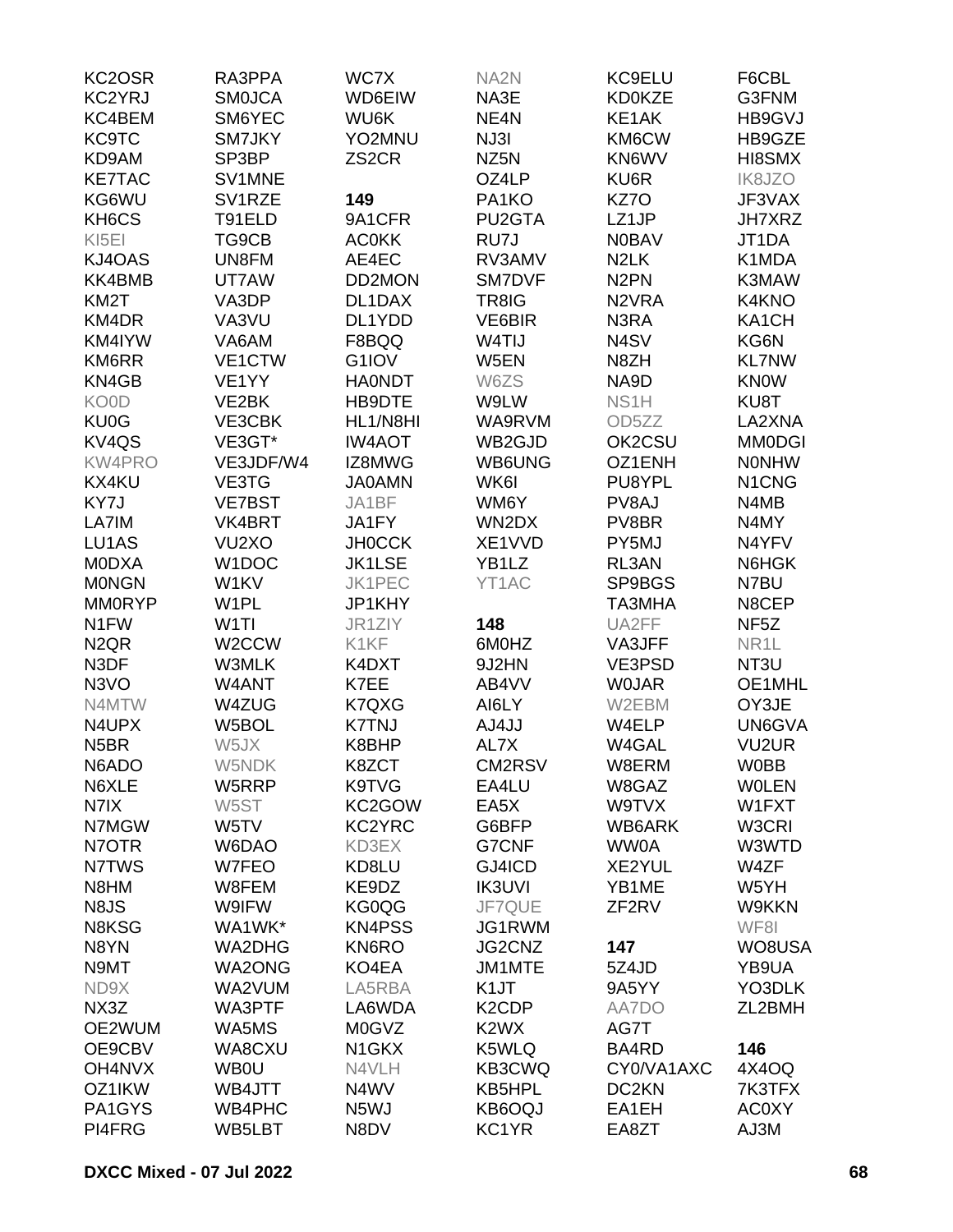| KC2OSR                        | RA3PPA             | WC7X               | NA <sub>2N</sub>              | KC9ELU             | F6CBL                          |
|-------------------------------|--------------------|--------------------|-------------------------------|--------------------|--------------------------------|
| KC2YRJ                        | <b>SMOJCA</b>      | WD6EIW             | NA3E                          | <b>KD0KZE</b>      | G3FNM                          |
| KC4BEM                        | SM6YEC             | WU6K               | NE <sub>4</sub> N             | KE1AK              | HB9GVJ                         |
| <b>KC9TC</b>                  | SM7JKY             | YO2MNU             | NJ3I                          | KM6CW              | HB9GZE                         |
| KD9AM                         | SP3BP              | ZS <sub>2</sub> CR | NZ <sub>5</sub> N             | KN6WV              | HI8SMX                         |
| <b>KE7TAC</b>                 | SV1MNE             |                    | OZ4LP                         | KU6R               | IK8JZO                         |
| KG6WU                         | SV1RZE             | 149                | PA1KO                         | KZ7O               | JF3VAX                         |
| KH6CS                         | T91ELD             | 9A1CFR             | PU2GTA                        | LZ1JP              | <b>JH7XRZ</b>                  |
|                               |                    | <b>AC0KK</b>       | RU7J                          | <b>N0BAV</b>       | JT1DA                          |
| KI <sub>5EI</sub>             | TG9CB              |                    |                               |                    |                                |
| KJ4OAS                        | UN8FM              | AE4EC              | RV3AMV                        | N <sub>2</sub> LK  | K1MDA                          |
| KK4BMB                        | UT7AW              | DD2MON             | <b>SM7DVF</b>                 | N <sub>2</sub> PN  | K3MAW                          |
| KM <sub>2</sub> T             | VA3DP              | DL1DAX             | TR8IG                         | N <sub>2</sub> VRA | K4KNO                          |
| KM4DR                         | VA3VU              | DL1YDD             | VE6BIR                        | N3RA               | KA1CH                          |
| KM4IYW                        | VA6AM              | F8BQQ              | W <sub>4</sub> TIJ            | N <sub>4</sub> SV  | KG6N                           |
| <b>KM6RR</b>                  | VE1CTW             | G1IOV              | W5EN                          | N8ZH               | <b>KL7NW</b>                   |
| KN4GB                         | VE1YY              | <b>HAONDT</b>      | W6ZS                          | NA9D               | <b>KNOW</b>                    |
| KO0D                          | VE <sub>2</sub> BK | HB9DTE             | W9LW                          | NS <sub>1</sub> H  | KU8T                           |
| <b>KU0G</b>                   | VE3CBK             | HL1/N8HI           | WA9RVM                        | OD <sub>5</sub> ZZ | LA2XNA                         |
| KV <sub>4</sub> QS            | VE3GT*             | <b>IW4AOT</b>      | WB2GJD                        | OK2CSU             | <b>MM0DGI</b>                  |
| <b>KW4PRO</b>                 | VE3JDF/W4          | IZ8MWG             | WB6UNG                        | OZ1ENH             | <b>NONHW</b>                   |
| KX4KU                         | VE3TG              | <b>JA0AMN</b>      | WK6I                          | PU8YPL             | N <sub>1</sub> C <sub>NG</sub> |
| KY7J                          | <b>VE7BST</b>      | JA1BF              | WM6Y                          | PV8AJ              | N4MB                           |
| LA7IM                         | VK4BRT             | JA1FY              | WN2DX                         | PV8BR              | N4MY                           |
| LU1AS                         | VU <sub>2</sub> XO | <b>JH0CCK</b>      | XE1VVD                        | PY5MJ              | N4YFV                          |
| <b>MODXA</b>                  | W1DOC              | <b>JK1LSE</b>      | YB1LZ                         | RL3AN              | N6HGK                          |
| <b>MONGN</b>                  | W1KV               | <b>JK1PEC</b>      | YT1AC                         | SP9BGS             | N7BU                           |
| <b>MM0RYP</b>                 | W <sub>1</sub> PL  | JP1KHY             |                               | TA3MHA             | N8CEP                          |
| N <sub>1</sub> FW             | W <sub>1</sub> TI  | JR1ZIY             | 148                           | UA2FF              | NF <sub>5</sub> Z              |
| N <sub>2</sub> Q <sub>R</sub> | W <sub>2</sub> CCW | K1KF               | 6M0HZ                         | VA3JFF             | NR <sub>1</sub> L              |
| N3DF                          | W3MLK              | K4DXT              | 9J2HN                         | VE3PSD             | NT3U                           |
| N <sub>3</sub> VO             | W4ANT              | K7EE               | AB4VV                         | <b>WOJAR</b>       | OE1MHL                         |
| N4MTW                         |                    |                    |                               |                    |                                |
|                               | W4ZUG              | K7QXG              | AI6LY                         | W2EBM              | OY3JE                          |
| N4UPX                         | W5BOL              | <b>K7TNJ</b>       | AJ4JJ                         | W4ELP              | UN6GVA                         |
| N <sub>5</sub> BR             | W5JX               | K8BHP              | AL7X                          | W4GAL              | <b>VU2UR</b>                   |
| N6ADO                         | W5NDK              | K8ZCT              | CM2RSV                        | W8ERM              | <b>W0BB</b>                    |
| N6XLE                         | W5RRP              | K9TVG              | EA4LU                         | W8GAZ              | <b>WOLEN</b>                   |
| N7IX                          | W5ST               | KC2GOW             | EA5X                          | W9TVX              | W1FXT                          |
| N7MGW                         | W5TV               | KC2YRC             | G6BFP                         | WB6ARK             | W3CRI                          |
| N7OTR                         | W6DAO              | KD3EX              | G7CNF                         | <b>WW0A</b>        | W3WTD                          |
| N7TWS                         | W7FEO              | KD8LU              | GJ4ICD                        | XE2YUL             | W4ZF                           |
| N8HM                          | W8FEM              | KE9DZ              | <b>IK3UVI</b>                 | YB1ME              | W5YH                           |
| N8JS                          | W9IFW              | KG0QG              | JF7QUE                        | ZF <sub>2RV</sub>  | W9KKN                          |
| N8KSG                         | WA1WK*             | <b>KN4PSS</b>      | JG1RWM                        |                    | WF8I                           |
| N8YN                          | <b>WA2DHG</b>      | KN6RO              | JG2CNZ                        | 147                | WO8USA                         |
| N9MT                          | <b>WA2ONG</b>      | KO4EA              | JM1MTE                        | 5Z4JD              | YB9UA                          |
| ND9X                          | WA2VUM             | LA5RBA             | K <sub>1</sub> JT             | 9A5YY              | YO3DLK                         |
| NX3Z                          | WA3PTF             | LA6WDA             | K <sub>2</sub> CDP            | AA7DO              | ZL2BMH                         |
| OE2WUM                        | WA5MS              | <b>M0GVZ</b>       | K <sub>2</sub> W <sub>X</sub> | AG7T               |                                |
| OE9CBV                        | WA8CXU             | N <sub>1</sub> GKX | K5WLQ                         | BA4RD              | 146                            |
| OH4NVX                        | <b>WB0U</b>        | N4VLH              | KB3CWQ                        | CY0/VA1AXC         | 4X4OQ                          |
| OZ1IKW                        | WB4JTT             | N4WV               | <b>KB5HPL</b>                 | DC <sub>2</sub> KN | 7K3TFX                         |
| PA1GYS                        | <b>WB4PHC</b>      | N <sub>5</sub> WJ  | KB6OQJ                        | EA1EH              | <b>AC0XY</b>                   |
| PI4FRG                        | WB5LBT             | N8DV               | KC1YR                         | EA8ZT              | AJ3M                           |
|                               |                    |                    |                               |                    |                                |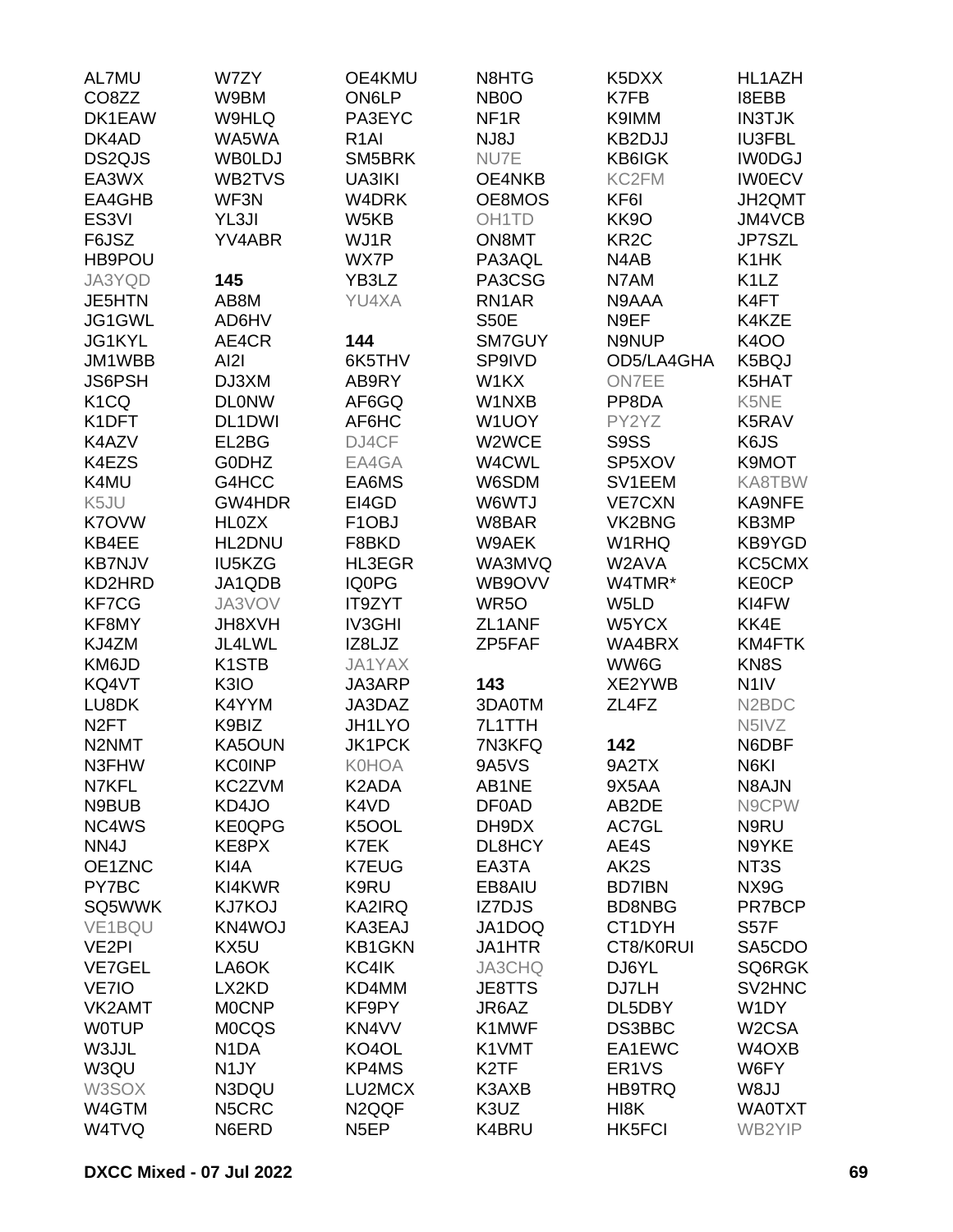| AL7MU              | W7ZY               | OE4KMU             | N8HTG              | K5DXX              | HL1AZH                          |
|--------------------|--------------------|--------------------|--------------------|--------------------|---------------------------------|
| CO8ZZ              | W9BM               | ON6LP              | NB <sub>0</sub>    | K7FB               | <b>I8EBB</b>                    |
| DK1EAW             | W9HLQ              | PA3EYC             | NF <sub>1</sub> R  | K9IMM              | <b>IN3TJK</b>                   |
| DK4AD              | WA5WA              | R <sub>1</sub> AI  | NJ8J               | KB2DJJ             | <b>IU3FBL</b>                   |
| DS2QJS             | <b>WB0LDJ</b>      | SM5BRK             | NU7E               | KB6IGK             | <b>IWODGJ</b>                   |
| EA3WX              | WB2TVS             | UA3IKI             | OE4NKB             | KC2FM              | <b>IW0ECV</b>                   |
|                    |                    |                    |                    |                    |                                 |
| EA4GHB             | WF3N               | W4DRK              | OE8MOS             | KF <sub>6</sub>    | JH2QMT                          |
| ES3VI              | YL3JI              | W5KB               | OH <sub>1</sub> TD | KK9O               | JM4VCB                          |
| F6JSZ              | YV4ABR             | WJ1R               | ON8MT              | KR <sub>2</sub> C  | JP7SZL                          |
| HB9POU             |                    | WX7P               | PA3AQL             | N4AB               | K1HK                            |
| JA3YQD             | 145                | YB3LZ              | PA3CSG             | N7AM               | K <sub>1</sub> L <sub>Z</sub>   |
| <b>JE5HTN</b>      | AB8M               | YU4XA              | RN1AR              | N9AAA              | K4FT                            |
| JG1GWL             | AD6HV              |                    | <b>S50E</b>        | N9EF               | K4KZE                           |
| JG1KYL             | AE4CR              | 144                | SM7GUY             | N9NUP              | <b>K400</b>                     |
| JM1WBB             | AI2I               | 6K5THV             | SP9IVD             | OD5/LA4GHA         | K5BQJ                           |
| <b>JS6PSH</b>      | DJ3XM              | AB9RY              | W1KX               | <b>ON7EE</b>       | K5HAT                           |
| K <sub>1</sub> CQ  | <b>DLONW</b>       | AF6GQ              | W1NXB              | PP8DA              | K5NE                            |
| K1DFT              | DL1DWI             | AF6HC              | W1UOY              | PY2YZ              | K5RAV                           |
| K4AZV              | EL2BG              | DJ4CF              | W2WCE              | S9SS               | K6JS                            |
| K4EZS              | <b>GODHZ</b>       | EA4GA              | W4CWL              | SP5XOV             | K9MOT                           |
| K4MU               | G4HCC              | EA6MS              | W6SDM              | SV1EEM             | KA8TBW                          |
| K5JU               | GW4HDR             | EI4GD              | W6WTJ              | <b>VE7CXN</b>      | KA9NFE                          |
| K7OVW              | <b>HL0ZX</b>       | F1OBJ              | W8BAR              | VK2BNG             | KB3MP                           |
| KB4EE              | HL2DNU             | F8BKD              | W9AEK              | W1RHQ              | KB9YGD                          |
| <b>KB7NJV</b>      | <b>IU5KZG</b>      | HL3EGR             | WA3MVQ             | W2AVA              | KC5CMX                          |
| KD2HRD             | JA1QDB             | <b>IQ0PG</b>       | WB9OVV             | W4TMR*             | <b>KE0CP</b>                    |
|                    |                    |                    |                    |                    |                                 |
| <b>KF7CG</b>       | JA3VOV             | IT9ZYT             | WR <sub>50</sub>   | W5LD               | KI4FW                           |
| KF8MY              | JH8XVH             | IV3GHI             | ZL1ANF             | W5YCX              | KK4E                            |
| KJ4ZM              | JL4LWL             | IZ8LJZ             | ZP5FAF             | WA4BRX             | KM4FTK                          |
| KM6JD              | K <sub>1</sub> STB | <b>JA1YAX</b>      |                    | WW6G               | KN8S                            |
| KQ4VT              | K3IO               | JA3ARP             | 143                | XE2YWB             | N <sub>1</sub> IV               |
| LU8DK              | K4YYM              | JA3DAZ             | 3DA0TM             | ZL4FZ              | N <sub>2</sub> B <sub>D</sub> C |
| N <sub>2</sub> FT  | K9BIZ              | JH1LYO             | 7L1TTH             |                    | N5IVZ                           |
| N2NMT              | KA5OUN             | <b>JK1PCK</b>      | 7N3KFQ             | 142                | N6DBF                           |
| N3FHW              | <b>KC0INP</b>      | <b>K0HOA</b>       | 9A5VS              | 9A2TX              | N6KI                            |
| N7KFL              | KC2ZVM             | K <sub>2</sub> ADA | AB1NE              | 9X5AA              | N8AJN                           |
| N9BUB              | KD4JO              | K4VD               | DF0AD              | AB2DE              | N9CPW                           |
| NC4WS              | KE0QPG             | K5OOL              | DH9DX              | AC7GL              | N9RU                            |
| NN4J               | KE8PX              | K7EK               | DL8HCY             | AE4S               | N9YKE                           |
| OE1ZNC             | KI4A               | <b>K7EUG</b>       | EA3TA              | AK2S               | NT <sub>3</sub> S               |
| PY7BC              | KI4KWR             | K9RU               | EB8AIU             | <b>BD7IBN</b>      | NX9G                            |
| SQ5WWK             | KJ7KOJ             | <b>KA2IRQ</b>      | <b>IZ7DJS</b>      | <b>BD8NBG</b>      | PR7BCP                          |
| VE1BQU             | KN4WOJ             | KA3EAJ             | JA1DOQ             | CT1DYH             | <b>S57F</b>                     |
| VE <sub>2</sub> PI | KX5U               | <b>KB1GKN</b>      | JA1HTR             | CT8/K0RUI          | SA5CDO                          |
| <b>VE7GEL</b>      | LA6OK              | KC4IK              | JA3CHQ             | DJ6YL              | SQ6RGK                          |
| VE7IO              | LX2KD              | KD4MM              | JE8TTS             | DJ7LH              | SV2HNC                          |
| VK2AMT             | <b>MOCNP</b>       | KF9PY              | JR6AZ              | DL5DBY             | W1DY                            |
| <b>WOTUP</b>       | <b>MOCQS</b>       | KN4VV              | K1MWF              | DS3BBC             | W2CSA                           |
|                    |                    |                    | K1VMT              | EA1EWC             |                                 |
| W3JJL              | N <sub>1</sub> DA  | KO4OL              |                    |                    | W4OXB                           |
| W3QU               | N <sub>1</sub> JY  | KP4MS              | K <sub>2</sub> TF  | ER <sub>1</sub> VS | W6FY                            |
| W3SOX              | N3DQU              | LU2MCX             | K3AXB              | <b>HB9TRQ</b>      | W8JJ                            |
| W4GTM              | N5CRC              | N <sub>2QQF</sub>  | K3UZ               | HI8K               | <b>WA0TXT</b>                   |
| W4TVQ              | N6ERD              | N <sub>5</sub> EP  | K4BRU              | <b>HK5FCI</b>      | WB2YIP                          |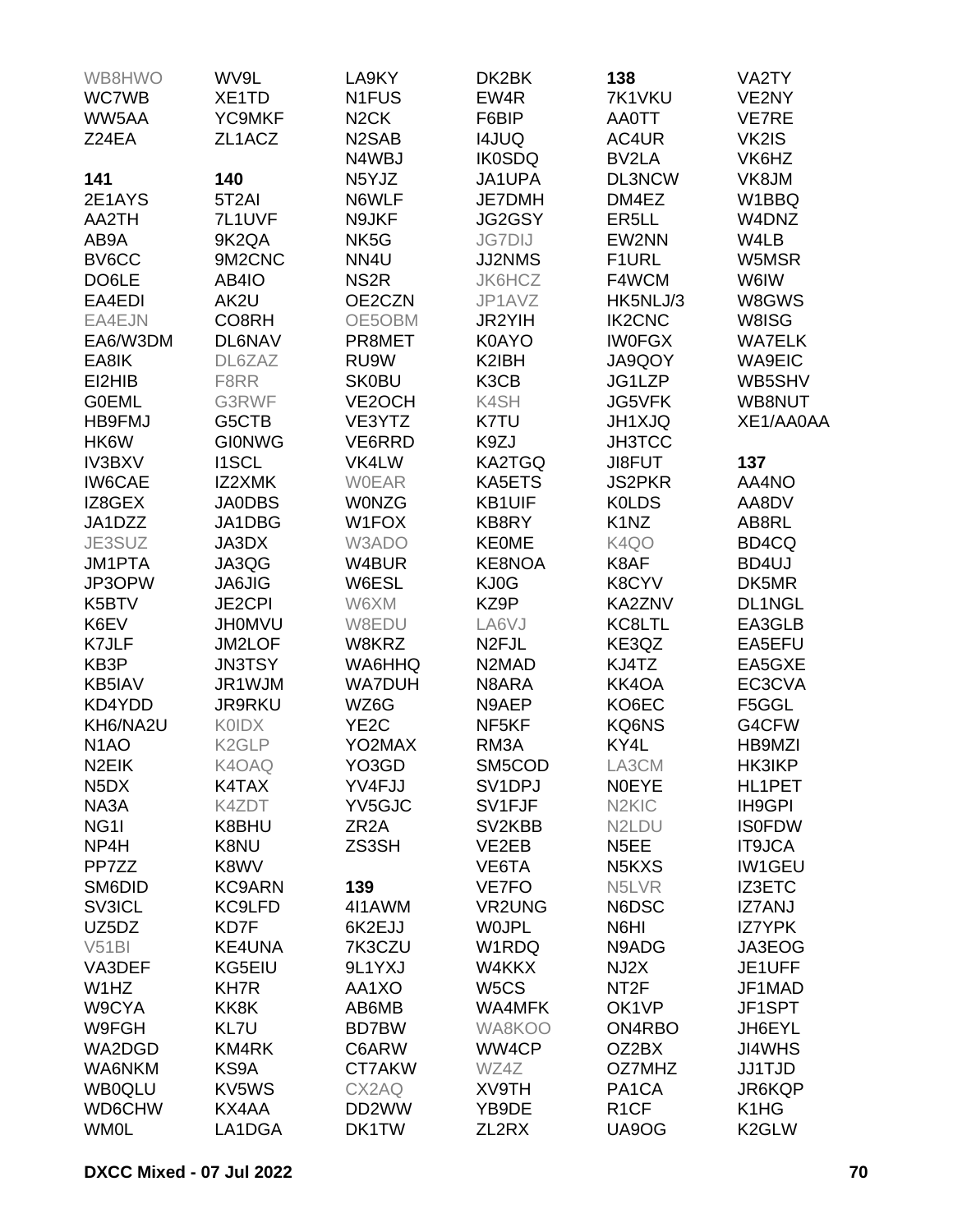| WB8HWO                        | WV9L               | LA9KY              | DK2BK                          | 138                             | VA2TY         |
|-------------------------------|--------------------|--------------------|--------------------------------|---------------------------------|---------------|
| WC7WB                         | XE1TD              | N <sub>1</sub> FUS | EW4R                           | 7K1VKU                          | VE2NY         |
| WW5AA                         | <b>YC9MKF</b>      | N <sub>2</sub> CK  | F6BIP                          | <b>AA0TT</b>                    | VE7RE         |
| Z24EA                         | ZL1ACZ             | N <sub>2</sub> SAB | <b>I4JUQ</b>                   | AC4UR                           | VK2IS         |
|                               |                    | N4WBJ              | <b>IK0SDQ</b>                  | BV2LA                           | VK6HZ         |
| 141                           | 140                | N5YJZ              | JA1UPA                         | DL3NCW                          | VK8JM         |
|                               |                    |                    |                                |                                 |               |
| 2E1AYS                        | 5T <sub>2</sub> AI | N6WLF              | JE7DMH                         | DM4EZ                           | W1BBQ         |
| AA2TH                         | 7L1UVF             | N9JKF              | JG2GSY                         | ER <sub>5</sub> LL              | W4DNZ         |
| AB9A                          | 9K2QA              | NK <sub>5</sub> G  | <b>JG7DIJ</b>                  | EW2NN                           | W4LB          |
| BV6CC                         | 9M2CNC             | NN4U               | JJ2NMS                         | F1URL                           | W5MSR         |
| DO6LE                         | AB4IO              | NS <sub>2R</sub>   | JK6HCZ                         | F4WCM                           | W6IW          |
| EA4EDI                        | AK2U               | OE2CZN             | JP1AVZ                         | HK5NLJ/3                        | W8GWS         |
| EA4EJN                        | CO8RH              | OE5OBM             | JR2YIH                         | <b>IK2CNC</b>                   | W8ISG         |
| EA6/W3DM                      | <b>DL6NAV</b>      | PR8MET             | <b>K0AYO</b>                   | <b>IWOFGX</b>                   | <b>WA7ELK</b> |
| EA8IK                         | DL6ZAZ             | RU9W               | K2IBH                          | JA9QOY                          | <b>WA9EIC</b> |
| EI2HIB                        | F8RR               | <b>SK0BU</b>       | K3CB                           | JG1LZP                          | WB5SHV        |
| <b>GOEML</b>                  | G3RWF              | VE2OCH             | K4SH                           | JG5VFK                          | WB8NUT        |
| <b>HB9FMJ</b>                 | G5CTB              | VE3YTZ             | K7TU                           | <b>JH1XJQ</b>                   | XE1/AA0AA     |
| HK6W                          | <b>GIONWG</b>      | VE6RRD             | K9ZJ                           | <b>JH3TCC</b>                   |               |
| <b>IV3BXV</b>                 | <b>I1SCL</b>       | VK4LW              | KA2TGQ                         | JI8FUT                          | 137           |
| <b>IW6CAE</b>                 | IZ2XMK             | <b>WOEAR</b>       | KA5ETS                         | <b>JS2PKR</b>                   | AA4NO         |
| IZ8GEX                        | <b>JA0DBS</b>      | <b>WONZG</b>       | <b>KB1UIF</b>                  | <b>KOLDS</b>                    | AA8DV         |
| JA1DZZ                        | JA1DBG             | W1FOX              | KB8RY                          | K <sub>1</sub> N <sub>Z</sub>   | AB8RL         |
| JE3SUZ                        | JA3DX              | W3ADO              | <b>KE0ME</b>                   | K4QO                            | BD4CQ         |
| <b>JM1PTA</b>                 | JA3QG              | W4BUR              | KE8NOA                         | K8AF                            | BD4UJ         |
| JP3OPW                        | <b>JA6JIG</b>      | W6ESL              | KJ0G                           | K8CYV                           | DK5MR         |
|                               |                    |                    | KZ9P                           |                                 |               |
| K5BTV                         | <b>JE2CPI</b>      | W6XM               |                                | KA2ZNV                          | DL1NGL        |
| K6EV                          | <b>JH0MVU</b>      | W8EDU              | LA6VJ                          | KC8LTL                          | EA3GLB        |
| K7JLF                         | JM2LOF             | W8KRZ              | N <sub>2FJL</sub>              | KE3QZ                           | EA5EFU        |
| KB3P                          | <b>JN3TSY</b>      | WA6HHQ             | N <sub>2</sub> M <sub>AD</sub> | KJ4TZ                           | EA5GXE        |
| KB5IAV                        | JR1WJM             | <b>WA7DUH</b>      | N8ARA                          | KK4OA                           | EC3CVA        |
| KD4YDD                        | JR9RKU             | WZ6G               | N9AEP                          | KO6EC                           | F5GGL         |
| KH6/NA2U                      | <b>KOIDX</b>       | YE <sub>2</sub> C  | NF <sub>5</sub> KF             | KQ6NS                           | G4CFW         |
| N <sub>1</sub> AO             | K <sub>2</sub> GLP | YO2MAX             | RM3A                           | KY4L                            | HB9MZI        |
| N <sub>2</sub> EIK            | K4OAQ              | YO3GD              | SM5COD                         | LA3CM                           | HK3IKP        |
| N <sub>5</sub> D <sub>X</sub> | K4TAX              | YV4FJJ             | SV <sub>1</sub> DPJ            | <b>NOEYE</b>                    | HL1PET        |
| NA3A                          | K4ZDT              | YV5GJC             | SV1FJF                         | N <sub>2</sub> KI <sub>C</sub>  | IH9GPI        |
| NG <sub>11</sub>              | K8BHU              | ZR <sub>2</sub> A  | SV2KBB                         | N <sub>2</sub> LDU              | <b>IS0FDW</b> |
| NP4H                          | K8NU               | ZS3SH              | VE2EB                          | N <sub>5</sub> EE               | <b>IT9JCA</b> |
| PP7ZZ                         | K8WV               |                    | VE6TA                          | N <sub>5</sub> K <sub>X</sub> S | <b>IW1GEU</b> |
| SM6DID                        | <b>KC9ARN</b>      | 139                | VE7FO                          | N5LVR                           | IZ3ETC        |
| SV3ICL                        | KC9LFD             | 4I1AWM             | VR2UNG                         | N6DSC                           | <b>IZ7ANJ</b> |
| UZ5DZ                         | KD7F               | 6K2EJJ             | <b>WOJPL</b>                   | N6HI                            | <b>IZ7YPK</b> |
| V51B1                         | <b>KE4UNA</b>      | 7K3CZU             | W1RDQ                          | N9ADG                           | JA3EOG        |
| VA3DEF                        | KG5EIU             | 9L1YXJ             | W4KKX                          | NJ2X                            | JE1UFF        |
| W1HZ                          | <b>KH7R</b>        | AA1XO              | W <sub>5</sub> CS              | NT <sub>2</sub> F               | JF1MAD        |
| W9CYA                         | KK8K               | AB6MB              | WA4MFK                         | OK1VP                           | JF1SPT        |
| W9FGH                         | KL7U               | <b>BD7BW</b>       | WA8KOO                         | ON4RBO                          | JH6EYL        |
| WA2DGD                        | KM4RK              | C6ARW              | WW4CP                          | OZ2BX                           | <b>JI4WHS</b> |
| WA6NKM                        | KS9A               | CT7AKW             | WZ4Z                           | OZ7MHZ                          | <b>JJ1TJD</b> |
|                               |                    |                    |                                |                                 |               |
| <b>WB0QLU</b>                 | KV5WS              | CX2AQ              | XV9TH                          | PA <sub>1</sub> CA              | JR6KQP        |
| WD6CHW                        | KX4AA              | DD2WW              | YB9DE                          | R <sub>1</sub> CF               | K1HG          |
| <b>WM0L</b>                   | LA1DGA             | DK1TW              | ZL2RX                          | UA9OG                           | K2GLW         |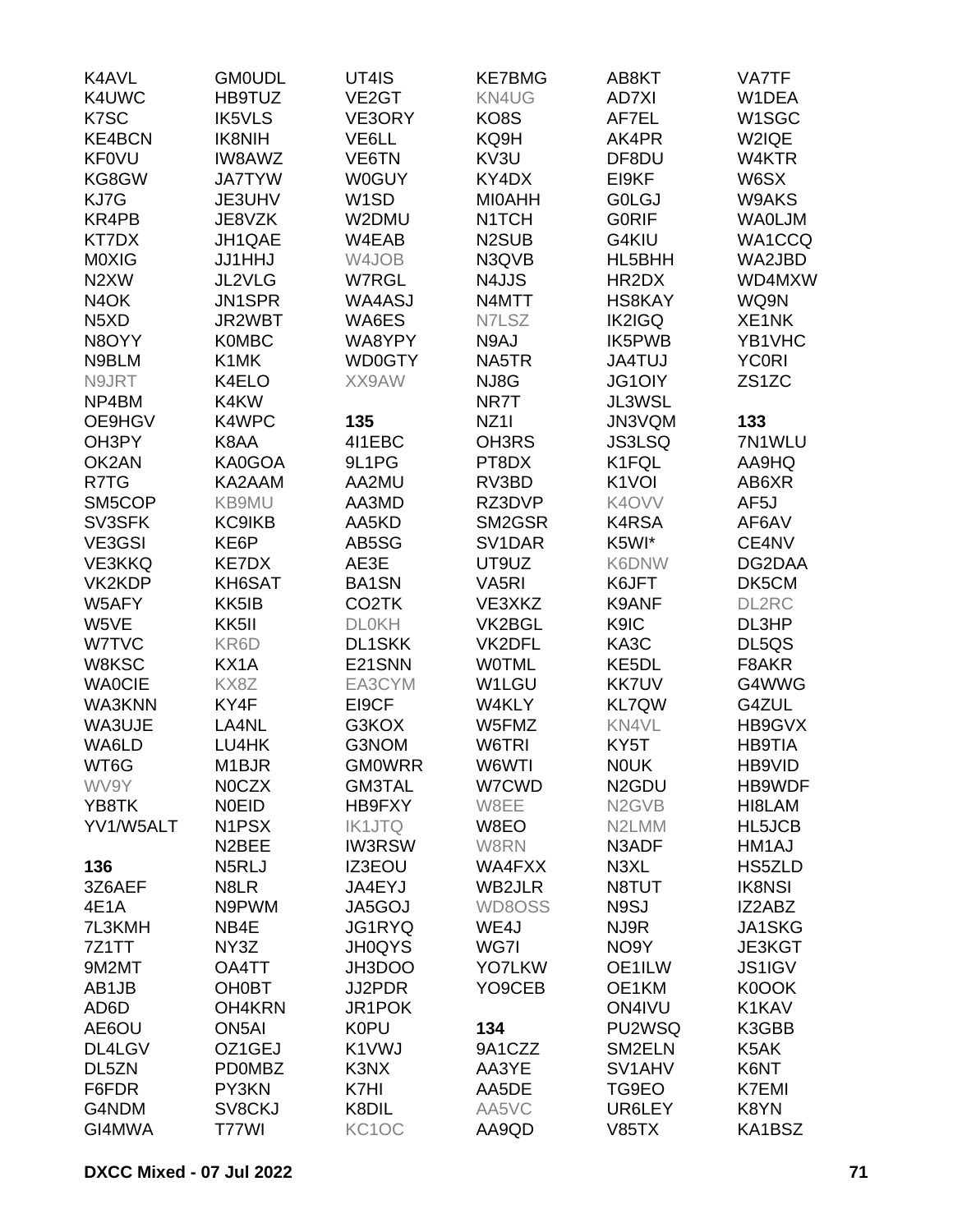| K4AVL                         | <b>GM0UDL</b>      | UT4IS              | <b>KE7BMG</b>                  | AB8KT                          | <b>VA7TF</b>       |
|-------------------------------|--------------------|--------------------|--------------------------------|--------------------------------|--------------------|
| K4UWC                         | HB9TUZ             | VE <sub>2</sub> GT | KN4UG                          | <b>AD7XI</b>                   | W1DEA              |
| K7SC                          | <b>IK5VLS</b>      | VE3ORY             | KO8S                           | AF7EL                          | W1SGC              |
| <b>KE4BCN</b>                 | <b>IK8NIH</b>      | VE6LL              | KQ9H                           | AK4PR                          | W2IQE              |
| <b>KF0VU</b>                  | <b>IW8AWZ</b>      | VE6TN              | KV3U                           | DF8DU                          | W4KTR              |
| KG8GW                         | <b>JA7TYW</b>      | <b>W0GUY</b>       | KY4DX                          | EI9KF                          | W6SX               |
| KJ7G                          | JE3UHV             | W <sub>1</sub> SD  | <b>MIOAHH</b>                  | <b>GOLGJ</b>                   | W9AKS              |
| KR4PB                         | JE8VZK             | W2DMU              | N <sub>1</sub> TCH             | <b>GORIF</b>                   | <b>WAOLJM</b>      |
| KT7DX                         | JH1QAE             | W4EAB              | N <sub>2</sub> SU <sub>B</sub> | G4KIU                          | WA1CCQ             |
| M0XIG                         | <b>JJ1HHJ</b>      | W4JOB              | N3QVB                          | HL5BHH                         | WA2JBD             |
| N <sub>2</sub> XW             | JL2VLG             | W7RGL              | N4JJS                          | HR2DX                          | WD4MXW             |
| N <sub>4</sub> OK             | <b>JN1SPR</b>      | WA4ASJ             | N4MTT                          | <b>HS8KAY</b>                  | WQ9N               |
| N <sub>5</sub> X <sub>D</sub> | JR2WBT             | WA6ES              | N7LSZ                          | <b>IK2IGQ</b>                  | XE1NK              |
| N8OYY                         | <b>K0MBC</b>       | WA8YPY             | N9AJ                           | IK5PWB                         | YB1VHC             |
| N9BLM                         | K <sub>1</sub> MK  | <b>WD0GTY</b>      | NA5TR                          | <b>JA4TUJ</b>                  | <b>YC0RI</b>       |
| N9JRT                         | K4ELO              | XX9AW              | NJ8G                           | <b>JG1OIY</b>                  | ZS <sub>1</sub> ZC |
| NP4BM                         |                    |                    |                                |                                |                    |
|                               | K4KW               |                    | NR7T                           | JL3WSL                         |                    |
| OE9HGV                        | K4WPC              | 135                | <b>NZ11</b>                    | JN3VQM                         | 133                |
| OH3PY                         | K8AA               | 4I1EBC             | OH3RS                          | <b>JS3LSQ</b>                  | 7N1WLU             |
| OK2AN                         | KA0GOA             | 9L1PG              | PT8DX                          | K1FQL                          | AA9HQ              |
| R7TG                          | KA2AAM             | AA2MU              | RV3BD                          | K <sub>1</sub> VOI             | AB6XR              |
| SM5COP                        | KB9MU              | AA3MD              | RZ3DVP                         | K4OVV                          | AF5J               |
| SV3SFK                        | <b>KC9IKB</b>      | AA5KD              | SM2GSR                         | K4RSA                          | AF6AV              |
| VE3GSI                        | KE6P               | AB5SG              | SV1DAR                         | K5WI*                          | CE4NV              |
| <b>VE3KKQ</b>                 | <b>KE7DX</b>       | AE3E               | UT9UZ                          | K6DNW                          | DG2DAA             |
| VK2KDP                        | KH6SAT             | <b>BA1SN</b>       | VA <sub>5</sub> RI             | K6JFT                          | DK5CM              |
| W5AFY                         | KK5IB              | CO <sub>2</sub> TK | VE3XKZ                         | K9ANF                          | DL2RC              |
| W5VE                          | KK5II              | <b>DLOKH</b>       | VK2BGL                         | K9IC                           | DL3HP              |
| W7TVC                         | KR6D               | <b>DL1SKK</b>      | VK2DFL                         | KA3C                           | DL5QS              |
| W8KSC                         | KX1A               | E21SNN             | <b>WOTML</b>                   | KE <sub>5</sub> DL             | F8AKR              |
| <b>WAOCIE</b>                 | KX8Z               | EA3CYM             | W1LGU                          | <b>KK7UV</b>                   | G4WWG              |
| WA3KNN                        | KY4F               | EI9CF              | W4KLY                          | <b>KL7QW</b>                   | G4ZUL              |
| WA3UJE                        | LA4NL              | G3KOX              | W5FMZ                          | KN4VL                          | HB9GVX             |
| WA6LD                         | LU4HK              | G3NOM              | W6TRI                          | KY5T                           | <b>HB9TIA</b>      |
| WT6G                          | M1BJR              | <b>GMOWRR</b>      | W6WTI                          | <b>NOUK</b>                    | HB9VID             |
| WV9Y                          | <b>NOCZX</b>       | <b>GM3TAL</b>      | W7CWD                          | N <sub>2</sub> GDU             | HB9WDF             |
| YB8TK                         | <b>NOEID</b>       | HB9FXY             | W8EE                           | N <sub>2</sub> G <sub>VB</sub> | HI8LAM             |
| YV1/W5ALT                     | N1PSX              | <b>IK1JTQ</b>      | W8EO                           | N <sub>2</sub> LMM             | HL5JCB             |
|                               | N <sub>2</sub> BEE | <b>IW3RSW</b>      | W8RN                           | N3ADF                          | HM1AJ              |
| 136                           | N5RLJ              | IZ3EOU             | WA4FXX                         | N3XL                           | HS5ZLD             |
| 3Z6AEF                        | N8LR               | JA4EYJ             | WB2JLR                         | N8TUT                          | <b>IK8NSI</b>      |
| 4E1A                          | N9PWM              | JA5GOJ             | WD8OSS                         | N9SJ                           | IZ2ABZ             |
| 7L3KMH                        | NB4E               | JG1RYQ             | WE4J                           | NJ9R                           | JA1SKG             |
| 7Z1TT                         | NY3Z               | <b>JH0QYS</b>      | WG7I                           | NO <sub>9</sub> Y              | JE3KGT             |
| 9M2MT                         | OA4TT              | JH3DOO             | <b>YO7LKW</b>                  | OE1ILW                         | <b>JS1IGV</b>      |
| AB1JB                         | <b>OH0BT</b>       | JJ2PDR             | YO9CEB                         | OE1KM                          | K0OOK              |
| AD6D                          | OH4KRN             | JR1POK             |                                | ON4IVU                         | K1KAV              |
| AE6OU                         | ON <sub>5</sub> AI | K0PU               | 134                            | PU2WSQ                         | K3GBB              |
| DL4LGV                        | OZ1GEJ             | K1VWJ              | 9A1CZZ                         | SM2ELN                         | K5AK               |
| DL5ZN                         | <b>PD0MBZ</b>      | K3NX               | AA3YE                          | SV <sub>1</sub> AHV            | K6NT               |
| F6FDR                         | PY3KN              | K7HI               | AA5DE                          | TG9EO                          | <b>K7EMI</b>       |
| G4NDM                         | SV8CKJ             | K8DIL              | AA5VC                          | UR6LEY                         | K8YN               |
| GI4MWA                        | T77WI              | KC1OC              | AA9QD                          | <b>V85TX</b>                   | KA1BSZ             |
|                               |                    |                    |                                |                                |                    |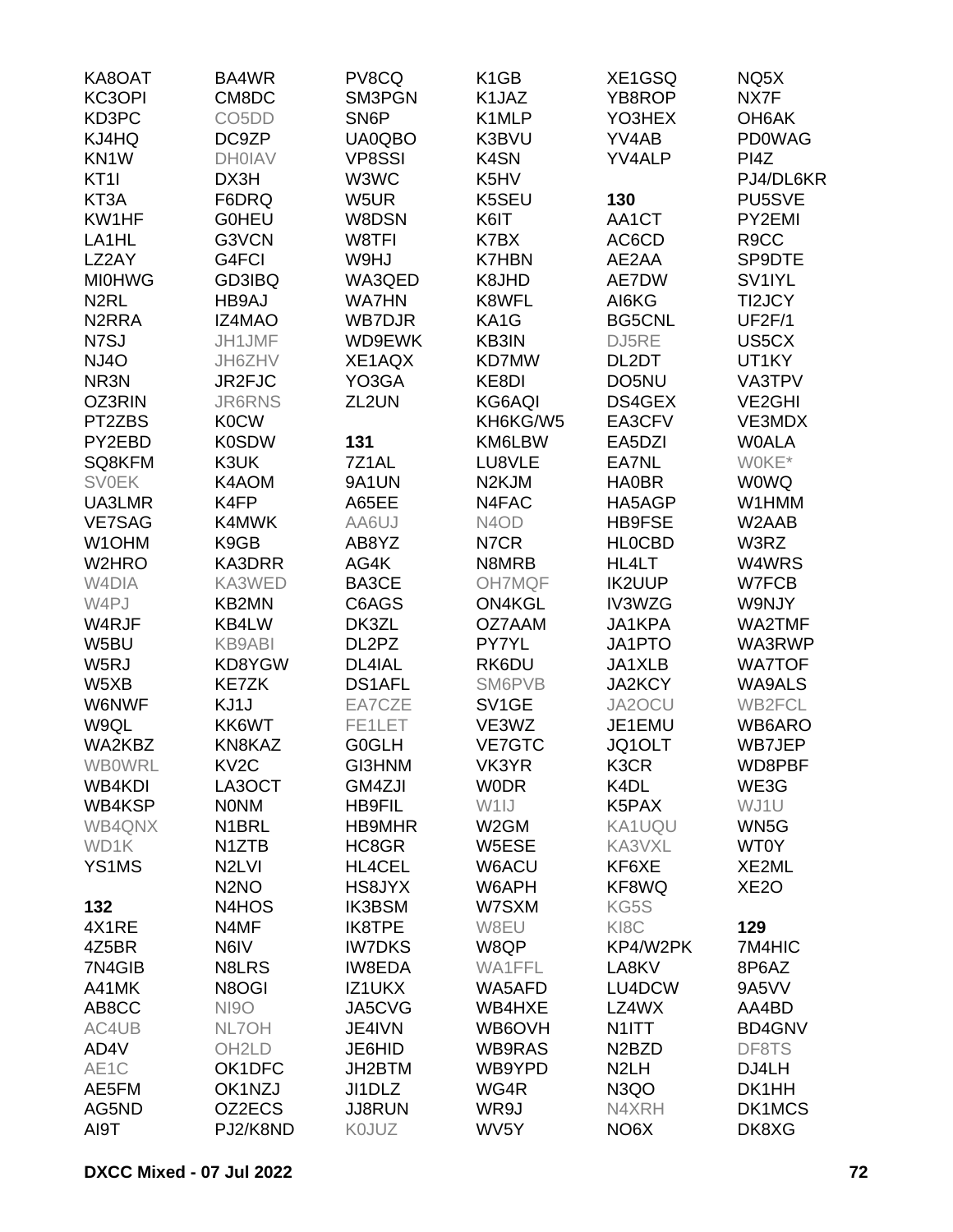| KA8OAT             | BA4WR                          | PV8CQ             | K <sub>1</sub> GB             | XE1GSQ                         | NQ5X                |
|--------------------|--------------------------------|-------------------|-------------------------------|--------------------------------|---------------------|
| KC3OPI             | CM8DC                          | SM3PGN            | K1JAZ                         | YB8ROP                         | NX7F                |
| KD3PC              | CO <sub>5</sub> D <sub>D</sub> | SN <sub>6</sub> P | K1MLP                         | YO3HEX                         | OH6AK               |
| KJ4HQ              | DC9ZP                          | UA0QBO            | K3BVU                         | YV4AB                          | <b>PD0WAG</b>       |
| KN <sub>1</sub> W  | <b>DH0IAV</b>                  | <b>VP8SSI</b>     | K4SN                          | YV4ALP                         | PI4Z                |
| KT <sub>1</sub>    | DX3H                           | W3WC              | K5HV                          |                                | PJ4/DL6KR           |
| KT3A               | F6DRQ                          | W5UR              | K5SEU                         | 130                            | PU5SVE              |
| KW1HF              | <b>GOHEU</b>                   | W8DSN             | K6IT                          | AA1CT                          | PY2EMI              |
| LA1HL              | G3VCN                          | W8TFI             | K7BX                          | AC6CD                          | R <sub>9</sub> CC   |
| LZ2AY              | G4FCI                          | W9HJ              | <b>K7HBN</b>                  | AE2AA                          | SP9DTE              |
| <b>MI0HWG</b>      | GD3IBQ                         | WA3QED            | K8JHD                         | AE7DW                          | SV <sub>1IYL</sub>  |
| N <sub>2</sub> RL  | HB9AJ                          | <b>WA7HN</b>      | K8WFL                         | AI6KG                          | TI2JCY              |
|                    |                                |                   |                               |                                |                     |
| N <sub>2</sub> RRA | <b>IZ4MAO</b>                  | <b>WB7DJR</b>     | KA1G                          | <b>BG5CNL</b>                  | <b>UF2F/1</b>       |
| N7SJ               | JH1JMF                         | WD9EWK            | KB3IN                         | DJ5RE                          | US5CX               |
| <b>NJ4O</b>        | JH6ZHV                         | XE1AQX            | KD7MW                         | DL2DT                          | UT1KY               |
| NR3N               | JR2FJC                         | YO3GA             | KE8DI                         | DO5NU                          | VA3TPV              |
| OZ3RIN             | <b>JR6RNS</b>                  | ZL2UN             | KG6AQI                        | DS4GEX                         | VE <sub>2</sub> GHI |
| PT2ZBS             | <b>K0CW</b>                    |                   | KH6KG/W5                      | EA3CFV                         | VE3MDX              |
| PY2EBD             | <b>K0SDW</b>                   | 131               | KM6LBW                        | EA5DZI                         | <b>WOALA</b>        |
| SQ8KFM             | K3UK                           | 7Z1AL             | LU8VLE                        | EA7NL                          | W0KE*               |
| <b>SV0EK</b>       | K4AOM                          | 9A1UN             | N <sub>2</sub> KJM            | <b>HA0BR</b>                   | <b>WOWQ</b>         |
| UA3LMR             | K4FP                           | A65EE             | N4FAC                         | HA5AGP                         | W1HMM               |
| <b>VE7SAG</b>      | K4MWK                          | AA6UJ             | N <sub>4</sub> O <sub>D</sub> | <b>HB9FSE</b>                  | W2AAB               |
| W <sub>1</sub> OHM | K9GB                           | AB8YZ             | N7CR                          | <b>HLOCBD</b>                  | W3RZ                |
| W2HRO              | KA3DRR                         | AG4K              | N8MRB                         | HL4LT                          | W4WRS               |
| W <sub>4</sub> DIA | KA3WED                         | BA3CE             | <b>OH7MQF</b>                 | <b>IK2UUP</b>                  | W7FCB               |
| W4PJ               | <b>KB2MN</b>                   | C6AGS             | <b>ON4KGL</b>                 | IV3WZG                         | W9NJY               |
| W4RJF              | KB4LW                          | DK3ZL             | OZ7AAM                        | JA1KPA                         | WA2TMF              |
| W5BU               | <b>KB9ABI</b>                  | DL2PZ             | PY7YL                         | JA1PTO                         | WA3RWP              |
| W5RJ               | KD8YGW                         | DL4IAL            | RK6DU                         | JA1XLB                         | <b>WA7TOF</b>       |
| W5XB               | <b>KE7ZK</b>                   | <b>DS1AFL</b>     | SM6PVB                        | JA2KCY                         | <b>WA9ALS</b>       |
| <b>W6NWF</b>       | KJ1J                           | EA7CZE            | SV <sub>1</sub> GE            | JA2OCU                         | WB2FCL              |
| W9QL               | KK6WT                          | FE1LET            | VE3WZ                         | JE1EMU                         | WB6ARO              |
| WA2KBZ             | KN8KAZ                         | <b>G0GLH</b>      | VE7GTC                        | JQ1OLT                         | WB7JEP              |
| <b>WB0WRL</b>      | KV <sub>2</sub> C              | GI3HNM            | VK3YR                         | K3CR                           | WD8PBF              |
| WB4KDI             | LA3OCT                         | GM4ZJI            | <b>WODR</b>                   | K <sub>4</sub> DL              | WE3G                |
| WB4KSP             | <b>NONM</b>                    | <b>HB9FIL</b>     | W <sub>1</sub> IJ             | K5PAX                          | WJ1U                |
| WB4QNX             | N <sub>1</sub> BRL             | <b>HB9MHR</b>     | W <sub>2</sub> GM             | KA1UQU                         | WN5G                |
| WD1K               | N1ZTB                          | HC8GR             | W5ESE                         | KA3VXL                         | <b>WT0Y</b>         |
|                    |                                |                   |                               |                                |                     |
| YS1MS              | N <sub>2</sub> LVI             | HL4CEL            | W6ACU                         | KF6XE                          | XE2ML               |
|                    | N <sub>2</sub> NO              | HS8JYX            | W6APH                         | KF8WQ                          | XE <sub>2</sub> O   |
| 132                | N4HOS                          | <b>IK3BSM</b>     | W7SXM                         | KG5S                           |                     |
| 4X1RE              | N4MF                           | IK8TPE            | W8EU                          | KI <sub>8</sub> C              | 129                 |
| 4Z5BR              | N6IV                           | <b>IW7DKS</b>     | W8QP                          | KP4/W2PK                       | 7M4HIC              |
| 7N4GIB             | N8LRS                          | <b>IW8EDA</b>     | WA1FFL                        | LA8KV                          | 8P6AZ               |
| A41MK              | N8OGI                          | IZ1UKX            | WA5AFD                        | LU4DCW                         | 9A5VV               |
| AB8CC              | <b>NI9O</b>                    | JA5CVG            | WB4HXE                        | LZ4WX                          | AA4BD               |
| AC4UB              | NL7OH                          | JE4IVN            | WB6OVH                        | N <sub>1</sub> ITT             | <b>BD4GNV</b>       |
| AD4V               | OH <sub>2</sub> LD             | JE6HID            | WB9RAS                        | N <sub>2</sub> B <sub>ZD</sub> | DF8TS               |
| AE1C               | OK1DFC                         | JH2BTM            | WB9YPD                        | N <sub>2</sub> LH              | DJ4LH               |
| AE5FM              | OK1NZJ                         | JI1DLZ            | WG4R                          | N <sub>3</sub> QO              | DK1HH               |
| AG5ND              | OZ2ECS                         | <b>JJ8RUN</b>     | WR9J                          | N4XRH                          | DK1MCS              |
| AI9T               | PJ2/K8ND                       | K0JUZ             | WV5Y                          | NO <sub>6</sub> X              | DK8XG               |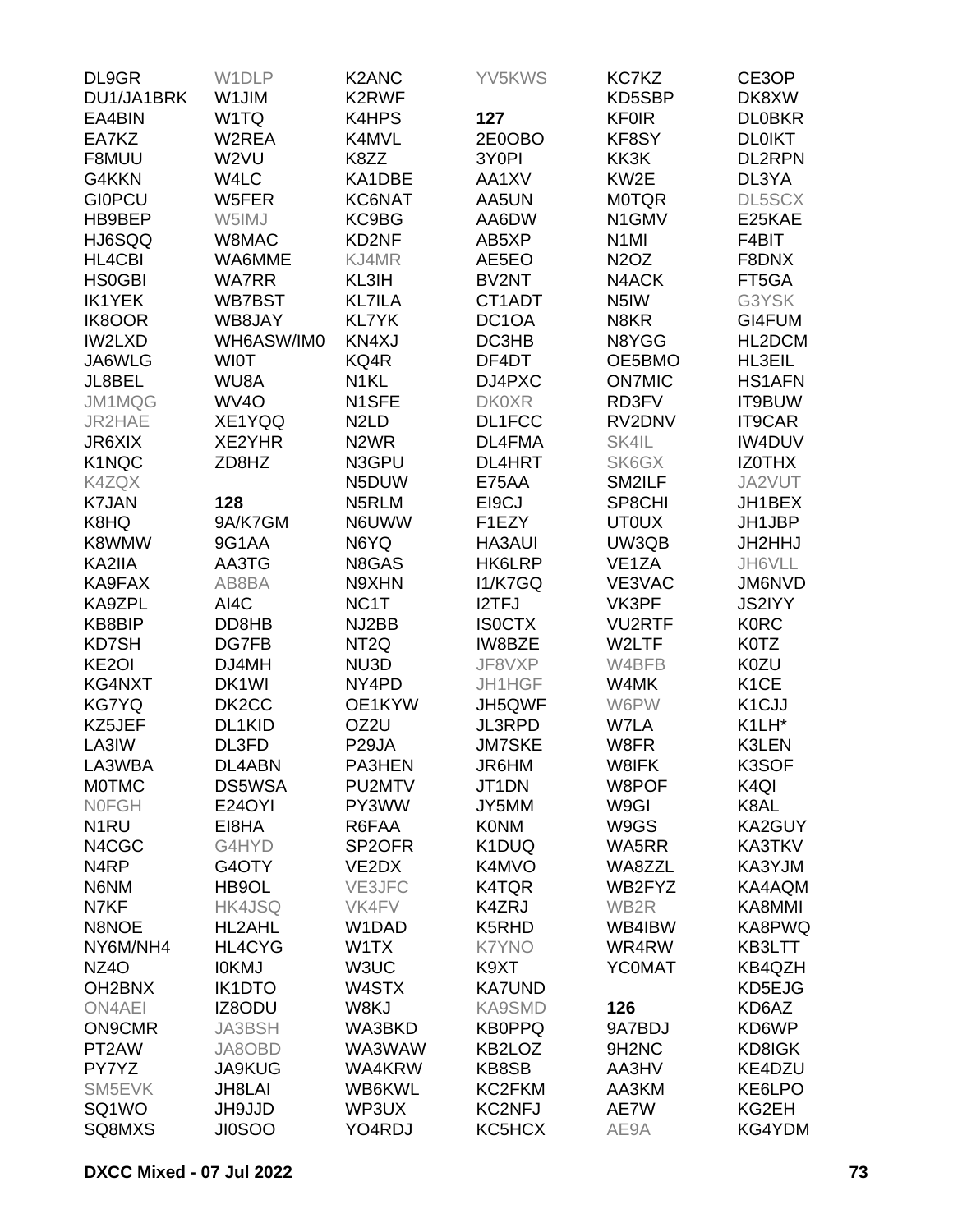| DL9GR              | W1DLP              | K2ANC                         | YV5KWS             | KC7KZ                          | CE3OP              |
|--------------------|--------------------|-------------------------------|--------------------|--------------------------------|--------------------|
| DU1/JA1BRK         | W1JIM              | K2RWF                         |                    | KD5SBP                         | DK8XW              |
| EA4BIN             | W <sub>1</sub> TQ  | K4HPS                         | 127                | <b>KF0IR</b>                   | <b>DLOBKR</b>      |
| EA7KZ              | W2REA              | K4MVL                         | 2E0OBO             | KF8SY                          | <b>DL0IKT</b>      |
| F8MUU              | W2VU               | K8ZZ                          | 3Y0PI              | KK3K                           | <b>DL2RPN</b>      |
| G4KKN              | W4LC               | KA1DBE                        | AA1XV              | KW2E                           | DL3YA              |
| <b>GIOPCU</b>      | W5FER              | KC6NAT                        | AA5UN              | <b>MOTQR</b>                   | DL5SCX             |
| HB9BEP             | W5IMJ              | KC9BG                         | AA6DW              | N1GMV                          | E25KAE             |
| HJ6SQQ             | W8MAC              | KD2NF                         | AB5XP              | N <sub>1</sub> MI              | F4BIT              |
| <b>HL4CBI</b>      | WA6MME             | KJ4MR                         | AE5EO              | <b>N2OZ</b>                    | F8DNX              |
| <b>HS0GBI</b>      | <b>WA7RR</b>       | KL3IH                         | BV2NT              | N4ACK                          | FT5GA              |
| <b>IK1YEK</b>      | WB7BST             | <b>KL7ILA</b>                 | CT1ADT             | N <sub>5</sub> IW              | G3YSK              |
| <b>IK8OOR</b>      | WB8JAY             | <b>KL7YK</b>                  | DC <sub>1</sub> OA | N8KR                           | GI4FUM             |
| IW2LXD             | WH6ASW/IM0         | KN4XJ                         | DC3HB              | N8YGG                          | HL2DCM             |
| JA6WLG             | <b>WIOT</b>        | KQ4R                          | DF4DT              | OE5BMO                         | HL3EIL             |
| JL8BEL             | WU8A               | N <sub>1</sub> KL             | DJ4PXC             | <b>ON7MIC</b>                  | <b>HS1AFN</b>      |
| JM1MQG             | WV <sub>4</sub> O  | N1SFE                         | <b>DK0XR</b>       | RD3FV                          | IT9BUW             |
| JR2HAE             | XE1YQQ             | N <sub>2</sub> L <sub>D</sub> | DL1FCC             | RV2DNV                         | <b>IT9CAR</b>      |
| JR6XIX             | XE2YHR             | N <sub>2</sub> WR             | DL4FMA             | SK4IL                          | <b>IW4DUV</b>      |
| K1NQC              | ZD8HZ              | N3GPU                         | <b>DL4HRT</b>      | SK6GX                          | <b>IZOTHX</b>      |
| K4ZQX              |                    | N5DUW                         | E75AA              | SM2ILF                         | JA2VUT             |
| <b>K7JAN</b>       | 128                | N5RLM                         | EI9CJ              | SP8CHI                         | JH1BEX             |
|                    |                    |                               |                    |                                |                    |
| K8HQ               | 9A/K7GM            | N6UWW                         | F1EZY              | <b>UT0UX</b>                   | JH1JBP             |
| K8WMW              | 9G1AA              | N6YQ                          | <b>HA3AUI</b>      | UW3QB                          | JH2HHJ             |
| KA2IIA             | AA3TG              | N8GAS                         | HK6LRP             | VE <sub>1</sub> ZA             | JH6VLL             |
| KA9FAX             | AB8BA              | N9XHN                         | <b>I1/K7GQ</b>     | VE3VAC                         | JM6NVD             |
| KA9ZPL             | AI4C               | NC <sub>1</sub> T             | <b>I2TFJ</b>       | VK3PF                          | <b>JS2IYY</b>      |
| KB8BIP             | DD8HB              | NJ2BB                         | <b>ISOCTX</b>      | <b>VU2RTF</b>                  | <b>K0RC</b>        |
| KD7SH              | DG7FB              | NT <sub>2Q</sub>              | IW8BZE             | W2LTF                          | K0TZ               |
| KE <sub>2</sub> OI | DJ4MH              | NU3D                          | JF8VXP             | W4BFB                          | K0ZU               |
| KG4NXT             | DK <sub>1</sub> WI | NY4PD                         | JH1HGF             | W4MK                           | K <sub>1</sub> CE  |
| <b>KG7YQ</b>       | DK <sub>2</sub> CC | OE1KYW                        | JH5QWF             | W6PW                           | K <sub>1</sub> CJJ |
| KZ5JEF             | DL1KID             | OZ2U                          | <b>JL3RPD</b>      | W7LA                           | K1LH*              |
| LA3IW              | DL3FD              | P <sub>29</sub> JA            | <b>JM7SKE</b>      | W8FR                           | K3LEN              |
| LA3WBA             | DL4ABN             | PA3HEN                        | JR6HM              | W8IFK                          | K3SOF              |
| <b>MOTMC</b>       | DS5WSA             | PU2MTV                        | JT1DN              | W8POF                          | K <sub>4Q</sub>    |
| <b>NOFGH</b>       | <b>E24OYI</b>      | PY3WW                         | JY5MM              | W9GI                           | K8AL               |
| N <sub>1</sub> RU  | EI8HA              | R6FAA                         | <b>K0NM</b>        | W9GS                           | <b>KA2GUY</b>      |
| N4CGC              | G4HYD              | SP <sub>2</sub> OFR           | K1DUQ              | WA5RR                          | KA3TKV             |
| N <sub>4</sub> RP  | G4OTY              | VE2DX                         | K4MVO              | WA8ZZL                         | KA3YJM             |
| N6NM               | HB9OL              | VE3JFC                        | K4TQR              | WB2FYZ                         | KA4AQM             |
| N7KF               | HK4JSQ             | VK4FV                         | K4ZRJ              | WB2R                           | KA8MMI             |
| N8NOE              | HL2AHL             | W1DAD                         | K5RHD              | WB4IBW                         | KA8PWQ             |
| NY6M/NH4           | HL4CYG             | W1TX                          | <b>K7YNO</b>       | WR4RW                          | KB3LTT             |
| NZ4O               | <b>IOKMJ</b>       | W3UC                          | K9XT               | <b>YCOMAT</b>                  | KB4QZH             |
| OH2BNX             | <b>IK1DTO</b>      | W4STX                         | <b>KA7UND</b>      |                                | KD5EJG             |
| <b>ON4AEI</b>      | IZ8ODU             | W8KJ                          | <b>KA9SMD</b>      | 126                            | KD6AZ              |
| <b>ON9CMR</b>      | <b>JA3BSH</b>      | WA3BKD                        | <b>KB0PPQ</b>      | 9A7BDJ                         | KD6WP              |
| PT2AW              | JA8OBD             | WA3WAW                        | KB2LOZ             | 9H <sub>2</sub> N <sub>C</sub> | KD8IGK             |
| PY7YZ              | <b>JA9KUG</b>      | WA4KRW                        | KB8SB              | AA3HV                          | KE4DZU             |
| SM5EVK             | JH8LAI             | WB6KWL                        | KC2FKM             | AA3KM                          | KE6LPO             |
| SQ1WO              | JH9JJD             | WP3UX                         | <b>KC2NFJ</b>      | AE7W                           | KG2EH              |
| SQ8MXS             | <b>JI0SOO</b>      | YO4RDJ                        | KC5HCX             | AE9A                           | KG4YDM             |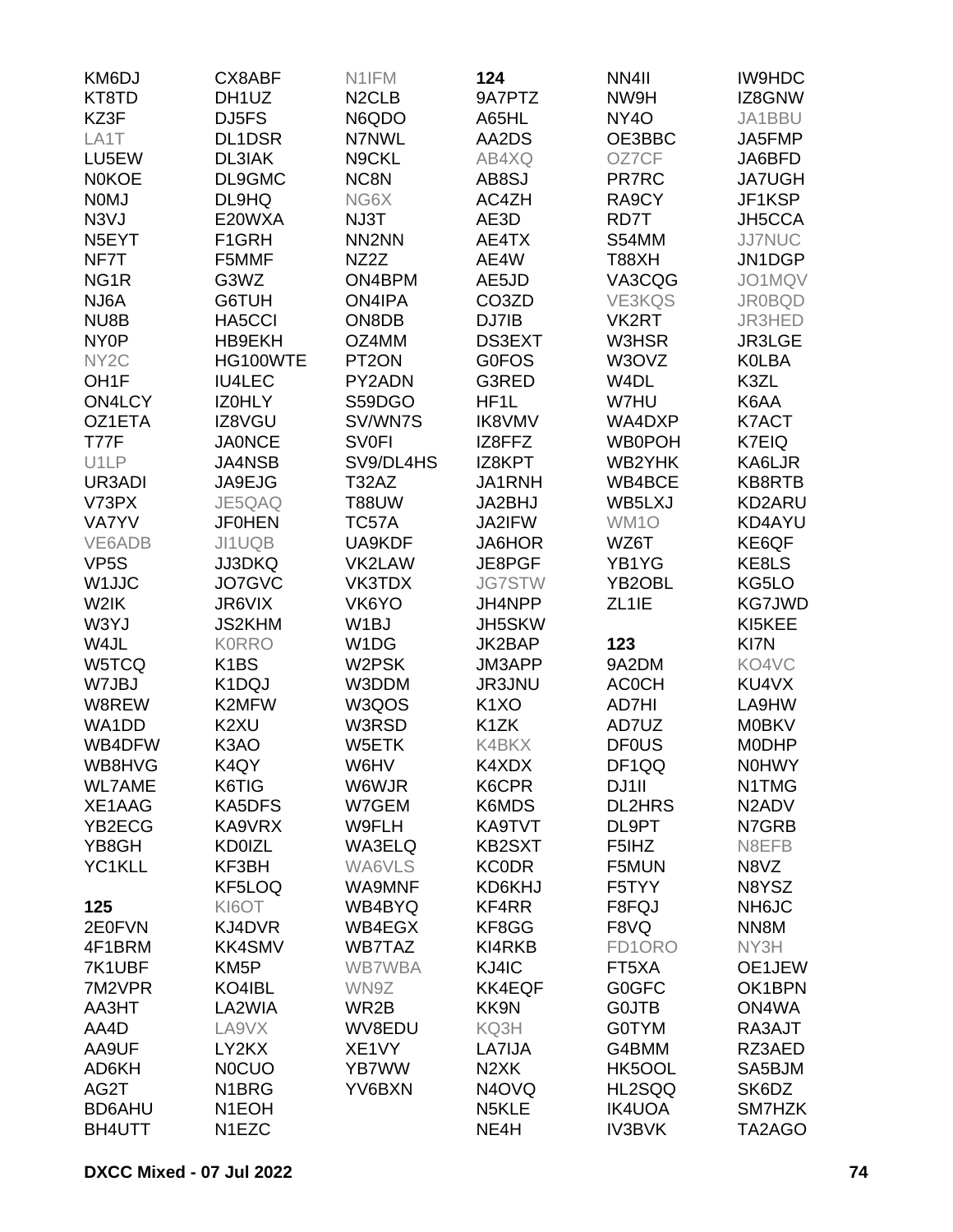| KM6DJ              | CX8ABF             | N1IFM              | 124                           | NN4II              | <b>IW9HDC</b>                  |
|--------------------|--------------------|--------------------|-------------------------------|--------------------|--------------------------------|
| KT8TD              | DH1UZ              | N <sub>2</sub> CLB | 9A7PTZ                        | NW9H               | IZ8GNW                         |
| KZ3F               | DJ5FS              | N6QDO              | A65HL                         | NY <sub>4</sub> O  | JA1BBU                         |
| LA1T               | <b>DL1DSR</b>      | <b>N7NWL</b>       | AA2DS                         | OE3BBC             | JA5FMP                         |
| LU5EW              | DL3IAK             | N9CKL              | AB4XQ                         | OZ7CF              | JA6BFD                         |
| <b>NOKOE</b>       | DL9GMC             | NC8N               | AB8SJ                         | PR7RC              | <b>JA7UGH</b>                  |
| <b>NOMJ</b>        | DL9HQ              | NG6X               | AC4ZH                         | RA9CY              | JF1KSP                         |
| N <sub>3</sub> VJ  | E20WXA             | NJ3T               | AE3D                          | RD7T               | JH5CCA                         |
| N <sub>5</sub> EYT | F1GRH              | NN <sub>2</sub> NN | AE4TX                         | S54MM              | <b>JJ7NUC</b>                  |
| NF7T               | F5MMF              | NZ2Z               | AE4W                          | T88XH              | JN1DGP                         |
| NG <sub>1R</sub>   | G3WZ               | ON4BPM             | AE5JD                         | VA3CQG             | JO1MQV                         |
| NJ6A               | G6TUH              | <b>ON4IPA</b>      | CO <sub>3</sub> ZD            | <b>VE3KQS</b>      | <b>JR0BQD</b>                  |
| NU8B               | HA5CCI             | ON8DB              | DJ7IB                         | VK2RT              | JR3HED                         |
| NY <sub>0</sub> P  | HB9EKH             | OZ4MM              | <b>DS3EXT</b>                 | W3HSR              | JR3LGE                         |
| NY <sub>2</sub> C  | HG100WTE           | PT <sub>2</sub> ON | <b>G0FOS</b>                  | W3OVZ              | <b>KOLBA</b>                   |
| OH <sub>1</sub> F  | <b>IU4LEC</b>      | PY2ADN             | G3RED                         | W4DL               | K3ZL                           |
| <b>ON4LCY</b>      | IZ0HLY             | S59DGO             | HF1L                          | W7HU               | K6AA                           |
| OZ1ETA             | IZ8VGU             | SV/WN7S            | <b>IK8VMV</b>                 | WA4DXP             | K7ACT                          |
| <b>T77F</b>        | <b>JA0NCE</b>      | <b>SV0FI</b>       | IZ8FFZ                        | <b>WB0POH</b>      | K7EIQ                          |
| U1LP               | <b>JA4NSB</b>      | SV9/DL4HS          | IZ8KPT                        | WB2YHK             |                                |
| UR3ADI             | JA9EJG             | T32AZ              | JA1RNH                        | WB4BCE             | KA6LJR<br><b>KB8RTB</b>        |
| V73PX              | JE5QAQ             |                    |                               | WB5LXJ             |                                |
|                    |                    | <b>T88UW</b>       | JA2BHJ                        |                    | KD2ARU                         |
| <b>VA7YV</b>       | <b>JF0HEN</b>      | TC57A              | JA2IFW                        | WM1O               | KD4AYU                         |
| VE6ADB             | JI1UQB             | UA9KDF             | JA6HOR                        | WZ6T               | KE6QF                          |
| VP <sub>5</sub> S  | <b>JJ3DKQ</b>      | VK2LAW             | JE8PGF                        | YB1YG              | KE8LS                          |
| W <sub>1</sub> JJC | JO7GVC             | VK3TDX             | <b>JG7STW</b>                 | YB2OBL             | KG5LO                          |
| W2IK               | JR6VIX             | VK6YO              | JH4NPP                        | ZL <sub>1</sub> IE | <b>KG7JWD</b>                  |
| W3YJ               | <b>JS2KHM</b>      | W <sub>1</sub> BJ  | JH5SKW                        |                    | KI5KEE                         |
| W4JL               | <b>K0RRO</b>       | W1DG               | JK2BAP                        | 123                | KI7N                           |
| W5TCQ              | K <sub>1</sub> BS  | W2PSK              | JM3APP                        | 9A2DM              | KO4VC                          |
| W7JBJ              | K1DQJ              | W3DDM              | JR3JNU                        | <b>ACOCH</b>       | KU4VX                          |
| W8REW              | K2MFW              | W3QOS              | K <sub>1</sub> X <sub>O</sub> | AD7HI              | LA9HW                          |
| WA1DD              | K2XU               | W3RSD              | K <sub>1</sub> ZK             | AD7UZ              | <b>M0BKV</b>                   |
| WB4DFW             | K3AO               | W5ETK              | K4BKX                         | <b>DF0US</b>       | <b>MODHP</b>                   |
| WB8HVG             | K4QY               | W6HV               | K4XDX                         | DF1QQ              | <b>NOHWY</b>                   |
| <b>WL7AME</b>      | K6TIG              | W6WJR              | K6CPR                         | DJ1II              | N1TMG                          |
| XE1AAG             | KA5DFS             | W7GEM              | K6MDS                         | <b>DL2HRS</b>      | N <sub>2</sub> AD <sub>V</sub> |
| YB2ECG             | KA9VRX             | W9FLH              | KA9TVT                        | DL9PT              | N7GRB                          |
| YB8GH              | <b>KD0IZL</b>      | WA3ELQ             | KB2SXT                        | F5IHZ              | N8EFB                          |
| YC1KLL             | KF3BH              | WA6VLS             | <b>KC0DR</b>                  | F5MUN              | N8VZ                           |
|                    | KF5LOQ             | WA9MNF             | KD6KHJ                        | F5TYY              | N8YSZ                          |
| 125                | KI6OT              | WB4BYQ             | KF4RR                         | F8FQJ              | NH6JC                          |
| 2E0FVN             | KJ4DVR             | WB4EGX             | KF8GG                         | F8VQ               | NN8M                           |
| 4F1BRM             | <b>KK4SMV</b>      | <b>WB7TAZ</b>      | KI4RKB                        | FD1ORO             | NY3H                           |
| 7K1UBF             | KM5P               | WB7WBA             | KJ4IC                         | FT5XA              | OE1JEW                         |
| 7M2VPR             | KO4IBL             | WN9Z               | <b>KK4EQF</b>                 | <b>G0GFC</b>       | OK1BPN                         |
| AA3HT              | LA2WIA             | WR2B               | KK9N                          | <b>GOJTB</b>       | ON4WA                          |
| AA4D               | LA9VX              | WV8EDU             | KQ3H                          | <b>G0TYM</b>       | RA3AJT                         |
| AA9UF              | LY2KX              | XE1VY              | LA7IJA                        | G4BMM              | RZ3AED                         |
| AD6KH              | <b>NOCUO</b>       | YB7WW              | N <sub>2</sub> XK             | HK5OOL             | SA5BJM                         |
| AG2T               | N <sub>1</sub> BRG | YV6BXN             | N <sub>4</sub> OVQ            | HL2SQQ             | SK6DZ                          |
| <b>BD6AHU</b>      | N <sub>1</sub> EOH |                    | N <sub>5</sub> KLE            | <b>IK4UOA</b>      | SM7HZK                         |
| BH4UTT             | N1EZC              |                    | NE4H                          | <b>IV3BVK</b>      | TA2AGO                         |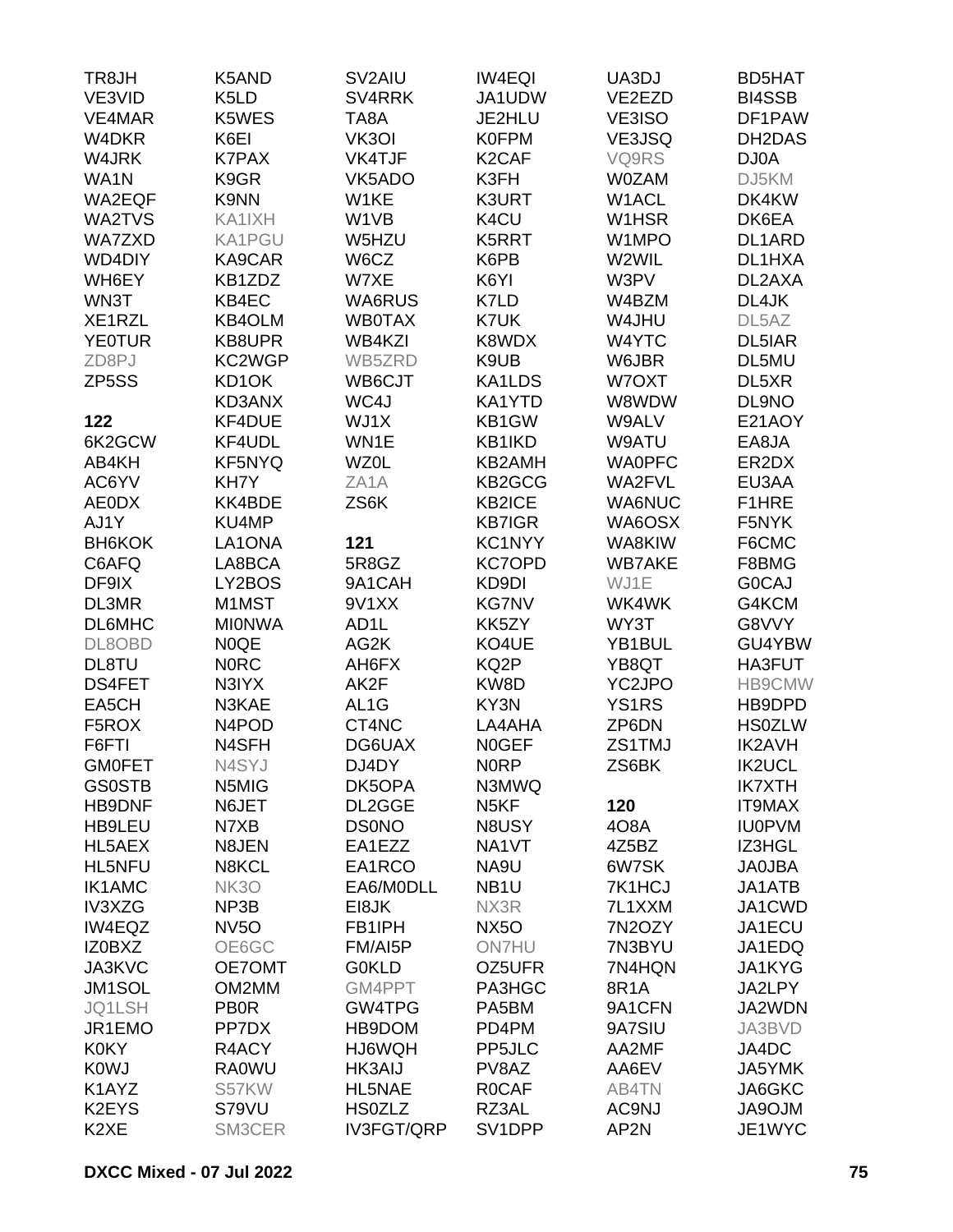| TR8JH              | K5AND                          | SV2AIU            | <b>IW4EQI</b>      | UA3DJ         | <b>BD5HAT</b>      |
|--------------------|--------------------------------|-------------------|--------------------|---------------|--------------------|
| VE3VID             | K <sub>5</sub> L <sub>D</sub>  | SV4RRK            | JA1UDW             | VE2EZD        | <b>BI4SSB</b>      |
| VE4MAR             | K5WES                          | TA8A              | JE2HLU             | VE3ISO        | DF1PAW             |
| W4DKR              | K6EI                           | VK3OI             | <b>K0FPM</b>       | VE3JSQ        | DH2DAS             |
| W4JRK              | <b>K7PAX</b>                   | VK4TJF            | K <sub>2</sub> CAF | VQ9RS         | DJ0A               |
| WA1N               | K9GR                           | VK5ADO            | K3FH               | <b>W0ZAM</b>  | DJ5KM              |
| WA2EQF             | K9NN                           | W1KE              | K3URT              | W1ACL         | DK4KW              |
|                    |                                |                   |                    |               |                    |
| WA2TVS             | KA1IXH                         | W1VB              | K4CU               | W1HSR         | DK6EA              |
| <b>WA7ZXD</b>      | <b>KA1PGU</b>                  | W5HZU             | K5RRT              | W1MPO         | DL1ARD             |
| WD4DIY             | KA9CAR                         | W6CZ              | K6PB               | W2WIL         | DL1HXA             |
| WH6EY              | KB1ZDZ                         | W7XE              | K6YI               | W3PV          | DL2AXA             |
| WN3T               | KB4EC                          | WA6RUS            | K7LD               | W4BZM         | DL4JK              |
| XE1RZL             | <b>KB4OLM</b>                  | <b>WB0TAX</b>     | K7UK               | W4JHU         | DL <sub>5</sub> AZ |
| <b>YE0TUR</b>      | KB8UPR                         | WB4KZI            | K8WDX              | W4YTC         | DL5IAR             |
| ZD8PJ              | KC2WGP                         | WB5ZRD            | K9UB               | W6JBR         | DL5MU              |
| ZP <sub>5</sub> SS | KD1OK                          | WB6CJT            | KA1LDS             | W7OXT         | DL5XR              |
|                    | KD3ANX                         | WC4J              | KA1YTD             | W8WDW         | DL9NO              |
| 122                | KF4DUE                         | WJ1X              | KB1GW              | W9ALV         | E21AOY             |
| 6K2GCW             | KF4UDL                         | WN1E              | KB1IKD             | W9ATU         | EA8JA              |
| AB4KH              | <b>KF5NYQ</b>                  | <b>WZ0L</b>       | KB2AMH             | <b>WA0PFC</b> | ER2DX              |
| AC6YV              | KH7Y                           | ZA <sub>1</sub> A | KB2GCG             | WA2FVL        | EU3AA              |
| <b>AE0DX</b>       | KK4BDE                         | ZS6K              | <b>KB2ICE</b>      | <b>WA6NUC</b> | F1HRE              |
| AJ1Y               | KU4MP                          |                   | <b>KB7IGR</b>      | WA6OSX        | F5NYK              |
| <b>BH6KOK</b>      | LA1ONA                         | 121               | KC1NYY             | WA8KIW        | F6CMC              |
| C6AFQ              | LA8BCA                         | 5R8GZ             | <b>KC7OPD</b>      | <b>WB7AKE</b> | F8BMG              |
| DF9IX              | LY2BOS                         | 9A1CAH            | KD9DI              | WJ1E          | <b>GOCAJ</b>       |
| DL3MR              | M1MST                          | 9V1XX             | <b>KG7NV</b>       | WK4WK         | G4KCM              |
|                    |                                |                   |                    |               |                    |
| <b>DL6MHC</b>      | <b>MIONWA</b>                  | AD <sub>1</sub> L | KK5ZY              | WY3T          | G8VVY              |
| DL8OBD             | <b>N0QE</b>                    | AG2K              | KO4UE              | YB1BUL        | GU4YBW             |
| DL8TU              | <b>NORC</b>                    | AH6FX             | KQ2P               | YB8QT         | HA3FUT             |
| <b>DS4FET</b>      | N3IYX                          | AK2F              | KW8D               | YC2JPO        | <b>HB9CMW</b>      |
| EA5CH              | N3KAE                          | AL <sub>1</sub> G | KY3N               | <b>YS1RS</b>  | HB9DPD             |
| F5ROX              | N <sub>4</sub> PO <sub>D</sub> | CT4NC             | LA4AHA             | ZP6DN         | <b>HS0ZLW</b>      |
| F6FTI              | N4SFH                          | DG6UAX            | <b>NOGEF</b>       | ZS1TMJ        | <b>IK2AVH</b>      |
| <b>GMOFET</b>      | N4SYJ                          | DJ4DY             | <b>NORP</b>        | ZS6BK         | <b>IK2UCL</b>      |
| <b>GS0STB</b>      | N5MIG                          | DK5OPA            | N3MWQ              |               | <b>IK7XTH</b>      |
| <b>HB9DNF</b>      | N6JET                          | DL2GGE            | N <sub>5</sub> KF  | 120           | <b>IT9MAX</b>      |
| HB9LEU             | N7XB                           | <b>DS0NO</b>      | N8USY              | 408A          | <b>IU0PVM</b>      |
| HL5AEX             | N8JEN                          | EA1EZZ            | NA1VT              | 4Z5BZ         | IZ3HGL             |
| HL5NFU             | N8KCL                          | EA1RCO            | NA9U               | 6W7SK         | <b>JA0JBA</b>      |
| <b>IK1AMC</b>      | <b>NK30</b>                    | EA6/M0DLL         | NB <sub>1</sub> U  | 7K1HCJ        | JA1ATB             |
| IV3XZG             | NP3B                           | EI8JK             | NX3R               | 7L1XXM        | JA1CWD             |
| IW4EQZ             | NV <sub>5</sub> O              | FB1IPH            | <b>NX50</b>        | 7N2OZY        | JA1ECU             |
| IZ0BXZ             | OE6GC                          | FM/AI5P           | <b>ON7HU</b>       | 7N3BYU        | JA1EDQ             |
| JA3KVC             | OE7OMT                         | <b>G0KLD</b>      | OZ5UFR             | 7N4HQN        | JA1KYG             |
| JM1SOL             | OM2MM                          | GM4PPT            | PA3HGC             | 8R1A          | JA2LPY             |
| JQ1LSH             | <b>PB0R</b>                    | GW4TPG            | PA5BM              | 9A1CFN        | JA2WDN             |
| JR1EMO             | PP7DX                          | HB9DOM            | PD4PM              | 9A7SIU        | JA3BVD             |
|                    |                                |                   |                    |               |                    |
| <b>K0KY</b>        | R4ACY                          | HJ6WQH            | PP5JLC             | AA2MF         | JA4DC              |
| <b>K0WJ</b>        | <b>RA0WU</b>                   | <b>HK3AIJ</b>     | PV8AZ              | AA6EV         | JA5YMK             |
| K1AYZ              | S57KW                          | HL5NAE            | <b>ROCAF</b>       | AB4TN         | JA6GKC             |
| K2EYS              | S79VU                          | <b>HS0ZLZ</b>     | RZ3AL              | AC9NJ         | <b>MLOPAL</b>      |
| K <sub>2</sub> XE  | SM3CER                         | <b>IV3FGT/QRP</b> | SV1DPP             | AP2N          | JE1WYC             |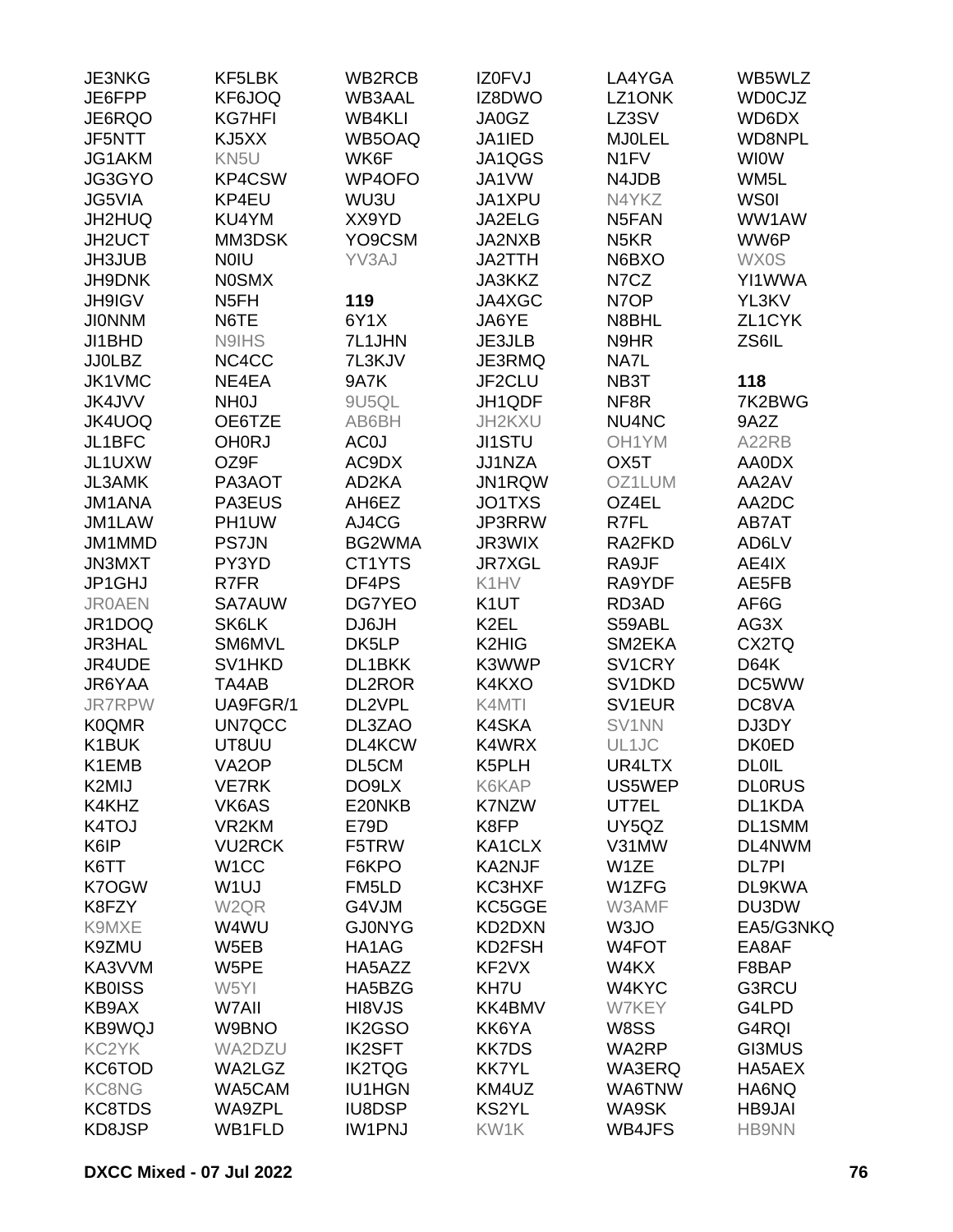| JE3NKG        | KF5LBK             | WB2RCB        | IZ0FVJ            | LA4YGA             | WB5WLZ        |
|---------------|--------------------|---------------|-------------------|--------------------|---------------|
| JE6FPP        | KF6JOQ             | <b>WB3AAL</b> | IZ8DWO            | LZ1ONK             | <b>WD0CJZ</b> |
| JE6RQO        | <b>KG7HFI</b>      | <b>WB4KLI</b> | JA0GZ             | LZ3SV              | WD6DX         |
| JF5NTT        | KJ5XX              | WB5OAQ        | JA1IED            | <b>MJ0LEL</b>      | WD8NPL        |
| JG1AKM        | KN5U               | WK6F          | JA1QGS            | N <sub>1</sub> FV  | <b>WIOW</b>   |
| JG3GYO        | KP4CSW             | WP4OFO        | JA1VW             | N4JDB              | WM5L          |
| JG5VIA        | KP4EU              | WU3U          | JA1XPU            | N4YKZ              | <b>WS0I</b>   |
| JH2HUQ        | KU4YM              | XX9YD         | JA2ELG            | N5FAN              | WW1AW         |
| JH2UCT        | MM3DSK             | YO9CSM        | JA2NXB            | N <sub>5</sub> KR  | WW6P          |
| <b>JH3JUB</b> | <b>NOIU</b>        | YV3AJ         | <b>JA2TTH</b>     | N6BXO              | <b>WX0S</b>   |
| JH9DNK        | <b>NOSMX</b>       |               | JA3KKZ            | N7CZ               | YI1WWA        |
| <b>JH9IGV</b> | N <sub>5</sub> FH  | 119           | JA4XGC            | N7OP               | YL3KV         |
| <b>JIONNM</b> | N6TE               | 6Y1X          | JA6YE             | N8BHL              | ZL1CYK        |
| JI1BHD        | N9IHS              | 7L1JHN        | <b>JE3JLB</b>     | N9HR               | ZS6IL         |
| <b>JJ0LBZ</b> | NC4CC              | 7L3KJV        | JE3RMQ            | NA7L               |               |
| JK1VMC        | NE4EA              | <b>9A7K</b>   | JF2CLU            | NB3T               | 118           |
| JK4JVV        | NH <sub>0</sub> J  | 9U5QL         | JH1QDF            | NF <sub>8R</sub>   | 7K2BWG        |
| JK4UOQ        | OE6TZE             | AB6BH         | JH2KXU            | NU4NC              | 9A2Z          |
| JL1BFC        | <b>OH0RJ</b>       | AC0J          | <b>JI1STU</b>     | OH1YM              | A22RB         |
| JL1UXW        | OZ9F               | AC9DX         | JJ1NZA            | OX <sub>5</sub> T  | AA0DX         |
| <b>JL3AMK</b> | PA3AOT             | AD2KA         | JN1RQW            | OZ1LUM             | AA2AV         |
| <b>JM1ANA</b> | PA3EUS             | AH6EZ         | JO1TXS            | OZ4EL              | AA2DC         |
| JM1LAW        | PH1UW              | AJ4CG         | JP3RRW            | R7FL               | AB7AT         |
| JM1MMD        | <b>PS7JN</b>       | BG2WMA        | JR3WIX            | RA2FKD             | AD6LV         |
| <b>JN3MXT</b> | PY3YD              | CT1YTS        | <b>JR7XGL</b>     | RA9JF              | AE4IX         |
| JP1GHJ        | R7FR               | DF4PS         | K1HV              | RA9YDF             | AE5FB         |
| <b>JR0AEN</b> | <b>SA7AUW</b>      | <b>DG7YEO</b> | K <sub>1</sub> UT | RD3AD              | AF6G          |
| JR1DOQ        | SK6LK              | DJ6JH         | K <sub>2</sub> EL | S59ABL             | AG3X          |
| <b>JR3HAL</b> | SM6MVL             | DK5LP         | K2HIG             | SM2EKA             | CX2TQ         |
| JR4UDE        | SV1HKD             | DL1BKK        | K3WWP             | SV1CRY             | <b>D64K</b>   |
| JR6YAA        | TA4AB              | <b>DL2ROR</b> | K4KXO             | SV1DKD             | DC5WW         |
| <b>JR7RPW</b> | UA9FGR/1           | DL2VPL        | K4MTI             | SV1EUR             | DC8VA         |
| <b>K0QMR</b>  | UN7QCC             | DL3ZAO        | K4SKA             | SV1NN              | DJ3DY         |
| K1BUK         | UT8UU              | DL4KCW        | K4WRX             | UL1JC              | <b>DK0ED</b>  |
| K1EMB         | VA <sub>2</sub> OP | DL5CM         | K5PLH             | UR4LTX             | <b>DL0IL</b>  |
| K2MIJ         | <b>VE7RK</b>       | DO9LX         | K6KAP             | US5WEP             | <b>DLORUS</b> |
| K4KHZ         | VK6AS              | E20NKB        | <b>K7NZW</b>      | UT7EL              | DL1KDA        |
| K4TOJ         | VR2KM              | E79D          | K8FP              | UY5QZ              | DL1SMM        |
| K6IP          | <b>VU2RCK</b>      | F5TRW         | KA1CLX            | V31MW              | DL4NWM        |
| K6TT          | W <sub>1</sub> CC  | F6KPO         | <b>KA2NJF</b>     | W1ZE               | <b>DL7PI</b>  |
| K7OGW         | W <sub>1UJ</sub>   | FM5LD         | KC3HXF            | W1ZFG              | DL9KWA        |
| K8FZY         | W <sub>2QR</sub>   | G4VJM         | KC5GGE            | W3AMF              | DU3DW         |
| K9MXE         | W4WU               | <b>GJ0NYG</b> | KD2DXN            | W3JO               | EA5/G3NKQ     |
| K9ZMU         | W5EB               | HA1AG         | KD2FSH            | W <sub>4</sub> FOT | EA8AF         |
| KA3VVM        | W5PE               | HA5AZZ        | KF2VX             | W4KX               | F8BAP         |
| <b>KB0ISS</b> | W5YI               | HA5BZG        | KH7U              | W4KYC              | G3RCU         |
| KB9AX         | W7All              | HI8VJS        | KK4BMV            | W7KEY              | G4LPD         |
| <b>KB9WQJ</b> | W9BNO              | IK2GSO        | KK6YA             | W8SS               | G4RQI         |
| KC2YK         | WA2DZU             | <b>IK2SFT</b> | <b>KK7DS</b>      | WA2RP              | <b>GI3MUS</b> |
| KC6TOD        | WA2LGZ             | <b>IK2TQG</b> | <b>KK7YL</b>      | WA3ERQ             | HA5AEX        |
| <b>KC8NG</b>  | WA5CAM             | <b>IU1HGN</b> | KM4UZ             | WA6TNW             | HA6NQ         |
| KC8TDS        | WA9ZPL             | <b>IU8DSP</b> | KS2YL             | WA9SK              | <b>HB9JAI</b> |
| KD8JSP        | WB1FLD             | <b>IW1PNJ</b> | KW1K              | <b>WB4JFS</b>      | <b>HB9NN</b>  |
|               |                    |               |                   |                    |               |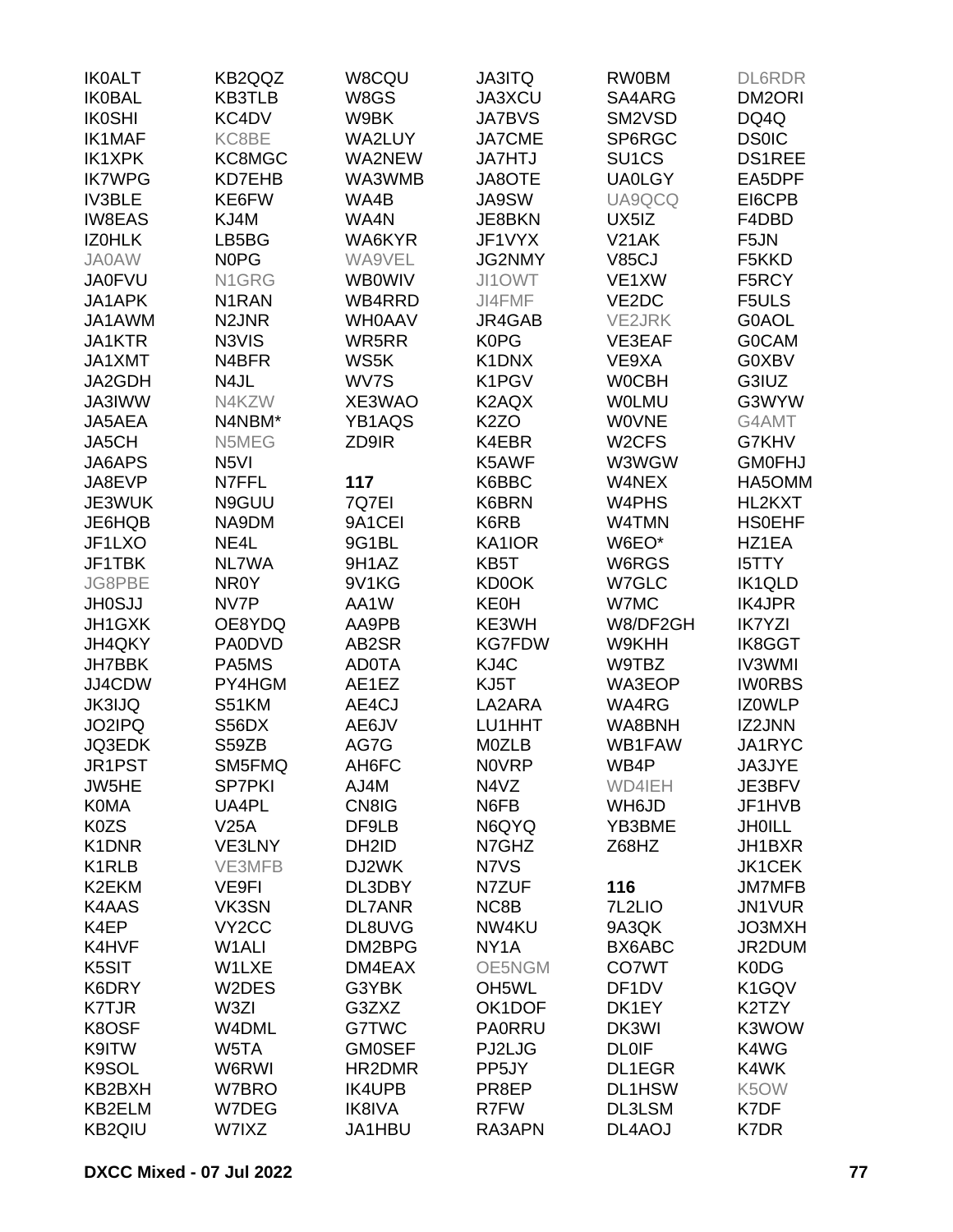| <b>IK0ALT</b> | KB2QQZ             | W8CQU             | <b>JA3ITQ</b>      | <b>RW0BM</b>       | <b>DL6RDR</b> |
|---------------|--------------------|-------------------|--------------------|--------------------|---------------|
| <b>IK0BAL</b> | <b>KB3TLB</b>      | W8GS              | JA3XCU             | SA4ARG             | DM2ORI        |
| <b>IK0SHI</b> | KC4DV              | W9BK              | <b>JA7BVS</b>      | SM2VSD             | DQ4Q          |
| <b>IK1MAF</b> | KC8BE              | WA2LUY            | <b>JA7CME</b>      | SP6RGC             | <b>DS0IC</b>  |
| IK1XPK        | KC8MGC             | WA2NEW            | <b>JA7HTJ</b>      | SU <sub>1</sub> CS | <b>DS1REE</b> |
| <b>IK7WPG</b> | KD7EHB             | WA3WMB            | JA8OTE             | <b>UA0LGY</b>      | EA5DPF        |
| <b>IV3BLE</b> | KE6FW              | WA4B              | <b>JA9SW</b>       | UA9QCQ             | EI6CPB        |
| <b>IW8EAS</b> | KJ4M               | WA4N              | JE8BKN             | UX5IZ              | F4DBD         |
| <b>IZOHLK</b> | LB5BG              | WA6KYR            | JF1VYX             | V21AK              | F5JN          |
|               |                    |                   |                    |                    |               |
| <b>JA0AW</b>  | <b>NOPG</b>        | WA9VEL            | <b>JG2NMY</b>      | <b>V85CJ</b>       | F5KKD         |
| <b>JA0FVU</b> | N1GRG              | <b>WB0WIV</b>     | JI1OWT             | VE1XW              | F5RCY         |
| JA1APK        | N <sub>1</sub> RAN | WB4RRD            | JI4FMF             | VE2DC              | F5ULS         |
| JA1AWM        | N <sub>2</sub> JNR | <b>WHOAAV</b>     | JR4GAB             | <b>VE2JRK</b>      | G0AOL         |
| JA1KTR        | N3VIS              | WR5RR             | <b>K0PG</b>        | VE3EAF             | <b>GOCAM</b>  |
| JA1XMT        | N4BFR              | WS5K              | K1DNX              | VE9XA              | G0XBV         |
| JA2GDH        | N4JL               | WV7S              | K1PGV              | <b>WOCBH</b>       | G3IUZ         |
| <b>JA3IWW</b> | N4KZW              | XE3WAO            | K2AQX              | <b>WOLMU</b>       | G3WYW         |
| JA5AEA        | N4NBM*             | YB1AQS            | K <sub>2</sub> ZO  | <b>WOVNE</b>       | G4AMT         |
| JA5CH         | N5MEG              | ZD9IR             | K4EBR              | W <sub>2</sub> CFS | G7KHV         |
| JA6APS        | N <sub>5</sub> VI  |                   | K5AWF              | W3WGW              | <b>GM0FHJ</b> |
| JA8EVP        | N7FFL              | 117               | K6BBC              | W4NEX              | HA5OMM        |
| JE3WUK        | N9GUU              | 7Q7EI             | K6BRN              | W4PHS              | HL2KXT        |
| JE6HQB        | NA9DM              | 9A1CEI            | K6RB               | W4TMN              | <b>HSOEHF</b> |
| JF1LXO        | NE4L               | 9G1BL             | KA1IOR             | W6EO*              | HZ1EA         |
| JF1TBK        | NL7WA              | 9H1AZ             | KB5T               | W6RGS              | <b>I5TTY</b>  |
| JG8PBE        | NR <sub>0</sub> Y  | 9V1KG             | <b>KD0OK</b>       | W7GLC              | IK1QLD        |
| <b>JH0SJJ</b> | NV7P               | AA1W              | <b>KE0H</b>        | W7MC               | <b>IK4JPR</b> |
| JH1GXK        | OE8YDQ             | AA9PB             | KE3WH              | W8/DF2GH           | <b>IK7YZI</b> |
| JH4QKY        | <b>PA0DVD</b>      | AB2SR             | <b>KG7FDW</b>      | W9KHH              | <b>IK8GGT</b> |
| <b>JH7BBK</b> | PA5MS              | <b>AD0TA</b>      | KJ4C               | W9TBZ              | <b>IV3WMI</b> |
| JJ4CDW        | PY4HGM             | AE1EZ             | KJ5T               | WA3EOP             | <b>IWORBS</b> |
| <b>JK3IJQ</b> | S51KM              | AE4CJ             | LA2ARA             | WA4RG              | <b>IZOWLP</b> |
| JO2IPQ        | S56DX              |                   | LU1HHT             | WA8BNH             | IZ2JNN        |
|               |                    | AE6JV             |                    |                    |               |
| JQ3EDK        | S59ZB              | AG7G              | M0ZLB              | WB1FAW             | JA1RYC        |
| JR1PST        | SM5FMQ             | AH6FC             | <b>NOVRP</b>       | WB4P               | JA3JYE        |
| JW5HE         | <b>SP7PKI</b>      | AJ4M              | N4VZ               | WD4IEH             | JE3BFV        |
| <b>K0MA</b>   | UA4PL              | CN8IG             | N6FB               | WH6JD              | JF1HVB        |
| K0ZS          | V25A               | DF9LB             | N6QYQ              | YB3BME             | <b>JHOILL</b> |
| K1DNR         | VE3LNY             | DH <sub>2ID</sub> | N7GHZ              | Z68HZ              | JH1BXR        |
| K1RLB         | VE3MFB             | DJ2WK             | N7VS               |                    | <b>JK1CEK</b> |
| K2EKM         | VE9FI              | DL3DBY            | N7ZUF              | 116                | <b>JM7MFB</b> |
| K4AAS         | VK3SN              | <b>DL7ANR</b>     | NC8B               | 7L2LIO             | <b>JN1VUR</b> |
| K4EP          | VY <sub>2</sub> CC | DL8UVG            | NW4KU              | 9A3QK              | JO3MXH        |
| K4HVF         | W <sub>1</sub> ALI | DM2BPG            | NY <sub>1</sub> A  | BX6ABC             | JR2DUM        |
| K5SIT         | W1LXE              | DM4EAX            | OE5NGM             | <b>CO7WT</b>       | K0DG          |
| K6DRY         | W2DES              | G3YBK             | OH <sub>5</sub> WL | DF <sub>1</sub> DV | K1GQV         |
| <b>K7TJR</b>  | W3ZI               | G3ZXZ             | OK1DOF             | DK1EY              | K2TZY         |
| K8OSF         | W4DML              | G7TWC             | <b>PA0RRU</b>      | DK3WI              | K3WOW         |
| K9ITW         | W5TA               | <b>GM0SEF</b>     | PJ2LJG             | <b>DL0IF</b>       | K4WG          |
| K9SOL         | W6RWI              | HR2DMR            | PP5JY              | DL1EGR             | K4WK          |
| KB2BXH        | W7BRO              | <b>IK4UPB</b>     | PR8EP              | <b>DL1HSW</b>      | K5OW          |
| KB2ELM        | W7DEG              | <b>IK8IVA</b>     | R7FW               | DL3LSM             | K7DF          |
| KB2QIU        | W7IXZ              | JA1HBU            | RA3APN             | DL4AOJ             | K7DR          |
|               |                    |                   |                    |                    |               |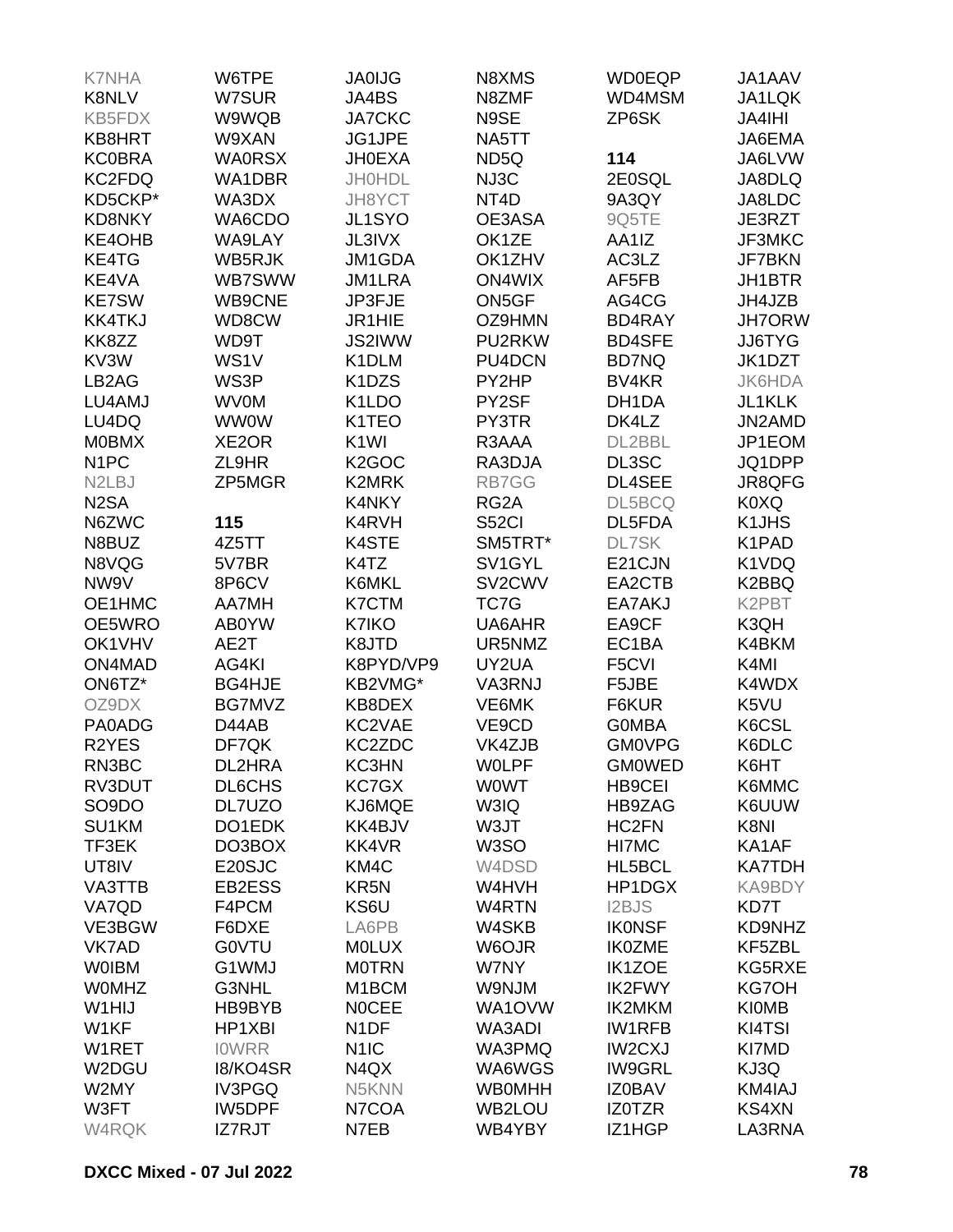| <b>K7NHA</b>                    | W6TPE              | <b>JA0IJG</b>                   | N8XMS             | <b>WD0EQP</b>     | JA1AAV        |
|---------------------------------|--------------------|---------------------------------|-------------------|-------------------|---------------|
| <b>K8NLV</b>                    | W7SUR              | JA4BS                           | N8ZMF             | WD4MSM            | JA1LQK        |
| KB5FDX                          | W9WQB              | <b>JA7CKC</b>                   | N9SE              | ZP6SK             | <b>JA4IHI</b> |
| KB8HRT                          | W9XAN              | JG1JPE                          | NA5TT             |                   | JA6EMA        |
| <b>KC0BRA</b>                   | <b>WA0RSX</b>      | <b>JH0EXA</b>                   | ND <sub>5Q</sub>  | 114               | JA6LVW        |
|                                 |                    |                                 |                   |                   |               |
| KC2FDQ                          | WA1DBR             | <b>JH0HDL</b>                   | NJ3C              | 2E0SQL            | JA8DLQ        |
| KD5CKP*                         | WA3DX              | JH8YCT                          | NT4D              | 9A3QY             | JA8LDC        |
| <b>KD8NKY</b>                   | WA6CDO             | JL1SYO                          | OE3ASA            | 9Q5TE             | JE3RZT        |
| KE4OHB                          | WA9LAY             | <b>JL3IVX</b>                   | OK1ZE             | AA1IZ             | JF3MKC        |
| KE4TG                           | WB5RJK             | JM1GDA                          | OK1ZHV            | AC3LZ             | JF7BKN        |
| KE4VA                           | <b>WB7SWW</b>      | <b>JM1LRA</b>                   | <b>ON4WIX</b>     | AF5FB             | JH1BTR        |
| <b>KE7SW</b>                    | WB9CNE             | JP3FJE                          | ON5GF             | AG4CG             | JH4JZB        |
| <b>KK4TKJ</b>                   | WD8CW              | JR1HIE                          | OZ9HMN            | BD4RAY            | <b>JH7ORW</b> |
| KK8ZZ                           | WD9T               | JS2IWW                          | PU2RKW            | <b>BD4SFE</b>     | JJ6TYG        |
| KV3W                            | WS1V               | K1DLM                           | PU4DCN            | <b>BD7NQ</b>      | JK1DZT        |
| LB <sub>2</sub> AG              | WS3P               | K <sub>1</sub> D <sub>Z</sub> S | PY2HP             | BV <sub>4KR</sub> | <b>JK6HDA</b> |
| LU4AMJ                          | <b>WV0M</b>        | K1LDO                           | PY2SF             | DH1DA             | JL1KLK        |
| LU4DQ                           | <b>WW0W</b>        | K1TEO                           | PY3TR             | DK4LZ             | JN2AMD        |
| <b>MOBMX</b>                    | XE <sub>2</sub> OR | K <sub>1</sub> WI               | R3AAA             | DL2BBL            | JP1EOM        |
| N <sub>1</sub> PC               | ZL9HR              | K <sub>2</sub> GOC              | RA3DJA            | DL3SC             | JQ1DPP        |
| N <sub>2</sub> L <sub>B</sub> J | ZP5MGR             | <b>K2MRK</b>                    | RB7GG             | DL4SEE            | JR8QFG        |
| N <sub>2</sub> SA               |                    | K4NKY                           | RG2A              | DL5BCQ            | K0XQ          |
|                                 |                    | K4RVH                           |                   |                   |               |
| N6ZWC                           | 115                |                                 | <b>S52CI</b>      | DL5FDA            | K1JHS         |
| N8BUZ                           | 4Z5TT              | K4STE                           | SM5TRT*           | <b>DL7SK</b>      | K1PAD         |
| N8VQG                           | 5V7BR              | K4TZ                            | SV1GYL            | E21CJN            | K1VDQ         |
| NW9V                            | 8P6CV              | K6MKL                           | SV2CWV            | EA2CTB            | K2BBQ         |
| OE1HMC                          | <b>AA7MH</b>       | <b>K7CTM</b>                    | TC7G              | EA7AKJ            | K2PBT         |
| OE5WRO                          | AB0YW              | K7IKO                           | UA6AHR            | EA9CF             | K3QH          |
| OK1VHV                          | AE2T               | K8JTD                           | UR5NMZ            | EC1BA             | K4BKM         |
| ON4MAD                          | AG4KI              | K8PYD/VP9                       | UY2UA             | F5CVI             | K4MI          |
| ON6TZ*                          | <b>BG4HJE</b>      | KB2VMG*                         | VA3RNJ            | F5JBE             | K4WDX         |
| OZ9DX                           | BG7MVZ             | KB8DEX                          | VE6MK             | F6KUR             | K5VU          |
| PA0ADG                          | D44AB              | KC2VAE                          | VE9CD             | <b>GOMBA</b>      | K6CSL         |
| R <sub>2</sub> YES              | DF7QK              | KC2ZDC                          | VK4ZJB            | <b>GM0VPG</b>     | K6DLC         |
| RN3BC                           | DL2HRA             | KC3HN                           | <b>WOLPF</b>      | <b>GMOWED</b>     | K6HT          |
| RV3DUT                          | <b>DL6CHS</b>      | KC7GX                           | <b>WOWT</b>       | <b>HB9CEI</b>     | K6MMC         |
| SO <sub>9</sub> DO              | DL7UZO             | KJ6MQE                          | W3IQ              | HB9ZAG            | K6UUW         |
| SU1KM                           | DO1EDK             | KK4BJV                          | W3JT              | HC2FN             | K8NI          |
| TF3EK                           | DO3BOX             | KK4VR                           | W <sub>3</sub> SO | HI7MC             | KA1AF         |
| UT8IV                           | E20SJC             | KM4C                            | W4DSD             | HL5BCL            | <b>KA7TDH</b> |
|                                 | EB2ESS             | KR <sub>5N</sub>                | W4HVH             | HP1DGX            | KA9BDY        |
| VA3TTB                          |                    |                                 |                   |                   |               |
| VA7QD                           | F4PCM              | KS6U                            | W4RTN             | I2BJS             | KD7T          |
| VE3BGW                          | F6DXE              | LA6PB                           | W4SKB             | <b>IKONSF</b>     | KD9NHZ        |
| <b>VK7AD</b>                    | <b>GOVTU</b>       | <b>MOLUX</b>                    | W6OJR             | <b>IK0ZME</b>     | KF5ZBL        |
| <b>WOIBM</b>                    | G1WMJ              | <b>MOTRN</b>                    | W7NY              | <b>IK1ZOE</b>     | KG5RXE        |
| <b>WOMHZ</b>                    | G3NHL              | M <sub>1</sub> BCM              | W9NJM             | <b>IK2FWY</b>     | <b>KG7OH</b>  |
| W1HIJ                           | HB9BYB             | <b>NOCEE</b>                    | WA1OVW            | IK2MKM            | <b>KI0MB</b>  |
| W1KF                            | HP1XBI             | N <sub>1</sub> DF               | WA3ADI            | <b>IW1RFB</b>     | KI4TSI        |
| W1RET                           | <b>IOWRR</b>       | N <sub>1</sub> IC               | WA3PMQ            | <b>IW2CXJ</b>     | KI7MD         |
| W2DGU                           | 18/KO4SR           | N4QX                            | WA6WGS            | <b>IW9GRL</b>     | KJ3Q          |
| W2MY                            | IV3PGQ             | N5KNN                           | <b>WB0MHH</b>     | <b>IZ0BAV</b>     | KM4IAJ        |
| W3FT                            | IW5DPF             | N7COA                           | WB2LOU            | IZ0TZR            | <b>KS4XN</b>  |
| W4RQK                           | IZ7RJT             | N7EB                            | WB4YBY            | IZ1HGP            | LA3RNA        |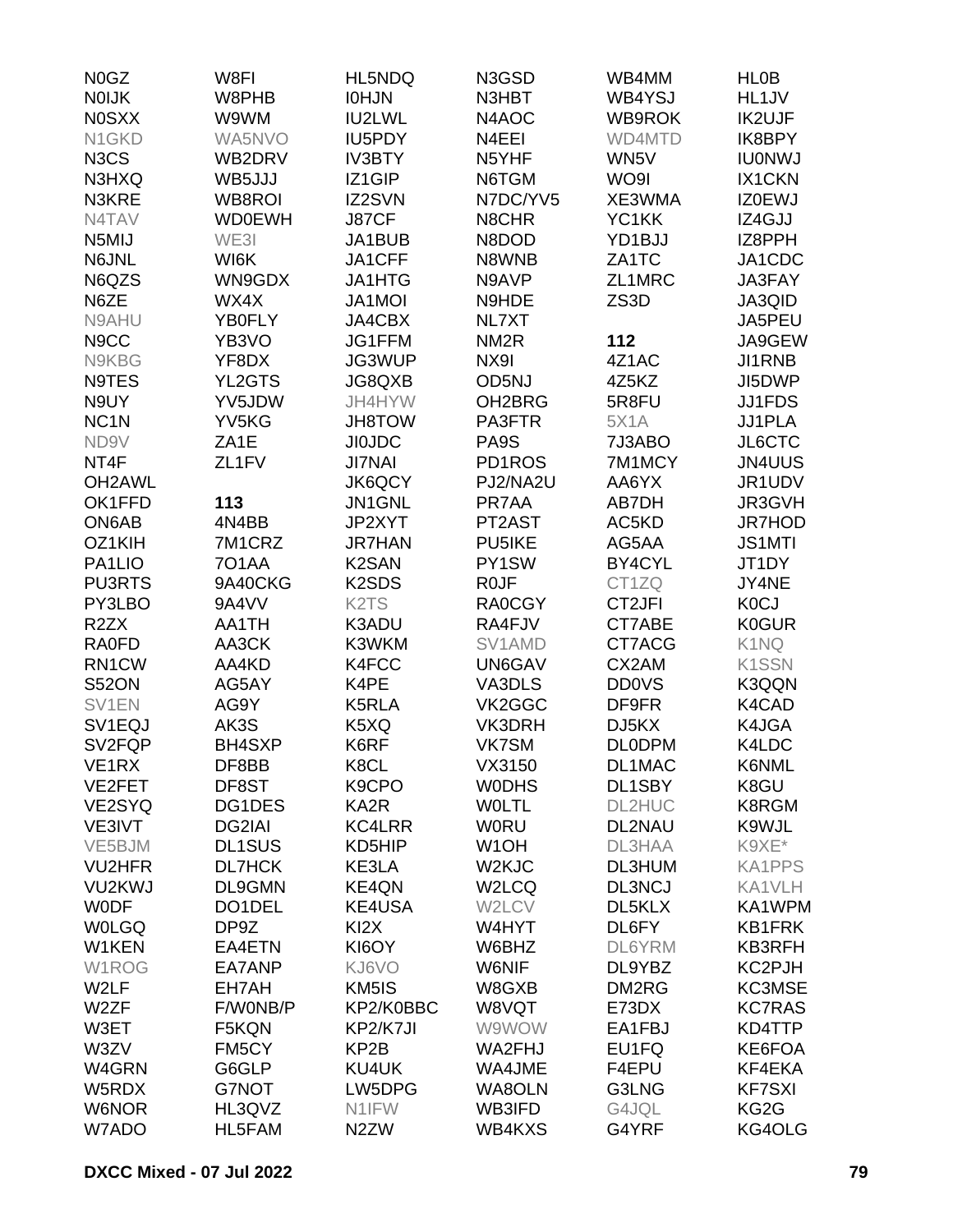| N0GZ                          | W8FI              | HL5NDQ                         | N3GSD               | WB4MM         | <b>HLOB</b>        |
|-------------------------------|-------------------|--------------------------------|---------------------|---------------|--------------------|
| <b>NOIJK</b>                  | W8PHB             | <b>IOHJN</b>                   | N3HBT               | WB4YSJ        | HL1JV              |
| <b>NOSXX</b>                  | W9WM              | IU2LWL                         | N4AOC               | WB9ROK        | <b>IK2UJF</b>      |
| N1GKD                         | WA5NVO            | IU5PDY                         | N4EEI               | WD4MTD        | IK8BPY             |
| N <sub>3</sub> C <sub>S</sub> | WB2DRV            | <b>IV3BTY</b>                  | N5YHF               | WN5V          | <b>IU0NWJ</b>      |
| N3HXQ                         | WB5JJJ            | IZ1GIP                         | N6TGM               | WO9I          | IX1CKN             |
| N3KRE                         | WB8ROI            | IZ2SVN                         | N7DC/YV5            | XE3WMA        | <b>IZ0EWJ</b>      |
| N4TAV                         | <b>WD0EWH</b>     | J87CF                          | N8CHR               | YC1KK         | IZ4GJJ             |
| N5MIJ                         | WE3I              | JA1BUB                         | N8DOD               | YD1BJJ        | IZ8PPH             |
| N6JNL                         | WI6K              | JA1CFF                         | N8WNB               | ZA1TC         | JA1CDC             |
| N6QZS                         | WN9GDX            | JA1HTG                         | N9AVP               | ZL1MRC        | JA3FAY             |
| N6ZE                          | WX4X              | <b>JA1MOI</b>                  | N9HDE               | ZS3D          | JA3QID             |
| N9AHU                         | YB0FLY            | JA4CBX                         | NL7XT               |               | JA5PEU             |
| N9CC                          | YB3VO             | JG1FFM                         | NM <sub>2R</sub>    | 112           | JA9GEW             |
| N9KBG                         | YF8DX             | JG3WUP                         | NX9I                | 4Z1AC         | JI1RNB             |
| N9TES                         | YL2GTS            | JG8QXB                         | OD5NJ               | 4Z5KZ         | JI5DWP             |
| N9UY                          | YV5JDW            | JH4HYW                         | OH <sub>2</sub> BRG | 5R8FU         | <b>JJ1FDS</b>      |
| NC <sub>1</sub> N             | YV5KG             | <b>JH8TOW</b>                  | PA3FTR              | <b>5X1A</b>   | <b>JJ1PLA</b>      |
| ND9V                          | ZA <sub>1</sub> E | <b>JI0JDC</b>                  | PA9S                | 7J3ABO        | JL6CTC             |
| NT4F                          | ZL1FV             | <b>JI7NAI</b>                  | PD1ROS              | 7M1MCY        | JN4UUS             |
| OH <sub>2</sub> AWL           |                   | <b>JK6QCY</b>                  | PJ2/NA2U            | AA6YX         | JR1UDV             |
| OK1FFD                        | 113               | JN1GNL                         | PR7AA               | AB7DH         | JR3GVH             |
| ON6AB                         | 4N4BB             | JP2XYT                         | PT2AST              | AC5KD         | <b>JR7HOD</b>      |
| OZ1KIH                        | 7M1CRZ            | <b>JR7HAN</b>                  | <b>PU5IKE</b>       | AG5AA         | <b>JS1MTI</b>      |
| PA1LIO                        | 701AA             | <b>K2SAN</b>                   | PY1SW               | BY4CYL        | JT1DY              |
| <b>PU3RTS</b>                 | 9A40CKG           | K <sub>2</sub> SD <sub>S</sub> | R <sub>0</sub> JF   | CT1ZQ         | JY4NE              |
| PY3LBO                        | 9A4VV             | K <sub>2</sub> T <sub>S</sub>  | RA0CGY              | CT2JFI        | <b>K0CJ</b>        |
| R <sub>2</sub> ZX             | AA1TH             | K3ADU                          | RA4FJV              | CT7ABE        | <b>K0GUR</b>       |
| <b>RA0FD</b>                  | AA3CK             | K3WKM                          | SV1AMD              | CT7ACG        | K1NQ               |
| RN1CW                         | AA4KD             | K4FCC                          | UN6GAV              | CX2AM         | K <sub>1</sub> SSN |
| <b>S52ON</b>                  | AG5AY             | K4PE                           | VA3DLS              | <b>DD0VS</b>  | K3QQN              |
| SV <sub>1</sub> EN            | AG9Y              | K5RLA                          | VK2GGC              | DF9FR         | K4CAD              |
| SV <sub>1</sub> EQJ           | AK3S              | K5XQ                           | VK3DRH              | DJ5KX         | K4JGA              |
| SV <sub>2FQP</sub>            | <b>BH4SXP</b>     | K6RF                           | VK7SM               | <b>DLODPM</b> | K4LDC              |
| VE1RX                         | DF8BB             | K8CL                           | VX3150              | DL1MAC        | K6NML              |
| VE2FET                        | DF8ST             | K <sub>9</sub> C <sub>PO</sub> | <b>WODHS</b>        | DL1SBY        | K8GU               |
| VE2SYQ                        | DG1DES            | KA2R                           | <b>WOLTL</b>        | DL2HUC        | K8RGM              |
| VE3IVT                        | DG2IAI            | <b>KC4LRR</b>                  | <b>WORU</b>         | DL2NAU        | K9WJL              |
| VE5BJM                        | <b>DL1SUS</b>     | KD5HIP                         | W <sub>1</sub> OH   | DL3HAA        | K9XE*              |
| <b>VU2HFR</b>                 | <b>DL7HCK</b>     | KE3LA                          | W <sub>2</sub> KJC  | DL3HUM        | <b>KA1PPS</b>      |
| VU2KWJ                        | DL9GMN            | KE4QN                          | W2LCQ               | DL3NCJ        | KA1VLH             |
| <b>WODF</b>                   | DO1DEL            | <b>KE4USA</b>                  | W2LCV               | DL5KLX        | KA1WPM             |
| <b>WOLGQ</b>                  | DP9Z              | KI <sub>2</sub> X              | W4HYT               | DL6FY         | <b>KB1FRK</b>      |
| W1KEN                         | EA4ETN            | KI6OY                          | W6BHZ               | DL6YRM        | KB3RFH             |
| W1ROG                         | EA7ANP            | KJ6VO                          | W6NIF               | DL9YBZ        | KC2PJH             |
| W2LF                          | EH7AH             | KM5IS                          | W8GXB               | DM2RG         | KC3MSE             |
| W2ZF                          | F/W0NB/P          | KP2/K0BBC                      | W8VQT               | E73DX         | <b>KC7RAS</b>      |
| W3ET                          | F5KQN             | KP2/K7JI                       | W9WOW               | EA1FBJ        | KD4TTP             |
| W3ZV                          | FM5CY             | KP <sub>2</sub> B              | WA2FHJ              | EU1FQ         | KE6FOA             |
| W4GRN                         | G6GLP             | KU4UK                          | WA4JME              | F4EPU         | KF4EKA             |
| W5RDX                         | G7NOT             | LW5DPG                         | WA8OLN              | G3LNG         | <b>KF7SXI</b>      |
| W6NOR                         | HL3QVZ            | N1IFW                          | WB3IFD              | G4JQL         | KG2G               |
| W7ADO                         | HL5FAM            | N <sub>2</sub> ZW              | WB4KXS              | G4YRF         | KG4OLG             |
|                               |                   |                                |                     |               |                    |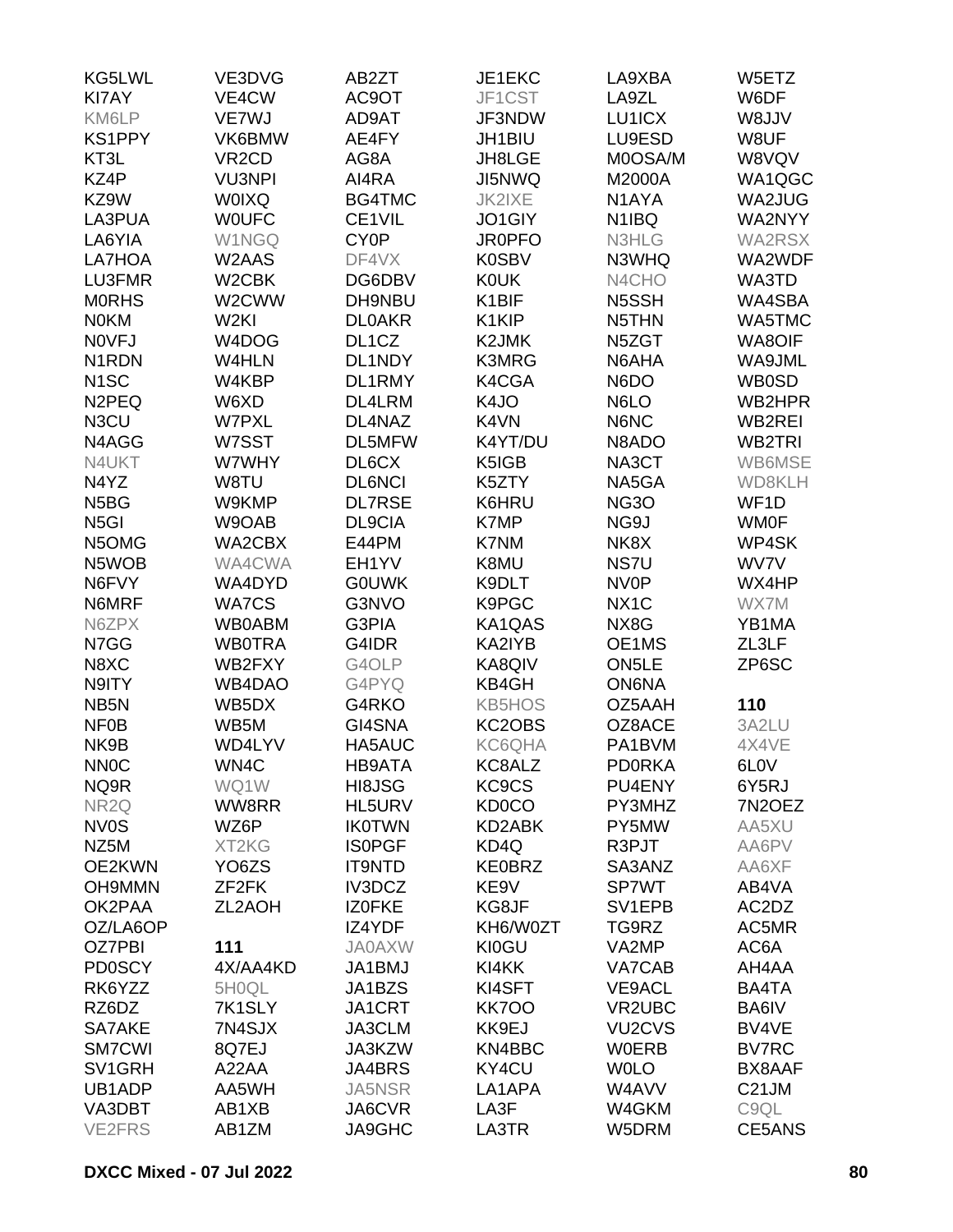| KG5LWL                        | VE3DVG             | AB2ZT              | JE1EKC                                   | LA9XBA                          | W5ETZ             |
|-------------------------------|--------------------|--------------------|------------------------------------------|---------------------------------|-------------------|
| <b>KI7AY</b>                  | VE4CW              | AC9OT              | JF1CST                                   | LA9ZL                           | W6DF              |
| KM6LP                         | VE7WJ              | AD9AT              | JF3NDW                                   | LU1ICX                          | W8JJV             |
| <b>KS1PPY</b>                 | VK6BMW             | AE4FY              | JH1BIU                                   | LU9ESD                          | W8UF              |
| KT3L                          | VR <sub>2</sub> CD | AG8A               | JH8LGE                                   | M0OSA/M                         | W8VQV             |
| KZ4P                          | <b>VU3NPI</b>      | AI4RA              | JI5NWQ                                   | M2000A                          | WA1QGC            |
| KZ9W                          | <b>WOIXQ</b>       | BG4TMC             | JK2IXE                                   | N1AYA                           | WA2JUG            |
| LA3PUA                        | <b>WOUFC</b>       | CE1VIL             | JO1GIY                                   | N <sub>1</sub> IBQ              | WA2NYY            |
| LA6YIA                        | W1NGQ              | CY <sub>0</sub> P  | <b>JR0PFO</b>                            | N3HLG                           | WA2RSX            |
| LA7HOA                        | W2AAS              | DF4VX              | <b>K0SBV</b>                             | N3WHQ                           | WA2WDF            |
| LU3FMR                        | W <sub>2</sub> CBK | DG6DBV             | <b>K0UK</b>                              | N4CHO                           | WA3TD             |
| <b>MORHS</b>                  | W2CWW              | DH9NBU             | K1BIF                                    | N5SSH                           | WA4SBA            |
| <b>NOKM</b>                   | W <sub>2KI</sub>   | <b>DL0AKR</b>      | K1KIP                                    | N5THN                           | WA5TMC            |
| <b>NOVFJ</b>                  | W4DOG              | DL <sub>1</sub> CZ | K <sub>2</sub> JMK                       | N5ZGT                           | WA8OIF            |
| N <sub>1</sub> RDN            | W4HLN              | DL1NDY             | K3MRG                                    | N6AHA                           | WA9JML            |
| N <sub>1</sub> SC             | W4KBP              | DL1RMY             | K4CGA                                    | N6DO                            | <b>WB0SD</b>      |
| N <sub>2</sub> PEQ            | W6XD               | DL4LRM             | K4JO                                     | N6LO                            | WB2HPR            |
| N3CU                          | <b>W7PXL</b>       | DL4NAZ             | K4VN                                     | N6NC                            | WB2REI            |
| N4AGG                         | W7SST              | DL5MFW             | K4YT/DU                                  | N8ADO                           | WB2TRI            |
| N4UKT                         | W7WHY              | DL6CX              | K5IGB                                    | NA3CT                           | WB6MSE            |
| N4YZ                          | W8TU               | <b>DL6NCI</b>      | K5ZTY                                    | NA5GA                           | WD8KLH            |
| N <sub>5</sub> B <sub>G</sub> | W9KMP              | <b>DL7RSE</b>      | K6HRU                                    | <b>NG30</b>                     | WF <sub>1</sub> D |
| N <sub>5</sub> GI             | W9OAB              | DL9CIA             | K7MP                                     | NG9J                            | <b>WM0F</b>       |
| N5OMG                         | WA2CBX             | E44PM              | K7NM                                     | NK8X                            | WP4SK             |
| N5WOB                         | WA4CWA             | EH1YV              | K8MU                                     | NS7U                            | WV7V              |
| N6FVY                         | WA4DYD             | <b>GOUWK</b>       | K9DLT                                    | <b>NV0P</b>                     | WX4HP             |
| N6MRF                         | <b>WA7CS</b>       | G3NVO              | K9PGC                                    | NX <sub>1</sub> C               | WX7M              |
| N6ZPX                         | <b>WB0ABM</b>      | G3PIA              | KA1QAS                                   | NX8G                            | YB1MA             |
| N7GG                          | <b>WB0TRA</b>      | G4IDR              | KA2IYB                                   | OE1MS                           | ZL3LF             |
| N8XC                          | WB2FXY             | G4OLP              | KA8QIV                                   | ON <sub>5</sub> LE              | ZP6SC             |
| N9ITY                         | WB4DAO             | G4PYQ              | KB4GH                                    | <b>ON6NA</b>                    |                   |
|                               | WB5DX              |                    | <b>KB5HOS</b>                            | OZ5AAH                          |                   |
| NB <sub>5</sub> N             | WB5M               | G4RKO              |                                          |                                 | 110               |
| <b>NF0B</b><br>NK9B           | WD4LYV             | GI4SNA             | KC2OBS                                   | OZ8ACE                          | 3A2LU             |
| <b>NNOC</b>                   |                    | HA5AUC<br>HB9ATA   | <b>KC6QHA</b>                            | PA1BVM                          | 4X4VE             |
| NQ9R                          | WN4C               |                    | KC8ALZ<br>KC <sub>9</sub> C <sub>S</sub> | <b>PDORKA</b><br>PU4ENY         | 6L <sub>0</sub> V |
|                               | WQ1W               | HI8JSG             |                                          |                                 | 6Y5RJ             |
| NR <sub>2Q</sub>              | WW8RR              | HL5URV             | <b>KD0CO</b>                             | PY3MHZ                          | 7N2OEZ            |
| <b>NV0S</b>                   | WZ6P               | <b>IK0TWN</b>      | KD2ABK                                   | PY5MW                           | AA5XU             |
| NZ5M                          | XT2KG              | <b>ISOPGF</b>      | KD4Q                                     | R3PJT                           | AA6PV             |
| OE2KWN                        | YO <sub>6</sub> ZS | <b>IT9NTD</b>      | <b>KE0BRZ</b>                            | SA3ANZ                          | AA6XF             |
| <b>OH9MMN</b>                 | ZF <sub>2</sub> FK | IV3DCZ             | KE9V                                     | <b>SP7WT</b>                    | AB4VA             |
| OK2PAA                        | ZL2AOH             | IZ0FKE             | KG8JF                                    | SV <sub>1</sub> EPB             | AC2DZ             |
| OZ/LA6OP                      |                    | IZ4YDF             | KH6/W0ZT                                 | TG9RZ                           | AC5MR             |
| OZ7PBI                        | 111                | <b>JA0AXW</b>      | KI0GU                                    | VA2MP                           | AC6A              |
| <b>PD0SCY</b>                 | 4X/AA4KD           | JA1BMJ             | KI4KK                                    | VA7CAB                          | AH4AA             |
| RK6YZZ                        | 5H0QL              | JA1BZS             | KI4SFT                                   | <b>VE9ACL</b>                   | BA4TA             |
| RZ6DZ                         | 7K1SLY             | JA1CRT             | <b>KK700</b>                             | VR2UBC                          | BA6IV             |
| SA7AKE                        | 7N4SJX             | JA3CLM             | KK9EJ                                    | VU <sub>2</sub> CV <sub>S</sub> | BV4VE             |
| <b>SM7CWI</b>                 | 8Q7EJ              | JA3KZW             | KN4BBC                                   | <b>W0ERB</b>                    | <b>BV7RC</b>      |
| SV1GRH                        | A22AA              | JA4BRS             | KY4CU                                    | <b>WOLO</b>                     | BX8AAF            |
| UB1ADP                        | AA5WH              | <b>JA5NSR</b>      | LA1APA                                   | W4AVV                           | C21JM             |
| VA3DBT                        | AB1XB              | JA6CVR             | LA3F                                     | W4GKM                           | C9QL              |
| <b>VE2FRS</b>                 | AB1ZM              | <b>JA9GHC</b>      | LA3TR                                    | W5DRM                           | CE5ANS            |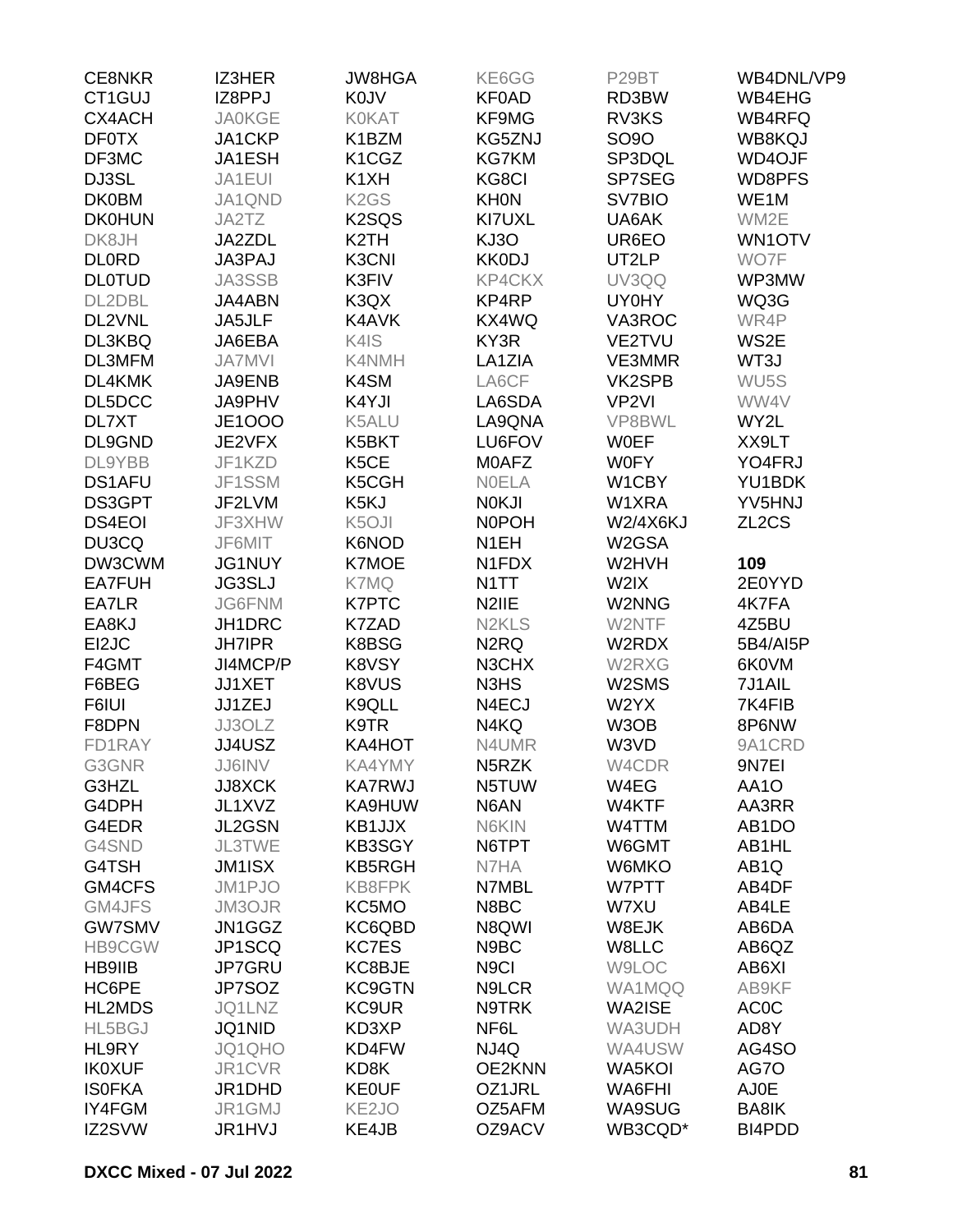| <b>CE8NKR</b> | <b>IZ3HER</b>                  | <b>JW8HGA</b>                   | KE6GG                          | P29BT             | WB4DNL/VP9         |
|---------------|--------------------------------|---------------------------------|--------------------------------|-------------------|--------------------|
| CT1GUJ        | IZ8PPJ                         | <b>K0JV</b>                     | <b>KF0AD</b>                   | RD3BW             | WB4EHG             |
| <b>CX4ACH</b> | <b>JA0KGE</b>                  | <b>KOKAT</b>                    | KF9MG                          | RV3KS             | WB4RFQ             |
| <b>DF0TX</b>  | JA1CKP                         | K1BZM                           | KG5ZNJ                         | <b>SO9O</b>       | WB8KQJ             |
| DF3MC         | JA1ESH                         | K <sub>1</sub> C <sub>G</sub> Z | <b>KG7KM</b>                   | SP3DQL            | <b>WD4OJF</b>      |
| DJ3SL         | JA1EUI                         | K <sub>1</sub> XH               | KG8CI                          | SP7SEG            | WD8PFS             |
| <b>DK0BM</b>  | JA1QND                         | K <sub>2</sub> G <sub>S</sub>   | <b>KHON</b>                    | SV7BIO            | WE1M               |
| <b>DK0HUN</b> | JA2TZ                          | K <sub>2</sub> SQ <sub>S</sub>  | KI7UXL                         | UA6AK             | WM2E               |
| DK8JH         | JA2ZDL                         | K <sub>2</sub> TH               | KJ3O                           | UR6EO             | WN1OTV             |
| <b>DLORD</b>  | JA3PAJ                         | K3CNI                           | <b>KK0DJ</b>                   | UT2LP             | WO7F               |
| <b>DLOTUD</b> | JA3SSB                         | K3FIV                           | KP4CKX                         | UV3QQ             | WP3MW              |
| DL2DBL        | JA4ABN                         | K3QX                            | KP4RP                          | UY0HY             | WQ3G               |
| DL2VNL        | JA5JLF                         | K4AVK                           | KX4WQ                          | VA3ROC            | WR4P               |
| DL3KBQ        | JA6EBA                         | K4IS                            | KY3R                           | VE2TVU            | WS2E               |
| DL3MFM        | <b>JA7MVI</b>                  | K4NMH                           | LA1ZIA                         | VE3MMR            | WT3J               |
| DL4KMK        | JA9ENB                         | K4SM                            | LA6CF                          | VK2SPB            | WU <sub>5</sub> S  |
| DL5DCC        | JA9PHV                         | K4YJI                           | LA6SDA                         | VP <sub>2VI</sub> | WW4V               |
| DL7XT         | <b>JE1000</b>                  | K5ALU                           | LA9QNA                         | VP8BWL            | WY2L               |
| DL9GND        | JE2VFX                         | K5BKT                           | LU6FOV                         | <b>WOEF</b>       | XX9LT              |
| DL9YBB        | JF1KZD                         | K <sub>5</sub> CE               | M0AFZ                          | <b>W0FY</b>       | YO4FRJ             |
| <b>DS1AFU</b> | JF1SSM                         | K5CGH                           | <b>NOELA</b>                   | W1CBY             | YU1BDK             |
| DS3GPT        | JF2LVM                         | K5KJ                            | <b>NOKJI</b>                   | W1XRA             | YV5HNJ             |
| <b>DS4EOI</b> | JF3XHW                         | K <sub>5</sub> OJI              | <b>NOPOH</b>                   | <b>W2/4X6KJ</b>   | ZL <sub>2</sub> CS |
| DU3CQ         | JF6MIT                         | K6NOD                           | N <sub>1</sub> EH              | W2GSA             |                    |
| DW3CWM        | JG1NUY                         | <b>K7MOE</b>                    | N1FDX                          | W2HVH             | 109                |
| <b>EA7FUH</b> |                                | K7MQ                            | N <sub>1</sub> TT              | W2IX              | 2E0YYD             |
| EA7LR         | <b>JG3SLJ</b><br><b>JG6FNM</b> | <b>K7PTC</b>                    | N2IIE                          | W2NNG             | 4K7FA              |
| EA8KJ         |                                |                                 | N <sub>2</sub> KL <sub>S</sub> |                   |                    |
|               | JH1DRC                         | K7ZAD                           |                                | W2NTF             | 4Z5BU              |
| EI2JC         | <b>JH7IPR</b>                  | K8BSG                           | N <sub>2</sub> RQ              | W2RDX             | 5B4/AI5P           |
| F4GMT         | JI4MCP/P                       | K8VSY                           | N3CHX                          | W2RXG             | 6K0VM              |
| F6BEG         | <b>JJ1XET</b>                  | K8VUS                           | N3HS                           | W2SMS             | 7J1AIL             |
| F6IUI         | JJ1ZEJ                         | K9QLL                           | N4ECJ                          | W2YX              | 7K4FIB             |
| F8DPN         | JJ3OLZ                         | K9TR                            | N4KQ                           | W3OB              | 8P6NW              |
| FD1RAY        | JJ4USZ                         | KA4HOT                          | N4UMR                          | W3VD              | 9A1CRD             |
| G3GNR         | JJ6INV                         | KA4YMY                          | N <sub>5</sub> RZK             | W4CDR             | 9N7EI              |
| G3HZL         | <b>JJ8XCK</b>                  | <b>KA7RWJ</b>                   | N5TUW                          | W4EG              | AA1O               |
| G4DPH         | JL1XVZ                         | KA9HUW                          | N6AN                           | W4KTF             | AA3RR              |
| G4EDR         | JL2GSN                         | KB1JJX                          | N6KIN                          | W4TTM             | AB <sub>1</sub> DO |
| G4SND         | <b>JL3TWE</b>                  | KB3SGY                          | N6TPT                          | W6GMT             | AB1HL              |
| G4TSH         | JM1ISX                         | KB5RGH                          | N7HA                           | W6MKO             | AB <sub>1</sub> Q  |
| GM4CFS        | JM1PJO                         | KB8FPK                          | N7MBL                          | W7PTT             | AB4DF              |
| GM4JFS        | JM3OJR                         | KC5MO                           | N8BC                           | W7XU              | AB4LE              |
| <b>GW7SMV</b> | JN1GGZ                         | KC6QBD                          | N8QWI                          | W8EJK             | AB6DA              |
| <b>HB9CGW</b> | JP1SCQ                         | <b>KC7ES</b>                    | N9BC                           | W8LLC             | AB6QZ              |
| <b>HB9IIB</b> | JP7GRU                         | KC8BJE                          | N <sub>9</sub> Cl              | <b>W9LOC</b>      | AB6XI              |
| HC6PE         | JP7SOZ                         | KC9GTN                          | N9LCR                          | WA1MQQ            | AB9KF              |
| <b>HL2MDS</b> | JQ1LNZ                         | <b>KC9UR</b>                    | N9TRK                          | WA2ISE            | AC <sub>0</sub> C  |
| HL5BGJ        | JQ1NID                         | KD3XP                           | NF6L                           | WA3UDH            | AD8Y               |
| HL9RY         | JQ1QHO                         | KD4FW                           | NJ4Q                           | WA4USW            | AG4SO              |
| <b>IK0XUF</b> | JR1CVR                         | KD8K                            | OE2KNN                         | WA5KOI            | AG7O               |
| <b>ISOFKA</b> | JR1DHD                         | <b>KEOUF</b>                    | OZ1JRL                         | WA6FHI            | <b>AJ0E</b>        |
| IY4FGM        | JR1GMJ                         | KE <sub>2JO</sub>               | OZ5AFM                         | WA9SUG            | BA8IK              |
| IZ2SVW        | <b>JR1HVJ</b>                  | KE4JB                           | OZ9ACV                         | WB3CQD*           | BI4PDD             |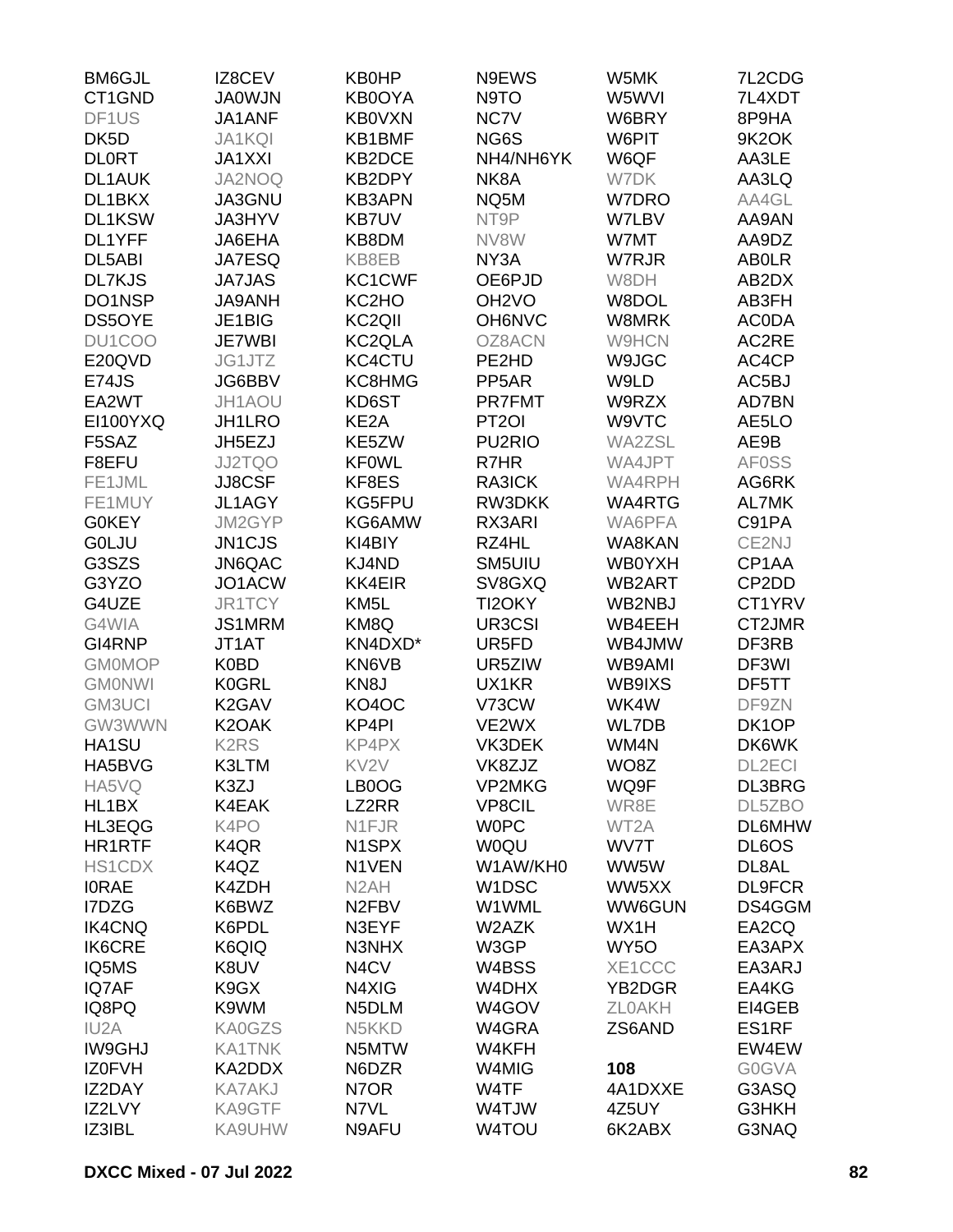| <b>BM6GJL</b>     | IZ8CEV                        | <b>KB0HP</b>                   | N9EWS               | W5MK              | 7L2CDG                         |
|-------------------|-------------------------------|--------------------------------|---------------------|-------------------|--------------------------------|
| CT1GND            | <b>JA0WJN</b>                 | KB0OYA                         | N9TO                | W5WVI             | 7L4XDT                         |
| DF1US             | JA1ANF                        | <b>KB0VXN</b>                  | NC7V                | W6BRY             | 8P9HA                          |
| DK <sub>5</sub> D | <b>JA1KQI</b>                 | KB1BMF                         | NG6S                | W6PIT             | 9K2OK                          |
| <b>DLORT</b>      | <b>JA1XXI</b>                 | KB2DCE                         | NH4/NH6YK           | W6QF              | AA3LE                          |
| <b>DL1AUK</b>     | JA2NOQ                        | KB2DPY                         | NK8A                | W7DK              | AA3LQ                          |
| DL1BKX            | JA3GNU                        | <b>KB3APN</b>                  | NQ5M                | W7DRO             | AA4GL                          |
| DL1KSW            | JA3HYV                        | <b>KB7UV</b>                   | NT9P                | W7LBV             | AA9AN                          |
| DL1YFF            | JA6EHA                        | KB8DM                          | NV8W                | W7MT              | AA9DZ                          |
| DL5ABI            | JA7ESQ                        | KB8EB                          | NY3A                | W7RJR             | <b>ABOLR</b>                   |
| <b>DL7KJS</b>     | <b>JA7JAS</b>                 | KC1CWF                         | OE6PJD              | W8DH              | AB2DX                          |
| DO1NSP            | <b>JA9ANH</b>                 | KC <sub>2</sub> H <sub>O</sub> | OH <sub>2</sub> VO  | W8DOL             | AB3FH                          |
| <b>DS5OYE</b>     | JE1BIG                        | KC <sub>2QII</sub>             | OH6NVC              | W8MRK             | <b>ACODA</b>                   |
| DU1COO            | <b>JE7WBI</b>                 | KC <sub>2QLA</sub>             | OZ8ACN              | <b>W9HCN</b>      | AC2RE                          |
| E20QVD            | JG1JTZ                        | KC4CTU                         | PE2HD               | W9JGC             | AC4CP                          |
| E74JS             | JG6BBV                        | KC8HMG                         |                     |                   |                                |
|                   |                               |                                | PP <sub>5</sub> AR  | W9LD              | AC5BJ                          |
| EA2WT             | JH1AOU                        | KD6ST                          | <b>PR7FMT</b>       | W9RZX             | AD7BN                          |
| <b>EI100YXQ</b>   | JH1LRO                        | KE2A                           | PT <sub>2</sub> OI  | W9VTC             | AE5LO                          |
| F5SAZ             | JH5EZJ                        | KE5ZW                          | PU <sub>2</sub> RIO | WA2ZSL            | AE9B                           |
| F8EFU             | JJ2TQO                        | <b>KF0WL</b>                   | R7HR                | WA4JPT            | <b>AF0SS</b>                   |
| FE1JML            | JJ8CSF                        | KF8ES                          | RA3ICK              | WA4RPH            | AG6RK                          |
| FE1MUY            | JL1AGY                        | KG5FPU                         | RW3DKK              | WA4RTG            | AL7MK                          |
| <b>G0KEY</b>      | JM2GYP                        | KG6AMW                         | RX3ARI              | WA6PFA            | C91PA                          |
| <b>GOLJU</b>      | JN1CJS                        | KI4BIY                         | RZ4HL               | WA8KAN            | CE2NJ                          |
| G3SZS             | JN6QAC                        | KJ4ND                          | SM5UIU              | WB0YXH            | CP1AA                          |
| G3YZO             | JO1ACW                        | <b>KK4EIR</b>                  | SV8GXQ              | WB2ART            | CP <sub>2</sub> D <sub>D</sub> |
| G4UZE             | JR1TCY                        | KM <sub>5</sub> L              | TI2OKY              | WB2NBJ            | CT1YRV                         |
| G4WIA             | JS1MRM                        | KM8Q                           | UR3CSI              | WB4EEH            | CT2JMR                         |
| GI4RNP            | JT1AT                         | KN4DXD*                        | UR5FD               | WB4JMW            | DF3RB                          |
| <b>GM0MOP</b>     | <b>K0BD</b>                   | KN6VB                          | UR5ZIW              | WB9AMI            | DF3WI                          |
| <b>GMONWI</b>     | <b>K0GRL</b>                  | KN <sub>8</sub> J              | UX1KR               | WB9IXS            | DF5TT                          |
| <b>GM3UCI</b>     | K <sub>2</sub> GAV            | KO4OC                          | V73CW               | WK4W              | DF9ZN                          |
| GW3WWN            | K <sub>2</sub> OAK            | KP4PI                          | VE2WX               | WL7DB             | DK1OP                          |
| HA1SU             | <b>K2RS</b>                   | KP4PX                          | VK3DEK              | WM4N              | DK6WK                          |
| HA5BVG            | K3LTM                         | KV <sub>2V</sub>               | VK8ZJZ              | WO8Z              | DL2ECI                         |
| HA5VQ             | K3ZJ                          | LB0OG                          | <b>VP2MKG</b>       | WQ9F              | DL3BRG                         |
| HL1BX             | K4EAK                         | LZ2RR                          | <b>VP8CIL</b>       | WR8E              | DL5ZBO                         |
| HL3EQG            | K4PO                          | N1FJR                          | <b>WOPC</b>         | WT2A              | <b>DL6MHW</b>                  |
| <b>HR1RTF</b>     | K <sub>4</sub> Q <sub>R</sub> | N <sub>1</sub> SP <sub>X</sub> | <b>WOQU</b>         | WV7T              | DL6OS                          |
| <b>HS1CDX</b>     | K4QZ                          | N1VEN                          | W1AW/KH0            | WW5W              | DL8AL                          |
| <b>IORAE</b>      | K4ZDH                         | N <sub>2</sub> AH              | W <sub>1</sub> DSC  | WW5XX             | <b>DL9FCR</b>                  |
| I7DZG             | K6BWZ                         | N <sub>2</sub> F <sub>BV</sub> | W1WML               | WW6GUN            | DS4GGM                         |
| <b>IK4CNQ</b>     | K6PDL                         | N3EYF                          | W2AZK               | WX1H              | EA2CQ                          |
| <b>IK6CRE</b>     | K6QIQ                         | N3NHX                          | W3GP                | WY <sub>5</sub> O | EA3APX                         |
| IQ5MS             | K8UV                          | N <sub>4</sub> C <sub>V</sub>  | W4BSS               | XE1CCC            | EA3ARJ                         |
| IQ7AF             | K9GX                          | N4XIG                          | W4DHX               | YB2DGR            | EA4KG                          |
| IQ8PQ             | K9WM                          | N5DLM                          | W4GOV               | <b>ZLOAKH</b>     | EI4GEB                         |
| IU <sub>2</sub> A | KA0GZS                        | N5KKD                          | W4GRA               | ZS6AND            | ES1RF                          |
| <b>IW9GHJ</b>     | <b>KA1TNK</b>                 | N5MTW                          | W4KFH               |                   | EW4EW                          |
| <b>IZOFVH</b>     | KA2DDX                        | N6DZR                          | W4MIG               | 108               | <b>G0GVA</b>                   |
| IZ2DAY            | <b>KA7AKJ</b>                 | N7OR                           | W4TF                | 4A1DXXE           | G3ASQ                          |
| IZ2LVY            | KA9GTF                        | N7VL                           | W4TJW               | 4Z5UY             | G3HKH                          |
| IZ3IBL            | KA9UHW                        | N9AFU                          | W4TOU               | 6K2ABX            | G3NAQ                          |
|                   |                               |                                |                     |                   |                                |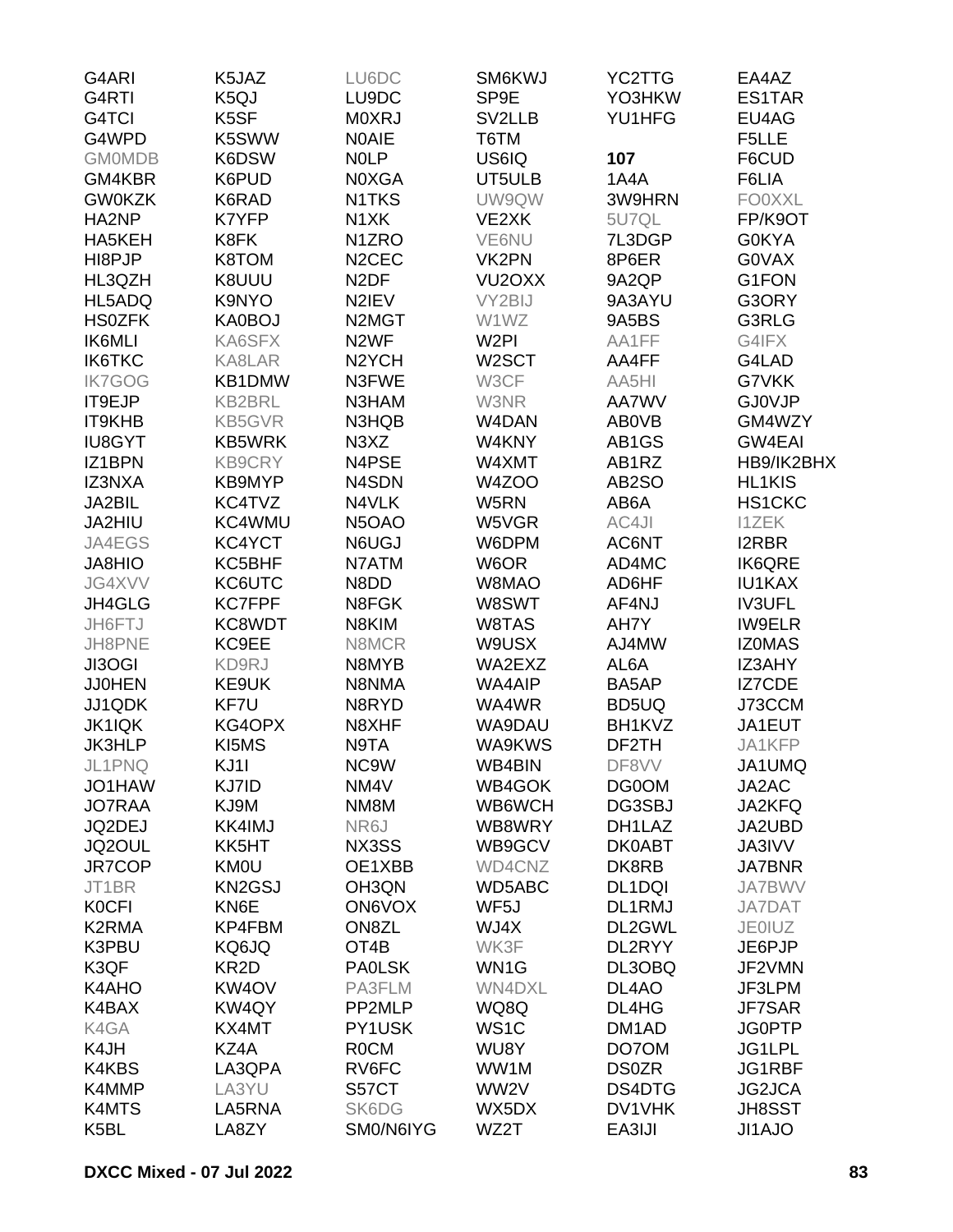| G4ARI         | K5JAZ             | LU6DC                           | SM6KWJ              | YC2TTG             | EA4AZ         |
|---------------|-------------------|---------------------------------|---------------------|--------------------|---------------|
| G4RTI         | K5QJ              | LU9DC                           | SP9E                | YO3HKW             | ES1TAR        |
| G4TCI         | K5SF              | <b>MOXRJ</b>                    | SV2LLB              | YU1HFG             | EU4AG         |
| G4WPD         | K5SWW             | <b>NOAIE</b>                    | T6TM                |                    | F5LLE         |
| <b>GMOMDB</b> | K6DSW             | <b>NOLP</b>                     | US6IQ               | 107                | F6CUD         |
| GM4KBR        | K6PUD             | N0XGA                           | UT5ULB              | 1A4A               | F6LIA         |
| <b>GW0KZK</b> | K6RAD             | N1TKS                           | UW9QW               | 3W9HRN             | <b>FO0XXL</b> |
| HA2NP         | K7YFP             | N <sub>1</sub> XK               | VE2XK               | 5U7QL              | FP/K9OT       |
| HA5KEH        | K8FK              | N <sub>1</sub> ZRO              | VE6NU               | 7L3DGP             | <b>G0KYA</b>  |
| HI8PJP        | K8TOM             | N <sub>2</sub> CEC              | VK2PN               | 8P6ER              | <b>GOVAX</b>  |
| HL3QZH        | K8UUU             | N <sub>2</sub> DF               | VU <sub>2</sub> OXX | 9A2QP              | G1FON         |
| HL5ADQ        | K9NYO             | N2IEV                           | VY2BIJ              | 9A3AYU             | G3ORY         |
| <b>HS0ZFK</b> | KA0BOJ            | N <sub>2</sub> M <sub>G</sub> T | W1WZ                | 9A5BS              | G3RLG         |
| IK6MLI        | KA6SFX            | N <sub>2</sub> WF               | W <sub>2</sub> PI   | AA1FF              | G4IFX         |
| <b>IK6TKC</b> | KA8LAR            | N <sub>2</sub> YCH              | W2SCT               | AA4FF              | G4LAD         |
| <b>IK7GOG</b> | KB1DMW            | N3FWE                           | W3CF                | AA5HI              | G7VKK         |
| IT9EJP        | <b>KB2BRL</b>     | N3HAM                           | W3NR                | AA7WV              | <b>GJ0VJP</b> |
| <b>IT9KHB</b> | <b>KB5GVR</b>     | N3HQB                           | W4DAN               | AB0VB              | GM4WZY        |
| <b>IU8GYT</b> | <b>KB5WRK</b>     | N <sub>3</sub> X <sub>Z</sub>   | W4KNY               | AB1GS              | <b>GW4EAI</b> |
| IZ1BPN        | <b>KB9CRY</b>     | N4PSE                           | W4XMT               | AB1RZ              | HB9/IK2BHX    |
| IZ3NXA        | KB9MYP            | N4SDN                           | W4ZOO               | AB <sub>2</sub> SO | HL1KIS        |
| JA2BIL        | KC4TVZ            | N4VLK                           | W5RN                | AB6A               | HS1CKC        |
|               |                   | N5OAO                           |                     | AC4JI              |               |
| JA2HIU        | KC4WMU            |                                 | W5VGR               |                    | <b>I1ZEK</b>  |
| JA4EGS        | KC4YCT            | N6UGJ                           | W6DPM               | AC6NT              | <b>I2RBR</b>  |
| <b>JA8HIO</b> | KC5BHF            | N7ATM                           | W6OR                | AD4MC              | <b>IK6QRE</b> |
| JG4XVV        | KC6UTC            | N8DD                            | W8MAO               | AD6HF              | <b>IU1KAX</b> |
| JH4GLG        | <b>KC7FPF</b>     | N8FGK                           | W8SWT               | AF4NJ              | <b>IV3UFL</b> |
| JH6FTJ        | KC8WDT            | N8KIM                           | W8TAS               | AH7Y               | <b>IW9ELR</b> |
| JH8PNE        | KC9EE             | N8MCR                           | W9USX               | AJ4MW              | <b>IZOMAS</b> |
| JI3OGI        | KD9RJ             | N8MYB                           | WA2EXZ              | AL6A               | IZ3AHY        |
| <b>JJ0HEN</b> | KE9UK             | N8NMA                           | WA4AIP              | BA5AP              | <b>IZ7CDE</b> |
| JJ1QDK        | KF7U              | N8RYD                           | WA4WR               | BD5UQ              | J73CCM        |
| <b>JK1IQK</b> | KG4OPX            | N8XHF                           | WA9DAU              | BH1KVZ             | JA1EUT        |
| <b>JK3HLP</b> | KI5MS             | N9TA                            | WA9KWS              | DF2TH              | JA1KFP        |
| JL1PNQ        | KJ11              | NC9W                            | WB4BIN              | DF8VV              | JA1UMQ        |
| JO1HAW        | KJ7ID             | NM4V                            | WB4GOK              | DG0OM              | JA2AC         |
| <b>JO7RAA</b> | KJ9M              | NM8M                            | WB6WCH              | DG3SBJ             | JA2KFQ        |
| JQ2DEJ        | KK4IMJ            | NR6J                            | WB8WRY              | DH1LAZ             | JA2UBD        |
| JQ2OUL        | KK5HT             | NX3SS                           | WB9GCV              | <b>DK0ABT</b>      | <b>JA3IVV</b> |
| JR7COP        | <b>KM0U</b>       | OE1XBB                          | WD4CNZ              | DK8RB              | <b>JA7BNR</b> |
| JT1BR         | <b>KN2GSJ</b>     | OH3QN                           | WD5ABC              | DL1DQI             | <b>JA7BWV</b> |
| <b>KOCFI</b>  | KN6E              | <b>ON6VOX</b>                   | WF5J                | DL1RMJ             | <b>JA7DAT</b> |
| K2RMA         | KP4FBM            | ON8ZL                           | WJ4X                | DL2GWL             | <b>JE0IUZ</b> |
| K3PBU         | KQ6JQ             | OT <sub>4</sub> B               | WK3F                | DL2RYY             | JE6PJP        |
| K3QF          | KR <sub>2</sub> D | <b>PAOLSK</b>                   | WN1G                | DL3OBQ             | JF2VMN        |
| K4AHO         | KW4OV             | PA3FLM                          | <b>WN4DXL</b>       | DL4AO              | JF3LPM        |
| K4BAX         | KW4QY             | PP2MLP                          | WQ8Q                | DL4HG              | <b>JF7SAR</b> |
| K4GA          | KX4MT             | PY1USK                          | WS <sub>1</sub> C   | DM <sub>1</sub> AD | <b>JG0PTP</b> |
| K4JH          | KZ4A              | <b>ROCM</b>                     | WU8Y                | DO7OM              | JG1LPL        |
| K4KBS         | LA3QPA            | RV6FC                           | WW1M                | <b>DS0ZR</b>       | JG1RBF        |
| K4MMP         | LA3YU             | S57CT                           | WW2V                | DS4DTG             | <b>JG2JCA</b> |
| K4MTS         | LA5RNA            | SK6DG                           | WX5DX               | DV1VHK             | <b>JH8SST</b> |
| K5BL          | LA8ZY             | SM0/N6IYG                       | WZ2T                | EA3IJI             | JI1AJO        |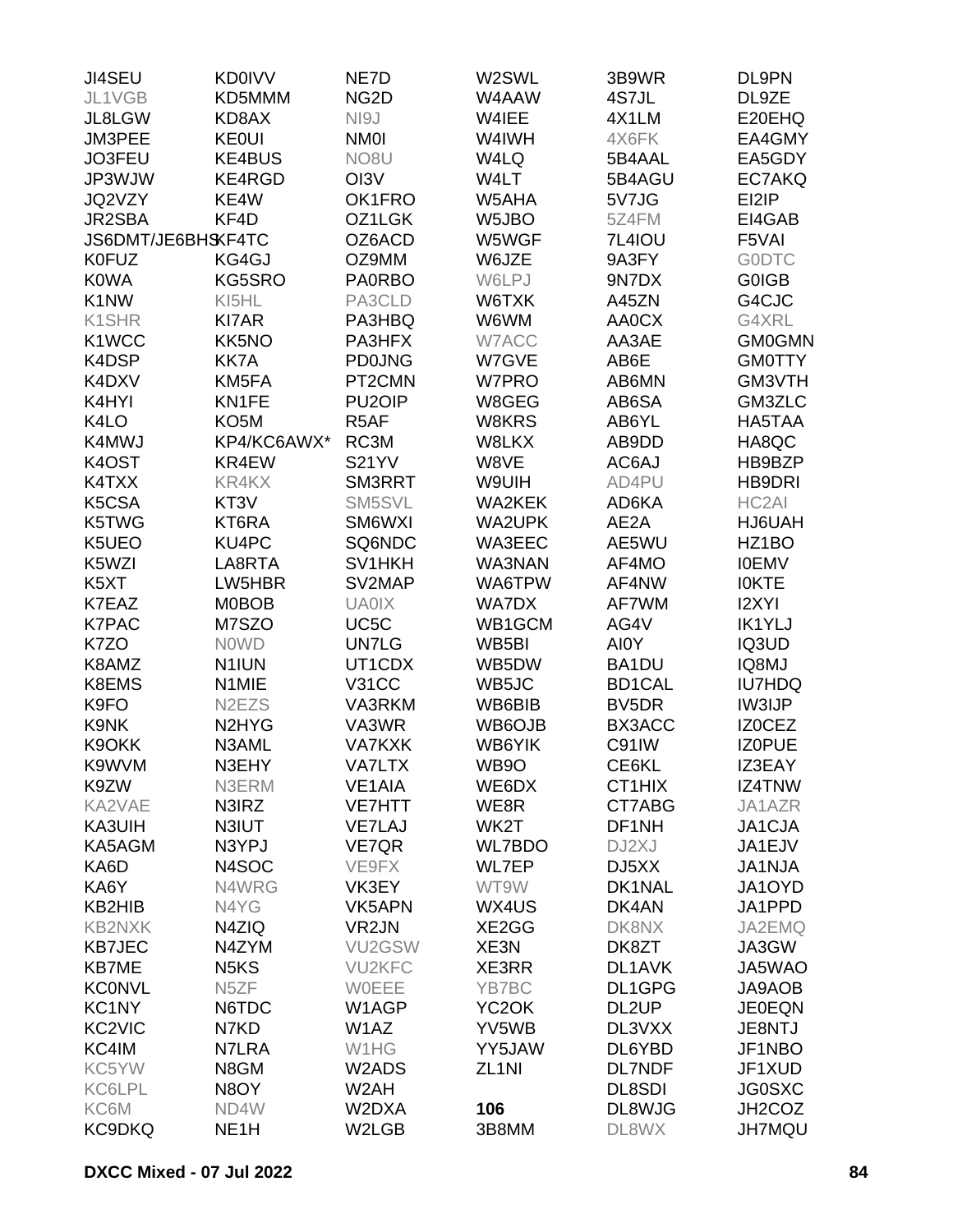| <b>JI4SEU</b>       | <b>KD0IVV</b>                   | NE7D                          | W2SWL              | 3B9WR              | DL9PN         |
|---------------------|---------------------------------|-------------------------------|--------------------|--------------------|---------------|
| JL1VGB              | KD5MMM                          | NG <sub>2</sub> D             | W4AAW              | 4S7JL              | DL9ZE         |
| JL8LGW              | KD8AX                           | NI9J                          | W4IEE              | 4X1LM              | E20EHQ        |
| JM3PEE              | <b>KE0UI</b>                    | <b>NM0I</b>                   | W4IWH              | 4X6FK              | EA4GMY        |
| JO3FEU              | <b>KE4BUS</b>                   | NO <sub>8</sub> U             | W4LQ               | 5B4AAL             | EA5GDY        |
| JP3WJW              | KE4RGD                          | OI3V                          | W4LT               | 5B4AGU             | EC7AKQ        |
| JQ2VZY              | KE4W                            | OK1FRO                        | W5AHA              | 5V7JG              | EI2IP         |
| JR2SBA              | KF4D                            | OZ1LGK                        | W5JBO              | 5Z4FM              | EI4GAB        |
| JS6DMT/JE6BHSKF4TC  |                                 | OZ6ACD                        | W5WGF              | 7L4IOU             | F5VAI         |
| <b>K0FUZ</b>        | KG4GJ                           | OZ9MM                         | W6JZE              | 9A3FY              | <b>GODTC</b>  |
| <b>K0WA</b>         | KG5SRO                          | <b>PA0RBO</b>                 | W6LPJ              | 9N7DX              | <b>GOIGB</b>  |
| K1NW                | KI5HL                           | PA3CLD                        | W6TXK              | A45ZN              | G4CJC         |
| K1SHR               | <b>KI7AR</b>                    | PA3HBQ                        | W6WM               | <b>AA0CX</b>       | G4XRL         |
| K1WCC               | KK5NO                           | PA3HFX                        | W7ACC              | AA3AE              | <b>GM0GMN</b> |
| K4DSP               | <b>KK7A</b>                     | <b>PD0JNG</b>                 | W7GVE              | AB6E               | <b>GM0TTY</b> |
| K4DXV               | KM5FA                           | PT2CMN                        | W7PRO              | AB6MN              | GM3VTH        |
| K4HYI               | KN1FE                           | PU <sub>2</sub> OIP           | W8GEG              | AB6SA              | GM3ZLC        |
| K4LO                | KO <sub>5</sub> M               | R5AF                          | W8KRS              | AB6YL              | HA5TAA        |
| K4MWJ               | KP4/KC6AWX*                     | RC3M                          | W8LKX              | AB9DD              | HA8QC         |
| K4OST               | KR4EW                           | <b>S21YV</b>                  | W8VE               | AC6AJ              | HB9BZP        |
| K4TXX               | <b>KR4KX</b>                    | SM3RRT                        | W9UIH              | AD4PU              | HB9DRI        |
| K5CSA               | KT3V                            | SM5SVL                        | <b>WA2KEK</b>      | AD6KA              | HC2AI         |
|                     | KT6RA                           | SM6WXI                        |                    | AE2A               |               |
| K5TWG               |                                 | SQ6NDC                        | <b>WA2UPK</b>      | AE5WU              | HJ6UAH        |
| K5UEO               | KU4PC                           |                               | WA3EEC             |                    | HZ1BO         |
| K5WZI               | LA8RTA                          | SV <sub>1</sub> HKH<br>SV2MAP | WA3NAN             | AF4MO              | <b>IOEMV</b>  |
| K5XT                | LW5HBR                          |                               | WA6TPW             | AF4NW              | <b>IOKTE</b>  |
| K7EAZ               | <b>M0BOB</b>                    | <b>UA0IX</b>                  | WA7DX              | AF7WM              | <b>I2XYI</b>  |
| <b>K7PAC</b>        | M7SZO                           | UC <sub>5</sub> C             | WB1GCM             | AG4V               | <b>IK1YLJ</b> |
| K7ZO                | <b>NOWD</b>                     | <b>UN7LG</b>                  | WB5BI              | AI0Y               | IQ3UD         |
| K8AMZ               | N <sub>1</sub> IUN              | UT1CDX                        | WB5DW              | BA1DU              | IQ8MJ         |
| K8EMS               | N1MIE                           | <b>V31CC</b>                  | WB5JC              | <b>BD1CAL</b>      | <b>IU7HDQ</b> |
| K9FO                | N <sub>2</sub> E <sub>Z</sub> S | VA3RKM                        | WB6BIB             | BV <sub>5</sub> DR | <b>IW3IJP</b> |
| K9NK                | N <sub>2</sub> HY <sub>G</sub>  | VA3WR                         | WB6OJB             | BX3ACC             | <b>IZOCEZ</b> |
| K9OKK               | N3AML                           | <b>VA7KXK</b>                 | WB6YIK             | C91IW              | <b>IZOPUE</b> |
| K9WVM               | N3EHY                           | <b>VA7LTX</b>                 | WB9O               | CE6KL              | IZ3EAY        |
| K9ZW                | N3ERM                           | <b>VE1AIA</b>                 | WE6DX              | CT1HIX             | IZ4TNW        |
| KA2VAE              | N3IRZ                           | <b>VE7HTT</b>                 | WE8R               | CT7ABG             | JA1AZR        |
| KA3UIH              | N3IUT                           | <b>VE7LAJ</b>                 | WK2T               | DF1NH              | JA1CJA        |
| KA5AGM              | N3YPJ                           | VE7QR                         | <b>WL7BDO</b>      | DJ2XJ              | JA1EJV        |
| KA6D                | N4SOC                           | VE9FX                         | WL7EP              | DJ5XX              | <b>JA1NJA</b> |
| KA6Y                | N4WRG                           | VK3EY                         | WT9W               | DK1NAL             | JA1OYD        |
| KB2HIB              | N4YG                            | VK5APN                        | WX4US              | DK4AN              | JA1PPD        |
| <b>KB2NXK</b>       | N4ZIQ                           | VR <sub>2</sub> JN            | XE2GG              | DK8NX              | JA2EMQ        |
| <b>KB7JEC</b>       | N4ZYM                           | VU2GSW                        | XE3N               | DK8ZT              | JA3GW         |
| <b>KB7ME</b>        | N <sub>5</sub> K <sub>S</sub>   | <b>VU2KFC</b>                 | XE3RR              | <b>DL1AVK</b>      | JA5WAO        |
| <b>KCONVL</b>       | N <sub>5</sub> ZF               | WOEEE                         | YB7BC              | DL1GPG             | JA9AOB        |
| KC1NY               | N6TDC                           | W1AGP                         | YC <sub>2</sub> OK | DL <sub>2</sub> UP | <b>JE0EQN</b> |
| KC <sub>2</sub> VIC | N7KD                            | W1AZ                          | YV5WB              | DL3VXX             | JE8NTJ        |
| KC4IM               | N7LRA                           | W1HG                          | YY5JAW             | DL6YBD             | JF1NBO        |
| KC5YW               | N8GM                            | W2ADS                         | ZL <sub>1NI</sub>  | <b>DL7NDF</b>      | JF1XUD        |
| KC6LPL              | N8OY                            | W2AH                          |                    | <b>DL8SDI</b>      | <b>JG0SXC</b> |
| KC6M                | ND4W                            | W2DXA                         | 106                | DL8WJG             | JH2COZ        |
| <b>KC9DKQ</b>       | NE <sub>1</sub> H               | W2LGB                         | 3B8MM              | DL8WX              | <b>JH7MQU</b> |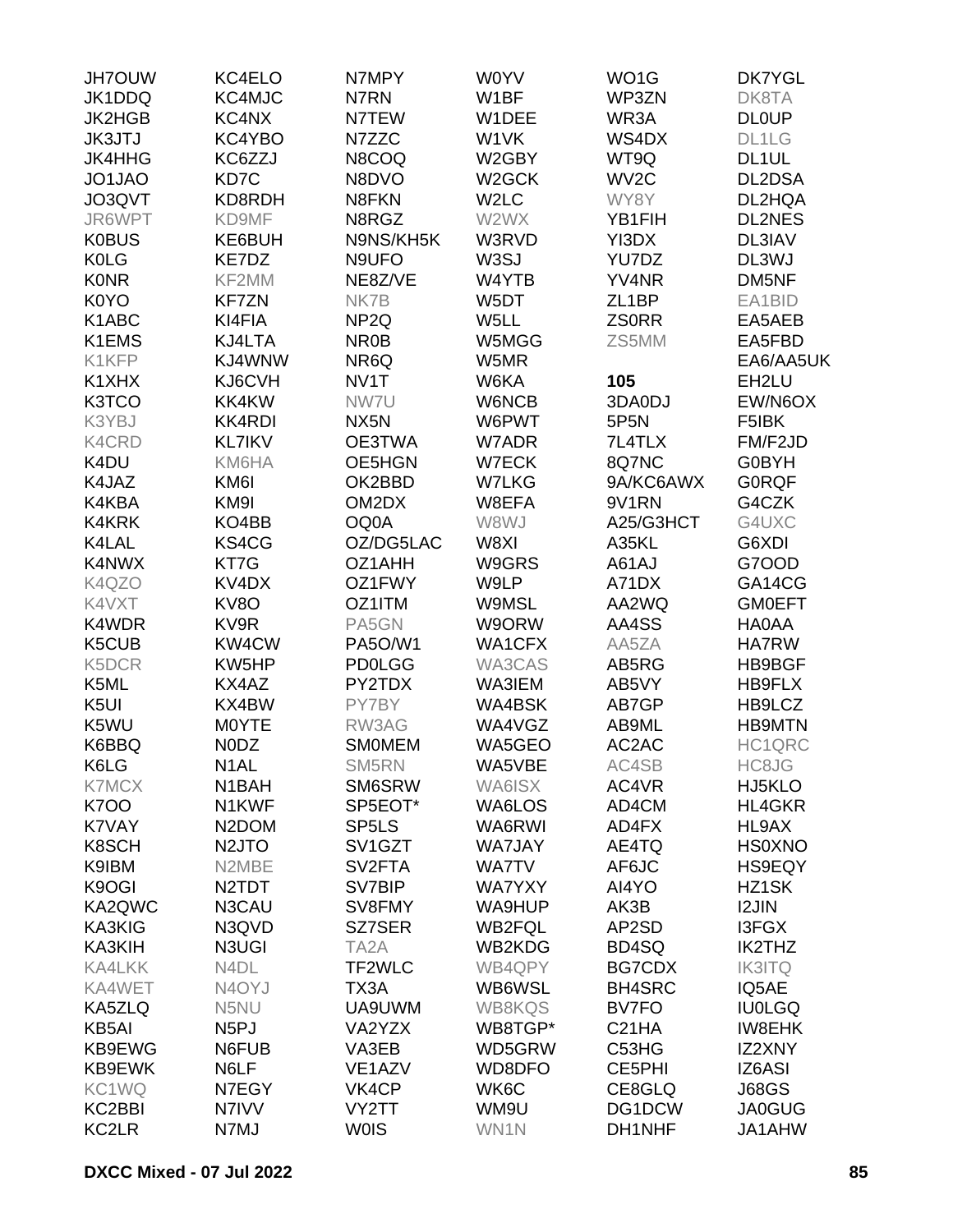| <b>JH7OUW</b>    | KC4ELO                         | N7MPY               | W0YV              | WO <sub>1</sub> G  | <b>DK7YGL</b> |
|------------------|--------------------------------|---------------------|-------------------|--------------------|---------------|
| JK1DDQ           | KC4MJC                         | N7RN                | W1BF              | WP3ZN              | DK8TA         |
| <b>JK2HGB</b>    | KC4NX                          | N7TEW               | W1DEE             | WR3A               | <b>DL0UP</b>  |
| <b>JK3JTJ</b>    | KC4YBO                         | N7ZZC               | W1VK              | WS4DX              | DL1LG         |
| <b>JK4HHG</b>    | KC6ZZJ                         | N8COQ               | W2GBY             | WT9Q               | DL1UL         |
| JO1JAO           | KD7C                           | N8DVO               | W2GCK             | WV <sub>2</sub> C  | DL2DSA        |
| JO3QVT           | KD8RDH                         | N8FKN               | W <sub>2</sub> LC | WY8Y               | DL2HQA        |
| JR6WPT           | KD9MF                          | N8RGZ               | W2WX              | YB1FIH             | <b>DL2NES</b> |
| <b>K0BUS</b>     | KE6BUH                         | N9NS/KH5K           | W3RVD             | YI3DX              | DL3IAV        |
| <b>K0LG</b>      | KE7DZ                          | N9UFO               | W3SJ              | YU7DZ              | DL3WJ         |
| <b>K0NR</b>      | KF2MM                          | NE8Z/VE             | W4YTB             | YV4NR              | DM5NF         |
| K0YO             | <b>KF7ZN</b>                   | NK7B                | W5DT              | ZL <sub>1</sub> BP | EA1BID        |
| K1ABC            | KI4FIA                         | NP <sub>2Q</sub>    | W5LL              | <b>ZSORR</b>       | EA5AEB        |
| K1EMS            | KJ4LTA                         | NR <sub>0</sub> B   | W5MGG             | ZS5MM              | EA5FBD        |
| K1KFP            | KJ4WNW                         | NR6Q                | W5MR              |                    | EA6/AA5UK     |
| K1XHX            | KJ6CVH                         | NV1T                | W6KA              | 105                | EH2LU         |
|                  |                                |                     |                   |                    |               |
| K3TCO            | KK4KW                          | NW7U                | W6NCB             | 3DA0DJ             | EW/N6OX       |
| K3YBJ            | <b>KK4RDI</b>                  | NX5N                | W6PWT             | 5P5N               | F5IBK         |
| <b>K4CRD</b>     | <b>KL7IKV</b>                  | OE3TWA              | W7ADR             | 7L4TLX             | FM/F2JD       |
| K4DU             | KM6HA                          | OE5HGN              | <b>W7ECK</b>      | 8Q7NC              | <b>G0BYH</b>  |
| K4JAZ            | KM6I                           | OK2BBD              | W7LKG             | 9A/KC6AWX          | <b>GORQF</b>  |
| K4KBA            | KM9I                           | OM2DX               | W8EFA             | 9V1RN              | G4CZK         |
| <b>K4KRK</b>     | KO4BB                          | OQ0A                | W8WJ              | A25/G3HCT          | G4UXC         |
| K4LAL            | KS4CG                          | OZ/DG5LAC           | W8XI              | A35KL              | G6XDI         |
| K4NWX            | KT7G                           | OZ1AHH              | W9GRS             | A61AJ              | G7OOD         |
| K4QZO            | KV <sub>4</sub> D <sub>X</sub> | OZ1FWY              | W9LP              | A71DX              | GA14CG        |
| K4VXT            | KV8O                           | OZ1ITM              | <b>W9MSL</b>      | AA2WQ              | <b>GMOEFT</b> |
| K4WDR            | KV9R                           | PA5GN               | W9ORW             | AA4SS              | HA0AA         |
| K5CUB            | KW4CW                          | <b>PA5O/W1</b>      | <b>WA1CFX</b>     | AA5ZA              | <b>HA7RW</b>  |
| K5DCR            | KW5HP                          | <b>PD0LGG</b>       | WA3CAS            | AB5RG              | HB9BGF        |
| K5ML             | KX4AZ                          | PY2TDX              | WA3IEM            | AB5VY              | HB9FLX        |
| K <sub>5UI</sub> | KX4BW                          | PY7BY               | WA4BSK            | AB7GP              | HB9LCZ        |
| K5WU             | M0YTE                          | RW3AG               | WA4VGZ            | AB9ML              | <b>HB9MTN</b> |
| K6BBQ            | N0DZ                           | <b>SMOMEM</b>       | WA5GEO            | AC2AC              | HC1QRC        |
| K6LG             | N <sub>1</sub> AL              | SM5RN               | WA5VBE            | AC4SB              | HC8JG         |
| <b>K7MCX</b>     | N <sub>1</sub> BAH             | SM6SRW              | WA6ISX            | AC4VR              | HJ5KLO        |
| <b>K700</b>      | N1KWF                          | SP5EOT*             | WA6LOS            | AD4CM              | HL4GKR        |
| K7VAY            | N <sub>2</sub> DOM             | SP <sub>5</sub> LS  | WA6RWI            | AD4FX              | HL9AX         |
| K8SCH            | N <sub>2</sub> JTO             | SV <sub>1</sub> GZT | <b>WA7JAY</b>     | AE4TQ              | <b>HS0XNO</b> |
| K9IBM            | N2MBE                          | SV <sub>2</sub> FTA | <b>WA7TV</b>      | AF6JC              | <b>HS9EQY</b> |
| K9OGI            | N <sub>2</sub> TDT             | SV7BIP              | <b>WA7YXY</b>     | AI4YO              | HZ1SK         |
| KA2QWC           | N3CAU                          | SV8FMY              | WA9HUP            | AK3B               | <b>I2JIN</b>  |
| KA3KIG           | N3QVD                          | SZ7SER              | <b>WB2FQL</b>     | AP2SD              | I3FGX         |
| KA3KIH           | N3UGI                          | TA <sub>2</sub> A   | WB2KDG            | BD4SQ              | IK2THZ        |
| <b>KA4LKK</b>    | N4DL                           | TF2WLC              | WB4QPY            | <b>BG7CDX</b>      | <b>IK3ITQ</b> |
| KA4WET           | N <sub>4</sub> OYJ             | TX3A                | WB6WSL            | <b>BH4SRC</b>      | IQ5AE         |
| KA5ZLQ           | N5NU                           | UA9UWM              | <b>WB8KQS</b>     | BV7FO              | <b>IU0LGQ</b> |
| KB5AI            | N <sub>5</sub> PJ              | VA2YZX              | WB8TGP*           | C <sub>21</sub> HA | <b>IW8EHK</b> |
| KB9EWG           | N6FUB                          | VA3EB               | WD5GRW            | C53HG              | IZ2XNY        |
| KB9EWK           | N6LF                           | VE <sub>1</sub> AZV | WD8DFO            | CE5PHI             | IZ6ASI        |
| KC1WQ            | N7EGY                          | VK4CP               | WK6C              | CE8GLQ             | <b>J68GS</b>  |
| KC2BBI           | N7IVV                          | VY2TT               | WM9U              | DG1DCW             | <b>JA0GUG</b> |
| KC2LR            | N7MJ                           | <b>WOIS</b>         | WN1N              | DH1NHF             | JA1AHW        |
|                  |                                |                     |                   |                    |               |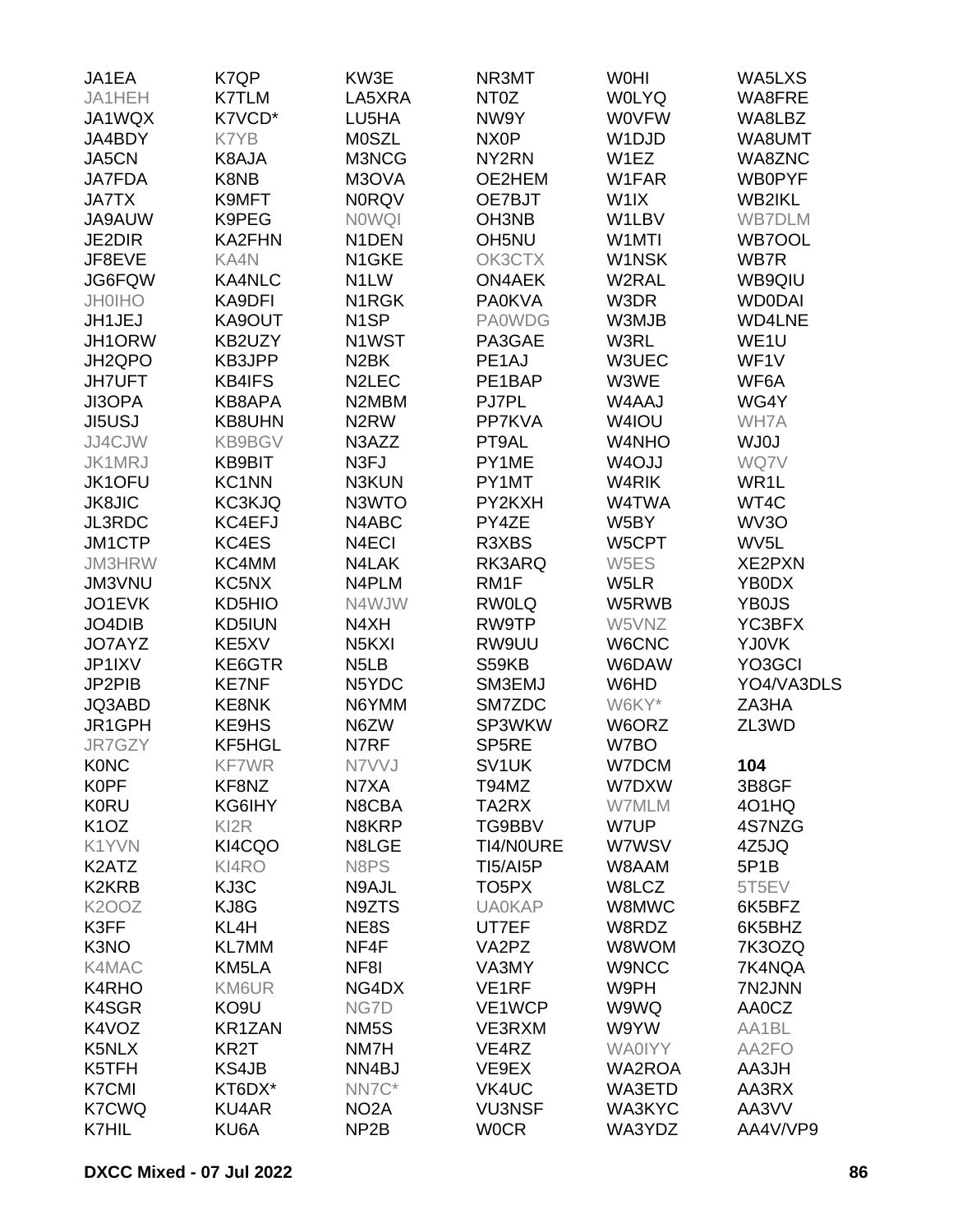| JA1EA                         | K7QP              | KW3E                           | NR3MT              | <b>WOHI</b>        | WA5LXS            |
|-------------------------------|-------------------|--------------------------------|--------------------|--------------------|-------------------|
| JA1HEH                        | <b>K7TLM</b>      | LA5XRA                         | NT <sub>0</sub> Z  | <b>WOLYQ</b>       | WA8FRE            |
| JA1WQX                        | K7VCD*            | LU5HA                          | NW9Y               | <b>WOVFW</b>       | WA8LBZ            |
| JA4BDY                        | K7YB              | <b>M0SZL</b>                   | NX <sub>0</sub> P  | W1DJD              | WA8UMT            |
|                               |                   |                                | NY2RN              |                    |                   |
| JA5CN                         | K8AJA             | M3NCG                          |                    | W1EZ               | WA8ZNC            |
| <b>JA7FDA</b>                 | K8NB              | M3OVA                          | OE2HEM             | W1FAR              | <b>WB0PYF</b>     |
| <b>JA7TX</b>                  | K9MFT             | <b>NORQV</b>                   | OE7BJT             | W <sub>1</sub> IX  | <b>WB2IKL</b>     |
| JA9AUW                        | K9PEG             | <b>NOWQI</b>                   | OH3NB              | W1LBV              | <b>WB7DLM</b>     |
| JE2DIR                        | KA2FHN            | N1DEN                          | OH <sub>5NU</sub>  | W1MTI              | WB7OOL            |
| JF8EVE                        | KA4N              | N <sub>1</sub> GKE             | OK3CTX             | W1NSK              | WB7R              |
| <b>JG6FQW</b>                 | KA4NLC            | N <sub>1</sub> LW              | <b>ON4AEK</b>      | W2RAL              | WB9QIU            |
| <b>JH0IHO</b>                 | KA9DFI            | N <sub>1</sub> RGK             | <b>PA0KVA</b>      | W3DR               | <b>WD0DAI</b>     |
| JH1JEJ                        | KA9OUT            | N <sub>1</sub> SP              | <b>PA0WDG</b>      | W3MJB              | <b>WD4LNE</b>     |
| JH1ORW                        | KB2UZY            | N1WST                          | PA3GAE             | W3RL               | WE1U              |
| JH2QPO                        | KB3JPP            | N <sub>2</sub> BK              | PE1AJ              | W3UEC              | WF1V              |
| JH7UFT                        | <b>KB4IFS</b>     | N <sub>2</sub> LEC             | PE1BAP             | W3WE               | WF6A              |
| JI3OPA                        | KB8APA            | N <sub>2</sub> M <sub>BM</sub> | PJ7PL              | W4AAJ              | WG4Y              |
| <b>JI5USJ</b>                 | KB8UHN            | N <sub>2</sub> RW              | PP7KVA             | W4IOU              | WH7A              |
| JJ4CJW                        | <b>KB9BGV</b>     | N3AZZ                          | PT9AL              | W4NHO              | <b>WJ0J</b>       |
| JK1MRJ                        |                   | N3FJ                           |                    |                    |                   |
|                               | <b>KB9BIT</b>     |                                | PY1ME              | W <sub>4</sub> OJJ | WQ7V              |
| JK1OFU                        | KC1NN             | N3KUN                          | PY1MT              | W4RIK              | WR1L              |
| <b>JK8JIC</b>                 | <b>KC3KJQ</b>     | N3WTO                          | PY2KXH             | W4TWA              | WT4C              |
| <b>JL3RDC</b>                 | KC4EFJ            | N4ABC                          | PY4ZE              | W5BY               | WV3O              |
| JM1CTP                        | KC4ES             | N <sub>4</sub> ECI             | R3XBS              | W5CPT              | WV <sub>5</sub> L |
| JM3HRW                        | KC4MM             | N4LAK                          | RK3ARQ             | W5ES               | XE2PXN            |
| JM3VNU                        | KC5NX             | N4PLM                          | RM <sub>1</sub> F  | W <sub>5</sub> LR  | YB0DX             |
| JO1EVK                        | KD5HIO            | N4WJW                          | <b>RW0LQ</b>       | W5RWB              | YB0JS             |
| JO4DIB                        | KD5IUN            | N4XH                           | RW9TP              | W5VNZ              | YC3BFX            |
| JO7AYZ                        | KE5XV             | N <sub>5</sub> K <sub>XI</sub> | RW9UU              | W6CNC              | YJ0VK             |
| JP1IXV                        | KE6GTR            | N <sub>5</sub> L <sub>B</sub>  | S59KB              | W6DAW              | YO3GCI            |
| JP2PIB                        | <b>KE7NF</b>      | N5YDC                          | SM3EMJ             | W6HD               | YO4/VA3DLS        |
| JQ3ABD                        | KE8NK             | N6YMM                          | SM7ZDC             | W6KY*              | ZA3HA             |
| JR1GPH                        | KE9HS             | N6ZW                           | SP3WKW             | W6ORZ              | ZL3WD             |
| JR7GZY                        | KF5HGL            | N7RF                           | SP5RE              | W7BO               |                   |
| <b>KONC</b>                   | <b>KF7WR</b>      | N7VVJ                          | SV1UK              | W7DCM              | 104               |
|                               |                   |                                |                    |                    |                   |
| <b>KOPF</b>                   | KF8NZ             | N7XA                           | T94MZ              | W7DXW              | 3B8GF             |
| <b>K0RU</b>                   | KG6IHY            | N8CBA                          | TA2RX              | W7MLM              | 401HQ             |
| K <sub>1</sub> O <sub>Z</sub> | KI <sub>2</sub> R | N8KRP                          | TG9BBV             | W7UP               | 4S7NZG            |
| K1YVN                         | KI4CQO            | N8LGE                          | TI4/N0URE          | W7WSV              | 4Z5JQ             |
| K2ATZ                         | KI4RO             | N8PS                           | <b>TI5/AI5P</b>    | W8AAM              | 5P1B              |
| K2KRB                         | KJ3C              | N9AJL                          | TO <sub>5</sub> PX | W8LCZ              | 5T5EV             |
| <b>K2OOZ</b>                  | KJ8G              | N9ZTS                          | <b>UA0KAP</b>      | W8MWC              | 6K5BFZ            |
| K3FF                          | KL4H              | NE8S                           | UT7EF              | W8RDZ              | 6K5BHZ            |
| K3NO                          | <b>KL7MM</b>      | NF4F                           | VA2PZ              | W8WOM              | 7K3OZQ            |
| K4MAC                         | KM5LA             | NF <sub>8I</sub>               | VA3MY              | <b>W9NCC</b>       | 7K4NQA            |
| K4RHO                         | KM6UR             | NG4DX                          | VE <sub>1</sub> RF | W9PH               | 7N2JNN            |
| K4SGR                         | KO <sub>9U</sub>  | NG7D                           | VE1WCP             | W9WQ               | <b>AA0CZ</b>      |
| K4VOZ                         | KR1ZAN            | NM <sub>5</sub> S              | VE3RXM             | W9YW               | AA1BL             |
| K5NLX                         | KR <sub>2</sub> T | NM7H                           | VE4RZ              | <b>WA0IYY</b>      | AA2FO             |
| K5TFH                         | KS4JB             | NN4BJ                          | VE9EX              | WA2ROA             | AA3JH             |
| <b>K7CMI</b>                  | KT6DX*            | NN7C*                          | VK4UC              | WA3ETD             | AA3RX             |
|                               |                   |                                |                    |                    |                   |
| <b>K7CWQ</b>                  | KU4AR             | NO <sub>2</sub> A              | <b>VU3NSF</b>      | WA3KYC             | AA3VV             |
| K7HIL                         | KU6A              | NP <sub>2</sub> B              | <b>WOCR</b>        | WA3YDZ             | AA4V/VP9          |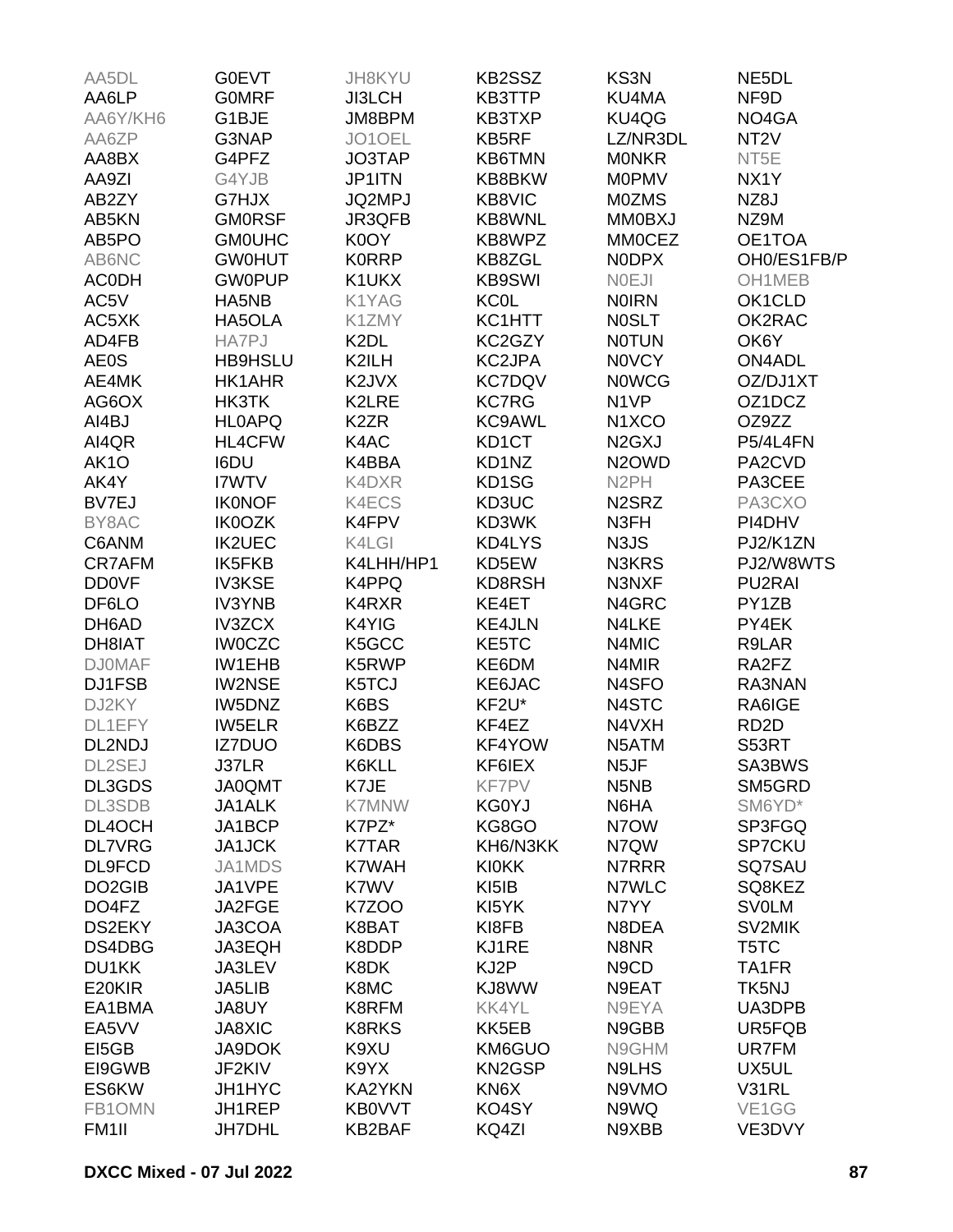| AA5DL               | <b>G0EVT</b>   | JH8KYU            | KB2SSZ        | KS3N                            | NE5DL             |
|---------------------|----------------|-------------------|---------------|---------------------------------|-------------------|
| AA6LP               | <b>GOMRF</b>   | <b>JI3LCH</b>     | KB3TTP        | KU4MA                           | NF9D              |
| AA6Y/KH6            | G1BJE          | JM8BPM            | KB3TXP        | KU4QG                           | NO4GA             |
| AA6ZP               | G3NAP          | JO1OEL            | KB5RF         | LZ/NR3DL                        | NT <sub>2</sub> V |
| AA8BX               | G4PFZ          | JO3TAP            | <b>KB6TMN</b> | <b>MONKR</b>                    | NT5E              |
| AA9ZI               | G4YJB          | JP1ITN            | KB8BKW        | <b>MOPMV</b>                    | NX1Y              |
| AB2ZY               | G7HJX          | JQ2MPJ            | KB8VIC        | <b>M0ZMS</b>                    | NZ8J              |
| AB5KN               | <b>GMORSF</b>  | JR3QFB            | KB8WNL        | <b>MM0BXJ</b>                   | NZ9M              |
| AB5PO               | <b>GMOUHC</b>  | K0OY              | KB8WPZ        | <b>MMOCEZ</b>                   | OE1TOA            |
| AB6NC               | <b>GW0HUT</b>  | <b>KORRP</b>      | KB8ZGL        | <b>NODPX</b>                    | OH0/ES1FB/P       |
| <b>ACODH</b>        | <b>GW0PUP</b>  | K1UKX             | <b>KB9SWI</b> | <b>NOEJI</b>                    | OH1MEB            |
| AC5V                | HA5NB          | K1YAG             | <b>KC0L</b>   | <b>NOIRN</b>                    | OK1CLD            |
| AC5XK               | HA5OLA         | K1ZMY             | KC1HTT        | <b>NOSLT</b>                    | OK2RAC            |
| AD4FB               | <b>HA7PJ</b>   | K <sub>2</sub> DL | KC2GZY        | <b>NOTUN</b>                    | OK6Y              |
|                     |                | K2ILH             | KC2JPA        | <b>NOVCY</b>                    | <b>ON4ADL</b>     |
| <b>AE0S</b>         | <b>HB9HSLU</b> |                   |               |                                 |                   |
| AE4MK               | HK1AHR         | K2JVX             | <b>KC7DQV</b> | <b>NOWCG</b>                    | OZ/DJ1XT          |
| AG6OX               | HK3TK          | K2LRE             | <b>KC7RG</b>  | N <sub>1</sub> VP               | OZ1DCZ            |
| AI4BJ               | <b>HL0APQ</b>  | K <sub>2</sub> ZR | KC9AWL        | N <sub>1</sub> X <sub>CO</sub>  | OZ9ZZ             |
| AI4QR               | <b>HL4CFW</b>  | K4AC              | KD1CT         | N <sub>2</sub> G <sub>X</sub> J | P5/4L4FN          |
| AK <sub>1</sub> O   | I6DU           | K4BBA             | KD1NZ         | N <sub>2</sub> OWD              | PA2CVD            |
| AK4Y                | I7WTV          | K4DXR             | KD1SG         | N <sub>2</sub> PH               | PA3CEE            |
| BV7EJ               | <b>IK0NOF</b>  | K4ECS             | KD3UC         | N <sub>2</sub> SR <sub>Z</sub>  | PA3CXO            |
| BY8AC               | <b>IK0OZK</b>  | K4FPV             | KD3WK         | N3FH                            | PI4DHV            |
| C6ANM               | <b>IK2UEC</b>  | K4LGI             | KD4LYS        | N3JS                            | PJ2/K1ZN          |
| <b>CR7AFM</b>       | <b>IK5FKB</b>  | K4LHH/HP1         | KD5EW         | N3KRS                           | PJ2/W8WTS         |
| <b>DD0VF</b>        | <b>IV3KSE</b>  | K4PPQ             | KD8RSH        | N3NXF                           | <b>PU2RAI</b>     |
| DF6LO               | <b>IV3YNB</b>  | K4RXR             | KE4ET         | N4GRC                           | PY1ZB             |
| DH6AD               | <b>IV3ZCX</b>  | K4YIG             | <b>KE4JLN</b> | N4LKE                           | PY4EK             |
| DH8IAT              | <b>IWOCZC</b>  | K5GCC             | KE5TC         | N4MIC                           | R9LAR             |
| <b>DJ0MAF</b>       | <b>IW1EHB</b>  | K5RWP             | KE6DM         | N4MIR                           | RA2FZ             |
| DJ1FSB              | <b>IW2NSE</b>  | K5TCJ             | KE6JAC        | N4SFO                           | RA3NAN            |
| DJ2KY               | IW5DNZ         | K6BS              | KF2U*         | N4STC                           | RA6IGE            |
| DL1EFY              | <b>IW5ELR</b>  | K6BZZ             | KF4EZ         | N4VXH                           | RD <sub>2</sub> D |
| DL2NDJ              | <b>IZ7DUO</b>  | K6DBS             | KF4YOW        | N5ATM                           | S53RT             |
| DL2SEJ              | J37LR          | K6KLL             | KF6IEX        | N5JF                            | SA3BWS            |
| DL3GDS              | <b>JA0QMT</b>  | K7JE              | KF7PV         | N <sub>5</sub> N <sub>B</sub>   | SM5GRD            |
| DL3SDB              | <b>JA1ALK</b>  | <b>K7MNW</b>      | <b>KG0YJ</b>  | N6HA                            | SM6YD*            |
| DL4OCH              | JA1BCP         | K7PZ*             | KG8GO         | N7OW                            | SP3FGQ            |
| <b>DL7VRG</b>       | JA1JCK         | <b>K7TAR</b>      | KH6/N3KK      | N7QW                            | <b>SP7CKU</b>     |
| DL9FCD              | JA1MDS         | <b>K7WAH</b>      | <b>KI0KK</b>  | N7RRR                           | SQ7SAU            |
| DO <sub>2</sub> GIB | JA1VPE         | K7WV              | KI5IB         | N7WLC                           | SQ8KEZ            |
| DO4FZ               | JA2FGE         | <b>K7ZOO</b>      | KI5YK         | N7YY                            | <b>SV0LM</b>      |
| DS2EKY              | JA3COA         | K8BAT             | KI8FB         | N8DEA                           | SV2MIK            |
| DS4DBG              | JA3EQH         | K8DDP             | KJ1RE         | N8NR                            | T5TC              |
| DU1KK               | JA3LEV         | K8DK              | KJ2P          | N <sub>9</sub> C <sub>D</sub>   | TA1FR             |
| E20KIR              | JA5LIB         | K8MC              | KJ8WW         | N9EAT                           | TK5NJ             |
|                     |                |                   |               |                                 |                   |
| EA1BMA              | JA8UY          | K8RFM             | <b>KK4YL</b>  | N9EYA                           | UA3DPB            |
| EA5VV               | <b>JA8XIC</b>  | <b>K8RKS</b>      | KK5EB         | N9GBB                           | UR5FQB            |
| EI5GB               | JA9DOK         | K9XU              | KM6GUO        | N9GHM                           | UR7FM             |
| EI9GWB              | JF2KIV         | K9YX              | <b>KN2GSP</b> | N9LHS                           | UX5UL             |
| ES6KW               | JH1HYC         | <b>KA2YKN</b>     | KN6X          | N9VMO                           | V31RL             |
| FB1OMN              | JH1REP         | <b>KB0VVT</b>     | KO4SY         | N9WQ                            | VE1GG             |
| FM <sub>1</sub> II  | <b>JH7DHL</b>  | KB2BAF            | KQ4ZI         | N9XBB                           | VE3DVY            |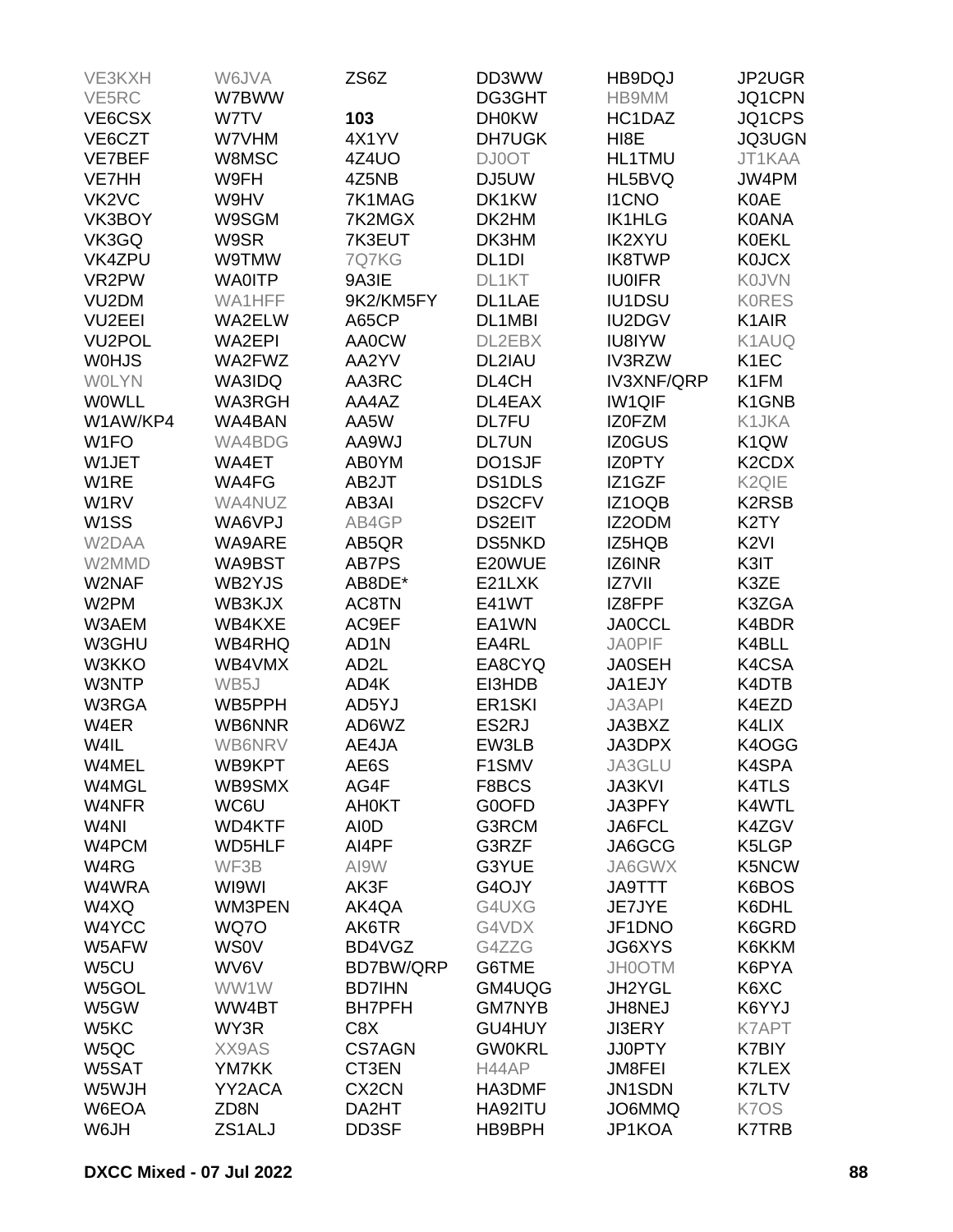| VE3KXH                         | W6JVA         | ZS6Z               | DD3WW               | HB9DQJ            | JP2UGR                         |
|--------------------------------|---------------|--------------------|---------------------|-------------------|--------------------------------|
| VE5RC                          | W7BWW         |                    | DG3GHT              | HB9MM             | JQ1CPN                         |
| VE6CSX                         | W7TV          | 103                | <b>DH0KW</b>        | HC1DAZ            | JQ1CPS                         |
| VE6CZT                         | W7VHM         | 4X1YV              | <b>DH7UGK</b>       | HI <sub>8</sub> E | JQ3UGN                         |
| VE7BEF                         | W8MSC         | 4Z4UO              | <b>DJ0OT</b>        | <b>HL1TMU</b>     | JT1KAA                         |
| <b>VE7HH</b>                   | W9FH          | 4Z5NB              | DJ5UW               | HL5BVQ            | JW4PM                          |
|                                |               |                    |                     |                   |                                |
| VK <sub>2</sub> V <sub>C</sub> | W9HV          | 7K1MAG             | DK1KW               | <b>I1CNO</b>      | <b>K0AE</b>                    |
| VK3BOY                         | W9SGM         | 7K2MGX             | DK2HM               | <b>IK1HLG</b>     | <b>K0ANA</b>                   |
| VK3GQ                          | W9SR          | 7K3EUT             | DK3HM               | <b>IK2XYU</b>     | <b>K0EKL</b>                   |
| VK4ZPU                         | W9TMW         | 7Q7KG              | DL <sub>1</sub> DI  | <b>IK8TWP</b>     | <b>K0JCX</b>                   |
| VR2PW                          | <b>WA0ITP</b> | 9A3IE              | DL1KT               | <b>IU0IFR</b>     | <b>KOJVN</b>                   |
| VU <sub>2</sub> DM             | WA1HFF        | 9K2/KM5FY          | DL1LAE              | <b>IU1DSU</b>     | <b>KORES</b>                   |
| <b>VU2EEI</b>                  | WA2ELW        | A65CP              | DL1MBI              | <b>IU2DGV</b>     | K <sub>1</sub> AIR             |
| VU <sub>2</sub> POL            | <b>WA2EPI</b> | <b>AA0CW</b>       | DL2EBX              | <b>IU8IYW</b>     | K1AUQ                          |
| <b>WOHJS</b>                   | WA2FWZ        | AA2YV              | DL2IAU              | <b>IV3RZW</b>     | K <sub>1</sub> EC              |
| <b>WOLYN</b>                   | WA3IDQ        | AA3RC              | DL4CH               | <b>IV3XNF/QRP</b> | K1FM                           |
| <b>WOWLL</b>                   | <b>WA3RGH</b> | AA4AZ              | DL4EAX              | <b>IW1QIF</b>     | K1GNB                          |
| W1AW/KP4                       | WA4BAN        | AA5W               | <b>DL7FU</b>        | <b>IZOFZM</b>     | K1JKA                          |
| W <sub>1FO</sub>               | WA4BDG        | AA9WJ              | <b>DL7UN</b>        | <b>IZ0GUS</b>     | K <sub>1</sub> QW              |
| W1JET                          | WA4ET         | AB0YM              | DO1SJF              | <b>IZOPTY</b>     | K <sub>2</sub> CD <sub>X</sub> |
| W1RE                           | WA4FG         | AB2JT              | DS1DLS              | IZ1GZF            | K <sub>2Q</sub> <sub>IE</sub>  |
| W <sub>1</sub> RV              | WA4NUZ        | AB3AI              | <b>DS2CFV</b>       | IZ1OQB            | <b>K2RSB</b>                   |
| W <sub>1</sub> SS              | WA6VPJ        | AB4GP              | <b>DS2EIT</b>       | IZ2ODM            | K <sub>2</sub> TY              |
| W2DAA                          | WA9ARE        | AB5QR              | <b>DS5NKD</b>       | IZ5HQB            | K <sub>2VI</sub>               |
| W2MMD                          | WA9BST        | AB7PS              | E20WUE              | IZ6INR            | K3IT                           |
|                                |               |                    | E21LXK              |                   |                                |
| W2NAF                          | WB2YJS        | AB8DE*             |                     | IZ7VII            | K3ZE                           |
| W2PM                           | WB3KJX        | AC8TN              | E41WT               | IZ8FPF            | K3ZGA                          |
| W3AEM                          | WB4KXE        | AC9EF              | EA1WN               | <b>JA0CCL</b>     | K4BDR                          |
| W3GHU                          | <b>WB4RHQ</b> | AD <sub>1</sub> N  | EA4RL               | <b>JAOPIF</b>     | K4BLL                          |
| W3KKO                          | WB4VMX        | AD <sub>2</sub> L  | EA8CYQ              | <b>JA0SEH</b>     | K4CSA                          |
| W3NTP                          | WB5J          | AD4K               | EI3HDB              | JA1EJY            | K4DTB                          |
| W3RGA                          | WB5PPH        | AD5YJ              | ER <sub>1</sub> SKI | JA3API            | K4EZD                          |
| W4ER                           | WB6NNR        | AD6WZ              | ES2RJ               | JA3BXZ            | K4LIX                          |
| W4IL                           | WB6NRV        | AE4JA              | EW3LB               | JA3DPX            | K4OGG                          |
| W4MEL                          | WB9KPT        | AE6S               | F1SMV               | JA3GLU            | K4SPA                          |
| W4MGL                          | WB9SMX        | AG4F               | F8BCS               | <b>JA3KVI</b>     | <b>K4TLS</b>                   |
| W4NFR                          | WC6U          | <b>AH0KT</b>       | G0OFD               | JA3PFY            | K4WTL                          |
| W <sub>4NI</sub>               | <b>WD4KTF</b> | AI0D               | G3RCM               | JA6FCL            | K4ZGV                          |
| W4PCM                          | <b>WD5HLF</b> | AI4PF              | G3RZF               | JA6GCG            | K5LGP                          |
| W4RG                           | WF3B          | AI9W               | G3YUE               | JA6GWX            | K5NCW                          |
| W4WRA                          | WI9WI         | AK3F               | G4OJY               | <b>JA9TTT</b>     | K6BOS                          |
| W4XQ                           | WM3PEN        | AK4QA              | G4UXG               | JE7JYE            | K6DHL                          |
| W4YCC                          | WQ70          | AK6TR              | G4VDX               | JF1DNO            | K6GRD                          |
| W5AFW                          | <b>WS0V</b>   | BD4VGZ             | G4ZZG               | JG6XYS            | K6KKM                          |
| W5CU                           | WV6V          | BD7BW/QRP          | G6TME               | <b>JH0OTM</b>     | K6PYA                          |
| W5GOL                          | WW1W          | <b>BD7IHN</b>      | GM4UQG              | JH2YGL            | K6XC                           |
| W5GW                           | WW4BT         | <b>BH7PFH</b>      | <b>GM7NYB</b>       | JH8NEJ            | K6YYJ                          |
|                                |               |                    |                     |                   |                                |
| W5KC                           | WY3R          | C8X                | GU4HUY              | <b>JI3ERY</b>     | K7APT                          |
| W5QC                           | XX9AS         | <b>CS7AGN</b>      | <b>GW0KRL</b>       | <b>JJ0PTY</b>     | K7BIY                          |
| W5SAT                          | <b>YM7KK</b>  | CT3EN              | H44AP               | <b>JM8FEI</b>     | K7LEX                          |
| W5WJH                          | YY2ACA        | CX <sub>2</sub> CN | HA3DMF              | JN1SDN            | K7LTV                          |
| W6EOA                          | ZD8N          | DA2HT              | HA92ITU             | JO6MMQ            | K7OS                           |
| W6JH                           | ZS1ALJ        | DD3SF              | HB9BPH              | JP1KOA            | K7TRB                          |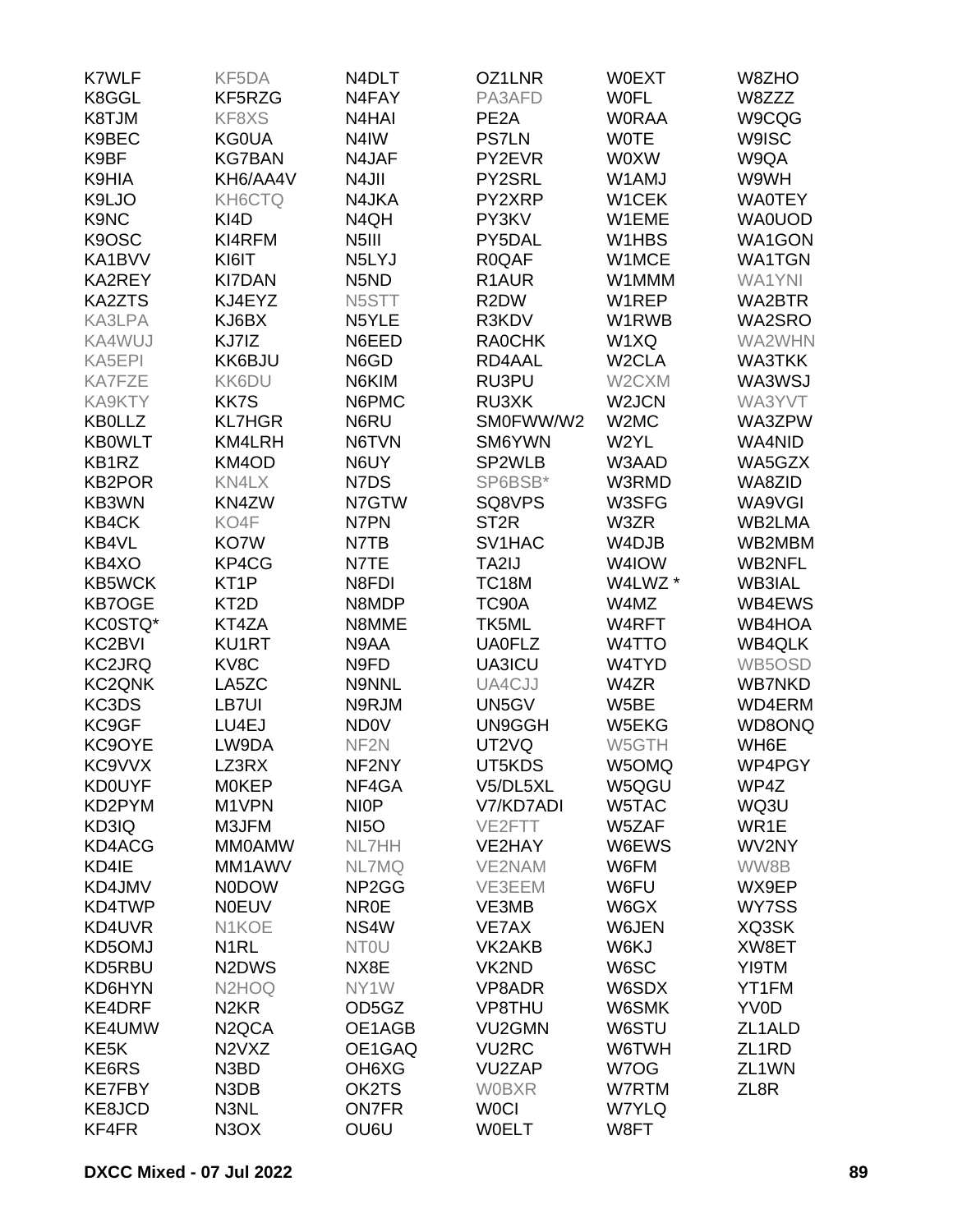| <b>K7WLF</b>      | KF5DA                           | N4DLT                          | OZ1LNR             | <b>W0EXT</b>       | W8ZHO              |
|-------------------|---------------------------------|--------------------------------|--------------------|--------------------|--------------------|
| K8GGL             | KF5RZG                          | N4FAY                          | PA3AFD             | <b>WOFL</b>        | W8ZZZ              |
| K8TJM             | KF8XS                           | N4HAI                          | PE <sub>2</sub> A  | <b>WORAA</b>       | W9CQG              |
| K9BEC             | <b>KG0UA</b>                    | N <sub>4</sub> IW              | <b>PS7LN</b>       | <b>WOTE</b>        | <b>W9ISC</b>       |
| K9BF              | <b>KG7BAN</b>                   | N4JAF                          | PY2EVR             | <b>WOXW</b>        | W9QA               |
| K9HIA             | KH6/AA4V                        | N4JII                          | PY2SRL             | W1AMJ              | W9WH               |
| K9LJO             | KH6CTQ                          | N4JKA                          | PY2XRP             | W1CEK              | <b>WA0TEY</b>      |
| K9NC              | KI4D                            | N4QH                           | PY3KV              | W1EME              | <b>WA0UOD</b>      |
| K9OSC             | KI4RFM                          | N <sub>5</sub> III             | PY5DAL             | W1HBS              | WA1GON             |
| KA1BVV            | KI6IT                           | N5LYJ                          | <b>R0QAF</b>       | W1MCE              | <b>WA1TGN</b>      |
| KA2REY            | <b>KI7DAN</b>                   | N <sub>5</sub> N <sub>D</sub>  | R <sub>1</sub> AUR | W1MMM              | WA1YNI             |
| <b>KA2ZTS</b>     | KJ4EYZ                          | N5STT                          | R <sub>2</sub> DW  | W1REP              | WA2BTR             |
| KA3LPA            | KJ6BX                           | N5YLE                          | R3KDV              | W1RWB              | WA2SRO             |
| KA4WUJ            | KJ7IZ                           | N6EED                          | <b>RA0CHK</b>      | W1XQ               | WA2WHN             |
| KA5EPI            | KK6BJU                          | N6GD                           | RD4AAL             | W <sub>2</sub> CLA | WA3TKK             |
| <b>KA7FZE</b>     | <b>KK6DU</b>                    | N6KIM                          | RU3PU              | W2CXM              | WA3WSJ             |
| KA9KTY            | <b>KK7S</b>                     | N6PMC                          | RU3XK              | W2JCN              | WA3YVT             |
| <b>KB0LLZ</b>     | <b>KL7HGR</b>                   | N6RU                           | SM0FWW/W2          | W2MC               | WA3ZPW             |
| <b>KB0WLT</b>     | KM4LRH                          | N6TVN                          | SM6YWN             | W2YL               | WA4NID             |
| KB1RZ             | KM4OD                           | N6UY                           | SP2WLB             | W3AAD              | WA5GZX             |
| <b>KB2POR</b>     | KN4LX                           | N7DS                           | SP6BSB*            | W3RMD              | WA8ZID             |
| KB3WN             | KN4ZW                           | N7GTW                          | SQ8VPS             | W3SFG              | WA9VGI             |
| <b>KB4CK</b>      | KO4F                            | N7PN                           | ST <sub>2R</sub>   | W3ZR               | WB2LMA             |
| KB4VL             | KO7W                            | N7TB                           | SV1HAC             | W4DJB              | WB2MBM             |
| KB4XO             | KP4CG                           | N7TE                           | TA2IJ              | W4IOW              | <b>WB2NFL</b>      |
| <b>KB5WCK</b>     | KT <sub>1</sub> P               | N8FDI                          | <b>TC18M</b>       | W4LWZ *            | <b>WB3IAL</b>      |
| <b>KB7OGE</b>     | KT <sub>2</sub> D               | N8MDP                          | TC90A              | W4MZ               | WB4EWS             |
|                   |                                 |                                |                    |                    |                    |
| KC0STQ*           | KT4ZA                           | N8MME                          | TK5ML              | W4RFT              | WB4HOA             |
| KC2BVI            | KU1RT                           | N9AA                           | <b>UA0FLZ</b>      | W4TTO              | <b>WB4QLK</b>      |
| <b>KC2JRQ</b>     | KV8C                            | N9FD                           | UA3ICU             | W4TYD              | WB5OSD             |
| <b>KC2QNK</b>     | LA5ZC                           | N9NNL                          | UA4CJJ             | W4ZR               | <b>WB7NKD</b>      |
| KC3DS             | LB7UI                           | N9RJM                          | UN5GV              | W5BE               | WD4ERM             |
| KC9GF             | LU4EJ                           | <b>ND0V</b>                    | UN9GGH             | W5EKG              | WD8ONQ             |
| KC9OYE            | LW9DA                           | NF <sub>2N</sub>               | UT2VQ              | W5GTH              | WH6E               |
| KC9VVX            | LZ3RX                           | NF2NY                          | UT5KDS             | W5OMQ              | WP4PGY             |
| <b>KD0UYF</b>     | <b>MOKEP</b>                    | NF4GA                          | V5/DL5XL           | W5QGU              | WP4Z               |
| KD2PYM            | M1VPN                           | <b>NIOP</b>                    | V7/KD7ADI          | W5TAC              | WQ3U               |
| KD3IQ             | M3JFM                           | <b>NI5O</b>                    | VE2FTT             | W5ZAF              | WR1E               |
| KD4ACG            | <b>MMOAMW</b>                   | <b>NL7HH</b>                   | VE2HAY             | W6EWS              | WV2NY              |
| KD4IE             | MM1AWV                          | <b>NL7MQ</b>                   | VE2NAM             | W6FM               | WW8B               |
| KD4JMV            | <b>NODOW</b>                    | NP <sub>2</sub> G <sub>G</sub> | VE3EEM             | W6FU               | WX9EP              |
| KD4TWP            | <b>NOEUV</b>                    | NR <sub>0</sub> E              | VE3MB              | W6GX               | WY7SS              |
| KD4UVR            | N1KOE                           | NS4W                           | VE7AX              | W6JEN              | XQ3SK              |
| KD5OMJ            | N <sub>1</sub> RL               | <b>NTOU</b>                    | VK2AKB             | W6KJ               | XW8ET              |
| KD5RBU            | N <sub>2</sub> D <sub>W</sub> S | NX8E                           | VK2ND              | W6SC               | YI9TM              |
| KD6HYN            | N <sub>2</sub> HO <sub>Q</sub>  | NY1W                           | VP8ADR             | W6SDX              | YT1FM              |
| KE4DRF            | N <sub>2</sub> KR               | OD5GZ                          | VP8THU             | W6SMK              | YV0D               |
| KE4UMW            | N <sub>2</sub> QCA              | OE1AGB                         | VU2GMN             | W6STU              | ZL1ALD             |
| KE <sub>5</sub> K | N <sub>2</sub> V <sub>X</sub> Z | OE1GAQ                         | <b>VU2RC</b>       | W6TWH              | ZL <sub>1</sub> RD |
| KE6RS             | N3BD                            | OH <sub>6</sub> X <sub>G</sub> | VU2ZAP             | W7OG               | ZL <sub>1</sub> WN |
| <b>KE7FBY</b>     | N3DB                            | OK2TS                          | <b>WOBXR</b>       | W7RTM              | ZL8R               |
| KE8JCD            | N3NL                            | <b>ON7FR</b>                   | <b>WOCI</b>        | <b>W7YLQ</b>       |                    |
| KF4FR             | N <sub>3</sub> O <sub>X</sub>   | OU6U                           | <b>WOELT</b>       | W8FT               |                    |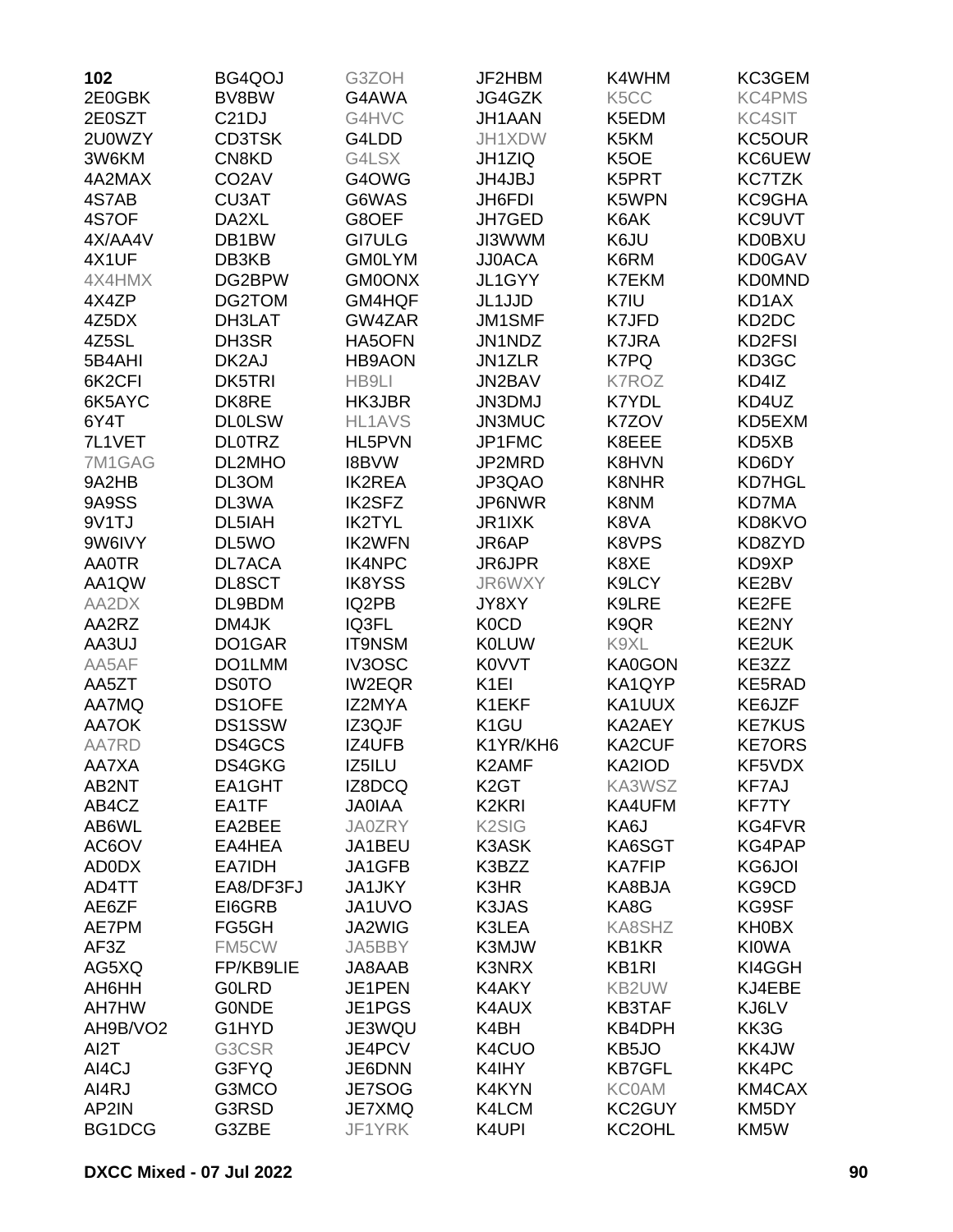| 102          | BG4QOJ             | G3ZOH         | JF2HBM                         | K4WHM             | KC3GEM        |
|--------------|--------------------|---------------|--------------------------------|-------------------|---------------|
| 2E0GBK       | BV8BW              | G4AWA         | JG4GZK                         | K <sub>5</sub> CC | <b>KC4PMS</b> |
| 2E0SZT       | C <sub>21</sub> DJ | G4HVC         | JH1AAN                         | K5EDM             | <b>KC4SIT</b> |
| 2U0WZY       | <b>CD3TSK</b>      | G4LDD         | JH1XDW                         | K5KM              | KC5OUR        |
| 3W6KM        | CN8KD              | G4LSX         | <b>JH1ZIQ</b>                  | K5OE              | KC6UEW        |
| 4A2MAX       | CO <sub>2</sub> AV | G4OWG         | JH4JBJ                         | K5PRT             | KC7TZK        |
| 4S7AB        | CU3AT              | G6WAS         | JH6FDI                         | K5WPN             | KC9GHA        |
| 4S7OF        | DA2XL              | G8OEF         | JH7GED                         | K6AK              | KC9UVT        |
| 4X/AA4V      | DB1BW              | <b>GI7ULG</b> | <b>JI3WWM</b>                  | K6JU              | <b>KD0BXU</b> |
| 4X1UF        | DB3KB              | <b>GM0LYM</b> | <b>JJ0ACA</b>                  | K6RM              | KD0GAV        |
| 4X4HMX       | DG2BPW             | <b>GM0ONX</b> | JL1GYY                         | K7EKM             | <b>KD0MND</b> |
| 4X4ZP        | DG2TOM             | GM4HQF        | JL1JJD                         | K7IU              | KD1AX         |
| 4Z5DX        | DH3LAT             | GW4ZAR        | <b>JM1SMF</b>                  | K7JFD             | KD2DC         |
| 4Z5SL        | DH3SR              | HA5OFN        | JN1NDZ                         | <b>K7JRA</b>      | KD2FSI        |
| 5B4AHI       | DK2AJ              | <b>HB9AON</b> | <b>JN1ZLR</b>                  | K7PQ              | KD3GC         |
| 6K2CFI       | <b>DK5TRI</b>      | HB9LI         | JN2BAV                         | <b>K7ROZ</b>      | KD4IZ         |
| 6K5AYC       | DK8RE              | HK3JBR        | JN3DMJ                         | <b>K7YDL</b>      | KD4UZ         |
| 6Y4T         | <b>DLOLSW</b>      | <b>HL1AVS</b> | JN3MUC                         | K7ZOV             | KD5EXM        |
| 7L1VET       | <b>DLOTRZ</b>      | HL5PVN        | JP1FMC                         | K8EEE             | KD5XB         |
| 7M1GAG       | DL2MHO             | <b>I8BVW</b>  | JP2MRD                         | K8HVN             | KD6DY         |
| 9A2HB        | DL3OM              | <b>IK2REA</b> | JP3QAO                         | K8NHR             | <b>KD7HGL</b> |
| 9A9SS        | DL3WA              | <b>IK2SFZ</b> | JP6NWR                         | K8NM              | <b>KD7MA</b>  |
| 9V1TJ        | DL5IAH             | <b>IK2TYL</b> | JR1IXK                         | K8VA              | KD8KVO        |
| 9W6IVY       | DL5WO              | <b>IK2WFN</b> | JR6AP                          | K8VPS             | KD8ZYD        |
| <b>AA0TR</b> | <b>DL7ACA</b>      | <b>IK4NPC</b> | <b>JR6JPR</b>                  | K8XE              | KD9XP         |
| AA1QW        | DL8SCT             | <b>IK8YSS</b> | JR6WXY                         | K9LCY             | KE2BV         |
| AA2DX        | DL9BDM             | IQ2PB         | JY8XY                          | K9LRE             | KE2FE         |
| AA2RZ        | DM4JK              | IQ3FL         | K <sub>0</sub> C <sub>D</sub>  |                   |               |
|              | DO1GAR             |               | <b>K0LUW</b>                   | K9QR<br>K9XL      | KE2NY         |
| AA3UJ        |                    | <b>IT9NSM</b> |                                |                   | KE2UK         |
| AA5AF        | DO1LMM             | IV3OSC        | K0VVT                          | KA0GON            | KE3ZZ         |
| AA5ZT        | <b>DS0TO</b>       | <b>IW2EQR</b> | K <sub>1EI</sub>               | KA1QYP            | KE5RAD        |
| AA7MQ        | DS1OFE             | IZ2MYA        | K1EKF                          | KA1UUX            | KE6JZF        |
| AA7OK        | <b>DS1SSW</b>      | IZ3QJF        | K <sub>1</sub> GU              | KA2AEY            | <b>KE7KUS</b> |
| AA7RD        | DS4GCS             | IZ4UFB        | K1YR/KH6                       | KA2CUF            | <b>KE7ORS</b> |
| AA7XA        | DS4GKG             | IZ5ILU        | K2AMF                          | KA2IOD            | KF5VDX        |
| AB2NT        | EA1GHT             | IZ8DCQ        | K <sub>2</sub> GT              | KA3WSZ            | KF7AJ         |
| AB4CZ        | EA1TF              | <b>JAOIAA</b> | K <sub>2</sub> K <sub>RI</sub> | KA4UFM            | <b>KF7TY</b>  |
| AB6WL        | EA2BEE             | <b>JA0ZRY</b> | K <sub>2</sub> SI <sub>G</sub> | KA6J              | KG4FVR        |
| AC6OV        | EA4HEA             | JA1BEU        | <b>K3ASK</b>                   | KA6SGT            | KG4PAP        |
| AD0DX        | EA7IDH             | JA1GFB        | K3BZZ                          | <b>KA7FIP</b>     | KG6JOI        |
| AD4TT        | EA8/DF3FJ          | JA1JKY        | K3HR                           | KA8BJA            | KG9CD         |
| AE6ZF        | EI6GRB             | JA1UVO        | K3JAS                          | KA8G              | KG9SF         |
| AE7PM        | FG5GH              | JA2WIG        | K3LEA                          | KA8SHZ            | KH0BX         |
| AF3Z         | FM5CW              | JA5BBY        | K3MJW                          | KB1KR             | <b>KIOWA</b>  |
| AG5XQ        | FP/KB9LIE          | JA8AAB        | K3NRX                          | <b>KB1RI</b>      | KI4GGH        |
| AH6HH        | <b>GOLRD</b>       | JE1PEN        | K4AKY                          | KB2UW             | KJ4EBE        |
| AH7HW        | <b>GONDE</b>       | JE1PGS        | K4AUX                          | <b>KB3TAF</b>     | KJ6LV         |
| AH9B/VO2     | G1HYD              | JE3WQU        | K4BH                           | KB4DPH            | KK3G          |
| AI2T         | G3CSR              | JE4PCV        | K4CUO                          | KB5JO             | KK4JW         |
| AI4CJ        | G3FYQ              | JE6DNN        | K4IHY                          | <b>KB7GFL</b>     | <b>KK4PC</b>  |
| AI4RJ        | G3MCO              | JE7SOG        | K4KYN                          | <b>KC0AM</b>      | KM4CAX        |
| AP2IN        | G3RSD              | JE7XMQ        | K4LCM                          | KC2GUY            | KM5DY         |
| BG1DCG       | G3ZBE              | JF1YRK        | K4UPI                          | KC2OHL            | KM5W          |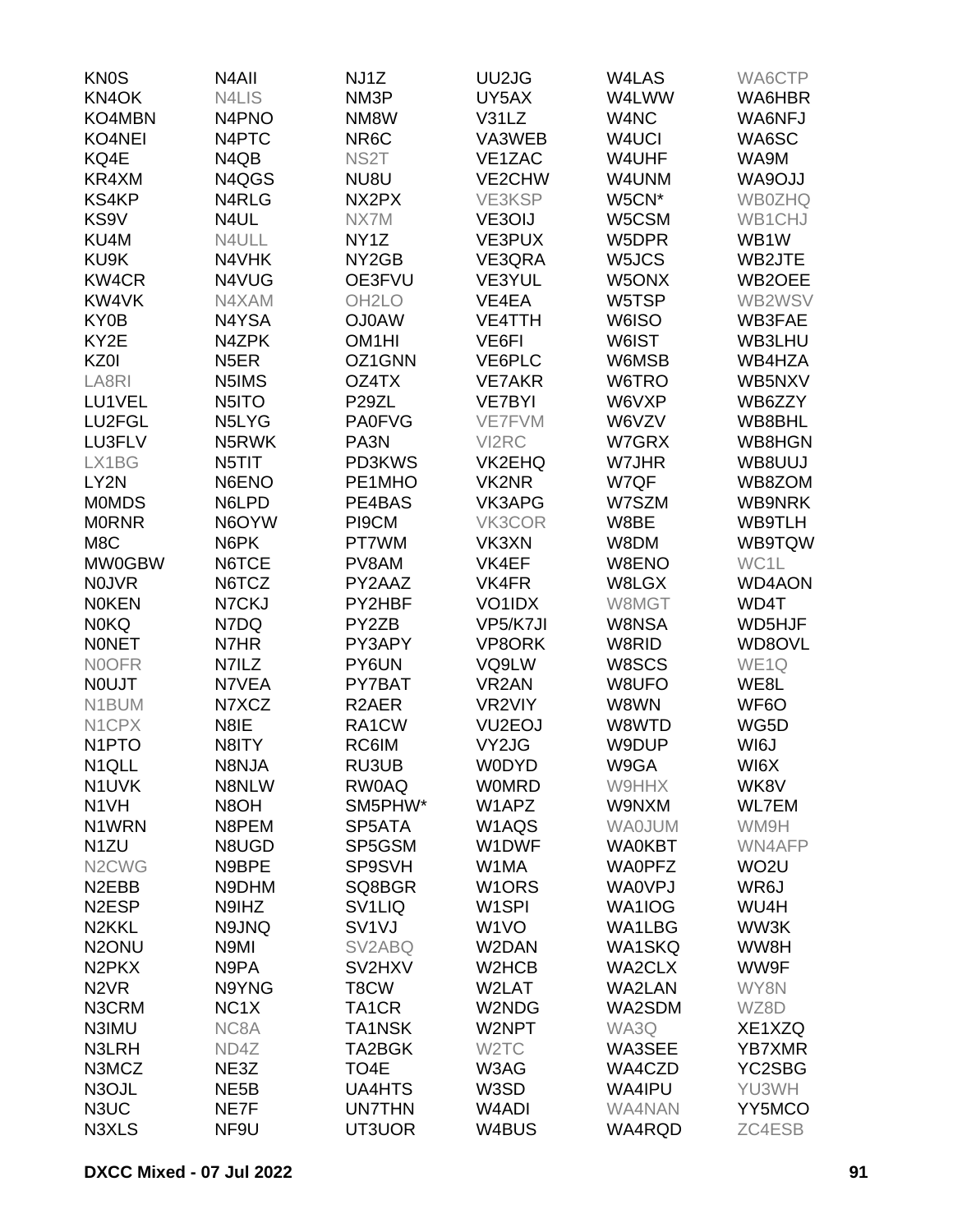| <b>KN0S</b>                    | N <sub>4</sub> All             | NJ1Z                | UU2JG               | W4LAS              | WA6CTP            |
|--------------------------------|--------------------------------|---------------------|---------------------|--------------------|-------------------|
| KN4OK                          | N4LIS                          | NM3P                | UY5AX               | W4LWW              | WA6HBR            |
| KO4MBN                         | N <sub>4</sub> P <sub>NO</sub> | NM8W                | V31LZ               | W4NC               | WA6NFJ            |
| KO4NEI                         | N <sub>4</sub> PTC             | NR <sub>6</sub> C   | VA3WEB              | W <sub>4</sub> UCI | WA6SC             |
| KQ4E                           | N4QB                           | NS <sub>2</sub> T   | VE1ZAC              | W4UHF              | WA9M              |
| KR4XM                          | N4QGS                          | NU8U                | VE2CHW              | W4UNM              | <b>WA9OJJ</b>     |
| <b>KS4KP</b>                   | N4RLG                          | NX2PX               | VE3KSP              | W5CN*              | <b>WB0ZHQ</b>     |
| KS9V                           | N4UL                           | NX7M                | VE3OIJ              | W5CSM              | WB1CHJ            |
| KU4M                           | N4ULL                          | NY <sub>1</sub> Z   | VE3PUX              | W5DPR              | WB1W              |
| KU9K                           | N4VHK                          | NY <sub>2</sub> GB  | VE3QRA              | W5JCS              | WB2JTE            |
| <b>KW4CR</b>                   | N4VUG                          | OE3FVU              | VE3YUL              | W5ONX              | WB2OEE            |
| KW4VK                          | N4XAM                          | OH <sub>2</sub> LO  | VE4EA               | W5TSP              | WB2WSV            |
| KY0B                           | N4YSA                          | <b>OJ0AW</b>        | <b>VE4TTH</b>       |                    | WB3FAE            |
|                                |                                |                     |                     | W6ISO              |                   |
| KY2E                           | N4ZPK                          | OM <sub>1</sub> HI  | VE6FI               | W6IST              | WB3LHU            |
| KZ0I                           | N <sub>5</sub> ER              | OZ1GNN              | VE6PLC              | W6MSB              | WB4HZA            |
| LA8RI                          | N5IMS                          | OZ4TX               | <b>VE7AKR</b>       | W6TRO              | WB5NXV            |
| LU1VEL                         | N5ITO                          | P <sub>29</sub> ZL  | <b>VE7BYI</b>       | W6VXP              | WB6ZZY            |
| LU2FGL                         | N5LYG                          | <b>PA0FVG</b>       | <b>VE7FVM</b>       | W6VZV              | WB8BHL            |
| LU3FLV                         | N5RWK                          | PA3N                | VI2RC               | W7GRX              | WB8HGN            |
| LX1BG                          | N5TIT                          | PD3KWS              | VK2EHQ              | W7JHR              | WB8UUJ            |
| LY2N                           | N6ENO                          | PE1MHO              | <b>VK2NR</b>        | W7QF               | WB8ZOM            |
| <b>MOMDS</b>                   | N6LPD                          | PE4BAS              | VK3APG              | W7SZM              | <b>WB9NRK</b>     |
| <b>MORNR</b>                   | N6OYW                          | PI9CM               | VK3COR              | W8BE               | WB9TLH            |
| M8C                            | N6PK                           | PT7WM               | VK3XN               | W8DM               | WB9TQW            |
| MW0GBW                         | N6TCE                          | PV8AM               | VK4EF               | W8ENO              | WC1L              |
| <b>NOJVR</b>                   | N6TCZ                          | PY2AAZ              | VK4FR               | W8LGX              | <b>WD4AON</b>     |
| <b>NOKEN</b>                   | N7CKJ                          | PY2HBF              | VO1IDX              | W8MGT              | WD4T              |
| <b>NOKQ</b>                    | N7DQ                           | PY2ZB               | VP5/K7JI            | W8NSA              | WD5HJF            |
| <b>NONET</b>                   | N7HR                           | PY3APY              | VP8ORK              | W8RID              | WD8OVL            |
| <b>NOOFR</b>                   | N7ILZ                          | PY6UN               | VQ9LW               | W8SCS              | WE <sub>1Q</sub>  |
| <b>NOUJT</b>                   | N7VEA                          | PY7BAT              | VR <sub>2</sub> AN  | W8UFO              | WE8L              |
| N1BUM                          | N7XCZ                          | R <sub>2</sub> AER  | VR2VIY              | W8WN               | WF6O              |
| N <sub>1</sub> CPX             | N8IE                           | RA1CW               | VU <sub>2</sub> EOJ | W8WTD              | WG5D              |
| N <sub>1</sub> PTO             | N8ITY                          | RC6IM               | VY2JG               | W9DUP              | WI6J              |
| N <sub>1QLL</sub>              | N8NJA                          | RU3UB               | <b>WODYD</b>        | W9GA               | WI6X              |
| N1UVK                          | N8NLW                          | <b>RW0AQ</b>        | <b>WOMRD</b>        | W9HHX              | WK8V              |
| N <sub>1</sub> VH              | N8OH                           | SM5PHW*             | W1APZ               | W9NXM              | <b>WL7EM</b>      |
| N1WRN                          | N8PEM                          | SP5ATA              | W1AQS               | <b>WAOJUM</b>      | WM9H              |
| N <sub>1</sub> ZU              | N8UGD                          | SP5GSM              | W1DWF               | <b>WA0KBT</b>      | WN4AFP            |
| N <sub>2</sub> CW <sub>G</sub> | N9BPE                          | SP9SVH              | W1MA                | <b>WAOPFZ</b>      | WO <sub>2</sub> U |
| N <sub>2</sub> EBB             | N9DHM                          | SQ8BGR              | W <sub>1</sub> ORS  | <b>WA0VPJ</b>      | WR6J              |
| N <sub>2</sub> ESP             | N9IHZ                          | SV <sub>1</sub> LIQ | W <sub>1</sub> SPI  | WA1IOG             | WU4H              |
| N <sub>2</sub> KKL             | N9JNQ                          | SV <sub>1V</sub> J  | W <sub>1</sub> VO   | WA1LBG             | WW3K              |
| N <sub>2</sub> ONU             | N9MI                           | SV <sub>2</sub> ABQ | W2DAN               | <b>WA1SKQ</b>      | WW8H              |
| N <sub>2</sub> PK <sub>X</sub> | N9PA                           | SV2HXV              | W2HCB               | WA2CLX             | WW9F              |
|                                |                                |                     |                     |                    |                   |
| N <sub>2</sub> VR              | N9YNG                          | T8CW                | W2LAT               | <b>WA2LAN</b>      | WY8N              |
| N3CRM                          | NC <sub>1</sub> X              | TA <sub>1</sub> CR  | W2NDG               | WA2SDM             | WZ8D              |
| N3IMU                          | NC8A                           | <b>TA1NSK</b>       | W2NPT               | WA3Q               | XE1XZQ            |
| N3LRH                          | ND4Z                           | TA2BGK              | W <sub>2</sub> TC   | WA3SEE             | <b>YB7XMR</b>     |
| N3MCZ                          | NE3Z                           | TO4E                | W3AG                | WA4CZD             | YC2SBG            |
| N3OJL                          | NE <sub>5</sub> B              | <b>UA4HTS</b>       | W3SD                | WA4IPU             | YU3WH             |
| N3UC                           | NE7F                           | <b>UN7THN</b>       | W <sub>4</sub> ADI  | WA4NAN             | YY5MCO            |
| N3XLS                          | NF9U                           | UT3UOR              | W4BUS               | WA4RQD             | ZC4ESB            |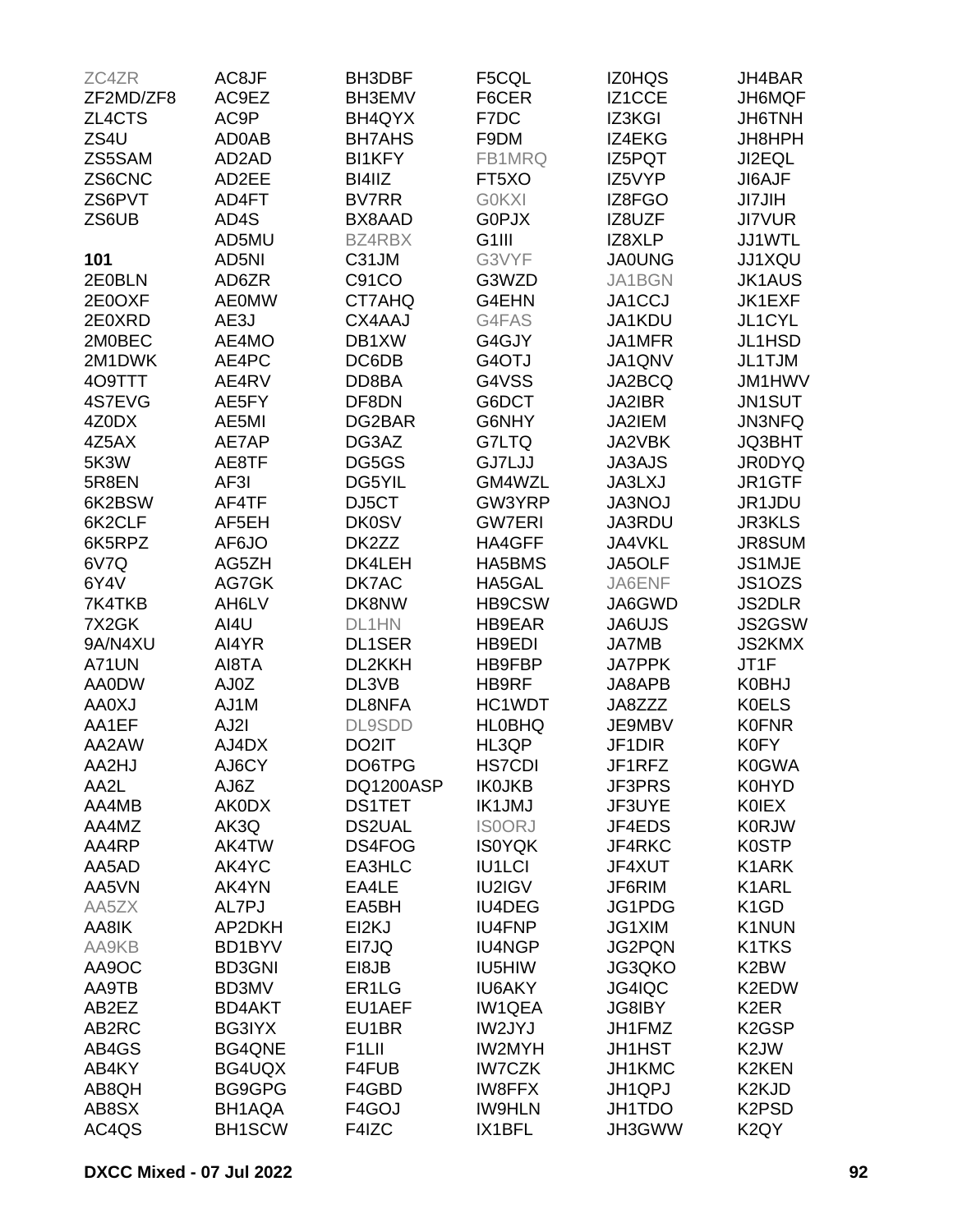| ZC4ZR        | AC8JF         | <b>BH3DBF</b>      | F5CQL              | <b>IZ0HQS</b> | JH4BAR                         |
|--------------|---------------|--------------------|--------------------|---------------|--------------------------------|
| ZF2MD/ZF8    | AC9EZ         | BH3EMV             | F6CER              | IZ1CCE        | JH6MQF                         |
| ZL4CTS       | AC9P          | BH4QYX             | F7DC               | IZ3KGI        | JH6TNH                         |
| ZS4U         | AD0AB         | <b>BH7AHS</b>      | F9DM               | IZ4EKG        | JH8HPH                         |
| ZS5SAM       | AD2AD         | <b>BI1KFY</b>      | FB1MRQ             | IZ5PQT        | JI2EQL                         |
| ZS6CNC       | AD2EE         | BI4IIZ             | FT5XO              | IZ5VYP        | JI6AJF                         |
| ZS6PVT       | AD4FT         | <b>BV7RR</b>       | <b>GOKXI</b>       |               |                                |
|              |               |                    |                    | IZ8FGO        | <b>JI7JIH</b>                  |
| ZS6UB        | AD4S          | BX8AAD             | G0PJX              | IZ8UZF        | <b>JI7VUR</b>                  |
|              | AD5MU         | <b>BZ4RBX</b>      | G <sub>1</sub> III | IZ8XLP        | JJ1WTL                         |
| 101          | AD5NI         | C31JM              | G3VYF              | <b>JA0UNG</b> | <b>JJ1XQU</b>                  |
| 2E0BLN       | AD6ZR         | C91CO              | G3WZD              | JA1BGN        | <b>JK1AUS</b>                  |
| 2E0OXF       | <b>AE0MW</b>  | CT7AHQ             | G4EHN              | JA1CCJ        | JK1EXF                         |
| 2E0XRD       | AE3J          | CX4AAJ             | G4FAS              | JA1KDU        | JL1CYL                         |
| 2M0BEC       | AE4MO         | DB1XW              | G4GJY              | JA1MFR        | JL1HSD                         |
| 2M1DWK       | AE4PC         | DC6DB              | G4OTJ              | JA1QNV        | JL1TJM                         |
| 4O9TTT       | AE4RV         | DD8BA              | G4VSS              | JA2BCQ        | JM1HWV                         |
| 4S7EVG       | AE5FY         | DF8DN              | G6DCT              | JA2IBR        | JN1SUT                         |
| 4Z0DX        | AE5MI         | DG2BAR             | G6NHY              | JA2IEM        | <b>JN3NFQ</b>                  |
| 4Z5AX        | AE7AP         | DG3AZ              | G7LTQ              | JA2VBK        | JQ3BHT                         |
| 5K3W         | AE8TF         | DG5GS              | GJ7LJJ             | <b>JA3AJS</b> | <b>JR0DYQ</b>                  |
| 5R8EN        | AF3I          | DG5YIL             | GM4WZL             | <b>JA3LXJ</b> | JR1GTF                         |
| 6K2BSW       | AF4TF         | DJ5CT              | GW3YRP             | <b>JA3NOJ</b> | JR1JDU                         |
| 6K2CLF       | AF5EH         | <b>DK0SV</b>       | <b>GW7ERI</b>      | JA3RDU        | <b>JR3KLS</b>                  |
| 6K5RPZ       | AF6JO         | DK2ZZ              | HA4GFF             | JA4VKL        | <b>JR8SUM</b>                  |
| 6V7Q         | AG5ZH         | DK4LEH             | HA5BMS             | JA5OLF        | JS1MJE                         |
| 6Y4V         | AG7GK         | DK7AC              | HA5GAL             | JA6ENF        | JS1OZS                         |
| 7K4TKB       | AH6LV         | DK8NW              | HB9CSW             | JA6GWD        | <b>JS2DLR</b>                  |
|              |               | DL1HN              |                    |               | JS2GSW                         |
| 7X2GK        | AI4U          |                    | HB9EAR             | JA6UJS        |                                |
| 9A/N4XU      | AI4YR         | <b>DL1SER</b>      | HB9EDI             | JA7MB         | <b>JS2KMX</b>                  |
| A71UN        | AI8TA         | DL2KKH             | HB9FBP             | <b>JA7PPK</b> | JT1F                           |
| AA0DW        | AJ0Z          | DL3VB              | HB9RF              | JA8APB        | <b>K0BHJ</b>                   |
| <b>AA0XJ</b> | AJ1M          | DL8NFA             | HC1WDT             | JA8ZZZ        | <b>K0ELS</b>                   |
| AA1EF        | AJ2I          | <b>DL9SDD</b>      | <b>HLOBHQ</b>      | JE9MBV        | <b>K0FNR</b>                   |
| AA2AW        | AJ4DX         | DO2IT              | HL3QP              | JF1DIR        | <b>K0FY</b>                    |
| AA2HJ        | AJ6CY         | DO6TPG             | <b>HS7CDI</b>      | JF1RFZ        | <b>K0GWA</b>                   |
| AA2L         | AJ6Z          | DQ1200ASP          | <b>IK0JKB</b>      | JF3PRS        | <b>K0HYD</b>                   |
| AA4MB        | <b>AK0DX</b>  | <b>DS1TET</b>      | <b>IK1JMJ</b>      | JF3UYE        | <b>KOIEX</b>                   |
| AA4MZ        | AK3Q          | <b>DS2UAL</b>      | <b>ISOORJ</b>      | JF4EDS        | <b>K0RJW</b>                   |
| AA4RP        | AK4TW         | DS4FOG             | <b>IS0YQK</b>      | JF4RKC        | <b>K0STP</b>                   |
| AA5AD        | AK4YC         | EA3HLC             | <b>IU1LCI</b>      | JF4XUT        | K1ARK                          |
| AA5VN        | AK4YN         | EA4LE              | IU2IGV             | JF6RIM        | K1ARL                          |
| AA5ZX        | AL7PJ         | EA5BH              | <b>IU4DEG</b>      | JG1PDG        | K <sub>1</sub> G <sub>D</sub>  |
| AA8IK        | AP2DKH        | EI2KJ              | <b>IU4FNP</b>      | JG1XIM        | K1NUN                          |
| AA9KB        | BD1BYV        | EI7JQ              | <b>IU4NGP</b>      | <b>JG2PQN</b> | K1TKS                          |
| AA9OC        | <b>BD3GNI</b> | E18JB              | IU5HIW             | JG3QKO        | K2BW                           |
| AA9TB        | BD3MV         | ER <sub>1</sub> LG | <b>IU6AKY</b>      | JG4IQC        | K2EDW                          |
| AB2EZ        | <b>BD4AKT</b> | EU1AEF             | <b>IW1QEA</b>      | <b>JG8IBY</b> | K <sub>2</sub> ER              |
| AB2RC        | <b>BG3IYX</b> | EU1BR              | IW2JYJ             | JH1FMZ        | K <sub>2</sub> GSP             |
| AB4GS        | <b>BG4QNE</b> | F <sub>1</sub> LII | <b>IW2MYH</b>      | <b>JH1HST</b> | K <sub>2</sub> JW              |
|              |               |                    |                    |               | K2KEN                          |
| AB4KY        | BG4UQX        | F4FUB              | <b>IW7CZK</b>      | JH1KMC        |                                |
| AB8QH        | BG9GPG        | F4GBD              | <b>IW8FFX</b>      | JH1QPJ        | K <sub>2</sub> KJ <sub>D</sub> |
| AB8SX        | BH1AQA        | F4GOJ              | <b>IW9HLN</b>      | JH1TDO        | K <sub>2</sub> P <sub>SD</sub> |
| AC4QS        | <b>BH1SCW</b> | F4IZC              | IX1BFL             | JH3GWW        | K <sub>2</sub> QY              |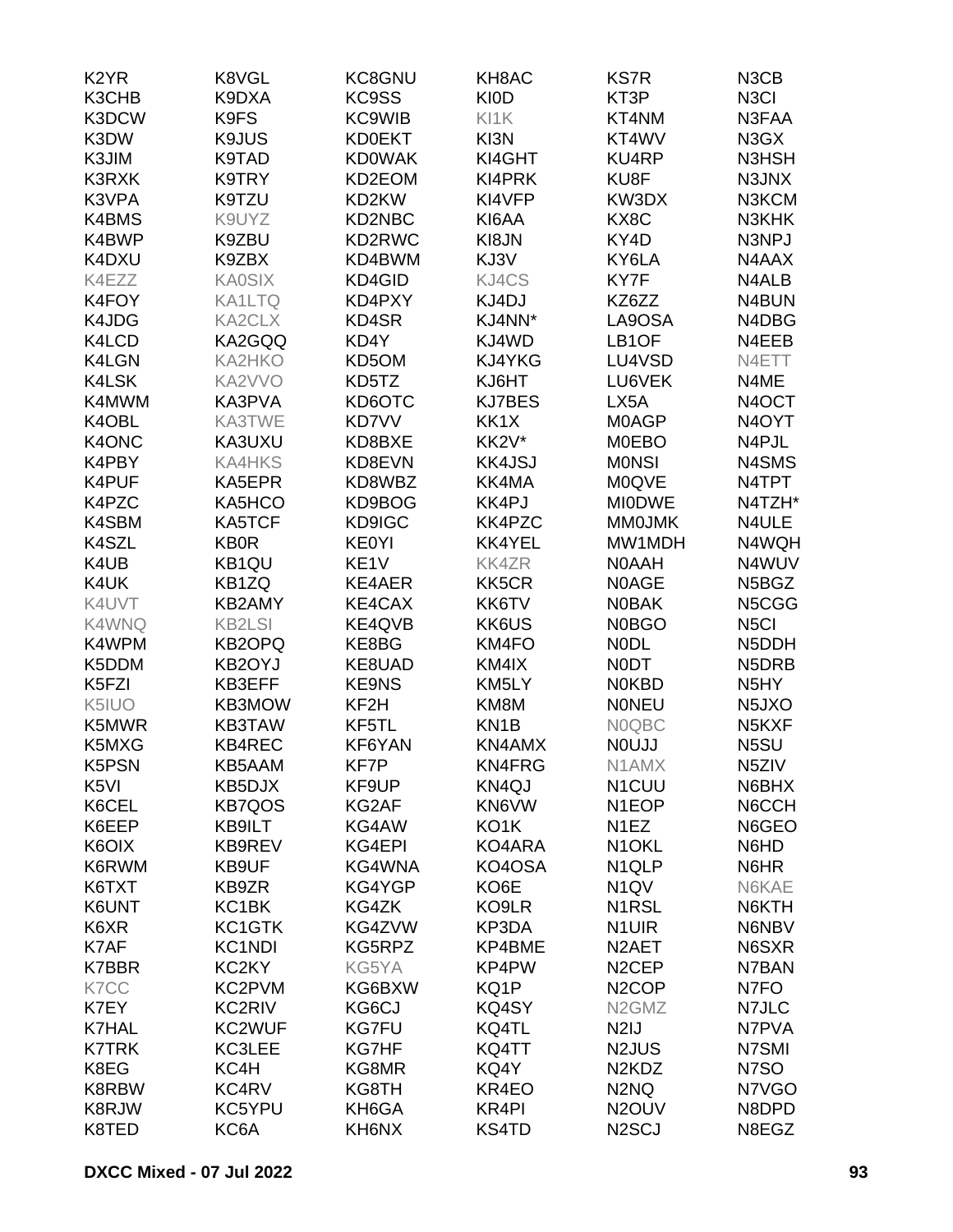| K <sub>2</sub> YR | K8VGL            | KC8GNU            | KH8AC             | <b>KS7R</b>                    | N <sub>3</sub> C <sub>B</sub>  |
|-------------------|------------------|-------------------|-------------------|--------------------------------|--------------------------------|
| K3CHB             | K9DXA            | KC9SS             | <b>KI0D</b>       | KT3P                           | N <sub>3</sub> CI              |
| K3DCW             | K9FS             | <b>KC9WIB</b>     | KI1K              | KT4NM                          | N3FAA                          |
| K3DW              | K9JUS            | <b>KD0EKT</b>     | KI3N              | KT4WV                          | N3GX                           |
| K3JIM             | K9TAD            | <b>KD0WAK</b>     | KI4GHT            | <b>KU4RP</b>                   | N3HSH                          |
| <b>K3RXK</b>      | K9TRY            | KD2EOM            | KI4PRK            | KU8F                           | N3JNX                          |
| K3VPA             | K9TZU            | KD2KW             | KI4VFP            | KW3DX                          | N3KCM                          |
| K4BMS             | K9UYZ            | KD2NBC            | KI6AA             | KX8C                           | N3KHK                          |
| K4BWP             | K9ZBU            | KD2RWC            | KI8JN             | KY4D                           | N3NPJ                          |
| K4DXU             | K9ZBX            | KD4BWM            | KJ3V              | KY6LA                          | N4AAX                          |
| K4EZZ             | <b>KA0SIX</b>    | KD4GID            | KJ4CS             | KY7F                           | N4ALB                          |
| K4FOY             | <b>KA1LTQ</b>    | KD4PXY            | KJ4DJ             | KZ6ZZ                          | N4BUN                          |
| K4JDG             | KA2CLX           | KD4SR             | KJ4NN*            | LA9OSA                         | N4DBG                          |
| K4LCD             | KA2GQQ           | KD4Y              | KJ4WD             | LB <sub>1</sub> OF             | N4EEB                          |
| K4LGN             | <b>KA2HKO</b>    | KD5OM             | KJ4YKG            | LU4VSD                         | N4ETT                          |
| K4LSK             | KA2VVO           | KD5TZ             | KJ6HT             | LU6VEK                         | N4ME                           |
| K4MWM             | KA3PVA           | KD6OTC            | <b>KJ7BES</b>     | LX5A                           | N <sub>4</sub> OCT             |
| K4OBL             | KA3TWE           | KD7VV             | KK1X              | <b>MOAGP</b>                   | N <sub>4</sub> OYT             |
| K4ONC             | KA3UXU           | KD8BXE            | KK2V*             | <b>MOEBO</b>                   | N4PJL                          |
| K4PBY             | <b>KA4HKS</b>    | KD8EVN            | <b>KK4JSJ</b>     | <b>MONSI</b>                   | N4SMS                          |
| K4PUF             | KA5EPR           | KD8WBZ            | KK4MA             | <b>M0QVE</b>                   | N4TPT                          |
| K4PZC             | KA5HCO           | KD9BOG            | KK4PJ             | <b>MIODWE</b>                  | N4TZH*                         |
| K4SBM             | KA5TCF           | KD9IGC            | KK4PZC            | <b>MMOJMK</b>                  | N4ULE                          |
| K4SZL             | <b>KB0R</b>      | <b>KE0YI</b>      | KK4YEL            | MW1MDH                         | N4WQH                          |
| K4UB              | KB1QU            | KE <sub>1</sub> V | <b>KK4ZR</b>      | <b>NOAAH</b>                   | N4WUV                          |
| K4UK              | KB1ZQ            | KE4AER            | KK5CR             | <b>NOAGE</b>                   | N5BGZ                          |
| K4UVT             | KB2AMY           | KE4CAX            | KK6TV             | <b>NOBAK</b>                   |                                |
|                   |                  |                   |                   |                                | N5CGG                          |
| K4WNQ             | <b>KB2LSI</b>    | KE4QVB            | KK6US             | <b>N0BGO</b>                   | N <sub>5</sub> CI              |
| K4WPM             | <b>KB2OPQ</b>    | KE8BG             | KM4FO             | <b>NODL</b>                    | N5DDH                          |
| K5DDM             | KB2OYJ<br>KB3EFF | KE8UAD            | KM4IX             | <b>NODT</b>                    | N5DRB                          |
| K5FZI             |                  | <b>KE9NS</b>      | KM5LY             | <b>NOKBD</b>                   | N <sub>5</sub> HY              |
| K5IUO             | KB3MOW           | KF <sub>2</sub> H | KM8M              | <b>NONEU</b>                   | N <sub>5</sub> JXO             |
| K5MWR             | <b>KB3TAW</b>    | KF5TL             | KN <sub>1</sub> B | <b>NOQBC</b>                   | N <sub>5</sub> K <sub>XF</sub> |
| K5MXG             | <b>KB4REC</b>    | KF6YAN            | KN4AMX            | <b>NOUJJ</b>                   | N5SU                           |
| K5PSN             | KB5AAM           | KF7P              | KN4FRG            | N1AMX                          | N <sub>5</sub> ZIV             |
| K <sub>5VI</sub>  | KB5DJX           | KF9UP             | KN4QJ             | N <sub>1</sub> CUU             | N6BHX                          |
| K6CEL             | <b>KB7QOS</b>    | KG2AF             | KN6VW             | N <sub>1</sub> EOP             | N6CCH                          |
| K6EEP             | KB9ILT           | KG4AW             | KO1K              | N <sub>1</sub> EZ              | N6GEO                          |
| K6OIX             | KB9REV           | KG4EPI            | KO4ARA            | N <sub>1</sub> OKL             | N6HD                           |
| K6RWM             | KB9UF            | KG4WNA            | KO4OSA            | N <sub>1QLP</sub>              | N6HR                           |
| K6TXT             | KB9ZR            | KG4YGP            | KO6E              | N <sub>1</sub> QV              | N6KAE                          |
| K6UNT             | KC1BK            | KG4ZK             | KO9LR             | N1RSL                          | N6KTH                          |
| K6XR              | KC1GTK           | KG4ZVW            | KP3DA             | N <sub>1</sub> UIR             | N6NBV                          |
| K7AF              | <b>KC1NDI</b>    | KG5RPZ            | KP4BME            | N <sub>2</sub> AET             | N6SXR                          |
| <b>K7BBR</b>      | KC2KY            | KG5YA             | KP4PW             | N <sub>2</sub> CEP             | N7BAN                          |
| K7CC              | KC2PVM           | KG6BXW            | KQ1P              | N <sub>2</sub> COP             | N7FO                           |
| K7EY              | KC2RIV           | KG6CJ             | KQ4SY             | N <sub>2</sub> GM <sub>Z</sub> | N7JLC                          |
| <b>K7HAL</b>      | KC2WUF           | <b>KG7FU</b>      | KQ4TL             | N <sub>2</sub> IJ              | N7PVA                          |
| <b>K7TRK</b>      | KC3LEE           | KG7HF             | KQ4TT             | N <sub>2</sub> JUS             | N7SMI                          |
| K8EG              | KC4H             | KG8MR             | KQ4Y              | N <sub>2</sub> KD <sub>Z</sub> | N7SO                           |
| K8RBW             | KC4RV            | KG8TH             | KR4EO             | N <sub>2</sub> N <sub>Q</sub>  | N7VGO                          |
| K8RJW             | KC5YPU           | KH6GA             | KR4PI             | N <sub>2</sub> OUV             | N8DPD                          |
| K8TED             | KC6A             | KH6NX             | KS4TD             | N <sub>2</sub> SCJ             | N8EGZ                          |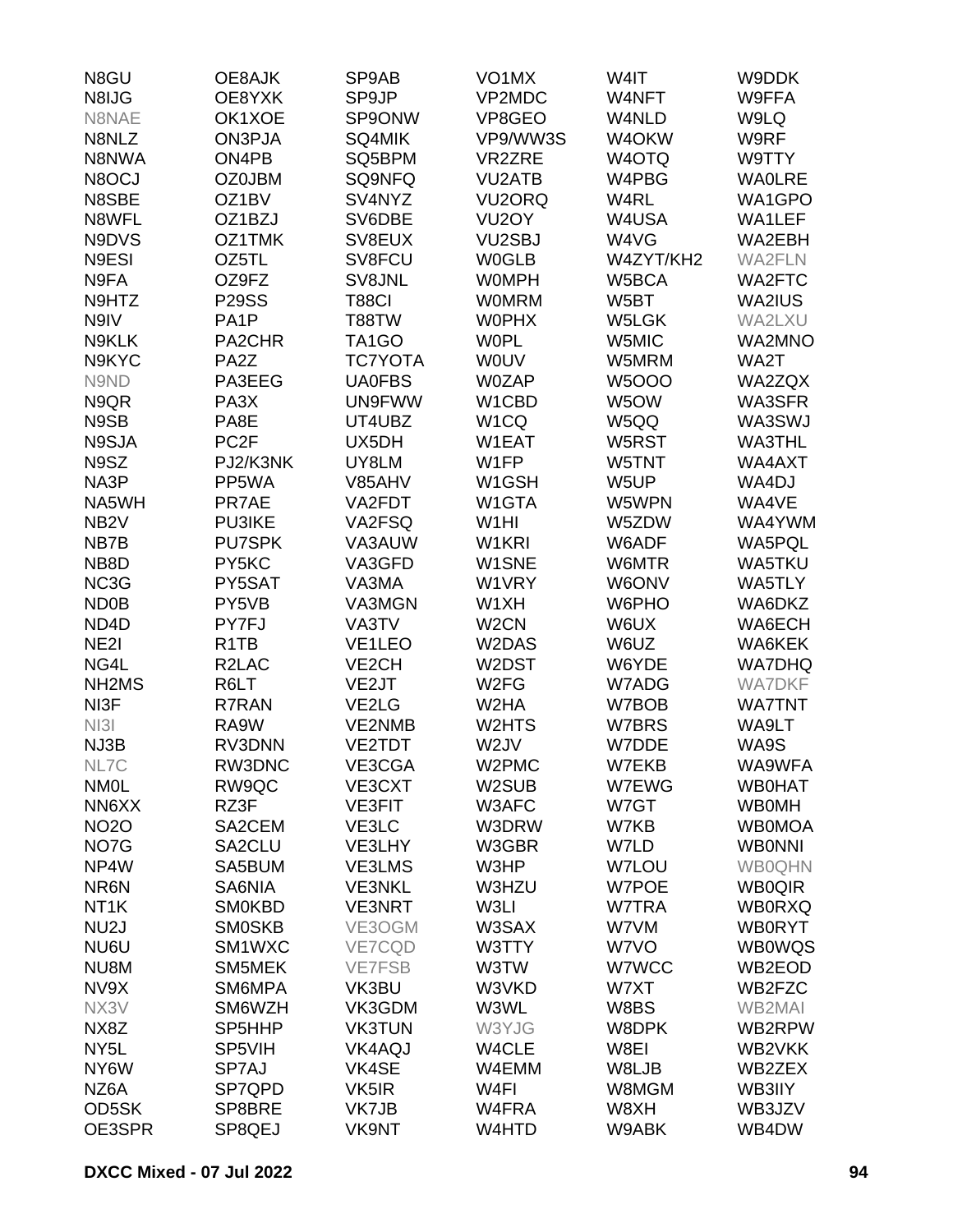| N8GU                           | OE8AJK                        | SP9AB               | VO <sub>1</sub> MX  | W4IT         | W9DDK         |
|--------------------------------|-------------------------------|---------------------|---------------------|--------------|---------------|
| N8IJG                          | OE8YXK                        | SP9JP               | VP2MDC              | W4NFT        | W9FFA         |
| N8NAE                          | OK1XOE                        | SP9ONW              | VP8GEO              | W4NLD        | W9LQ          |
| N8NLZ                          | ON3PJA                        | SQ4MIK              | VP9/WW3S            | W4OKW        | W9RF          |
| N8NWA                          | ON4PB                         | SQ5BPM              | VR2ZRE              | W4OTQ        | W9TTY         |
| N8OCJ                          | <b>OZ0JBM</b>                 | SQ9NFQ              | <b>VU2ATB</b>       | W4PBG        | <b>WAOLRE</b> |
| N8SBE                          | OZ1BV                         | SV4NYZ              | VU <sub>2</sub> ORQ | W4RL         | WA1GPO        |
| N8WFL                          | OZ1BZJ                        | SV6DBE              | VU <sub>2</sub> OY  | W4USA        | WA1LEF        |
| N9DVS                          | OZ1TMK                        | SV8EUX              | VU <sub>2</sub> SBJ | W4VG         | WA2EBH        |
| N9ESI                          | OZ5TL                         | SV8FCU              | <b>W0GLB</b>        | W4ZYT/KH2    | <b>WA2FLN</b> |
| N9FA                           | OZ9FZ                         | SV8JNL              | <b>WOMPH</b>        | W5BCA        | <b>WA2FTC</b> |
| N9HTZ                          | <b>P29SS</b>                  | <b>T88CI</b>        | <b>WOMRM</b>        | W5BT         | WA2IUS        |
| N9IV                           | PA <sub>1</sub> P             | T88TW               | <b>WOPHX</b>        | W5LGK        | WA2LXU        |
| N9KLK                          | PA2CHR                        | TA <sub>1</sub> GO  | <b>WOPL</b>         | W5MIC        | <b>WA2MNO</b> |
| N9KYC                          | PA <sub>2</sub> Z             | <b>TC7YOTA</b>      | <b>WOUV</b>         | W5MRM        | WA2T          |
| N9ND                           | PA3EEG                        | <b>UA0FBS</b>       | <b>W0ZAP</b>        | <b>W5OOO</b> | WA2ZQX        |
| N9QR                           | PA <sub>3</sub> X             | UN9FWW              | W1CBD               | W5OW         | WA3SFR        |
| N9SB                           | PA8E                          | UT4UBZ              | W <sub>1</sub> CQ   | W5QQ         | WA3SWJ        |
| N9SJA                          | PC <sub>2F</sub>              | UX5DH               | W1EAT               | W5RST        | <b>WA3THL</b> |
| N9SZ                           | PJ2/K3NK                      | UY8LM               | W1FP                | W5TNT        | WA4AXT        |
| NA3P                           | PP5WA                         | V85AHV              | W1GSH               | W5UP         | WA4DJ         |
| NA5WH                          | PR7AE                         | VA2FDT              | W1GTA               | W5WPN        | WA4VE         |
|                                | <b>PU3IKE</b>                 |                     | W <sub>1</sub> HI   | W5ZDW        | WA4YWM        |
| NB <sub>2</sub> V              | <b>PU7SPK</b>                 | VA2FSQ              | W1KRI               |              |               |
| NB7B                           | PY5KC                         | VA3AUW              |                     | W6ADF        | WA5PQL        |
| NB8D                           |                               | VA3GFD              | W1SNE               | W6MTR        | <b>WA5TKU</b> |
| NC3G                           | PY5SAT                        | VA3MA               | W1VRY               | W6ONV        | WA5TLY        |
| ND <sub>0</sub> B              | PY5VB                         | VA3MGN              | W1XH                | W6PHO        | WA6DKZ        |
| ND <sub>4</sub> D              | PY7FJ                         | VA3TV               | W <sub>2</sub> CN   | W6UX         | WA6ECH        |
| NE <sub>2</sub>                | R <sub>1</sub> T <sub>B</sub> | VE <sub>1</sub> LEO | W2DAS               | W6UZ         | WA6KEK        |
| NG4L                           | R <sub>2</sub> LAC            | VE <sub>2</sub> CH  | W2DST               | W6YDE        | <b>WA7DHQ</b> |
| NH <sub>2</sub> M <sub>S</sub> | R6LT                          | VE2JT               | W <sub>2</sub> FG   | W7ADG        | <b>WA7DKF</b> |
| NI3F                           | R7RAN                         | VE2LG               | W <sub>2</sub> HA   | W7BOB        | <b>WA7TNT</b> |
| N <sub>131</sub>               | RA9W                          | VE2NMB              | W2HTS               | W7BRS        | WA9LT         |
| NJ3B                           | RV3DNN                        | VE2TDT              | W <sub>2</sub> JV   | W7DDE        | WA9S          |
| NL7C                           | RW3DNC                        | VE3CGA              | W2PMC               | W7EKB        | WA9WFA        |
| <b>NMOL</b>                    | RW9QC                         | VE3CXT              | W2SUB               | W7EWG        | <b>WB0HAT</b> |
| NN6XX                          | RZ3F                          | <b>VE3FIT</b>       | W3AFC               | W7GT         | <b>WB0MH</b>  |
| <b>NO2O</b>                    | SA2CEM                        | VE3LC               | W3DRW               | W7KB         | <b>WB0MOA</b> |
| NO7G                           | SA2CLU                        | VE3LHY              | W3GBR               | W7LD         | <b>WBONNI</b> |
| NP4W                           | SA5BUM                        | VE3LMS              | W3HP                | <b>W7LOU</b> | <b>WB0QHN</b> |
| NR6N                           | SA6NIA                        | <b>VE3NKL</b>       | W3HZU               | <b>W7POE</b> | <b>WB0QIR</b> |
| NT <sub>1</sub> K              | <b>SM0KBD</b>                 | <b>VE3NRT</b>       | W3LI                | W7TRA        | <b>WB0RXQ</b> |
| NU <sub>2</sub> J              | <b>SMOSKB</b>                 | VE3OGM              | W3SAX               | W7VM         | <b>WB0RYT</b> |
| NU6U                           | SM1WXC                        | VE7CQD              | W3TTY               | W7VO         | <b>WB0WQS</b> |
| NU8M                           | SM5MEK                        | <b>VE7FSB</b>       | W3TW                | W7WCC        | WB2EOD        |
| NV9X                           | SM6MPA                        | VK3BU               | W3VKD               | W7XT         | WB2FZC        |
| NX3V                           | SM6WZH                        | VK3GDM              | W3WL                | W8BS         | <b>WB2MAI</b> |
| NX8Z                           | SP5HHP                        | <b>VK3TUN</b>       | W3YJG               | W8DPK        | WB2RPW        |
| NY <sub>5</sub> L              | SP5VIH                        | VK4AQJ              | W4CLE               | W8EI         | WB2VKK        |
| NY6W                           | SP7AJ                         | VK4SE               | W4EMM               | W8LJB        | WB2ZEX        |
| NZ6A                           | SP7QPD                        | VK5IR               | W4FI                | W8MGM        | WB3IIY        |
| OD5SK                          | SP8BRE                        | VK7JB               | W4FRA               | W8XH         | WB3JZV        |
| OE3SPR                         | SP8QEJ                        | VK9NT               | W4HTD               | W9ABK        | WB4DW         |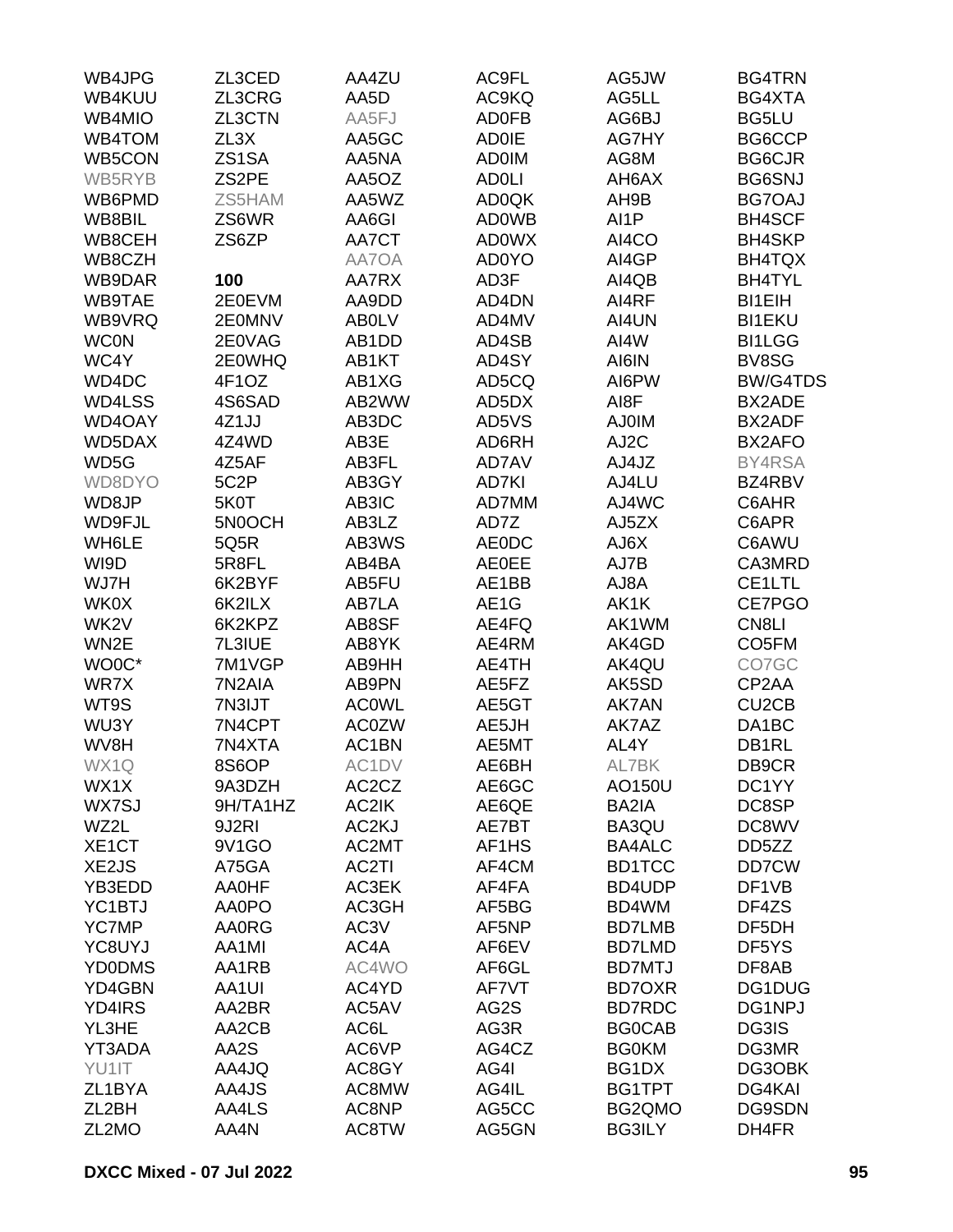| WB4JPG        | ZL3CED             | AA4ZU                          | AC9FL        | AG5JW         | <b>BG4TRN</b>      |
|---------------|--------------------|--------------------------------|--------------|---------------|--------------------|
| WB4KUU        | ZL3CRG             | AA5D                           | AC9KQ        | AG5LL         | BG4XTA             |
| WB4MIO        | ZL3CTN             | AA5FJ                          | <b>AD0FB</b> | AG6BJ         | BG5LU              |
| WB4TOM        | ZL3X               | AA5GC                          | <b>AD0IE</b> | AG7HY         | BG6CCP             |
| WB5CON        | ZS1SA              | AA5NA                          | <b>AD0IM</b> | AG8M          | <b>BG6CJR</b>      |
| WB5RYB        | ZS <sub>2</sub> PE | AA5OZ                          | <b>ADOLI</b> | AH6AX         | <b>BG6SNJ</b>      |
| WB6PMD        | ZS5HAM             | AA5WZ                          | <b>AD0QK</b> | AH9B          | <b>BG7OAJ</b>      |
| WB8BIL        | ZS6WR              | AA6GI                          | <b>AD0WB</b> | AI1P          | <b>BH4SCF</b>      |
| WB8CEH        | ZS6ZP              | AA7CT                          | <b>AD0WX</b> | AI4CO         | <b>BH4SKP</b>      |
| WB8CZH        |                    | AA7OA                          | <b>AD0YO</b> | AI4GP         | BH4TQX             |
| WB9DAR        | 100                | AA7RX                          | AD3F         | AI4QB         | <b>BH4TYL</b>      |
| WB9TAE        | 2E0EVM             | AA9DD                          | AD4DN        | AI4RF         | <b>BI1EIH</b>      |
| WB9VRQ        | 2E0MNV             | <b>ABOLV</b>                   | AD4MV        | AI4UN         | <b>BI1EKU</b>      |
| <b>WCON</b>   | 2E0VAG             | AB1DD                          | AD4SB        | AI4W          | <b>BI1LGG</b>      |
| WC4Y          | 2E0WHQ             | AB1KT                          | AD4SY        | AI6IN         | BV8SG              |
|               |                    |                                | AD5CQ        |               | <b>BW/G4TDS</b>    |
| WD4DC         | 4F1OZ              | AB1XG                          |              | AI6PW         |                    |
| WD4LSS        | 4S6SAD             | AB2WW                          | AD5DX        | AI8F          | BX2ADE             |
| WD4OAY        | 4Z1JJ              | AB3DC                          | AD5VS        | <b>AJ0IM</b>  | BX2ADF             |
| WD5DAX        | 4Z4WD              | AB3E                           | AD6RH        | AJ2C          | BX2AFO             |
| WD5G          | 4Z5AF              | AB3FL                          | AD7AV        | AJ4JZ         | BY4RSA             |
| WD8DYO        | 5C2P               | AB3GY                          | AD7KI        | AJ4LU         | BZ4RBV             |
| WD8JP         | 5K0T               | AB3IC                          | AD7MM        | AJ4WC         | C6AHR              |
| WD9FJL        | 5N0OCH             | AB3LZ                          | AD7Z         | AJ5ZX         | C6APR              |
| WH6LE         | 5Q5R               | AB3WS                          | <b>AE0DC</b> | AJ6X          | C6AWU              |
| WI9D          | 5R8FL              | AB4BA                          | <b>AE0EE</b> | AJ7B          | CA3MRD             |
| WJ7H          | 6K2BYF             | AB5FU                          | AE1BB        | AJ8A          | CE1LTL             |
| WK0X          | 6K2ILX             | AB7LA                          | AE1G         | AK1K          | CE7PGO             |
| WK2V          | 6K2KPZ             | AB8SF                          | AE4FQ        | AK1WM         | CN8LI              |
| WN2E          | 7L3IUE             | AB8YK                          | AE4RM        | AK4GD         | CO <sub>5</sub> FM |
| WO0C*         | 7M1VGP             | AB9HH                          | AE4TH        | AK4QU         | CO7GC              |
| WR7X          | 7N2AIA             | AB9PN                          | AE5FZ        | AK5SD         | CP2AA              |
| WT9S          | 7N3IJT             | <b>ACOWL</b>                   | AE5GT        | AK7AN         | CU <sub>2</sub> CB |
| WU3Y          | 7N4CPT             | <b>AC0ZW</b>                   | AE5JH        | AK7AZ         | DA1BC              |
| WV8H          | 7N4XTA             | AC1BN                          | AE5MT        | AL4Y          | DB1RL              |
| WX1Q          | 8S6OP              | AC1DV                          | AE6BH        | AL7BK         | DB9CR              |
| WX1X          | 9A3DZH             | AC <sub>2</sub> C <sub>Z</sub> | AE6GC        | AO150U        | DC1YY              |
| WX7SJ         | 9H/TA1HZ           | AC2IK                          | AE6QE        | BA2IA         | DC8SP              |
| WZ2L          | 9J2RI              | AC2KJ                          | AE7BT        | BA3QU         | DC8WV              |
| XE1CT         | 9V1GO              | AC2MT                          | AF1HS        | <b>BA4ALC</b> | DD5ZZ              |
| XE2JS         | A75GA              | AC2TI                          | AF4CM        | <b>BD1TCC</b> | DD7CW              |
| YB3EDD        | AA0HF              | AC3EK                          | AF4FA        | BD4UDP        | DF1VB              |
| YC1BTJ        | AA0PO              | AC3GH                          | AF5BG        | BD4WM         | DF4ZS              |
| <b>YC7MP</b>  | <b>AA0RG</b>       | AC3V                           | AF5NP        | <b>BD7LMB</b> | DF5DH              |
| YC8UYJ        | AA1MI              | AC4A                           | AF6EV        | <b>BD7LMD</b> | DF5YS              |
| <b>YD0DMS</b> | AA1RB              | AC4WO                          | AF6GL        | <b>BD7MTJ</b> | DF8AB              |
| YD4GBN        | AA1UI              | AC4YD                          | AF7VT        | <b>BD7OXR</b> | DG1DUG             |
| YD4IRS        | AA2BR              | AC5AV                          | AG2S         | <b>BD7RDC</b> | DG1NPJ             |
| YL3HE         | AA2CB              | AC6L                           | AG3R         | <b>BG0CAB</b> | DG3IS              |
| YT3ADA        | AA2S               | AC6VP                          | AG4CZ        | <b>BG0KM</b>  | DG3MR              |
| YU1IT         | AA4JQ              | AC8GY                          | AG4I         | BG1DX         | DG3OBK             |
| ZL1BYA        | AA4JS              | AC8MW                          | AG4IL        | BG1TPT        | DG4KAI             |
| ZL2BH         | AA4LS              | AC8NP                          | AG5CC        | BG2QMO        | <b>DG9SDN</b>      |
| ZL2MO         | AA4N               | AC8TW                          | AG5GN        | <b>BG3ILY</b> | DH4FR              |
|               |                    |                                |              |               |                    |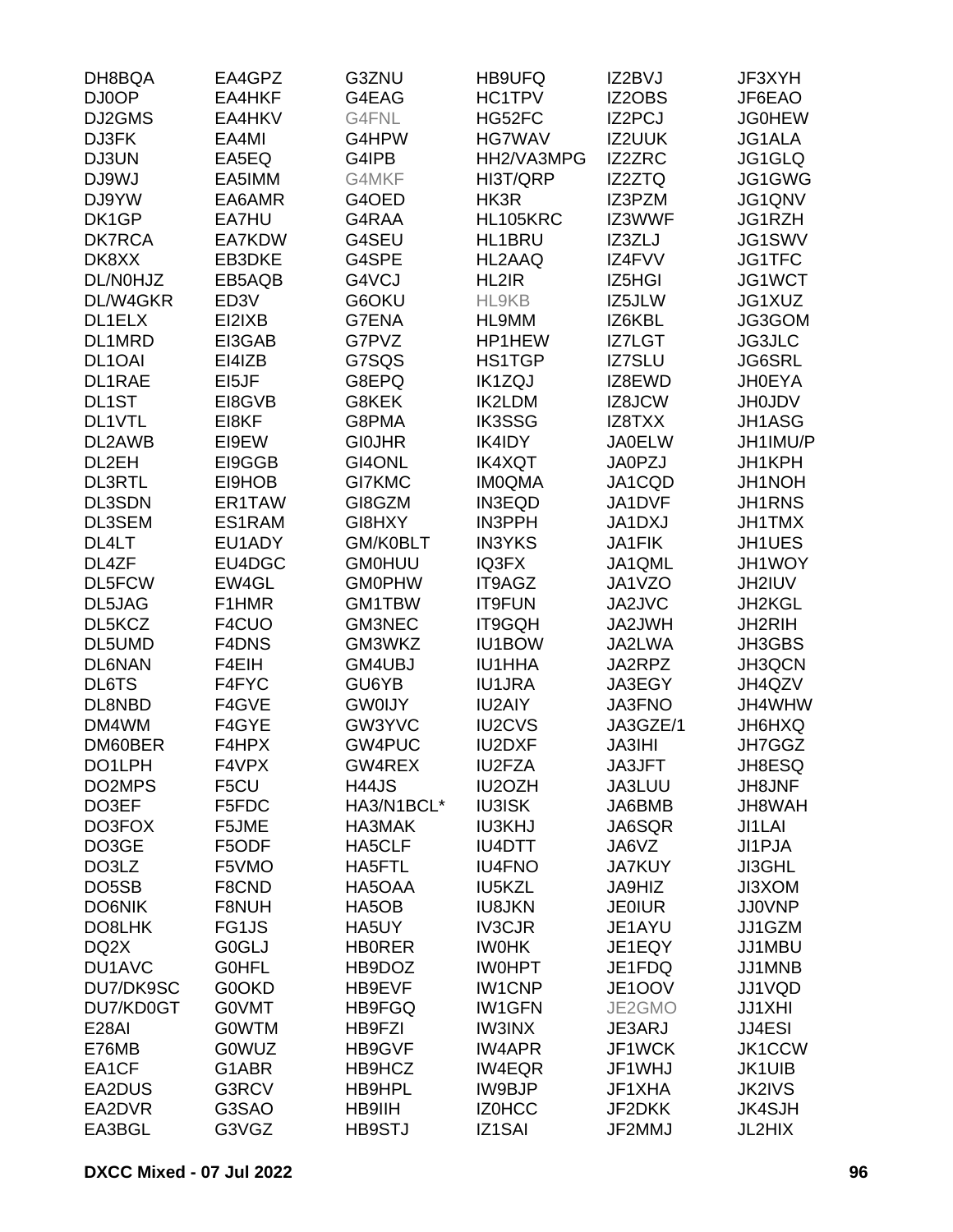| DH8BQA              | EA4GPZ            | G3ZNU                   | HB9UFQ                         | IZ2BVJ           | JF3XYH           |
|---------------------|-------------------|-------------------------|--------------------------------|------------------|------------------|
| DJ0OP               | EA4HKF            | G4EAG                   | HC1TPV                         | IZ2OBS           | JF6EAO           |
| DJ2GMS              | EA4HKV            | G4FNL                   | HG52FC                         | IZ2PCJ           | <b>JG0HEW</b>    |
| DJ3FK               | EA4MI             | G4HPW                   | <b>HG7WAV</b>                  | IZ2UUK           | JG1ALA           |
| DJ3UN               | EA5EQ             | G4IPB                   | HH2/VA3MPG                     | IZ2ZRC           | JG1GLQ           |
| DJ9WJ               | EA5IMM            | G4MKF                   | HI3T/QRP                       | IZ2ZTQ           | JG1GWG           |
| DJ9YW               | EA6AMR            | G4OED                   | HK3R                           | IZ3PZM           | JG1QNV           |
| DK1GP               | EA7HU             | G4RAA                   | HL105KRC                       | IZ3WWF           | JG1RZH           |
| <b>DK7RCA</b>       | EA7KDW            | G4SEU                   | HL1BRU                         | IZ3ZLJ           | JG1SWV           |
| DK8XX               | EB3DKE            | G4SPE                   | HL2AAQ                         | IZ4FVV           | JG1TFC           |
| DL/N0HJZ            | EB5AQB            | G4VCJ                   | HL2IR                          | IZ5HGI           | JG1WCT           |
| DL/W4GKR            | ED <sub>3</sub> V | G6OKU                   | HL9KB                          | IZ5JLW           | JG1XUZ           |
| DL1ELX              | EI2IXB            | G7ENA                   | HL9MM                          | IZ6KBL           | JG3GOM           |
| DL1MRD              | EI3GAB            | G7PVZ                   | HP1HEW                         | <b>IZ7LGT</b>    | <b>JG3JLC</b>    |
| DL <sub>1</sub> OAI | EI4IZB            | G7SQS                   | HS1TGP                         | IZ7SLU           | <b>JG6SRL</b>    |
| DL1RAE              | EI5JF             | G8EPQ                   | IK1ZQJ                         | IZ8EWD           | <b>JH0EYA</b>    |
| DL1ST               | EI8GVB            | G8KEK                   | <b>IK2LDM</b>                  | IZ8JCW           | <b>JH0JDV</b>    |
| DL1VTL              | EI8KF             | G8PMA                   | <b>IK3SSG</b>                  | IZ8TXX           | JH1ASG           |
| DL2AWB              | EI9EW             | <b>GIOJHR</b>           | <b>IK4IDY</b>                  | <b>JA0ELW</b>    | JH1IMU/P         |
| DL2EH               | EI9GGB            | GI4ONL                  | <b>IK4XQT</b>                  | <b>JA0PZJ</b>    | JH1KPH           |
| <b>DL3RTL</b>       | EI9HOB            | <b>GI7KMC</b>           | <b>IMOQMA</b>                  | JA1CQD           | JH1NOH           |
| DL3SDN              | ER1TAW            | GI8GZM                  | <b>IN3EQD</b>                  | JA1DVF           | <b>JH1RNS</b>    |
| DL3SEM              |                   |                         |                                |                  | <b>JH1TMX</b>    |
| DL4LT               | ES1RAM<br>EU1ADY  | GI8HXY<br>GM/K0BLT      | <b>IN3PPH</b><br><b>IN3YKS</b> | JA1DXJ<br>JA1FIK | JH1UES           |
| DL4ZF               | EU4DGC            | <b>GM0HUU</b>           | IQ3FX                          |                  | JH1WOY           |
| DL5FCW              |                   |                         |                                | JA1QML           |                  |
| DL5JAG              | EW4GL<br>F1HMR    | <b>GM0PHW</b><br>GM1TBW | IT9AGZ<br><b>IT9FUN</b>        | JA1VZO<br>JA2JVC | JH2IUV<br>JH2KGL |
| DL5KCZ              |                   |                         | <b>IT9GQH</b>                  |                  |                  |
|                     | F4CUO             | GM3NEC                  |                                | JA2JWH           | JH2RIH           |
| DL5UMD              | F4DNS             | GM3WKZ                  | <b>IU1BOW</b>                  | JA2LWA           | JH3GBS           |
| <b>DL6NAN</b>       | F4EIH             | GM4UBJ                  | <b>IU1HHA</b>                  | JA2RPZ           | JH3QCN           |
| DL6TS               | F4FYC             | GU6YB                   | <b>IU1JRA</b>                  | JA3EGY           | JH4QZV           |
| DL8NBD              | F4GVE             | <b>GW0IJY</b>           | <b>IU2AIY</b>                  | JA3FNO           | JH4WHW           |
| DM4WM               | F4GYE             | GW3YVC                  | <b>IU2CVS</b>                  | JA3GZE/1         | JH6HXQ           |
| DM60BER             | F4HPX             | GW4PUC                  | <b>IU2DXF</b>                  | <b>JA3IHI</b>    | JH7GGZ           |
| DO1LPH              | F4VPX             | GW4REX                  | <b>IU2FZA</b>                  | JA3JFT           | JH8ESQ           |
| DO2MPS              | F <sub>5</sub> CU | H44JS                   | <b>IU2OZH</b>                  | JA3LUU           | <b>JH8JNF</b>    |
| DO3EF               | F5FDC             | HA3/N1BCL*              | <b>IU3ISK</b>                  | JA6BMB           | <b>JH8WAH</b>    |
| DO3FOX              | F5JME             | HA3MAK                  | <b>IU3KHJ</b>                  | JA6SQR           | JI1LAI           |
| DO3GE               | F5ODF             | HA5CLF                  | <b>IU4DTT</b>                  | JA6VZ            | JI1PJA           |
| DO3LZ               | F5VMO             | HA5FTL                  | <b>IU4FNO</b>                  | <b>JA7KUY</b>    | <b>JI3GHL</b>    |
| DO5SB               | F8CND             | HA5OAA                  | <b>IU5KZL</b>                  | JA9HIZ           | <b>JI3XOM</b>    |
| <b>DO6NIK</b>       | F8NUH             | HA5OB                   | <b>IU8JKN</b>                  | <b>JE0IUR</b>    | <b>JJ0VNP</b>    |
| DO8LHK              | FG1JS             | HA5UY                   | <b>IV3CJR</b>                  | JE1AYU           | JJ1GZM           |
| DQ2X                | <b>G0GLJ</b>      | <b>HB0RER</b>           | <b>IWOHK</b>                   | JE1EQY           | JJ1MBU           |
| DU1AVC              | <b>GOHFL</b>      | HB9DOZ                  | <b>IWOHPT</b>                  | JE1FDQ           | JJ1MNB           |
| DU7/DK9SC           | G0OKD             | HB9EVF                  | <b>IW1CNP</b>                  | JE1OOV           | JJ1VQD           |
| DU7/KD0GT           | <b>GOVMT</b>      | HB9FGQ                  | <b>IW1GFN</b>                  | JE2GMO           | <b>JJ1XHI</b>    |
| E <sub>28</sub> AI  | <b>GOWTM</b>      | HB9FZI                  | <b>IW3INX</b>                  | JE3ARJ           | <b>JJ4ESI</b>    |
| E76MB               | <b>G0WUZ</b>      | HB9GVF                  | <b>IW4APR</b>                  | JF1WCK           | <b>JK1CCW</b>    |
| EA1CF               | G1ABR             | HB9HCZ                  | <b>IW4EQR</b>                  | JF1WHJ           | <b>JK1UIB</b>    |
| EA2DUS              | G3RCV             | HB9HPL                  | IW9BJP                         | JF1XHA           | <b>JK2IVS</b>    |
| EA2DVR              | G3SAO             | HB9IIH                  | IZ0HCC                         | JF2DKK           | <b>JK4SJH</b>    |
| EA3BGL              | G3VGZ             | <b>HB9STJ</b>           | IZ1SAI                         | JF2MMJ           | <b>JL2HIX</b>    |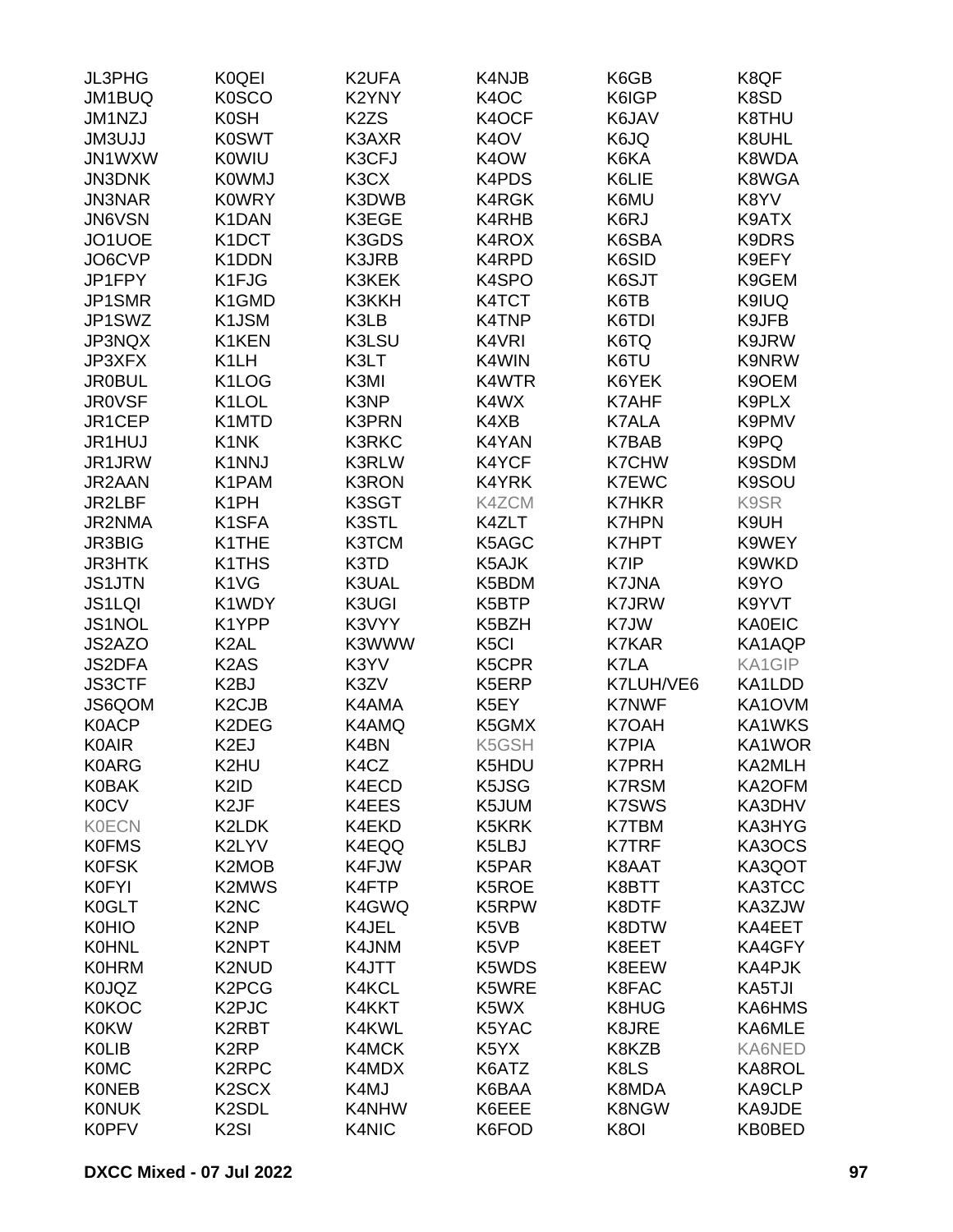| JL3PHG        | <b>K0QEI</b>                   | K2UFA             | K4NJB             | K6GB         | K8QF          |
|---------------|--------------------------------|-------------------|-------------------|--------------|---------------|
| JM1BUQ        | <b>K0SCO</b>                   | K2YNY             | K <sub>4</sub> OC | K6IGP        | K8SD          |
| JM1NZJ        | <b>K0SH</b>                    | K <sub>2</sub> ZS | K4OCF             | K6JAV        | K8THU         |
| <b>JM3UJJ</b> | <b>K0SWT</b>                   | K3AXR             | K <sub>4</sub> OV | K6JQ         | K8UHL         |
| JN1WXW        | <b>K0WIU</b>                   | K3CFJ             | K <sub>4</sub> OW | K6KA         | K8WDA         |
| <b>JN3DNK</b> | <b>K0WMJ</b>                   | K3CX              | K4PDS             | K6LIE        | K8WGA         |
| <b>JN3NAR</b> | <b>KOWRY</b>                   | K3DWB             | <b>K4RGK</b>      | K6MU         | K8YV          |
| JN6VSN        | K1DAN                          | K3EGE             | K4RHB             | K6RJ         | K9ATX         |
| JO1UOE        | K <sub>1</sub> DCT             | K3GDS             | K4ROX             | K6SBA        | K9DRS         |
| JO6CVP        | K1DDN                          | K3JRB             | K4RPD             | K6SID        | K9EFY         |
| JP1FPY        | K1FJG                          | K3KEK             | K4SPO             | K6SJT        | K9GEM         |
| JP1SMR        | K1GMD                          | K3KKH             | K4TCT             | K6TB         | K9IUQ         |
| JP1SWZ        | K1JSM                          | K3LB              | K4TNP             | K6TDI        | K9JFB         |
|               |                                | K3LSU             |                   | K6TQ         |               |
| JP3NQX        | K1KEN                          |                   | K4VRI             |              | K9JRW         |
| JP3XFX        | K <sub>1</sub> LH              | K3LT              | K4WIN             | K6TU         | <b>K9NRW</b>  |
| <b>JR0BUL</b> | K <sub>1</sub> LO <sub>G</sub> | K3MI              | K4WTR             | K6YEK        | K9OEM         |
| <b>JR0VSF</b> | K <sub>1</sub> LOL             | K3NP              | K4WX              | <b>K7AHF</b> | K9PLX         |
| JR1CEP        | K1MTD                          | <b>K3PRN</b>      | K4XB              | <b>K7ALA</b> | K9PMV         |
| JR1HUJ        | K <sub>1</sub> NK              | <b>K3RKC</b>      | K4YAN             | <b>K7BAB</b> | K9PQ          |
| JR1JRW        | K1NNJ                          | <b>K3RLW</b>      | K4YCF             | <b>K7CHW</b> | K9SDM         |
| JR2AAN        | K1PAM                          | <b>K3RON</b>      | K4YRK             | <b>K7EWC</b> | K9SOU         |
| JR2LBF        | K <sub>1</sub> PH              | K3SGT             | K4ZCM             | <b>K7HKR</b> | K9SR          |
| JR2NMA        | K <sub>1</sub> SFA             | K3STL             | K4ZLT             | <b>K7HPN</b> | K9UH          |
| <b>JR3BIG</b> | K1THE                          | <b>K3TCM</b>      | K5AGC             | <b>K7HPT</b> | K9WEY         |
| <b>JR3HTK</b> | K <sub>1</sub> TH <sub>S</sub> | K3TD              | K5AJK             | K7IP         | K9WKD         |
| <b>JS1JTN</b> | K1VG                           | K3UAL             | K5BDM             | <b>K7JNA</b> | K9YO          |
| <b>JS1LQI</b> | K1WDY                          | K3UGI             | K5BTP             | <b>K7JRW</b> | K9YVT         |
| JS1NOL        | K1YPP                          | K3VYY             | K5BZH             | K7JW         | <b>KA0EIC</b> |
| JS2AZO        | K <sub>2</sub> AL              | K3WWW             | K <sub>5</sub> Cl | <b>K7KAR</b> | KA1AQP        |
| <b>JS2DFA</b> | K <sub>2</sub> A <sub>S</sub>  | K3YV              | K5CPR             | K7LA         | KA1GIP        |
| <b>JS3CTF</b> | K <sub>2</sub> BJ              | K3ZV              | K5ERP             | K7LUH/VE6    | KA1LDD        |
| JS6QOM        | K <sub>2</sub> CJ <sub>B</sub> | K4AMA             | K5EY              | <b>K7NWF</b> | KA1OVM        |
| <b>K0ACP</b>  | K2DEG                          | K4AMQ             | K5GMX             | K7OAH        | KA1WKS        |
| <b>K0AIR</b>  | K <sub>2</sub> EJ              | K4BN              | K5GSH             | <b>K7PIA</b> | KA1WOR        |
| <b>K0ARG</b>  | K2HU                           | K4CZ              | K5HDU             | <b>K7PRH</b> | KA2MLH        |
| <b>K0BAK</b>  | K <sub>2</sub> ID              | K4ECD             | K5JSG             | <b>K7RSM</b> | KA2OFM        |
| <b>K0CV</b>   | K <sub>2</sub> JF              | K4EES             | K5JUM             | <b>K7SWS</b> | KA3DHV        |
| <b>K0ECN</b>  | K2LDK                          | K4EKD             | K5KRK             | <b>K7TBM</b> | KA3HYG        |
| <b>K0FMS</b>  | K2LYV                          | K4EQQ             | K5LBJ             | <b>K7TRF</b> | KA3OCS        |
| <b>K0FSK</b>  | K2MOB                          | K4FJW             | K5PAR             | K8AAT        | KA3QOT        |
| K0FYI         | <b>K2MWS</b>                   | K4FTP             | K5ROE             | K8BTT        | KA3TCC        |
| K0GLT         | K <sub>2</sub> N <sub>C</sub>  | K4GWQ             | K5RPW             | K8DTF        | KA3ZJW        |
| <b>K0HIO</b>  | K <sub>2</sub> N <sub>P</sub>  | K4JEL             | K5VB              | K8DTW        | KA4EET        |
| <b>K0HNL</b>  | K2NPT                          | K4JNM             | K5VP              | K8EET        | KA4GFY        |
| <b>K0HRM</b>  | K2NUD                          | K4JTT             | K5WDS             | K8EEW        | KA4PJK        |
| K0JQZ         | K <sub>2</sub> PC <sub>G</sub> | K4KCL             | K5WRE             | K8FAC        | KA5TJI        |
| <b>K0KOC</b>  | K <sub>2</sub> PJC             | K4KKT             | K5WX              | K8HUG        | KA6HMS        |
| <b>K0KW</b>   | K2RBT                          | K4KWL             | K5YAC             | K8JRE        | KA6MLE        |
| <b>K0LIB</b>  | K <sub>2</sub> RP              |                   |                   | K8KZB        | KA6NED        |
| <b>K0MC</b>   | K <sub>2</sub> RPC             | K4MCK             | K5YX              |              |               |
|               |                                | K4MDX             | K6ATZ             | K8LS         | KA8ROL        |
| <b>KONEB</b>  | K <sub>2</sub> SC <sub>X</sub> | K4MJ              | K6BAA             | K8MDA        | KA9CLP        |
| <b>KONUK</b>  | K <sub>2</sub> SDL             | K4NHW             | K6EEE             | <b>K8NGW</b> | KA9JDE        |
| <b>K0PFV</b>  | K <sub>2</sub> SI              | K4NIC             | K6FOD             | K8OI         | <b>KB0BED</b> |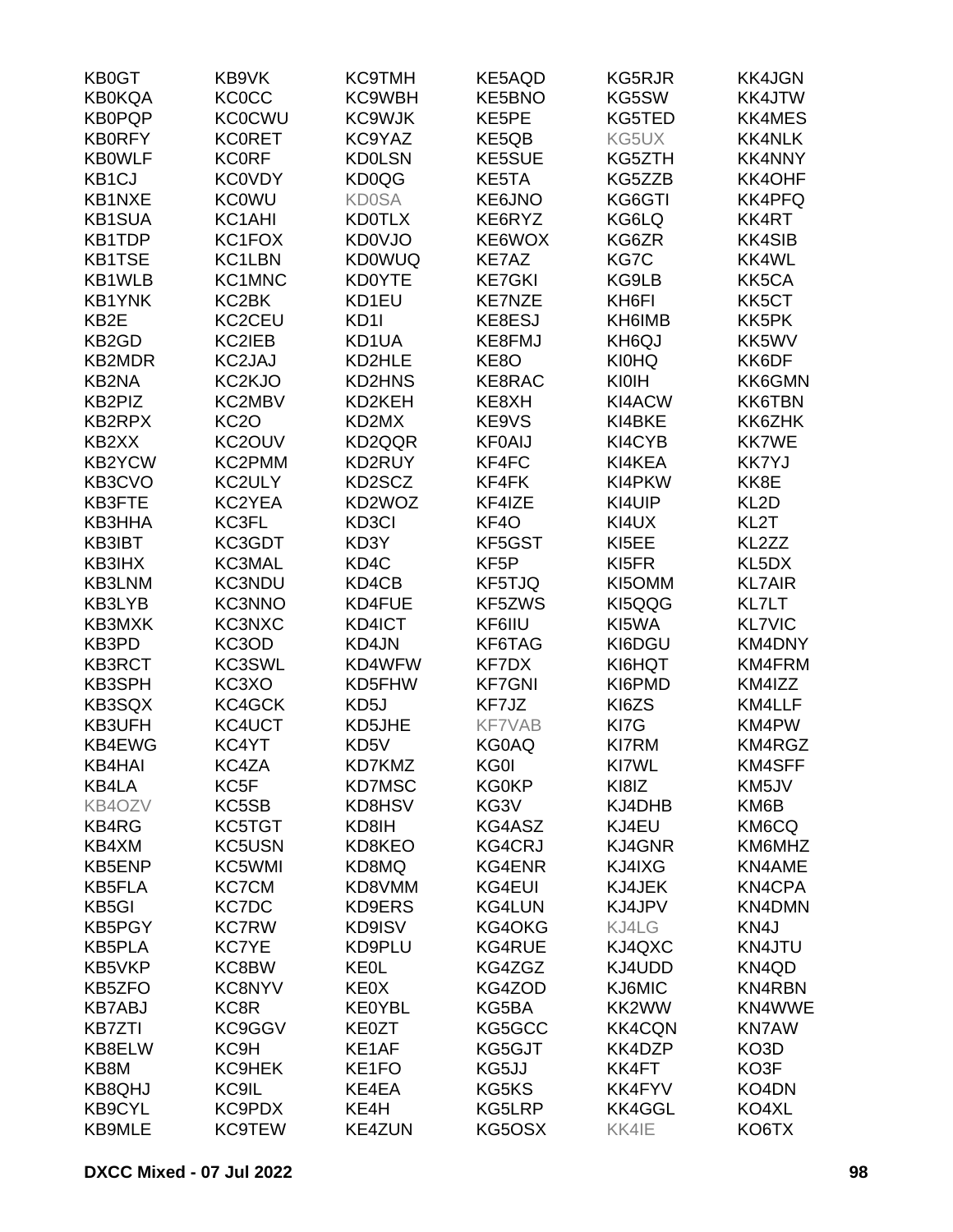| <b>KB0GT</b>     | KB9VK               | <b>KC9TMH</b>    | KE5AQD            | <b>KG5RJR</b>        | <b>KK4JGN</b>     |
|------------------|---------------------|------------------|-------------------|----------------------|-------------------|
| <b>KB0KQA</b>    | <b>KC0CC</b>        | KC9WBH           | <b>KE5BNO</b>     | KG5SW                | KK4JTW            |
| <b>KB0PQP</b>    | <b>KC0CWU</b>       | <b>KC9WJK</b>    | KE5PE             | KG5TED               | <b>KK4MES</b>     |
| <b>KB0RFY</b>    | <b>KCORET</b>       | KC9YAZ           | KE5QB             | KG5UX                | <b>KK4NLK</b>     |
| <b>KB0WLF</b>    | <b>KC0RF</b>        | <b>KD0LSN</b>    | <b>KE5SUE</b>     | KG5ZTH               | <b>KK4NNY</b>     |
| KB1CJ            | <b>KC0VDY</b>       | KD0QG            | KE5TA             | KG5ZZB               | KK4OHF            |
| KB1NXE           | <b>KC0WU</b>        | <b>KD0SA</b>     | KE6JNO            | KG6GTI               | <b>KK4PFQ</b>     |
| <b>KB1SUA</b>    | KC1AHI              | <b>KD0TLX</b>    | KE6RYZ            | KG6LQ                | KK4RT             |
| <b>KB1TDP</b>    | KC1FOX              | <b>KD0VJO</b>    | KE6WOX            | KG6ZR                | <b>KK4SIB</b>     |
| <b>KB1TSE</b>    | KC1LBN              | <b>KD0WUQ</b>    | KE7AZ             | KG7C                 | KK4WL             |
| KB1WLB           | KC1MNC              | <b>KD0YTE</b>    | <b>KE7GKI</b>     | KG9LB                | KK5CA             |
| <b>KB1YNK</b>    | KC2BK               | KD1EU            | <b>KE7NZE</b>     | KH6FI                | KK5CT             |
| KB2E             | KC2CEU              | KD <sub>11</sub> | KE8ESJ            | KH6IMB               | KK5PK             |
| KB2GD            | KC2IEB              | KD1UA            | KE8FMJ            | KH <sub>6</sub> QJ   | KK5WV             |
| <b>KB2MDR</b>    | KC2JAJ              | KD2HLE           | KE8O              | <b>KI0HQ</b>         | KK6DF             |
| KB2NA            | KC <sub>2</sub> KJO | <b>KD2HNS</b>    | KE8RAC            | KIOIH                | KK6GMN            |
| KB2PIZ           | KC2MBV              | KD2KEH           | KE8XH             | KI4ACW               | KK6TBN            |
| KB2RPX           | <b>KC2O</b>         | KD2MX            | KE9VS             | KI4BKE               | KK6ZHK            |
| KB2XX            | KC2OUV              | KD2QQR           | <b>KF0AIJ</b>     | KI4CYB               | <b>KK7WE</b>      |
| <b>KB2YCW</b>    | KC2PMM              | KD2RUY           | KF4FC             | KI4KEA               | <b>KK7YJ</b>      |
| KB3CVO           | KC2ULY              | KD2SCZ           | KF4FK             | KI4PKW               | KK8E              |
| KB3FTE           | KC2YEA              | KD2WOZ           | KF4IZE            | KI4UIP               | KL <sub>2</sub> D |
| KB3HHA           | KC3FL               | KD3CI            | KF4O              | KI4UX                | KL <sub>2</sub> T |
| KB3IBT           | KC3GDT              | KD3Y             | KF5GST            | KI <sub>5</sub> EE   | KL2ZZ             |
| KB3IHX           | KC3MAL              | KD4C             | KF <sub>5</sub> P | KI5FR                | KL5DX             |
| KB3LNM           | <b>KC3NDU</b>       | KD4CB            | KF5TJQ            | KI5OMM               | <b>KL7AIR</b>     |
| KB3LYB           | KC3NNO              | KD4FUE           | KF5ZWS            | KI5QQG               | KL7LT             |
| KB3MXK           | KC3NXC              | KD4ICT           | KF6IIU            | KI5WA                | <b>KL7VIC</b>     |
| KB3PD            | KC3OD               | KD4JN            | KF6TAG            | KI6DGU               | KM4DNY            |
| <b>KB3RCT</b>    | KC3SWL              | KD4WFW           | KF7DX             | KI6HQT               | KM4FRM            |
| <b>KB3SPH</b>    | KC3XO               | KD5FHW           | <b>KF7GNI</b>     | KI6PMD               | KM4IZZ            |
|                  |                     | KD5J             | KF7JZ             |                      | KM4LLF            |
| KB3SQX<br>KB3UFH | KC4GCK              | KD5JHE           | <b>KF7VAB</b>     | KI6ZS                | KM4PW             |
| KB4EWG           | KC4UCT              |                  | <b>KG0AQ</b>      | KI7G<br><b>KI7RM</b> |                   |
|                  | KC4YT<br>KC4ZA      | KD5V<br>KD7KMZ   | KG0I              | KI7WL                | KM4RGZ<br>KM4SFF  |
| KB4HAI           |                     | <b>KD7MSC</b>    | <b>KG0KP</b>      | KI8IZ                |                   |
| KB4LA<br>KB4OZV  | KC <sub>5</sub> F   |                  |                   | KJ4DHB               | KM5JV             |
| KB4RG            | KC5SB<br>KC5TGT     | KD8HSV<br>KD8IH  | KG3V<br>KG4ASZ    | KJ4EU                | KM6B<br>KM6CQ     |
| KB4XM            | <b>KC5USN</b>       | KD8KEO           | <b>KG4CRJ</b>     | <b>KJ4GNR</b>        | KM6MHZ            |
| <b>KB5ENP</b>    | KC5WMI              |                  | KG4ENR            |                      | KN4AME            |
| <b>KB5FLA</b>    | <b>KC7CM</b>        | KD8MQ<br>KD8VMM  | KG4EUI            | KJ4IXG<br>KJ4JEK     | KN4CPA            |
| KB5GI            | <b>KC7DC</b>        | KD9ERS           | KG4LUN            | KJ4JPV               | KN4DMN            |
| <b>KB5PGY</b>    | <b>KC7RW</b>        | KD9ISV           | KG4OKG            | KJ4LG                | KN4J              |
| <b>KB5PLA</b>    | <b>KC7YE</b>        | KD9PLU           | <b>KG4RUE</b>     | KJ4QXC               | KN4JTU            |
|                  |                     | <b>KEOL</b>      |                   |                      |                   |
| KB5VKP           | KC8BW               |                  | KG4ZGZ            | KJ4UDD               | KN4QD             |
| KB5ZFO           | <b>KC8NYV</b>       | KE0X             | KG4ZOD            | KJ6MIC               | <b>KN4RBN</b>     |
| <b>KB7ABJ</b>    | KC8R                | <b>KE0YBL</b>    | KG5BA             | KK2WW                | KN4WWE            |
| <b>KB7ZTI</b>    | KC9GGV              | KE0ZT            | KG5GCC            | <b>KK4CQN</b>        | <b>KN7AW</b>      |
| KB8ELW           | KC9H                | KE1AF            | KG5GJT            | KK4DZP               | KO3D              |
| KB8M             | KC9HEK              | KE1FO            | KG5JJ             | KK4FT                | KO3F              |
| <b>KB8QHJ</b>    | KC9IL               | KE4EA            | KG5KS             | KK4FYV               | KO4DN             |
| <b>KB9CYL</b>    | KC9PDX              | KE4H             | KG5LRP            | KK4GGL               | KO4XL             |
| <b>KB9MLE</b>    | <b>KC9TEW</b>       | <b>KE4ZUN</b>    | KG5OSX            | KK4IE                | KO6TX             |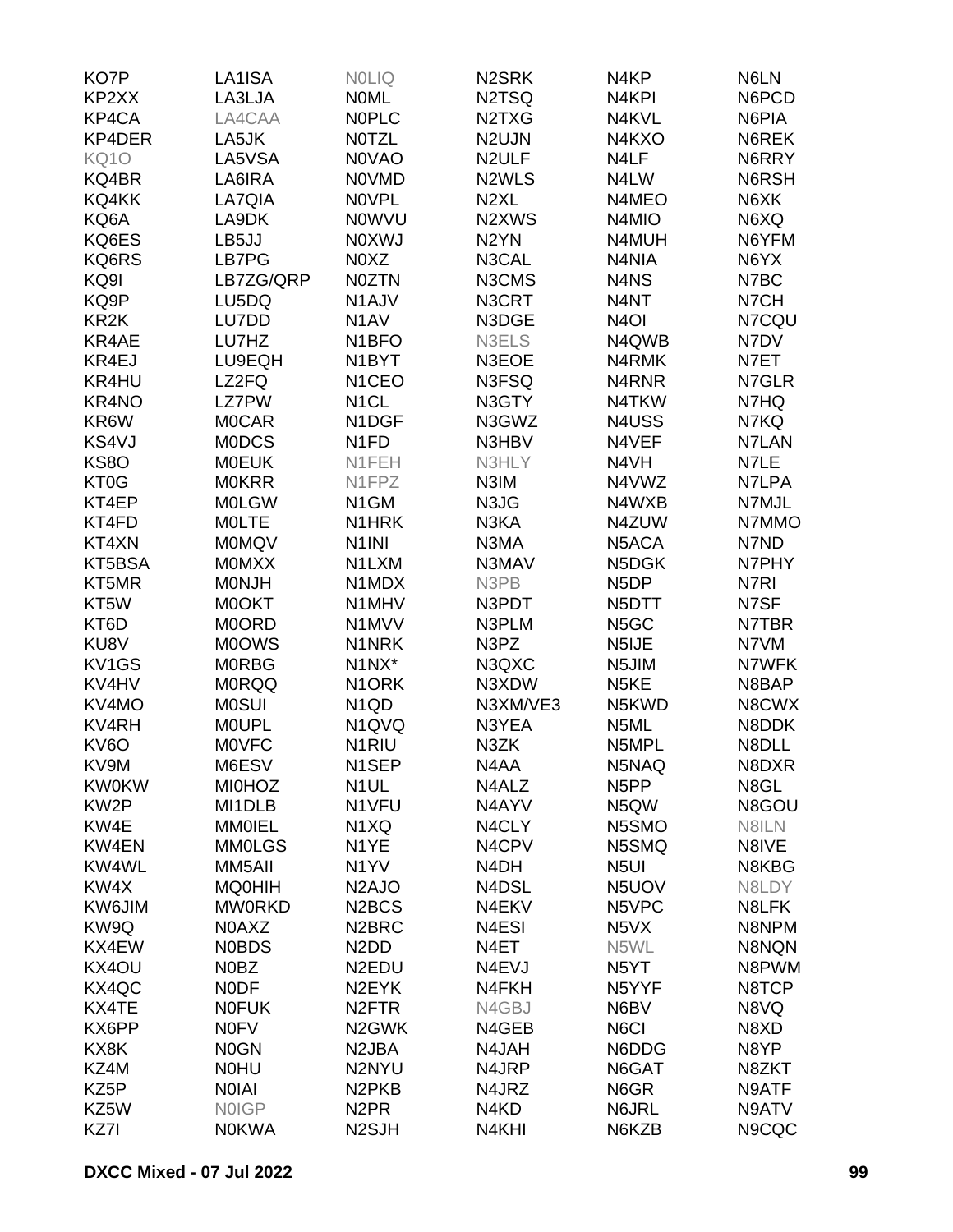| KO7P              | LA1ISA        | <b>NOLIQ</b>                   | N <sub>2</sub> SRK             | N4KP               | N6LN  |
|-------------------|---------------|--------------------------------|--------------------------------|--------------------|-------|
| KP2XX             | LA3LJA        | <b>NOML</b>                    | N <sub>2</sub> T <sub>SQ</sub> | N4KPI              | N6PCD |
| KP4CA             | LA4CAA        | <b>NOPLC</b>                   | N2TXG                          | N4KVL              | N6PIA |
| KP4DER            | LA5JK         | <b>NOTZL</b>                   | N <sub>2</sub> UJN             | N4KXO              | N6REK |
| <b>KQ10</b>       | LA5VSA        | <b>NOVAO</b>                   | N <sub>2</sub> ULF             | N4LF               | N6RRY |
| KQ4BR             | LA6IRA        | <b>NOVMD</b>                   | N <sub>2</sub> WLS             | N4LW               | N6RSH |
| KQ4KK             | LA7QIA        | <b>NOVPL</b>                   | N <sub>2</sub> XL              | N4MEO              | N6XK  |
| KQ6A              | LA9DK         | <b>NOWVU</b>                   | N <sub>2</sub> XW <sub>S</sub> | N4MIO              | N6XQ  |
| KQ6ES             | LB5JJ         | <b>NOXWJ</b>                   | N <sub>2</sub> YN              | N4MUH              | N6YFM |
| KQ6RS             | LB7PG         | N0XZ                           | N3CAL                          | N4NIA              | N6YX  |
| KQ9I              | LB7ZG/QRP     | <b>N0ZTN</b>                   | N3CMS                          | N4NS               | N7BC  |
| KQ9P              |               |                                |                                | N4NT               |       |
|                   | LU5DQ         | N <sub>1</sub> AJV             | N3CRT                          |                    | N7CH  |
| KR <sub>2</sub> K | LU7DD         | N <sub>1</sub> AV              | N3DGE                          | N <sub>4</sub> OI  | N7CQU |
| KR4AE             | LU7HZ         | N <sub>1</sub> BFO             | N3ELS                          | N4QWB              | N7DV  |
| KR4EJ             | LU9EQH        | N <sub>1</sub> BYT             | N3EOE                          | N4RMK              | N7ET  |
| KR4HU             | LZ2FQ         | N <sub>1</sub> CEO             | N3FSQ                          | N4RNR              | N7GLR |
| KR4NO             | <b>LZ7PW</b>  | N <sub>1</sub> CL              | N3GTY                          | N4TKW              | N7HQ  |
| KR6W              | <b>MOCAR</b>  | N1DGF                          | N3GWZ                          | N4USS              | N7KQ  |
| KS4VJ             | <b>MODCS</b>  | N <sub>1FD</sub>               | N3HBV                          | N4VEF              | N7LAN |
| <b>KS80</b>       | <b>MOEUK</b>  | N1FEH                          | N3HLY                          | N4VH               | N7LE  |
| KT0G              | <b>MOKRR</b>  | N <sub>1</sub> FPZ             | N3IM                           | N4VWZ              | N7LPA |
| KT4EP             | <b>MOLGW</b>  | N <sub>1</sub> GM              | N3JG                           | N4WXB              | N7MJL |
| KT4FD             | <b>MOLTE</b>  | N <sub>1</sub> HRK             | N3KA                           | N4ZUW              | N7MMO |
| KT4XN             | <b>MOMQV</b>  | N <sub>1</sub> INI             | N3MA                           | N5ACA              | N7ND  |
| KT5BSA            | <b>MOMXX</b>  | N1LXM                          | N3MAV                          | N5DGK              | N7PHY |
| KT5MR             | <b>MONJH</b>  | N1MDX                          | N3PB                           | N <sub>5</sub> DP  | N7RI  |
| KT <sub>5</sub> W | <b>MOOKT</b>  | N1MHV                          | N3PDT                          | N <sub>5</sub> DTT | N7SF  |
| KT6D              | <b>MOORD</b>  | N1MVV                          | N3PLM                          | N <sub>5</sub> GC  | N7TBR |
| KU8V              | <b>MOOWS</b>  | N1NRK                          | N3PZ                           | N5IJE              | N7VM  |
| KV1GS             | <b>MORBG</b>  | N1NX*                          | N3QXC                          | N5JIM              | N7WFK |
| KV4HV             | <b>MORQQ</b>  | N <sub>1</sub> ORK             | N3XDW                          | N <sub>5</sub> KE  | N8BAP |
| KV4MO             | <b>MOSUI</b>  | N <sub>1</sub> Q <sub>D</sub>  | N3XM/VE3                       | N5KWD              | N8CWX |
| <b>KV4RH</b>      | <b>MOUPL</b>  | N <sub>1</sub> QVQ             | N3YEA                          | N5ML               | N8DDK |
| KV6O              | <b>MOVFC</b>  | N <sub>1</sub> RIU             | N3ZK                           | N5MPL              | N8DLL |
| KV9M              | M6ESV         | N1SEP                          | N4AA                           | N5NAQ              | N8DXR |
| <b>KW0KW</b>      | <b>MI0HOZ</b> | N <sub>1</sub> UL              | N4ALZ                          | N <sub>5</sub> PP  | N8GL  |
|                   |               |                                |                                |                    |       |
| KW <sub>2</sub> P | MI1DLB        | N1VFU                          | N4AYV                          | N5QW               | N8GOU |
| KW4E              | <b>MMOIEL</b> | N <sub>1</sub> XQ              | N4CLY                          | N5SMO              | N8ILN |
| KW4EN             | <b>MM0LGS</b> | N <sub>1</sub> YE              | N4CPV                          | N5SMQ              | N8IVE |
| KW4WL             | MM5AII        | N <sub>1</sub> YV              | N4DH                           | N <sub>5UI</sub>   | N8KBG |
| KW4X              | <b>MQ0HIH</b> | N <sub>2</sub> AJO             | N4DSL                          | N5UOV              | N8LDY |
| KW6JIM            | <b>MW0RKD</b> | N <sub>2</sub> BCS             | N4EKV                          | N5VPC              | N8LFK |
| KW9Q              | <b>NOAXZ</b>  | N <sub>2</sub> BRC             | N4ESI                          | N <sub>5</sub> VX  | N8NPM |
| KX4EW             | <b>NOBDS</b>  | N <sub>2</sub> D <sub>D</sub>  | N <sub>4</sub> ET              | N5WL               | N8NQN |
| KX4OU             | N0BZ          | N <sub>2</sub> EDU             | N4EVJ                          | N <sub>5</sub> YT  | N8PWM |
| KX4QC             | <b>NODF</b>   | N <sub>2</sub> EYK             | N4FKH                          | N5YYF              | N8TCP |
| KX4TE             | <b>NOFUK</b>  | N <sub>2</sub> FTR             | N4GBJ                          | N6BV               | N8VQ  |
| KX6PP             | <b>NOFV</b>   | N <sub>2</sub> GWK             | N4GEB                          | N6CI               | N8XD  |
| KX8K              | <b>NOGN</b>   | N <sub>2</sub> JBA             | N4JAH                          | N6DDG              | N8YP  |
| KZ4M              | <b>NOHU</b>   | N2NYU                          | N4JRP                          | N6GAT              | N8ZKT |
| KZ <sub>5</sub> P | <b>NOIAI</b>  | N <sub>2</sub> PK <sub>B</sub> | N4JRZ                          | N6GR               | N9ATF |
| KZ5W              | <b>NOIGP</b>  | N <sub>2</sub> PR              | N4KD                           | N6JRL              | N9ATV |
| KZ7I              | <b>NOKWA</b>  | N <sub>2</sub> SJH             | N4KHI                          | N6KZB              | N9CQC |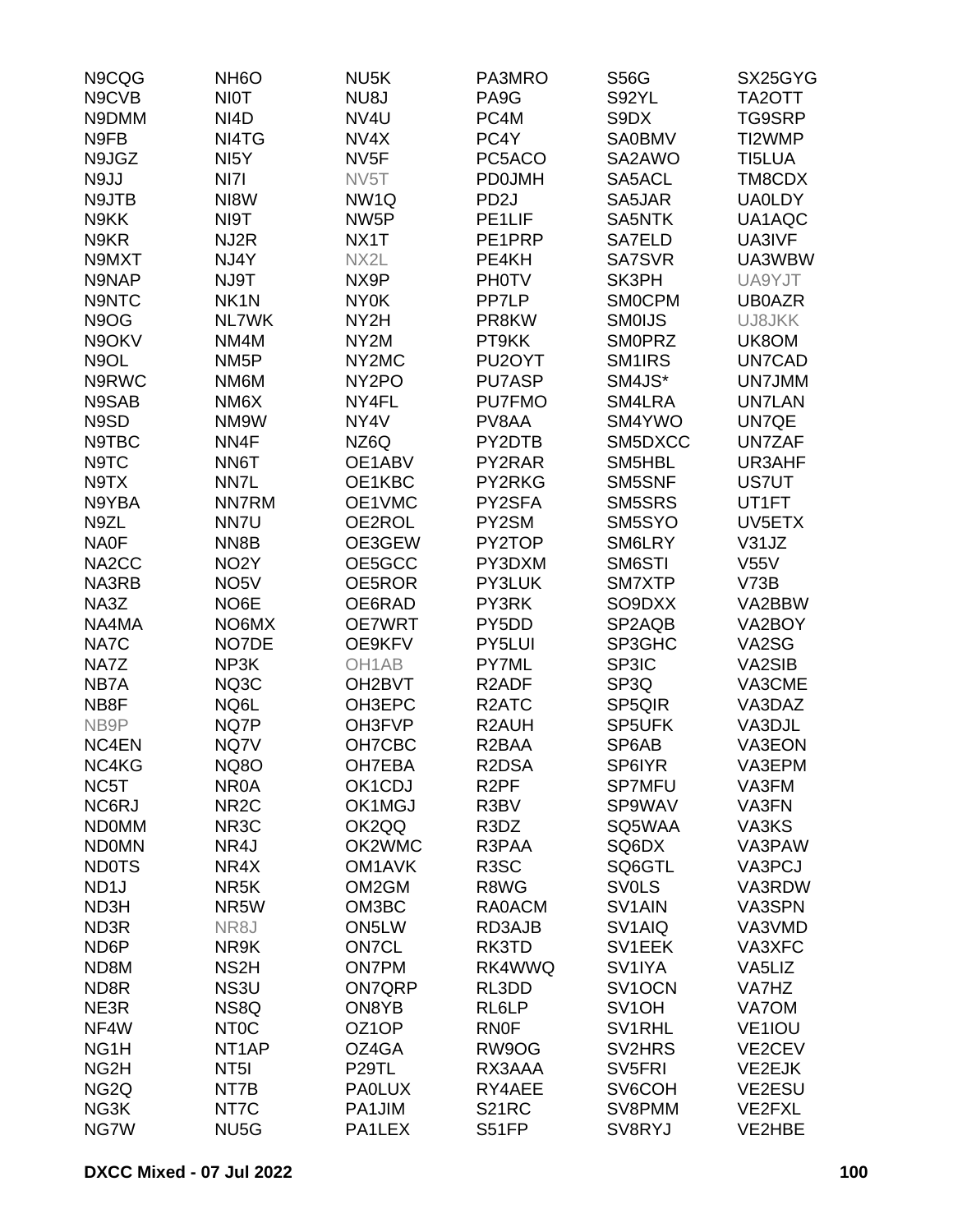| N9CQG              | NH <sub>6</sub> O  | NU <sub>5</sub> K   | PA3MRO              | <b>S56G</b>         | SX25GYG       |
|--------------------|--------------------|---------------------|---------------------|---------------------|---------------|
| N9CVB              | <b>NIOT</b>        | NU8J                | PA <sub>9</sub> G   | S92YL               | TA2OTT        |
| N9DMM              | NI <sub>4</sub> D  | NV4U                | PC4M                | S9DX                | TG9SRP        |
| N9FB               | NI4TG              | NV4X                | PC4Y                | <b>SA0BMV</b>       | TI2WMP        |
| N9JGZ              | NI <sub>5</sub> Y  | NV <sub>5F</sub>    | PC5ACO              | SA2AWO              | TI5LUA        |
| N9JJ               | NI7I               | NV5T                | <b>PD0JMH</b>       | SA5ACL              | TM8CDX        |
| N9JTB              | NI8W               | NW <sub>1Q</sub>    | PD <sub>2</sub> J   | SA5JAR              | <b>UA0LDY</b> |
| N9KK               | NI9T               | NW <sub>5</sub> P   | PE <sub>1LIF</sub>  | SA5NTK              | UA1AQC        |
|                    |                    |                     |                     |                     |               |
| N9KR               | NJ2R               | NX1T                | PE1PRP              | SA7ELD              | UA3IVF        |
| N9MXT              | NJ4Y               | NX2L                | PE4KH               | <b>SA7SVR</b>       | UA3WBW        |
| N9NAP              | NJ9T               | NX9P                | <b>PH0TV</b>        | SK3PH               | UA9YJT        |
| N9NTC              | NK <sub>1</sub> N  | <b>NY0K</b>         | PP7LP               | <b>SMOCPM</b>       | <b>UB0AZR</b> |
| N9OG               | <b>NL7WK</b>       | NY2H                | PR8KW               | <b>SMOIJS</b>       | UJ8JKK        |
| N9OKV              | NM4M               | NY <sub>2</sub> M   | PT9KK               | <b>SMOPRZ</b>       | UK8OM         |
| N9OL               | NM <sub>5</sub> P  | NY2MC               | PU <sub>2</sub> OYT | SM <sub>1</sub> IRS | UN7CAD        |
| N9RWC              | NM6M               | NY <sub>2</sub> PO  | <b>PU7ASP</b>       | SM4JS*              | UN7JMM        |
| N9SAB              | NM6X               | NY4FL               | <b>PU7FMO</b>       | SM4LRA              | <b>UN7LAN</b> |
| N9SD               | NM9W               | NY4V                | PV8AA               | SM4YWO              | UN7QE         |
| N9TBC              | NN4F               | NZ6Q                | PY2DTB              | SM5DXCC             | <b>UN7ZAF</b> |
| N9TC               | NN6T               | OE1ABV              | PY2RAR              | SM5HBL              | UR3AHF        |
| N9TX               | NN7L               | OE1KBC              | PY2RKG              | SM5SNF              | <b>US7UT</b>  |
| N9YBA              | <b>NN7RM</b>       | OE1VMC              | PY2SFA              | SM5SRS              | UT1FT         |
| N9ZL               | NN7U               | OE2ROL              | PY2SM               | SM5SYO              | UV5ETX        |
| <b>NA0F</b>        | NN8B               | OE3GEW              | PY2TOP              | SM6LRY              | V31JZ         |
| NA <sub>2</sub> CC | NO <sub>2</sub> Y  | OE5GCC              | PY3DXM              | SM6STI              | <b>V55V</b>   |
| NA3RB              | NO <sub>5</sub> V  | OE5ROR              | PY3LUK              | SM7XTP              | V73B          |
| NA3Z               | NO6E               | OE6RAD              | PY3RK               | SO9DXX              | VA2BBW        |
| NA4MA              | NO6MX              | <b>OE7WRT</b>       | PY5DD               | SP2AQB              | VA2BOY        |
| NA7C               | NO7DE              | OE9KFV              | PY5LUI              | SP3GHC              | VA2SG         |
| NA7Z               | NP3K               | OH <sub>1</sub> AB  | PY7ML               | SP3IC               | VA2SIB        |
|                    |                    | OH2BVT              | R <sub>2</sub> ADF  |                     | VA3CME        |
| NB7A               | NQ3C               |                     |                     | SP3Q                |               |
| NB8F               | NQ6L               | OH3EPC              | R <sub>2</sub> ATC  | SP5QIR              | VA3DAZ        |
| NB9P               | NQ7P               | OH3FVP              | R2AUH               | SP5UFK              | VA3DJL        |
| NC4EN              | NQ7V               | OH7CBC              | R <sub>2</sub> BAA  | SP6AB               | VA3EON        |
| NC4KG              | <b>NQ8O</b>        | OH7EBA              | R2DSA               | SP6IYR              | VA3EPM        |
| NC5T               | NR <sub>0</sub> A  | OK1CDJ              | R <sub>2</sub> PF   | <b>SP7MFU</b>       | VA3FM         |
| NC6RJ              | NR <sub>2</sub> C  | OK1MGJ              | R3BV                | SP9WAV              | VA3FN         |
| <b>NDOMM</b>       | NR <sub>3</sub> C  | OK2QQ               | R3DZ                | SQ5WAA              | VA3KS         |
| <b>NDOMN</b>       | NR4J               | OK2WMC              | R3PAA               | SQ6DX               | VA3PAW        |
| <b>ND0TS</b>       | NR4X               | OM <sub>1</sub> AVK | R <sub>3</sub> SC   | SQ6GTL              | VA3PCJ        |
| ND <sub>1</sub> J  | NR <sub>5</sub> K  | OM2GM               | R8WG                | <b>SVOLS</b>        | VA3RDW        |
| ND3H               | NR5W               | OM3BC               | RA0ACM              | SV <sub>1</sub> AIN | VA3SPN        |
| ND3R               | NR8J               | ON5LW               | RD3AJB              | SV <sub>1</sub> AIQ | VA3VMD        |
| ND <sub>6</sub> P  | NR9K               | <b>ON7CL</b>        | RK3TD               | SV1EEK              | VA3XFC        |
| ND8M               | NS <sub>2</sub> H  | <b>ON7PM</b>        | RK4WWQ              | SV1IYA              | VA5LIZ        |
| ND8R               | NS3U               | <b>ON7QRP</b>       | RL3DD               | SV1OCN              | VA7HZ         |
| NE3R               | NS8Q               | ON8YB               | RL6LP               | SV <sub>1</sub> OH  | VA7OM         |
| NF4W               | NT <sub>0</sub> C  | OZ1OP               | <b>RN0F</b>         | SV1RHL              | VE1IOU        |
| NG <sub>1</sub> H  | NT <sub>1</sub> AP | OZ4GA               | RW9OG               | SV2HRS              | VE2CEV        |
| NG <sub>2</sub> H  | NT <sub>5</sub> I  | P <sub>29</sub> TL  | RX3AAA              | SV <sub>5FRI</sub>  | VE2EJK        |
| NG <sub>2Q</sub>   | NT7B               | <b>PAOLUX</b>       | RY4AEE              | SV6COH              | VE2ESU        |
| NG3K               | NT7C               | PA1JIM              | S21RC               | SV8PMM              | <b>VE2FXL</b> |
| NG7W               | NU <sub>5</sub> G  | PA1LEX              | S51FP               | SV8RYJ              | VE2HBE        |
|                    |                    |                     |                     |                     |               |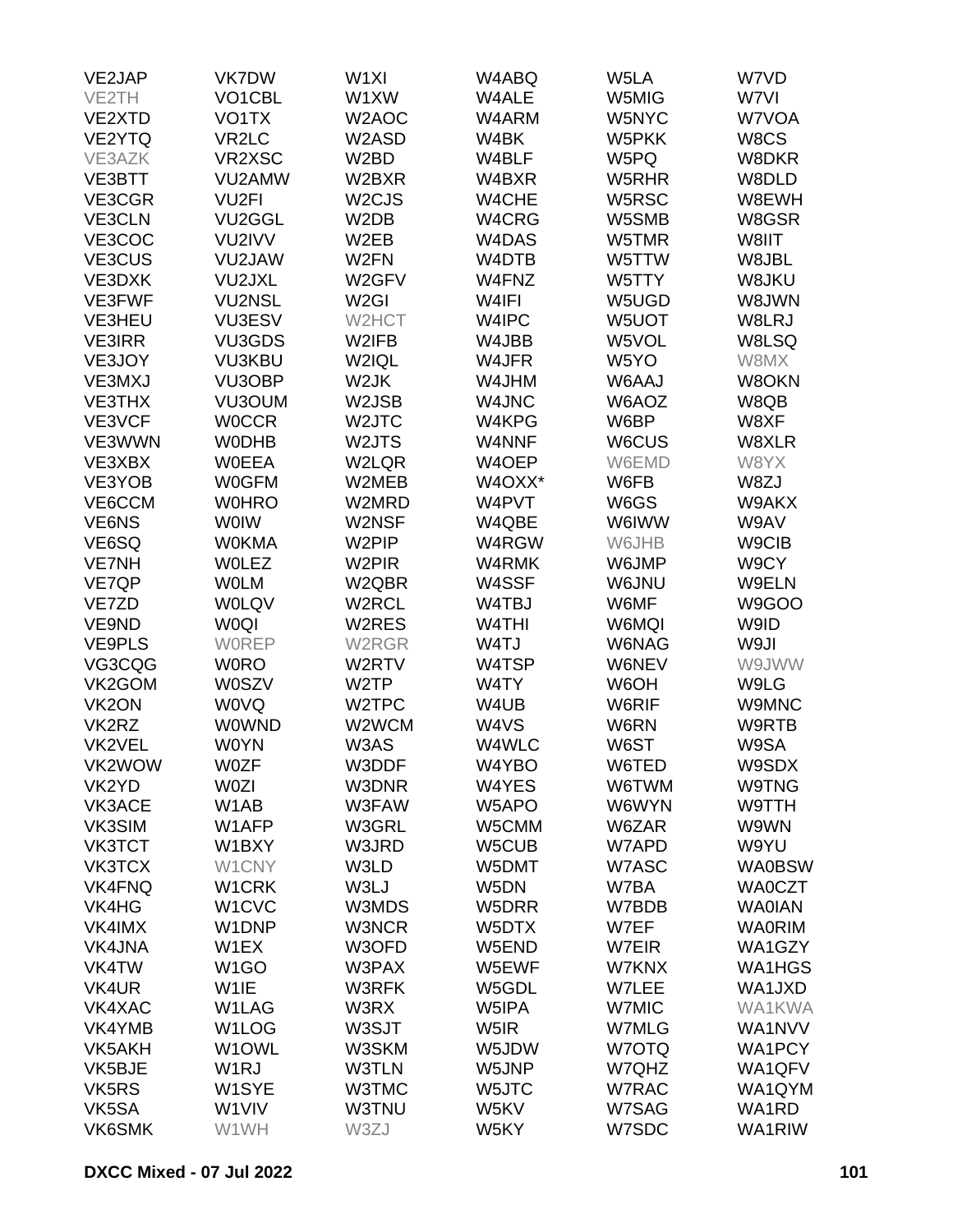| VE2JAP             | VK7DW                          | W <sub>1XI</sub>   | W4ABQ              | W5LA  | W7VD          |
|--------------------|--------------------------------|--------------------|--------------------|-------|---------------|
| VE2TH              | VO1CBL                         | W1XW               | W4ALE              | W5MIG | W7VI          |
| VE2XTD             | VO1TX                          | W2AOC              | W4ARM              | W5NYC | W7VOA         |
| VE2YTQ             | VR <sub>2</sub> LC             | W2ASD              | W4BK               | W5PKK | W8CS          |
| VE3AZK             | VR2XSC                         | W <sub>2</sub> BD  | W4BLF              | W5PQ  | W8DKR         |
|                    |                                |                    |                    |       |               |
| VE3BTT             | VU2AMW                         | W2BXR              | W4BXR              | W5RHR | W8DLD         |
| VE3CGR             | VU <sub>2FI</sub>              | W <sub>2</sub> CJS | W4CHE              | W5RSC | W8EWH         |
| VE3CLN             | VU2GGL                         | W <sub>2</sub> DB  | W4CRG              | W5SMB | W8GSR         |
| VE3COC             | VU2IVV                         | W <sub>2</sub> EB  | W4DAS              | W5TMR | W8IIT         |
| VE3CUS             | VU2JAW                         | W <sub>2</sub> FN  | W4DTB              | W5TTW | W8JBL         |
| VE3DXK             | VU2JXL                         | W2GFV              | W4FNZ              | W5TTY | W8JKU         |
| <b>VE3FWF</b>      | <b>VU2NSL</b>                  | W <sub>2GI</sub>   | W4IFI              | W5UGD | W8JWN         |
| VE3HEU             | <b>VU3ESV</b>                  | W2HCT              | W4IPC              | W5UOT | W8LRJ         |
| <b>VE3IRR</b>      | VU3GDS                         | W2IFB              | W4JBB              | W5VOL | W8LSQ         |
| VE3JOY             | <b>VU3KBU</b>                  | W2IQL              | W4JFR              | W5YO  | W8MX          |
| VE3MXJ             | VU3OBP                         | W2JK               | W4JHM              | W6AAJ | W8OKN         |
| <b>VE3THX</b>      | VU3OUM                         | W2JSB              | W4JNC              | W6AOZ | W8QB          |
| VE3VCF             | <b>WOCCR</b>                   | W2JTC              | W4KPG              | W6BP  | W8XF          |
| VE3WWN             | <b>WODHB</b>                   | W2JTS              | W4NNF              | W6CUS | W8XLR         |
| VE3XBX             | <b>WOEEA</b>                   | W2LQR              | W4OEP              | W6EMD | W8YX          |
| VE3YOB             | <b>W0GFM</b>                   | W2MEB              | W4OXX*             | W6FB  | W8ZJ          |
| VE6CCM             | <b>W0HRO</b>                   | W2MRD              | W4PVT              | W6GS  | W9AKX         |
| VE6NS              | <b>WOIW</b>                    | W2NSF              | W4QBE              | W6IWW | W9AV          |
| VE6SQ              | <b>W0KMA</b>                   | W2PIP              | W4RGW              | W6JHB | W9CIB         |
| <b>VE7NH</b>       | <b>WOLEZ</b>                   | W <sub>2</sub> PIR | W4RMK              | W6JMP | W9CY          |
| VE7QP              | <b>WOLM</b>                    | W2QBR              | W4SSF              | W6JNU | W9ELN         |
| VE7ZD              | <b>WOLQV</b>                   | W2RCL              | W4TBJ              | W6MF  | W9GOO         |
| VE9ND              | <b>WOQI</b>                    | W2RES              | W <sub>4</sub> THI | W6MQI | W9ID          |
|                    |                                |                    |                    |       |               |
| <b>VE9PLS</b>      | <b>WOREP</b>                   | W2RGR              | W4TJ               | W6NAG | W9JI          |
| VG3CQG             | <b>WORO</b>                    | W2RTV              | W4TSP              | W6NEV | W9JWW         |
| VK2GOM             | <b>W0SZV</b>                   | W2TP               | W4TY               | W6OH  | W9LG          |
| VK <sub>2</sub> ON | <b>WOVQ</b>                    | W2TPC              | W4UB               | W6RIF | W9MNC         |
| VK2RZ              | <b>WOWND</b>                   | W2WCM              | W4VS               | W6RN  | W9RTB         |
| VK2VEL             | <b>W0YN</b>                    | W3AS               | W4WLC              | W6ST  | W9SA          |
| VK2WOW             | <b>W0ZF</b>                    | W3DDF              | W4YBO              | W6TED | W9SDX         |
| VK2YD              | <b>W0ZI</b>                    | W3DNR              | W4YES              | W6TWM | W9TNG         |
| VK3ACE             | W <sub>1</sub> AB              | W3FAW              | W5APO              | W6WYN | W9TTH         |
| VK3SIM             | W1AFP                          | W3GRL              | W5CMM              | W6ZAR | W9WN          |
| <b>VK3TCT</b>      | W1BXY                          | W3JRD              | W5CUB              | W7APD | W9YU          |
| <b>VK3TCX</b>      | W1CNY                          | W3LD               | W5DMT              | W7ASC | <b>WA0BSW</b> |
| <b>VK4FNQ</b>      | W1CRK                          | W3LJ               | W5DN               | W7BA  | <b>WA0CZT</b> |
| VK4HG              | W <sub>1</sub> CV <sub>C</sub> | W3MDS              | W5DRR              | W7BDB | <b>WAOIAN</b> |
| VK4IMX             | W1DNP                          | W3NCR              | W5DTX              | W7EF  | <b>WA0RIM</b> |
| <b>VK4JNA</b>      | W1EX                           | W3OFD              | W5END              | W7EIR | WA1GZY        |
| VK4TW              | W <sub>1</sub> GO              | W3PAX              | W5EWF              | W7KNX | WA1HGS        |
| VK4UR              | W <sub>1</sub> IE              | W3RFK              | W5GDL              | W7LEE | WA1JXD        |
| VK4XAC             | W1LAG                          | W3RX               | W5IPA              | W7MIC | <b>WA1KWA</b> |
| VK4YMB             | W <sub>1</sub> LOG             | W3SJT              | W5IR               | W7MLG | WA1NVV        |
| VK5AKH             | W1OWL                          | W3SKM              | W5JDW              | W7OTQ | <b>WA1PCY</b> |
| VK5BJE             | W <sub>1</sub> RJ              | <b>W3TLN</b>       | W5JNP              | W7QHZ | WA1QFV        |
| VK5RS              | W <sub>1</sub> SYE             | W3TMC              | W5JTC              | W7RAC | WA1QYM        |
| VK5SA              | W1VIV                          | <b>W3TNU</b>       | W5KV               | W7SAG | WA1RD         |
| VK6SMK             | W1WH                           | W3ZJ               | W5KY               | W7SDC | WA1RIW        |
|                    |                                |                    |                    |       |               |